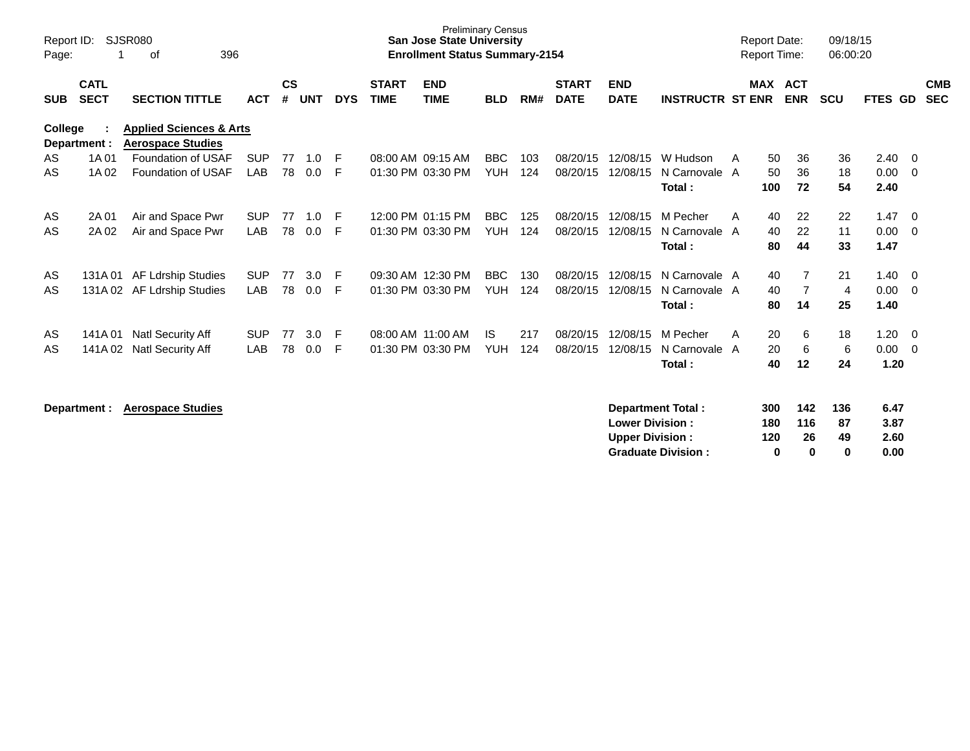| Report ID:<br>Page: |                            | SJSR080<br>396<br>οf                                           |            |                    |            |            |                             | <b>Preliminary Census</b><br>San Jose State University<br><b>Enrollment Status Summary-2154</b> |            |     |                             |                           |                          |    | <b>Report Date:</b><br><b>Report Time:</b> |                          | 09/18/15<br>06:00:20 |                |     |                          |
|---------------------|----------------------------|----------------------------------------------------------------|------------|--------------------|------------|------------|-----------------------------|-------------------------------------------------------------------------------------------------|------------|-----|-----------------------------|---------------------------|--------------------------|----|--------------------------------------------|--------------------------|----------------------|----------------|-----|--------------------------|
| <b>SUB</b>          | <b>CATL</b><br><b>SECT</b> | <b>SECTION TITTLE</b>                                          | <b>ACT</b> | $\mathsf{cs}$<br># | <b>UNT</b> | <b>DYS</b> | <b>START</b><br><b>TIME</b> | <b>END</b><br><b>TIME</b>                                                                       | <b>BLD</b> | RM# | <b>START</b><br><b>DATE</b> | <b>END</b><br><b>DATE</b> | <b>INSTRUCTR ST ENR</b>  |    | <b>MAX</b>                                 | <b>ACT</b><br><b>ENR</b> | <b>SCU</b>           | <b>FTES GD</b> |     | <b>CMB</b><br><b>SEC</b> |
| College             | Department :               | <b>Applied Sciences &amp; Arts</b><br><b>Aerospace Studies</b> |            |                    |            |            |                             |                                                                                                 |            |     |                             |                           |                          |    |                                            |                          |                      |                |     |                          |
| AS                  | 1A 01                      | Foundation of USAF                                             | <b>SUP</b> | 77                 | 1.0        | E          |                             | 08:00 AM 09:15 AM                                                                               | <b>BBC</b> | 103 | 08/20/15                    | 12/08/15                  | W Hudson                 | A  | 50                                         | 36                       | 36                   | 2.40           | - 0 |                          |
| AS                  | 1A 02                      | Foundation of USAF                                             | LAB        | 78                 | 0.0        | F          |                             | 01:30 PM 03:30 PM                                                                               | <b>YUH</b> | 124 | 08/20/15                    | 12/08/15                  | N Carnovale A            |    | 50                                         | 36                       | 18                   | 0.00           | - 0 |                          |
|                     |                            |                                                                |            |                    |            |            |                             |                                                                                                 |            |     |                             |                           | Total:                   |    | 100                                        | 72                       | 54                   | 2.40           |     |                          |
| AS                  | 2A 01                      | Air and Space Pwr                                              | <b>SUP</b> | 77                 | 1.0        | E          |                             | 12:00 PM 01:15 PM                                                                               | BBC        | 125 | 08/20/15                    | 12/08/15                  | M Pecher                 | A  | 40                                         | 22                       | 22                   | 1.47           | - 0 |                          |
| AS                  | 2A 02                      | Air and Space Pwr                                              | LAB        | 78                 | 0.0        | F          |                             | 01:30 PM 03:30 PM                                                                               | <b>YUH</b> | 124 | 08/20/15                    | 12/08/15                  | N Carnovale A            |    | 40                                         | 22                       | 11                   | 0.00           | - 0 |                          |
|                     |                            |                                                                |            |                    |            |            |                             |                                                                                                 |            |     |                             |                           | Total:                   |    | 80                                         | 44                       | 33                   | 1.47           |     |                          |
| AS                  | 131A 01                    | <b>AF Ldrship Studies</b>                                      | <b>SUP</b> | 77                 | 3.0        | F          |                             | 09:30 AM 12:30 PM                                                                               | <b>BBC</b> | 130 | 08/20/15                    | 12/08/15                  | N Carnovale A            |    | 40                                         | $\overline{7}$           | 21                   | 1.40           | - 0 |                          |
| AS                  |                            | 131A 02 AF Ldrship Studies                                     | <b>LAB</b> | 78                 | 0.0        | E          |                             | 01:30 PM 03:30 PM                                                                               | <b>YUH</b> | 124 | 08/20/15                    | 12/08/15                  | N Carnovale A            |    | 40                                         | 7                        | 4                    | 0.00           | - 0 |                          |
|                     |                            |                                                                |            |                    |            |            |                             |                                                                                                 |            |     |                             |                           | Total:                   |    | 80                                         | 14                       | 25                   | 1.40           |     |                          |
| AS                  | 141A 01                    | <b>Natl Security Aff</b>                                       | <b>SUP</b> | 77                 | 3.0        | E          | 08:00 AM 11:00 AM           |                                                                                                 | <b>IS</b>  | 217 | 08/20/15                    | 12/08/15                  | M Pecher                 | A  | 20                                         | 6                        | 18                   | 1.20           | - 0 |                          |
| AS                  | 141A 02                    | <b>Natl Security Aff</b>                                       | LAB        | 78                 | 0.0        | F          |                             | 01:30 PM 03:30 PM                                                                               | <b>YUH</b> | 124 | 08/20/15                    | 12/08/15                  | N Carnovale A            |    | 20                                         | 6                        | 6                    | 0.00           | - 0 |                          |
|                     |                            |                                                                |            |                    |            |            |                             |                                                                                                 |            |     |                             | Total:                    |                          | 40 | 12                                         | 24                       | 1.20                 |                |     |                          |
|                     | Department:                | <b>Aerospace Studies</b>                                       |            |                    |            |            |                             |                                                                                                 |            |     |                             |                           | <b>Department Total:</b> |    | 300                                        | 142                      | 136                  | 6.47           |     |                          |

| <b>Lower Division:</b>    | 180 | 116          | 87 | 3.87 |
|---------------------------|-----|--------------|----|------|
| <b>Upper Division:</b>    | 120 | 26           | 49 | 2.60 |
| <b>Graduate Division:</b> |     | $\mathbf{u}$ |    | 0.00 |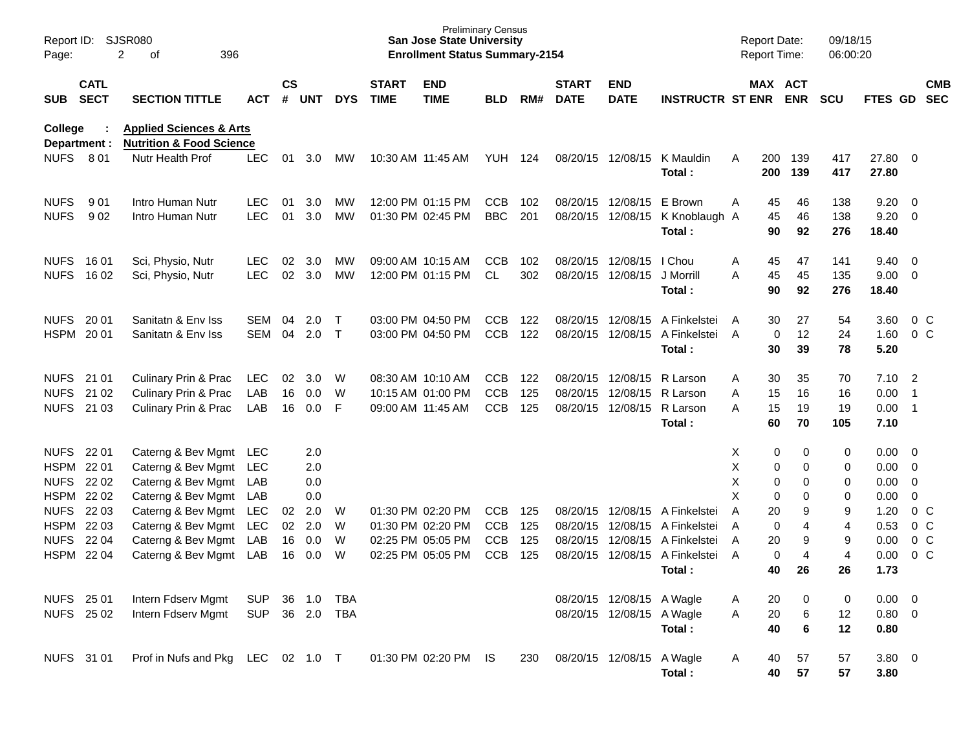| Page:                          | Report ID: SJSR080         | 2<br>396<br>οf                                                            |                |                    |            |              |                             | <b>Preliminary Census</b><br><b>San Jose State University</b><br><b>Enrollment Status Summary-2154</b> |                |     |                             |                           |                         |   |            | <b>Report Date:</b><br>Report Time: | 09/18/15<br>06:00:20 |                |                          |                          |
|--------------------------------|----------------------------|---------------------------------------------------------------------------|----------------|--------------------|------------|--------------|-----------------------------|--------------------------------------------------------------------------------------------------------|----------------|-----|-----------------------------|---------------------------|-------------------------|---|------------|-------------------------------------|----------------------|----------------|--------------------------|--------------------------|
| SUB                            | <b>CATL</b><br><b>SECT</b> | <b>SECTION TITTLE</b>                                                     | <b>ACT</b>     | $\mathsf{cs}$<br># | <b>UNT</b> | <b>DYS</b>   | <b>START</b><br><b>TIME</b> | <b>END</b><br><b>TIME</b>                                                                              | <b>BLD</b>     | RM# | <b>START</b><br><b>DATE</b> | <b>END</b><br><b>DATE</b> | <b>INSTRUCTR ST ENR</b> |   |            | MAX ACT<br><b>ENR</b>               | <b>SCU</b>           | <b>FTES GD</b> |                          | <b>CMB</b><br><b>SEC</b> |
| <b>College</b><br>Department : |                            | <b>Applied Sciences &amp; Arts</b><br><b>Nutrition &amp; Food Science</b> |                |                    |            |              |                             |                                                                                                        |                |     |                             |                           |                         |   |            |                                     |                      |                |                          |                          |
| <b>NUFS 801</b>                |                            | Nutr Health Prof                                                          | <b>LEC</b>     | 01                 | 3.0        | МW           |                             | 10:30 AM 11:45 AM                                                                                      | <b>YUH 124</b> |     |                             | 08/20/15 12/08/15         | K Mauldin<br>Total:     | A | 200<br>200 | 139<br>139                          | 417<br>417           | 27.80<br>27.80 | $\overline{\mathbf{0}}$  |                          |
| <b>NUFS</b>                    | 901                        | Intro Human Nutr                                                          | LEC.           | 01                 | 3.0        | MW           |                             | 12:00 PM 01:15 PM                                                                                      | <b>CCB</b>     | 102 | 08/20/15                    | 12/08/15                  | E Brown                 | A | 45         | 46                                  | 138                  | 9.20           | $\overline{0}$           |                          |
| <b>NUFS</b>                    | 902                        | Intro Human Nutr                                                          | <b>LEC</b>     | 01                 | 3.0        | <b>MW</b>    |                             | 01:30 PM 02:45 PM                                                                                      | <b>BBC</b>     | 201 |                             | 08/20/15 12/08/15         | K Knoblaugh A<br>Total: |   | 45<br>90   | 46<br>92                            | 138<br>276           | 9.20<br>18.40  | $\overline{0}$           |                          |
| NUFS 1601                      |                            | Sci, Physio, Nutr                                                         | LEC.           | 02                 | 3.0        | MW           |                             | 09:00 AM 10:15 AM                                                                                      | <b>CCB</b>     | 102 | 08/20/15                    | 12/08/15                  | I Chou                  | A | 45         | 47                                  | 141                  | 9.40           | $\overline{\mathbf{0}}$  |                          |
| <b>NUFS</b>                    | 16 02                      | Sci, Physio, Nutr                                                         | <b>LEC</b>     | 02                 | 3.0        | <b>MW</b>    |                             | 12:00 PM 01:15 PM                                                                                      | <b>CL</b>      | 302 |                             | 08/20/15 12/08/15         | J Morrill               | Α | 45         | 45                                  | 135                  | 9.00           | $\overline{0}$           |                          |
|                                |                            |                                                                           |                |                    |            |              |                             |                                                                                                        |                |     |                             |                           | Total:                  |   | 90         | 92                                  | 276                  | 18.40          |                          |                          |
| <b>NUFS</b>                    | 20 01                      | Sanitatn & Env Iss                                                        | <b>SEM</b>     | 04                 | 2.0        | $\top$       |                             | 03:00 PM 04:50 PM                                                                                      | <b>CCB</b>     | 122 | 08/20/15                    | 12/08/15                  | A Finkelstei            | A | 30         | 27                                  | 54                   | 3.60           | 0 <sup>o</sup>           |                          |
| <b>HSPM</b>                    | 20 01                      | Sanitatn & Env Iss                                                        | <b>SEM</b>     | 04                 | 2.0        | $\mathsf{T}$ |                             | 03:00 PM 04:50 PM                                                                                      | <b>CCB</b>     | 122 | 08/20/15                    | 12/08/15                  | A Finkelstei<br>Total:  | A | 0<br>30    | 12<br>39                            | 24<br>78             | 1.60<br>5.20   | $0\,C$                   |                          |
|                                |                            |                                                                           |                |                    |            |              |                             |                                                                                                        |                |     |                             |                           |                         |   |            |                                     |                      |                |                          |                          |
| <b>NUFS</b>                    | 21 01                      | Culinary Prin & Prac                                                      | <b>LEC</b>     | 02                 | 3.0        | W            |                             | 08:30 AM 10:10 AM                                                                                      | <b>CCB</b>     | 122 | 08/20/15                    | 12/08/15                  | R Larson                | A | 30         | 35                                  | 70                   | 7.10           | $\overline{\phantom{0}}$ |                          |
| <b>NUFS</b>                    | 21 02                      | Culinary Prin & Prac                                                      | LAB            | 16                 | 0.0        | W            |                             | 10:15 AM 01:00 PM                                                                                      | <b>CCB</b>     | 125 | 08/20/15                    | 12/08/15                  | R Larson                | A | 15         | 16                                  | 16                   | 0.00           | $\overline{1}$           |                          |
| NUFS 21 03                     |                            | Culinary Prin & Prac                                                      | LAB            | 16                 | 0.0        | -F           | 09:00 AM 11:45 AM           |                                                                                                        | <b>CCB</b>     | 125 | 08/20/15                    | 12/08/15                  | R Larson                | A | 15         | 19                                  | 19                   | 0.00           | $\overline{\phantom{0}}$ |                          |
|                                |                            |                                                                           |                |                    |            |              |                             |                                                                                                        |                |     |                             |                           | Total:                  |   | 60         | 70                                  | 105                  | 7.10           |                          |                          |
| NUFS 22 01                     |                            | Caterng & Bev Mgmt LEC                                                    |                |                    | 2.0        |              |                             |                                                                                                        |                |     |                             |                           |                         | Χ | 0          | $\mathbf 0$                         | 0                    | 0.00           | $\overline{\mathbf{0}}$  |                          |
| HSPM                           | 22 01                      | Caterng & Bev Mgmt                                                        | LEC            |                    | 2.0        |              |                             |                                                                                                        |                |     |                             |                           |                         | X | 0          | $\mathbf 0$                         | 0                    | 0.00           | $\overline{0}$           |                          |
| NUFS 22 02                     |                            | Caterng & Bev Mgmt                                                        | LAB            |                    | 0.0        |              |                             |                                                                                                        |                |     |                             |                           |                         | Χ | 0          | $\mathbf 0$                         | 0                    | 0.00           | $\overline{0}$           |                          |
| HSPM                           | 22 02                      | Caterng & Bev Mgmt                                                        | LAB            |                    | 0.0        |              |                             |                                                                                                        |                |     |                             |                           |                         | X | 0          | $\mathbf 0$                         | 0                    | 0.00           | $\mathbf 0$              |                          |
| <b>NUFS</b>                    | 22 03                      | Caterng & Bev Mgmt                                                        | LEC            | 02                 | 2.0        | W            |                             | 01:30 PM 02:20 PM                                                                                      | <b>CCB</b>     | 125 | 08/20/15                    | 12/08/15                  | A Finkelstei            | A | 20         | 9                                   | 9                    | 1.20           | 0 <sup>o</sup>           |                          |
| HSPM                           | 22 03                      | Caterng & Bev Mgmt                                                        | LEC            | 02                 | 2.0        | W            |                             | 01:30 PM 02:20 PM                                                                                      | <b>CCB</b>     | 125 | 08/20/15                    | 12/08/15                  | A Finkelstei            | A | 0          |                                     | 4                    | 0.53           | $0\,C$                   |                          |
| <b>NUFS</b>                    | 22 04                      | Caterng & Bev Mgmt                                                        | LAB            | 16                 | 0.0        | W            |                             | 02:25 PM 05:05 PM                                                                                      | <b>CCB</b>     | 125 | 08/20/15                    | 12/08/15                  | A Finkelstei            | A | 20         | 9                                   | 9                    | 0.00           | $0\,C$                   |                          |
| <b>HSPM</b>                    | 22 04                      | Caterng & Bev Mgmt                                                        | LAB            | 16                 | 0.0        | W            |                             | 02:25 PM 05:05 PM                                                                                      | <b>CCB</b>     | 125 | 08/20/15                    | 12/08/15                  | A Finkelstei            | A | 0          | 4                                   | $\overline{4}$       | 0.00           | $0\,C$                   |                          |
|                                |                            |                                                                           |                |                    |            |              |                             |                                                                                                        |                |     |                             |                           | Total:                  |   | 40         | 26                                  | 26                   | 1.73           |                          |                          |
| NUFS 25 01                     |                            | Intern Fdserv Mgmt                                                        | SUP            | 36                 | 1.0        | TBA          |                             |                                                                                                        |                |     |                             | 08/20/15 12/08/15 A Wagle |                         | A | 20         | 0                                   | 0                    | 0.00           | $\overline{\mathbf{0}}$  |                          |
| NUFS 25 02                     |                            | Intern Fdserv Mgmt                                                        | SUP 36 2.0 TBA |                    |            |              |                             |                                                                                                        |                |     |                             | 08/20/15 12/08/15 A Wagle |                         | A | 20         | 6                                   | 12                   | $0.80 \t 0$    |                          |                          |
|                                |                            |                                                                           |                |                    |            |              |                             |                                                                                                        |                |     |                             |                           | Total:                  |   | 40         | 6                                   | 12                   | 0.80           |                          |                          |
| NUFS 31 01                     |                            | Prof in Nufs and Pkg LEC 02 1.0 T                                         |                |                    |            |              |                             | 01:30 PM 02:20 PM IS                                                                                   |                | 230 |                             | 08/20/15 12/08/15         | A Wagle<br>Total:       | A | 40<br>40   | 57<br>57                            | 57<br>57             | 3.80 0<br>3.80 |                          |                          |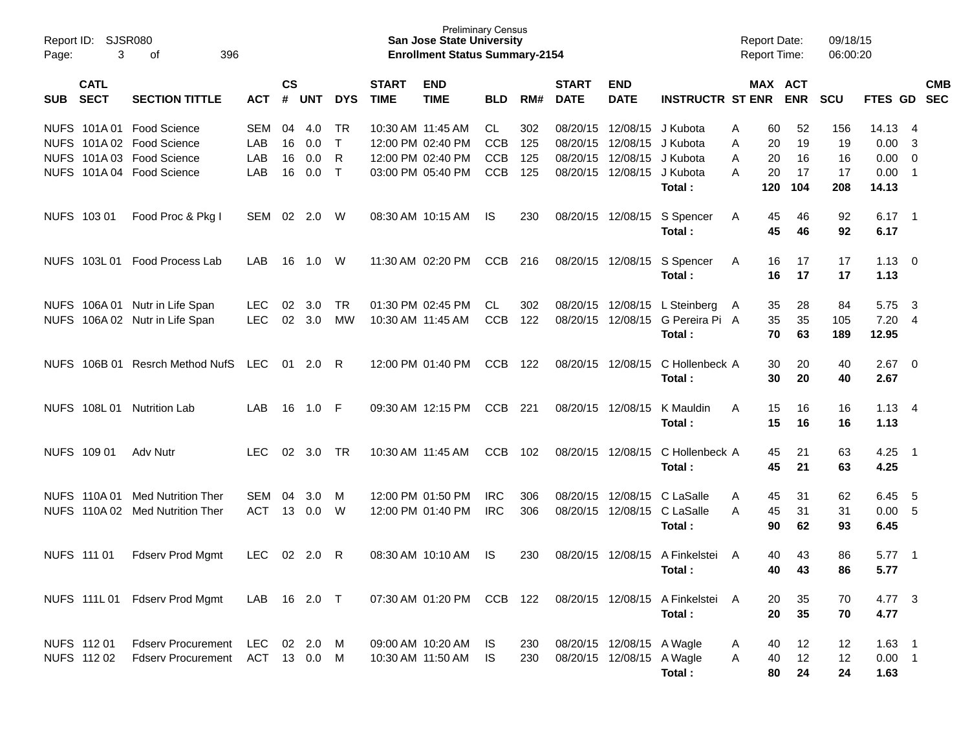| Page:       | Report ID: SJSR080<br>3    | 396<br>of                      |            |                    |            |              |                             | <b>Preliminary Census</b><br><b>San Jose State University</b><br><b>Enrollment Status Summary-2154</b> |            |     |                             |                           |                                | <b>Report Date:</b><br><b>Report Time:</b> |            | 09/18/15<br>06:00:20 |          |                            |                          |
|-------------|----------------------------|--------------------------------|------------|--------------------|------------|--------------|-----------------------------|--------------------------------------------------------------------------------------------------------|------------|-----|-----------------------------|---------------------------|--------------------------------|--------------------------------------------|------------|----------------------|----------|----------------------------|--------------------------|
| <b>SUB</b>  | <b>CATL</b><br><b>SECT</b> | <b>SECTION TITTLE</b>          | <b>ACT</b> | $\mathsf{cs}$<br># | <b>UNT</b> | <b>DYS</b>   | <b>START</b><br><b>TIME</b> | <b>END</b><br><b>TIME</b>                                                                              | <b>BLD</b> | RM# | <b>START</b><br><b>DATE</b> | <b>END</b><br><b>DATE</b> | <b>INSTRUCTR ST ENR</b>        | MAX ACT                                    | <b>ENR</b> | <b>SCU</b>           | FTES GD  |                            | <b>CMB</b><br><b>SEC</b> |
|             |                            | NUFS 101A 01 Food Science      | <b>SEM</b> | 04                 | 4.0        | <b>TR</b>    | 10:30 AM 11:45 AM           |                                                                                                        | CL.        | 302 | 08/20/15                    | 12/08/15                  | J Kubota                       | 60<br>A                                    | 52         | 156                  | 14.13    | -4                         |                          |
|             |                            | NUFS 101A 02 Food Science      | LAB        | 16                 | 0.0        | $\mathsf{T}$ |                             | 12:00 PM 02:40 PM                                                                                      | <b>CCB</b> | 125 | 08/20/15                    | 12/08/15 J Kubota         |                                | 20<br>A                                    | 19         | 19                   | 0.00     | -3                         |                          |
|             |                            | NUFS 101A 03 Food Science      | LAB        | 16                 | 0.0        | R            |                             | 12:00 PM 02:40 PM                                                                                      | <b>CCB</b> | 125 | 08/20/15                    | 12/08/15                  | J Kubota                       | 20<br>A                                    | 16         | 16                   | 0.00     | 0                          |                          |
|             |                            | NUFS 101A 04 Food Science      | LAB        | 16                 | 0.0        | $\top$       |                             | 03:00 PM 05:40 PM                                                                                      | <b>CCB</b> | 125 | 08/20/15                    | 12/08/15                  | J Kubota                       | 20<br>A                                    | 17         | 17                   | 0.00     | $\overline{1}$             |                          |
|             |                            |                                |            |                    |            |              |                             |                                                                                                        |            |     |                             |                           | Total:                         | 120                                        | 104        | 208                  | 14.13    |                            |                          |
|             | NUFS 103 01                | Food Proc & Pkg I              | SEM 02     |                    | 2.0        | W            |                             | 08:30 AM 10:15 AM                                                                                      | IS.        | 230 | 08/20/15                    | 12/08/15                  | S Spencer                      | 45<br>A                                    | 46         | 92                   | $6.17$ 1 |                            |                          |
|             |                            |                                |            |                    |            |              |                             |                                                                                                        |            |     |                             |                           | Total:                         | 45                                         | 46         | 92                   | 6.17     |                            |                          |
|             | NUFS 103L 01               | Food Process Lab               | LAB        | 16                 | 1.0        | W            |                             | 11:30 AM 02:20 PM                                                                                      | CCB        | 216 | 08/20/15 12/08/15           |                           | S Spencer                      | 16<br>A                                    | 17         | 17                   | 1.13     | - 0                        |                          |
|             |                            |                                |            |                    |            |              |                             |                                                                                                        |            |     |                             |                           | Total:                         | 16                                         | 17         | 17                   | 1.13     |                            |                          |
|             |                            | NUFS 106A 01 Nutr in Life Span | <b>LEC</b> | 02                 | 3.0        | <b>TR</b>    |                             | 01:30 PM 02:45 PM                                                                                      | CL         | 302 | 08/20/15                    | 12/08/15                  | L Steinberg                    | 35<br>A                                    | 28         | 84                   | 5.75     | - 3                        |                          |
| <b>NUFS</b> |                            | 106A 02 Nutr in Life Span      | <b>LEC</b> | 02                 | 3.0        | <b>MW</b>    | 10:30 AM 11:45 AM           |                                                                                                        | <b>CCB</b> | 122 | 08/20/15                    | 12/08/15                  | G Pereira Pi A                 | 35                                         | 35         | 105                  | 7.20     | $\overline{4}$             |                          |
|             |                            |                                |            |                    |            |              |                             |                                                                                                        |            |     |                             |                           | Total:                         | 70                                         | 63         | 189                  | 12.95    |                            |                          |
| <b>NUFS</b> | 106B 01                    | <b>Resrch Method NufS</b>      | LEC        | 01                 | 2.0        | R            |                             | 12:00 PM 01:40 PM                                                                                      | <b>CCB</b> | 122 | 08/20/15                    | 12/08/15                  | C Hollenbeck A                 | 30                                         | 20         | 40                   | 2.67     | $\overline{\phantom{0}}$   |                          |
|             |                            |                                |            |                    |            |              |                             |                                                                                                        |            |     |                             |                           | Total:                         | 30                                         | 20         | 40                   | 2.67     |                            |                          |
|             | NUFS 108L01                | <b>Nutrition Lab</b>           | LAB        | 16                 | 1.0        | -F           |                             | 09:30 AM 12:15 PM                                                                                      | <b>CCB</b> | 221 | 08/20/15                    | 12/08/15                  | K Mauldin                      | A<br>15                                    | 16         | 16                   | 1.13     | - 4                        |                          |
|             |                            |                                |            |                    |            |              |                             |                                                                                                        |            |     |                             |                           | Total:                         | 15                                         | 16         | 16                   | 1.13     |                            |                          |
|             | NUFS 109 01                | Adv Nutr                       | <b>LEC</b> | 02                 | 3.0        | <b>TR</b>    | 10:30 AM 11:45 AM           |                                                                                                        | <b>CCB</b> | 102 | 08/20/15                    | 12/08/15                  | C Hollenbeck A                 | 45                                         | 21         | 63                   | 4.25     | $\overline{\phantom{0}}$ 1 |                          |
|             |                            |                                |            |                    |            |              |                             |                                                                                                        |            |     |                             |                           | Total:                         | 45                                         | 21         | 63                   | 4.25     |                            |                          |
|             | NUFS 110A 01               | <b>Med Nutrition Ther</b>      | <b>SEM</b> | 04                 | 3.0        | M            |                             | 12:00 PM 01:50 PM                                                                                      | <b>IRC</b> | 306 | 08/20/15                    | 12/08/15                  | C LaSalle                      | 45<br>A                                    | 31         | 62                   | 6.45     | - 5                        |                          |
|             | NUFS 110A02                | <b>Med Nutrition Ther</b>      | <b>ACT</b> |                    | 13 0.0     | W            |                             | 12:00 PM 01:40 PM                                                                                      | <b>IRC</b> | 306 | 08/20/15                    | 12/08/15                  | C LaSalle                      | 45<br>A                                    | 31         | 31                   | 0.00     | -5                         |                          |
|             |                            |                                |            |                    |            |              |                             |                                                                                                        |            |     |                             |                           | Total:                         | 90                                         | 62         | 93                   | 6.45     |                            |                          |
|             | NUFS 111 01                | Fdserv Prod Mgmt               | <b>LEC</b> | 02                 | 2.0        | R            | 08:30 AM 10:10 AM           |                                                                                                        | IS         | 230 | 08/20/15                    | 12/08/15                  | A Finkelstei                   | A<br>40                                    | 43         | 86                   | 5.77     | $\overline{\phantom{0}}$ 1 |                          |
|             |                            |                                |            |                    |            |              |                             |                                                                                                        |            |     |                             |                           | Total:                         | 40                                         | 43         | 86                   | 5.77     |                            |                          |
|             |                            |                                |            |                    |            |              |                             |                                                                                                        |            |     |                             |                           |                                |                                            |            |                      |          |                            |                          |
|             |                            | NUFS 111L 01 Fdserv Prod Mgmt  | LAB        |                    | 16 2.0 T   |              |                             | 07:30 AM 01:20 PM CCB 122                                                                              |            |     |                             |                           | 08/20/15 12/08/15 A Finkelstei | A<br>20                                    | 35         | 70                   | 4.77 3   |                            |                          |
|             |                            |                                |            |                    |            |              |                             |                                                                                                        |            |     |                             |                           | Total:                         | 20                                         | 35         | 70                   | 4.77     |                            |                          |
|             | NUFS 112 01                | <b>Fdserv Procurement</b>      | LEC        | 02                 | 2.0        | M            |                             | 09:00 AM 10:20 AM                                                                                      | IS.        | 230 |                             | 08/20/15 12/08/15 A Wagle |                                | 40<br>A                                    | 12         | 12                   | $1.63$ 1 |                            |                          |
|             | NUFS 112 02                | <b>Fdserv Procurement</b>      | ACT        |                    | 13 0.0     | M            | 10:30 AM 11:50 AM           |                                                                                                        | <b>IS</b>  | 230 |                             | 08/20/15 12/08/15 A Wagle |                                | 40<br>A                                    | 12         | 12                   | $0.00$ 1 |                            |                          |
|             |                            |                                |            |                    |            |              |                             |                                                                                                        |            |     |                             |                           | Total:                         | 80                                         | 24         | 24                   | 1.63     |                            |                          |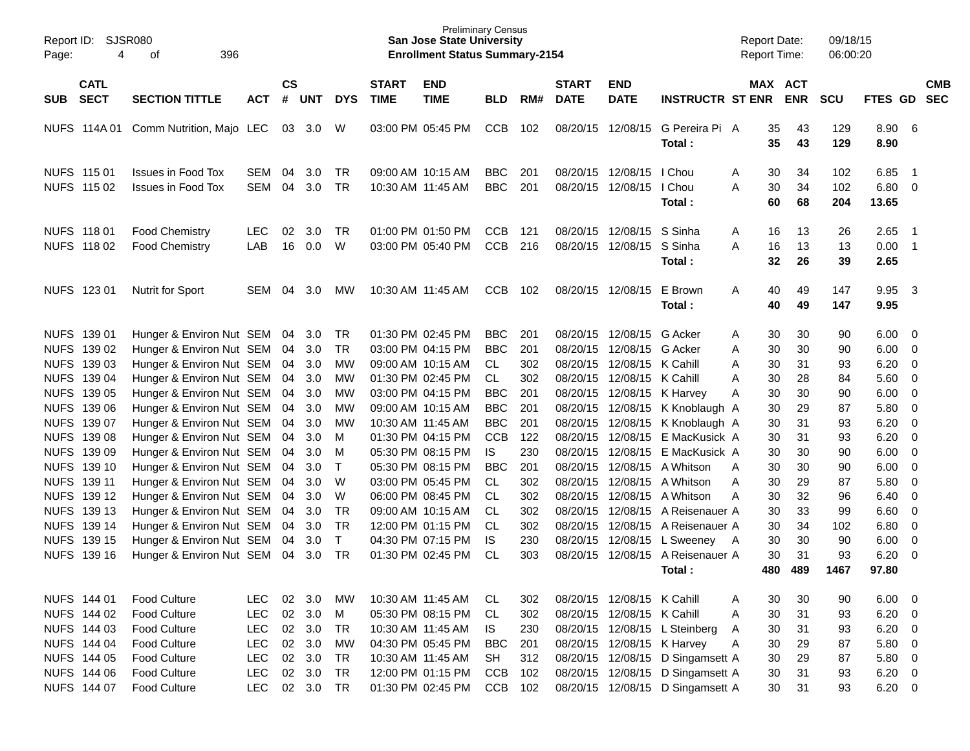| Page:       | Report ID: SJSR080<br>396<br>4<br>of<br><b>CATL</b>                              |                                                        |                   |                |            |                 |                             | Preliminary Census<br><b>San Jose State University</b><br><b>Enrollment Status Summary-2154</b> |                          |            |                             |                                        |                                  | <b>Report Date:</b><br><b>Report Time:</b> |                | 09/18/15<br>06:00:20 |                            |                                            |                          |
|-------------|----------------------------------------------------------------------------------|--------------------------------------------------------|-------------------|----------------|------------|-----------------|-----------------------------|-------------------------------------------------------------------------------------------------|--------------------------|------------|-----------------------------|----------------------------------------|----------------------------------|--------------------------------------------|----------------|----------------------|----------------------------|--------------------------------------------|--------------------------|
| SUB         | <b>SECT</b><br><b>SECTION TITTLE</b><br>NUFS 114A 01<br>Comm Nutrition, Majo LEC |                                                        | <b>ACT</b>        | <b>CS</b><br># | <b>UNT</b> | <b>DYS</b>      | <b>START</b><br><b>TIME</b> | <b>END</b><br><b>TIME</b>                                                                       | <b>BLD</b>               | RM#        | <b>START</b><br><b>DATE</b> | <b>END</b><br><b>DATE</b>              | <b>INSTRUCTR ST ENR</b>          | MAX ACT                                    | <b>ENR</b>     | <b>SCU</b>           | FTES GD                    |                                            | <b>CMB</b><br><b>SEC</b> |
|             |                                                                                  |                                                        |                   | 03             | 3.0        | W               |                             | 03:00 PM 05:45 PM                                                                               | <b>CCB</b>               | 102        | 08/20/15 12/08/15           |                                        | G Pereira Pi A<br>Total:         | 35<br>35                                   | 43<br>43       | 129<br>129           | 8.90 6<br>8.90             |                                            |                          |
|             | NUFS 115 01<br>NUFS 115 02                                                       | <b>Issues in Food Tox</b><br><b>Issues in Food Tox</b> | SEM<br>SEM        | 04<br>04       | 3.0<br>3.0 | TR<br><b>TR</b> | 10:30 AM 11:45 AM           | 09:00 AM 10:15 AM                                                                               | <b>BBC</b><br><b>BBC</b> | 201<br>201 |                             | 08/20/15 12/08/15<br>08/20/15 12/08/15 | I Chou<br>I Chou<br>Total:       | 30<br>A<br>A<br>30<br>60                   | 34<br>34<br>68 | 102<br>102<br>204    | 6.85<br>$6.80\ 0$<br>13.65 | $\overline{\phantom{1}}$                   |                          |
|             | NUFS 118 01<br>NUFS 118 02                                                       | <b>Food Chemistry</b><br><b>Food Chemistry</b>         | <b>LEC</b><br>LAB | 02<br>16       | 3.0<br>0.0 | TR.<br>W        |                             | 01:00 PM 01:50 PM<br>03:00 PM 05:40 PM                                                          | <b>CCB</b><br><b>CCB</b> | 121<br>216 |                             | 08/20/15 12/08/15<br>08/20/15 12/08/15 | S Sinha<br>S Sinha<br>Total:     | Α<br>16<br>A<br>16<br>32                   | 13<br>13<br>26 | 26<br>13<br>39       | 2.65<br>0.00<br>2.65       | $\overline{\phantom{1}}$<br>$\overline{1}$ |                          |
|             | NUFS 123 01                                                                      | <b>Nutrit for Sport</b>                                | <b>SEM</b>        | 04             | 3.0        | MW.             |                             | 10:30 AM 11:45 AM                                                                               | <b>CCB</b>               | 102        | 08/20/15 12/08/15           |                                        | E Brown<br>Total:                | 40<br>A<br>40                              | 49<br>49       | 147<br>147           | 9.95<br>9.95               | $\overline{\mathbf{3}}$                    |                          |
|             | NUFS 139 01                                                                      | Hunger & Environ Nut SEM                               |                   | 04             | 3.0        | TR              |                             | 01:30 PM 02:45 PM                                                                               | <b>BBC</b>               | 201        |                             | 08/20/15 12/08/15                      | G Acker                          | 30<br>A                                    | 30             | 90                   | 6.00                       | $\overline{\mathbf{0}}$                    |                          |
|             | NUFS 139 02                                                                      | Hunger & Environ Nut SEM                               |                   | 04             | 3.0        | <b>TR</b>       |                             | 03:00 PM 04:15 PM                                                                               | <b>BBC</b>               | 201        |                             | 08/20/15 12/08/15 G Acker              |                                  | 30<br>A                                    | 30             | 90                   | 6.00                       | $\overline{0}$                             |                          |
|             | NUFS 139 03                                                                      | Hunger & Environ Nut SEM                               |                   | 04             | 3.0        | MW              |                             | 09:00 AM 10:15 AM                                                                               | CL.                      | 302        |                             | 08/20/15 12/08/15 K Cahill             |                                  | 30<br>A                                    | 31             | 93                   | 6.20                       | $\overline{0}$                             |                          |
|             | NUFS 139 04                                                                      | Hunger & Environ Nut SEM                               |                   | 04             | 3.0        | MW              |                             | 01:30 PM 02:45 PM                                                                               | <b>CL</b>                | 302        |                             | 08/20/15 12/08/15 K Cahill             |                                  | 30<br>A                                    | 28             | 84                   | 5.60                       | $\overline{0}$                             |                          |
|             | NUFS 139 05                                                                      | Hunger & Environ Nut SEM                               |                   | 04             | 3.0        | MW              |                             | 03:00 PM 04:15 PM                                                                               | <b>BBC</b>               | 201        |                             | 08/20/15 12/08/15 K Harvey             |                                  | 30<br>Α                                    | 30             | 90                   | 6.00                       | $\overline{0}$                             |                          |
|             | NUFS 139 06                                                                      | Hunger & Environ Nut SEM                               |                   | 04             | 3.0        | MW              |                             | 09:00 AM 10:15 AM                                                                               | <b>BBC</b>               | 201        |                             |                                        | 08/20/15 12/08/15 K Knoblaugh A  | 30                                         | 29             | 87                   | 5.80                       | $\overline{0}$                             |                          |
|             | NUFS 139 07                                                                      | Hunger & Environ Nut SEM                               |                   | 04             | 3.0        | MW              | 10:30 AM 11:45 AM           |                                                                                                 | <b>BBC</b>               | 201        |                             |                                        | 08/20/15 12/08/15 K Knoblaugh A  | 30                                         | 31             | 93                   | 6.20                       | $\overline{0}$                             |                          |
|             | NUFS 139 08                                                                      | Hunger & Environ Nut SEM                               |                   | 04             | 3.0        | м               |                             | 01:30 PM 04:15 PM                                                                               | <b>CCB</b>               | 122        |                             | 08/20/15 12/08/15                      | E MacKusick A                    | 30                                         | 31             | 93                   | 6.20                       | $\overline{0}$                             |                          |
|             | NUFS 139 09                                                                      | Hunger & Environ Nut SEM                               |                   | 04             | 3.0        | м               |                             | 05:30 PM 08:15 PM                                                                               | <b>IS</b>                | 230        |                             | 08/20/15 12/08/15                      | E MacKusick A                    | 30                                         | 30             | 90                   | 6.00                       | $\overline{0}$                             |                          |
|             | NUFS 139 10                                                                      | Hunger & Environ Nut SEM                               |                   | 04             | 3.0        | $\mathsf{T}$    |                             | 05:30 PM 08:15 PM                                                                               | <b>BBC</b>               | 201        |                             | 08/20/15 12/08/15                      | A Whitson                        | 30<br>A                                    | 30             | 90                   | 6.00                       | $\overline{0}$                             |                          |
|             | NUFS 139 11                                                                      | Hunger & Environ Nut SEM                               |                   | 04             | 3.0        | W               |                             | 03:00 PM 05:45 PM                                                                               | CL                       | 302        |                             | 08/20/15 12/08/15                      | A Whitson                        | 30<br>A                                    | 29             | 87                   | 5.80                       | $\overline{0}$                             |                          |
|             | NUFS 139 12                                                                      | Hunger & Environ Nut SEM                               |                   | 04             | 3.0        | W               |                             | 06:00 PM 08:45 PM                                                                               | CL.                      | 302        |                             | 08/20/15 12/08/15                      | A Whitson                        | 30<br>A                                    | 32             | 96                   | 6.40                       | $\overline{0}$                             |                          |
|             | NUFS 139 13                                                                      | Hunger & Environ Nut SEM                               |                   | 04             | 3.0        | <b>TR</b>       |                             | 09:00 AM 10:15 AM                                                                               | CL.                      | 302        |                             | 08/20/15 12/08/15                      | A Reisenauer A                   | 30                                         | 33             | 99                   | 6.60                       | $\overline{0}$                             |                          |
|             | NUFS 139 14                                                                      | Hunger & Environ Nut SEM                               |                   | 04             | 3.0        | <b>TR</b>       |                             | 12:00 PM 01:15 PM                                                                               | CL.                      | 302        |                             | 08/20/15 12/08/15                      | A Reisenauer A                   | 30                                         | 34             | 102                  | 6.80                       | $\mathbf 0$                                |                          |
|             | NUFS 139 15                                                                      | Hunger & Environ Nut SEM                               |                   | 04             | 3.0        | $\mathsf{T}$    |                             | 04:30 PM 07:15 PM                                                                               | IS.                      | 230        |                             |                                        | 08/20/15 12/08/15 L Sweeney A    | 30                                         | 30             | 90                   | 6.00                       | $\mathbf 0$                                |                          |
| <b>NUFS</b> | 139 16                                                                           | Hunger & Environ Nut SEM                               |                   | 04             | 3.0        | TR              |                             | 01:30 PM 02:45 PM                                                                               | <b>CL</b>                | 303        |                             | 08/20/15 12/08/15                      | A Reisenauer A                   | 30                                         | 31             | 93                   | 6.20                       | $\overline{0}$                             |                          |
|             |                                                                                  |                                                        |                   |                |            |                 |                             |                                                                                                 |                          |            |                             |                                        | Total:                           | 480                                        | 489            | 1467                 | 97.80                      |                                            |                          |
|             | NUFS 144 01                                                                      | <b>Food Culture</b>                                    | <b>LEC</b>        | 02             | 3.0        | MW              |                             | 10:30 AM 11:45 AM                                                                               | CL                       | 302        |                             | 08/20/15 12/08/15 K Cahill             |                                  | 30<br>A                                    | 30             | 90                   | 6.00                       | $\overline{\phantom{0}}$                   |                          |
|             | NUFS 144 02                                                                      | <b>Food Culture</b>                                    | <b>LEC</b>        |                | 02 3.0     | M               |                             | 05:30 PM 08:15 PM                                                                               | CL                       | 302        |                             | 08/20/15 12/08/15 K Cahill             |                                  | 30<br>Α                                    | 31             | 93                   | $6.20 \t 0$                |                                            |                          |
|             | NUFS 144 03                                                                      | <b>Food Culture</b>                                    | <b>LEC</b>        |                | 02 3.0     | <b>TR</b>       |                             | 10:30 AM 11:45 AM                                                                               | IS.                      | 230        |                             |                                        | 08/20/15 12/08/15 L Steinberg    | 30<br>A                                    | 31             | 93                   | $6.20 \t 0$                |                                            |                          |
|             | NUFS 144 04                                                                      | Food Culture                                           | <b>LEC</b>        |                | 02 3.0     | <b>MW</b>       |                             | 04:30 PM 05:45 PM                                                                               | <b>BBC</b>               | 201        |                             |                                        | 08/20/15 12/08/15 K Harvey       | 30<br>Α                                    | 29             | 87                   | 5.80 0                     |                                            |                          |
|             | NUFS 144 05                                                                      | Food Culture                                           | <b>LEC</b>        |                | 02 3.0     | <b>TR</b>       |                             | 10:30 AM 11:45 AM                                                                               | <b>SH</b>                | 312        |                             | 08/20/15 12/08/15                      | D Singamsett A                   | 30                                         | 29             | 87                   | 5.80 0                     |                                            |                          |
|             | NUFS 144 06                                                                      | <b>Food Culture</b>                                    | <b>LEC</b>        | 02             | 3.0        | <b>TR</b>       |                             | 12:00 PM 01:15 PM                                                                               | <b>CCB</b>               | 102        |                             | 08/20/15 12/08/15                      | D Singamsett A                   | 30                                         | 31             | 93                   | $6.20 \t 0$                |                                            |                          |
|             | NUFS 144 07                                                                      | Food Culture                                           | <b>LEC</b>        |                | 02 3.0     | <b>TR</b>       |                             | 01:30 PM 02:45 PM                                                                               | CCB                      | 102        |                             |                                        | 08/20/15 12/08/15 D Singamsett A | 30                                         | 31             | 93                   | $6.20 \t 0$                |                                            |                          |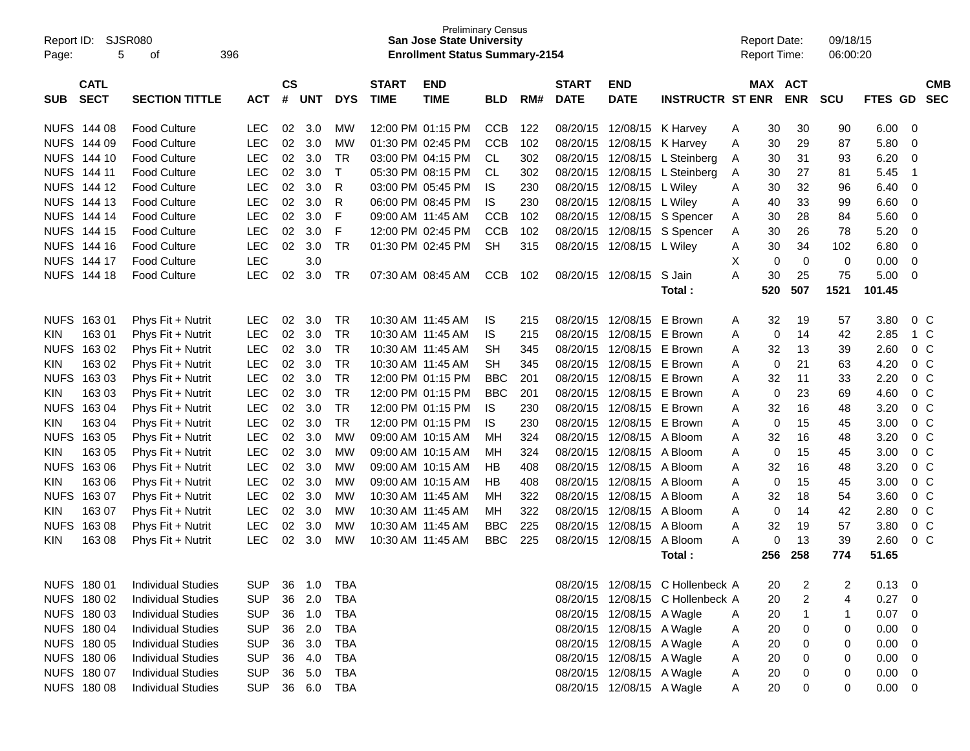| Report ID:<br>Page: | 5                          | <b>SJSR080</b><br>396<br>οf |            |                               |            |            |                             | <b>Preliminary Census</b><br><b>San Jose State University</b><br><b>Enrollment Status Summary-2154</b> |            |     |                             |                           |                                  |   | <b>Report Date:</b><br><b>Report Time:</b> |                          | 09/18/15<br>06:00:20 |                |                          |
|---------------------|----------------------------|-----------------------------|------------|-------------------------------|------------|------------|-----------------------------|--------------------------------------------------------------------------------------------------------|------------|-----|-----------------------------|---------------------------|----------------------------------|---|--------------------------------------------|--------------------------|----------------------|----------------|--------------------------|
| <b>SUB</b>          | <b>CATL</b><br><b>SECT</b> | <b>SECTION TITTLE</b>       | <b>ACT</b> | $\mathsf{CS}\phantom{0}$<br># | <b>UNT</b> | <b>DYS</b> | <b>START</b><br><b>TIME</b> | <b>END</b><br><b>TIME</b>                                                                              | <b>BLD</b> | RM# | <b>START</b><br><b>DATE</b> | <b>END</b><br><b>DATE</b> | <b>INSTRUCTR ST ENR</b>          |   | <b>MAX</b>                                 | <b>ACT</b><br><b>ENR</b> | <b>SCU</b>           | <b>FTES GD</b> | <b>CMB</b><br><b>SEC</b> |
|                     | NUFS 144 08                | <b>Food Culture</b>         | <b>LEC</b> | 02                            | 3.0        | MW         | 12:00 PM 01:15 PM           |                                                                                                        | <b>CCB</b> | 122 | 08/20/15                    | 12/08/15                  | K Harvey                         | Α | 30                                         | 30                       | 90                   | 6.00           | 0                        |
| <b>NUFS</b>         | 144 09                     | <b>Food Culture</b>         | <b>LEC</b> | 02                            | 3.0        | MW         | 01:30 PM 02:45 PM           |                                                                                                        | <b>CCB</b> | 102 | 08/20/15                    | 12/08/15                  | K Harvey                         | Α | 30                                         | 29                       | 87                   | 5.80           | 0                        |
| <b>NUFS</b>         | 144 10                     | <b>Food Culture</b>         | <b>LEC</b> | 02                            | 3.0        | <b>TR</b>  |                             | 03:00 PM 04:15 PM                                                                                      | CL.        | 302 | 08/20/15                    | 12/08/15                  | L Steinberg                      | A | 30                                         | 31                       | 93                   | 6.20           | 0                        |
| <b>NUFS</b>         | 144 11                     | <b>Food Culture</b>         | <b>LEC</b> | 02                            | 3.0        | Τ          |                             | 05:30 PM 08:15 PM                                                                                      | CL         | 302 | 08/20/15                    | 12/08/15                  | L Steinberg                      | Α | 30                                         | 27                       | 81                   | 5.45           | -1                       |
| <b>NUFS</b>         | 144 12                     | <b>Food Culture</b>         | <b>LEC</b> | 02                            | 3.0        | R          |                             | 03:00 PM 05:45 PM                                                                                      | IS         | 230 | 08/20/15                    | 12/08/15                  | L Wiley                          | Α | 30                                         | 32                       | 96                   | 6.40           | 0                        |
| <b>NUFS</b>         | 144 13                     | <b>Food Culture</b>         | <b>LEC</b> | 02                            | 3.0        | R          | 06:00 PM 08:45 PM           |                                                                                                        | IS         | 230 | 08/20/15                    | 12/08/15                  | L Wiley                          | Α | 40                                         | 33                       | 99                   | 6.60           | $\mathbf 0$              |
| <b>NUFS</b>         | 144 14                     | <b>Food Culture</b>         | <b>LEC</b> | 02                            | 3.0        | F          | 09:00 AM 11:45 AM           |                                                                                                        | <b>CCB</b> | 102 | 08/20/15                    | 12/08/15                  | S Spencer                        | Α | 30                                         | 28                       | 84                   | 5.60           | $\mathbf 0$              |
| <b>NUFS</b>         | 144 15                     | <b>Food Culture</b>         | <b>LEC</b> | 02                            | 3.0        | F          | 12:00 PM 02:45 PM           |                                                                                                        | <b>CCB</b> | 102 | 08/20/15                    | 12/08/15                  | S Spencer                        | Α | 30                                         | 26                       | 78                   | 5.20           | 0                        |
| <b>NUFS</b>         | 144 16                     | <b>Food Culture</b>         | <b>LEC</b> | 02                            | 3.0        | <b>TR</b>  | 01:30 PM 02:45 PM           |                                                                                                        | <b>SH</b>  | 315 | 08/20/15                    | 12/08/15                  | L Wiley                          | Α | 30                                         | 34                       | 102                  | 6.80           | $\mathbf 0$              |
| <b>NUFS</b>         | 144 17                     | <b>Food Culture</b>         | LEC        |                               | 3.0        |            |                             |                                                                                                        |            |     |                             |                           |                                  | X | 0                                          | $\mathbf 0$              | 0                    | 0.00           | 0                        |
| <b>NUFS</b>         | 144 18                     | <b>Food Culture</b>         | LEC        | 02                            | 3.0        | TR         | 07:30 AM 08:45 AM           |                                                                                                        | <b>CCB</b> | 102 | 08/20/15                    | 12/08/15                  | S Jain                           | A | 30                                         | 25                       | 75                   | 5.00           | 0                        |
|                     |                            |                             |            |                               |            |            |                             |                                                                                                        |            |     |                             |                           | Total :                          |   | 520                                        | 507                      | 1521                 | 101.45         |                          |
| <b>NUFS</b>         | 16301                      | Phys Fit + Nutrit           | <b>LEC</b> | 02                            | 3.0        | <b>TR</b>  | 10:30 AM 11:45 AM           |                                                                                                        | IS         | 215 | 08/20/15                    | 12/08/15                  | E Brown                          | A | 32                                         | 19                       | 57                   | 3.80           | 0 <sup>C</sup>           |
| KIN                 | 163 01                     | Phys Fit + Nutrit           | <b>LEC</b> | 02                            | 3.0        | TR         | 10:30 AM 11:45 AM           |                                                                                                        | IS         | 215 | 08/20/15                    | 12/08/15                  | E Brown                          | A | 0                                          | 14                       | 42                   | 2.85           | 1 C                      |
| <b>NUFS</b>         | 163 02                     | Phys Fit + Nutrit           | <b>LEC</b> | 02                            | 3.0        | <b>TR</b>  | 10:30 AM 11:45 AM           |                                                                                                        | SН         | 345 | 08/20/15                    | 12/08/15                  | E Brown                          | Α | 32                                         | 13                       | 39                   | 2.60           | 0 <sup>C</sup>           |
| KIN                 | 163 02                     | Phys Fit + Nutrit           | <b>LEC</b> | 02                            | 3.0        | <b>TR</b>  | 10:30 AM 11:45 AM           |                                                                                                        | <b>SH</b>  | 345 | 08/20/15                    | 12/08/15                  | E Brown                          | A | 0                                          | 21                       | 63                   | 4.20           | 0 <sup>C</sup>           |
| <b>NUFS</b>         | 163 03                     | Phys Fit + Nutrit           | <b>LEC</b> | 02                            | 3.0        | <b>TR</b>  | 12:00 PM 01:15 PM           |                                                                                                        | <b>BBC</b> | 201 | 08/20/15                    | 12/08/15 E Brown          |                                  | Α | 32                                         | 11                       | 33                   | 2.20           | 0 <sup>C</sup>           |
| KIN                 | 163 03                     | Phys Fit + Nutrit           | <b>LEC</b> | 02                            | 3.0        | <b>TR</b>  |                             | 12:00 PM 01:15 PM                                                                                      | <b>BBC</b> | 201 | 08/20/15                    | 12/08/15 E Brown          |                                  | A | 0                                          | 23                       | 69                   | 4.60           | 0 <sup>C</sup>           |
| <b>NUFS</b>         | 163 04                     | Phys Fit + Nutrit           | <b>LEC</b> | 02                            | 3.0        | <b>TR</b>  |                             | 12:00 PM 01:15 PM                                                                                      | IS         | 230 | 08/20/15                    | 12/08/15 E Brown          |                                  | Α | 32                                         | 16                       | 48                   | 3.20           | 0 <sup>C</sup>           |
| KIN                 | 163 04                     | Phys Fit + Nutrit           | <b>LEC</b> | 02                            | 3.0        | <b>TR</b>  |                             | 12:00 PM 01:15 PM                                                                                      | IS         | 230 | 08/20/15                    | 12/08/15                  | E Brown                          | Α | 0                                          | 15                       | 45                   | 3.00           | 0 <sup>C</sup>           |
| <b>NUFS</b>         | 163 05                     | Phys Fit + Nutrit           | <b>LEC</b> | 02                            | 3.0        | <b>MW</b>  |                             | 09:00 AM 10:15 AM                                                                                      | MН         | 324 | 08/20/15                    | 12/08/15 A Bloom          |                                  | Α | 32                                         | 16                       | 48                   | 3.20           | 0 <sup>C</sup>           |
| KIN                 | 163 05                     | Phys Fit + Nutrit           | <b>LEC</b> | 02                            | 3.0        | <b>MW</b>  |                             | 09:00 AM 10:15 AM                                                                                      | MН         | 324 | 08/20/15                    | 12/08/15                  | A Bloom                          | A | 0                                          | 15                       | 45                   | 3.00           | 0 <sup>C</sup>           |
| <b>NUFS</b>         | 163 06                     | Phys Fit + Nutrit           | <b>LEC</b> | 02                            | 3.0        | <b>MW</b>  |                             | 09:00 AM 10:15 AM                                                                                      | HB         | 408 | 08/20/15                    | 12/08/15                  | A Bloom                          | Α | 32                                         | 16                       | 48                   | 3.20           | 0 <sup>C</sup>           |
| KIN                 | 163 06                     | Phys Fit + Nutrit           | <b>LEC</b> | 02                            | 3.0        | <b>MW</b>  |                             | 09:00 AM 10:15 AM                                                                                      | HB         | 408 | 08/20/15                    | 12/08/15                  | A Bloom                          | Α | 0                                          | 15                       | 45                   | 3.00           | 0 <sup>C</sup>           |
| <b>NUFS</b>         | 163 07                     | Phys Fit + Nutrit           | <b>LEC</b> | 02                            | 3.0        | МW         | 10:30 AM 11:45 AM           |                                                                                                        | MН         | 322 | 08/20/15                    | 12/08/15                  | A Bloom                          | Α | 32                                         | 18                       | 54                   | 3.60           | 0 <sup>C</sup>           |
| KIN                 | 163 07                     | Phys Fit + Nutrit           | <b>LEC</b> | 02                            | 3.0        | МW         | 10:30 AM 11:45 AM           |                                                                                                        | MН         | 322 | 08/20/15                    | 12/08/15                  | A Bloom                          | A | 0                                          | 14                       | 42                   | 2.80           | 0 <sup>C</sup>           |
| <b>NUFS</b>         | 163 08                     | Phys Fit + Nutrit           | <b>LEC</b> | 02                            | 3.0        | МW         | 10:30 AM 11:45 AM           |                                                                                                        | <b>BBC</b> | 225 | 08/20/15                    | 12/08/15                  | A Bloom                          | A | 32                                         | 19                       | 57                   | 3.80           | $0\,C$                   |
| KIN                 | 16308                      | Phys Fit + Nutrit           | <b>LEC</b> | 02                            | 3.0        | МW         | 10:30 AM 11:45 AM           |                                                                                                        | <b>BBC</b> | 225 | 08/20/15                    | 12/08/15                  | A Bloom                          | A | 0                                          | 13                       | 39                   | 2.60           | 0 <sup>C</sup>           |
|                     |                            |                             |            |                               |            |            |                             |                                                                                                        |            |     |                             |                           | Total:                           |   | 256                                        | 258                      | 774                  | 51.65          |                          |
|                     | NUFS 180 01                | <b>Individual Studies</b>   | <b>SUP</b> | 36                            | 1.0        | TBA        |                             |                                                                                                        |            |     |                             |                           | 08/20/15 12/08/15 C Hollenbeck A |   | 20                                         | 2                        | 2                    | 0.13           | 0                        |
|                     | NUFS 180 02                | <b>Individual Studies</b>   | <b>SUP</b> | 36                            | 2.0        | <b>TBA</b> |                             |                                                                                                        |            |     | 08/20/15                    |                           | 12/08/15 C Hollenbeck A          |   | 20                                         | 2                        | 4                    | 0.27           | 0                        |
|                     | NUFS 180 03                | <b>Individual Studies</b>   | <b>SUP</b> | 36                            | 1.0        | TBA        |                             |                                                                                                        |            |     |                             | 08/20/15 12/08/15 A Wagle |                                  | A | 20                                         | 1                        | 1                    | 0.07           | 0                        |
|                     | NUFS 180 04                | <b>Individual Studies</b>   | <b>SUP</b> | 36                            | 2.0        | TBA        |                             |                                                                                                        |            |     | 08/20/15                    | 12/08/15 A Wagle          |                                  | A | 20                                         | 0                        | 0                    | 0.00           | 0                        |
|                     | NUFS 180 05                | <b>Individual Studies</b>   | <b>SUP</b> | 36                            | 3.0        | TBA        |                             |                                                                                                        |            |     |                             | 08/20/15 12/08/15 A Wagle |                                  | A | 20                                         | 0                        | 0                    | 0.00           | 0                        |
|                     | NUFS 180 06                | <b>Individual Studies</b>   | <b>SUP</b> | 36                            | 4.0        | TBA        |                             |                                                                                                        |            |     |                             | 08/20/15 12/08/15 A Wagle |                                  | A | 20                                         | 0                        | 0                    | 0.00           | 0                        |
|                     | NUFS 180 07                | <b>Individual Studies</b>   | <b>SUP</b> | 36                            | 5.0        | TBA        |                             |                                                                                                        |            |     |                             | 08/20/15 12/08/15 A Wagle |                                  | A | 20                                         | 0                        | 0                    | 0.00           | 0                        |
|                     | NUFS 180 08                | <b>Individual Studies</b>   | <b>SUP</b> |                               | 36 6.0     | TBA        |                             |                                                                                                        |            |     |                             | 08/20/15 12/08/15 A Wagle |                                  | A | 20                                         | 0                        | 0                    | $0.00 \t 0$    |                          |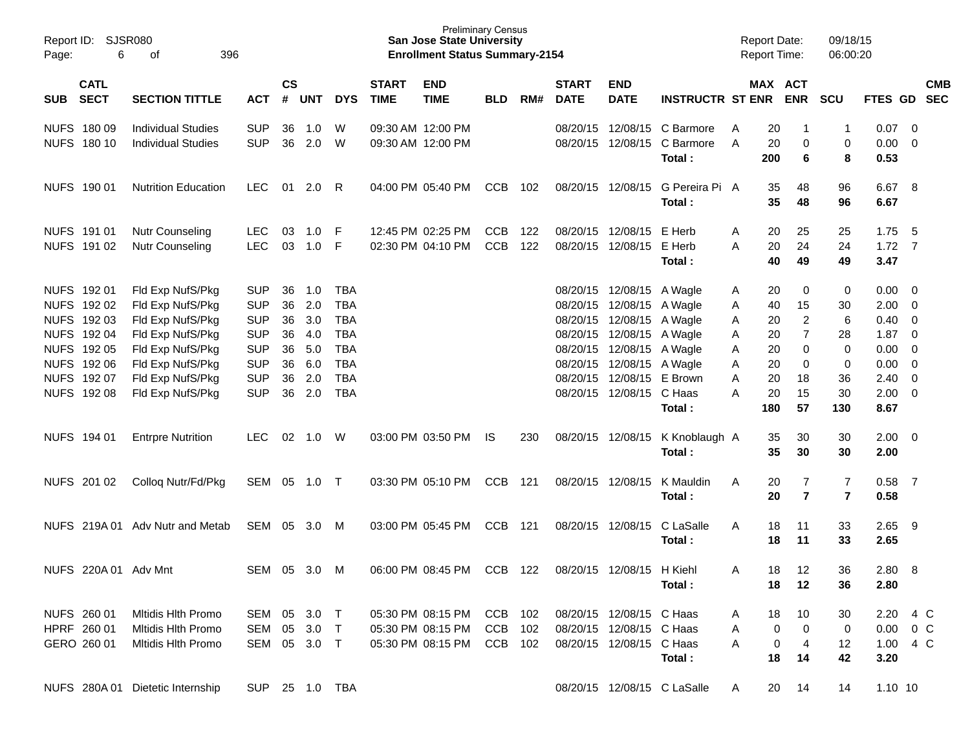| Page:      | Report ID: SJSR080<br>6                                                          | 396                                                                          |                                                      |                      |                          |                                                      | <b>Preliminary Census</b><br><b>San Jose State University</b><br><b>Enrollment Status Summary-2154</b> |                                                             |                          |                   |                             |                                                                                                                  | <b>Report Date:</b><br><b>Report Time:</b> |                  |                      | 09/18/15<br>06:00:20      |                              |                                           |                                                         |                          |
|------------|----------------------------------------------------------------------------------|------------------------------------------------------------------------------|------------------------------------------------------|----------------------|--------------------------|------------------------------------------------------|--------------------------------------------------------------------------------------------------------|-------------------------------------------------------------|--------------------------|-------------------|-----------------------------|------------------------------------------------------------------------------------------------------------------|--------------------------------------------|------------------|----------------------|---------------------------|------------------------------|-------------------------------------------|---------------------------------------------------------|--------------------------|
| <b>SUB</b> | <b>CATL</b><br><b>SECT</b><br><b>SECTION TITTLE</b><br><b>ACT</b><br>NUFS 180 09 |                                                                              |                                                      | $\mathsf{cs}$        | # UNT                    | <b>DYS</b>                                           | <b>START</b><br><b>TIME</b>                                                                            | <b>END</b><br><b>TIME</b>                                   | <b>BLD</b>               | RM#               | <b>START</b><br><b>DATE</b> | <b>END</b><br><b>DATE</b>                                                                                        | <b>INSTRUCTR ST ENR</b>                    |                  |                      | MAX ACT<br><b>ENR</b>     | <b>SCU</b>                   | <b>FTES GD</b>                            |                                                         | <b>CMB</b><br><b>SEC</b> |
|            | NUFS 180 10                                                                      | <b>Individual Studies</b><br><b>Individual Studies</b>                       | <b>SUP</b><br><b>SUP</b>                             | 36<br>36             | 1.0<br>2.0               | W<br>W                                               |                                                                                                        | 09:30 AM 12:00 PM<br>09:30 AM 12:00 PM                      |                          |                   |                             | 08/20/15 12/08/15<br>08/20/15 12/08/15                                                                           | C Barmore<br>C Barmore<br>Total:           | A<br>A           | 20<br>20<br>200      | -1<br>0<br>6              | -1<br>0<br>8                 | 0.07<br>0.00<br>0.53                      | $\overline{\phantom{0}}$<br>$\overline{\mathbf{0}}$     |                          |
|            | NUFS 190 01                                                                      | <b>Nutrition Education</b>                                                   | <b>LEC</b>                                           | 01                   | 2.0                      | R.                                                   |                                                                                                        | 04:00 PM 05:40 PM                                           | CCB                      | 102               |                             | 08/20/15 12/08/15                                                                                                | G Pereira Pi A<br>Total:                   |                  | 35<br>35             | 48<br>48                  | 96<br>96                     | 6.67 8<br>6.67                            |                                                         |                          |
|            | NUFS 191 01<br>NUFS 191 02                                                       | <b>Nutr Counseling</b><br><b>Nutr Counseling</b>                             | <b>LEC</b><br><b>LEC</b>                             | 03<br>03             | 1.0<br>1.0               | E<br>-F                                              |                                                                                                        | 12:45 PM 02:25 PM<br>02:30 PM 04:10 PM                      | <b>CCB</b><br>CCB        | 122<br>122        |                             | 08/20/15 12/08/15<br>08/20/15 12/08/15 E Herb                                                                    | E Herb<br>Total:                           | A<br>Α           | 20<br>20<br>40       | 25<br>24<br>49            | 25<br>24<br>49               | 1.75<br>$1.72 \quad 7$<br>3.47            | - 5                                                     |                          |
|            | NUFS 192 01<br>NUFS 192 02<br>NUFS 192 03                                        | Fld Exp NufS/Pkg<br>Fld Exp NufS/Pkg<br>Fld Exp NufS/Pkg                     | <b>SUP</b><br><b>SUP</b><br><b>SUP</b>               | 36<br>36<br>36       | 1.0<br>2.0<br>3.0        | TBA<br><b>TBA</b><br><b>TBA</b>                      |                                                                                                        |                                                             |                          |                   |                             | 08/20/15 12/08/15 A Wagle<br>08/20/15 12/08/15 A Wagle<br>08/20/15 12/08/15 A Wagle                              |                                            | A<br>A<br>A      | 20<br>40<br>20       | 0<br>15<br>$\overline{c}$ | 0<br>30<br>6                 | 0.00<br>2.00<br>0.40                      | $\overline{\mathbf{0}}$<br>$\overline{\mathbf{0}}$<br>0 |                          |
|            | NUFS 192 04<br>NUFS 192 05<br>NUFS 192 06<br>NUFS 192 07                         | Fld Exp NufS/Pkg<br>Fld Exp NufS/Pkg<br>Fld Exp NufS/Pkg<br>Fld Exp NufS/Pkg | <b>SUP</b><br><b>SUP</b><br><b>SUP</b><br><b>SUP</b> | 36<br>36<br>36<br>36 | 4.0<br>5.0<br>6.0<br>2.0 | <b>TBA</b><br><b>TBA</b><br><b>TBA</b><br><b>TBA</b> |                                                                                                        |                                                             |                          |                   |                             | 08/20/15 12/08/15 A Wagle<br>08/20/15 12/08/15 A Wagle<br>08/20/15 12/08/15 A Wagle<br>08/20/15 12/08/15 E Brown |                                            | A<br>A<br>Α<br>Α | 20<br>20<br>20<br>20 | 7<br>0<br>0<br>18         | 28<br>0<br>0<br>36           | 1.87<br>0.00<br>0.00<br>2.40              | 0<br>0<br>0<br>0                                        |                          |
|            | NUFS 192 08                                                                      | Fld Exp NufS/Pkg                                                             | <b>SUP</b>                                           | 36                   | 2.0                      | <b>TBA</b>                                           |                                                                                                        |                                                             |                          |                   |                             | 08/20/15 12/08/15 C Haas                                                                                         | Total:                                     | Α                | 20<br>180            | 15<br>57                  | 30<br>130                    | 2.00<br>8.67                              | $\overline{0}$                                          |                          |
|            | NUFS 194 01                                                                      | <b>Entrpre Nutrition</b>                                                     | LEC.                                                 | 02                   | 1.0                      | W                                                    |                                                                                                        | 03:00 PM 03:50 PM                                           | IS.                      | 230               |                             | 08/20/15 12/08/15                                                                                                | K Knoblaugh A<br>Total:                    |                  | 35<br>35             | 30<br>30                  | 30<br>30                     | $2.00 \t 0$<br>2.00                       |                                                         |                          |
|            | NUFS 201 02                                                                      | Collog Nutr/Fd/Pkg                                                           | SEM                                                  | 05                   | 1.0                      | $\top$                                               |                                                                                                        | 03:30 PM 05:10 PM                                           | <b>CCB</b>               | 121               |                             | 08/20/15 12/08/15                                                                                                | K Mauldin<br>Total:                        | Α                | 20<br>20             | 7<br>$\overline{7}$       | 7<br>$\overline{\mathbf{r}}$ | 0.58<br>0.58                              | $\overline{7}$                                          |                          |
|            |                                                                                  | NUFS 219A 01 Adv Nutr and Metab                                              | SEM                                                  | 05                   | 3.0                      | M                                                    |                                                                                                        | 03:00 PM 05:45 PM                                           | <b>CCB</b>               | 121               |                             | 08/20/15 12/08/15                                                                                                | C LaSalle<br>Total:                        | A                | 18<br>18             | 11<br>11                  | 33<br>33                     | 2.65<br>2.65                              | - 9                                                     |                          |
|            | NUFS 220A 01 Adv Mnt                                                             |                                                                              | SEM                                                  | 05                   | 3.0                      | M                                                    |                                                                                                        | 06:00 PM 08:45 PM                                           | <b>CCB</b>               | 122               |                             | 08/20/15 12/08/15 H Kiehl                                                                                        | Total:                                     | A                | 18<br>18             | 12<br>12                  | 36<br>36                     | 2.80<br>2.80                              | - 8                                                     |                          |
|            | NUFS 260 01<br>HPRF 260 01<br>GERO 260 01                                        | Mitidis Hith Promo<br>Mitidis Hith Promo<br><b>Mitidis Hith Promo</b>        | SEM<br>SEM<br>SEM 05 3.0 T                           | 05<br>05             | 3.0<br>3.0               | $\top$<br>$\top$                                     |                                                                                                        | 05:30 PM 08:15 PM<br>05:30 PM 08:15 PM<br>05:30 PM 08:15 PM | <b>CCB</b><br>CCB<br>CCB | 102<br>102<br>102 |                             | 08/20/15 12/08/15 C Haas<br>08/20/15 12/08/15 C Haas<br>08/20/15 12/08/15 C Haas                                 | Total:                                     | A<br>Α<br>Α      | 18<br>0<br>0<br>18   | 10<br>0<br>4<br>14        | 30<br>0<br>12<br>42          | 2.20<br>$0.00 \t 0 C$<br>1.00 4 C<br>3.20 | 4 C                                                     |                          |
|            |                                                                                  | NUFS 280A 01 Dietetic Internship                                             | SUP 25 1.0 TBA                                       |                      |                          |                                                      |                                                                                                        |                                                             |                          |                   |                             |                                                                                                                  | 08/20/15 12/08/15 C LaSalle                | A                | 20                   | 14                        | 14                           | $1.10$ 10                                 |                                                         |                          |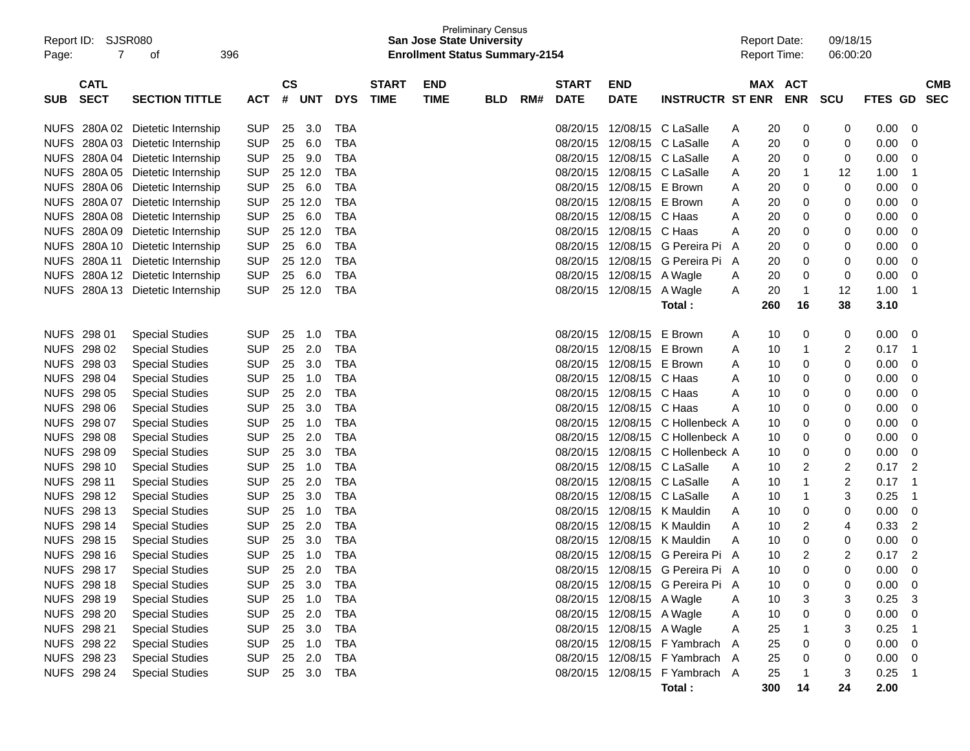| Report ID:<br>Page: | SJSR080<br>7               | 396<br>оf                                  |            |                    |            |            |                             | <b>San Jose State University</b><br><b>Enrollment Status Summary-2154</b> | Preliminary Census |     |                             |                           |                                  |        | <b>Report Date:</b><br><b>Report Time:</b> |            | 09/18/15<br>06:00:20 |                |                          |
|---------------------|----------------------------|--------------------------------------------|------------|--------------------|------------|------------|-----------------------------|---------------------------------------------------------------------------|--------------------|-----|-----------------------------|---------------------------|----------------------------------|--------|--------------------------------------------|------------|----------------------|----------------|--------------------------|
| SUB.                | <b>CATL</b><br><b>SECT</b> | <b>SECTION TITTLE</b>                      | ACT        | $\mathsf{cs}$<br># | <b>UNT</b> | <b>DYS</b> | <b>START</b><br><b>TIME</b> | <b>END</b><br><b>TIME</b>                                                 | <b>BLD</b>         | RM# | <b>START</b><br><b>DATE</b> | <b>END</b><br><b>DATE</b> | <b>INSTRUCTR ST ENR</b>          |        | MAX ACT                                    | <b>ENR</b> | <b>SCU</b>           | <b>FTES GD</b> | <b>CMB</b><br><b>SEC</b> |
| <b>NUFS</b>         | 280A 02                    | Dietetic Internship                        | <b>SUP</b> | 25                 | 3.0        | TBA        |                             |                                                                           |                    |     | 08/20/15                    |                           | 12/08/15 C LaSalle               |        | 20                                         | 0          | 0                    | 0.00           | 0                        |
| <b>NUFS</b>         | 280A03                     |                                            | <b>SUP</b> | 25                 | 6.0        | <b>TBA</b> |                             |                                                                           |                    |     | 08/20/15                    |                           | 12/08/15 C LaSalle               | A      | 20                                         |            |                      | 0.00           |                          |
| <b>NUFS</b>         | 280A04                     | Dietetic Internship                        | <b>SUP</b> | 25                 | 9.0        | <b>TBA</b> |                             |                                                                           |                    |     | 08/20/15                    |                           | 12/08/15 C LaSalle               | A      |                                            | 0          | 0                    | 0.00           | 0                        |
| <b>NUFS</b>         | 280A05                     | Dietetic Internship<br>Dietetic Internship | <b>SUP</b> |                    | 25 12.0    | <b>TBA</b> |                             |                                                                           |                    |     | 08/20/15                    |                           | 12/08/15 C LaSalle               | A      | 20                                         | 0<br>-1    | 0                    | 1.00           | 0<br>-1                  |
| <b>NUFS</b>         |                            | 280A 06 Dietetic Internship                | <b>SUP</b> | 25                 | 6.0        | <b>TBA</b> |                             |                                                                           |                    |     | 08/20/15                    | 12/08/15 E Brown          |                                  | A      | 20                                         |            | 12<br>0              | 0.00           | 0                        |
| <b>NUFS</b>         | 280A07                     |                                            | <b>SUP</b> |                    | 25 12.0    | <b>TBA</b> |                             |                                                                           |                    |     | 08/20/15                    | 12/08/15 E Brown          |                                  | A      | 20                                         | 0          |                      | 0.00           |                          |
| <b>NUFS</b>         | 280A08                     | Dietetic Internship<br>Dietetic Internship | <b>SUP</b> | 25                 | 6.0        | <b>TBA</b> |                             |                                                                           |                    |     | 08/20/15                    | 12/08/15 C Haas           |                                  | A      | 20                                         | 0          | 0                    | 0.00           | 0                        |
| <b>NUFS</b>         | 280A09                     | Dietetic Internship                        | <b>SUP</b> |                    | 25 12.0    | <b>TBA</b> |                             |                                                                           |                    |     | 08/20/15                    | 12/08/15 C Haas           |                                  | Α      | 20                                         | 0<br>0     | 0                    | 0.00           | 0<br>0                   |
| <b>NUFS</b>         | 280A 10                    | Dietetic Internship                        | <b>SUP</b> | 25                 | 6.0        | <b>TBA</b> |                             |                                                                           |                    |     | 08/20/15                    |                           | 12/08/15 G Pereira Pi            | Α<br>A | 20<br>20                                   |            | 0                    | 0.00           | 0                        |
| <b>NUFS</b>         | 280A 11                    | Dietetic Internship                        | <b>SUP</b> |                    | 25 12.0    | <b>TBA</b> |                             |                                                                           |                    |     | 08/20/15                    |                           | 12/08/15 G Pereira Pi            | A      | 20                                         | 0<br>0     | 0<br>0               | 0.00           | 0                        |
| <b>NUFS</b>         | 280A 12                    | Dietetic Internship                        | <b>SUP</b> | 25                 | 6.0        | <b>TBA</b> |                             |                                                                           |                    |     | 08/20/15                    | 12/08/15 A Wagle          |                                  |        | 20                                         | 0          | 0                    | 0.00           | 0                        |
| <b>NUFS</b>         | 280A 13                    | Dietetic Internship                        | <b>SUP</b> |                    | 25 12.0    | <b>TBA</b> |                             |                                                                           |                    |     | 08/20/15                    | 12/08/15                  | A Wagle                          | A<br>A | 20                                         | 1          | 12                   | 1.00           | 1                        |
|                     |                            |                                            |            |                    |            |            |                             |                                                                           |                    |     |                             |                           | Total:                           |        | 260                                        | 16         | 38                   | 3.10           |                          |
|                     |                            |                                            |            |                    |            |            |                             |                                                                           |                    |     |                             |                           |                                  |        |                                            |            |                      |                |                          |
| <b>NUFS</b>         | 298 01                     | <b>Special Studies</b>                     | <b>SUP</b> | 25                 | 1.0        | <b>TBA</b> |                             |                                                                           |                    |     | 08/20/15                    | 12/08/15 E Brown          |                                  | A      | 10                                         | 0          | 0                    | 0.00           | 0                        |
| <b>NUFS</b>         | 298 02                     | <b>Special Studies</b>                     | <b>SUP</b> | 25                 | 2.0        | <b>TBA</b> |                             |                                                                           |                    |     | 08/20/15                    | 12/08/15 E Brown          |                                  | A      | 10                                         | 1          | 2                    | 0.17           | $\mathbf 1$              |
| <b>NUFS</b>         | 298 03                     | <b>Special Studies</b>                     | <b>SUP</b> | 25                 | 3.0        | <b>TBA</b> |                             |                                                                           |                    |     | 08/20/15                    | 12/08/15 E Brown          |                                  | A      | 10                                         | 0          | 0                    | 0.00           | 0                        |
| <b>NUFS</b>         | 298 04                     | <b>Special Studies</b>                     | <b>SUP</b> | 25                 | 1.0        | <b>TBA</b> |                             |                                                                           |                    |     | 08/20/15                    | 12/08/15 C Haas           |                                  | A      | 10                                         | 0          | 0                    | 0.00           | 0                        |
| <b>NUFS</b>         | 298 05                     | <b>Special Studies</b>                     | <b>SUP</b> | 25                 | 2.0        | <b>TBA</b> |                             |                                                                           |                    |     | 08/20/15                    | 12/08/15 C Haas           |                                  | Α      | 10                                         | 0          | 0                    | 0.00           | 0                        |
| <b>NUFS</b>         | 298 06                     | <b>Special Studies</b>                     | <b>SUP</b> | 25                 | 3.0        | <b>TBA</b> |                             |                                                                           |                    |     | 08/20/15                    | 12/08/15 C Haas           |                                  | A      | 10                                         | 0          | 0                    | 0.00           | 0                        |
| <b>NUFS</b>         | 298 07                     | <b>Special Studies</b>                     | <b>SUP</b> | 25                 | 1.0        | <b>TBA</b> |                             |                                                                           |                    |     | 08/20/15                    |                           | 12/08/15 C Hollenbeck A          |        | 10                                         | 0          | 0                    | 0.00           | 0                        |
| <b>NUFS</b>         | 298 08                     | <b>Special Studies</b>                     | <b>SUP</b> | 25                 | 2.0        | <b>TBA</b> |                             |                                                                           |                    |     | 08/20/15                    |                           | 12/08/15 C Hollenbeck A          |        | 10                                         | 0          | 0                    | 0.00           | 0                        |
| <b>NUFS</b>         | 298 09                     | <b>Special Studies</b>                     | <b>SUP</b> | 25                 | 3.0        | <b>TBA</b> |                             |                                                                           |                    |     | 08/20/15                    |                           | 12/08/15 C Hollenbeck A          |        | 10                                         | 0          | 0                    | 0.00           | 0                        |
| <b>NUFS</b>         | 298 10                     | <b>Special Studies</b>                     | <b>SUP</b> | 25                 | 1.0        | <b>TBA</b> |                             |                                                                           |                    |     | 08/20/15                    |                           | 12/08/15 C LaSalle               | A      | 10                                         | 2          | 2                    | 0.17           | $\overline{2}$           |
| <b>NUFS</b>         | 298 11                     | <b>Special Studies</b>                     | <b>SUP</b> | 25                 | 2.0        | <b>TBA</b> |                             |                                                                           |                    |     | 08/20/15                    |                           | 12/08/15 C LaSalle               | A      | 10                                         | 1          | 2                    | 0.17           | -1                       |
| <b>NUFS</b>         | 298 12                     | <b>Special Studies</b>                     | <b>SUP</b> | 25                 | 3.0        | <b>TBA</b> |                             |                                                                           |                    |     | 08/20/15                    |                           | 12/08/15 C LaSalle               | A      | 10                                         | 1          | 3                    | 0.25           | -1                       |
| <b>NUFS</b>         | 298 13                     | <b>Special Studies</b>                     | <b>SUP</b> | 25                 | 1.0        | <b>TBA</b> |                             |                                                                           |                    |     | 08/20/15                    |                           | 12/08/15 K Mauldin               | A      | 10                                         | 0          | 0                    | 0.00           | 0                        |
| <b>NUFS</b>         | 298 14                     | <b>Special Studies</b>                     | <b>SUP</b> | 25                 | 2.0        | <b>TBA</b> |                             |                                                                           |                    |     | 08/20/15                    |                           | 12/08/15 K Mauldin               | Α      | 10                                         | 2          | 4                    | 0.33           | 2                        |
| <b>NUFS</b>         | 298 15                     | <b>Special Studies</b>                     | <b>SUP</b> | 25                 | 3.0        | <b>TBA</b> |                             |                                                                           |                    |     | 08/20/15                    |                           | 12/08/15 K Mauldin               | Α      | 10                                         | 0          | 0                    | 0.00           | 0                        |
| <b>NUFS</b>         | 298 16                     | <b>Special Studies</b>                     | <b>SUP</b> | 25                 | 1.0        | <b>TBA</b> |                             |                                                                           |                    |     | 08/20/15                    |                           | 12/08/15 G Pereira Pi            | A      | 10                                         | 2          | 2                    | 0.17           | $\overline{2}$           |
|                     | NUFS 298 17                | <b>Special Studies</b>                     | <b>SUP</b> |                    | 25 2.0     | <b>TBA</b> |                             |                                                                           |                    |     |                             |                           | 08/20/15 12/08/15 G Pereira Pi   | A      | 10                                         | 0          | ∩                    | 0.00           | 0                        |
|                     | NUFS 298 18                | <b>Special Studies</b>                     | <b>SUP</b> | 25                 | 3.0        | TBA        |                             |                                                                           |                    |     |                             |                           | 08/20/15 12/08/15 G Pereira Pi A |        | 10                                         | 0          | 0                    | 0.00           | 0                        |
|                     | NUFS 298 19                | <b>Special Studies</b>                     | <b>SUP</b> | 25                 | 1.0        | <b>TBA</b> |                             |                                                                           |                    |     |                             | 08/20/15 12/08/15 A Wagle |                                  | A      | 10                                         |            |                      | 0.25           | 3                        |
|                     | <b>NUFS 298 20</b>         | <b>Special Studies</b>                     | <b>SUP</b> | 25                 | 2.0        | <b>TBA</b> |                             |                                                                           |                    |     |                             | 08/20/15 12/08/15 A Wagle |                                  | A      | 10                                         | 0          | 0                    | 0.00           | 0                        |
|                     | NUFS 298 21                | <b>Special Studies</b>                     | <b>SUP</b> | 25                 | 3.0        | <b>TBA</b> |                             |                                                                           |                    |     |                             | 08/20/15 12/08/15 A Wagle |                                  | A      | 25                                         |            |                      | 0.25           | 1                        |
|                     | NUFS 298 22                | <b>Special Studies</b>                     | <b>SUP</b> | 25                 | 1.0        | TBA        |                             |                                                                           |                    |     |                             |                           | 08/20/15 12/08/15 F Yambrach A   |        | 25                                         | 0          | 0                    | 0.00           | 0                        |
|                     | NUFS 298 23                | <b>Special Studies</b>                     | <b>SUP</b> | 25                 | 2.0        | TBA        |                             |                                                                           |                    |     |                             |                           | 08/20/15 12/08/15 F Yambrach A   |        | 25                                         | 0          | 0                    | 0.00           | 0                        |
|                     | <b>NUFS 298 24</b>         | <b>Special Studies</b>                     | <b>SUP</b> | 25                 | 3.0        | TBA        |                             |                                                                           |                    |     |                             |                           | 08/20/15 12/08/15 F Yambrach A   |        | 25                                         |            | 3                    | 0.25           | -1                       |
|                     |                            |                                            |            |                    |            |            |                             |                                                                           |                    |     |                             |                           | Total:                           |        | 300                                        | 14         | 24                   | 2.00           |                          |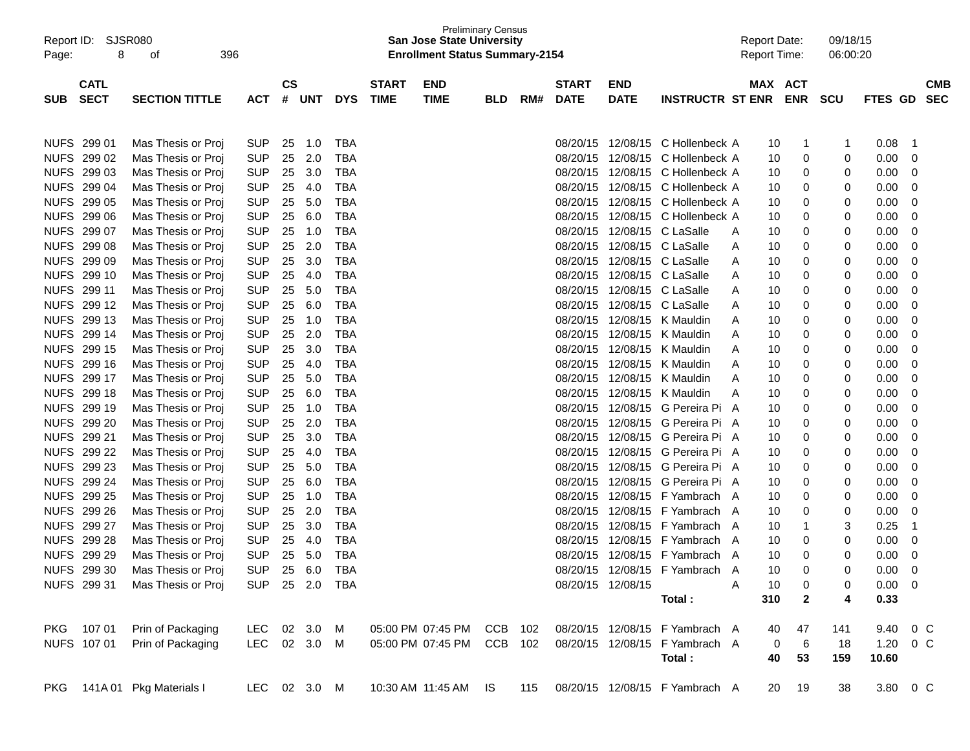| Report ID:<br>Page: | 8           | <b>SJSR080</b><br>396<br>οf    |                |                        |            |            |              | <b>Preliminary Census</b><br><b>San Jose State University</b><br><b>Enrollment Status Summary-2154</b> |            |     |              |                   |                                    | <b>Report Date:</b><br><b>Report Time:</b> |     |              | 09/18/15<br>06:00:20 |                |    |            |
|---------------------|-------------|--------------------------------|----------------|------------------------|------------|------------|--------------|--------------------------------------------------------------------------------------------------------|------------|-----|--------------|-------------------|------------------------------------|--------------------------------------------|-----|--------------|----------------------|----------------|----|------------|
|                     | <b>CATL</b> |                                |                | $\mathbf{c}\mathbf{s}$ |            |            | <b>START</b> | <b>END</b>                                                                                             |            |     | <b>START</b> | <b>END</b>        |                                    |                                            |     | MAX ACT      |                      |                |    | <b>CMB</b> |
| <b>SUB</b>          | <b>SECT</b> | <b>SECTION TITTLE</b>          | <b>ACT</b>     | #                      | <b>UNT</b> | <b>DYS</b> | <b>TIME</b>  | <b>TIME</b>                                                                                            | <b>BLD</b> | RM# | <b>DATE</b>  | <b>DATE</b>       | <b>INSTRUCTR ST ENR</b>            |                                            |     | <b>ENR</b>   | scu                  | FTES GD        |    | <b>SEC</b> |
|                     |             |                                |                |                        |            |            |              |                                                                                                        |            |     |              |                   |                                    |                                            |     |              |                      |                |    |            |
| <b>NUFS</b>         | 299 01      | Mas Thesis or Proj             | <b>SUP</b>     | 25                     | 1.0        | <b>TBA</b> |              |                                                                                                        |            |     | 08/20/15     | 12/08/15          | C Hollenbeck A                     |                                            | 10  | 1            | 1                    | 0.08           | -1 |            |
| <b>NUFS</b>         | 299 02      | Mas Thesis or Proj             | <b>SUP</b>     | 25                     | 2.0        | TBA        |              |                                                                                                        |            |     | 08/20/15     | 12/08/15          | C Hollenbeck A                     |                                            | 10  | 0            | 0                    | 0.00           | 0  |            |
| <b>NUFS</b>         | 299 03      | Mas Thesis or Proj             | <b>SUP</b>     | 25                     | 3.0        | TBA        |              |                                                                                                        |            |     | 08/20/15     | 12/08/15          | C Hollenbeck A                     |                                            | 10  | 0            | 0                    | 0.00           | 0  |            |
| <b>NUFS</b>         | 299 04      | Mas Thesis or Proj             | <b>SUP</b>     | 25                     | 4.0        | <b>TBA</b> |              |                                                                                                        |            |     | 08/20/15     | 12/08/15          | C Hollenbeck A                     |                                            | 10  | 0            | 0                    | 0.00           | 0  |            |
| <b>NUFS</b>         | 299 05      | Mas Thesis or Proj             | <b>SUP</b>     | 25                     | 5.0        | <b>TBA</b> |              |                                                                                                        |            |     | 08/20/15     | 12/08/15          | C Hollenbeck A                     |                                            | 10  | 0            | 0                    | 0.00           | 0  |            |
| <b>NUFS</b>         | 299 06      | Mas Thesis or Proj             | <b>SUP</b>     | 25                     | 6.0        | <b>TBA</b> |              |                                                                                                        |            |     | 08/20/15     | 12/08/15          | C Hollenbeck A                     |                                            | 10  | 0            | 0                    | 0.00           | 0  |            |
| <b>NUFS</b>         | 299 07      | Mas Thesis or Proj             | <b>SUP</b>     | 25                     | 1.0        | <b>TBA</b> |              |                                                                                                        |            |     | 08/20/15     | 12/08/15          | C LaSalle                          | A                                          | 10  | 0            | 0                    | 0.00           | 0  |            |
| <b>NUFS</b>         | 299 08      | Mas Thesis or Proj             | <b>SUP</b>     | 25                     | 2.0        | <b>TBA</b> |              |                                                                                                        |            |     | 08/20/15     | 12/08/15          | C LaSalle                          | A                                          | 10  | 0            | 0                    | 0.00           | 0  |            |
| <b>NUFS</b>         | 299 09      | Mas Thesis or Proj             | <b>SUP</b>     | 25                     | 3.0        | <b>TBA</b> |              |                                                                                                        |            |     | 08/20/15     | 12/08/15          | C LaSalle                          | A                                          | 10  | 0            | 0                    | 0.00           | 0  |            |
| <b>NUFS</b>         | 299 10      | Mas Thesis or Proj             | <b>SUP</b>     | 25                     | 4.0        | <b>TBA</b> |              |                                                                                                        |            |     | 08/20/15     | 12/08/15          | C LaSalle                          | A                                          | 10  | 0            | 0                    | 0.00           | 0  |            |
| <b>NUFS</b>         | 299 11      | Mas Thesis or Proj             | <b>SUP</b>     | 25                     | 5.0        | <b>TBA</b> |              |                                                                                                        |            |     | 08/20/15     | 12/08/15          | C LaSalle                          | A                                          | 10  | 0            | 0                    | 0.00           | 0  |            |
| <b>NUFS</b>         | 299 12      | Mas Thesis or Proj             | <b>SUP</b>     | 25                     | 6.0        | <b>TBA</b> |              |                                                                                                        |            |     | 08/20/15     | 12/08/15          | C LaSalle                          | A                                          | 10  | 0            | 0                    | 0.00           | 0  |            |
| <b>NUFS</b>         | 299 13      | Mas Thesis or Proj             | <b>SUP</b>     | 25                     | 1.0        | <b>TBA</b> |              |                                                                                                        |            |     | 08/20/15     | 12/08/15          | K Mauldin                          | A                                          | 10  | 0            | 0                    | 0.00           | 0  |            |
| <b>NUFS</b>         | 299 14      | Mas Thesis or Proj             | <b>SUP</b>     | 25                     | 2.0        | <b>TBA</b> |              |                                                                                                        |            |     | 08/20/15     | 12/08/15          | K Mauldin                          | A                                          | 10  | 0            | 0                    | 0.00           | 0  |            |
| <b>NUFS</b>         | 299 15      | Mas Thesis or Proi             | <b>SUP</b>     | 25                     | 3.0        | <b>TBA</b> |              |                                                                                                        |            |     | 08/20/15     | 12/08/15          | K Mauldin                          | A                                          | 10  | 0            | 0                    | 0.00           | 0  |            |
| <b>NUFS</b>         | 299 16      | Mas Thesis or Proj             | <b>SUP</b>     | 25                     | 4.0        | <b>TBA</b> |              |                                                                                                        |            |     | 08/20/15     | 12/08/15          | K Mauldin                          | A                                          | 10  | 0            | 0                    | 0.00           | 0  |            |
| <b>NUFS</b>         | 299 17      | Mas Thesis or Proj             | <b>SUP</b>     | 25                     | 5.0        | <b>TBA</b> |              |                                                                                                        |            |     | 08/20/15     | 12/08/15          | K Mauldin                          | A                                          | 10  | 0            | 0                    | 0.00           | 0  |            |
| <b>NUFS</b>         | 299 18      | Mas Thesis or Proj             | <b>SUP</b>     | 25                     | 6.0        | <b>TBA</b> |              |                                                                                                        |            |     | 08/20/15     | 12/08/15          | K Mauldin                          | A                                          | 10  | 0            | 0                    | 0.00           | 0  |            |
| <b>NUFS</b>         | 299 19      | Mas Thesis or Proj             | <b>SUP</b>     | 25                     | 1.0        | <b>TBA</b> |              |                                                                                                        |            |     | 08/20/15     | 12/08/15          | G Pereira Pi A                     |                                            | 10  | 0            | 0                    | 0.00           | 0  |            |
| <b>NUFS</b>         | 299 20      | Mas Thesis or Proj             | <b>SUP</b>     | 25                     | 2.0        | <b>TBA</b> |              |                                                                                                        |            |     | 08/20/15     |                   | 12/08/15 G Pereira Pi A            |                                            | 10  | 0            | 0                    | 0.00           | 0  |            |
| <b>NUFS</b>         | 299 21      | Mas Thesis or Proj             | <b>SUP</b>     | 25                     | 3.0        | <b>TBA</b> |              |                                                                                                        |            |     | 08/20/15     | 12/08/15          | G Pereira Pi A                     |                                            | 10  | 0            | 0                    | 0.00           | 0  |            |
| <b>NUFS</b>         | 299 22      | Mas Thesis or Proj             | <b>SUP</b>     | 25                     | 4.0        | <b>TBA</b> |              |                                                                                                        |            |     | 08/20/15     |                   | 12/08/15 G Pereira Pi A            |                                            | 10  | 0            | 0                    | 0.00           | 0  |            |
| <b>NUFS</b>         | 299 23      | Mas Thesis or Proj             | <b>SUP</b>     | 25                     | 5.0        | <b>TBA</b> |              |                                                                                                        |            |     | 08/20/15     |                   | 12/08/15 G Pereira Pi A            |                                            | 10  | 0            | 0                    | 0.00           | 0  |            |
| <b>NUFS</b>         | 299 24      | Mas Thesis or Proj             | <b>SUP</b>     | 25                     | 6.0        | <b>TBA</b> |              |                                                                                                        |            |     | 08/20/15     | 12/08/15          | G Pereira Pi A                     |                                            | 10  | 0            | 0                    | 0.00           | 0  |            |
| <b>NUFS</b>         | 299 25      | Mas Thesis or Proj             | <b>SUP</b>     | 25                     | 1.0        | <b>TBA</b> |              |                                                                                                        |            |     | 08/20/15     | 12/08/15          | F Yambrach A                       |                                            | 10  | 0            | 0                    | 0.00           | 0  |            |
| <b>NUFS</b>         | 299 26      | Mas Thesis or Proj             | <b>SUP</b>     | 25                     | 2.0        | <b>TBA</b> |              |                                                                                                        |            |     | 08/20/15     | 12/08/15          | F Yambrach A                       |                                            | 10  | 0            | 0                    | 0.00           | 0  |            |
| <b>NUFS</b>         | 299 27      | Mas Thesis or Proj             | <b>SUP</b>     | 25                     | 3.0        | TBA        |              |                                                                                                        |            |     | 08/20/15     | 12/08/15          | F Yambrach A                       |                                            | 10  | 1            | 3                    | 0.25           | -1 |            |
| <b>NUFS</b>         | 299 28      | Mas Thesis or Proj             | <b>SUP</b>     | 25                     | 4.0        | TBA        |              |                                                                                                        |            |     | 08/20/15     | 12/08/15          | F Yambrach A                       |                                            | 10  | 0            | 0                    | 0.00           | 0  |            |
| <b>NUFS</b>         | 299 29      | Mas Thesis or Proj             | <b>SUP</b>     | 25                     | 5.0        | <b>TBA</b> |              |                                                                                                        |            |     | 08/20/15     |                   | 12/08/15 F Yambrach A              |                                            | 10  | 0            | 0                    | 0.00           | 0  |            |
|                     |             | NUFS 299 30 Mas Thesis or Proj | SUP 25 6.0 TBA |                        |            |            |              |                                                                                                        |            |     |              |                   | 08/20/15 12/08/15 F Yambrach A     |                                            | 10  | 0            | 0                    | $0.00 \t 0$    |    |            |
|                     |             | NUFS 299 31 Mas Thesis or Proj | SUP 25 2.0 TBA |                        |            |            |              |                                                                                                        |            |     |              | 08/20/15 12/08/15 |                                    | A                                          | 10  | 0            | 0                    | $0.00 \quad 0$ |    |            |
|                     |             |                                |                |                        |            |            |              |                                                                                                        |            |     |              |                   | Total:                             |                                            | 310 | $\mathbf{2}$ | 4                    | 0.33           |    |            |
|                     | PKG 107 01  | Prin of Packaging              | LEC 02 3.0 M   |                        |            |            |              | 05:00 PM 07:45 PM CCB 102                                                                              |            |     |              |                   | 08/20/15 12/08/15 F Yambrach A     |                                            | 40  | 47           | 141                  | 9.40 0 C       |    |            |
|                     |             | NUFS 107 01 Prin of Packaging  | LEC 02 3.0 M   |                        |            |            |              | 05:00 PM 07:45 PM CCB 102                                                                              |            |     |              |                   | 08/20/15 12/08/15 F Yambrach A     |                                            | 0   | 6            | 18                   | $1.20 \t 0 C$  |    |            |
|                     |             |                                |                |                        |            |            |              |                                                                                                        |            |     |              |                   | Total:                             |                                            | 40  | 53           | 159                  | 10.60          |    |            |
|                     |             |                                |                |                        |            |            |              |                                                                                                        |            |     |              |                   |                                    |                                            |     |              |                      |                |    |            |
|                     |             | PKG 141A 01 Pkg Materials I    | LEC 02 3.0 M   |                        |            |            |              | 10:30 AM 11:45 AM IS                                                                                   |            |     |              |                   | 115 08/20/15 12/08/15 F Yambrach A |                                            |     | 20 19        | 38                   | 3.80 0 C       |    |            |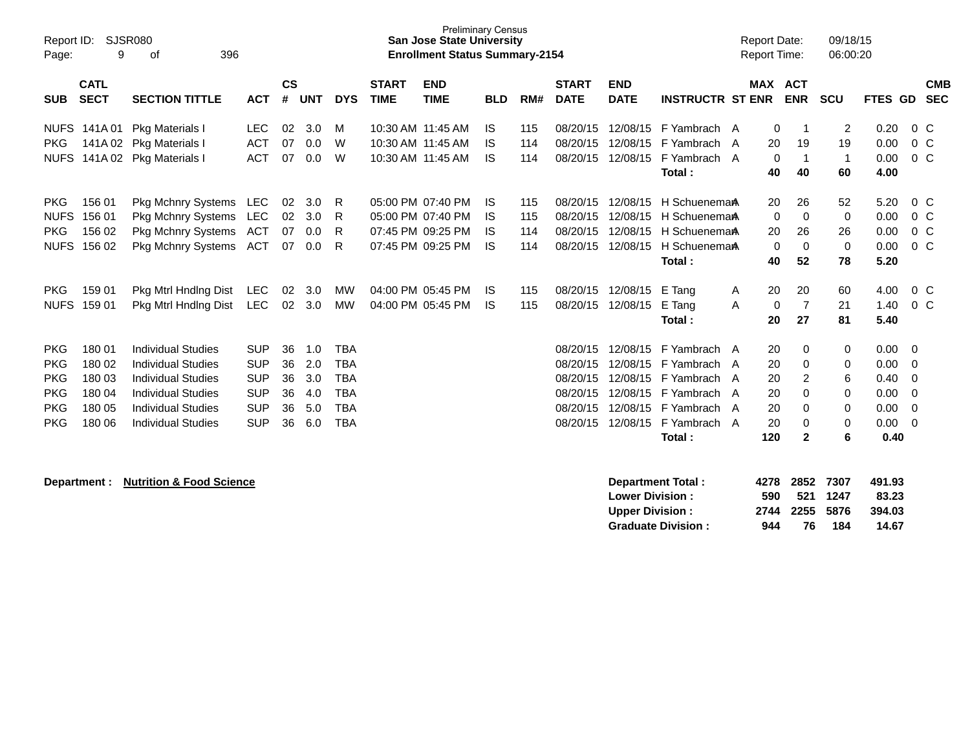| Report ID:<br>Page: | 9                          | <b>SJSR080</b><br>396<br>оf         |            |                |            |            |                             | <b>San Jose State University</b><br><b>Enrollment Status Summary-2154</b> | <b>Preliminary Census</b> |     |                             |                           |                          |   | <b>Report Date:</b><br><b>Report Time:</b> |                | 09/18/15<br>06:00:20 |                 |                |                          |
|---------------------|----------------------------|-------------------------------------|------------|----------------|------------|------------|-----------------------------|---------------------------------------------------------------------------|---------------------------|-----|-----------------------------|---------------------------|--------------------------|---|--------------------------------------------|----------------|----------------------|-----------------|----------------|--------------------------|
| <b>SUB</b>          | <b>CATL</b><br><b>SECT</b> | <b>SECTION TITTLE</b>               | <b>ACT</b> | <b>CS</b><br># | <b>UNT</b> | <b>DYS</b> | <b>START</b><br><b>TIME</b> | <b>END</b><br><b>TIME</b>                                                 | <b>BLD</b>                | RM# | <b>START</b><br><b>DATE</b> | <b>END</b><br><b>DATE</b> | <b>INSTRUCTR ST ENR</b>  |   | <b>MAX ACT</b>                             | <b>ENR</b>     | <b>SCU</b>           | FTES GD         |                | <b>CMB</b><br><b>SEC</b> |
|                     | NUFS 141A 01               | Pkg Materials I                     | <b>LEC</b> | 02             | 3.0        | м          |                             | 10:30 AM 11:45 AM                                                         | <b>IS</b>                 | 115 | 08/20/15                    | 12/08/15                  | F Yambrach A             |   | 0                                          | -1             | 2                    | 0.20            | $0\,C$         |                          |
| <b>PKG</b>          | 141A 02                    | Pkg Materials I                     | <b>ACT</b> | 07             | 0.0        | W          |                             | 10:30 AM 11:45 AM                                                         | IS                        | 114 | 08/20/15                    | 12/08/15                  | F Yambrach               | A | 20                                         | 19             | 19                   | 0.00            | 0 <sup>o</sup> |                          |
| <b>NUFS</b>         |                            | 141A 02 Pkg Materials I             | <b>ACT</b> | 07             | 0.0        | W          |                             | 10:30 AM 11:45 AM                                                         | IS                        | 114 | 08/20/15                    | 12/08/15                  | F Yambrach A             |   | 0                                          | $\overline{1}$ | $\mathbf{1}$         | 0.00            | $0\,C$         |                          |
|                     |                            |                                     |            |                |            |            |                             |                                                                           |                           |     |                             |                           | Total:                   |   | 40                                         | 40             | 60                   | 4.00            |                |                          |
| <b>PKG</b>          | 156 01                     | Pkg Mchnry Systems                  | LEC        | 02             | 3.0        | R          |                             | 05:00 PM 07:40 PM                                                         | IS                        | 115 | 08/20/15                    | 12/08/15                  | H Schuenema <sub>A</sub> |   | 20                                         | 26             | 52                   | 5.20            | $0\,C$         |                          |
| <b>NUFS</b>         | 156 01                     | <b>Pkg Mchnry Systems</b>           | <b>LEC</b> | 02             | 3.0        | R          |                             | 05:00 PM 07:40 PM                                                         | IS                        | 115 | 08/20/15                    | 12/08/15                  | H Schuenema <sub>A</sub> |   | $\Omega$                                   | $\mathbf 0$    | 0                    | 0.00            | 0 <sup>o</sup> |                          |
| <b>PKG</b>          | 156 02                     | Pkg Mchnry Systems                  | ACT        | 07             | 0.0        | R          |                             | 07:45 PM 09:25 PM                                                         | IS                        | 114 | 08/20/15                    | 12/08/15                  | H Schuenema <sub>A</sub> |   | 20                                         | 26             | 26                   | 0.00            | $0\,C$         |                          |
| <b>NUFS</b>         | 156 02                     | <b>Pkg Mchnry Systems</b>           | ACT        | 07             | 0.0        | R          |                             | 07:45 PM 09:25 PM                                                         | IS                        | 114 | 08/20/15                    | 12/08/15                  | H Schuenema <sub>A</sub> |   | 0                                          | $\mathbf 0$    | 0                    | 0.00            | 0 <sup>o</sup> |                          |
|                     |                            |                                     |            |                |            |            |                             |                                                                           |                           |     |                             |                           | Total:                   |   | 40                                         | 52             | 78                   | 5.20            |                |                          |
| <b>PKG</b>          | 159 01                     | Pkg Mtrl Hndlng Dist                | <b>LEC</b> | 02             | 3.0        | MW         |                             | 04:00 PM 05:45 PM                                                         | IS                        | 115 | 08/20/15                    | 12/08/15                  | E Tang                   | A | 20                                         | 20             | 60                   | 4.00            | $0\,C$         |                          |
| <b>NUFS</b>         | 159 01                     | Pkg Mtrl Hndlng Dist                | <b>LEC</b> | 02             | 3.0        | <b>MW</b>  |                             | 04:00 PM 05:45 PM                                                         | <b>IS</b>                 | 115 | 08/20/15                    | 12/08/15                  | E Tang                   | A | 0                                          | $\overline{7}$ | 21                   | 1.40            | 0 <sup>o</sup> |                          |
|                     |                            |                                     |            |                |            |            |                             |                                                                           |                           |     |                             |                           | Total:                   |   | 20                                         | 27             | 81                   | 5.40            |                |                          |
| <b>PKG</b>          | 180 01                     | <b>Individual Studies</b>           | <b>SUP</b> | 36             | 1.0        | <b>TBA</b> |                             |                                                                           |                           |     | 08/20/15                    | 12/08/15                  | F Yambrach A             |   | 20                                         | 0              | 0                    | 0.00            | - 0            |                          |
| <b>PKG</b>          | 180 02                     | <b>Individual Studies</b>           | <b>SUP</b> | 36             | 2.0        | <b>TBA</b> |                             |                                                                           |                           |     | 08/20/15                    | 12/08/15                  | F Yambrach A             |   | 20                                         | 0              | 0                    | 0.00            | $\Omega$       |                          |
| <b>PKG</b>          | 180 03                     | <b>Individual Studies</b>           | <b>SUP</b> | 36             | 3.0        | <b>TBA</b> |                             |                                                                           |                           |     | 08/20/15                    | 12/08/15                  | F Yambrach A             |   | 20                                         | $\overline{2}$ | 6                    | 0.40            | 0              |                          |
| <b>PKG</b>          | 180 04                     | <b>Individual Studies</b>           | <b>SUP</b> | 36             | 4.0        | <b>TBA</b> |                             |                                                                           |                           |     | 08/20/15                    | 12/08/15                  | F Yambrach A             |   | 20                                         | $\Omega$       | 0                    | 0.00            | $\Omega$       |                          |
| <b>PKG</b>          | 180 05                     | <b>Individual Studies</b>           | <b>SUP</b> | 36             | 5.0        | <b>TBA</b> |                             |                                                                           |                           |     | 08/20/15                    | 12/08/15                  | F Yambrach A             |   | 20                                         | $\Omega$       | 0                    | 0.00            | 0              |                          |
| <b>PKG</b>          | 180 06                     | <b>Individual Studies</b>           | <b>SUP</b> | 36             | 6.0        | <b>TBA</b> |                             |                                                                           |                           |     | 08/20/15                    | 12/08/15                  | F Yambrach A             |   | 20                                         | 0              | 0                    | 0.00            | $\Omega$       |                          |
|                     |                            |                                     |            |                |            |            |                             |                                                                           |                           |     |                             |                           | Total:                   |   | 120                                        | $\mathbf{2}$   | 6                    | 0.40            |                |                          |
|                     |                            |                                     |            |                |            |            |                             |                                                                           |                           |     |                             |                           |                          |   |                                            |                |                      |                 |                |                          |
|                     | Department :               | <b>Nutrition &amp; Food Science</b> |            |                |            |            |                             |                                                                           |                           |     |                             |                           | <b>Department Total:</b> |   | 4278                                       | 2852           | 7307                 | 491.93          |                |                          |
|                     |                            |                                     |            |                |            |            |                             |                                                                           |                           |     |                             | <b>Lower Division:</b>    |                          |   | 590<br>2744                                | 521<br>2255    | 1247<br>5876         | 83.23<br>394.03 |                |                          |
|                     |                            |                                     |            |                |            |            |                             |                                                                           |                           |     |                             | <b>Upper Division:</b>    |                          |   |                                            |                |                      |                 |                |                          |

**Upper Division : 2744 2255 5876 394.03**

Graduate Division : 944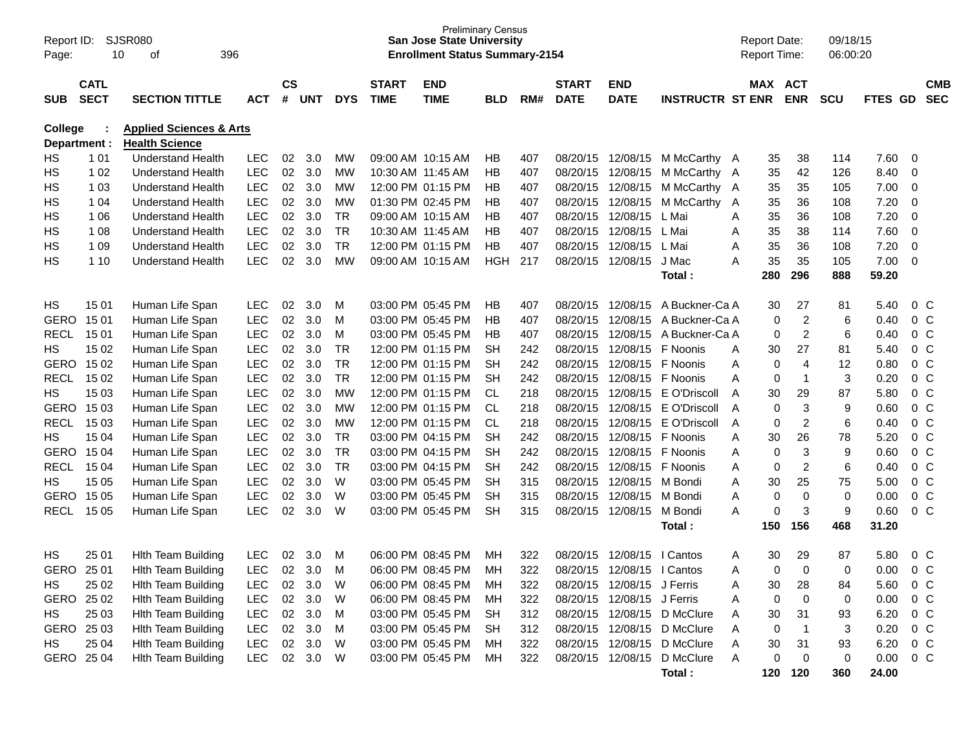| Report ID:<br>Page:            | 10                         | <b>SJSR080</b><br>396<br>οf                                 |            |                               |            |            |                             | <b>Preliminary Census</b><br><b>San Jose State University</b><br><b>Enrollment Status Summary-2154</b> |            |     |                             |                           |                         | <b>Report Date:</b><br><b>Report Time:</b> |                         | 09/18/15<br>06:00:20 |         |                |                          |
|--------------------------------|----------------------------|-------------------------------------------------------------|------------|-------------------------------|------------|------------|-----------------------------|--------------------------------------------------------------------------------------------------------|------------|-----|-----------------------------|---------------------------|-------------------------|--------------------------------------------|-------------------------|----------------------|---------|----------------|--------------------------|
| <b>SUB</b>                     | <b>CATL</b><br><b>SECT</b> | <b>SECTION TITTLE</b>                                       | <b>ACT</b> | $\mathsf{CS}\phantom{0}$<br># | <b>UNT</b> | <b>DYS</b> | <b>START</b><br><b>TIME</b> | <b>END</b><br><b>TIME</b>                                                                              | <b>BLD</b> | RM# | <b>START</b><br><b>DATE</b> | <b>END</b><br><b>DATE</b> | <b>INSTRUCTR ST ENR</b> | MAX ACT                                    | <b>ENR</b>              | <b>SCU</b>           | FTES GD |                | <b>CMB</b><br><b>SEC</b> |
|                                |                            |                                                             |            |                               |            |            |                             |                                                                                                        |            |     |                             |                           |                         |                                            |                         |                      |         |                |                          |
| <b>College</b><br>Department : |                            | <b>Applied Sciences &amp; Arts</b><br><b>Health Science</b> |            |                               |            |            |                             |                                                                                                        |            |     |                             |                           |                         |                                            |                         |                      |         |                |                          |
| HS                             | 1 0 1                      | <b>Understand Health</b>                                    | <b>LEC</b> | 02                            | 3.0        | MW         |                             | 09:00 AM 10:15 AM                                                                                      | HB         | 407 | 08/20/15                    | 12/08/15                  | M McCarthy A            | 35                                         | 38                      | 114                  | 7.60    | 0              |                          |
| НS                             | 1 0 2                      | <b>Understand Health</b>                                    | <b>LEC</b> | 02                            | 3.0        | <b>MW</b>  |                             | 10:30 AM 11:45 AM                                                                                      | HB         | 407 | 08/20/15                    | 12/08/15                  | M McCarthy A            | 35                                         | 42                      | 126                  | 8.40    | $\mathbf 0$    |                          |
| НS                             | 1 0 3                      | <b>Understand Health</b>                                    | LEC        | 02                            | 3.0        | <b>MW</b>  |                             | 12:00 PM 01:15 PM                                                                                      | HB         | 407 | 08/20/15                    | 12/08/15                  | M McCarthy A            | 35                                         | 35                      | 105                  | 7.00    | $\mathbf 0$    |                          |
| HS                             | 1 0 4                      | <b>Understand Health</b>                                    | LEC        | 02                            | 3.0        | <b>MW</b>  |                             | 01:30 PM 02:45 PM                                                                                      | HB         | 407 | 08/20/15                    | 12/08/15                  | M McCarthy              | 35<br>A                                    | 36                      | 108                  | 7.20    | $\mathbf 0$    |                          |
| НS                             | 1 0 6                      | <b>Understand Health</b>                                    | <b>LEC</b> | 02                            | 3.0        | <b>TR</b>  |                             | 09:00 AM 10:15 AM                                                                                      | ΗB         | 407 | 08/20/15                    | 12/08/15                  | L Mai                   | 35<br>A                                    | 36                      | 108                  | 7.20    | $\mathbf 0$    |                          |
| НS                             | 1 0 8                      | <b>Understand Health</b>                                    | <b>LEC</b> | 02                            | 3.0        | <b>TR</b>  |                             | 10:30 AM 11:45 AM                                                                                      | <b>HB</b>  | 407 | 08/20/15                    | 12/08/15                  | L Mai                   | 35<br>Α                                    | 38                      | 114                  | 7.60    | $\mathbf 0$    |                          |
| НS                             | 1 0 9                      | <b>Understand Health</b>                                    | LEC        | 02                            | 3.0        | <b>TR</b>  |                             | 12:00 PM 01:15 PM                                                                                      | <b>HB</b>  | 407 | 08/20/15                    | 12/08/15                  | L Mai                   | 35<br>Α                                    | 36                      | 108                  | 7.20    | $\mathbf 0$    |                          |
| НS                             | 1 10                       | <b>Understand Health</b>                                    | <b>LEC</b> | 02                            | 3.0        | <b>MW</b>  |                             | 09:00 AM 10:15 AM                                                                                      | <b>HGH</b> | 217 | 08/20/15                    | 12/08/15                  | J Mac                   | 35<br>Α                                    | 35                      | 105                  | 7.00    | $\mathbf 0$    |                          |
|                                |                            |                                                             |            |                               |            |            |                             |                                                                                                        |            |     |                             |                           | Total:                  | 280                                        | 296                     | 888                  | 59.20   |                |                          |
|                                |                            |                                                             |            |                               |            |            |                             |                                                                                                        |            |     |                             |                           |                         |                                            |                         |                      |         |                |                          |
| HS                             | 15 01                      | Human Life Span                                             | <b>LEC</b> | 02                            | 3.0        | M          |                             | 03:00 PM 05:45 PM                                                                                      | HB         | 407 | 08/20/15                    | 12/08/15                  | A Buckner-Ca A          | 30                                         | 27                      | 81                   | 5.40    | $0\,C$         |                          |
| <b>GERO</b>                    | 15 01                      | Human Life Span                                             | <b>LEC</b> | 02                            | 3.0        | M          |                             | 03:00 PM 05:45 PM                                                                                      | <b>HB</b>  | 407 | 08/20/15                    | 12/08/15                  | A Buckner-Ca A          | 0                                          | $\overline{2}$          | 6                    | 0.40    | 0 <sup>C</sup> |                          |
| <b>RECL</b>                    | 1501                       | Human Life Span                                             | LEC        | 02                            | 3.0        | M          |                             | 03:00 PM 05:45 PM                                                                                      | HB         | 407 | 08/20/15                    | 12/08/15                  | A Buckner-Ca A          | 0                                          | $\overline{2}$          | 6                    | 0.40    | 0 <sup>C</sup> |                          |
| HS.                            | 15 02                      | Human Life Span                                             | <b>LEC</b> | 02                            | 3.0        | <b>TR</b>  |                             | 12:00 PM 01:15 PM                                                                                      | <b>SH</b>  | 242 | 08/20/15                    | 12/08/15                  | F Noonis                | 30<br>A                                    | 27                      | 81                   | 5.40    | 0 <sup>C</sup> |                          |
| <b>GERO</b>                    | 15 02                      | Human Life Span                                             | <b>LEC</b> | 02                            | 3.0        | <b>TR</b>  |                             | 12:00 PM 01:15 PM                                                                                      | <b>SH</b>  | 242 | 08/20/15                    | 12/08/15                  | F Noonis                | 0<br>Α                                     | 4                       | 12                   | 0.80    | 0 <sup>C</sup> |                          |
| <b>RECL</b>                    | 15 02                      | Human Life Span                                             | <b>LEC</b> | 02                            | 3.0        | <b>TR</b>  |                             | 12:00 PM 01:15 PM                                                                                      | <b>SH</b>  | 242 | 08/20/15                    | 12/08/15                  | F Noonis                | A<br>0                                     | $\overline{1}$          | 3                    | 0.20    | $0\,C$         |                          |
| HS.                            | 15 03                      | Human Life Span                                             | LEC        | 02                            | 3.0        | <b>MW</b>  |                             | 12:00 PM 01:15 PM                                                                                      | <b>CL</b>  | 218 | 08/20/15                    | 12/08/15                  | E O'Driscoll            | 30<br>A                                    | 29                      | 87                   | 5.80    | 0 <sup>C</sup> |                          |
| <b>GERO</b>                    | 15 03                      | Human Life Span                                             | <b>LEC</b> | 02                            | 3.0        | <b>MW</b>  |                             | 12:00 PM 01:15 PM                                                                                      | <b>CL</b>  | 218 | 08/20/15                    | 12/08/15                  | E O'Driscoll            | A<br>0                                     | $\mathbf{3}$            | 9                    | 0.60    | 0 <sup>C</sup> |                          |
| <b>RECL</b>                    | 15 03                      | Human Life Span                                             | <b>LEC</b> | 02                            | 3.0        | <b>MW</b>  |                             | 12:00 PM 01:15 PM                                                                                      | <b>CL</b>  | 218 | 08/20/15                    | 12/08/15                  | E O'Driscoll            | Α<br>0                                     | $\overline{2}$          | 6                    | 0.40    | 0 <sup>C</sup> |                          |
| HS.                            | 15 04                      | Human Life Span                                             | LEC        | 02                            | 3.0        | <b>TR</b>  |                             | 03:00 PM 04:15 PM                                                                                      | <b>SH</b>  | 242 | 08/20/15                    | 12/08/15                  | F Noonis                | 30<br>Α                                    | 26                      | 78                   | 5.20    | $0\,C$         |                          |
| <b>GERO</b>                    | 15 04                      | Human Life Span                                             | <b>LEC</b> | 02                            | 3.0        | <b>TR</b>  |                             | 03:00 PM 04:15 PM                                                                                      | <b>SH</b>  | 242 | 08/20/15                    | 12/08/15                  | F Noonis                | Α<br>0                                     | $\mathbf{3}$            | 9                    | 0.60    | 0 <sup>C</sup> |                          |
| <b>RECL</b>                    | 15 04                      | Human Life Span                                             | <b>LEC</b> | 02                            | 3.0        | <b>TR</b>  |                             | 03:00 PM 04:15 PM                                                                                      | <b>SH</b>  | 242 | 08/20/15                    | 12/08/15                  | F Noonis                | Α<br>0                                     | $\overline{2}$          | 6                    | 0.40    | 0 <sup>C</sup> |                          |
| HS.                            | 15 05                      | Human Life Span                                             | <b>LEC</b> | 02                            | 3.0        | W          |                             | 03:00 PM 05:45 PM                                                                                      | <b>SH</b>  | 315 | 08/20/15                    | 12/08/15                  | M Bondi                 | Α<br>30                                    | 25                      | 75                   | 5.00    | $0\,C$         |                          |
| <b>GERO</b>                    | 15 05                      | Human Life Span                                             | LEC        | 02                            | 3.0        | W          |                             | 03:00 PM 05:45 PM                                                                                      | <b>SH</b>  | 315 | 08/20/15                    | 12/08/15                  | M Bondi                 | Α<br>0                                     | 0                       | $\mathbf 0$          | 0.00    | $0\,C$         |                          |
| RECL                           | 15 05                      | Human Life Span                                             | LEC        | 02                            | 3.0        | W          |                             | 03:00 PM 05:45 PM                                                                                      | <b>SH</b>  | 315 | 08/20/15                    | 12/08/15                  | M Bondi                 | A<br>0                                     | 3                       | 9                    | 0.60    | 0 <sup>C</sup> |                          |
|                                |                            |                                                             |            |                               |            |            |                             |                                                                                                        |            |     |                             |                           | Total:                  | 150                                        | 156                     | 468                  | 31.20   |                |                          |
| HS                             | 25 01                      | <b>Hith Team Building</b>                                   | <b>LEC</b> | 02                            | 3.0        | M          |                             | 06:00 PM 08:45 PM                                                                                      | MН         | 322 | 08/20/15                    | 12/08/15                  | I Cantos                | 30<br>A                                    | 29                      | 87                   | 5.80    | $0\,C$         |                          |
| GERO                           | 25 01                      | <b>Hith Team Building</b>                                   | <b>LEC</b> | 02                            | 3.0        | м          |                             | 06:00 PM 08:45 PM                                                                                      | MН         | 322 | 08/20/15                    | 12/08/15                  | I Cantos                | Α<br>0                                     | $\Omega$                | $\Omega$             | 0.00    | $0\,C$         |                          |
| HS                             | 25 02                      | <b>Hith Team Building</b>                                   | <b>LEC</b> | 02                            | 3.0        | W          |                             | 06:00 PM 08:45 PM                                                                                      | MН         | 322 | 08/20/15                    | 12/08/15 J Ferris         |                         | 30<br>Α                                    | 28                      | 84                   | 5.60    | $0\,C$         |                          |
| GERO 25 02                     |                            | <b>Hith Team Building</b>                                   | LEC        | 02                            | 3.0        | W          |                             | 06:00 PM 08:45 PM                                                                                      | МH         | 322 | 08/20/15                    | 12/08/15 J Ferris         |                         | Α<br>0                                     | 0                       | 0                    | 0.00    | $0\,C$         |                          |
| HS                             | 25 03                      | <b>Hith Team Building</b>                                   | <b>LEC</b> |                               | 02 3.0     | M          |                             | 03:00 PM 05:45 PM                                                                                      | <b>SH</b>  | 312 | 08/20/15                    |                           | 12/08/15 D McClure      | 30<br>A                                    | 31                      | 93                   | 6.20    | 0 C            |                          |
| GERO 25 03                     |                            | <b>Hith Team Building</b>                                   | <b>LEC</b> | 02                            | 3.0        | M          |                             | 03:00 PM 05:45 PM                                                                                      | <b>SH</b>  | 312 | 08/20/15                    |                           | 12/08/15 D McClure      | Α<br>0                                     | $\overline{\mathbf{1}}$ | 3                    | 0.20    | $0\,C$         |                          |
| HS                             | 25 04                      | <b>Hith Team Building</b>                                   | <b>LEC</b> | 02                            | 3.0        | W          |                             | 03:00 PM 05:45 PM                                                                                      | МH         | 322 | 08/20/15                    |                           | 12/08/15 D McClure      | Α<br>30                                    | 31                      | 93                   | 6.20    | $0\,C$         |                          |
| GERO 25 04                     |                            | <b>Hith Team Building</b>                                   | <b>LEC</b> |                               | 02 3.0     | W          |                             | 03:00 PM 05:45 PM                                                                                      | MН         | 322 | 08/20/15                    |                           | 12/08/15 D McClure      | Α<br>0                                     | 0                       | 0                    | 0.00    | $0\,C$         |                          |
|                                |                            |                                                             |            |                               |            |            |                             |                                                                                                        |            |     |                             |                           | Total:                  | 120                                        | 120                     | 360                  | 24.00   |                |                          |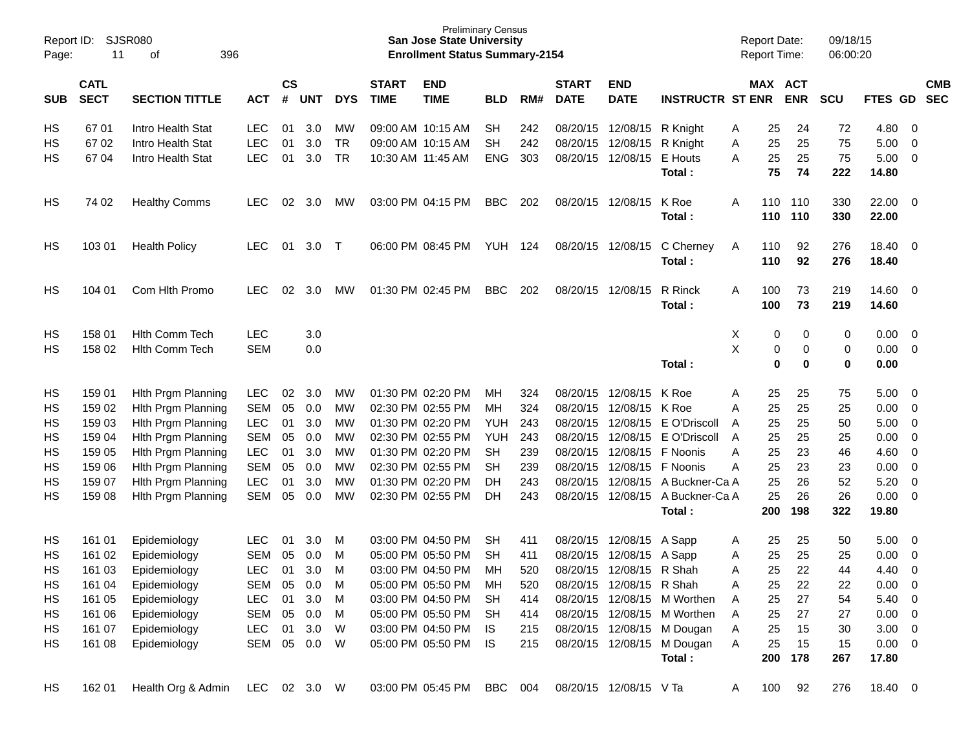| Report ID:<br>Page: | 11                                                                | SJSR080<br>396<br>of |            |    |                             |            |                             | <b>Preliminary Census</b><br><b>San Jose State University</b><br><b>Enrollment Status Summary-2154</b> |            |     |                             |                            |                             |   | <b>Report Date:</b><br><b>Report Time:</b> |                       | 09/18/15<br>06:00:20 |                |                         |                          |
|---------------------|-------------------------------------------------------------------|----------------------|------------|----|-----------------------------|------------|-----------------------------|--------------------------------------------------------------------------------------------------------|------------|-----|-----------------------------|----------------------------|-----------------------------|---|--------------------------------------------|-----------------------|----------------------|----------------|-------------------------|--------------------------|
| <b>SUB</b>          | <b>CATL</b><br><b>SECT</b><br><b>SECTION TITTLE</b><br><b>ACT</b> |                      |            |    | $\mathsf{cs}$<br><b>UNT</b> | <b>DYS</b> | <b>START</b><br><b>TIME</b> | <b>END</b><br><b>TIME</b>                                                                              | <b>BLD</b> | RM# | <b>START</b><br><b>DATE</b> | <b>END</b><br><b>DATE</b>  | <b>INSTRUCTR ST ENR</b>     |   |                                            | MAX ACT<br><b>ENR</b> | <b>SCU</b>           | <b>FTES GD</b> |                         | <b>CMB</b><br><b>SEC</b> |
| HS                  | 6701                                                              | Intro Health Stat    | <b>LEC</b> | 01 | 3.0                         | MW         |                             | 09:00 AM 10:15 AM                                                                                      | <b>SH</b>  | 242 |                             | 08/20/15 12/08/15          | R Knight                    | A | 25                                         | 24                    | 72                   | 4.80           | $\overline{\mathbf{0}}$ |                          |
| HS                  | 67 02                                                             | Intro Health Stat    | <b>LEC</b> | 01 | 3.0                         | <b>TR</b>  |                             | 09:00 AM 10:15 AM                                                                                      | SH.        | 242 |                             | 08/20/15 12/08/15          | R Knight                    | Α | 25                                         | 25                    | 75                   | 5.00           | $\overline{0}$          |                          |
| HS                  | 67 04                                                             | Intro Health Stat    | <b>LEC</b> | 01 | 3.0                         | <b>TR</b>  |                             | 10:30 AM 11:45 AM                                                                                      | <b>ENG</b> | 303 |                             | 08/20/15 12/08/15          | E Houts                     | A | 25<br>75                                   | 25<br>74              | 75<br>222            | 5.00<br>14.80  | $\overline{\mathbf{0}}$ |                          |
|                     |                                                                   |                      |            |    |                             |            |                             |                                                                                                        |            |     |                             |                            | Total:                      |   |                                            |                       |                      |                |                         |                          |
| HS                  | 74 02                                                             | <b>Healthy Comms</b> | LEC        | 02 | 3.0                         | <b>MW</b>  |                             | 03:00 PM 04:15 PM                                                                                      | <b>BBC</b> | 202 |                             | 08/20/15 12/08/15          | K Roe                       | A | 110                                        | 110                   | 330                  | 22.00 0        |                         |                          |
|                     |                                                                   |                      |            |    |                             |            |                             |                                                                                                        |            |     |                             |                            | Total:                      |   | 110                                        | 110                   | 330                  | 22.00          |                         |                          |
| HS                  | 103 01                                                            | <b>Health Policy</b> | LEC.       | 01 | 3.0                         | $\top$     |                             | 06:00 PM 08:45 PM                                                                                      | YUH 124    |     |                             | 08/20/15 12/08/15          | C Cherney                   | A | 110                                        | 92                    | 276                  | 18.40 0        |                         |                          |
|                     |                                                                   |                      |            |    |                             |            |                             |                                                                                                        |            |     |                             |                            | Total:                      |   | 110                                        | 92                    | 276                  | 18.40          |                         |                          |
| HS                  | 104 01                                                            | Com Hlth Promo       | LEC        | 02 | 3.0                         | МW         |                             | 01:30 PM 02:45 PM                                                                                      | <b>BBC</b> | 202 |                             | 08/20/15 12/08/15          | R Rinck                     | A | 100                                        | 73                    | 219                  | 14.60 0        |                         |                          |
|                     |                                                                   |                      |            |    |                             |            |                             |                                                                                                        |            |     |                             |                            | Total:                      |   | 100                                        | 73                    | 219                  | 14.60          |                         |                          |
|                     |                                                                   |                      |            |    |                             |            |                             |                                                                                                        |            |     |                             |                            |                             |   |                                            |                       |                      |                |                         |                          |
| HS                  | 158 01                                                            | Hith Comm Tech       | <b>LEC</b> |    | 3.0                         |            |                             |                                                                                                        |            |     |                             |                            |                             | х | 0                                          | 0                     | 0                    | 0.00           | $\overline{\mathbf{0}}$ |                          |
| HS                  | 158 02                                                            | Hith Comm Tech       | <b>SEM</b> |    | 0.0                         |            |                             |                                                                                                        |            |     |                             |                            |                             | X | 0<br>$\mathbf 0$                           | 0<br>$\bf{0}$         | 0                    | 0.00<br>0.00   | $\overline{\mathbf{0}}$ |                          |
|                     |                                                                   |                      |            |    |                             |            |                             |                                                                                                        |            |     |                             |                            | Total:                      |   |                                            |                       | $\pmb{0}$            |                |                         |                          |
| HS                  | 159 01                                                            | Hith Prgm Planning   | <b>LEC</b> | 02 | 3.0                         | MW         |                             | 01:30 PM 02:20 PM                                                                                      | MН         | 324 |                             | 08/20/15 12/08/15          | K Roe                       | A | 25                                         | 25                    | 75                   | 5.00           | $\overline{\mathbf{0}}$ |                          |
| HS                  | 159 02                                                            | Hith Prgm Planning   | SEM        | 05 | 0.0                         | MW         |                             | 02:30 PM 02:55 PM                                                                                      | MН         | 324 |                             | 08/20/15 12/08/15 K Roe    |                             | A | 25                                         | 25                    | 25                   | 0.00           | $\overline{\mathbf{0}}$ |                          |
| HS                  | 159 03                                                            | Hith Prgm Planning   | <b>LEC</b> | 01 | 3.0                         | MW         |                             | 01:30 PM 02:20 PM                                                                                      | YUH        | 243 |                             | 08/20/15 12/08/15          | E O'Driscoll                | A | 25                                         | 25                    | 50                   | 5.00           | $\overline{\mathbf{0}}$ |                          |
| HS                  | 159 04                                                            | Hith Prgm Planning   | <b>SEM</b> | 05 | 0.0                         | MW         |                             | 02:30 PM 02:55 PM                                                                                      | YUH        | 243 |                             | 08/20/15 12/08/15          | E O'Driscoll                | A | 25                                         | 25                    | 25                   | 0.00           | $\overline{0}$          |                          |
| HS                  | 159 05                                                            | Hith Prgm Planning   | <b>LEC</b> | 01 | 3.0                         | MW         |                             | 01:30 PM 02:20 PM                                                                                      | <b>SH</b>  | 239 |                             | 08/20/15 12/08/15 F Noonis |                             | A | 25                                         | 23                    | 46                   | 4.60           | $\overline{0}$          |                          |
| HS                  | 159 06                                                            | Hith Prgm Planning   | <b>SEM</b> | 05 | 0.0                         | MW         |                             | 02:30 PM 02:55 PM                                                                                      | <b>SH</b>  | 239 |                             | 08/20/15 12/08/15          | F Noonis                    | Α | 25                                         | 23                    | 23                   | 0.00           | $\overline{0}$          |                          |
| HS                  | 159 07                                                            | Hith Prgm Planning   | <b>LEC</b> | 01 | 3.0                         | MW         |                             | 01:30 PM 02:20 PM                                                                                      | DH.        | 243 | 08/20/15                    | 12/08/15                   | A Buckner-Ca A              |   | 25                                         | 26                    | 52                   | 5.20           | $\overline{0}$          |                          |
| HS                  | 159 08                                                            | Hith Prgm Planning   | <b>SEM</b> | 05 | 0.0                         | <b>MW</b>  |                             | 02:30 PM 02:55 PM                                                                                      | DH         | 243 |                             | 08/20/15 12/08/15          | A Buckner-Ca A              |   | 25<br>200                                  | 26                    | 26                   | 0.00           | $\overline{\mathbf{0}}$ |                          |
|                     |                                                                   |                      |            |    |                             |            |                             |                                                                                                        |            |     |                             |                            | Total:                      |   |                                            | 198                   | 322                  | 19.80          |                         |                          |
| HS                  | 161 01                                                            | Epidemiology         | <b>LEC</b> | 01 | 3.0                         | M          |                             | 03:00 PM 04:50 PM                                                                                      | <b>SH</b>  | 411 |                             | 08/20/15 12/08/15          | A Sapp                      | A | 25                                         | 25                    | 50                   | 5.00           | $\overline{\mathbf{0}}$ |                          |
| HS                  | 161 02                                                            | Epidemiology         | SEM        | 05 | 0.0                         | M          |                             | 05:00 PM 05:50 PM                                                                                      | <b>SH</b>  | 411 |                             | 08/20/15 12/08/15          | A Sapp                      | A | 25                                         | 25                    | 25                   | 0.00           | $\mathbf 0$             |                          |
| HS                  | 161 03                                                            | Epidemiology         | <b>LEC</b> | 01 | 3.0                         | M          |                             | 03:00 PM 04:50 PM                                                                                      | MH         | 520 |                             | 08/20/15 12/08/15 R Shah   |                             | A | 25                                         | 22                    | 44                   | 4.40           | $\mathbf 0$             |                          |
| <b>HS</b>           | 161 04                                                            | Epidemiology         | SEM        | 05 | 0.0                         | M          |                             | 05:00 PM 05:50 PM                                                                                      | MН         | 520 |                             | 08/20/15 12/08/15 R Shah   |                             | Α | 25                                         | 22                    | 22                   | 0.00           | $\overline{\mathbf{0}}$ |                          |
| HS                  | 161 05                                                            | Epidemiology         | <b>LEC</b> | 01 | 3.0                         | M          |                             | 03:00 PM 04:50 PM                                                                                      | SH         | 414 |                             |                            | 08/20/15 12/08/15 M Worthen | A | 25                                         | 27                    | 54                   | $5.40 \ 0$     |                         |                          |
| HS                  | 161 06                                                            | Epidemiology         | SEM        | 05 | 0.0                         | M          |                             | 05:00 PM 05:50 PM                                                                                      | SH         | 414 |                             |                            | 08/20/15 12/08/15 M Worthen | A | 25                                         | 27                    | 27                   | $0.00 \t 0$    |                         |                          |
| HS                  | 161 07                                                            | Epidemiology         | <b>LEC</b> | 01 | 3.0                         | W          |                             | 03:00 PM 04:50 PM                                                                                      | IS.        | 215 |                             |                            | 08/20/15 12/08/15 M Dougan  | A | 25                                         | 15                    | 30                   | $3.00 \t 0$    |                         |                          |
| HS                  | 161 08                                                            | Epidemiology         | SEM        |    | 05  0.0  W                  |            |                             | 05:00 PM 05:50 PM                                                                                      | IS.        | 215 |                             |                            | 08/20/15 12/08/15 M Dougan  | Α | 25                                         | 15                    | 15                   | $0.00 \t 0$    |                         |                          |
|                     |                                                                   |                      |            |    |                             |            |                             |                                                                                                        |            |     |                             |                            | Total:                      |   | 200                                        | 178                   | 267                  | 17.80          |                         |                          |
| HS                  | 162 01                                                            | Health Org & Admin   | LEC        |    | 02 3.0 W                    |            |                             | 03:00 PM 05:45 PM                                                                                      | BBC 004    |     |                             | 08/20/15 12/08/15 V Ta     |                             | A | 100                                        | 92                    | 276                  | 18.40 0        |                         |                          |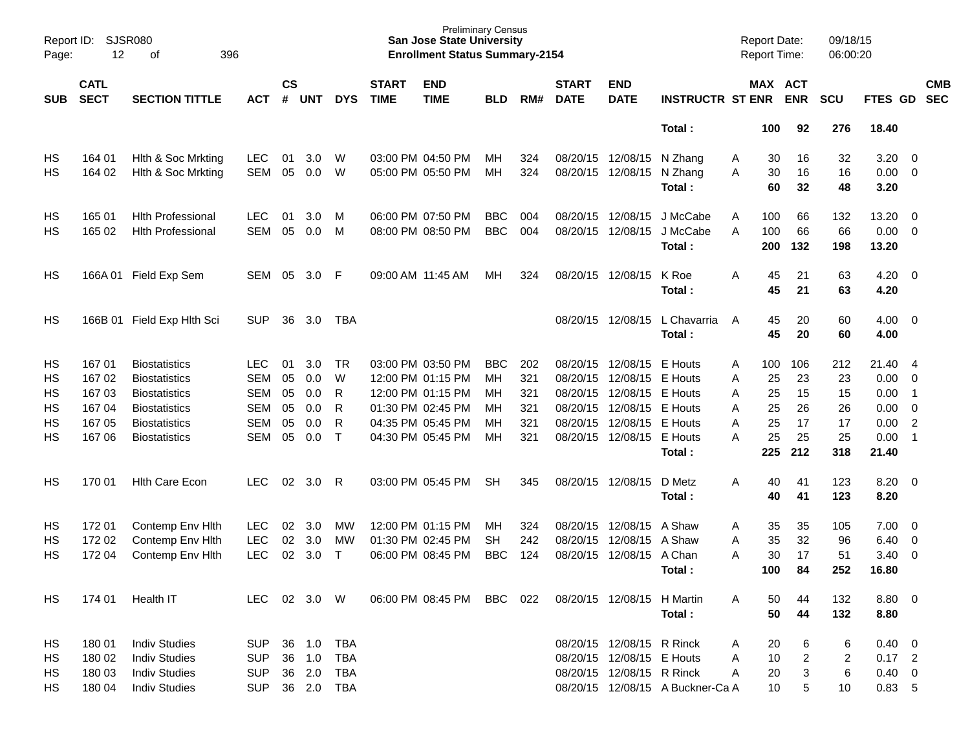| Report ID:<br>Page: | SJSR080<br>12              | 396<br>οf                  |            |                    |            |              |                             | <b>Preliminary Census</b><br><b>San Jose State University</b><br><b>Enrollment Status Summary-2154</b> |            |     |                             |                            |                                  | <b>Report Date:</b><br><b>Report Time:</b> |          |                       | 09/18/15<br>06:00:20 |                |                |                          |
|---------------------|----------------------------|----------------------------|------------|--------------------|------------|--------------|-----------------------------|--------------------------------------------------------------------------------------------------------|------------|-----|-----------------------------|----------------------------|----------------------------------|--------------------------------------------|----------|-----------------------|----------------------|----------------|----------------|--------------------------|
| <b>SUB</b>          | <b>CATL</b><br><b>SECT</b> | <b>SECTION TITTLE</b>      | <b>ACT</b> | $\mathsf{cs}$<br># | <b>UNT</b> | <b>DYS</b>   | <b>START</b><br><b>TIME</b> | <b>END</b><br><b>TIME</b>                                                                              | <b>BLD</b> | RM# | <b>START</b><br><b>DATE</b> | <b>END</b><br><b>DATE</b>  | <b>INSTRUCTR ST ENR</b>          |                                            |          | MAX ACT<br><b>ENR</b> | <b>SCU</b>           | FTES GD        |                | <b>CMB</b><br><b>SEC</b> |
|                     |                            |                            |            |                    |            |              |                             |                                                                                                        |            |     |                             |                            | Total:                           |                                            | 100      | 92                    | 276                  | 18.40          |                |                          |
| HS                  | 164 01                     | Hith & Soc Mrkting         | <b>LEC</b> | 01                 | 3.0        | W            |                             | 03:00 PM 04:50 PM                                                                                      | MН         | 324 |                             | 08/20/15 12/08/15          | N Zhang                          | Α                                          | 30       | 16                    | 32                   | 3.20           | $\overline{0}$ |                          |
| HS                  | 164 02                     | Hlth & Soc Mrkting         | <b>SEM</b> | 05                 | 0.0        | W            |                             | 05:00 PM 05:50 PM                                                                                      | MН         | 324 |                             | 08/20/15 12/08/15          | N Zhang<br>Total:                | A                                          | 30<br>60 | 16<br>32              | 16<br>48             | 0.00<br>3.20   | $\overline{0}$ |                          |
| HS                  | 165 01                     | <b>Hith Professional</b>   | <b>LEC</b> | 01                 | 3.0        | M            |                             | 06:00 PM 07:50 PM                                                                                      | <b>BBC</b> | 004 | 08/20/15                    | 12/08/15                   | J McCabe                         | Α                                          | 100      | 66                    | 132                  | 13.20          | $\overline{0}$ |                          |
| HS                  | 165 02                     | <b>Hlth Professional</b>   | <b>SEM</b> | 05                 | 0.0        | M            |                             | 08:00 PM 08:50 PM                                                                                      | <b>BBC</b> | 004 | 08/20/15                    | 12/08/15                   | J McCabe                         | A                                          | 100      | 66                    | 66                   | 0.00           | $\overline{0}$ |                          |
|                     |                            |                            |            |                    |            |              |                             |                                                                                                        |            |     |                             |                            | Total:                           |                                            | 200      | 132                   | 198                  | 13.20          |                |                          |
| HS                  |                            | 166A 01 Field Exp Sem      | SEM        | 05                 | 3.0        | -F           |                             | 09:00 AM 11:45 AM                                                                                      | MН         | 324 |                             | 08/20/15 12/08/15          | K Roe                            | Α                                          | 45       | 21                    | 63                   | 4.20           | $\overline{0}$ |                          |
|                     |                            |                            |            |                    |            |              |                             |                                                                                                        |            |     |                             |                            | Total:                           |                                            | 45       | 21                    | 63                   | 4.20           |                |                          |
| HS                  |                            | 166B 01 Field Exp Hlth Sci | <b>SUP</b> | 36                 | 3.0        | TBA          |                             |                                                                                                        |            |     | 08/20/15                    | 12/08/15                   | L Chavarria                      | A                                          | 45       | 20                    | 60                   | 4.00           | $\overline{0}$ |                          |
|                     |                            |                            |            |                    |            |              |                             |                                                                                                        |            |     |                             |                            | Total:                           |                                            | 45       | 20                    | 60                   | 4.00           |                |                          |
| HS                  | 167 01                     | <b>Biostatistics</b>       | <b>LEC</b> | 01                 | 3.0        | <b>TR</b>    |                             | 03:00 PM 03:50 PM                                                                                      | <b>BBC</b> | 202 | 08/20/15                    | 12/08/15                   | E Houts                          | A                                          | 100      | 106                   | 212                  | 21.40          | - 4            |                          |
| HS                  | 167 02                     | <b>Biostatistics</b>       | <b>SEM</b> | 05                 | 0.0        | W            |                             | 12:00 PM 01:15 PM                                                                                      | MН         | 321 | 08/20/15                    | 12/08/15                   | E Houts                          | Α                                          | 25       | 23                    | 23                   | 0.00           | $\overline{0}$ |                          |
| HS                  | 167 03                     | <b>Biostatistics</b>       | <b>SEM</b> | 05                 | 0.0        | R            |                             | 12:00 PM 01:15 PM                                                                                      | мн         | 321 | 08/20/15                    | 12/08/15                   | E Houts                          | Α                                          | 25       | 15                    | 15                   | 0.00           | $\overline{1}$ |                          |
| HS                  | 167 04                     | <b>Biostatistics</b>       | <b>SEM</b> | 05                 | 0.0        | R            |                             | 01:30 PM 02:45 PM                                                                                      | мн         | 321 | 08/20/15                    | 12/08/15                   | E Houts                          | Α                                          | 25       | 26                    | 26                   | 0.00           | $\overline{0}$ |                          |
| HS                  | 167 05                     | <b>Biostatistics</b>       | <b>SEM</b> | 05                 | 0.0        | R            |                             | 04:35 PM 05:45 PM                                                                                      | мн         | 321 | 08/20/15                    | 12/08/15                   | E Houts                          | Α                                          | 25       | 17                    | 17                   | 0.00           | $\overline{2}$ |                          |
| HS                  | 167 06                     | <b>Biostatistics</b>       | <b>SEM</b> | 05                 | 0.0        | $\mathsf{T}$ |                             | 04:30 PM 05:45 PM                                                                                      | MН         | 321 |                             | 08/20/15 12/08/15          | E Houts                          | A                                          | 25       | 25                    | 25                   | 0.00           | $\overline{1}$ |                          |
|                     |                            |                            |            |                    |            |              |                             |                                                                                                        |            |     |                             |                            | Total:                           |                                            | 225      | 212                   | 318                  | 21.40          |                |                          |
| HS                  | 170 01                     | <b>Hith Care Econ</b>      | <b>LEC</b> | 02                 | 3.0        | R            |                             | 03:00 PM 05:45 PM                                                                                      | SН         | 345 |                             | 08/20/15 12/08/15          | D Metz                           | Α                                          | 40       | 41                    | 123                  | 8.20           | $\overline{0}$ |                          |
|                     |                            |                            |            |                    |            |              |                             |                                                                                                        |            |     |                             |                            | Total:                           |                                            | 40       | 41                    | 123                  | 8.20           |                |                          |
| HS                  | 17201                      | Contemp Env Hith           | <b>LEC</b> | 02                 | 3.0        | MW           |                             | 12:00 PM 01:15 PM                                                                                      | MН         | 324 | 08/20/15                    | 12/08/15                   | A Shaw                           | Α                                          | 35       | 35                    | 105                  | 7.00           | 0              |                          |
| HS                  | 172 02                     | Contemp Env Hith           | <b>LEC</b> | 02                 | 3.0        | МW           |                             | 01:30 PM 02:45 PM                                                                                      | <b>SH</b>  | 242 | 08/20/15                    | 12/08/15                   | A Shaw                           | Α                                          | 35       | 32                    | 96                   | 6.40           | $\mathbf 0$    |                          |
| HS                  | 172 04                     | Contemp Env Hith           | <b>LEC</b> | 02                 | 3.0        | Τ            |                             | 06:00 PM 08:45 PM                                                                                      | <b>BBC</b> | 124 | 08/20/15                    | 12/08/15                   | A Chan                           | A                                          | 30       | 17                    | 51                   | 3.40           | $\mathbf 0$    |                          |
|                     |                            |                            |            |                    |            |              |                             |                                                                                                        |            |     |                             |                            | Total:                           |                                            | 100      | 84                    | 252                  | 16.80          |                |                          |
| HS                  | 174 01                     | Health IT                  | <b>LEC</b> |                    | 02 3.0 W   |              |                             | 06:00 PM 08:45 PM BBC                                                                                  |            | 022 |                             | 08/20/15 12/08/15 H Martin |                                  | A                                          | 50       | 44                    | 132                  | 8.80 0         |                |                          |
|                     |                            |                            |            |                    |            |              |                             |                                                                                                        |            |     |                             |                            | Total:                           |                                            | 50       | 44                    | 132                  | 8.80           |                |                          |
| HS                  | 180 01                     | <b>Indiv Studies</b>       | <b>SUP</b> | 36                 | 1.0        | <b>TBA</b>   |                             |                                                                                                        |            |     |                             | 08/20/15 12/08/15 R Rinck  |                                  | Α                                          | 20       | 6                     | 6                    | $0.40 \ 0$     |                |                          |
| HS                  | 180 02                     | <b>Indiv Studies</b>       | <b>SUP</b> | 36                 | 1.0        | <b>TBA</b>   |                             |                                                                                                        |            |     |                             | 08/20/15 12/08/15 E Houts  |                                  | A                                          | 10       | $\overline{2}$        | 2                    | $0.17$ 2       |                |                          |
| HS                  | 180 03                     | <b>Indiv Studies</b>       | <b>SUP</b> | 36                 | 2.0        | <b>TBA</b>   |                             |                                                                                                        |            |     |                             | 08/20/15 12/08/15 R Rinck  |                                  | A                                          | 20       | 3                     | 6                    | $0.40 \quad 0$ |                |                          |
| HS                  | 180 04                     | <b>Indiv Studies</b>       | <b>SUP</b> |                    | 36 2.0 TBA |              |                             |                                                                                                        |            |     |                             |                            | 08/20/15 12/08/15 A Buckner-Ca A |                                            | 10       | 5                     | 10                   | 0.83, 5        |                |                          |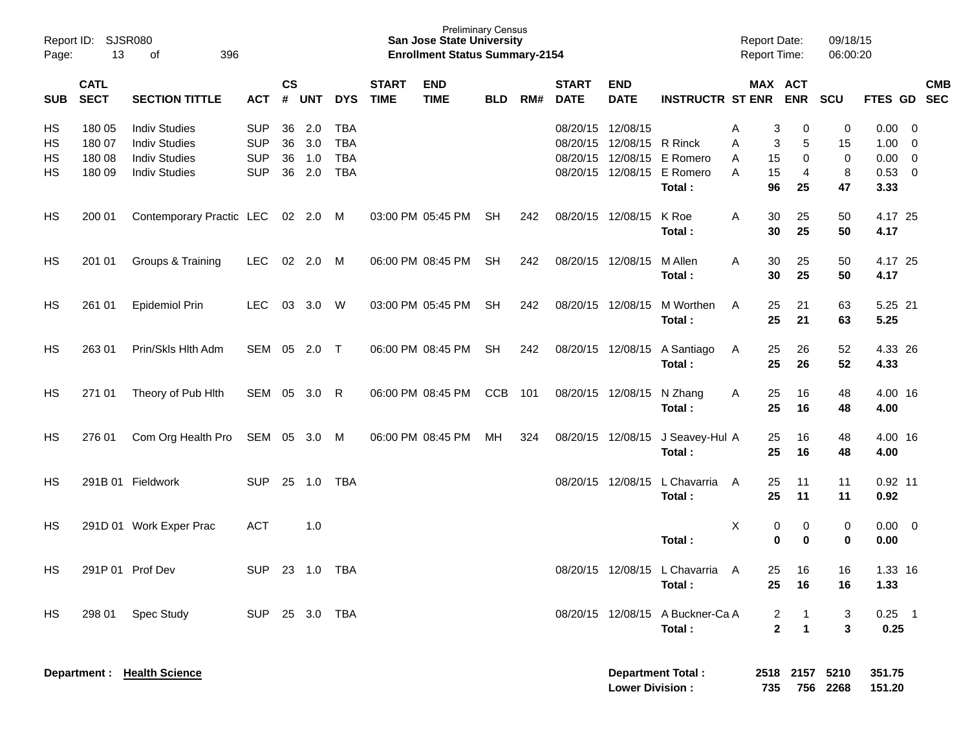| Report ID:<br>Page:  | 13                                   | <b>SJSR080</b><br>396<br>of                                                                  |                                                      |                      |                          |                                                      |                             | <b>Preliminary Census</b><br><b>San Jose State University</b><br><b>Enrollment Status Summary-2154</b> |            |     |                               |                           |                                                           | <b>Report Date:</b><br>Report Time: |                                                                          | 09/18/15<br>06:00:20    |                                      |                                                                             |                          |
|----------------------|--------------------------------------|----------------------------------------------------------------------------------------------|------------------------------------------------------|----------------------|--------------------------|------------------------------------------------------|-----------------------------|--------------------------------------------------------------------------------------------------------|------------|-----|-------------------------------|---------------------------|-----------------------------------------------------------|-------------------------------------|--------------------------------------------------------------------------|-------------------------|--------------------------------------|-----------------------------------------------------------------------------|--------------------------|
| <b>SUB</b>           | <b>CATL</b><br><b>SECT</b>           | <b>SECTION TITTLE</b>                                                                        | <b>ACT</b>                                           | <b>CS</b><br>#       | <b>UNT</b>               | <b>DYS</b>                                           | <b>START</b><br><b>TIME</b> | <b>END</b><br><b>TIME</b>                                                                              | <b>BLD</b> | RM# | <b>START</b><br><b>DATE</b>   | <b>END</b><br><b>DATE</b> | <b>INSTRUCTR ST ENR</b>                                   |                                     | MAX ACT<br><b>ENR</b>                                                    | <b>SCU</b>              | <b>FTES GD</b>                       |                                                                             | <b>CMB</b><br><b>SEC</b> |
| HS<br>HS<br>HS<br>HS | 180 05<br>180 07<br>180 08<br>180 09 | <b>Indiv Studies</b><br><b>Indiv Studies</b><br><b>Indiv Studies</b><br><b>Indiv Studies</b> | <b>SUP</b><br><b>SUP</b><br><b>SUP</b><br><b>SUP</b> | 36<br>36<br>36<br>36 | 2.0<br>3.0<br>1.0<br>2.0 | <b>TBA</b><br><b>TBA</b><br><b>TBA</b><br><b>TBA</b> |                             |                                                                                                        |            |     | 08/20/15 12/08/15<br>08/20/15 | 08/20/15 12/08/15 R Rinck | 12/08/15 E Romero<br>08/20/15 12/08/15 E Romero<br>Total: | A<br>Α<br>15<br>A<br>15<br>A<br>96  | 3<br>0<br>3<br>5<br>0<br>4<br>25                                         | 0<br>15<br>0<br>8<br>47 | 0.00<br>1.00<br>0.00<br>0.53<br>3.33 | $\overline{\mathbf{0}}$<br>- 0<br>$\overline{0}$<br>$\overline{\mathbf{0}}$ |                          |
| HS                   | 200 01                               | Contemporary Practic LEC 02 2.0 M                                                            |                                                      |                      |                          |                                                      |                             | 03:00 PM 05:45 PM                                                                                      | SH         | 242 |                               | 08/20/15 12/08/15         | K Roe<br>Total:                                           | Α<br>30<br>30                       | 25<br>25                                                                 | 50<br>50                | 4.17 25<br>4.17                      |                                                                             |                          |
| HS                   | 201 01                               | Groups & Training                                                                            | <b>LEC</b>                                           |                      | 02 2.0                   | M                                                    |                             | 06:00 PM 08:45 PM                                                                                      | <b>SH</b>  | 242 |                               | 08/20/15 12/08/15         | M Allen<br>Total:                                         | 30<br>A<br>30                       | 25<br>25                                                                 | 50<br>50                | 4.17 25<br>4.17                      |                                                                             |                          |
| HS                   | 261 01                               | <b>Epidemiol Prin</b>                                                                        | LEC                                                  |                      | 03 3.0 W                 |                                                      |                             | 03:00 PM 05:45 PM                                                                                      | <b>SH</b>  | 242 |                               | 08/20/15 12/08/15         | M Worthen<br>Total:                                       | 25<br>A<br>25                       | 21<br>21                                                                 | 63<br>63                | 5.25 21<br>5.25                      |                                                                             |                          |
| HS                   | 263 01                               | Prin/Skls Hlth Adm                                                                           | SEM 05 2.0 T                                         |                      |                          |                                                      |                             | 06:00 PM 08:45 PM                                                                                      | SH         | 242 |                               | 08/20/15 12/08/15         | A Santiago<br>Total:                                      | 25<br>A<br>25                       | 26<br>26                                                                 | 52<br>52                | 4.33 26<br>4.33                      |                                                                             |                          |
| HS                   | 271 01                               | Theory of Pub Hith                                                                           | SEM 05 3.0                                           |                      |                          | R                                                    |                             | 06:00 PM 08:45 PM                                                                                      | <b>CCB</b> | 101 |                               | 08/20/15 12/08/15         | N Zhang<br>Total:                                         | 25<br>A<br>25                       | 16<br>16                                                                 | 48<br>48                | 4.00 16<br>4.00                      |                                                                             |                          |
| HS                   | 276 01                               | Com Org Health Pro                                                                           | SEM 05 3.0 M                                         |                      |                          |                                                      |                             | 06:00 PM 08:45 PM                                                                                      | МH         | 324 |                               | 08/20/15 12/08/15         | J Seavey-Hul A<br>Total:                                  | 25<br>25                            | 16<br>16                                                                 | 48<br>48                | 4.00 16<br>4.00                      |                                                                             |                          |
| HS                   |                                      | 291B 01 Fieldwork                                                                            | <b>SUP</b>                                           |                      | 25 1.0                   | <b>TBA</b>                                           |                             |                                                                                                        |            |     |                               | 08/20/15 12/08/15         | L Chavarria<br>Total:                                     | 25<br>A<br>25                       | 11<br>11                                                                 | 11<br>11                | $0.92$ 11<br>0.92                    |                                                                             |                          |
| HS                   |                                      | 291D 01 Work Exper Prac                                                                      | <b>ACT</b>                                           |                      | 1.0                      |                                                      |                             |                                                                                                        |            |     |                               |                           | Total:                                                    | Χ<br>0                              | 0<br>0<br>$\mathbf 0$                                                    | 0<br>0                  | $0.00 \t 0$<br>0.00                  |                                                                             |                          |
| HS                   |                                      | 291P 01 Prof Dev                                                                             | <b>SUP</b>                                           | 23                   | 1.0                      | TBA                                                  |                             |                                                                                                        |            |     |                               |                           | 08/20/15 12/08/15 L Chavarria<br>Total:                   | 25<br>A<br>25                       | 16<br>16                                                                 | 16<br>16                | 1.33 16<br>1.33                      |                                                                             |                          |
| HS                   | 298 01                               | Spec Study                                                                                   | SUP                                                  |                      | 25 3.0                   | TBA                                                  |                             |                                                                                                        |            |     |                               |                           | 08/20/15 12/08/15 A Buckner-Ca A<br>Total:                |                                     | $\overline{2}$<br>$\overline{1}$<br>$\mathbf{2}$<br>$\blacktriangleleft$ | 3<br>$\mathbf{3}$       | $0.25$ 1<br>0.25                     |                                                                             |                          |
|                      | Department :                         | <b>Health Science</b>                                                                        |                                                      |                      |                          |                                                      |                             |                                                                                                        |            |     |                               | <b>Lower Division:</b>    | <b>Department Total:</b>                                  | 735                                 | 2518 2157                                                                | 5210<br>756 2268        | 351.75<br>151.20                     |                                                                             |                          |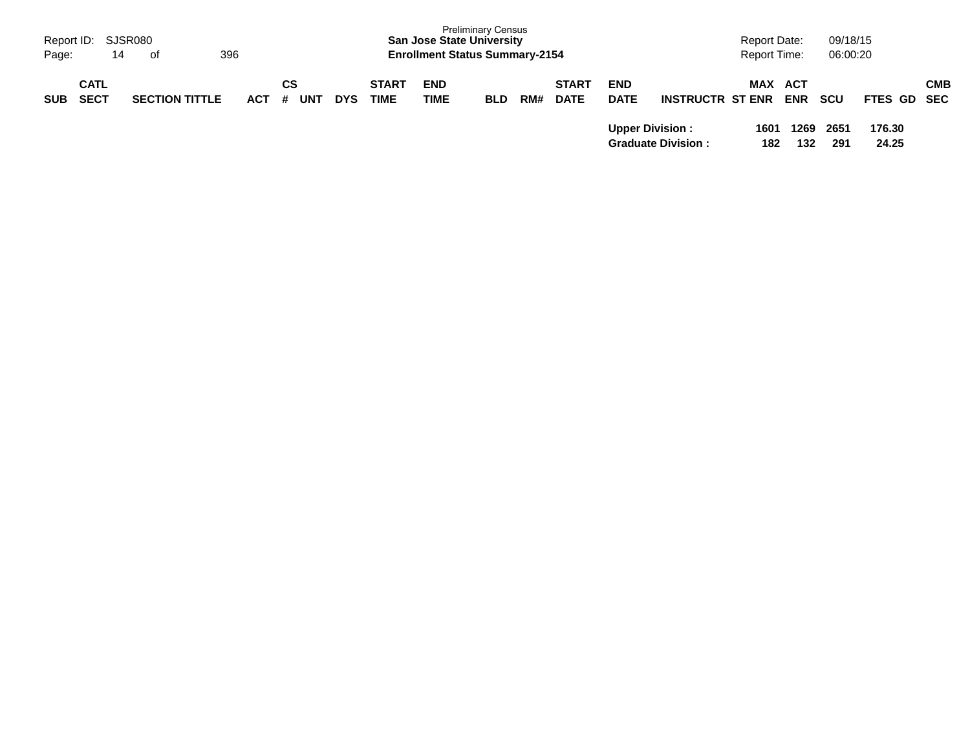| Report ID:<br>Page: | 14                         | SJSR080<br>396<br>of  |         |                  |            |                             | <b>San Jose State University</b><br><b>Enrollment Status Summary-2154</b> | <b>Preliminary Census</b> |     |                             |                           |                           | Report Date:<br><b>Report Time:</b> |                              | 09/18/15<br>06:00:20 |                 |            |
|---------------------|----------------------------|-----------------------|---------|------------------|------------|-----------------------------|---------------------------------------------------------------------------|---------------------------|-----|-----------------------------|---------------------------|---------------------------|-------------------------------------|------------------------------|----------------------|-----------------|------------|
| <b>SUB</b>          | <b>CATL</b><br><b>SECT</b> | <b>SECTION TITTLE</b> | $ACT$ # | СS<br><b>UNT</b> | <b>DYS</b> | <b>START</b><br><b>TIME</b> | <b>END</b><br>TIME                                                        | <b>BLD</b>                | RM# | <b>START</b><br><b>DATE</b> | <b>END</b><br><b>DATE</b> | <b>INSTRUCTR ST ENR</b>   |                                     | <b>MAX ACT</b><br><b>ENR</b> | <b>SCU</b>           | FTES GD SEC     | <b>CMB</b> |
|                     |                            |                       |         |                  |            |                             |                                                                           |                           |     |                             | <b>Upper Division:</b>    | <b>Graduate Division:</b> | 1601<br>182                         | 1269<br>132                  | 2651<br>291          | 176.30<br>24.25 |            |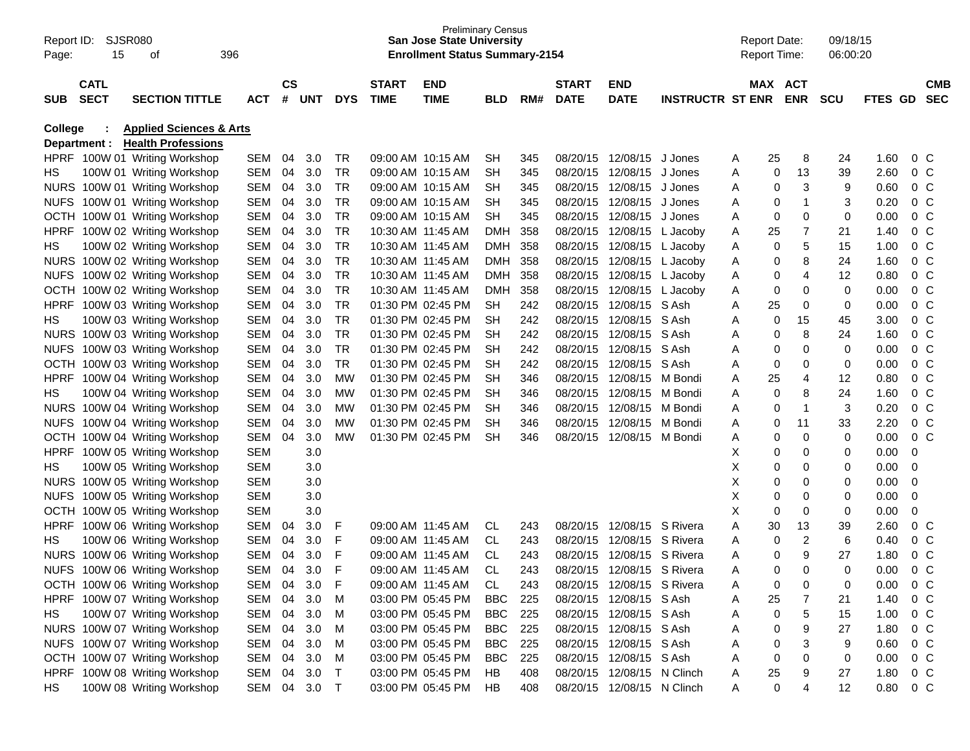| Report ID:<br>Page: | SJSR080<br>15 | οf                                 | 396        |           |            |            |              | <b>San Jose State University</b><br><b>Enrollment Status Summary-2154</b> | <b>Preliminary Census</b> |     |              |                   |                         | <b>Report Date:</b><br><b>Report Time:</b> |             |                | 09/18/15<br>06:00:20 |         |                |            |
|---------------------|---------------|------------------------------------|------------|-----------|------------|------------|--------------|---------------------------------------------------------------------------|---------------------------|-----|--------------|-------------------|-------------------------|--------------------------------------------|-------------|----------------|----------------------|---------|----------------|------------|
|                     | <b>CATL</b>   |                                    |            | <b>CS</b> |            |            | <b>START</b> | <b>END</b>                                                                |                           |     | <b>START</b> | <b>END</b>        |                         |                                            |             | MAX ACT        |                      |         |                | <b>CMB</b> |
| <b>SUB</b>          | <b>SECT</b>   | <b>SECTION TITTLE</b>              | <b>ACT</b> | #         | <b>UNT</b> | <b>DYS</b> | <b>TIME</b>  | <b>TIME</b>                                                               | BLD                       | RM# | <b>DATE</b>  | <b>DATE</b>       | <b>INSTRUCTR ST ENR</b> |                                            |             | <b>ENR</b>     | <b>SCU</b>           | FTES GD |                | <b>SEC</b> |
| <b>College</b>      |               | <b>Applied Sciences &amp; Arts</b> |            |           |            |            |              |                                                                           |                           |     |              |                   |                         |                                            |             |                |                      |         |                |            |
|                     | Department :  | <b>Health Professions</b>          |            |           |            |            |              |                                                                           |                           |     |              |                   |                         |                                            |             |                |                      |         |                |            |
|                     |               | HPRF 100W 01 Writing Workshop      | SEM        | 04        | 3.0        | TR         |              | 09:00 AM 10:15 AM                                                         | SН                        | 345 | 08/20/15     | 12/08/15 J Jones  |                         | Α                                          | 25          | 8              | 24                   | 1.60    | 0 <sup>o</sup> |            |
| НS                  |               | 100W 01 Writing Workshop           | SEM        | 04        | 3.0        | TR         |              | 09:00 AM 10:15 AM                                                         | <b>SH</b>                 | 345 | 08/20/15     | 12/08/15          | J Jones                 | Α                                          | 0           | 13             | 39                   | 2.60    | 0 <sup>o</sup> |            |
|                     |               | NURS 100W 01 Writing Workshop      | SEM        | 04        | 3.0        | <b>TR</b>  |              | 09:00 AM 10:15 AM                                                         | <b>SH</b>                 | 345 | 08/20/15     | 12/08/15          | J Jones                 | Α                                          | 0           | 3              | 9                    | 0.60    | 0 <sup>o</sup> |            |
| <b>NUFS</b>         |               | 100W 01 Writing Workshop           | SEM        | 04        | 3.0        | <b>TR</b>  |              | 09:00 AM 10:15 AM                                                         | <b>SH</b>                 | 345 | 08/20/15     | 12/08/15          | J Jones                 | Α                                          | 0           | 1              | 3                    | 0.20    | 0 <sup>o</sup> |            |
| <b>OCTH</b>         |               | 100W 01 Writing Workshop           | SEM        | 04        | 3.0        | <b>TR</b>  |              | 09:00 AM 10:15 AM                                                         | <b>SH</b>                 | 345 | 08/20/15     | 12/08/15          | J Jones                 | Α                                          | $\mathbf 0$ | 0              | 0                    | 0.00    | 0 <sup>o</sup> |            |
| <b>HPRF</b>         |               | 100W 02 Writing Workshop           | SEM        | 04        | 3.0        | <b>TR</b>  |              | 10:30 AM 11:45 AM                                                         | <b>DMH</b>                | 358 | 08/20/15     | 12/08/15          | L Jacoby                | Α                                          | 25          | $\overline{7}$ | 21                   | 1.40    | 0 <sup>o</sup> |            |
| HS                  |               | 100W 02 Writing Workshop           | SEM        | 04        | 3.0        | <b>TR</b>  |              | 10:30 AM 11:45 AM                                                         | <b>DMH</b>                | 358 | 08/20/15     | 12/08/15          | L Jacoby                | Α                                          | 0           | 5              | 15                   | 1.00    | 0 <sup>o</sup> |            |
|                     |               | NURS 100W 02 Writing Workshop      | SEM        | 04        | 3.0        | <b>TR</b>  |              | 10:30 AM 11:45 AM                                                         | <b>DMH</b>                | 358 | 08/20/15     | 12/08/15          | L Jacoby                | Α                                          | 0           | 8              | 24                   | 1.60    | 0 <sup>o</sup> |            |
| <b>NUFS</b>         |               | 100W 02 Writing Workshop           | SEM        | 04        | 3.0        | <b>TR</b>  |              | 10:30 AM 11:45 AM                                                         | <b>DMH</b>                | 358 | 08/20/15     | 12/08/15          | L Jacoby                | Α                                          | 0           | 4              | 12                   | 0.80    | 0 <sup>o</sup> |            |
| <b>OCTH</b>         |               | 100W 02 Writing Workshop           | SEM        | 04        | 3.0        | <b>TR</b>  |              | 10:30 AM 11:45 AM                                                         | <b>DMH</b>                | 358 | 08/20/15     | 12/08/15          | L Jacoby                | Α                                          | 0           | $\mathbf 0$    | 0                    | 0.00    | 0 <sup>o</sup> |            |
| <b>HPRF</b>         |               | 100W 03 Writing Workshop           | SEM        | 04        | 3.0        | <b>TR</b>  |              | 01:30 PM 02:45 PM                                                         | <b>SH</b>                 | 242 | 08/20/15     | 12/08/15          | S Ash                   | Α                                          | 25          | 0              | 0                    | 0.00    | 0 <sup>o</sup> |            |
| HS                  |               | 100W 03 Writing Workshop           | SEM        | 04        | 3.0        | <b>TR</b>  |              | 01:30 PM 02:45 PM                                                         | <b>SH</b>                 | 242 | 08/20/15     | 12/08/15          | S Ash                   | Α                                          | 0           | 15             | 45                   | 3.00    | 0 <sup>o</sup> |            |
| <b>NURS</b>         |               | 100W 03 Writing Workshop           | SEM        | 04        | 3.0        | <b>TR</b>  |              | 01:30 PM 02:45 PM                                                         | <b>SH</b>                 | 242 | 08/20/15     | 12/08/15          | S Ash                   | Α                                          | 0           | 8              | 24                   | 1.60    | 0 <sup>o</sup> |            |
| <b>NUFS</b>         |               | 100W 03 Writing Workshop           | SEM        | 04        | 3.0        | <b>TR</b>  |              | 01:30 PM 02:45 PM                                                         | <b>SH</b>                 | 242 | 08/20/15     | 12/08/15          | S Ash                   | Α                                          | 0           | 0              | 0                    | 0.00    | 0 <sup>o</sup> |            |
| <b>OCTH</b>         |               | 100W 03 Writing Workshop           | SEM        | 04        | 3.0        | <b>TR</b>  |              | 01:30 PM 02:45 PM                                                         | <b>SH</b>                 | 242 | 08/20/15     | 12/08/15          | S Ash                   | Α                                          | 0           | 0              | 0                    | 0.00    | 0 <sup>o</sup> |            |
| <b>HPRF</b>         |               | 100W 04 Writing Workshop           | SEM        | 04        | 3.0        | <b>MW</b>  |              | 01:30 PM 02:45 PM                                                         | <b>SH</b>                 | 346 | 08/20/15     | 12/08/15          | M Bondi                 | Α                                          | 25          | 4              | 12                   | 0.80    | 0 <sup>o</sup> |            |
| HS                  |               | 100W 04 Writing Workshop           | SEM        | 04        | 3.0        | <b>MW</b>  |              | 01:30 PM 02:45 PM                                                         | <b>SH</b>                 | 346 | 08/20/15     | 12/08/15          | M Bondi                 | Α                                          | 0           | 8              | 24                   | 1.60    | 0 <sup>o</sup> |            |
|                     |               | NURS 100W 04 Writing Workshop      | SEM        | 04        | 3.0        | <b>MW</b>  |              | 01:30 PM 02:45 PM                                                         | <b>SH</b>                 | 346 | 08/20/15     | 12/08/15          | M Bondi                 | Α                                          | 0           | 1              | 3                    | 0.20    | 0 <sup>o</sup> |            |
| <b>NUFS</b>         |               | 100W 04 Writing Workshop           | SEM        | 04        | 3.0        | <b>MW</b>  |              | 01:30 PM 02:45 PM                                                         | <b>SH</b>                 | 346 | 08/20/15     | 12/08/15          | M Bondi                 | Α                                          | 0           | 11             | 33                   | 2.20    | 0 <sup>o</sup> |            |
| <b>OCTH</b>         |               | 100W 04 Writing Workshop           | <b>SEM</b> | 04        | 3.0        | <b>MW</b>  |              | 01:30 PM 02:45 PM                                                         | <b>SH</b>                 | 346 | 08/20/15     | 12/08/15          | M Bondi                 | Α                                          | 0           | $\mathbf 0$    | 0                    | 0.00    | $0\quad C$     |            |
| <b>HPRF</b>         |               | 100W 05 Writing Workshop           | <b>SEM</b> |           | 3.0        |            |              |                                                                           |                           |     |              |                   |                         | X                                          | 0           | $\mathbf 0$    | 0                    | 0.00    | 0              |            |
| HS                  |               | 100W 05 Writing Workshop           | SEM        |           | 3.0        |            |              |                                                                           |                           |     |              |                   |                         | X                                          | 0           | $\mathbf 0$    | 0                    | 0.00    | 0              |            |
| <b>NURS</b>         |               | 100W 05 Writing Workshop           | SEM        |           | 3.0        |            |              |                                                                           |                           |     |              |                   |                         | Χ                                          | 0           | $\mathbf 0$    | 0                    | 0.00    | 0              |            |
| <b>NUFS</b>         |               | 100W 05 Writing Workshop           | <b>SEM</b> |           | 3.0        |            |              |                                                                           |                           |     |              |                   |                         | X                                          | 0           | $\mathbf 0$    | 0                    | 0.00    | 0              |            |
| <b>OCTH</b>         |               | 100W 05 Writing Workshop           | <b>SEM</b> |           | 3.0        |            |              |                                                                           |                           |     |              |                   |                         | X                                          | 0           | 0              | 0                    | 0.00    | 0              |            |
| <b>HPRF</b>         |               | 100W 06 Writing Workshop           | SEM        | 04        | 3.0        | F          |              | 09:00 AM 11:45 AM                                                         | <b>CL</b>                 | 243 | 08/20/15     | 12/08/15          | S Rivera                | Α                                          | 30          | 13             | 39                   | 2.60    | 0 <sup>o</sup> |            |
| HS                  |               | 100W 06 Writing Workshop           | SEM        | 04        | 3.0        | F          |              | 09:00 AM 11:45 AM                                                         | <b>CL</b>                 | 243 | 08/20/15     | 12/08/15 S Rivera |                         | Α                                          | 0           | 2              | 6                    | 0.40    | 0 <sup>o</sup> |            |
| <b>NURS</b>         |               | 100W 06 Writing Workshop           | <b>SEM</b> | 04        | 3.0        | F          |              | 09:00 AM 11:45 AM                                                         | <b>CL</b>                 | 243 | 08/20/15     | 12/08/15          | S Rivera                | Α                                          | 0           | 9              | 27                   | 1.80    | 0 <sup>o</sup> |            |
| <b>NUFS</b>         |               | 100W 06 Writing Workshop           | SEM        | 04        | 3.0        | F          |              | 09:00 AM 11:45 AM                                                         | <b>CL</b>                 | 243 | 08/20/15     | 12/08/15          | S Rivera                |                                            | 0           | $\Omega$       | 0                    | 0.00    | 0 <sup>o</sup> |            |
|                     |               | OCTH 100W 06 Writing Workshop      | SEM 04     |           | 3.0        | F          |              | 09:00 AM 11:45 AM                                                         | <b>CL</b>                 | 243 | 08/20/15     | 12/08/15 S Rivera |                         | Α                                          | 0           | 0              | 0                    | 0.00    | 0 <sup>C</sup> |            |
|                     |               | HPRF 100W 07 Writing Workshop      | SEM 04     |           | 3.0        | M          |              | 03:00 PM 05:45 PM                                                         | <b>BBC</b>                | 225 | 08/20/15     | 12/08/15 S Ash    |                         | Α                                          | 25          | 7              | 21                   | 1.40    | 0 <sup>C</sup> |            |
| HS                  |               | 100W 07 Writing Workshop           | SEM 04 3.0 |           |            | M          |              | 03:00 PM 05:45 PM                                                         | <b>BBC</b>                | 225 | 08/20/15     | 12/08/15 S Ash    |                         | Α                                          | 0           | 5              | 15                   | 1.00    | $0\,C$         |            |
|                     |               | NURS 100W 07 Writing Workshop      | SEM 04     |           | 3.0        | M          |              | 03:00 PM 05:45 PM                                                         | <b>BBC</b>                | 225 | 08/20/15     | 12/08/15 S Ash    |                         | Α                                          | 0           | 9              | 27                   | 1.80    | $0\,C$         |            |
|                     |               | NUFS 100W 07 Writing Workshop      | SEM 04     |           | 3.0        | M          |              | 03:00 PM 05:45 PM                                                         | <b>BBC</b>                | 225 | 08/20/15     | 12/08/15 S Ash    |                         | Α                                          | 0           | 3              | 9                    | 0.60    | $0\,C$         |            |
|                     |               | OCTH 100W 07 Writing Workshop      | SEM 04     |           | 3.0        | M          |              | 03:00 PM 05:45 PM                                                         | <b>BBC</b>                | 225 | 08/20/15     | 12/08/15 S Ash    |                         | Α                                          | 0           | 0              | 0                    | 0.00    | $0\,C$         |            |
|                     |               | HPRF 100W 08 Writing Workshop      | SEM 04     |           | 3.0        | Τ          |              | 03:00 PM 05:45 PM                                                         | HB                        | 408 | 08/20/15     | 12/08/15 N Clinch |                         | A                                          | 25          | 9              | 27                   | 1.80    | $0\,C$         |            |
| HS                  |               | 100W 08 Writing Workshop           | SEM 04 3.0 |           |            | $\top$     |              | 03:00 PM 05:45 PM                                                         | HB                        | 408 | 08/20/15     | 12/08/15 N Clinch |                         | A                                          | 0           | 4              | 12                   | 0.80    | $0\,C$         |            |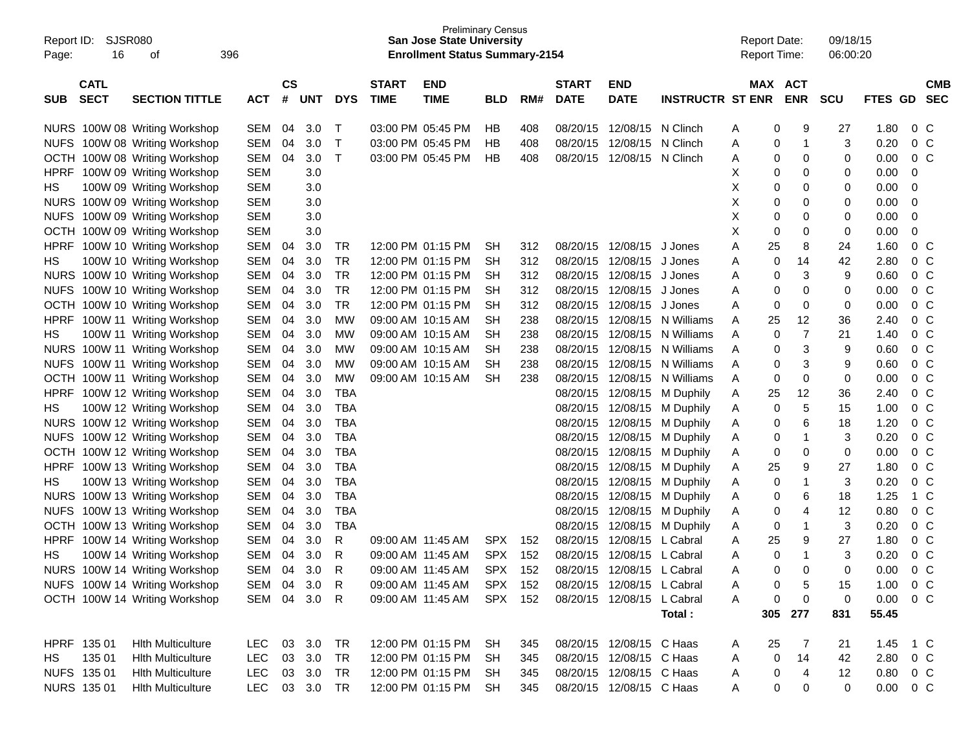| $\mathsf{cs}$<br><b>CATL</b><br><b>START</b><br><b>START</b><br>MAX ACT<br><b>END</b><br><b>END</b><br><b>CMB</b><br><b>SECT</b><br>#<br><b>TIME</b><br><b>TIME</b><br><b>DATE</b><br><b>ENR</b><br><b>SECTION TITTLE</b><br><b>DYS</b><br><b>DATE</b><br><b>INSTRUCTR ST ENR</b><br><b>SCU</b><br>FTES GD<br><b>SEC</b><br><b>SUB</b><br><b>ACT</b><br><b>UNT</b><br>RM#<br><b>BLD</b><br>NURS 100W 08 Writing Workshop<br><b>SEM</b><br>04<br>3.0<br>03:00 PM 05:45 PM<br>HB<br>408<br>08/20/15<br>12/08/15 N Clinch<br>9<br>27<br>1.80<br>0 <sup>o</sup><br>Т<br>A<br>0<br>$\overline{1}$<br><b>SEM</b><br>04<br>3.0<br>$\mathsf T$<br>HB<br>408<br>12/08/15 N Clinch<br>3<br>0.20<br>0 <sup>o</sup><br>NUFS 100W 08 Writing Workshop<br>03:00 PM 05:45 PM<br>08/20/15<br>0<br>A<br>$\mathsf{T}$<br><b>SEM</b><br>04<br>3.0<br><b>HB</b><br>408<br>0.00<br>0 <sup>o</sup><br>OCTH 100W 08 Writing Workshop<br>03:00 PM 05:45 PM<br>08/20/15<br>12/08/15 N Clinch<br>0<br>0<br>Α<br>0<br><b>SEM</b><br>X<br>0.00<br>100W 09 Writing Workshop<br>3.0<br>0<br>0<br>0<br>0<br>HPRF<br><b>SEM</b><br>3.0<br>Х<br>0<br>0<br>0.00<br>100W 09 Writing Workshop<br>0<br>0<br>НS<br>X<br><b>SEM</b><br>3.0<br>0.00<br>NURS 100W 09 Writing Workshop<br>0<br>0<br>0<br>0<br>X<br><b>SEM</b><br>3.0<br>0.00<br><b>NUFS</b><br>100W 09 Writing Workshop<br>0<br>0<br>0<br>0<br>X<br><b>SEM</b><br>3.0<br>0<br>0<br>0.00<br>OCTH 100W 09 Writing Workshop<br>0<br>0<br>1.60<br>3.0<br>12/08/15<br>25<br>8<br>24<br>0 <sup>o</sup><br>100W 10 Writing Workshop<br><b>SEM</b><br>04<br>TR<br>12:00 PM 01:15 PM<br>SН<br>312<br>08/20/15<br>J Jones<br>Α<br>HPRF<br><b>TR</b><br><b>SEM</b><br>3.0<br>12/08/15<br>42<br>2.80<br>0 <sup>o</sup><br>100W 10 Writing Workshop<br>04<br>12:00 PM 01:15 PM<br>SН<br>312<br>08/20/15<br>J Jones<br>0<br>14<br>НS<br>A<br><b>TR</b><br>3<br><b>SEM</b><br>3.0<br>9<br>0.60<br>0 <sup>o</sup><br>NURS 100W 10 Writing Workshop<br>04<br>12:00 PM 01:15 PM<br>SН<br>312<br>08/20/15<br>12/08/15<br>J Jones<br>0<br>Α<br><b>TR</b><br><b>SEM</b><br>3.0<br>312<br>08/20/15<br>12/08/15<br>$\mathbf 0$<br>0<br>0.00<br>0 <sup>o</sup><br><b>NUFS</b><br>100W 10 Writing Workshop<br>04<br>12:00 PM 01:15 PM<br>SН<br>J Jones<br>0<br>Α<br><b>TR</b><br><b>SEM</b><br>3.0<br>312<br>12/08/15<br>$\mathbf 0$<br>0.00<br>0 <sup>o</sup><br>OCTH 100W 10 Writing Workshop<br>04<br>12:00 PM 01:15 PM<br>SН<br>08/20/15<br>J Jones<br>0<br>0<br>A<br><b>SEM</b><br>3.0<br><b>MW</b><br><b>SH</b><br>238<br>25<br>12<br>36<br>0 <sup>o</sup><br>HPRF<br>100W 11 Writing Workshop<br>04<br>09:00 AM 10:15 AM<br>08/20/15<br>12/08/15<br>N Williams<br>2.40<br>A<br>$\overline{7}$<br><b>SEM</b><br>3.0<br><b>MW</b><br><b>SH</b><br>238<br>12/08/15<br>21<br>0 <sup>o</sup><br>100W 11 Writing Workshop<br>04<br>09:00 AM 10:15 AM<br>08/20/15<br>N Williams<br>0<br>1.40<br>НS<br>A<br>3<br><b>SEM</b><br>3.0<br><b>MW</b><br><b>SH</b><br>238<br>08/20/15<br>12/08/15<br>9<br>0.60<br>0 <sup>o</sup><br>NURS 100W 11 Writing Workshop<br>04<br>09:00 AM 10:15 AM<br>N Williams<br>0<br>A<br><b>SEM</b><br>3.0<br><b>MW</b><br><b>SH</b><br>238<br>3<br>9<br>0.60<br>0 <sup>o</sup><br><b>NUFS</b><br>100W 11 Writing Workshop<br>04<br>09:00 AM 10:15 AM<br>08/20/15<br>12/08/15<br>N Williams<br>A<br>0<br><b>SEM</b><br>3.0<br><b>MW</b><br><b>SH</b><br>238<br>$\mathbf 0$<br>0<br>0.00<br>0 <sup>o</sup><br>OCTH 100W 11 Writing Workshop<br>04<br>09:00 AM 10:15 AM<br>08/20/15<br>12/08/15<br>N Williams<br>A<br>0<br><b>TBA</b><br><b>SEM</b><br>3.0<br>25<br>12<br>36<br>2.40<br>0 <sup>o</sup><br>HPRF<br>100W 12 Writing Workshop<br>04<br>08/20/15<br>12/08/15<br>M Duphily<br>Α<br>5<br><b>TBA</b><br><b>SEM</b><br>3.0<br>1.00<br>0 <sup>o</sup><br>100W 12 Writing Workshop<br>04<br>08/20/15<br>12/08/15<br>0<br>15<br>НS<br>M Duphily<br>Α<br>6<br><b>SEM</b><br>3.0<br><b>TBA</b><br>1.20<br>0 <sup>o</sup><br>NURS 100W 12 Writing Workshop<br>04<br>08/20/15<br>12/08/15<br>18<br>M Duphily<br>Α<br>0<br><b>SEM</b><br>3.0<br><b>TBA</b><br>1<br>3<br>0.20<br>0 <sup>o</sup><br><b>NUFS</b><br>100W 12 Writing Workshop<br>04<br>08/20/15<br>12/08/15<br>0<br>M Duphily<br>Α<br><b>SEM</b><br>3.0<br><b>TBA</b><br>0<br>0<br>0.00<br>0 <sup>o</sup><br>OCTH<br>100W 12 Writing Workshop<br>04<br>08/20/15<br>12/08/15<br>0<br>M Duphily<br>Α<br><b>SEM</b><br>3.0<br><b>TBA</b><br>25<br>9<br>1.80<br>0 <sup>o</sup><br><b>HPRF</b><br>100W 13 Writing Workshop<br>04<br>08/20/15<br>12/08/15<br>27<br>M Duphily<br>Α<br>3.0<br><b>TBA</b><br>1<br>3<br>0.20<br>0 <sup>o</sup><br><b>SEM</b><br>04<br>08/20/15<br>12/08/15<br>0<br>НS<br>100W 13 Writing Workshop<br>M Duphily<br>Α<br><b>TBA</b><br>3.0<br>6<br>1.25<br>$1\,C$<br><b>NURS</b><br>100W 13 Writing Workshop<br><b>SEM</b><br>04<br>08/20/15<br>12/08/15<br>0<br>18<br>M Duphily<br>Α<br><b>TBA</b><br>0 <sub>C</sub><br>3.0<br>12/08/15<br>4<br>12<br>0.80<br><b>NUFS</b><br>100W 13 Writing Workshop<br><b>SEM</b><br>04<br>08/20/15<br>0<br>M Duphily<br>Α<br><b>TBA</b><br>3.0<br>$\mathbf 1$<br>3<br>0.20<br>0 <sup>o</sup><br>OCTH<br>100W 13 Writing Workshop<br><b>SEM</b><br>04<br>08/20/15<br>12/08/15<br>0<br>M Duphily<br>Α<br>R<br>25<br>9<br>27<br>1.80<br>0 <sup>o</sup><br><b>SEM</b><br>04<br>3.0<br>09:00 AM 11:45 AM<br><b>SPX</b><br>152<br>08/20/15<br>12/08/15<br>Α<br><b>HPRF</b><br>100W 14 Writing Workshop<br>L Cabral<br><b>SEM</b><br>3.0<br>R<br><b>SPX</b><br>152<br>08/20/15<br>12/08/15 L Cabral<br>$\mathbf 0$<br>1<br>3<br>0.20<br>0 <sup>o</sup><br>100W 14 Writing Workshop<br>04<br>HS.<br>09:00 AM 11:45 AM<br>Α<br><b>NURS</b><br><b>SEM</b><br>3.0<br>R<br><b>SPX</b><br>152<br>08/20/15<br>12/08/15<br>0.00<br>0 <sup>o</sup><br>100W 14 Writing Workshop<br>04<br>L Cabral<br>$\Omega$<br>$\Omega$<br>0<br>09:00 AM 11:45 AM<br>NUFS 100W 14 Writing Workshop<br>3.0<br>5<br>0 <sup>C</sup><br>SEM 04<br>R<br>09:00 AM 11:45 AM<br>SPX 152<br>08/20/15 12/08/15 L Cabral<br>1.00<br>A<br>0<br>15<br>SEM 04 3.0<br>SPX 152<br>$\pmb{0}$<br>0.00<br>OCTH 100W 14 Writing Workshop<br>$\mathsf{R}$<br>08/20/15 12/08/15 L Cabral<br>0<br>$0\,C$<br>09:00 AM 11:45 AM<br>Α<br>0<br>Total:<br>305<br>277<br>55.45<br>831<br>HPRF 135 01<br>03 3.0<br>TR<br>12:00 PM 01:15 PM<br><b>Hith Multiculture</b><br>LEC<br>08/20/15 12/08/15 C Haas<br>25<br>1.45<br>1 C<br>SH<br>345<br>7<br>21<br>A<br>03<br>3.0<br>14<br>135 01<br>LEC<br>TR<br>12:00 PM 01:15 PM<br>08/20/15 12/08/15 C Haas<br>0<br>42<br>2.80<br><b>Hith Multiculture</b><br>Α<br>$0\,$ C<br>HS.<br>-SH<br>345<br>$\overline{4}$<br>NUFS 135 01<br><b>LEC</b><br>03 3.0<br>TR<br>12:00 PM 01:15 PM<br>08/20/15 12/08/15 C Haas<br>12<br>0.80<br><b>Hith Multiculture</b><br>0<br>0 C<br>SH<br>345<br>A | Report ID:<br>Page: | SJSR080<br>16 | οf                       | 396        |  |    | <b>Preliminary Census</b><br><b>San Jose State University</b><br><b>Enrollment Status Summary-2154</b> |    |     |  | <b>Report Date:</b><br><b>Report Time:</b> |   | 09/18/15<br>06:00:20 |      |  |
|--------------------------------------------------------------------------------------------------------------------------------------------------------------------------------------------------------------------------------------------------------------------------------------------------------------------------------------------------------------------------------------------------------------------------------------------------------------------------------------------------------------------------------------------------------------------------------------------------------------------------------------------------------------------------------------------------------------------------------------------------------------------------------------------------------------------------------------------------------------------------------------------------------------------------------------------------------------------------------------------------------------------------------------------------------------------------------------------------------------------------------------------------------------------------------------------------------------------------------------------------------------------------------------------------------------------------------------------------------------------------------------------------------------------------------------------------------------------------------------------------------------------------------------------------------------------------------------------------------------------------------------------------------------------------------------------------------------------------------------------------------------------------------------------------------------------------------------------------------------------------------------------------------------------------------------------------------------------------------------------------------------------------------------------------------------------------------------------------------------------------------------------------------------------------------------------------------------------------------------------------------------------------------------------------------------------------------------------------------------------------------------------------------------------------------------------------------------------------------------------------------------------------------------------------------------------------------------------------------------------------------------------------------------------------------------------------------------------------------------------------------------------------------------------------------------------------------------------------------------------------------------------------------------------------------------------------------------------------------------------------------------------------------------------------------------------------------------------------------------------------------------------------------------------------------------------------------------------------------------------------------------------------------------------------------------------------------------------------------------------------------------------------------------------------------------------------------------------------------------------------------------------------------------------------------------------------------------------------------------------------------------------------------------------------------------------------------------------------------------------------------------------------------------------------------------------------------------------------------------------------------------------------------------------------------------------------------------------------------------------------------------------------------------------------------------------------------------------------------------------------------------------------------------------------------------------------------------------------------------------------------------------------------------------------------------------------------------------------------------------------------------------------------------------------------------------------------------------------------------------------------------------------------------------------------------------------------------------------------------------------------------------------------------------------------------------------------------------------------------------------------------------------------------------------------------------------------------------------------------------------------------------------------------------------------------------------------------------------------------------------------------------------------------------------------------------------------------------------------------------------------------------------------------------------------------------------------------------------------------------------------------------------------------------------------------------------------------------------------------------------------------------------------------------------------------------------------------------------------------------------------------------------------------------------------------------------------------------------------------------------------------------------------------------------------------------------------------------------------------------------------------------------------------------------------------------------------------------------------------------------------------------------------------------------------------------------------------------------------------------------------------------------------------------------------------------------------------------------------------------------------------------------------------------------------------------------------------------------------------------------------------------------------------------------------------------------------------------------------------------------------------------------------------------------------------------------------------------------------------------------------------------------------------------------------------------------------------------------------------------------------------------------------------------------------------------------------------------------------------------------------------------------------------------------------------|---------------------|---------------|--------------------------|------------|--|----|--------------------------------------------------------------------------------------------------------|----|-----|--|--------------------------------------------|---|----------------------|------|--|
|                                                                                                                                                                                                                                                                                                                                                                                                                                                                                                                                                                                                                                                                                                                                                                                                                                                                                                                                                                                                                                                                                                                                                                                                                                                                                                                                                                                                                                                                                                                                                                                                                                                                                                                                                                                                                                                                                                                                                                                                                                                                                                                                                                                                                                                                                                                                                                                                                                                                                                                                                                                                                                                                                                                                                                                                                                                                                                                                                                                                                                                                                                                                                                                                                                                                                                                                                                                                                                                                                                                                                                                                                                                                                                                                                                                                                                                                                                                                                                                                                                                                                                                                                                                                                                                                                                                                                                                                                                                                                                                                                                                                                                                                                                                                                                                                                                                                                                                                                                                                                                                                                                                                                                                                                                                                                                                                                                                                                                                                                                                                                                                                                                                                                                                                                                                                                                                                                                                                                                                                                                                                                                                                                                                                                                                                                                                                                                                                                                                                                                                                                                                                                                                                                                                                                                                                              |                     |               |                          |            |  |    |                                                                                                        |    |     |  |                                            |   |                      |      |  |
|                                                                                                                                                                                                                                                                                                                                                                                                                                                                                                                                                                                                                                                                                                                                                                                                                                                                                                                                                                                                                                                                                                                                                                                                                                                                                                                                                                                                                                                                                                                                                                                                                                                                                                                                                                                                                                                                                                                                                                                                                                                                                                                                                                                                                                                                                                                                                                                                                                                                                                                                                                                                                                                                                                                                                                                                                                                                                                                                                                                                                                                                                                                                                                                                                                                                                                                                                                                                                                                                                                                                                                                                                                                                                                                                                                                                                                                                                                                                                                                                                                                                                                                                                                                                                                                                                                                                                                                                                                                                                                                                                                                                                                                                                                                                                                                                                                                                                                                                                                                                                                                                                                                                                                                                                                                                                                                                                                                                                                                                                                                                                                                                                                                                                                                                                                                                                                                                                                                                                                                                                                                                                                                                                                                                                                                                                                                                                                                                                                                                                                                                                                                                                                                                                                                                                                                                              |                     |               |                          |            |  |    |                                                                                                        |    |     |  |                                            |   |                      |      |  |
|                                                                                                                                                                                                                                                                                                                                                                                                                                                                                                                                                                                                                                                                                                                                                                                                                                                                                                                                                                                                                                                                                                                                                                                                                                                                                                                                                                                                                                                                                                                                                                                                                                                                                                                                                                                                                                                                                                                                                                                                                                                                                                                                                                                                                                                                                                                                                                                                                                                                                                                                                                                                                                                                                                                                                                                                                                                                                                                                                                                                                                                                                                                                                                                                                                                                                                                                                                                                                                                                                                                                                                                                                                                                                                                                                                                                                                                                                                                                                                                                                                                                                                                                                                                                                                                                                                                                                                                                                                                                                                                                                                                                                                                                                                                                                                                                                                                                                                                                                                                                                                                                                                                                                                                                                                                                                                                                                                                                                                                                                                                                                                                                                                                                                                                                                                                                                                                                                                                                                                                                                                                                                                                                                                                                                                                                                                                                                                                                                                                                                                                                                                                                                                                                                                                                                                                                              |                     |               |                          |            |  |    |                                                                                                        |    |     |  |                                            |   |                      |      |  |
|                                                                                                                                                                                                                                                                                                                                                                                                                                                                                                                                                                                                                                                                                                                                                                                                                                                                                                                                                                                                                                                                                                                                                                                                                                                                                                                                                                                                                                                                                                                                                                                                                                                                                                                                                                                                                                                                                                                                                                                                                                                                                                                                                                                                                                                                                                                                                                                                                                                                                                                                                                                                                                                                                                                                                                                                                                                                                                                                                                                                                                                                                                                                                                                                                                                                                                                                                                                                                                                                                                                                                                                                                                                                                                                                                                                                                                                                                                                                                                                                                                                                                                                                                                                                                                                                                                                                                                                                                                                                                                                                                                                                                                                                                                                                                                                                                                                                                                                                                                                                                                                                                                                                                                                                                                                                                                                                                                                                                                                                                                                                                                                                                                                                                                                                                                                                                                                                                                                                                                                                                                                                                                                                                                                                                                                                                                                                                                                                                                                                                                                                                                                                                                                                                                                                                                                                              |                     |               |                          |            |  |    |                                                                                                        |    |     |  |                                            |   |                      |      |  |
|                                                                                                                                                                                                                                                                                                                                                                                                                                                                                                                                                                                                                                                                                                                                                                                                                                                                                                                                                                                                                                                                                                                                                                                                                                                                                                                                                                                                                                                                                                                                                                                                                                                                                                                                                                                                                                                                                                                                                                                                                                                                                                                                                                                                                                                                                                                                                                                                                                                                                                                                                                                                                                                                                                                                                                                                                                                                                                                                                                                                                                                                                                                                                                                                                                                                                                                                                                                                                                                                                                                                                                                                                                                                                                                                                                                                                                                                                                                                                                                                                                                                                                                                                                                                                                                                                                                                                                                                                                                                                                                                                                                                                                                                                                                                                                                                                                                                                                                                                                                                                                                                                                                                                                                                                                                                                                                                                                                                                                                                                                                                                                                                                                                                                                                                                                                                                                                                                                                                                                                                                                                                                                                                                                                                                                                                                                                                                                                                                                                                                                                                                                                                                                                                                                                                                                                                              |                     |               |                          |            |  |    |                                                                                                        |    |     |  |                                            |   |                      |      |  |
|                                                                                                                                                                                                                                                                                                                                                                                                                                                                                                                                                                                                                                                                                                                                                                                                                                                                                                                                                                                                                                                                                                                                                                                                                                                                                                                                                                                                                                                                                                                                                                                                                                                                                                                                                                                                                                                                                                                                                                                                                                                                                                                                                                                                                                                                                                                                                                                                                                                                                                                                                                                                                                                                                                                                                                                                                                                                                                                                                                                                                                                                                                                                                                                                                                                                                                                                                                                                                                                                                                                                                                                                                                                                                                                                                                                                                                                                                                                                                                                                                                                                                                                                                                                                                                                                                                                                                                                                                                                                                                                                                                                                                                                                                                                                                                                                                                                                                                                                                                                                                                                                                                                                                                                                                                                                                                                                                                                                                                                                                                                                                                                                                                                                                                                                                                                                                                                                                                                                                                                                                                                                                                                                                                                                                                                                                                                                                                                                                                                                                                                                                                                                                                                                                                                                                                                                              |                     |               |                          |            |  |    |                                                                                                        |    |     |  |                                            |   |                      |      |  |
|                                                                                                                                                                                                                                                                                                                                                                                                                                                                                                                                                                                                                                                                                                                                                                                                                                                                                                                                                                                                                                                                                                                                                                                                                                                                                                                                                                                                                                                                                                                                                                                                                                                                                                                                                                                                                                                                                                                                                                                                                                                                                                                                                                                                                                                                                                                                                                                                                                                                                                                                                                                                                                                                                                                                                                                                                                                                                                                                                                                                                                                                                                                                                                                                                                                                                                                                                                                                                                                                                                                                                                                                                                                                                                                                                                                                                                                                                                                                                                                                                                                                                                                                                                                                                                                                                                                                                                                                                                                                                                                                                                                                                                                                                                                                                                                                                                                                                                                                                                                                                                                                                                                                                                                                                                                                                                                                                                                                                                                                                                                                                                                                                                                                                                                                                                                                                                                                                                                                                                                                                                                                                                                                                                                                                                                                                                                                                                                                                                                                                                                                                                                                                                                                                                                                                                                                              |                     |               |                          |            |  |    |                                                                                                        |    |     |  |                                            |   |                      |      |  |
|                                                                                                                                                                                                                                                                                                                                                                                                                                                                                                                                                                                                                                                                                                                                                                                                                                                                                                                                                                                                                                                                                                                                                                                                                                                                                                                                                                                                                                                                                                                                                                                                                                                                                                                                                                                                                                                                                                                                                                                                                                                                                                                                                                                                                                                                                                                                                                                                                                                                                                                                                                                                                                                                                                                                                                                                                                                                                                                                                                                                                                                                                                                                                                                                                                                                                                                                                                                                                                                                                                                                                                                                                                                                                                                                                                                                                                                                                                                                                                                                                                                                                                                                                                                                                                                                                                                                                                                                                                                                                                                                                                                                                                                                                                                                                                                                                                                                                                                                                                                                                                                                                                                                                                                                                                                                                                                                                                                                                                                                                                                                                                                                                                                                                                                                                                                                                                                                                                                                                                                                                                                                                                                                                                                                                                                                                                                                                                                                                                                                                                                                                                                                                                                                                                                                                                                                              |                     |               |                          |            |  |    |                                                                                                        |    |     |  |                                            |   |                      |      |  |
|                                                                                                                                                                                                                                                                                                                                                                                                                                                                                                                                                                                                                                                                                                                                                                                                                                                                                                                                                                                                                                                                                                                                                                                                                                                                                                                                                                                                                                                                                                                                                                                                                                                                                                                                                                                                                                                                                                                                                                                                                                                                                                                                                                                                                                                                                                                                                                                                                                                                                                                                                                                                                                                                                                                                                                                                                                                                                                                                                                                                                                                                                                                                                                                                                                                                                                                                                                                                                                                                                                                                                                                                                                                                                                                                                                                                                                                                                                                                                                                                                                                                                                                                                                                                                                                                                                                                                                                                                                                                                                                                                                                                                                                                                                                                                                                                                                                                                                                                                                                                                                                                                                                                                                                                                                                                                                                                                                                                                                                                                                                                                                                                                                                                                                                                                                                                                                                                                                                                                                                                                                                                                                                                                                                                                                                                                                                                                                                                                                                                                                                                                                                                                                                                                                                                                                                                              |                     |               |                          |            |  |    |                                                                                                        |    |     |  |                                            |   |                      |      |  |
|                                                                                                                                                                                                                                                                                                                                                                                                                                                                                                                                                                                                                                                                                                                                                                                                                                                                                                                                                                                                                                                                                                                                                                                                                                                                                                                                                                                                                                                                                                                                                                                                                                                                                                                                                                                                                                                                                                                                                                                                                                                                                                                                                                                                                                                                                                                                                                                                                                                                                                                                                                                                                                                                                                                                                                                                                                                                                                                                                                                                                                                                                                                                                                                                                                                                                                                                                                                                                                                                                                                                                                                                                                                                                                                                                                                                                                                                                                                                                                                                                                                                                                                                                                                                                                                                                                                                                                                                                                                                                                                                                                                                                                                                                                                                                                                                                                                                                                                                                                                                                                                                                                                                                                                                                                                                                                                                                                                                                                                                                                                                                                                                                                                                                                                                                                                                                                                                                                                                                                                                                                                                                                                                                                                                                                                                                                                                                                                                                                                                                                                                                                                                                                                                                                                                                                                                              |                     |               |                          |            |  |    |                                                                                                        |    |     |  |                                            |   |                      |      |  |
|                                                                                                                                                                                                                                                                                                                                                                                                                                                                                                                                                                                                                                                                                                                                                                                                                                                                                                                                                                                                                                                                                                                                                                                                                                                                                                                                                                                                                                                                                                                                                                                                                                                                                                                                                                                                                                                                                                                                                                                                                                                                                                                                                                                                                                                                                                                                                                                                                                                                                                                                                                                                                                                                                                                                                                                                                                                                                                                                                                                                                                                                                                                                                                                                                                                                                                                                                                                                                                                                                                                                                                                                                                                                                                                                                                                                                                                                                                                                                                                                                                                                                                                                                                                                                                                                                                                                                                                                                                                                                                                                                                                                                                                                                                                                                                                                                                                                                                                                                                                                                                                                                                                                                                                                                                                                                                                                                                                                                                                                                                                                                                                                                                                                                                                                                                                                                                                                                                                                                                                                                                                                                                                                                                                                                                                                                                                                                                                                                                                                                                                                                                                                                                                                                                                                                                                                              |                     |               |                          |            |  |    |                                                                                                        |    |     |  |                                            |   |                      |      |  |
|                                                                                                                                                                                                                                                                                                                                                                                                                                                                                                                                                                                                                                                                                                                                                                                                                                                                                                                                                                                                                                                                                                                                                                                                                                                                                                                                                                                                                                                                                                                                                                                                                                                                                                                                                                                                                                                                                                                                                                                                                                                                                                                                                                                                                                                                                                                                                                                                                                                                                                                                                                                                                                                                                                                                                                                                                                                                                                                                                                                                                                                                                                                                                                                                                                                                                                                                                                                                                                                                                                                                                                                                                                                                                                                                                                                                                                                                                                                                                                                                                                                                                                                                                                                                                                                                                                                                                                                                                                                                                                                                                                                                                                                                                                                                                                                                                                                                                                                                                                                                                                                                                                                                                                                                                                                                                                                                                                                                                                                                                                                                                                                                                                                                                                                                                                                                                                                                                                                                                                                                                                                                                                                                                                                                                                                                                                                                                                                                                                                                                                                                                                                                                                                                                                                                                                                                              |                     |               |                          |            |  |    |                                                                                                        |    |     |  |                                            |   |                      |      |  |
|                                                                                                                                                                                                                                                                                                                                                                                                                                                                                                                                                                                                                                                                                                                                                                                                                                                                                                                                                                                                                                                                                                                                                                                                                                                                                                                                                                                                                                                                                                                                                                                                                                                                                                                                                                                                                                                                                                                                                                                                                                                                                                                                                                                                                                                                                                                                                                                                                                                                                                                                                                                                                                                                                                                                                                                                                                                                                                                                                                                                                                                                                                                                                                                                                                                                                                                                                                                                                                                                                                                                                                                                                                                                                                                                                                                                                                                                                                                                                                                                                                                                                                                                                                                                                                                                                                                                                                                                                                                                                                                                                                                                                                                                                                                                                                                                                                                                                                                                                                                                                                                                                                                                                                                                                                                                                                                                                                                                                                                                                                                                                                                                                                                                                                                                                                                                                                                                                                                                                                                                                                                                                                                                                                                                                                                                                                                                                                                                                                                                                                                                                                                                                                                                                                                                                                                                              |                     |               |                          |            |  |    |                                                                                                        |    |     |  |                                            |   |                      |      |  |
|                                                                                                                                                                                                                                                                                                                                                                                                                                                                                                                                                                                                                                                                                                                                                                                                                                                                                                                                                                                                                                                                                                                                                                                                                                                                                                                                                                                                                                                                                                                                                                                                                                                                                                                                                                                                                                                                                                                                                                                                                                                                                                                                                                                                                                                                                                                                                                                                                                                                                                                                                                                                                                                                                                                                                                                                                                                                                                                                                                                                                                                                                                                                                                                                                                                                                                                                                                                                                                                                                                                                                                                                                                                                                                                                                                                                                                                                                                                                                                                                                                                                                                                                                                                                                                                                                                                                                                                                                                                                                                                                                                                                                                                                                                                                                                                                                                                                                                                                                                                                                                                                                                                                                                                                                                                                                                                                                                                                                                                                                                                                                                                                                                                                                                                                                                                                                                                                                                                                                                                                                                                                                                                                                                                                                                                                                                                                                                                                                                                                                                                                                                                                                                                                                                                                                                                                              |                     |               |                          |            |  |    |                                                                                                        |    |     |  |                                            |   |                      |      |  |
|                                                                                                                                                                                                                                                                                                                                                                                                                                                                                                                                                                                                                                                                                                                                                                                                                                                                                                                                                                                                                                                                                                                                                                                                                                                                                                                                                                                                                                                                                                                                                                                                                                                                                                                                                                                                                                                                                                                                                                                                                                                                                                                                                                                                                                                                                                                                                                                                                                                                                                                                                                                                                                                                                                                                                                                                                                                                                                                                                                                                                                                                                                                                                                                                                                                                                                                                                                                                                                                                                                                                                                                                                                                                                                                                                                                                                                                                                                                                                                                                                                                                                                                                                                                                                                                                                                                                                                                                                                                                                                                                                                                                                                                                                                                                                                                                                                                                                                                                                                                                                                                                                                                                                                                                                                                                                                                                                                                                                                                                                                                                                                                                                                                                                                                                                                                                                                                                                                                                                                                                                                                                                                                                                                                                                                                                                                                                                                                                                                                                                                                                                                                                                                                                                                                                                                                                              |                     |               |                          |            |  |    |                                                                                                        |    |     |  |                                            |   |                      |      |  |
|                                                                                                                                                                                                                                                                                                                                                                                                                                                                                                                                                                                                                                                                                                                                                                                                                                                                                                                                                                                                                                                                                                                                                                                                                                                                                                                                                                                                                                                                                                                                                                                                                                                                                                                                                                                                                                                                                                                                                                                                                                                                                                                                                                                                                                                                                                                                                                                                                                                                                                                                                                                                                                                                                                                                                                                                                                                                                                                                                                                                                                                                                                                                                                                                                                                                                                                                                                                                                                                                                                                                                                                                                                                                                                                                                                                                                                                                                                                                                                                                                                                                                                                                                                                                                                                                                                                                                                                                                                                                                                                                                                                                                                                                                                                                                                                                                                                                                                                                                                                                                                                                                                                                                                                                                                                                                                                                                                                                                                                                                                                                                                                                                                                                                                                                                                                                                                                                                                                                                                                                                                                                                                                                                                                                                                                                                                                                                                                                                                                                                                                                                                                                                                                                                                                                                                                                              |                     |               |                          |            |  |    |                                                                                                        |    |     |  |                                            |   |                      |      |  |
|                                                                                                                                                                                                                                                                                                                                                                                                                                                                                                                                                                                                                                                                                                                                                                                                                                                                                                                                                                                                                                                                                                                                                                                                                                                                                                                                                                                                                                                                                                                                                                                                                                                                                                                                                                                                                                                                                                                                                                                                                                                                                                                                                                                                                                                                                                                                                                                                                                                                                                                                                                                                                                                                                                                                                                                                                                                                                                                                                                                                                                                                                                                                                                                                                                                                                                                                                                                                                                                                                                                                                                                                                                                                                                                                                                                                                                                                                                                                                                                                                                                                                                                                                                                                                                                                                                                                                                                                                                                                                                                                                                                                                                                                                                                                                                                                                                                                                                                                                                                                                                                                                                                                                                                                                                                                                                                                                                                                                                                                                                                                                                                                                                                                                                                                                                                                                                                                                                                                                                                                                                                                                                                                                                                                                                                                                                                                                                                                                                                                                                                                                                                                                                                                                                                                                                                                              |                     |               |                          |            |  |    |                                                                                                        |    |     |  |                                            |   |                      |      |  |
|                                                                                                                                                                                                                                                                                                                                                                                                                                                                                                                                                                                                                                                                                                                                                                                                                                                                                                                                                                                                                                                                                                                                                                                                                                                                                                                                                                                                                                                                                                                                                                                                                                                                                                                                                                                                                                                                                                                                                                                                                                                                                                                                                                                                                                                                                                                                                                                                                                                                                                                                                                                                                                                                                                                                                                                                                                                                                                                                                                                                                                                                                                                                                                                                                                                                                                                                                                                                                                                                                                                                                                                                                                                                                                                                                                                                                                                                                                                                                                                                                                                                                                                                                                                                                                                                                                                                                                                                                                                                                                                                                                                                                                                                                                                                                                                                                                                                                                                                                                                                                                                                                                                                                                                                                                                                                                                                                                                                                                                                                                                                                                                                                                                                                                                                                                                                                                                                                                                                                                                                                                                                                                                                                                                                                                                                                                                                                                                                                                                                                                                                                                                                                                                                                                                                                                                                              |                     |               |                          |            |  |    |                                                                                                        |    |     |  |                                            |   |                      |      |  |
|                                                                                                                                                                                                                                                                                                                                                                                                                                                                                                                                                                                                                                                                                                                                                                                                                                                                                                                                                                                                                                                                                                                                                                                                                                                                                                                                                                                                                                                                                                                                                                                                                                                                                                                                                                                                                                                                                                                                                                                                                                                                                                                                                                                                                                                                                                                                                                                                                                                                                                                                                                                                                                                                                                                                                                                                                                                                                                                                                                                                                                                                                                                                                                                                                                                                                                                                                                                                                                                                                                                                                                                                                                                                                                                                                                                                                                                                                                                                                                                                                                                                                                                                                                                                                                                                                                                                                                                                                                                                                                                                                                                                                                                                                                                                                                                                                                                                                                                                                                                                                                                                                                                                                                                                                                                                                                                                                                                                                                                                                                                                                                                                                                                                                                                                                                                                                                                                                                                                                                                                                                                                                                                                                                                                                                                                                                                                                                                                                                                                                                                                                                                                                                                                                                                                                                                                              |                     |               |                          |            |  |    |                                                                                                        |    |     |  |                                            |   |                      |      |  |
|                                                                                                                                                                                                                                                                                                                                                                                                                                                                                                                                                                                                                                                                                                                                                                                                                                                                                                                                                                                                                                                                                                                                                                                                                                                                                                                                                                                                                                                                                                                                                                                                                                                                                                                                                                                                                                                                                                                                                                                                                                                                                                                                                                                                                                                                                                                                                                                                                                                                                                                                                                                                                                                                                                                                                                                                                                                                                                                                                                                                                                                                                                                                                                                                                                                                                                                                                                                                                                                                                                                                                                                                                                                                                                                                                                                                                                                                                                                                                                                                                                                                                                                                                                                                                                                                                                                                                                                                                                                                                                                                                                                                                                                                                                                                                                                                                                                                                                                                                                                                                                                                                                                                                                                                                                                                                                                                                                                                                                                                                                                                                                                                                                                                                                                                                                                                                                                                                                                                                                                                                                                                                                                                                                                                                                                                                                                                                                                                                                                                                                                                                                                                                                                                                                                                                                                                              |                     |               |                          |            |  |    |                                                                                                        |    |     |  |                                            |   |                      |      |  |
|                                                                                                                                                                                                                                                                                                                                                                                                                                                                                                                                                                                                                                                                                                                                                                                                                                                                                                                                                                                                                                                                                                                                                                                                                                                                                                                                                                                                                                                                                                                                                                                                                                                                                                                                                                                                                                                                                                                                                                                                                                                                                                                                                                                                                                                                                                                                                                                                                                                                                                                                                                                                                                                                                                                                                                                                                                                                                                                                                                                                                                                                                                                                                                                                                                                                                                                                                                                                                                                                                                                                                                                                                                                                                                                                                                                                                                                                                                                                                                                                                                                                                                                                                                                                                                                                                                                                                                                                                                                                                                                                                                                                                                                                                                                                                                                                                                                                                                                                                                                                                                                                                                                                                                                                                                                                                                                                                                                                                                                                                                                                                                                                                                                                                                                                                                                                                                                                                                                                                                                                                                                                                                                                                                                                                                                                                                                                                                                                                                                                                                                                                                                                                                                                                                                                                                                                              |                     |               |                          |            |  |    |                                                                                                        |    |     |  |                                            |   |                      |      |  |
|                                                                                                                                                                                                                                                                                                                                                                                                                                                                                                                                                                                                                                                                                                                                                                                                                                                                                                                                                                                                                                                                                                                                                                                                                                                                                                                                                                                                                                                                                                                                                                                                                                                                                                                                                                                                                                                                                                                                                                                                                                                                                                                                                                                                                                                                                                                                                                                                                                                                                                                                                                                                                                                                                                                                                                                                                                                                                                                                                                                                                                                                                                                                                                                                                                                                                                                                                                                                                                                                                                                                                                                                                                                                                                                                                                                                                                                                                                                                                                                                                                                                                                                                                                                                                                                                                                                                                                                                                                                                                                                                                                                                                                                                                                                                                                                                                                                                                                                                                                                                                                                                                                                                                                                                                                                                                                                                                                                                                                                                                                                                                                                                                                                                                                                                                                                                                                                                                                                                                                                                                                                                                                                                                                                                                                                                                                                                                                                                                                                                                                                                                                                                                                                                                                                                                                                                              |                     |               |                          |            |  |    |                                                                                                        |    |     |  |                                            |   |                      |      |  |
|                                                                                                                                                                                                                                                                                                                                                                                                                                                                                                                                                                                                                                                                                                                                                                                                                                                                                                                                                                                                                                                                                                                                                                                                                                                                                                                                                                                                                                                                                                                                                                                                                                                                                                                                                                                                                                                                                                                                                                                                                                                                                                                                                                                                                                                                                                                                                                                                                                                                                                                                                                                                                                                                                                                                                                                                                                                                                                                                                                                                                                                                                                                                                                                                                                                                                                                                                                                                                                                                                                                                                                                                                                                                                                                                                                                                                                                                                                                                                                                                                                                                                                                                                                                                                                                                                                                                                                                                                                                                                                                                                                                                                                                                                                                                                                                                                                                                                                                                                                                                                                                                                                                                                                                                                                                                                                                                                                                                                                                                                                                                                                                                                                                                                                                                                                                                                                                                                                                                                                                                                                                                                                                                                                                                                                                                                                                                                                                                                                                                                                                                                                                                                                                                                                                                                                                                              |                     |               |                          |            |  |    |                                                                                                        |    |     |  |                                            |   |                      |      |  |
|                                                                                                                                                                                                                                                                                                                                                                                                                                                                                                                                                                                                                                                                                                                                                                                                                                                                                                                                                                                                                                                                                                                                                                                                                                                                                                                                                                                                                                                                                                                                                                                                                                                                                                                                                                                                                                                                                                                                                                                                                                                                                                                                                                                                                                                                                                                                                                                                                                                                                                                                                                                                                                                                                                                                                                                                                                                                                                                                                                                                                                                                                                                                                                                                                                                                                                                                                                                                                                                                                                                                                                                                                                                                                                                                                                                                                                                                                                                                                                                                                                                                                                                                                                                                                                                                                                                                                                                                                                                                                                                                                                                                                                                                                                                                                                                                                                                                                                                                                                                                                                                                                                                                                                                                                                                                                                                                                                                                                                                                                                                                                                                                                                                                                                                                                                                                                                                                                                                                                                                                                                                                                                                                                                                                                                                                                                                                                                                                                                                                                                                                                                                                                                                                                                                                                                                                              |                     |               |                          |            |  |    |                                                                                                        |    |     |  |                                            |   |                      |      |  |
|                                                                                                                                                                                                                                                                                                                                                                                                                                                                                                                                                                                                                                                                                                                                                                                                                                                                                                                                                                                                                                                                                                                                                                                                                                                                                                                                                                                                                                                                                                                                                                                                                                                                                                                                                                                                                                                                                                                                                                                                                                                                                                                                                                                                                                                                                                                                                                                                                                                                                                                                                                                                                                                                                                                                                                                                                                                                                                                                                                                                                                                                                                                                                                                                                                                                                                                                                                                                                                                                                                                                                                                                                                                                                                                                                                                                                                                                                                                                                                                                                                                                                                                                                                                                                                                                                                                                                                                                                                                                                                                                                                                                                                                                                                                                                                                                                                                                                                                                                                                                                                                                                                                                                                                                                                                                                                                                                                                                                                                                                                                                                                                                                                                                                                                                                                                                                                                                                                                                                                                                                                                                                                                                                                                                                                                                                                                                                                                                                                                                                                                                                                                                                                                                                                                                                                                                              |                     |               |                          |            |  |    |                                                                                                        |    |     |  |                                            |   |                      |      |  |
|                                                                                                                                                                                                                                                                                                                                                                                                                                                                                                                                                                                                                                                                                                                                                                                                                                                                                                                                                                                                                                                                                                                                                                                                                                                                                                                                                                                                                                                                                                                                                                                                                                                                                                                                                                                                                                                                                                                                                                                                                                                                                                                                                                                                                                                                                                                                                                                                                                                                                                                                                                                                                                                                                                                                                                                                                                                                                                                                                                                                                                                                                                                                                                                                                                                                                                                                                                                                                                                                                                                                                                                                                                                                                                                                                                                                                                                                                                                                                                                                                                                                                                                                                                                                                                                                                                                                                                                                                                                                                                                                                                                                                                                                                                                                                                                                                                                                                                                                                                                                                                                                                                                                                                                                                                                                                                                                                                                                                                                                                                                                                                                                                                                                                                                                                                                                                                                                                                                                                                                                                                                                                                                                                                                                                                                                                                                                                                                                                                                                                                                                                                                                                                                                                                                                                                                                              |                     |               |                          |            |  |    |                                                                                                        |    |     |  |                                            |   |                      |      |  |
|                                                                                                                                                                                                                                                                                                                                                                                                                                                                                                                                                                                                                                                                                                                                                                                                                                                                                                                                                                                                                                                                                                                                                                                                                                                                                                                                                                                                                                                                                                                                                                                                                                                                                                                                                                                                                                                                                                                                                                                                                                                                                                                                                                                                                                                                                                                                                                                                                                                                                                                                                                                                                                                                                                                                                                                                                                                                                                                                                                                                                                                                                                                                                                                                                                                                                                                                                                                                                                                                                                                                                                                                                                                                                                                                                                                                                                                                                                                                                                                                                                                                                                                                                                                                                                                                                                                                                                                                                                                                                                                                                                                                                                                                                                                                                                                                                                                                                                                                                                                                                                                                                                                                                                                                                                                                                                                                                                                                                                                                                                                                                                                                                                                                                                                                                                                                                                                                                                                                                                                                                                                                                                                                                                                                                                                                                                                                                                                                                                                                                                                                                                                                                                                                                                                                                                                                              |                     |               |                          |            |  |    |                                                                                                        |    |     |  |                                            |   |                      |      |  |
|                                                                                                                                                                                                                                                                                                                                                                                                                                                                                                                                                                                                                                                                                                                                                                                                                                                                                                                                                                                                                                                                                                                                                                                                                                                                                                                                                                                                                                                                                                                                                                                                                                                                                                                                                                                                                                                                                                                                                                                                                                                                                                                                                                                                                                                                                                                                                                                                                                                                                                                                                                                                                                                                                                                                                                                                                                                                                                                                                                                                                                                                                                                                                                                                                                                                                                                                                                                                                                                                                                                                                                                                                                                                                                                                                                                                                                                                                                                                                                                                                                                                                                                                                                                                                                                                                                                                                                                                                                                                                                                                                                                                                                                                                                                                                                                                                                                                                                                                                                                                                                                                                                                                                                                                                                                                                                                                                                                                                                                                                                                                                                                                                                                                                                                                                                                                                                                                                                                                                                                                                                                                                                                                                                                                                                                                                                                                                                                                                                                                                                                                                                                                                                                                                                                                                                                                              |                     |               |                          |            |  |    |                                                                                                        |    |     |  |                                            |   |                      |      |  |
|                                                                                                                                                                                                                                                                                                                                                                                                                                                                                                                                                                                                                                                                                                                                                                                                                                                                                                                                                                                                                                                                                                                                                                                                                                                                                                                                                                                                                                                                                                                                                                                                                                                                                                                                                                                                                                                                                                                                                                                                                                                                                                                                                                                                                                                                                                                                                                                                                                                                                                                                                                                                                                                                                                                                                                                                                                                                                                                                                                                                                                                                                                                                                                                                                                                                                                                                                                                                                                                                                                                                                                                                                                                                                                                                                                                                                                                                                                                                                                                                                                                                                                                                                                                                                                                                                                                                                                                                                                                                                                                                                                                                                                                                                                                                                                                                                                                                                                                                                                                                                                                                                                                                                                                                                                                                                                                                                                                                                                                                                                                                                                                                                                                                                                                                                                                                                                                                                                                                                                                                                                                                                                                                                                                                                                                                                                                                                                                                                                                                                                                                                                                                                                                                                                                                                                                                              |                     |               |                          |            |  |    |                                                                                                        |    |     |  |                                            |   |                      |      |  |
|                                                                                                                                                                                                                                                                                                                                                                                                                                                                                                                                                                                                                                                                                                                                                                                                                                                                                                                                                                                                                                                                                                                                                                                                                                                                                                                                                                                                                                                                                                                                                                                                                                                                                                                                                                                                                                                                                                                                                                                                                                                                                                                                                                                                                                                                                                                                                                                                                                                                                                                                                                                                                                                                                                                                                                                                                                                                                                                                                                                                                                                                                                                                                                                                                                                                                                                                                                                                                                                                                                                                                                                                                                                                                                                                                                                                                                                                                                                                                                                                                                                                                                                                                                                                                                                                                                                                                                                                                                                                                                                                                                                                                                                                                                                                                                                                                                                                                                                                                                                                                                                                                                                                                                                                                                                                                                                                                                                                                                                                                                                                                                                                                                                                                                                                                                                                                                                                                                                                                                                                                                                                                                                                                                                                                                                                                                                                                                                                                                                                                                                                                                                                                                                                                                                                                                                                              |                     |               |                          |            |  |    |                                                                                                        |    |     |  |                                            |   |                      |      |  |
|                                                                                                                                                                                                                                                                                                                                                                                                                                                                                                                                                                                                                                                                                                                                                                                                                                                                                                                                                                                                                                                                                                                                                                                                                                                                                                                                                                                                                                                                                                                                                                                                                                                                                                                                                                                                                                                                                                                                                                                                                                                                                                                                                                                                                                                                                                                                                                                                                                                                                                                                                                                                                                                                                                                                                                                                                                                                                                                                                                                                                                                                                                                                                                                                                                                                                                                                                                                                                                                                                                                                                                                                                                                                                                                                                                                                                                                                                                                                                                                                                                                                                                                                                                                                                                                                                                                                                                                                                                                                                                                                                                                                                                                                                                                                                                                                                                                                                                                                                                                                                                                                                                                                                                                                                                                                                                                                                                                                                                                                                                                                                                                                                                                                                                                                                                                                                                                                                                                                                                                                                                                                                                                                                                                                                                                                                                                                                                                                                                                                                                                                                                                                                                                                                                                                                                                                              |                     |               |                          |            |  |    |                                                                                                        |    |     |  |                                            |   |                      |      |  |
|                                                                                                                                                                                                                                                                                                                                                                                                                                                                                                                                                                                                                                                                                                                                                                                                                                                                                                                                                                                                                                                                                                                                                                                                                                                                                                                                                                                                                                                                                                                                                                                                                                                                                                                                                                                                                                                                                                                                                                                                                                                                                                                                                                                                                                                                                                                                                                                                                                                                                                                                                                                                                                                                                                                                                                                                                                                                                                                                                                                                                                                                                                                                                                                                                                                                                                                                                                                                                                                                                                                                                                                                                                                                                                                                                                                                                                                                                                                                                                                                                                                                                                                                                                                                                                                                                                                                                                                                                                                                                                                                                                                                                                                                                                                                                                                                                                                                                                                                                                                                                                                                                                                                                                                                                                                                                                                                                                                                                                                                                                                                                                                                                                                                                                                                                                                                                                                                                                                                                                                                                                                                                                                                                                                                                                                                                                                                                                                                                                                                                                                                                                                                                                                                                                                                                                                                              |                     |               |                          |            |  |    |                                                                                                        |    |     |  |                                            |   |                      |      |  |
|                                                                                                                                                                                                                                                                                                                                                                                                                                                                                                                                                                                                                                                                                                                                                                                                                                                                                                                                                                                                                                                                                                                                                                                                                                                                                                                                                                                                                                                                                                                                                                                                                                                                                                                                                                                                                                                                                                                                                                                                                                                                                                                                                                                                                                                                                                                                                                                                                                                                                                                                                                                                                                                                                                                                                                                                                                                                                                                                                                                                                                                                                                                                                                                                                                                                                                                                                                                                                                                                                                                                                                                                                                                                                                                                                                                                                                                                                                                                                                                                                                                                                                                                                                                                                                                                                                                                                                                                                                                                                                                                                                                                                                                                                                                                                                                                                                                                                                                                                                                                                                                                                                                                                                                                                                                                                                                                                                                                                                                                                                                                                                                                                                                                                                                                                                                                                                                                                                                                                                                                                                                                                                                                                                                                                                                                                                                                                                                                                                                                                                                                                                                                                                                                                                                                                                                                              |                     |               |                          |            |  |    |                                                                                                        |    |     |  |                                            |   |                      |      |  |
|                                                                                                                                                                                                                                                                                                                                                                                                                                                                                                                                                                                                                                                                                                                                                                                                                                                                                                                                                                                                                                                                                                                                                                                                                                                                                                                                                                                                                                                                                                                                                                                                                                                                                                                                                                                                                                                                                                                                                                                                                                                                                                                                                                                                                                                                                                                                                                                                                                                                                                                                                                                                                                                                                                                                                                                                                                                                                                                                                                                                                                                                                                                                                                                                                                                                                                                                                                                                                                                                                                                                                                                                                                                                                                                                                                                                                                                                                                                                                                                                                                                                                                                                                                                                                                                                                                                                                                                                                                                                                                                                                                                                                                                                                                                                                                                                                                                                                                                                                                                                                                                                                                                                                                                                                                                                                                                                                                                                                                                                                                                                                                                                                                                                                                                                                                                                                                                                                                                                                                                                                                                                                                                                                                                                                                                                                                                                                                                                                                                                                                                                                                                                                                                                                                                                                                                                              |                     |               |                          |            |  |    |                                                                                                        |    |     |  |                                            |   |                      |      |  |
|                                                                                                                                                                                                                                                                                                                                                                                                                                                                                                                                                                                                                                                                                                                                                                                                                                                                                                                                                                                                                                                                                                                                                                                                                                                                                                                                                                                                                                                                                                                                                                                                                                                                                                                                                                                                                                                                                                                                                                                                                                                                                                                                                                                                                                                                                                                                                                                                                                                                                                                                                                                                                                                                                                                                                                                                                                                                                                                                                                                                                                                                                                                                                                                                                                                                                                                                                                                                                                                                                                                                                                                                                                                                                                                                                                                                                                                                                                                                                                                                                                                                                                                                                                                                                                                                                                                                                                                                                                                                                                                                                                                                                                                                                                                                                                                                                                                                                                                                                                                                                                                                                                                                                                                                                                                                                                                                                                                                                                                                                                                                                                                                                                                                                                                                                                                                                                                                                                                                                                                                                                                                                                                                                                                                                                                                                                                                                                                                                                                                                                                                                                                                                                                                                                                                                                                                              |                     |               |                          |            |  |    |                                                                                                        |    |     |  |                                            |   |                      |      |  |
|                                                                                                                                                                                                                                                                                                                                                                                                                                                                                                                                                                                                                                                                                                                                                                                                                                                                                                                                                                                                                                                                                                                                                                                                                                                                                                                                                                                                                                                                                                                                                                                                                                                                                                                                                                                                                                                                                                                                                                                                                                                                                                                                                                                                                                                                                                                                                                                                                                                                                                                                                                                                                                                                                                                                                                                                                                                                                                                                                                                                                                                                                                                                                                                                                                                                                                                                                                                                                                                                                                                                                                                                                                                                                                                                                                                                                                                                                                                                                                                                                                                                                                                                                                                                                                                                                                                                                                                                                                                                                                                                                                                                                                                                                                                                                                                                                                                                                                                                                                                                                                                                                                                                                                                                                                                                                                                                                                                                                                                                                                                                                                                                                                                                                                                                                                                                                                                                                                                                                                                                                                                                                                                                                                                                                                                                                                                                                                                                                                                                                                                                                                                                                                                                                                                                                                                                              |                     |               |                          |            |  |    |                                                                                                        |    |     |  |                                            |   |                      |      |  |
|                                                                                                                                                                                                                                                                                                                                                                                                                                                                                                                                                                                                                                                                                                                                                                                                                                                                                                                                                                                                                                                                                                                                                                                                                                                                                                                                                                                                                                                                                                                                                                                                                                                                                                                                                                                                                                                                                                                                                                                                                                                                                                                                                                                                                                                                                                                                                                                                                                                                                                                                                                                                                                                                                                                                                                                                                                                                                                                                                                                                                                                                                                                                                                                                                                                                                                                                                                                                                                                                                                                                                                                                                                                                                                                                                                                                                                                                                                                                                                                                                                                                                                                                                                                                                                                                                                                                                                                                                                                                                                                                                                                                                                                                                                                                                                                                                                                                                                                                                                                                                                                                                                                                                                                                                                                                                                                                                                                                                                                                                                                                                                                                                                                                                                                                                                                                                                                                                                                                                                                                                                                                                                                                                                                                                                                                                                                                                                                                                                                                                                                                                                                                                                                                                                                                                                                                              |                     |               |                          |            |  |    |                                                                                                        |    |     |  |                                            |   |                      |      |  |
|                                                                                                                                                                                                                                                                                                                                                                                                                                                                                                                                                                                                                                                                                                                                                                                                                                                                                                                                                                                                                                                                                                                                                                                                                                                                                                                                                                                                                                                                                                                                                                                                                                                                                                                                                                                                                                                                                                                                                                                                                                                                                                                                                                                                                                                                                                                                                                                                                                                                                                                                                                                                                                                                                                                                                                                                                                                                                                                                                                                                                                                                                                                                                                                                                                                                                                                                                                                                                                                                                                                                                                                                                                                                                                                                                                                                                                                                                                                                                                                                                                                                                                                                                                                                                                                                                                                                                                                                                                                                                                                                                                                                                                                                                                                                                                                                                                                                                                                                                                                                                                                                                                                                                                                                                                                                                                                                                                                                                                                                                                                                                                                                                                                                                                                                                                                                                                                                                                                                                                                                                                                                                                                                                                                                                                                                                                                                                                                                                                                                                                                                                                                                                                                                                                                                                                                                              |                     |               |                          |            |  |    |                                                                                                        |    |     |  |                                            |   |                      |      |  |
|                                                                                                                                                                                                                                                                                                                                                                                                                                                                                                                                                                                                                                                                                                                                                                                                                                                                                                                                                                                                                                                                                                                                                                                                                                                                                                                                                                                                                                                                                                                                                                                                                                                                                                                                                                                                                                                                                                                                                                                                                                                                                                                                                                                                                                                                                                                                                                                                                                                                                                                                                                                                                                                                                                                                                                                                                                                                                                                                                                                                                                                                                                                                                                                                                                                                                                                                                                                                                                                                                                                                                                                                                                                                                                                                                                                                                                                                                                                                                                                                                                                                                                                                                                                                                                                                                                                                                                                                                                                                                                                                                                                                                                                                                                                                                                                                                                                                                                                                                                                                                                                                                                                                                                                                                                                                                                                                                                                                                                                                                                                                                                                                                                                                                                                                                                                                                                                                                                                                                                                                                                                                                                                                                                                                                                                                                                                                                                                                                                                                                                                                                                                                                                                                                                                                                                                                              |                     |               |                          |            |  |    |                                                                                                        |    |     |  |                                            |   |                      |      |  |
| NURS 135 01<br>03 3.0<br>12:00 PM 01:15 PM<br>08/20/15 12/08/15 C Haas<br>$0\,C$<br>0                                                                                                                                                                                                                                                                                                                                                                                                                                                                                                                                                                                                                                                                                                                                                                                                                                                                                                                                                                                                                                                                                                                                                                                                                                                                                                                                                                                                                                                                                                                                                                                                                                                                                                                                                                                                                                                                                                                                                                                                                                                                                                                                                                                                                                                                                                                                                                                                                                                                                                                                                                                                                                                                                                                                                                                                                                                                                                                                                                                                                                                                                                                                                                                                                                                                                                                                                                                                                                                                                                                                                                                                                                                                                                                                                                                                                                                                                                                                                                                                                                                                                                                                                                                                                                                                                                                                                                                                                                                                                                                                                                                                                                                                                                                                                                                                                                                                                                                                                                                                                                                                                                                                                                                                                                                                                                                                                                                                                                                                                                                                                                                                                                                                                                                                                                                                                                                                                                                                                                                                                                                                                                                                                                                                                                                                                                                                                                                                                                                                                                                                                                                                                                                                                                                        |                     |               | <b>Hith Multiculture</b> | <b>LEC</b> |  | TR |                                                                                                        | SH | 345 |  | A                                          | 0 | 0                    | 0.00 |  |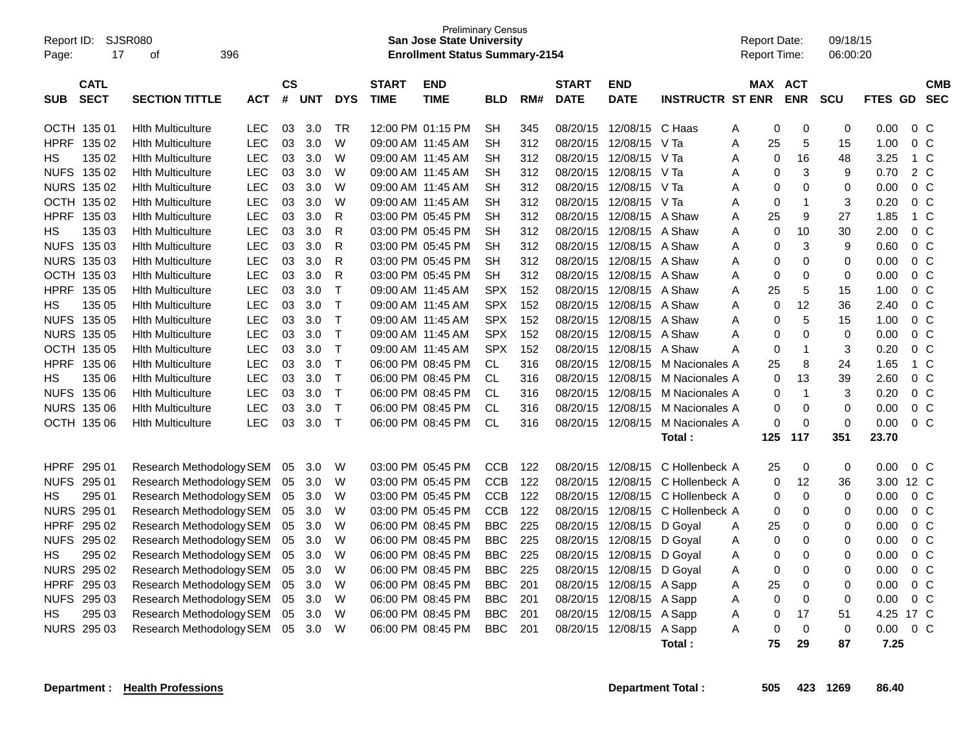| Report ID:<br>Page: | 17                         | <b>SJSR080</b><br>396<br>οf                          |                          |                    |            |                |                                        | <b>Preliminary Census</b><br><b>San Jose State University</b><br><b>Enrollment Status Summary-2154</b> |                        |            |                             |                           |                         | <b>Report Date:</b><br><b>Report Time:</b> |                  | 09/18/15<br>06:00:20 |              |                                  |                          |
|---------------------|----------------------------|------------------------------------------------------|--------------------------|--------------------|------------|----------------|----------------------------------------|--------------------------------------------------------------------------------------------------------|------------------------|------------|-----------------------------|---------------------------|-------------------------|--------------------------------------------|------------------|----------------------|--------------|----------------------------------|--------------------------|
| <b>SUB</b>          | <b>CATL</b><br><b>SECT</b> | <b>SECTION TITTLE</b>                                | <b>ACT</b>               | $\mathsf{cs}$<br># | <b>UNT</b> | <b>DYS</b>     | <b>START</b><br><b>TIME</b>            | <b>END</b><br><b>TIME</b>                                                                              | <b>BLD</b>             | RM#        | <b>START</b><br><b>DATE</b> | <b>END</b><br><b>DATE</b> | <b>INSTRUCTR ST ENR</b> | MAX ACT                                    | <b>ENR</b>       | <b>SCU</b>           | FTES GD      |                                  | <b>CMB</b><br><b>SEC</b> |
|                     |                            |                                                      |                          |                    |            |                |                                        |                                                                                                        |                        |            |                             |                           |                         |                                            |                  |                      |              |                                  |                          |
| <b>HPRF</b>         | OCTH 135 01<br>135 02      | <b>Hith Multiculture</b><br><b>Hith Multiculture</b> | <b>LEC</b><br><b>LEC</b> | 03<br>03           | 3.0<br>3.0 | <b>TR</b><br>W | 12:00 PM 01:15 PM<br>09:00 AM 11:45 AM |                                                                                                        | <b>SH</b><br><b>SH</b> | 345<br>312 | 08/20/15<br>08/20/15        | 12/08/15<br>12/08/15      | C Haas<br>V Ta          | 0<br>Α<br>A<br>25                          | $\mathbf 0$<br>5 | $\mathbf 0$<br>15    | 0.00<br>1.00 | 0 <sup>o</sup><br>0 <sup>o</sup> |                          |
| НS                  | 135 02                     | <b>Hith Multiculture</b>                             | <b>LEC</b>               | 03                 | 3.0        | W              | 09:00 AM 11:45 AM                      |                                                                                                        | <b>SH</b>              | 312        | 08/20/15                    | 12/08/15                  | V Ta                    | A<br>$\Omega$                              | 16               | 48                   | 3.25         | $1\,C$                           |                          |
|                     | NUFS 135 02                | <b>Hith Multiculture</b>                             | LEC                      | 03                 | 3.0        | W              | 09:00 AM 11:45 AM                      |                                                                                                        | SН                     | 312        | 08/20/15                    | 12/08/15                  | V Ta                    | A<br>0                                     | 3                | 9                    | 0.70         | 2 C                              |                          |
|                     | NURS 135 02                | <b>Hith Multiculture</b>                             | <b>LEC</b>               | 03                 | 3.0        | W              | 09:00 AM 11:45 AM                      |                                                                                                        | <b>SH</b>              | 312        | 08/20/15                    | 12/08/15                  | V Ta                    | 0<br>A                                     | $\mathbf 0$      | $\mathbf 0$          | 0.00         | 0 <sup>o</sup>                   |                          |
|                     | OCTH 135 02                | <b>Hith Multiculture</b>                             | <b>LEC</b>               | 03                 | 3.0        | W              | 09:00 AM 11:45 AM                      |                                                                                                        | <b>SH</b>              | 312        | 08/20/15                    | 12/08/15                  | V Ta                    | 0<br>A                                     | $\mathbf{1}$     | 3                    | 0.20         | 0 <sup>o</sup>                   |                          |
| <b>HPRF</b>         | 135 03                     | <b>Hith Multiculture</b>                             | <b>LEC</b>               | 03                 | 3.0        | R              | 03:00 PM 05:45 PM                      |                                                                                                        | <b>SH</b>              | 312        | 08/20/15                    | 12/08/15                  | A Shaw                  | 25<br>A                                    | 9                | 27                   | 1.85         | $1\,C$                           |                          |
| НS                  | 135 03                     | <b>Hith Multiculture</b>                             | <b>LEC</b>               | 03                 | 3.0        | R              | 03:00 PM 05:45 PM                      |                                                                                                        | <b>SH</b>              | 312        | 08/20/15                    | 12/08/15                  | A Shaw                  | 0<br>A                                     | 10               | 30                   | 2.00         | 0 <sup>o</sup>                   |                          |
| <b>NUFS</b>         | 135 03                     | <b>Hith Multiculture</b>                             | <b>LEC</b>               | 03                 | 3.0        | R              | 03:00 PM 05:45 PM                      |                                                                                                        | <b>SH</b>              | 312        | 08/20/15                    | 12/08/15                  | A Shaw                  | Α<br>0                                     | 3                | 9                    | 0.60         | 0 <sup>o</sup>                   |                          |
|                     | NURS 135 03                | <b>Hith Multiculture</b>                             | <b>LEC</b>               | 03                 | 3.0        | R              | 03:00 PM 05:45 PM                      |                                                                                                        | <b>SH</b>              | 312        | 08/20/15                    | 12/08/15                  | A Shaw                  | A<br>0                                     | $\mathbf 0$      | $\mathbf 0$          | 0.00         | 0 <sup>o</sup>                   |                          |
|                     | OCTH 135 03                | <b>Hith Multiculture</b>                             | <b>LEC</b>               | 03                 | 3.0        | $\mathsf{R}$   | 03:00 PM 05:45 PM                      |                                                                                                        | <b>SH</b>              | 312        | 08/20/15                    | 12/08/15                  | A Shaw                  | 0<br>Α                                     | $\mathbf 0$      | 0                    | 0.00         | 0 <sup>o</sup>                   |                          |
| <b>HPRF</b>         | 135 05                     | <b>Hith Multiculture</b>                             | <b>LEC</b>               | 03                 | 3.0        | $\mathsf{T}$   | 09:00 AM 11:45 AM                      |                                                                                                        | <b>SPX</b>             | 152        | 08/20/15                    | 12/08/15                  | A Shaw                  | 25<br>A                                    | 5                | 15                   | 1.00         | 0 <sup>o</sup>                   |                          |
| НS                  | 135 05                     | <b>Hith Multiculture</b>                             | <b>LEC</b>               | 03                 | 3.0        | $\mathsf{T}$   | 09:00 AM 11:45 AM                      |                                                                                                        | <b>SPX</b>             | 152        | 08/20/15                    | 12/08/15                  | A Shaw                  | 0<br>A                                     | 12               | 36                   | 2.40         | 0 <sup>o</sup>                   |                          |
| <b>NUFS</b>         | 135 05                     | <b>Hith Multiculture</b>                             | <b>LEC</b>               | 03                 | 3.0        | T              | 09:00 AM 11:45 AM                      |                                                                                                        | <b>SPX</b>             | 152        | 08/20/15                    | 12/08/15                  | A Shaw                  | A<br>$\Omega$                              | 5                | 15                   | 1.00         | 0 <sup>o</sup>                   |                          |
|                     | NURS 135 05                | <b>Hith Multiculture</b>                             | <b>LEC</b>               | 03                 | 3.0        | $\mathsf{T}$   | 09:00 AM 11:45 AM                      |                                                                                                        | <b>SPX</b>             | 152        | 08/20/15                    | 12/08/15                  | A Shaw                  | Α<br>0                                     | $\mathbf 0$      | $\mathbf 0$          | 0.00         | 0 <sup>o</sup>                   |                          |
|                     | OCTH 135 05                | <b>Hith Multiculture</b>                             | <b>LEC</b>               | 03                 | 3.0        | $\mathsf{T}$   | 09:00 AM 11:45 AM                      |                                                                                                        | <b>SPX</b>             | 152        | 08/20/15                    | 12/08/15                  | A Shaw                  | 0<br>А                                     | $\mathbf{1}$     | 3                    | 0.20         | 0 <sup>o</sup>                   |                          |
| HPRF                | 135 06                     | <b>Hith Multiculture</b>                             | LEC                      | 03                 | 3.0        | $\mathsf{T}$   | 06:00 PM 08:45 PM                      |                                                                                                        | CL                     | 316        | 08/20/15                    | 12/08/15                  | M Nacionales A          | 25                                         | 8                | 24                   | 1.65         | $1\,C$                           |                          |
| НS                  | 135 06                     | <b>Hith Multiculture</b>                             | LEC                      | 03                 | 3.0        | $\mathsf{T}$   | 06:00 PM 08:45 PM                      |                                                                                                        | CL.                    | 316        | 08/20/15                    | 12/08/15                  | M Nacionales A          | 0                                          | 13               | 39                   | 2.60         | $0\quad C$                       |                          |
|                     | NUFS 135 06                | <b>Hith Multiculture</b>                             | LEC                      | 03                 | 3.0        | $\mathsf{T}$   | 06:00 PM 08:45 PM                      |                                                                                                        | CL                     | 316        | 08/20/15                    | 12/08/15                  | M Nacionales A          | 0                                          | $\overline{1}$   | 3                    | 0.20         | 0 <sup>o</sup>                   |                          |
| <b>NURS</b>         | 135 06                     | <b>Hith Multiculture</b>                             | LEC                      | 03                 | 3.0        | $\mathsf{T}$   | 06:00 PM 08:45 PM                      |                                                                                                        | CL                     | 316        | 08/20/15                    | 12/08/15                  | M Nacionales A          | 0                                          | $\mathbf 0$      | $\mathbf 0$          | 0.00         | $0\,C$                           |                          |
|                     | OCTH 135 06                | <b>Hith Multiculture</b>                             | <b>LEC</b>               | 03                 | 3.0        | $\top$         | 06:00 PM 08:45 PM                      |                                                                                                        | <b>CL</b>              | 316        | 08/20/15                    | 12/08/15                  | M Nacionales A          | 0                                          | $\mathbf 0$      | $\mathbf 0$          | 0.00         | 0 <sup>o</sup>                   |                          |
|                     |                            |                                                      |                          |                    |            |                |                                        |                                                                                                        |                        |            |                             |                           | Total:                  | 125                                        | 117              | 351                  | 23.70        |                                  |                          |
|                     |                            |                                                      |                          |                    |            |                |                                        |                                                                                                        |                        |            |                             |                           |                         |                                            |                  |                      |              |                                  |                          |
| <b>HPRF</b>         | 295 01                     | Research Methodology SEM                             |                          | 05                 | 3.0        | W              | 03:00 PM 05:45 PM                      |                                                                                                        | <b>CCB</b>             | 122        | 08/20/15                    | 12/08/15                  | C Hollenbeck A          | 25                                         | $\mathbf 0$      | $\mathbf 0$          | 0.00         | 0 <sup>o</sup>                   |                          |
| <b>NUFS</b>         | 295 01                     | Research Methodology SEM                             |                          | 05                 | 3.0        | W              | 03:00 PM 05:45 PM                      |                                                                                                        | <b>CCB</b>             | 122        | 08/20/15                    | 12/08/15                  | C Hollenbeck A          | $\Omega$                                   | 12               | 36                   | 3.00         | 12 C                             |                          |
| НS                  | 295 01                     | Research Methodology SEM                             |                          | 05                 | 3.0        | W              | 03:00 PM 05:45 PM                      |                                                                                                        | <b>CCB</b>             | 122        | 08/20/15                    | 12/08/15                  | C Hollenbeck A          | 0                                          | $\mathbf 0$      | $\mathbf 0$          | 0.00         | 0 <sup>o</sup>                   |                          |
|                     | <b>NURS 295 01</b>         | Research Methodology SEM                             |                          | 05                 | 3.0        | W              | 03:00 PM 05:45 PM                      |                                                                                                        | <b>CCB</b>             | 122        | 08/20/15                    | 12/08/15                  | C Hollenbeck A          | 0                                          | $\mathbf 0$      | 0                    | 0.00         | 0 <sup>o</sup>                   |                          |
| <b>HPRF</b>         | 295 02                     | Research Methodology SEM                             |                          | 05                 | 3.0        | W              | 06:00 PM 08:45 PM                      |                                                                                                        | <b>BBC</b>             | 225        | 08/20/15                    | 12/08/15                  | D Goyal                 | 25<br>A                                    | $\mathbf 0$      | $\mathbf 0$          | 0.00         | 0 <sup>o</sup>                   |                          |
| <b>NUFS</b>         | 295 02                     | Research Methodology SEM                             |                          | 05                 | 3.0        | W              | 06:00 PM 08:45 PM                      |                                                                                                        | <b>BBC</b>             | 225        | 08/20/15                    | 12/08/15                  | D Goval                 | $\Omega$<br>A                              | 0                | 0                    | 0.00         | 0 <sup>o</sup>                   |                          |
| НS                  | 295 02                     | Research Methodology SEM                             |                          | 05                 | 3.0        | W              | 06:00 PM 08:45 PM                      |                                                                                                        | <b>BBC</b>             | 225        | 08/20/15                    | 12/08/15                  | D Goyal                 | 0<br>A                                     | $\mathbf 0$      | $\mathbf 0$          | 0.00         | 0 <sup>o</sup>                   |                          |
|                     | <b>NURS 295 02</b>         | Research Methodology SEM                             |                          | 05                 | 3.0        | W              | 06:00 PM 08:45 PM                      |                                                                                                        | <b>BBC</b>             | 225        | 08/20/15                    | 12/08/15                  | D Goval                 | 0<br>A                                     | $\mathbf 0$      | 0                    | 0.00         | $0\,C$                           |                          |
| <b>HPRF</b>         | 295 03                     | Research Methodology SEM                             |                          | 05                 | 3.0        | W              | 06:00 PM 08:45 PM                      |                                                                                                        | BBC                    | 201        | 08/20/15                    | 12/08/15                  | A Sapp                  | 25<br>Α                                    | $\mathbf 0$      | $\mathbf 0$          | 0.00         | 0 <sup>o</sup>                   |                          |
| <b>NUFS</b>         | 295 03                     | Research Methodology SEM                             |                          | 05                 | 3.0        | W              | 06:00 PM 08:45 PM                      |                                                                                                        | <b>BBC</b>             | 201        | 08/20/15                    | 12/08/15                  | A Sapp                  | 0<br>Α                                     | $\mathbf 0$      | $\mathbf 0$          | 0.00         | 0 <sup>o</sup>                   |                          |
| НS                  | 295 03                     | Research Methodology SEM                             |                          | 05                 | 3.0        | W              | 06:00 PM 08:45 PM                      |                                                                                                        | <b>BBC</b>             | 201        | 08/20/15                    | 12/08/15                  | A Sapp                  | Α<br>0                                     | 17               | 51                   | 4.25         | 17 C                             |                          |
|                     | <b>NURS 295 03</b>         | Research Methodology SEM                             |                          | 05                 | 3.0        | W              | 06:00 PM 08:45 PM                      |                                                                                                        | <b>BBC</b>             | 201        | 08/20/15                    | 12/08/15                  | A Sapp                  | Α<br>0                                     | $\mathbf 0$      | $\mathbf 0$          | 0.00         | 0 <sup>o</sup>                   |                          |
|                     |                            |                                                      |                          |                    |            |                |                                        |                                                                                                        |                        |            |                             |                           | Total:                  | 75                                         | 29               | 87                   | 7.25         |                                  |                          |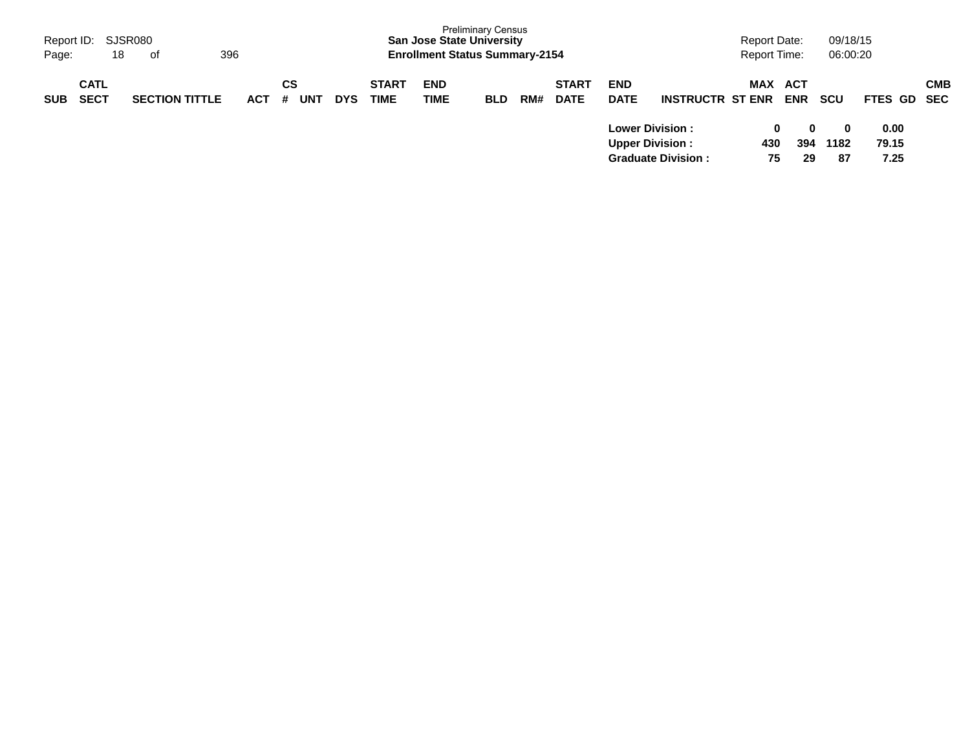| Page:      | Report ID: SJSR080<br>18   | 396<br>of             |            |         |     |            |                             | <b>San Jose State University</b><br><b>Enrollment Status Summary-2154</b> | <b>Preliminary Census</b> |     |                             |                                                   |                           | <b>Report Time:</b> | <b>Report Date:</b>      | 09/18/15<br>06:00:20                   |                       |            |
|------------|----------------------------|-----------------------|------------|---------|-----|------------|-----------------------------|---------------------------------------------------------------------------|---------------------------|-----|-----------------------------|---------------------------------------------------|---------------------------|---------------------|--------------------------|----------------------------------------|-----------------------|------------|
| <b>SUB</b> | <b>CATL</b><br><b>SECT</b> | <b>SECTION TITTLE</b> | <b>ACT</b> | СS<br># | UNT | <b>DYS</b> | <b>START</b><br><b>TIME</b> | <b>END</b><br><b>TIME</b>                                                 | <b>BLD</b>                | RM# | <b>START</b><br><b>DATE</b> | <b>END</b><br><b>DATE</b>                         | <b>INSTRUCTR ST ENR</b>   | <b>MAX</b>          | <b>ACT</b><br><b>ENR</b> | <b>SCU</b>                             | FTES GD SEC           | <b>CMB</b> |
|            |                            |                       |            |         |     |            |                             |                                                                           |                           |     |                             | <b>Lower Division :</b><br><b>Upper Division:</b> | <b>Graduate Division:</b> | 430                 | 0<br>394<br>75<br>29     | $\mathbf{0}$<br>$\bf{0}$<br>1182<br>87 | 0.00<br>79.15<br>7.25 |            |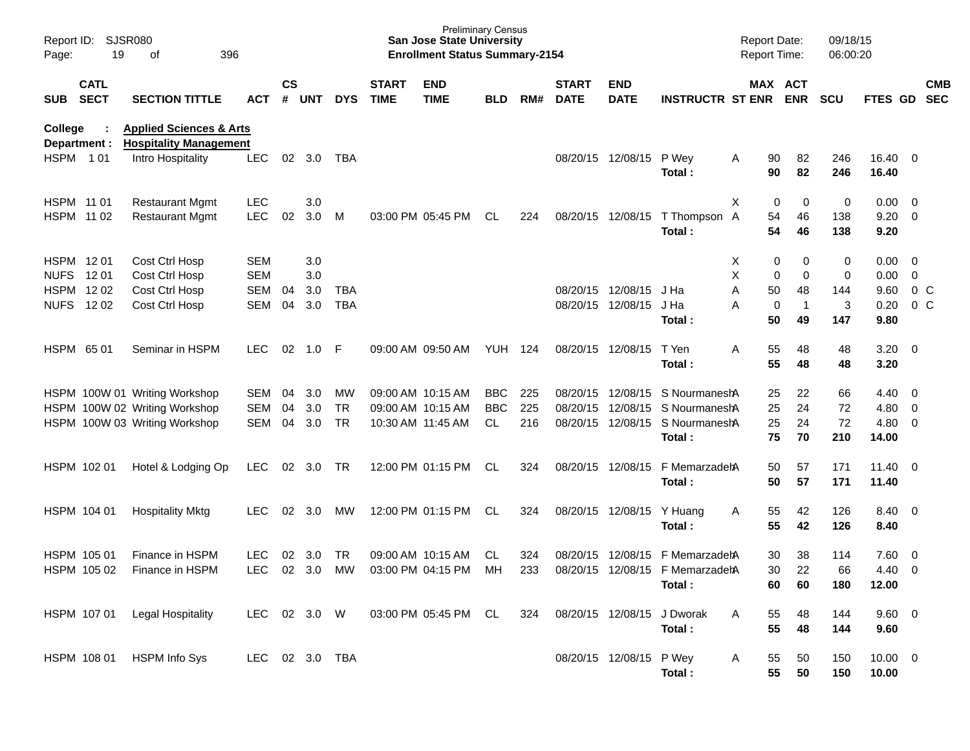| Report ID:<br>Page:            | <b>SJSR080</b><br>19       | 396<br>of                                                           |                |                    |            |            |                             | <b>Preliminary Census</b><br><b>San Jose State University</b><br><b>Enrollment Status Summary-2154</b> |                |     |                             |                           |                                 | <b>Report Date:</b><br>Report Time: |                       | 09/18/15<br>06:00:20 |                       |                          |                          |
|--------------------------------|----------------------------|---------------------------------------------------------------------|----------------|--------------------|------------|------------|-----------------------------|--------------------------------------------------------------------------------------------------------|----------------|-----|-----------------------------|---------------------------|---------------------------------|-------------------------------------|-----------------------|----------------------|-----------------------|--------------------------|--------------------------|
| SUB                            | <b>CATL</b><br><b>SECT</b> | <b>SECTION TITTLE</b>                                               | <b>ACT</b>     | $\mathsf{cs}$<br># | <b>UNT</b> | <b>DYS</b> | <b>START</b><br><b>TIME</b> | <b>END</b><br><b>TIME</b>                                                                              | <b>BLD</b>     | RM# | <b>START</b><br><b>DATE</b> | <b>END</b><br><b>DATE</b> | <b>INSTRUCTR ST ENR</b>         |                                     | MAX ACT<br><b>ENR</b> | <b>SCU</b>           | FTES GD               |                          | <b>CMB</b><br><b>SEC</b> |
| <b>College</b><br>Department : |                            | <b>Applied Sciences &amp; Arts</b><br><b>Hospitality Management</b> |                |                    |            |            |                             |                                                                                                        |                |     |                             |                           |                                 |                                     |                       |                      |                       |                          |                          |
| HSPM 101                       |                            | Intro Hospitality                                                   | <b>LEC</b>     |                    | 02 3.0     | TBA        |                             |                                                                                                        |                |     |                             | 08/20/15 12/08/15         | P Wey<br>Total:                 | 90<br>Α<br>90                       | 82<br>82              | 246<br>246           | 16.40 0<br>16.40      |                          |                          |
| HSPM 11 01                     |                            | <b>Restaurant Mgmt</b>                                              | <b>LEC</b>     |                    | 3.0        |            |                             |                                                                                                        |                |     |                             |                           |                                 | Χ<br>0                              | 0                     | 0                    | $0.00 \t 0$           |                          |                          |
| HSPM 11 02                     |                            | <b>Restaurant Mgmt</b>                                              | <b>LEC</b>     | 02                 | 3.0        | M          |                             | 03:00 PM 05:45 PM                                                                                      | CL             | 224 |                             | 08/20/15 12/08/15         | T Thompson A<br>Total:          | 54<br>54                            | 46<br>46              | 138<br>138           | $9.20 \ 0$<br>9.20    |                          |                          |
| HSPM 1201                      |                            | Cost Ctrl Hosp                                                      | <b>SEM</b>     |                    | 3.0        |            |                             |                                                                                                        |                |     |                             |                           |                                 | Χ                                   | 0<br>0                | 0                    | 0.00                  | $\overline{\phantom{0}}$ |                          |
| <b>NUFS</b>                    | 12 01                      | Cost Ctrl Hosp                                                      | <b>SEM</b>     |                    | 3.0        |            |                             |                                                                                                        |                |     |                             |                           |                                 | X                                   | 0<br>0                | $\pmb{0}$            | 0.00                  | $\overline{0}$           |                          |
| HSPM 1202                      |                            | Cost Ctrl Hosp                                                      | <b>SEM</b>     | 04                 | 3.0        | <b>TBA</b> |                             |                                                                                                        |                |     |                             | 08/20/15 12/08/15         | J Ha                            | Α<br>50                             | 48                    | 144                  | 9.60                  | $0\,C$                   |                          |
| <b>NUFS 1202</b>               |                            | Cost Ctrl Hosp                                                      | <b>SEM</b>     | 04                 | 3.0        | <b>TBA</b> |                             |                                                                                                        |                |     |                             | 08/20/15 12/08/15         | J Ha<br>Total:                  | Α<br>0<br>50                        | 1<br>49               | 3<br>147             | 0.20<br>9.80          | $0\,C$                   |                          |
| HSPM 6501                      |                            | Seminar in HSPM                                                     | <b>LEC</b>     | 02                 | 1.0        | F          |                             | 09:00 AM 09:50 AM                                                                                      | <b>YUH 124</b> |     |                             | 08/20/15 12/08/15         | T Yen<br>Total:                 | 55<br>Α<br>55                       | 48<br>48              | 48<br>48             | $3.20 \ 0$<br>3.20    |                          |                          |
|                                |                            | HSPM 100W 01 Writing Workshop                                       | SEM            | 04                 | 3.0        | MW         |                             | 09:00 AM 10:15 AM                                                                                      | <b>BBC</b>     | 225 |                             | 08/20/15 12/08/15         | S NourmaneshA                   | 25                                  | 22                    | 66                   | 4.40                  | $\overline{\phantom{0}}$ |                          |
|                                |                            | HSPM 100W 02 Writing Workshop                                       | <b>SEM</b>     | 04                 | 3.0        | <b>TR</b>  |                             | 09:00 AM 10:15 AM                                                                                      | <b>BBC</b>     | 225 | 08/20/15                    | 12/08/15                  | S NourmaneshA                   | 25                                  | 24                    | 72                   | 4.80 0                |                          |                          |
|                                |                            | HSPM 100W 03 Writing Workshop                                       | <b>SEM</b>     | 04                 | 3.0        | <b>TR</b>  |                             | 10:30 AM 11:45 AM                                                                                      | <b>CL</b>      | 216 |                             |                           | 08/20/15 12/08/15 S NourmaneshA | 25                                  | 24                    | 72                   | $4.80$ 0              |                          |                          |
|                                |                            |                                                                     |                |                    |            |            |                             |                                                                                                        |                |     |                             |                           | Total:                          | 75                                  | 70                    | 210                  | 14.00                 |                          |                          |
|                                | HSPM 102 01                | Hotel & Lodging Op                                                  | <b>LEC</b>     | 02                 | 3.0        | <b>TR</b>  |                             | 12:00 PM 01:15 PM                                                                                      | CL             | 324 |                             | 08/20/15 12/08/15         | F MemarzadehA<br>Total:         | 50<br>50                            | 57<br>57              | 171<br>171           | $11.40 \t 0$<br>11.40 |                          |                          |
|                                | HSPM 104 01                | <b>Hospitality Mktg</b>                                             | LEC            | 02                 | 3.0        | MW         |                             | 12:00 PM 01:15 PM                                                                                      | CL             | 324 |                             | 08/20/15 12/08/15         | Y Huang<br>Total:               | 55<br>Α<br>55                       | 42<br>42              | 126<br>126           | 8.40 0<br>8.40        |                          |                          |
|                                | HSPM 105 01                | Finance in HSPM                                                     | <b>LEC</b>     | 02                 | 3.0        | <b>TR</b>  |                             | 09:00 AM 10:15 AM                                                                                      | CL.            | 324 | 08/20/15                    | 12/08/15                  | F MemarzadehA                   | 30                                  | 38                    | 114                  | 7.60                  | $\overline{\phantom{0}}$ |                          |
|                                | HSPM 105 02                | Finance in HSPM                                                     | <b>LEC</b>     |                    | 02 3.0     | MW         |                             | 03:00 PM 04:15 PM                                                                                      | МH             | 233 |                             |                           | 08/20/15 12/08/15 F MemarzadehA | 30                                  | 22                    | 66                   | 4.40                  | $\overline{0}$           |                          |
|                                |                            |                                                                     |                |                    |            |            |                             |                                                                                                        |                |     |                             |                           | Total:                          | 60                                  | 60                    | 180                  | 12.00                 |                          |                          |
|                                | HSPM 107 01                | <b>Legal Hospitality</b>                                            | LEC            |                    | 02 3.0 W   |            |                             | 03:00 PM 05:45 PM CL                                                                                   |                | 324 | 08/20/15 12/08/15           |                           | J Dworak<br>Total:              | 55<br>A<br>55                       | 48<br>48              | 144<br>144           | 9.60 0<br>9.60        |                          |                          |
|                                | HSPM 108 01                | <b>HSPM Info Sys</b>                                                | LEC 02 3.0 TBA |                    |            |            |                             |                                                                                                        |                |     |                             | 08/20/15 12/08/15 P Wey   | Total:                          | 55<br>A<br>55                       | 50<br>50              | 150<br>150           | $10.00 \t 0$<br>10.00 |                          |                          |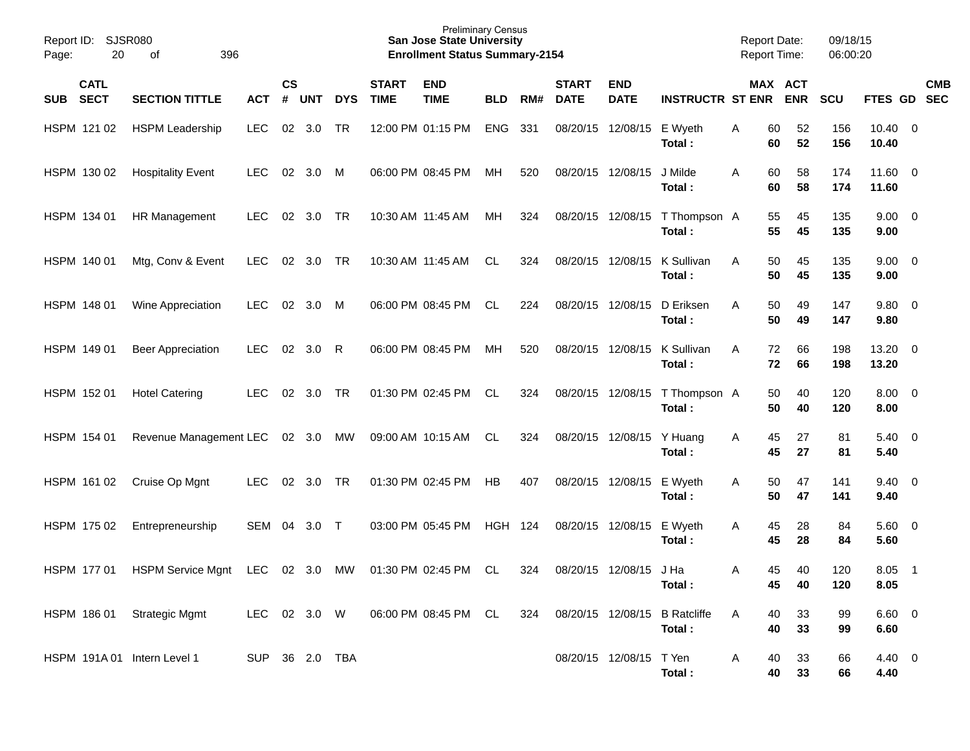| Report ID:<br>20<br>Page:                | SJSR080<br>οf<br>396             |                |               |          |            |                             | <b>Preliminary Census</b><br><b>San Jose State University</b><br><b>Enrollment Status Summary-2154</b> |            |     |                             |                           |                              | <b>Report Date:</b> | <b>Report Time:</b>   | 09/18/15<br>06:00:20 |                        |                            |
|------------------------------------------|----------------------------------|----------------|---------------|----------|------------|-----------------------------|--------------------------------------------------------------------------------------------------------|------------|-----|-----------------------------|---------------------------|------------------------------|---------------------|-----------------------|----------------------|------------------------|----------------------------|
| <b>CATL</b><br><b>SECT</b><br><b>SUB</b> | <b>SECTION TITTLE</b>            | <b>ACT</b>     | $\mathsf{cs}$ | # UNT    | <b>DYS</b> | <b>START</b><br><b>TIME</b> | <b>END</b><br><b>TIME</b>                                                                              | <b>BLD</b> | RM# | <b>START</b><br><b>DATE</b> | <b>END</b><br><b>DATE</b> | <b>INSTRUCTR ST ENR</b>      |                     | MAX ACT<br><b>ENR</b> | <b>SCU</b>           |                        | <b>CMB</b><br>FTES GD SEC  |
| HSPM 121 02                              | <b>HSPM Leadership</b>           | <b>LEC</b>     | 02            | 3.0      | <b>TR</b>  |                             | 12:00 PM 01:15 PM                                                                                      | <b>ENG</b> | 331 |                             | 08/20/15 12/08/15         | E Wyeth<br>Total:            | Α                   | 60<br>52<br>52<br>60  | 156<br>156           | $10.40 \t 0$<br>10.40  |                            |
| HSPM 130 02                              | <b>Hospitality Event</b>         | <b>LEC</b>     | 02            | 3.0 M    |            |                             | 06:00 PM 08:45 PM                                                                                      | MН         | 520 | 08/20/15 12/08/15           |                           | J Milde<br>Total:            | A                   | 60<br>58<br>60<br>58  | 174<br>174           | $11.60 \t 0$<br>11.60  |                            |
| HSPM 134 01                              | HR Management                    | <b>LEC</b>     | 02            | 3.0      | <b>TR</b>  |                             | 10:30 AM 11:45 AM                                                                                      | MH         | 324 |                             | 08/20/15 12/08/15         | T Thompson A<br>Total:       |                     | 55<br>45<br>55<br>45  | 135<br>135           | $9.00 \t 0$<br>9.00    |                            |
| HSPM 140 01                              | Mtg, Conv & Event                | <b>LEC</b>     | 02            | 3.0      | <b>TR</b>  |                             | 10:30 AM 11:45 AM                                                                                      | CL         | 324 | 08/20/15 12/08/15           |                           | K Sullivan<br>Total:         | A                   | 50<br>45<br>50<br>45  | 135<br>135           | $9.00 \t 0$<br>9.00    |                            |
| HSPM 148 01                              | Wine Appreciation                | <b>LEC</b>     | 02            | 3.0 M    |            |                             | 06:00 PM 08:45 PM                                                                                      | CL         | 224 | 08/20/15 12/08/15           |                           | D Eriksen<br>Total:          | A                   | 50<br>49<br>50<br>49  | 147<br>147           | $9.80\ 0$<br>9.80      |                            |
| HSPM 149 01                              | <b>Beer Appreciation</b>         | <b>LEC</b>     | 02            | 3.0      | R          |                             | 06:00 PM 08:45 PM                                                                                      | МH         | 520 |                             | 08/20/15 12/08/15         | K Sullivan<br>Total:         | A                   | 66<br>72<br>72<br>66  | 198<br>198           | 13.20 0<br>13.20       |                            |
| HSPM 152 01                              | <b>Hotel Catering</b>            | <b>LEC</b>     | 02            | 3.0      | <b>TR</b>  |                             | 01:30 PM 02:45 PM                                                                                      | CL         | 324 |                             | 08/20/15 12/08/15         | T Thompson A<br>Total:       |                     | 40<br>50<br>50<br>40  | 120<br>120           | $8.00 \t 0$<br>8.00    |                            |
| HSPM 154 01                              | Revenue Management LEC 02 3.0 MW |                |               |          |            |                             | 09:00 AM 10:15 AM                                                                                      | CL         | 324 |                             | 08/20/15 12/08/15         | Y Huang<br>Total:            | Α                   | 45<br>27<br>45<br>27  | 81<br>81             | $5.40 \ 0$<br>5.40     |                            |
| HSPM 161 02                              | Cruise Op Mgnt                   | <b>LEC</b>     | 02            | 3.0      | TR         |                             | 01:30 PM 02:45 PM                                                                                      | HB         | 407 |                             | 08/20/15 12/08/15         | E Wyeth<br>Total:            | Α                   | 50<br>47<br>50<br>47  | 141<br>141           | $9.40 \quad 0$<br>9.40 |                            |
| HSPM 175 02                              | Entrepreneurship                 | SEM            | 04            | 3.0      | $\top$     |                             | 03:00 PM 05:45 PM                                                                                      | HGH        | 124 |                             | 08/20/15 12/08/15         | E Wyeth<br>Total:            | A                   | 45<br>28<br>45<br>28  | 84<br>84             | $5.60 \quad 0$<br>5.60 |                            |
| HSPM 177 01                              | <b>HSPM Service Mgnt</b>         | LEC            |               | 02 3.0   | MW         |                             | 01:30 PM 02:45 PM                                                                                      | CL         | 324 |                             | 08/20/15 12/08/15 J Ha    | Total:                       | Α                   | 40<br>45<br>45<br>40  | 120<br>120           | 8.05<br>8.05           | $\overline{\phantom{0}}$ 1 |
| HSPM 186 01                              | <b>Strategic Mgmt</b>            | LEC            |               | 02 3.0 W |            |                             | 06:00 PM 08:45 PM CL                                                                                   |            | 324 | 08/20/15 12/08/15           |                           | <b>B</b> Ratcliffe<br>Total: | A                   | 33<br>40<br>40<br>33  | 99<br>99             | $6.60$ 0<br>6.60       |                            |
| HSPM 191A 01 Intern Level 1              |                                  | SUP 36 2.0 TBA |               |          |            |                             |                                                                                                        |            |     |                             | 08/20/15 12/08/15         | T Yen<br>Total:              | Α                   | 33<br>40<br>40<br>33  | 66<br>66             | 4.40 0<br>4.40         |                            |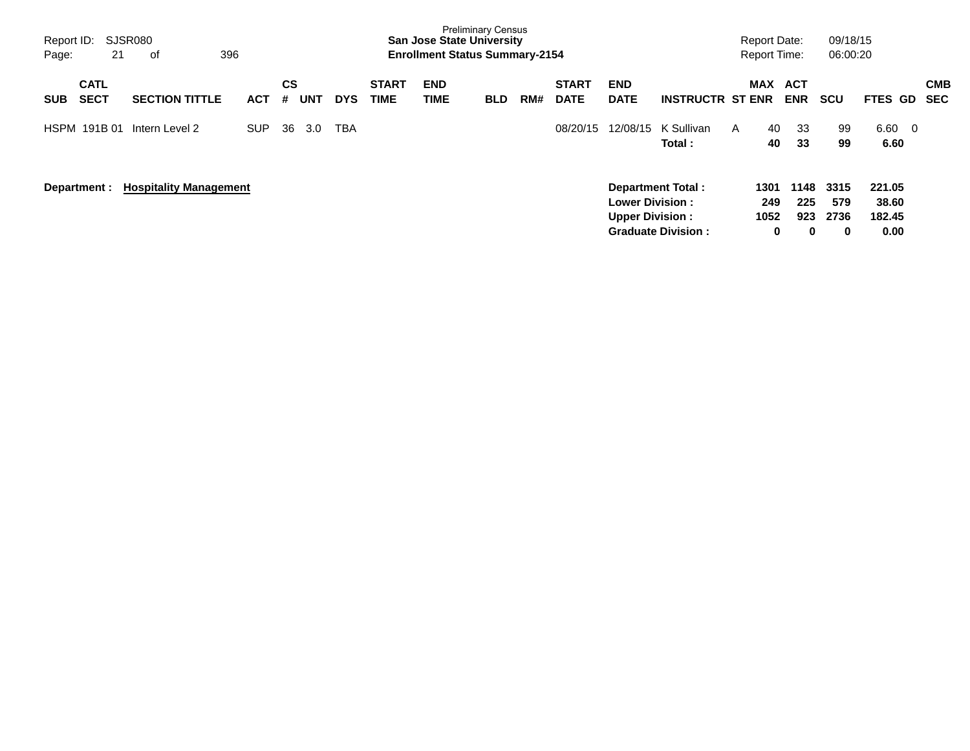| Report ID:<br>21<br>Page:                | SJSR080<br>396<br>оf          |            |         |     |            |                             | <b>San Jose State University</b><br><b>Enrollment Status Summary-2154</b> | <b>Preliminary Census</b> |     |                             |                                                  |                                                       |              | <b>Report Date:</b><br><b>Report Time:</b> |                         | 09/18/15<br>06:00:20            |                                   |                   |
|------------------------------------------|-------------------------------|------------|---------|-----|------------|-----------------------------|---------------------------------------------------------------------------|---------------------------|-----|-----------------------------|--------------------------------------------------|-------------------------------------------------------|--------------|--------------------------------------------|-------------------------|---------------------------------|-----------------------------------|-------------------|
| <b>CATL</b><br><b>SECT</b><br><b>SUB</b> | <b>SECTION TITTLE</b>         | <b>ACT</b> | CS<br># | UNT | <b>DYS</b> | <b>START</b><br><b>TIME</b> | <b>END</b><br><b>TIME</b>                                                 | <b>BLD</b>                | RM# | <b>START</b><br><b>DATE</b> | <b>END</b><br><b>DATE</b>                        | <b>INSTRUCTR ST ENR</b>                               |              | <b>MAX</b>                                 | ACT<br><b>ENR</b>       | <b>SCU</b>                      | <b>FTES GD</b>                    | <b>CMB</b><br>SEC |
| HSPM 191B 01                             | Intern Level 2                | <b>SUP</b> | 36      | 3.0 | <b>TBA</b> |                             |                                                                           |                           |     | 08/20/15                    | 12/08/15                                         | K Sullivan<br>Total:                                  | $\mathsf{A}$ | 40<br>40                                   | 33<br>33                | 99<br>99                        | $6.60 \quad 0$<br>6.60            |                   |
| Department :                             | <b>Hospitality Management</b> |            |         |     |            |                             |                                                                           |                           |     |                             | <b>Lower Division:</b><br><b>Upper Division:</b> | <b>Department Total:</b><br><b>Graduate Division:</b> |              | 1301<br>249<br>1052<br>$\mathbf 0$         | 1148<br>225<br>923<br>0 | 3315<br>579<br>2736<br>$\bf{0}$ | 221.05<br>38.60<br>182.45<br>0.00 |                   |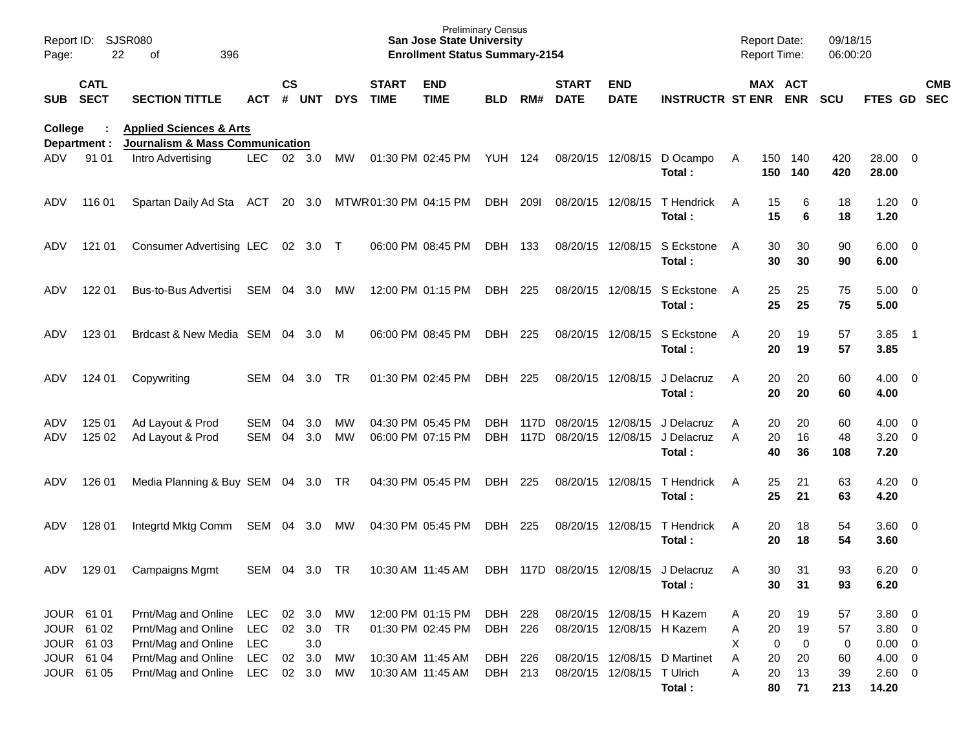| Report ID:<br>Page:                    | 22                         | <b>SJSR080</b><br>396<br>оf                                                      |                          |               |                         |                 |                                        | <b>Preliminary Census</b><br><b>San Jose State University</b><br><b>Enrollment Status Summary-2154</b> |                    |              |                                        |                                                        |                                                 |              | <b>Report Date:</b><br><b>Report Time:</b> |                         | 09/18/15<br>06:00:20 |                                       |                          |            |
|----------------------------------------|----------------------------|----------------------------------------------------------------------------------|--------------------------|---------------|-------------------------|-----------------|----------------------------------------|--------------------------------------------------------------------------------------------------------|--------------------|--------------|----------------------------------------|--------------------------------------------------------|-------------------------------------------------|--------------|--------------------------------------------|-------------------------|----------------------|---------------------------------------|--------------------------|------------|
| <b>SUB</b>                             | <b>CATL</b><br><b>SECT</b> | <b>SECTION TITTLE</b>                                                            | <b>ACT</b>               | $\mathsf{cs}$ | # UNT                   | <b>DYS</b>      | <b>START</b><br><b>TIME</b>            | <b>END</b><br><b>TIME</b>                                                                              | <b>BLD</b>         | RM#          | <b>START</b><br><b>DATE</b>            | <b>END</b><br><b>DATE</b>                              | <b>INSTRUCTR ST ENR ENR</b>                     |              | MAX ACT                                    |                         | <b>SCU</b>           | FTES GD SEC                           |                          | <b>CMB</b> |
| College<br>Department :                |                            | <b>Applied Sciences &amp; Arts</b><br><b>Journalism &amp; Mass Communication</b> |                          |               |                         |                 |                                        |                                                                                                        |                    |              |                                        |                                                        |                                                 |              |                                            |                         |                      |                                       |                          |            |
| ADV.                                   | 91 01                      | Intro Advertising                                                                | LEC.                     |               | 02 3.0                  | MW              |                                        | 01:30 PM 02:45 PM                                                                                      | YUH 124            |              | 08/20/15 12/08/15                      |                                                        | D Ocampo<br>Total:                              | A            | 150                                        | 140<br>150 140          | 420<br>420           | 28.00 0<br>28.00                      |                          |            |
| ADV                                    | 116 01                     | Spartan Daily Ad Sta ACT                                                         |                          |               | 20 3.0                  |                 |                                        | MTWR01:30 PM 04:15 PM                                                                                  | DBH                | 209I         | 08/20/15 12/08/15                      |                                                        | T Hendrick<br>Total:                            | A            | 15<br>15                                   | 6<br>6                  | 18<br>18             | 1.20<br>1.20                          | $\overline{\phantom{0}}$ |            |
| ADV                                    | 121 01                     | Consumer Advertising LEC 02 3.0 T                                                |                          |               |                         |                 |                                        | 06:00 PM 08:45 PM                                                                                      | DBH 133            |              |                                        | 08/20/15 12/08/15                                      | S Eckstone<br>Total:                            | $\mathsf{A}$ | 30<br>30                                   | 30<br>30                | 90<br>90             | $6.00 \quad 0$<br>6.00                |                          |            |
| ADV                                    | 122 01                     | Bus-to-Bus Advertisi                                                             | SEM                      | 04            | 3.0                     | MW              |                                        | 12:00 PM 01:15 PM                                                                                      | DBH                | 225          |                                        | 08/20/15 12/08/15                                      | S Eckstone<br>Total:                            | $\mathsf{A}$ | 25<br>25                                   | 25<br>25                | 75<br>75             | $5.00 \quad 0$<br>5.00                |                          |            |
| ADV                                    | 123 01                     | Brdcast & New Media SEM 04                                                       |                          |               | 3.0                     | M               |                                        | 06:00 PM 08:45 PM                                                                                      | DBH                | 225          |                                        | 08/20/15 12/08/15                                      | S Eckstone<br>Total:                            | $\mathsf{A}$ | 20<br>20                                   | 19<br>19                | 57<br>57             | 3.85<br>3.85                          | $\overline{\phantom{1}}$ |            |
| ADV                                    | 124 01                     | Copywriting                                                                      | SEM                      | 04            | 3.0                     | TR.             |                                        | 01:30 PM 02:45 PM                                                                                      | DBH                | 225          | 08/20/15 12/08/15                      |                                                        | J Delacruz<br>Total:                            | A            | 20<br>20                                   | 20<br>20                | 60<br>60             | $4.00 \ 0$<br>4.00                    |                          |            |
| ADV<br>ADV                             | 125 01<br>125 02           | Ad Layout & Prod<br>Ad Layout & Prod                                             | SEM<br>SEM               | 04<br>04      | 3.0<br>3.0              | МW<br><b>MW</b> |                                        | 04:30 PM 05:45 PM<br>06:00 PM 07:15 PM                                                                 | DBH.<br><b>DBH</b> | 117D<br>117D | 08/20/15 12/08/15<br>08/20/15 12/08/15 |                                                        | J Delacruz<br>J Delacruz<br>Total:              | A<br>A       | 20<br>20<br>40                             | 20<br>16<br>36          | 60<br>48<br>108      | 4.00<br>$3.20 \ 0$<br>7.20            | $\overline{\phantom{0}}$ |            |
| ADV                                    | 126 01                     | Media Planning & Buy SEM 04 3.0 TR                                               |                          |               |                         |                 |                                        | 04:30 PM 05:45 PM                                                                                      | DBH                | 225          | 08/20/15 12/08/15                      |                                                        | T Hendrick<br>Total:                            | A            | 25<br>25                                   | 21<br>21                | 63<br>63             | 4.20<br>4.20                          | $\overline{\phantom{0}}$ |            |
| ADV                                    | 128 01                     | Integrtd Mktg Comm                                                               | SEM 04                   |               | 3.0                     | МW              |                                        | 04:30 PM 05:45 PM                                                                                      | DBH                | 225          | 08/20/15 12/08/15                      |                                                        | T Hendrick<br>Total:                            | A            | 20<br>20                                   | 18<br>18                | 54<br>54             | $3.60 \quad 0$<br>3.60                |                          |            |
| ADV                                    | 129 01                     | <b>Campaigns Mgmt</b>                                                            | SEM 04                   |               | 3.0                     | <b>TR</b>       |                                        | 10:30 AM 11:45 AM                                                                                      |                    |              |                                        |                                                        | DBH 117D 08/20/15 12/08/15 J Delacruz<br>Total: | A            | 30<br>30                                   | 31<br>31                | 93<br>93             | 6.20<br>6.20                          | $\overline{\phantom{0}}$ |            |
| JOUR 61 01<br>JOUR 61 02<br>JOUR 61 03 |                            | Prnt/Mag and Online<br>Prnt/Mag and Online<br>Prnt/Mag and Online                | <b>LEC</b><br>LEC<br>LEC |               | 02 3.0<br>02 3.0<br>3.0 | MW<br>TR        |                                        | 12:00 PM 01:15 PM<br>01:30 PM 02:45 PM                                                                 | DBH 228<br>DBH 226 |              |                                        | 08/20/15 12/08/15 H Kazem<br>08/20/15 12/08/15 H Kazem |                                                 | A<br>A<br>X  | 20<br>20<br>0                              | 19<br>19<br>$\mathbf 0$ | 57<br>57<br>0        | $3.80\ 0$<br>$3.80\ 0$<br>$0.00 \t 0$ |                          |            |
| JOUR 61 04<br>JOUR 61 05               |                            | Prnt/Mag and Online<br>Prnt/Mag and Online                                       | LEC<br><b>LEC</b>        |               | 02 3.0<br>02 3.0        | MW<br>MW        | 10:30 AM 11:45 AM<br>10:30 AM 11:45 AM |                                                                                                        | DBH 226<br>DBH 213 |              |                                        | 08/20/15 12/08/15 T Ulrich                             | 08/20/15 12/08/15 D Martinet<br>Total:          | Α<br>A       | 20<br>20<br>80                             | 20<br>13<br>71          | 60<br>39<br>213      | $4.00 \t 0$<br>$2.60 \t 0$<br>14.20   |                          |            |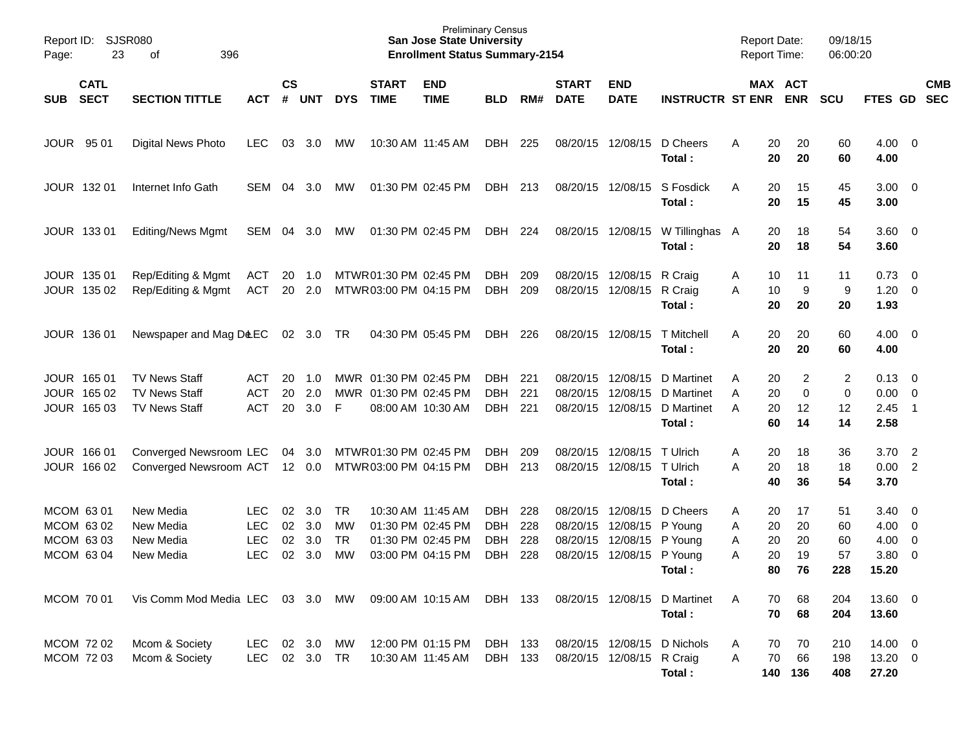| Report ID:<br>23<br>Page:                            | SJSR080<br>396<br>οf                                                 |                                               |                      |                          |                                    |                                                  | <b>San Jose State University</b><br><b>Enrollment Status Summary-2154</b>        | <b>Preliminary Census</b>                      |                          |                                              |                                                        |                                                                    | <b>Report Date:</b><br><b>Report Time:</b> |                            |                              | 09/18/15<br>06:00:20            |                                       |                                                                                          |                          |
|------------------------------------------------------|----------------------------------------------------------------------|-----------------------------------------------|----------------------|--------------------------|------------------------------------|--------------------------------------------------|----------------------------------------------------------------------------------|------------------------------------------------|--------------------------|----------------------------------------------|--------------------------------------------------------|--------------------------------------------------------------------|--------------------------------------------|----------------------------|------------------------------|---------------------------------|---------------------------------------|------------------------------------------------------------------------------------------|--------------------------|
| <b>CATL</b><br><b>SECT</b><br><b>SUB</b>             | <b>SECTION TITTLE</b>                                                | <b>ACT</b>                                    | $\mathsf{cs}$<br>#   | <b>UNT</b>               | <b>DYS</b>                         | <b>START</b><br><b>TIME</b>                      | <b>END</b><br><b>TIME</b>                                                        | <b>BLD</b>                                     | RM#                      | <b>START</b><br><b>DATE</b>                  | <b>END</b><br><b>DATE</b>                              | <b>INSTRUCTR ST ENR</b>                                            |                                            | MAX ACT                    | <b>ENR</b>                   | <b>SCU</b>                      | FTES GD                               |                                                                                          | <b>CMB</b><br><b>SEC</b> |
| JOUR 95 01                                           | <b>Digital News Photo</b>                                            | <b>LEC</b>                                    | 03                   | 3.0                      | МW                                 |                                                  | 10:30 AM 11:45 AM                                                                | DBH                                            | 225                      |                                              | 08/20/15 12/08/15                                      | D Cheers<br>Total:                                                 | A                                          | 20<br>20                   | 20<br>20                     | 60<br>60                        | $4.00 \ 0$<br>4.00                    |                                                                                          |                          |
| JOUR 132 01                                          | Internet Info Gath                                                   | SEM                                           | 04                   | 3.0                      | МW                                 |                                                  | 01:30 PM 02:45 PM                                                                | DBH                                            | 213                      |                                              | 08/20/15 12/08/15                                      | S Fosdick<br>Total:                                                | A                                          | 20<br>20                   | 15<br>15                     | 45<br>45                        | $3.00 \ 0$<br>3.00                    |                                                                                          |                          |
| JOUR 133 01                                          | <b>Editing/News Mgmt</b>                                             | SEM                                           | 04                   | 3.0                      | MW                                 |                                                  | 01:30 PM 02:45 PM                                                                | DBH                                            | 224                      |                                              | 08/20/15 12/08/15                                      | W Tillinghas A<br>Total:                                           |                                            | 20<br>20                   | 18<br>18                     | 54<br>54                        | $3.60 \ 0$<br>3.60                    |                                                                                          |                          |
| JOUR 135 01<br>JOUR 135 02                           | Rep/Editing & Mgmt<br>Rep/Editing & Mgmt                             | ACT<br><b>ACT</b>                             | 20<br>20             | 1.0<br>2.0               |                                    | MTWR01:30 PM 02:45 PM<br>MTWR03:00 PM 04:15 PM   |                                                                                  | <b>DBH</b><br>DBH                              | 209<br>209               |                                              | 08/20/15 12/08/15 R Craig<br>08/20/15 12/08/15 R Craig | Total:                                                             | A<br>A                                     | 10<br>10<br>20             | 11<br>9<br>20                | 11<br>9<br>20                   | 0.73<br>1.20<br>1.93                  | $\overline{\phantom{0}}$<br>$\overline{\phantom{0}}$                                     |                          |
| JOUR 136 01                                          | Newspaper and Mag D&EC                                               |                                               |                      | 02 3.0                   | TR                                 |                                                  | 04:30 PM 05:45 PM                                                                | DBH                                            | 226                      |                                              | 08/20/15 12/08/15                                      | T Mitchell<br>Total:                                               | A                                          | 20<br>20                   | 20<br>20                     | 60<br>60                        | $4.00 \ 0$<br>4.00                    |                                                                                          |                          |
| JOUR 165 01<br>JOUR 165 02<br>JOUR 165 03            | <b>TV News Staff</b><br><b>TV News Staff</b><br><b>TV News Staff</b> | ACT<br><b>ACT</b><br><b>ACT</b>               | 20<br>20<br>20       | 1.0<br>2.0<br>3.0        | -F                                 | MWR 01:30 PM 02:45 PM<br>MWR 01:30 PM 02:45 PM   | 08:00 AM 10:30 AM                                                                | DBH.<br><b>DBH</b><br><b>DBH</b>               | 221<br>221<br>221        | 08/20/15<br>08/20/15                         | 12/08/15<br>12/08/15                                   | D Martinet<br>D Martinet<br>08/20/15 12/08/15 D Martinet<br>Total: | Α<br>A<br>Α                                | 20<br>20<br>20<br>60       | 2<br>$\mathbf 0$<br>12<br>14 | $\overline{c}$<br>0<br>12<br>14 | 0.13<br>0.00<br>2.45<br>2.58          | $\overline{\phantom{0}}$<br>$\overline{\phantom{0}}$<br>$\overline{1}$                   |                          |
| JOUR 166 01<br>JOUR 166 02                           | Converged Newsroom LEC<br>Converged Newsroom ACT                     |                                               |                      | 04 3.0<br>12 0.0         |                                    | MTWR 01:30 PM 02:45 PM<br>MTWR 03:00 PM 04:15 PM |                                                                                  | <b>DBH</b><br><b>DBH</b>                       | 209<br>213               | 08/20/15                                     | 12/08/15<br>08/20/15 12/08/15 T Ulrich                 | T Ulrich<br>Total:                                                 | Α<br>A                                     | 20<br>20<br>40             | 18<br>18<br>36               | 36<br>18<br>54                  | 3.70<br>$0.00$ 2<br>3.70              | $\overline{2}$                                                                           |                          |
| MCOM 63 01<br>MCOM 63 02<br>MCOM 63 03<br>MCOM 63 04 | New Media<br>New Media<br>New Media<br>New Media                     | LEC<br><b>LEC</b><br><b>LEC</b><br><b>LEC</b> | 02<br>02<br>02<br>02 | 3.0<br>3.0<br>3.0<br>3.0 | TR<br>MW<br><b>TR</b><br><b>MW</b> |                                                  | 10:30 AM 11:45 AM<br>01:30 PM 02:45 PM<br>01:30 PM 02:45 PM<br>03:00 PM 04:15 PM | DBH.<br><b>DBH</b><br><b>DBH</b><br><b>DBH</b> | 228<br>228<br>228<br>228 | 08/20/15<br>08/20/15<br>08/20/15<br>08/20/15 | 12/08/15<br>12/08/15<br>12/08/15<br>12/08/15           | D Cheers<br>P Young<br>P Young<br>P Young<br>Total:                | A<br>Α<br>Α<br>A                           | 20<br>20<br>20<br>20<br>80 | 17<br>20<br>20<br>19<br>76   | 51<br>60<br>60<br>57<br>228     | 3.40<br>4.00<br>4.00<br>3.80<br>15.20 | $\overline{\phantom{0}}$<br>$\overline{\phantom{0}}$<br>$\overline{0}$<br>$\overline{0}$ |                          |
| MCOM 70 01                                           | Vis Comm Mod Media LEC 03 3.0                                        |                                               |                      |                          | MW                                 |                                                  | 09:00 AM 10:15 AM                                                                | DBH 133                                        |                          |                                              |                                                        | 08/20/15 12/08/15 D Martinet<br>Total:                             | A                                          | 70<br>70                   | 68<br>68                     | 204<br>204                      | 13.60 0<br>13.60                      |                                                                                          |                          |
| MCOM 72 02<br>MCOM 72 03                             | Mcom & Society<br>Mcom & Society                                     | LEC<br>LEC                                    |                      | 02 3.0<br>02 3.0         | МW<br>TR                           |                                                  | 12:00 PM 01:15 PM<br>10:30 AM 11:45 AM                                           | DBH 133<br>DBH 133                             |                          |                                              | 08/20/15 12/08/15 R Craig                              | 08/20/15 12/08/15 D Nichols<br>Total:                              | A<br>Α                                     | 70<br>70<br>140 136        | 70<br>66                     | 210<br>198<br>408               | 14.00 0<br>13.20 0<br>27.20           |                                                                                          |                          |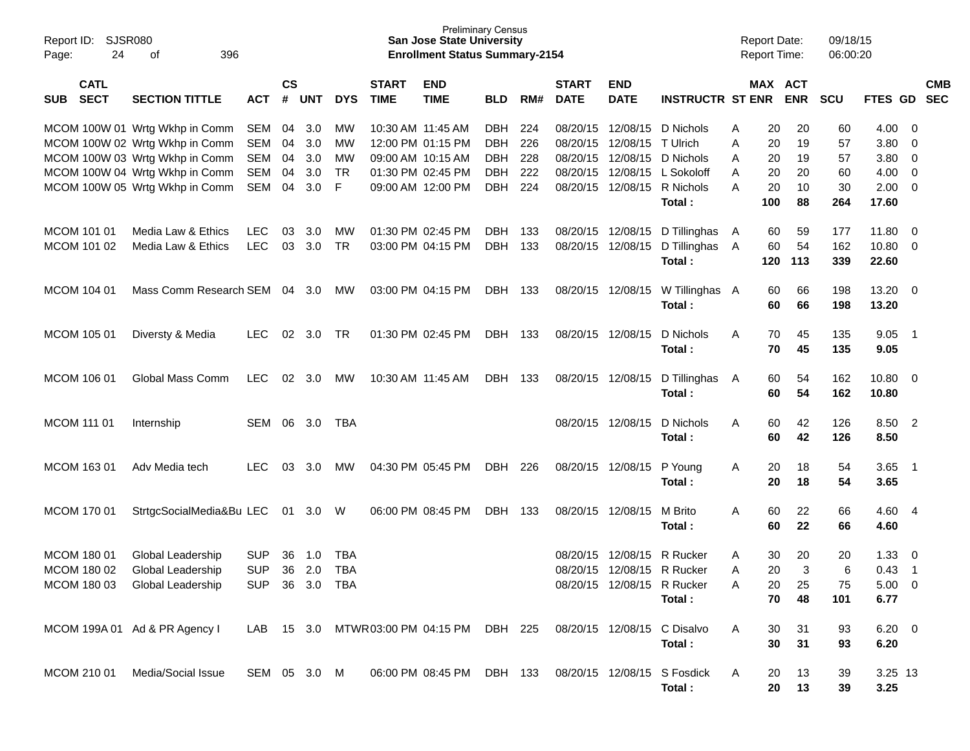| Report ID:<br>24<br>Page:                | <b>SJSR080</b><br>396<br>οf    |              |                             |            |            |                             | <b>Preliminary Census</b><br><b>San Jose State University</b><br><b>Enrollment Status Summary-2154</b> |            |     |                             |                            |                              | <b>Report Date:</b><br><b>Report Time:</b> |           |            | 09/18/15<br>06:00:20 |               |                          |                          |
|------------------------------------------|--------------------------------|--------------|-----------------------------|------------|------------|-----------------------------|--------------------------------------------------------------------------------------------------------|------------|-----|-----------------------------|----------------------------|------------------------------|--------------------------------------------|-----------|------------|----------------------|---------------|--------------------------|--------------------------|
| <b>CATL</b><br><b>SECT</b><br><b>SUB</b> | <b>SECTION TITTLE</b>          | <b>ACT</b>   | $\mathsf{cs}$<br>$\pmb{\#}$ | <b>UNT</b> | <b>DYS</b> | <b>START</b><br><b>TIME</b> | <b>END</b><br><b>TIME</b>                                                                              | <b>BLD</b> | RM# | <b>START</b><br><b>DATE</b> | <b>END</b><br><b>DATE</b>  | <b>INSTRUCTR ST ENR</b>      |                                            | MAX ACT   | <b>ENR</b> | <b>SCU</b>           | FTES GD       |                          | <b>CMB</b><br><b>SEC</b> |
|                                          |                                |              |                             |            |            |                             |                                                                                                        |            |     |                             |                            |                              |                                            |           |            |                      |               |                          |                          |
|                                          | MCOM 100W 01 Wrtg Wkhp in Comm | <b>SEM</b>   | 04                          | 3.0        | MW         | 10:30 AM 11:45 AM           |                                                                                                        | DBH        | 224 | 08/20/15                    | 12/08/15                   | D Nichols                    | A                                          | 20        | 20         | 60                   | 4.00          | - 0                      |                          |
|                                          | MCOM 100W 02 Wrtg Wkhp in Comm | <b>SEM</b>   | 04                          | 3.0        | MW         |                             | 12:00 PM 01:15 PM                                                                                      | DBH        | 226 | 08/20/15                    | 12/08/15 T Ulrich          |                              | Α                                          | 20        | 19         | 57                   | 3.80          | 0                        |                          |
|                                          | MCOM 100W 03 Wrtg Wkhp in Comm | <b>SEM</b>   | 04                          | 3.0        | MW         |                             | 09:00 AM 10:15 AM                                                                                      | DBH        | 228 | 08/20/15                    |                            | 12/08/15 D Nichols           | A                                          | 20        | 19         | 57                   | 3.80          | 0                        |                          |
|                                          | MCOM 100W 04 Wrtg Wkhp in Comm | <b>SEM</b>   | 04                          | 3.0        | <b>TR</b>  |                             | 01:30 PM 02:45 PM                                                                                      | DBH        | 222 | 08/20/15                    |                            | 12/08/15 L Sokoloff          | A                                          | 20        | 20         | 60                   | 4.00          | 0                        |                          |
|                                          | MCOM 100W 05 Wrtg Wkhp in Comm | SEM          | 04                          | 3.0        | F          |                             | 09:00 AM 12:00 PM                                                                                      | DBH        | 224 | 08/20/15                    |                            | 12/08/15 R Nichols<br>Total: | A                                          | 20<br>100 | 10<br>88   | 30<br>264            | 2.00<br>17.60 | - 0                      |                          |
|                                          |                                |              |                             |            |            |                             |                                                                                                        |            |     |                             |                            |                              |                                            |           |            |                      |               |                          |                          |
| MCOM 101 01                              | Media Law & Ethics             | <b>LEC</b>   | 03                          | 3.0        | MW         | 01:30 PM 02:45 PM           |                                                                                                        | <b>DBH</b> | 133 |                             | 08/20/15 12/08/15          | D Tillinghas                 | A                                          | 60        | 59         | 177                  | 11.80         | - 0                      |                          |
| MCOM 101 02                              | Media Law & Ethics             | <b>LEC</b>   |                             | 03 3.0     | <b>TR</b>  |                             | 03:00 PM 04:15 PM                                                                                      | DBH        | 133 | 08/20/15                    | 12/08/15                   | D Tillinghas                 | A                                          | 60        | 54         | 162                  | 10.80         | - 0                      |                          |
|                                          |                                |              |                             |            |            |                             |                                                                                                        |            |     |                             |                            | Total:                       |                                            | 120       | 113        | 339                  | 22.60         |                          |                          |
| MCOM 104 01                              | Mass Comm Research SEM         |              |                             | 04 3.0     | МW         | 03:00 PM 04:15 PM           |                                                                                                        |            |     |                             | 08/20/15 12/08/15          | W Tillinghas A               |                                            |           | 66         | 198                  | 13.20         | - 0                      |                          |
|                                          |                                |              |                             |            |            |                             |                                                                                                        | DBH 133    |     |                             |                            | Total:                       |                                            | 60<br>60  | 66         | 198                  | 13.20         |                          |                          |
|                                          |                                |              |                             |            |            |                             |                                                                                                        |            |     |                             |                            |                              |                                            |           |            |                      |               |                          |                          |
| MCOM 105 01                              | Diversty & Media               | <b>LEC</b>   | 02                          | 3.0        | <b>TR</b>  |                             | 01:30 PM 02:45 PM                                                                                      | DBH        | 133 |                             | 08/20/15 12/08/15          | D Nichols                    | A                                          | 70        | 45         | 135                  | 9.05          | $\overline{\phantom{1}}$ |                          |
|                                          |                                |              |                             |            |            |                             |                                                                                                        |            |     |                             |                            | Total:                       |                                            | 70        | 45         | 135                  | 9.05          |                          |                          |
|                                          |                                |              |                             |            |            |                             |                                                                                                        |            |     |                             |                            |                              |                                            |           |            |                      |               |                          |                          |
| MCOM 106 01                              | Global Mass Comm               | <b>LEC</b>   | 02                          | 3.0        | MW         | 10:30 AM 11:45 AM           |                                                                                                        | DBH        | 133 |                             | 08/20/15 12/08/15          | D Tillinghas                 | A                                          | 60        | 54         | 162                  | 10.80         | - 0                      |                          |
|                                          |                                |              |                             |            |            |                             |                                                                                                        |            |     |                             |                            | Total:                       |                                            | 60        | 54         | 162                  | 10.80         |                          |                          |
| MCOM 111 01                              | Internship                     | SEM          | 06                          | 3.0        | TBA        |                             |                                                                                                        |            |     | 08/20/15                    | 12/08/15                   | D Nichols                    | A                                          | 60        | 42         | 126                  | 8.50 2        |                          |                          |
|                                          |                                |              |                             |            |            |                             |                                                                                                        |            |     |                             |                            | Total:                       |                                            | 60        | 42         | 126                  | 8.50          |                          |                          |
|                                          |                                |              |                             |            |            |                             |                                                                                                        |            |     |                             |                            |                              |                                            |           |            |                      |               |                          |                          |
| MCOM 163 01                              | Adv Media tech                 | <b>LEC</b>   | 03                          | 3.0        | MW         |                             | 04:30 PM 05:45 PM                                                                                      | DBH        | 226 |                             | 08/20/15 12/08/15          | P Young                      | A                                          | 20        | 18         | 54                   | 3.65          | $\overline{\phantom{1}}$ |                          |
|                                          |                                |              |                             |            |            |                             |                                                                                                        |            |     |                             |                            | Total:                       |                                            | 20        | 18         | 54                   | 3.65          |                          |                          |
|                                          |                                |              |                             |            |            |                             |                                                                                                        |            |     |                             |                            |                              |                                            |           |            |                      |               |                          |                          |
| MCOM 170 01                              | StrtgcSocialMedia&Bu LEC       |              |                             | 01 3.0     | - W        |                             | 06:00 PM 08:45 PM                                                                                      | DBH 133    |     |                             | 08/20/15 12/08/15          | M Brito                      | A                                          | 60        | 22         | 66                   | 4.60          | - 4                      |                          |
|                                          |                                |              |                             |            |            |                             |                                                                                                        |            |     |                             |                            | Total:                       |                                            | 60        | 22         | 66                   | 4.60          |                          |                          |
| MCOM 180 01                              | Global Leadership              | <b>SUP</b>   | 36                          | 1.0        | <b>TBA</b> |                             |                                                                                                        |            |     | 08/20/15                    | 12/08/15                   | R Rucker                     | A                                          | 30        | 20         | 20                   | 1.33          | 0                        |                          |
| MCOM 180 02                              | Global Leadership              | <b>SUP</b>   |                             | 36 2.0     | <b>TBA</b> |                             |                                                                                                        |            |     |                             | 08/20/15 12/08/15 R Rucker |                              | A                                          | 20        | 3          | 6                    | 0.43          | $\overline{\mathbf{1}}$  |                          |
|                                          | MCOM 180 03 Global Leadership  | <b>SUP</b>   |                             | 36 3.0 TBA |            |                             |                                                                                                        |            |     |                             | 08/20/15 12/08/15 R Rucker |                              | Α                                          | 20        | 25         | 75                   | 5.00 0        |                          |                          |
|                                          |                                |              |                             |            |            |                             |                                                                                                        |            |     |                             |                            | Total:                       |                                            | 70        | 48         | 101                  | 6.77          |                          |                          |
|                                          |                                |              |                             |            |            |                             |                                                                                                        |            |     |                             |                            |                              |                                            |           |            |                      |               |                          |                          |
|                                          | MCOM 199A 01 Ad & PR Agency I  |              |                             |            |            |                             | LAB 15 3.0 MTWR03:00 PM 04:15 PM DBH 225                                                               |            |     |                             |                            | 08/20/15 12/08/15 C Disalvo  | A                                          | 30        | 31         | 93                   | $6.20 \ 0$    |                          |                          |
|                                          |                                |              |                             |            |            |                             |                                                                                                        |            |     |                             |                            | Total:                       |                                            | 30        | 31         | 93                   | 6.20          |                          |                          |
|                                          |                                |              |                             |            |            |                             |                                                                                                        |            |     |                             |                            |                              |                                            |           |            |                      |               |                          |                          |
| MCOM 210 01                              | Media/Social Issue             | SEM 05 3.0 M |                             |            |            |                             | 06:00 PM 08:45 PM DBH 133 08/20/15 12/08/15 S Fosdick                                                  |            |     |                             |                            |                              | A                                          | 20        | 13         | 39                   | 3.25 13       |                          |                          |
|                                          |                                |              |                             |            |            |                             |                                                                                                        |            |     |                             |                            | Total:                       |                                            | 20        | 13         | 39                   | 3.25          |                          |                          |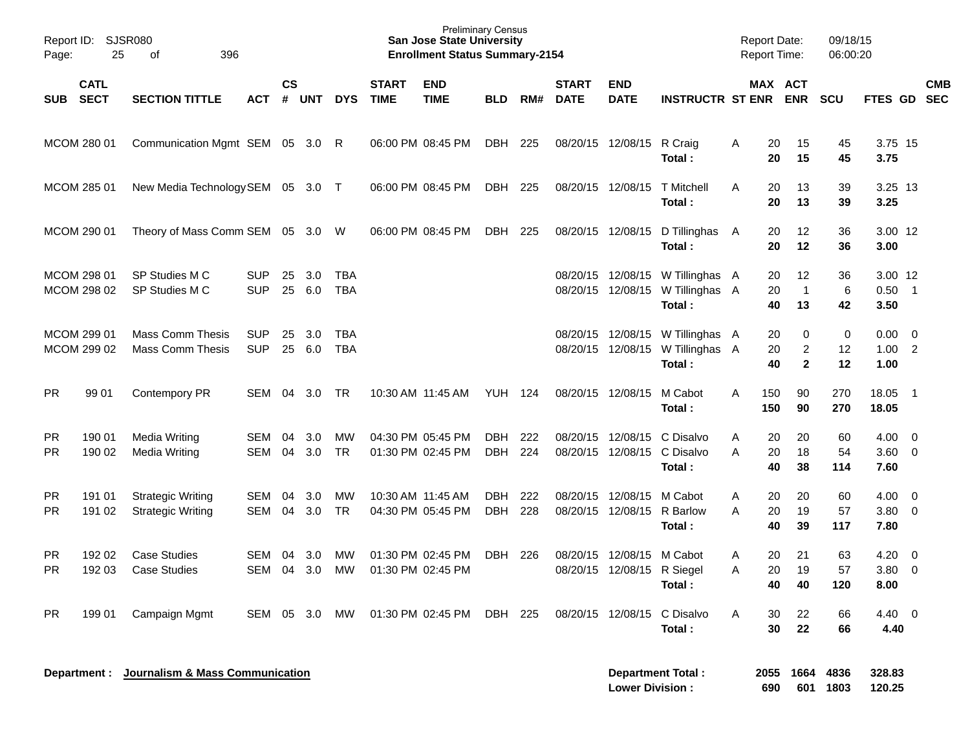| Page:                  | Report ID: SJSR080<br>25   | 396<br>of                                            |                          |                |               |                          |                             | <b>Preliminary Census</b><br><b>San Jose State University</b><br><b>Enrollment Status Summary-2154</b> |                   |            |                             |                                                 |                                                                                |        | <b>Report Date:</b><br>Report Time: |                                     | 09/18/15<br>06:00:20 |                                |                                                     |            |
|------------------------|----------------------------|------------------------------------------------------|--------------------------|----------------|---------------|--------------------------|-----------------------------|--------------------------------------------------------------------------------------------------------|-------------------|------------|-----------------------------|-------------------------------------------------|--------------------------------------------------------------------------------|--------|-------------------------------------|-------------------------------------|----------------------|--------------------------------|-----------------------------------------------------|------------|
| SUB SECT               | <b>CATL</b>                | <b>SECTION TITTLE</b>                                | <b>ACT</b>               | <b>CS</b><br># | <b>UNT</b>    | <b>DYS</b>               | <b>START</b><br><b>TIME</b> | <b>END</b><br><b>TIME</b>                                                                              | <b>BLD</b>        | RM#        | <b>START</b><br><b>DATE</b> | <b>END</b><br><b>DATE</b>                       | <b>INSTRUCTR ST ENR</b>                                                        |        | MAX ACT                             | <b>ENR</b>                          | <b>SCU</b>           | FTES GD SEC                    |                                                     | <b>CMB</b> |
|                        | MCOM 280 01                | Communication Mgmt SEM 05 3.0 R                      |                          |                |               |                          |                             | 06:00 PM 08:45 PM                                                                                      | DBH               | 225        |                             | 08/20/15 12/08/15                               | R Craig<br>Total:                                                              | Α      | 20<br>20                            | 15<br>15                            | 45<br>45             | 3.75 15<br>3.75                |                                                     |            |
|                        | MCOM 285 01                | New Media Technology SEM 05 3.0 T                    |                          |                |               |                          |                             | 06:00 PM 08:45 PM                                                                                      | DBH               | 225        |                             | 08/20/15 12/08/15                               | <b>T</b> Mitchell<br>Total:                                                    | A      | 20<br>20                            | 13<br>13                            | 39<br>39             | 3.25 13<br>3.25                |                                                     |            |
|                        | MCOM 290 01                | Theory of Mass Comm SEM 05 3.0 W                     |                          |                |               |                          |                             | 06:00 PM 08:45 PM                                                                                      | DBH               | 225        |                             | 08/20/15 12/08/15                               | D Tillinghas A<br>Total:                                                       |        | 20<br>20                            | 12<br>12                            | 36<br>36             | 3.00 12<br>3.00                |                                                     |            |
|                        | MCOM 298 01<br>MCOM 298 02 | SP Studies M C<br>SP Studies M C                     | <b>SUP</b><br><b>SUP</b> | 25<br>25       | 3.0<br>6.0    | <b>TBA</b><br><b>TBA</b> |                             |                                                                                                        |                   |            |                             |                                                 | 08/20/15 12/08/15 W Tillinghas A<br>08/20/15 12/08/15 W Tillinghas A<br>Total: |        | 20<br>20<br>40                      | 12<br>$\overline{1}$<br>13          | 36<br>6<br>42        | 3.00 12<br>$0.50$ 1<br>3.50    |                                                     |            |
|                        | MCOM 299 01<br>MCOM 299 02 | <b>Mass Comm Thesis</b><br><b>Mass Comm Thesis</b>   | <b>SUP</b><br><b>SUP</b> | 25<br>25       | 3.0<br>6.0    | <b>TBA</b><br><b>TBA</b> |                             |                                                                                                        |                   |            |                             |                                                 | 08/20/15 12/08/15 W Tillinghas A<br>08/20/15 12/08/15 W Tillinghas A<br>Total: |        | 20<br>20<br>40                      | 0<br>$\overline{2}$<br>$\mathbf{2}$ | 0<br>12<br>12        | 0.00<br>1.00<br>1.00           | $\overline{\mathbf{0}}$<br>$\overline{\phantom{0}}$ |            |
| <b>PR</b>              | 99 01                      | <b>Contempory PR</b>                                 | <b>SEM</b>               | 04             | 3.0           | TR.                      |                             | 10:30 AM 11:45 AM                                                                                      | <b>YUH 124</b>    |            |                             | 08/20/15 12/08/15                               | M Cabot<br>Total:                                                              | A      | 150<br>150                          | 90<br>90                            | 270<br>270           | 18.05<br>18.05                 | $\overline{\phantom{0}}$ 1                          |            |
| <b>PR</b><br><b>PR</b> | 190 01<br>190 02           | Media Writing<br>Media Writing                       | <b>SEM</b><br><b>SEM</b> | 04<br>04       | 3.0<br>3.0    | MW<br><b>TR</b>          |                             | 04:30 PM 05:45 PM<br>01:30 PM 02:45 PM                                                                 | <b>DBH</b><br>DBH | 222<br>224 |                             | 08/20/15 12/08/15<br>08/20/15 12/08/15          | C Disalvo<br>C Disalvo<br>Total:                                               | A<br>A | 20<br>20<br>40                      | 20<br>18<br>38                      | 60<br>54<br>114      | 4.00<br>$3.60 \quad 0$<br>7.60 | $\overline{\phantom{0}}$                            |            |
| <b>PR</b><br><b>PR</b> | 191 01<br>191 02           | <b>Strategic Writing</b><br><b>Strategic Writing</b> | <b>SEM</b><br><b>SEM</b> | 04<br>04       | 3.0<br>3.0    | MW<br><b>TR</b>          |                             | 10:30 AM 11:45 AM<br>04:30 PM 05:45 PM                                                                 | <b>DBH</b><br>DBH | 222<br>228 |                             | 08/20/15 12/08/15<br>08/20/15 12/08/15          | M Cabot<br>R Barlow<br>Total:                                                  | A<br>A | 20<br>20<br>40                      | 20<br>19<br>39                      | 60<br>57<br>117      | 4.00<br>$3.80 \ 0$<br>7.80     | $\overline{\mathbf{0}}$                             |            |
| <b>PR</b><br><b>PR</b> | 192 02<br>192 03           | <b>Case Studies</b><br><b>Case Studies</b>           | <b>SEM</b><br><b>SEM</b> | 04             | 3.0<br>04 3.0 | МW<br>MW                 |                             | 01:30 PM 02:45 PM<br>01:30 PM 02:45 PM                                                                 | <b>DBH</b>        | 226        |                             | 08/20/15 12/08/15<br>08/20/15 12/08/15 R Siegel | M Cabot<br>Total:                                                              | A<br>A | 20<br>20<br>40                      | 21<br>19<br>40                      | 63<br>57<br>120      | 4.20<br>3.80<br>8.00           | $\overline{\mathbf{0}}$<br>$\overline{0}$           |            |
| <b>PR</b>              | 199 01                     | Campaign Mgmt                                        | SEM 05 3.0               |                |               | MW                       |                             | 01:30 PM 02:45 PM DBH 225                                                                              |                   |            |                             | 08/20/15 12/08/15                               | C Disalvo<br>Total:                                                            | A      | 30<br>30                            | 22<br>22                            | 66<br>66             | $4.40 \quad 0$<br>4.40         |                                                     |            |
|                        |                            | Department : Journalism & Mass Communication         |                          |                |               |                          |                             |                                                                                                        |                   |            |                             |                                                 | <b>Department Total:</b>                                                       |        |                                     | 2055 1664 4836                      |                      | 328.83                         |                                                     |            |

**Lower Division : 690 601 1803 120.25**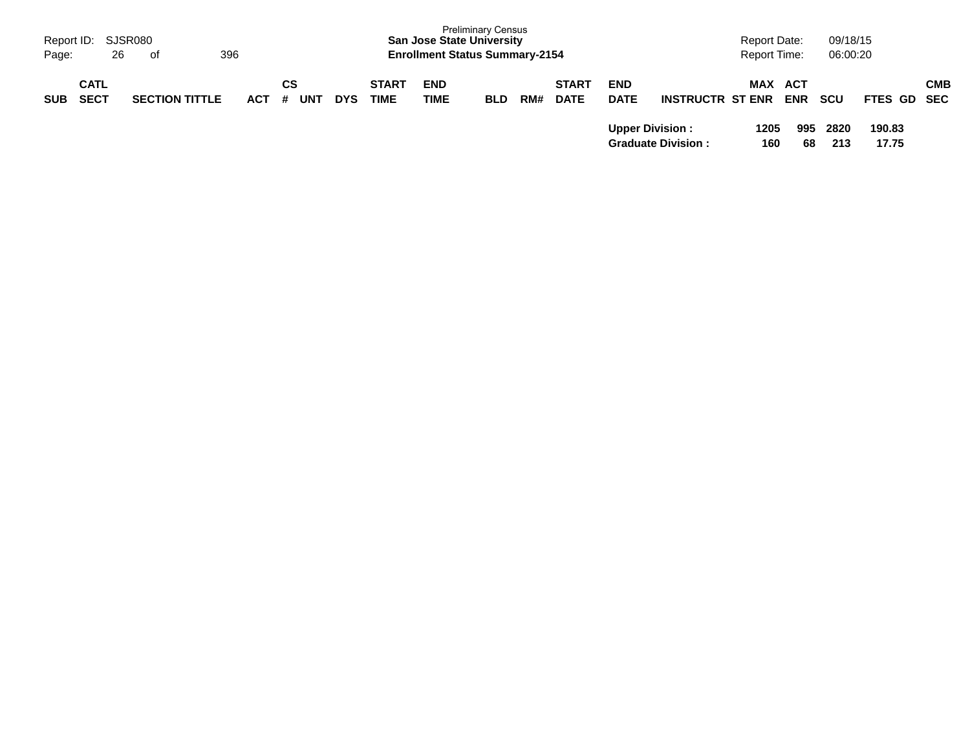| Page:      | Report ID: SJSR080<br>26   | 396<br>of             |            |                       |            | <b>San Jose State University</b><br><b>Enrollment Status Summary-2154</b> | <b>Preliminary Census</b> |            |     |                             |                           |                           | Report Date:<br><b>Report Time:</b> | 09/18/15<br>06:00:20         |             |                 |            |
|------------|----------------------------|-----------------------|------------|-----------------------|------------|---------------------------------------------------------------------------|---------------------------|------------|-----|-----------------------------|---------------------------|---------------------------|-------------------------------------|------------------------------|-------------|-----------------|------------|
| <b>SUB</b> | <b>CATL</b><br><b>SECT</b> | <b>SECTION TITTLE</b> | <b>ACT</b> | СS<br><b>UNT</b><br># | <b>DYS</b> | <b>START</b><br><b>TIME</b>                                               | <b>END</b><br><b>TIME</b> | <b>BLD</b> | RM# | <b>START</b><br><b>DATE</b> | <b>END</b><br><b>DATE</b> | <b>INSTRUCTR ST ENR</b>   |                                     | <b>MAX ACT</b><br><b>ENR</b> | <b>SCU</b>  | FTES GD SEC     | <b>CMB</b> |
|            |                            |                       |            |                       |            |                                                                           |                           |            |     |                             | <b>Upper Division:</b>    | <b>Graduate Division:</b> | 1205                                | 995<br>160<br>68             | 2820<br>213 | 190.83<br>17.75 |            |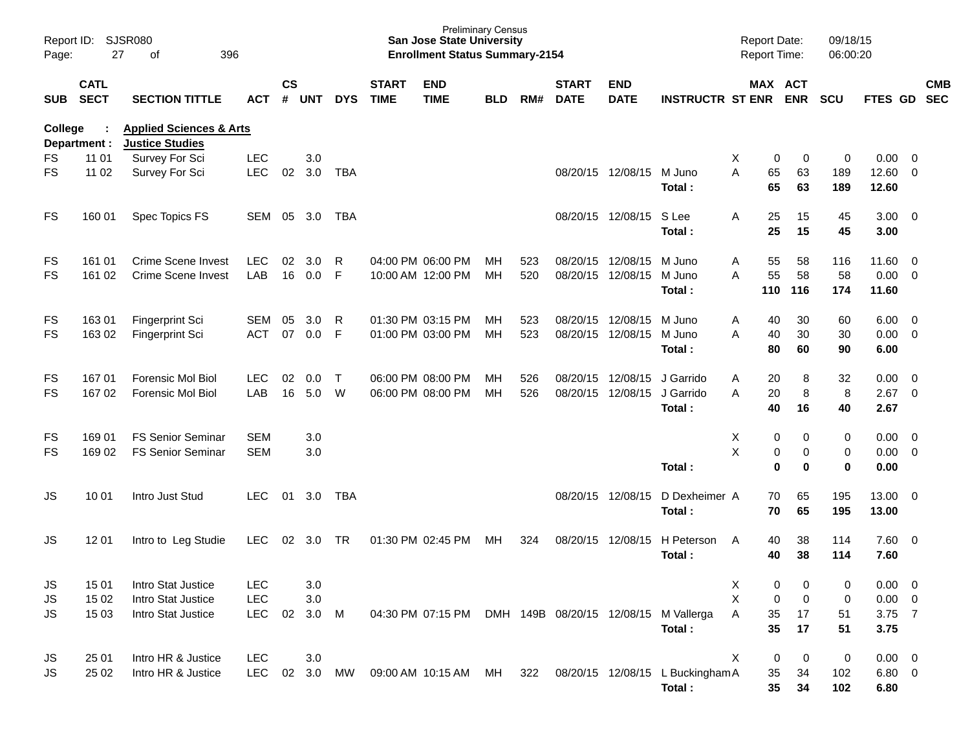| Page:      | Report ID: SJSR080<br>27   | 396<br>of                                                    |            |                |            |            |                             | <b>San Jose State University</b><br><b>Enrollment Status Summary-2154</b> | <b>Preliminary Census</b> |     |                             |                           |                                                         | <b>Report Date:</b><br>Report Time: |             | 09/18/15<br>06:00:20 |                |                          |            |
|------------|----------------------------|--------------------------------------------------------------|------------|----------------|------------|------------|-----------------------------|---------------------------------------------------------------------------|---------------------------|-----|-----------------------------|---------------------------|---------------------------------------------------------|-------------------------------------|-------------|----------------------|----------------|--------------------------|------------|
| <b>SUB</b> | <b>CATL</b><br><b>SECT</b> | <b>SECTION TITTLE</b>                                        | <b>ACT</b> | <b>CS</b><br># | <b>UNT</b> | <b>DYS</b> | <b>START</b><br><b>TIME</b> | <b>END</b><br><b>TIME</b>                                                 | <b>BLD</b>                | RM# | <b>START</b><br><b>DATE</b> | <b>END</b><br><b>DATE</b> | <b>INSTRUCTR ST ENR</b>                                 | MAX ACT                             | <b>ENR</b>  | <b>SCU</b>           | FTES GD SEC    |                          | <b>CMB</b> |
| College    | Department :               | <b>Applied Sciences &amp; Arts</b><br><b>Justice Studies</b> |            |                |            |            |                             |                                                                           |                           |     |                             |                           |                                                         |                                     |             |                      |                |                          |            |
| FS         | 11 01                      | Survey For Sci                                               | <b>LEC</b> |                | 3.0        |            |                             |                                                                           |                           |     |                             |                           |                                                         | X<br>0                              | 0           | 0                    | 0.00           | $\overline{0}$           |            |
| <b>FS</b>  | 11 02                      | Survey For Sci                                               | <b>LEC</b> | 02             | 3.0        | <b>TBA</b> |                             |                                                                           |                           |     |                             | 08/20/15 12/08/15         | M Juno<br>Total:                                        | A<br>65<br>65                       | 63<br>63    | 189<br>189           | 12.60<br>12.60 | $\overline{\mathbf{0}}$  |            |
| FS         | 160 01                     | Spec Topics FS                                               | SEM        | 05             | 3.0        | TBA        |                             |                                                                           |                           |     |                             | 08/20/15 12/08/15         | S Lee                                                   | A<br>25                             | 15          | 45                   | $3.00 \ 0$     |                          |            |
|            |                            |                                                              |            |                |            |            |                             |                                                                           |                           |     |                             |                           | Total:                                                  | 25                                  | 15          | 45                   | 3.00           |                          |            |
| FS         | 161 01                     | <b>Crime Scene Invest</b>                                    | <b>LEC</b> | 02             | 3.0        | R          |                             | 04:00 PM 06:00 PM                                                         | MН                        | 523 |                             | 08/20/15 12/08/15         | M Juno                                                  | 55<br>Α                             | 58          | 116                  | 11.60          | $\overline{\phantom{0}}$ |            |
| FS         | 161 02                     | <b>Crime Scene Invest</b>                                    | LAB        | 16             | 0.0        | F          |                             | 10:00 AM 12:00 PM                                                         | МH                        | 520 |                             | 08/20/15 12/08/15         | M Juno                                                  | 55<br>A                             | 58          | 58                   | 0.00           | $\overline{0}$           |            |
|            |                            |                                                              |            |                |            |            |                             |                                                                           |                           |     |                             |                           | Total:                                                  | 110                                 | 116         | 174                  | 11.60          |                          |            |
| FS         | 163 01                     | <b>Fingerprint Sci</b>                                       | <b>SEM</b> | 05             | 3.0        | R          |                             | 01:30 PM 03:15 PM                                                         | MН                        | 523 |                             | 08/20/15 12/08/15         | M Juno                                                  | A<br>40                             | 30          | 60                   | 6.00           | $\overline{\mathbf{0}}$  |            |
| <b>FS</b>  | 163 02                     | Fingerprint Sci                                              | <b>ACT</b> | 07             | 0.0        | F          |                             | 01:00 PM 03:00 PM                                                         | MH                        | 523 |                             | 08/20/15 12/08/15         | M Juno                                                  | 40<br>A                             | 30          | 30                   | 0.00           | $\overline{0}$           |            |
|            |                            |                                                              |            |                |            |            |                             |                                                                           |                           |     |                             |                           | Total:                                                  | 80                                  | 60          | 90                   | 6.00           |                          |            |
| FS         | 16701                      | Forensic Mol Biol                                            | <b>LEC</b> | 02             | 0.0        | $\top$     |                             | 06:00 PM 08:00 PM                                                         | MН                        | 526 |                             | 08/20/15 12/08/15         | J Garrido                                               | 20<br>A                             | 8           | 32                   | 0.00           | $\overline{0}$           |            |
| FS         | 167 02                     | Forensic Mol Biol                                            | LAB        | 16             | 5.0        | W          |                             | 06:00 PM 08:00 PM                                                         | MH                        | 526 |                             | 08/20/15 12/08/15         | J Garrido                                               | 20<br>A                             | 8           | 8                    | 2.67           | $\overline{\mathbf{0}}$  |            |
|            |                            |                                                              |            |                |            |            |                             |                                                                           |                           |     |                             |                           | Total:                                                  | 40                                  | 16          | 40                   | 2.67           |                          |            |
| FS         | 169 01                     | <b>FS Senior Seminar</b>                                     | <b>SEM</b> |                | 3.0        |            |                             |                                                                           |                           |     |                             |                           |                                                         | X<br>0                              | 0           | 0                    | 0.00           | $\overline{\mathbf{0}}$  |            |
| FS         | 169 02                     | <b>FS Senior Seminar</b>                                     | <b>SEM</b> |                | 3.0        |            |                             |                                                                           |                           |     |                             |                           |                                                         | X<br>0                              | 0           | $\pmb{0}$            | 0.00           | $\overline{0}$           |            |
|            |                            |                                                              |            |                |            |            |                             |                                                                           |                           |     |                             |                           | Total:                                                  | $\mathbf 0$                         | $\bf{0}$    | $\bf{0}$             | 0.00           |                          |            |
| JS         | 10 01                      | Intro Just Stud                                              | <b>LEC</b> | 01             | 3.0        | <b>TBA</b> |                             |                                                                           |                           |     | 08/20/15 12/08/15           |                           | D Dexheimer A                                           | 70                                  | 65          | 195                  | 13.00 0        |                          |            |
|            |                            |                                                              |            |                |            |            |                             |                                                                           |                           |     |                             |                           | Total:                                                  | 70                                  | 65          | 195                  | 13.00          |                          |            |
| JS         | 12 01                      | Intro to Leg Studie                                          | LEC        | 02             | 3.0        | TR         |                             | 01:30 PM 02:45 PM                                                         | МH                        | 324 |                             | 08/20/15 12/08/15         | H Peterson                                              | 40<br>A                             | 38          | 114                  | 7.60 0         |                          |            |
|            |                            |                                                              |            |                |            |            |                             |                                                                           |                           |     |                             |                           | Total:                                                  | 40                                  | 38          | 114                  | 7.60           |                          |            |
|            |                            |                                                              |            |                |            |            |                             |                                                                           |                           |     |                             |                           |                                                         |                                     |             |                      |                |                          |            |
| JS         | 15 01                      | Intro Stat Justice                                           | LEC        |                | 3.0        |            |                             |                                                                           |                           |     |                             |                           |                                                         | X<br>0                              | 0           | 0                    | $0.00 \t 0$    |                          |            |
| JS         | 15 02                      | Intro Stat Justice                                           | LEC        |                | 3.0        |            |                             |                                                                           |                           |     |                             |                           |                                                         | $\mathsf X$<br>0                    | $\mathbf 0$ | 0                    | $0.00 \t 0$    |                          |            |
| JS.        | 15 03                      | Intro Stat Justice                                           | <b>LEC</b> | 02             | 3.0 M      |            |                             |                                                                           |                           |     |                             |                           | 04:30 PM 07:15 PM DMH 149B 08/20/15 12/08/15 M Vallerga | Α<br>35                             | 17          | 51                   | 3.75 7         |                          |            |
|            |                            |                                                              |            |                |            |            |                             |                                                                           |                           |     |                             |                           | Total:                                                  | 35                                  | 17          | 51                   | 3.75           |                          |            |
| JS         | 25 01                      | Intro HR & Justice                                           | <b>LEC</b> |                | 3.0        |            |                             |                                                                           |                           |     |                             |                           |                                                         | X<br>0                              | 0           | $\pmb{0}$            | $0.00 \t 0$    |                          |            |
| JS.        | 25 02                      | Intro HR & Justice                                           | <b>LEC</b> |                | 02 3.0     | MW         |                             | 09:00 AM 10:15 AM MH                                                      |                           | 322 |                             |                           | 08/20/15 12/08/15 L Buckingham A                        | 35                                  | 34          | 102                  | $6.80\ 0$      |                          |            |
|            |                            |                                                              |            |                |            |            |                             |                                                                           |                           |     |                             |                           | Total:                                                  | 35                                  | 34          | 102                  | 6.80           |                          |            |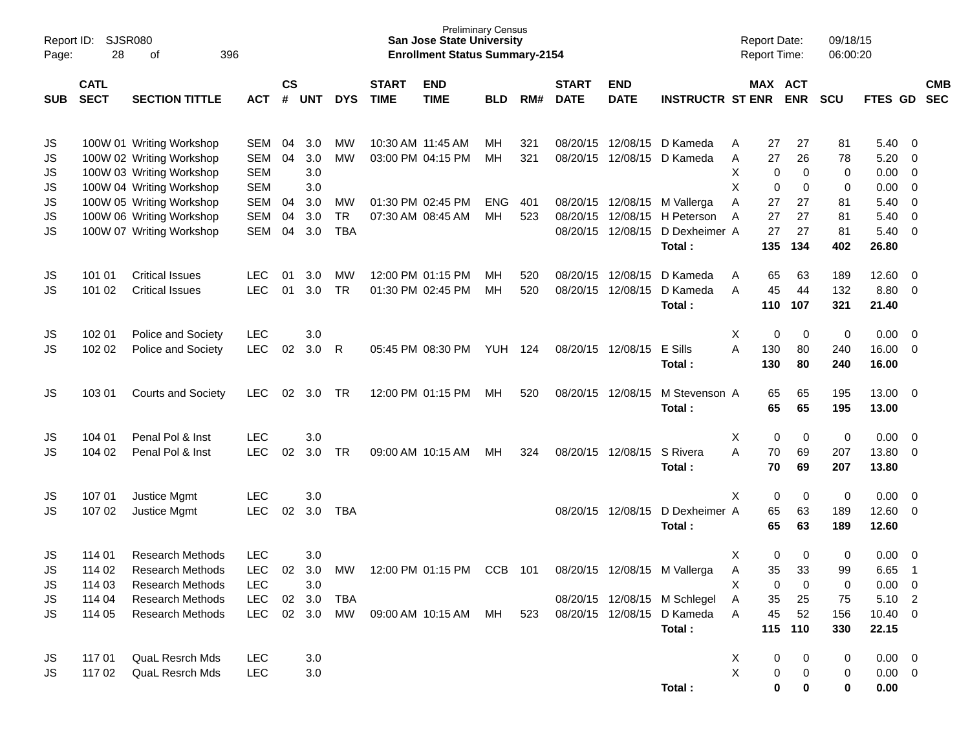| Report ID:<br>Page: | 28                         | <b>SJSR080</b><br>396<br>οf |            |                    |            |            |                             | <b>Preliminary Census</b><br><b>San Jose State University</b><br><b>Enrollment Status Summary-2154</b> |            |     |                             |                           |                              |             | <b>Report Date:</b> | <b>Report Time:</b>   | 09/18/15<br>06:00:20 |                |                         |                          |
|---------------------|----------------------------|-----------------------------|------------|--------------------|------------|------------|-----------------------------|--------------------------------------------------------------------------------------------------------|------------|-----|-----------------------------|---------------------------|------------------------------|-------------|---------------------|-----------------------|----------------------|----------------|-------------------------|--------------------------|
| <b>SUB</b>          | <b>CATL</b><br><b>SECT</b> | <b>SECTION TITTLE</b>       | <b>ACT</b> | $\mathsf{cs}$<br># | <b>UNT</b> | <b>DYS</b> | <b>START</b><br><b>TIME</b> | <b>END</b><br><b>TIME</b>                                                                              | <b>BLD</b> | RM# | <b>START</b><br><b>DATE</b> | <b>END</b><br><b>DATE</b> | <b>INSTRUCTR ST ENR</b>      |             |                     | MAX ACT<br><b>ENR</b> | <b>SCU</b>           | <b>FTES GD</b> |                         | <b>CMB</b><br><b>SEC</b> |
| JS                  |                            | 100W 01 Writing Workshop    | SEM        | 04                 | 3.0        | МW         |                             | 10:30 AM 11:45 AM                                                                                      | MН         | 321 | 08/20/15                    | 12/08/15                  | D Kameda                     | A           | 27                  | 27                    | 81                   | 5.40           | - 0                     |                          |
| JS                  |                            | 100W 02 Writing Workshop    | SEM        | 04                 | 3.0        | <b>MW</b>  |                             | 03:00 PM 04:15 PM                                                                                      | MH         | 321 | 08/20/15                    | 12/08/15                  | D Kameda                     | Α           | 27                  | 26                    | 78                   | 5.20           | $\overline{0}$          |                          |
| JS                  |                            | 100W 03 Writing Workshop    | <b>SEM</b> |                    | 3.0        |            |                             |                                                                                                        |            |     |                             |                           |                              | X           | 0                   | 0                     | 0                    | 0.00           | $\mathbf 0$             |                          |
| JS                  |                            | 100W 04 Writing Workshop    | <b>SEM</b> |                    | 3.0        |            |                             |                                                                                                        |            |     |                             |                           |                              | X           | 0                   | 0                     | 0                    | 0.00           | $\mathbf 0$             |                          |
| JS                  |                            | 100W 05 Writing Workshop    | <b>SEM</b> | 04                 | 3.0        | MW         |                             | 01:30 PM 02:45 PM                                                                                      | <b>ENG</b> | 401 | 08/20/15                    | 12/08/15                  | M Vallerga                   | A           | 27                  | 27                    | 81                   | 5.40           | $\mathbf 0$             |                          |
| JS                  |                            | 100W 06 Writing Workshop    | <b>SEM</b> | 04                 | 3.0        | <b>TR</b>  |                             | 07:30 AM 08:45 AM                                                                                      | MH         | 523 | 08/20/15                    | 12/08/15                  | H Peterson                   | A           | 27                  | 27                    | 81                   | 5.40           | $\mathbf 0$             |                          |
| <b>JS</b>           |                            | 100W 07 Writing Workshop    | SEM        | 04                 | 3.0        | <b>TBA</b> |                             |                                                                                                        |            |     | 08/20/15                    | 12/08/15                  | D Dexheimer A                |             | 27                  | 27                    | 81                   | 5.40           | $\overline{0}$          |                          |
|                     |                            |                             |            |                    |            |            |                             |                                                                                                        |            |     |                             |                           | Total:                       |             | 135                 | 134                   | 402                  | 26.80          |                         |                          |
| JS                  | 101 01                     | <b>Critical Issues</b>      | LEC        | 01                 | 3.0        | MW         |                             | 12:00 PM 01:15 PM                                                                                      | MН         | 520 | 08/20/15                    | 12/08/15                  | D Kameda                     | A           | 65                  | 63                    | 189                  | 12.60          | $\overline{\mathbf{0}}$ |                          |
| JS                  | 101 02                     | <b>Critical Issues</b>      | <b>LEC</b> | 01                 | 3.0        | <b>TR</b>  |                             | 01:30 PM 02:45 PM                                                                                      | MH         | 520 | 08/20/15                    | 12/08/15                  | D Kameda                     | A           | 45                  | 44                    | 132                  | 8.80           | $\overline{0}$          |                          |
|                     |                            |                             |            |                    |            |            |                             |                                                                                                        |            |     |                             |                           | Total:                       |             | 110                 | 107                   | 321                  | 21.40          |                         |                          |
| JS                  | 102 01                     | Police and Society          | <b>LEC</b> |                    | 3.0        |            |                             |                                                                                                        |            |     |                             |                           |                              | X           | 0                   | 0                     | 0                    | 0.00           | $\overline{\mathbf{0}}$ |                          |
| JS                  | 102 02                     | Police and Society          | <b>LEC</b> | 02                 | 3.0        | R          |                             | 05:45 PM 08:30 PM                                                                                      | <b>YUH</b> | 124 | 08/20/15                    | 12/08/15                  | E Sills                      | A           | 130                 | 80                    | 240                  | 16.00          | $\mathbf 0$             |                          |
|                     |                            |                             |            |                    |            |            |                             |                                                                                                        |            |     |                             |                           | Total:                       |             | 130                 | 80                    | 240                  | 16.00          |                         |                          |
| JS                  | 103 01                     | <b>Courts and Society</b>   | LEC.       | 02                 | 3.0        | TR         |                             | 12:00 PM 01:15 PM                                                                                      | МH         | 520 |                             | 08/20/15 12/08/15         | M Stevenson A                |             | 65                  | 65                    | 195                  | 13.00          | $\overline{\mathbf{0}}$ |                          |
|                     |                            |                             |            |                    |            |            |                             |                                                                                                        |            |     |                             |                           | Total:                       |             | 65                  | 65                    | 195                  | 13.00          |                         |                          |
| JS                  | 104 01                     | Penal Pol & Inst            | <b>LEC</b> |                    | 3.0        |            |                             |                                                                                                        |            |     |                             |                           |                              | х           | 0                   | 0                     | 0                    | 0.00           | $\overline{\mathbf{0}}$ |                          |
| JS                  | 104 02                     | Penal Pol & Inst            | <b>LEC</b> | 02                 | 3.0        | <b>TR</b>  |                             | 09:00 AM 10:15 AM                                                                                      | MН         | 324 |                             | 08/20/15 12/08/15         | S Rivera                     | A           | 70                  | 69                    | 207                  | 13.80          | $\mathbf 0$             |                          |
|                     |                            |                             |            |                    |            |            |                             |                                                                                                        |            |     |                             |                           | Total:                       |             | 70                  | 69                    | 207                  | 13.80          |                         |                          |
| JS                  | 107 01                     | Justice Mgmt                | <b>LEC</b> |                    | 3.0        |            |                             |                                                                                                        |            |     |                             |                           |                              | X           | 0                   | 0                     | 0                    | 0.00           | $\overline{\mathbf{0}}$ |                          |
| JS                  | 107 02                     | Justice Mgmt                | <b>LEC</b> | 02                 | 3.0        | <b>TBA</b> |                             |                                                                                                        |            |     | 08/20/15                    | 12/08/15                  | D Dexheimer A                |             | 65                  | 63                    | 189                  | 12.60          | $\overline{0}$          |                          |
|                     |                            |                             |            |                    |            |            |                             |                                                                                                        |            |     |                             |                           | Total:                       |             | 65                  | 63                    | 189                  | 12.60          |                         |                          |
| JS                  | 114 01                     | <b>Research Methods</b>     | <b>LEC</b> |                    | 3.0        |            |                             |                                                                                                        |            |     |                             |                           |                              | х           | 0                   | 0                     | 0                    | 0.00           | 0                       |                          |
| <b>JS</b>           | 114 02                     | <b>Research Methods</b>     | <b>LEC</b> | 02                 | 3.0        | MW         |                             | 12:00 PM 01:15 PM                                                                                      | <b>CCB</b> | 101 |                             | 08/20/15 12/08/15         | M Vallerga                   | A           | 35                  | 33                    | 99                   | 6.65           | $\overline{1}$          |                          |
| JS                  | 114 03                     | Research Methods            | <b>LEC</b> |                    | 3.0        |            |                             |                                                                                                        |            |     |                             |                           |                              | х           | 0                   | 0                     | 0                    | $0.00 \t 0$    |                         |                          |
| JS                  | 114 04                     | <b>Research Methods</b>     | LEC        | 02                 | 3.0        | <b>TBA</b> |                             |                                                                                                        |            |     |                             |                           | 08/20/15 12/08/15 M Schlegel | A           | 35                  | 25                    | 75                   | 5.10 2         |                         |                          |
| JS                  | 114 05                     | <b>Research Methods</b>     | <b>LEC</b> |                    | 02 3.0     | MW         |                             | 09:00 AM 10:15 AM                                                                                      | МH         | 523 |                             |                           | 08/20/15 12/08/15 D Kameda   | A           | 45                  | 52                    | 156                  | $10.40 \ 0$    |                         |                          |
|                     |                            |                             |            |                    |            |            |                             |                                                                                                        |            |     |                             |                           | Total:                       |             | 115                 | 110                   | 330                  | 22.15          |                         |                          |
| JS                  | 117 01                     | <b>QuaL Resrch Mds</b>      | <b>LEC</b> |                    | $3.0\,$    |            |                             |                                                                                                        |            |     |                             |                           |                              | X           | 0                   | 0                     | 0                    | $0.00 \t 0$    |                         |                          |
| JS                  | 117 02                     | <b>QuaL Resrch Mds</b>      | <b>LEC</b> |                    | 3.0        |            |                             |                                                                                                        |            |     |                             |                           |                              | $\mathsf X$ | 0                   | 0                     | 0                    | $0.00 \t 0$    |                         |                          |
|                     |                            |                             |            |                    |            |            |                             |                                                                                                        |            |     |                             |                           | Total:                       |             | $\pmb{0}$           | 0                     | 0                    | 0.00           |                         |                          |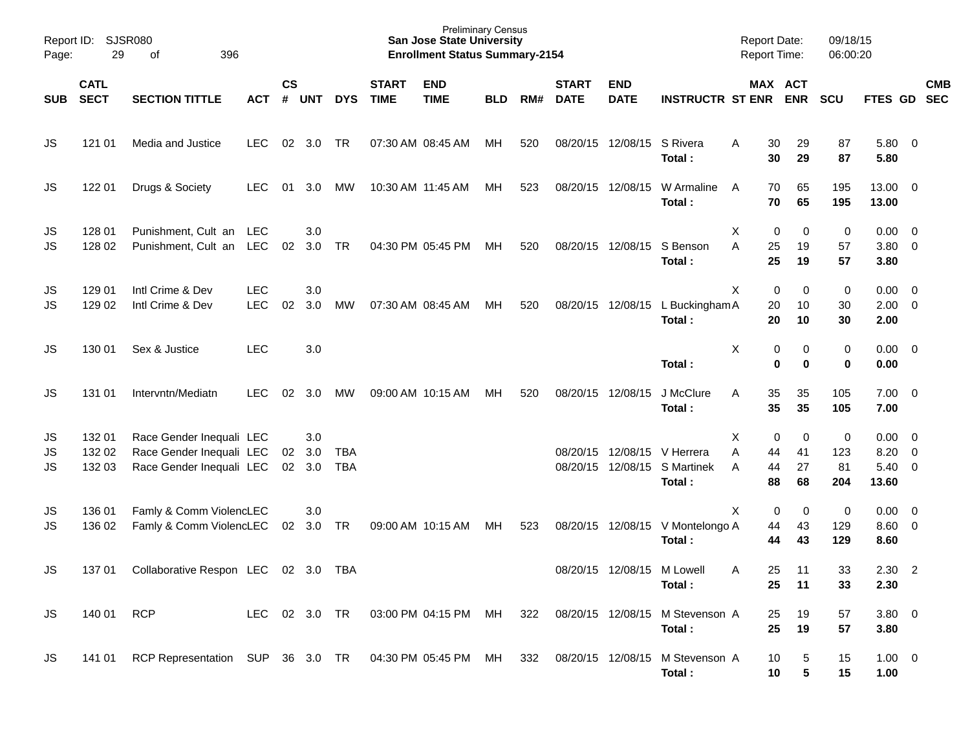| Page:                 | Report ID: SJSR080<br>29   | 396<br>оf                                                                        |                          |                    |                   |                          |                             | <b>Preliminary Census</b><br><b>San Jose State University</b><br><b>Enrollment Status Summary-2154</b> |            |     |                             |                           |                                            | <b>Report Date:</b><br>Report Time: |                            | 09/18/15<br>06:00:20  |                                                     |                          |            |
|-----------------------|----------------------------|----------------------------------------------------------------------------------|--------------------------|--------------------|-------------------|--------------------------|-----------------------------|--------------------------------------------------------------------------------------------------------|------------|-----|-----------------------------|---------------------------|--------------------------------------------|-------------------------------------|----------------------------|-----------------------|-----------------------------------------------------|--------------------------|------------|
| SUB                   | <b>CATL</b><br><b>SECT</b> | <b>SECTION TITTLE</b>                                                            | <b>ACT</b>               | $\mathsf{cs}$<br># | <b>UNT</b>        | <b>DYS</b>               | <b>START</b><br><b>TIME</b> | <b>END</b><br><b>TIME</b>                                                                              | <b>BLD</b> | RM# | <b>START</b><br><b>DATE</b> | <b>END</b><br><b>DATE</b> | <b>INSTRUCTR ST ENR</b>                    |                                     | MAX ACT<br><b>ENR</b>      | <b>SCU</b>            | FTES GD SEC                                         |                          | <b>CMB</b> |
| JS                    | 121 01                     | Media and Justice                                                                | <b>LEC</b>               | 02                 | 3.0               | TR                       | 07:30 AM 08:45 AM           |                                                                                                        | МH         | 520 | 08/20/15                    | 12/08/15                  | S Rivera<br>Total:                         | A<br>30<br>30                       | 29<br>29                   | 87<br>87              | 5.80 0<br>5.80                                      |                          |            |
| JS                    | 122 01                     | Drugs & Society                                                                  | <b>LEC</b>               | 01                 | 3.0               | МW                       | 10:30 AM 11:45 AM           |                                                                                                        | МH         | 523 |                             | 08/20/15 12/08/15         | W Armaline<br>Total:                       | 70<br>A<br>70                       | 65<br>65                   | 195<br>195            | 13.00 0<br>13.00                                    |                          |            |
| JS<br>JS              | 128 01<br>128 02           | Punishment, Cult an LEC<br>Punishment, Cult an LEC                               |                          | 02                 | 3.0<br>3.0        | TR                       | 04:30 PM 05:45 PM           |                                                                                                        | МH         | 520 | 08/20/15                    | 12/08/15                  | S Benson<br>Total:                         | х<br>A<br>25<br>25                  | 0<br>0<br>19<br>19         | 0<br>57<br>57         | $0.00 \quad 0$<br>3.80 0<br>3.80                    |                          |            |
| JS<br>JS              | 129 01<br>129 02           | Intl Crime & Dev<br>Intl Crime & Dev                                             | <b>LEC</b><br><b>LEC</b> | 02                 | 3.0<br>3.0        | МW                       | 07:30 AM 08:45 AM           |                                                                                                        | МH         | 520 |                             | 08/20/15 12/08/15         | L Buckingham A<br>Total:                   | X<br>20<br>20                       | 0<br>0<br>10<br>10         | 0<br>30<br>30         | $0.00 \ 0$<br>$2.00 \t 0$<br>2.00                   |                          |            |
| JS                    | 130 01                     | Sex & Justice                                                                    | <b>LEC</b>               |                    | 3.0               |                          |                             |                                                                                                        |            |     |                             |                           | Total:                                     | Х                                   | 0<br>0<br>$\mathbf 0$<br>0 | 0<br>0                | $0.00 \quad 0$<br>0.00                              |                          |            |
| JS                    | 131 01                     | Intervntn/Mediatn                                                                | <b>LEC</b>               | 02                 | 3.0               | МW                       | 09:00 AM 10:15 AM           |                                                                                                        | МH         | 520 | 08/20/15                    | 12/08/15                  | J McClure<br>Total:                        | Α<br>35<br>35                       | 35<br>35                   | 105<br>105            | $7.00 \t 0$<br>7.00                                 |                          |            |
| JS<br>JS<br><b>JS</b> | 13201<br>132 02<br>132 03  | Race Gender Inequali LEC<br>Race Gender Inequali LEC<br>Race Gender Inequali LEC |                          | 02<br>02           | 3.0<br>3.0<br>3.0 | <b>TBA</b><br><b>TBA</b> |                             |                                                                                                        |            |     | 08/20/15<br>08/20/15        | 12/08/15                  | 12/08/15 V Herrera<br>S Martinek<br>Total: | х<br>Α<br>44<br>44<br>A<br>88       | 0<br>0<br>41<br>27<br>68   | 0<br>123<br>81<br>204 | $0.00 \quad 0$<br>$8.20 \ 0$<br>$5.40 \ 0$<br>13.60 |                          |            |
| JS<br>JS              | 136 01<br>136 02           | Famly & Comm ViolencLEC<br>Famly & Comm ViolencLEC                               |                          | 02                 | 3.0<br>3.0        | TR                       | 09:00 AM 10:15 AM           |                                                                                                        | МH         | 523 |                             |                           | 08/20/15 12/08/15 V Montelongo A<br>Total: | X<br>44<br>44                       | 0<br>0<br>43<br>43         | 0<br>129<br>129       | $0.00 \quad 0$<br>$8.60$ 0<br>8.60                  |                          |            |
| JS                    | 137 01                     | Collaborative Respon LEC                                                         |                          |                    | 02 3.0            | TBA                      |                             |                                                                                                        |            |     |                             | 08/20/15 12/08/15         | M Lowell<br>Total:                         | 25<br>A<br>25                       | 11<br>11                   | 33<br>33              | 2.30<br>2.30                                        | $\overline{\phantom{a}}$ |            |
| <b>JS</b>             | 140 01                     | <b>RCP</b>                                                                       | LEC                      |                    | 02 3.0 TR         |                          |                             | 03:00 PM 04:15 PM                                                                                      | MH         | 322 |                             | 08/20/15 12/08/15         | M Stevenson A<br>Total:                    | 25<br>25                            | 19<br>19                   | 57<br>57              | $3.80\ 0$<br>3.80                                   |                          |            |
| <b>JS</b>             | 141 01                     | RCP Representation SUP 36 3.0 TR                                                 |                          |                    |                   |                          |                             | 04:30 PM 05:45 PM MH                                                                                   |            | 332 |                             | 08/20/15 12/08/15         | M Stevenson A<br>Total:                    | 10<br>10                            | 5<br>5                     | 15<br>15              | $1.00 \t 0$<br>1.00                                 |                          |            |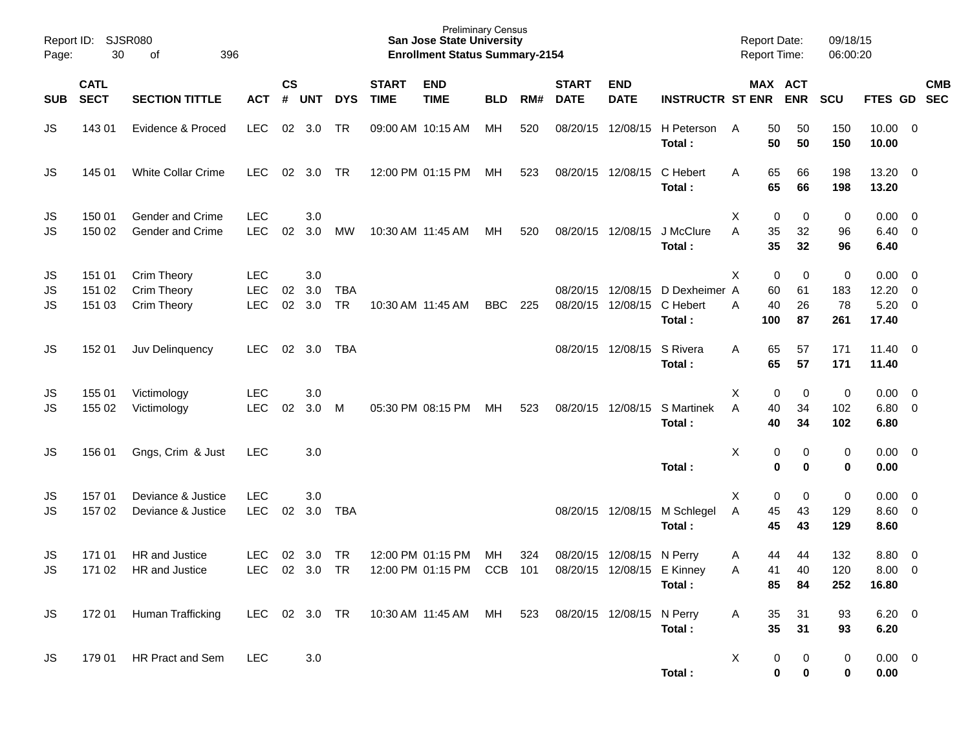| Report ID:<br>Page: | SJSR080<br>30              | 396                                       |                                        |                |                   |                         | <b>Preliminary Census</b><br><b>San Jose State University</b><br><b>Enrollment Status Summary-2154</b> |                                        |                  |            |                             |                           | <b>Report Date:</b><br><b>Report Time:</b> |               | 09/18/15<br>06:00:20                 |                                 |                                |                                                    |            |
|---------------------|----------------------------|-------------------------------------------|----------------------------------------|----------------|-------------------|-------------------------|--------------------------------------------------------------------------------------------------------|----------------------------------------|------------------|------------|-----------------------------|---------------------------|--------------------------------------------|---------------|--------------------------------------|---------------------------------|--------------------------------|----------------------------------------------------|------------|
| <b>SUB</b>          | <b>CATL</b><br><b>SECT</b> | <b>SECTION TITTLE</b>                     | <b>ACT</b>                             | <b>CS</b><br># | <b>UNT</b>        | <b>DYS</b>              | <b>START</b><br><b>TIME</b>                                                                            | <b>END</b><br><b>TIME</b>              | <b>BLD</b>       | RM#        | <b>START</b><br><b>DATE</b> | <b>END</b><br><b>DATE</b> | <b>INSTRUCTR ST ENR ENR</b>                |               | MAX ACT                              | <b>SCU</b>                      | FTES GD SEC                    |                                                    | <b>CMB</b> |
| JS                  | 143 01                     | Evidence & Proced                         | <b>LEC</b>                             | 02             | 3.0               | TR                      |                                                                                                        | 09:00 AM 10:15 AM                      | MH               | 520        | 08/20/15                    | 12/08/15                  | H Peterson<br>Total:                       | A             | 50<br>50<br>50<br>50                 | 150<br>150                      | 10.00<br>10.00                 | $\overline{\phantom{0}}$                           |            |
| JS                  | 145 01                     | <b>White Collar Crime</b>                 | <b>LEC</b>                             | 02             | 3.0               | <b>TR</b>               |                                                                                                        | 12:00 PM 01:15 PM                      | МH               | 523        |                             | 08/20/15 12/08/15         | C Hebert<br>Total:                         | Α             | 65<br>66<br>65<br>66                 | 198<br>198                      | $13.20 \t 0$<br>13.20          |                                                    |            |
| JS<br>JS            | 150 01<br>150 02           | Gender and Crime<br>Gender and Crime      | <b>LEC</b><br><b>LEC</b>               | 02             | 3.0<br>3.0        | MW                      |                                                                                                        | 10:30 AM 11:45 AM                      | МH               | 520        |                             | 08/20/15 12/08/15         | J McClure<br>Total:                        | Χ<br>A        | 0<br>0<br>35<br>32<br>35<br>32       | 0<br>96<br>96                   | 0.00<br>6.40<br>6.40           | - 0<br>$\overline{0}$                              |            |
| JS<br>JS<br>JS      | 151 01<br>151 02<br>151 03 | Crim Theory<br>Crim Theory<br>Crim Theory | <b>LEC</b><br><b>LEC</b><br><b>LEC</b> | 02<br>02       | 3.0<br>3.0<br>3.0 | <b>TBA</b><br><b>TR</b> |                                                                                                        | 10:30 AM 11:45 AM                      | <b>BBC</b>       | 225        | 08/20/15<br>08/20/15        | 12/08/15<br>12/08/15      | D Dexheimer A<br>C Hebert<br>Total:        | Χ<br>Α<br>100 | 0<br>0<br>60<br>61<br>40<br>26<br>87 | $\mathbf 0$<br>183<br>78<br>261 | 0.00<br>12.20<br>5.20<br>17.40 | $\overline{0}$<br>$\overline{0}$<br>$\overline{0}$ |            |
| JS                  | 152 01                     | Juv Delinquency                           | <b>LEC</b>                             | 02             | 3.0               | TBA                     |                                                                                                        |                                        |                  |            | 08/20/15                    | 12/08/15                  | S Rivera<br>Total:                         | Α             | 65<br>57<br>65<br>57                 | 171<br>171                      | $11.40 \quad 0$<br>11.40       |                                                    |            |
| JS<br>JS            | 155 01<br>155 02           | Victimology<br>Victimology                | <b>LEC</b><br><b>LEC</b>               | 02             | 3.0<br>3.0        | M                       |                                                                                                        | 05:30 PM 08:15 PM                      | MH               | 523        |                             | 08/20/15 12/08/15         | S Martinek<br>Total:                       | Χ<br>A        | 0<br>0<br>40<br>34<br>40<br>34       | 0<br>102<br>102                 | 0.00<br>$6.80\ 0$<br>6.80      | $\overline{0}$                                     |            |
| JS                  | 156 01                     | Gngs, Crim & Just                         | <b>LEC</b>                             |                | 3.0               |                         |                                                                                                        |                                        |                  |            |                             |                           | Total:                                     | X             | 0<br>0<br>0<br>0                     | 0<br>$\mathbf 0$                | 0.00<br>0.00                   | $\overline{\mathbf{0}}$                            |            |
| JS<br><b>JS</b>     | 157 01<br>157 02           | Deviance & Justice<br>Deviance & Justice  | <b>LEC</b><br><b>LEC</b>               | 02             | 3.0<br>3.0        | <b>TBA</b>              |                                                                                                        |                                        |                  |            |                             | 08/20/15 12/08/15         | M Schlegel<br>Total:                       | Χ<br>A        | 0<br>0<br>45<br>43<br>45<br>43       | $\mathbf 0$<br>129<br>129       | 0.00<br>$8.60 \quad 0$<br>8.60 | $\overline{\mathbf{0}}$                            |            |
| JS<br><b>JS</b>     | 171 01<br>171 02           | HR and Justice<br>HR and Justice          | <b>LEC</b><br><b>LEC</b>               | 02             | 3.0<br>02 3.0     | <b>TR</b><br><b>TR</b>  |                                                                                                        | 12:00 PM 01:15 PM<br>12:00 PM 01:15 PM | MН<br><b>CCB</b> | 324<br>101 | 08/20/15<br>08/20/15        | 12/08/15                  | N Perry<br>12/08/15 E Kinney<br>Total:     | A<br>Α        | 44<br>44<br>40<br>41<br>85<br>84     | 132<br>120<br>252               | 8.80<br>8.00<br>16.80          | $\overline{0}$<br>$\overline{0}$                   |            |
| JS.                 | 17201                      | Human Trafficking                         | LEC                                    |                | 02 3.0 TR         |                         |                                                                                                        | 10:30 AM 11:45 AM  MH                  |                  | 523        |                             | 08/20/15 12/08/15 N Perry | Total:                                     | A             | 31<br>35<br>35<br>31                 | 93<br>93                        | $6.20 \quad 0$<br>6.20         |                                                    |            |
| <b>JS</b>           | 179 01                     | HR Pract and Sem                          | <b>LEC</b>                             |                | 3.0               |                         |                                                                                                        |                                        |                  |            |                             |                           | Total:                                     | X             | 0<br>0<br>0<br>0                     | 0<br>0                          | $0.00 \t 0$<br>0.00            |                                                    |            |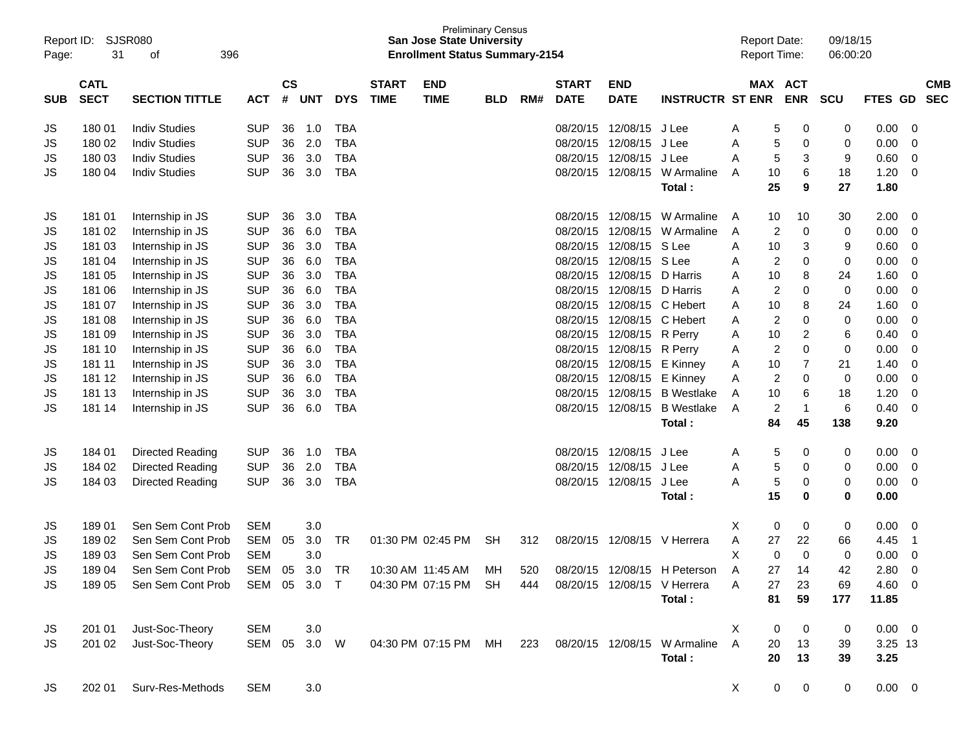| Report ID:<br>Page: | 31                         | SJSR080<br>396<br>оf                                     |              |                    |            |            |                             | <b>Preliminary Census</b><br><b>San Jose State University</b><br><b>Enrollment Status Summary-2154</b> |            |     |                             |                           |                                                         | <b>Report Date:</b><br><b>Report Time:</b> |                |                       | 09/18/15<br>06:00:20 |                |                |                          |
|---------------------|----------------------------|----------------------------------------------------------|--------------|--------------------|------------|------------|-----------------------------|--------------------------------------------------------------------------------------------------------|------------|-----|-----------------------------|---------------------------|---------------------------------------------------------|--------------------------------------------|----------------|-----------------------|----------------------|----------------|----------------|--------------------------|
| <b>SUB</b>          | <b>CATL</b><br><b>SECT</b> | <b>SECTION TITTLE</b>                                    | <b>ACT</b>   | $\mathsf{cs}$<br># | <b>UNT</b> | <b>DYS</b> | <b>START</b><br><b>TIME</b> | <b>END</b><br><b>TIME</b>                                                                              | <b>BLD</b> | RM# | <b>START</b><br><b>DATE</b> | <b>END</b><br><b>DATE</b> | <b>INSTRUCTR ST ENR</b>                                 |                                            |                | MAX ACT<br><b>ENR</b> | <b>SCU</b>           | <b>FTES</b>    | GD             | <b>CMB</b><br><b>SEC</b> |
| JS                  | 18001                      | <b>Indiv Studies</b>                                     | <b>SUP</b>   | 36                 | 1.0        | <b>TBA</b> |                             |                                                                                                        |            |     | 08/20/15                    | 12/08/15                  | J Lee                                                   | A                                          | 5              | 0                     | 0                    | 0.00           | 0              |                          |
| <b>JS</b>           | 180 02                     | <b>Indiv Studies</b>                                     | <b>SUP</b>   | 36                 | 2.0        | <b>TBA</b> |                             |                                                                                                        |            |     | 08/20/15                    | 12/08/15                  | J Lee                                                   | A                                          | 5              | 0                     | 0                    | 0.00           | 0              |                          |
| JS                  | 180 03                     | <b>Indiv Studies</b>                                     | <b>SUP</b>   | 36                 | 3.0        | <b>TBA</b> |                             |                                                                                                        |            |     | 08/20/15                    | 12/08/15                  | J Lee                                                   | Α                                          | 5              | 3                     | 9                    | 0.60           | 0              |                          |
| JS                  | 180 04                     | <b>Indiv Studies</b>                                     | <b>SUP</b>   | 36                 | 3.0        | <b>TBA</b> |                             |                                                                                                        |            |     | 08/20/15                    | 12/08/15                  | W Armaline                                              | A                                          | 10             | 6                     | 18                   | 1.20           | $\mathbf 0$    |                          |
|                     |                            |                                                          |              |                    |            |            |                             |                                                                                                        |            |     |                             |                           | Total:                                                  |                                            | 25             | 9                     | 27                   | 1.80           |                |                          |
| JS                  | 18101                      | Internship in JS                                         | <b>SUP</b>   | 36                 | 3.0        | <b>TBA</b> |                             |                                                                                                        |            |     | 08/20/15                    | 12/08/15                  | W Armaline                                              | A                                          | 10             | 10                    | 30                   | 2.00           | 0              |                          |
| JS                  | 181 02                     | Internship in JS                                         | <b>SUP</b>   | 36                 | 6.0        | <b>TBA</b> |                             |                                                                                                        |            |     | 08/20/15                    | 12/08/15                  | W Armaline                                              | A                                          | 2              | 0                     | 0                    | 0.00           | 0              |                          |
| JS                  | 181 03                     | Internship in JS                                         | <b>SUP</b>   | 36                 | 3.0        | <b>TBA</b> |                             |                                                                                                        |            |     | 08/20/15                    | 12/08/15                  | S Lee                                                   | A                                          | 10             | 3                     | 9                    | 0.60           | 0              |                          |
| JS                  | 181 04                     | Internship in JS                                         | <b>SUP</b>   | 36                 | 6.0        | <b>TBA</b> |                             |                                                                                                        |            |     | 08/20/15                    | 12/08/15                  | S Lee                                                   | A                                          | $\overline{2}$ | $\mathbf 0$           | 0                    | 0.00           | 0              |                          |
| <b>JS</b>           | 181 05                     | Internship in JS                                         | <b>SUP</b>   | 36                 | 3.0        | <b>TBA</b> |                             |                                                                                                        |            |     | 08/20/15                    | 12/08/15                  | D Harris                                                | A                                          | 10             | 8                     | 24                   | 1.60           | 0              |                          |
| JS                  | 181 06                     | Internship in JS                                         | <b>SUP</b>   | 36                 | 6.0        | <b>TBA</b> |                             |                                                                                                        |            |     | 08/20/15                    | 12/08/15                  | D Harris                                                | A                                          | $\overline{c}$ | 0                     | 0                    | 0.00           | $\mathbf 0$    |                          |
| JS                  | 181 07                     | Internship in JS                                         | <b>SUP</b>   | 36                 | 3.0        | <b>TBA</b> |                             |                                                                                                        |            |     | 08/20/15                    | 12/08/15                  | C Hebert                                                | A                                          | 10             | 8                     | 24                   | 1.60           | 0              |                          |
| <b>JS</b>           | 181 08                     | Internship in JS                                         | <b>SUP</b>   | 36                 | 6.0        | <b>TBA</b> |                             |                                                                                                        |            |     | 08/20/15                    | 12/08/15                  | C Hebert                                                | A                                          | $\overline{c}$ | 0                     | 0                    | 0.00           | $\mathbf 0$    |                          |
| <b>JS</b>           | 181 09                     | Internship in JS                                         | <b>SUP</b>   | 36                 | 3.0        | <b>TBA</b> |                             |                                                                                                        |            |     | 08/20/15                    | 12/08/15                  | R Perry                                                 | A                                          | 10             | 2                     | 6                    | 0.40           | 0              |                          |
| JS                  | 181 10                     | Internship in JS                                         | <b>SUP</b>   | 36                 | 6.0        | <b>TBA</b> |                             |                                                                                                        |            |     | 08/20/15                    | 12/08/15                  | R Perry                                                 | A                                          | $\overline{c}$ | 0                     | 0                    | 0.00           | $\mathbf 0$    |                          |
| JS                  | 181 11                     | Internship in JS                                         | <b>SUP</b>   | 36                 | 3.0        | <b>TBA</b> |                             |                                                                                                        |            |     | 08/20/15                    | 12/08/15                  | E Kinney                                                | A                                          | 10             | 7                     | 21                   | 1.40           | 0              |                          |
| <b>JS</b>           | 181 12                     | Internship in JS                                         | <b>SUP</b>   | 36                 | 6.0        | <b>TBA</b> |                             |                                                                                                        |            |     | 08/20/15                    | 12/08/15                  | E Kinney                                                | A                                          | $\overline{c}$ | 0                     | 0                    | 0.00           | $\mathbf 0$    |                          |
| JS                  | 181 13                     | Internship in JS                                         | <b>SUP</b>   | 36                 | 3.0        | <b>TBA</b> |                             |                                                                                                        |            |     | 08/20/15                    | 12/08/15                  | <b>B</b> Westlake                                       | A                                          | 10             | 6                     | 18                   | 1.20           | 0              |                          |
| <b>JS</b>           | 181 14                     | Internship in JS                                         | <b>SUP</b>   | 36                 | 6.0        | <b>TBA</b> |                             |                                                                                                        |            |     | 08/20/15                    | 12/08/15                  | <b>B</b> Westlake<br>Total:                             | A                                          | 2<br>84        | $\mathbf{1}$<br>45    | 6<br>138             | 0.40<br>9.20   | $\mathbf 0$    |                          |
|                     |                            |                                                          |              |                    |            |            |                             |                                                                                                        |            |     |                             |                           |                                                         |                                            |                |                       |                      |                |                |                          |
| JS                  | 184 01                     | Directed Reading                                         | <b>SUP</b>   | 36                 | 1.0        | <b>TBA</b> |                             |                                                                                                        |            |     | 08/20/15                    | 12/08/15                  | J Lee                                                   | A                                          | 5              | 0                     | 0                    | 0.00           | 0              |                          |
| JS                  | 184 02                     | Directed Reading                                         | <b>SUP</b>   | 36                 | 2.0        | <b>TBA</b> |                             |                                                                                                        |            |     | 08/20/15                    | 12/08/15                  | J Lee                                                   | Α                                          | 5              | 0                     | 0                    | 0.00           | 0              |                          |
| JS                  | 184 03                     | Directed Reading                                         | <b>SUP</b>   | 36                 | 3.0        | <b>TBA</b> |                             |                                                                                                        |            |     | 08/20/15                    | 12/08/15                  | J Lee                                                   | А                                          | 5              | 0                     | 0                    | 0.00           | $\mathbf 0$    |                          |
|                     |                            |                                                          |              |                    |            |            |                             |                                                                                                        |            |     |                             |                           | Total:                                                  |                                            | 15             | 0                     | 0                    | 0.00           |                |                          |
| JS                  | 18901                      | Sen Sem Cont Prob                                        | <b>SEM</b>   |                    | 3.0        |            |                             |                                                                                                        |            |     |                             |                           |                                                         | X                                          | 0              | 0                     | 0                    | 0.00           | 0              |                          |
| JS                  | 18902                      | Sen Sem Cont Prob                                        | <b>SEM</b>   | 05                 | 3.0        | TR         |                             | 01:30 PM 02:45 PM                                                                                      | SН         | 312 | 08/20/15                    | 12/08/15                  | V Herrera                                               | Α                                          | 27             | 22                    | 66                   | 4.45           | $\overline{1}$ |                          |
| JS                  | 18903                      | Sen Sem Cont Prob                                        | <b>SEM</b>   |                    | 3.0        |            |                             |                                                                                                        |            |     |                             |                           |                                                         | X                                          | 0              | $\Omega$              | 0                    | 0.00           | $\mathbf 0$    |                          |
| <b>JS</b>           | 18904                      | Sen Sem Cont Prob SEM 05 3.0 TR 10:30 AM 11:45 AM MH 520 |              |                    |            |            |                             |                                                                                                        |            |     |                             |                           | 08/20/15 12/08/15 H Peterson                            | A                                          | 27             | 14                    | 42                   | 2.80 0         |                |                          |
| JS                  |                            | 189 05 Sen Sem Cont Prob SEM 05 3.0 T                    |              |                    |            |            |                             | 04:30 PM 07:15 PM SH 444                                                                               |            |     |                             |                           | 08/20/15 12/08/15 V Herrera                             | A                                          | 27             | 23                    | 69                   | $4.60 \quad 0$ |                |                          |
|                     |                            |                                                          |              |                    |            |            |                             |                                                                                                        |            |     |                             |                           | Total:                                                  |                                            | 81             | 59                    | 177                  | 11.85          |                |                          |
| JS                  | 201 01                     | Just-Soc-Theory                                          | <b>SEM</b>   |                    | 3.0        |            |                             |                                                                                                        |            |     |                             |                           |                                                         | X                                          | 0              | $\overline{0}$        | 0                    | $0.00 \quad 0$ |                |                          |
| JS                  |                            | 201 02 Just-Soc-Theory                                   | SEM 05 3.0 W |                    |            |            |                             |                                                                                                        |            |     |                             |                           | 04:30 PM 07:15 PM MH 223 08/20/15 12/08/15 W Armaline A |                                            | 20             | 13                    | 39                   | 3.25 13        |                |                          |
|                     |                            |                                                          |              |                    |            |            |                             |                                                                                                        |            |     |                             |                           | Total:                                                  |                                            | 20             | 13                    | 39                   | 3.25           |                |                          |
| JS                  |                            | 202 01 Surv-Res-Methods                                  | <b>SEM</b>   |                    | 3.0        |            |                             |                                                                                                        |            |     |                             |                           |                                                         | X                                          | $\overline{0}$ | $\overline{0}$        | $\mathbf{0}$         | $0.00 \t 0$    |                |                          |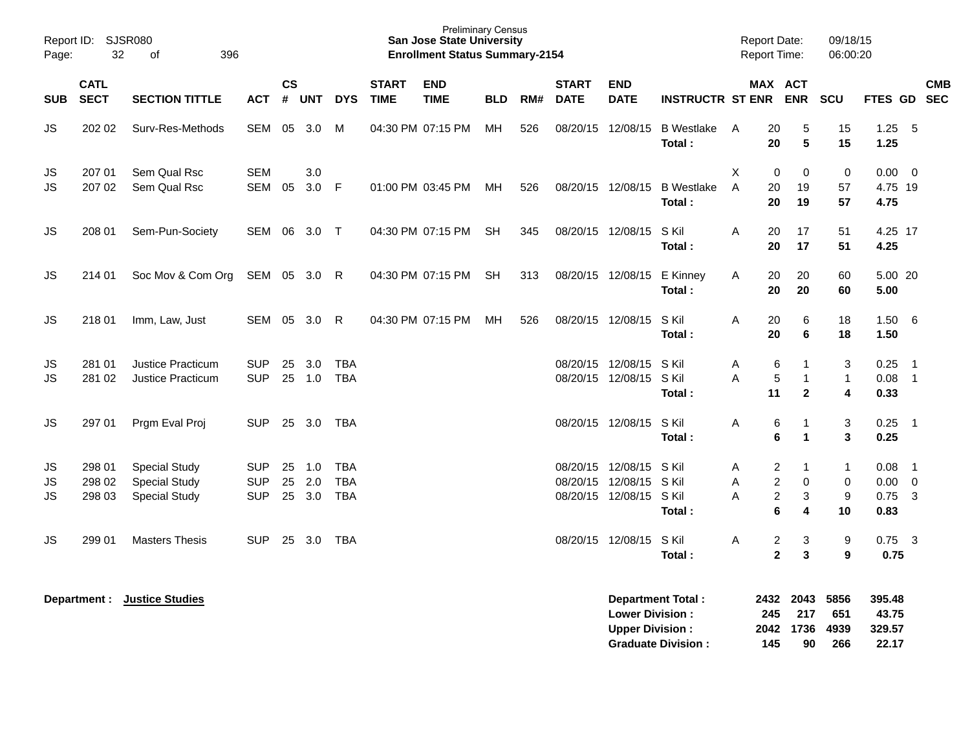| Report ID:<br>Page:   | 32                         | <b>SJSR080</b><br>396<br>of                                          |                                        |                |                   |                                        |                             | <b>Preliminary Census</b><br>San Jose State University<br><b>Enrollment Status Summary-2154</b> |            |     |                             |                                                             |                                   | <b>Report Date:</b><br><b>Report Time:</b> |                                                                                                                | 09/18/15<br>06:00:20                        |                                     |                                                        |            |
|-----------------------|----------------------------|----------------------------------------------------------------------|----------------------------------------|----------------|-------------------|----------------------------------------|-----------------------------|-------------------------------------------------------------------------------------------------|------------|-----|-----------------------------|-------------------------------------------------------------|-----------------------------------|--------------------------------------------|----------------------------------------------------------------------------------------------------------------|---------------------------------------------|-------------------------------------|--------------------------------------------------------|------------|
| <b>SUB</b>            | <b>CATL</b><br><b>SECT</b> | <b>SECTION TITTLE</b>                                                | ACT # UNT                              | <b>CS</b>      |                   | <b>DYS</b>                             | <b>START</b><br><b>TIME</b> | <b>END</b><br><b>TIME</b>                                                                       | <b>BLD</b> | RM# | <b>START</b><br><b>DATE</b> | <b>END</b><br><b>DATE</b>                                   | <b>INSTRUCTR ST ENR</b>           |                                            | MAX ACT<br><b>ENR</b>                                                                                          | <b>SCU</b>                                  | FTES GD SEC                         |                                                        | <b>CMB</b> |
| <b>JS</b>             | 202 02                     | Surv-Res-Methods                                                     | SEM 05 3.0                             |                |                   | M                                      |                             | 04:30 PM 07:15 PM                                                                               | MH         | 526 |                             | 08/20/15 12/08/15                                           | <b>B</b> Westlake<br>Total:       | 20<br>A<br>20                              | 5<br>$5\phantom{1}$                                                                                            | 15<br>15                                    | 1.25<br>1.25                        | $-5$                                                   |            |
| JS.<br><b>JS</b>      | 207 01<br>207 02           | Sem Qual Rsc<br>Sem Qual Rsc                                         | <b>SEM</b><br>SEM 05                   |                | 3.0<br>3.0        | $\mathsf{F}$                           |                             | 01:00 PM 03:45 PM                                                                               | MH         | 526 |                             | 08/20/15 12/08/15                                           | <b>B</b> Westlake<br>Total:       | X<br>A<br>20<br>20                         | $\mathbf 0$<br>$\mathbf 0$<br>19<br>19                                                                         | 0<br>57<br>57                               | $0.00 \t 0$<br>4.75 19<br>4.75      |                                                        |            |
| <b>JS</b>             | 208 01                     | Sem-Pun-Society                                                      | SEM 06 3.0 T                           |                |                   |                                        |                             | 04:30 PM 07:15 PM                                                                               | <b>SH</b>  | 345 |                             | 08/20/15 12/08/15                                           | S Kil<br>Total:                   | A<br>20<br>20                              | 17<br>17                                                                                                       | 51<br>51                                    | 4.25 17<br>4.25                     |                                                        |            |
| JS                    | 214 01                     | Soc Mov & Com Org                                                    | SEM 05 3.0                             |                |                   | -R                                     |                             | 04:30 PM 07:15 PM                                                                               | <b>SH</b>  | 313 |                             | 08/20/15 12/08/15                                           | E Kinney<br>Total:                | 20<br>A<br>20                              | 20<br>20                                                                                                       | 60<br>60                                    | 5.00 20<br>5.00                     |                                                        |            |
| JS.                   | 218 01                     | Imm, Law, Just                                                       | SEM 05                                 |                | 3.0               | R                                      |                             | 04:30 PM 07:15 PM                                                                               | MН         | 526 |                             | 08/20/15 12/08/15                                           | S Kil<br>Total:                   | A<br>20<br>20                              | 6<br>6                                                                                                         | 18<br>18                                    | 1.506<br>1.50                       |                                                        |            |
| JS.<br><b>JS</b>      | 281 01<br>281 02           | Justice Practicum<br>Justice Practicum                               | <b>SUP</b><br><b>SUP</b>               | 25             | 3.0<br>25 1.0     | <b>TBA</b><br><b>TBA</b>               |                             |                                                                                                 |            |     |                             | 08/20/15 12/08/15<br>08/20/15 12/08/15                      | S Kil<br>S Kil<br>Total:          | A<br>A<br>11                               | 6<br>$\mathbf{1}$<br>5<br>$\mathbf{1}$<br>$\mathbf 2$                                                          | 3<br>$\mathbf{1}$<br>4                      | 0.25<br>0.08<br>0.33                | $\overline{\phantom{1}}$<br>$\overline{\phantom{0}}$ 1 |            |
| JS                    | 297 01                     | Prgm Eval Proj                                                       | <b>SUP</b>                             |                | 25 3.0            | <b>TBA</b>                             |                             |                                                                                                 |            |     |                             | 08/20/15 12/08/15                                           | S Kil<br>Total:                   | A                                          | 6<br>1<br>6<br>$\mathbf{1}$                                                                                    | 3<br>$\mathbf{3}$                           | $0.25$ 1<br>0.25                    |                                                        |            |
| JS<br>JS<br><b>JS</b> | 298 01<br>298 02<br>298 03 | <b>Special Study</b><br><b>Special Study</b><br><b>Special Study</b> | <b>SUP</b><br><b>SUP</b><br><b>SUP</b> | 25<br>25<br>25 | 1.0<br>2.0<br>3.0 | <b>TBA</b><br><b>TBA</b><br><b>TBA</b> |                             |                                                                                                 |            |     |                             | 08/20/15 12/08/15<br>08/20/15 12/08/15<br>08/20/15 12/08/15 | S Kil<br>S Kil<br>S Kil<br>Total: | A<br>A<br>Α                                | $\overline{2}$<br>$\mathbf{1}$<br>$\overline{c}$<br>$\mathbf 0$<br>$\overline{c}$<br>3<br>$6\phantom{1}6$<br>4 | $\mathbf{1}$<br>0<br>$\boldsymbol{9}$<br>10 | 0.08<br>$0.00 \t 0$<br>0.75<br>0.83 | $\overline{\phantom{1}}$<br>$\overline{\mathbf{3}}$    |            |
| <b>JS</b>             | 299 01                     | <b>Masters Thesis</b>                                                | <b>SUP</b>                             | 25             | 3.0               | <b>TBA</b>                             |                             |                                                                                                 |            |     |                             | 08/20/15 12/08/15                                           | S Kil<br>Total:                   | Α                                          | 3<br>$\overline{c}$<br>$\overline{\mathbf{2}}$<br>3                                                            | 9<br>9                                      | $0.75$ 3<br>0.75                    |                                                        |            |

| Department Total:         |     | 2432 2043 5856 |     | 395.48 |
|---------------------------|-----|----------------|-----|--------|
| <b>Lower Division:</b>    | 245 | - 217          | 651 | 43.75  |
| <b>Upper Division:</b>    |     | 2042 1736 4939 |     | 329.57 |
| <b>Graduate Division:</b> | 145 | 90             | 266 | 22.17  |

**Department : Justice Studies**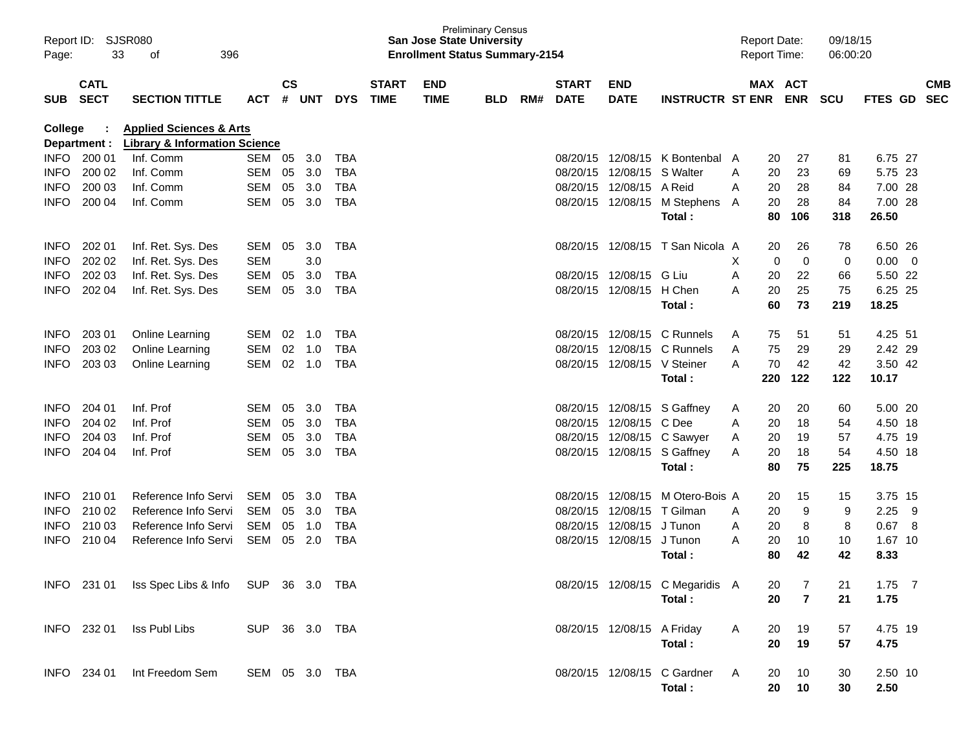| Page:       | Report ID: SJSR080<br>33   |                                                                                |                |               |        |            | <b>San Jose State University</b><br><b>Enrollment Status Summary-2154</b> | <b>Preliminary Census</b> |            |     |                             |                             | <b>Report Date:</b><br><b>Report Time:</b> |              |     | 09/18/15<br>06:00:20  |     |             |                |            |
|-------------|----------------------------|--------------------------------------------------------------------------------|----------------|---------------|--------|------------|---------------------------------------------------------------------------|---------------------------|------------|-----|-----------------------------|-----------------------------|--------------------------------------------|--------------|-----|-----------------------|-----|-------------|----------------|------------|
| SUB         | <b>CATL</b><br><b>SECT</b> | <b>SECTION TITTLE</b>                                                          | <b>ACT</b>     | $\mathsf{cs}$ | # UNT  | <b>DYS</b> | <b>START</b><br><b>TIME</b>                                               | <b>END</b><br><b>TIME</b> | <b>BLD</b> | RM# | <b>START</b><br><b>DATE</b> | <b>END</b><br><b>DATE</b>   | <b>INSTRUCTR ST ENR</b>                    |              |     | MAX ACT<br><b>ENR</b> | SCU | FTES GD SEC |                | <b>CMB</b> |
| College     | Department :               | <b>Applied Sciences &amp; Arts</b><br><b>Library &amp; Information Science</b> |                |               |        |            |                                                                           |                           |            |     |                             |                             |                                            |              |     |                       |     |             |                |            |
|             | INFO 200 01                | Inf. Comm                                                                      | SEM 05         |               | 3.0    | <b>TBA</b> |                                                                           |                           |            |     | 08/20/15                    |                             | 12/08/15 K Bontenbal A                     |              | 20  | 27                    | 81  | 6.75 27     |                |            |
| <b>INFO</b> | 200 02                     | Inf. Comm                                                                      | SEM            | 05            | 3.0    | <b>TBA</b> |                                                                           |                           |            |     | 08/20/15                    | 12/08/15                    | S Walter                                   | A            | 20  | 23                    | 69  | 5.75 23     |                |            |
| <b>INFO</b> | 200 03                     | Inf. Comm                                                                      | SEM            | 05            | 3.0    | <b>TBA</b> |                                                                           |                           |            |     |                             | 08/20/15 12/08/15           | A Reid                                     | A            | 20  | 28                    | 84  | 7.00 28     |                |            |
| <b>INFO</b> | 200 04                     | Inf. Comm                                                                      | SEM            | 05            | 3.0    | <b>TBA</b> |                                                                           |                           |            |     |                             |                             | 08/20/15 12/08/15 M Stephens A             |              | 20  | 28                    | 84  | 7.00 28     |                |            |
|             |                            |                                                                                |                |               |        |            |                                                                           |                           |            |     |                             |                             | Total:                                     |              | 80  | 106                   | 318 | 26.50       |                |            |
| <b>INFO</b> | 202 01                     | Inf. Ret. Sys. Des                                                             | SEM            | 05            | 3.0    | <b>TBA</b> |                                                                           |                           |            |     |                             |                             | 08/20/15 12/08/15 T San Nicola A           |              | 20  | 26                    | 78  | 6.50 26     |                |            |
| <b>INFO</b> | 202 02                     | Inf. Ret. Sys. Des                                                             | <b>SEM</b>     |               | 3.0    |            |                                                                           |                           |            |     |                             |                             |                                            | X            | 0   | $\mathbf 0$           | 0   | 0.00        | $\overline{0}$ |            |
| <b>INFO</b> | 202 03                     | Inf. Ret. Sys. Des                                                             | <b>SEM</b>     | 05            | 3.0    | <b>TBA</b> |                                                                           |                           |            |     | 08/20/15                    | 12/08/15 G Liu              |                                            | A            | 20  | 22                    | 66  | 5.50 22     |                |            |
| <b>INFO</b> | 202 04                     | Inf. Ret. Sys. Des                                                             | SEM            | 05            | 3.0    | <b>TBA</b> |                                                                           |                           |            |     |                             | 08/20/15 12/08/15 H Chen    |                                            | A            | 20  | 25                    | 75  | 6.25 25     |                |            |
|             |                            |                                                                                |                |               |        |            |                                                                           |                           |            |     |                             |                             | Total:                                     |              | 60  | 73                    | 219 | 18.25       |                |            |
| <b>INFO</b> | 203 01                     | <b>Online Learning</b>                                                         | SEM            | 02            | 1.0    | <b>TBA</b> |                                                                           |                           |            |     |                             |                             | 08/20/15 12/08/15 C Runnels                | A            | 75  | 51                    | 51  | 4.25 51     |                |            |
| <b>INFO</b> | 203 02                     | Online Learning                                                                | SEM            | 02            | 1.0    | <b>TBA</b> |                                                                           |                           |            |     | 08/20/15                    |                             | 12/08/15 C Runnels                         | A            | 75  | 29                    | 29  | 2.42 29     |                |            |
| <b>INFO</b> | 203 03                     | <b>Online Learning</b>                                                         | SEM            |               | 02 1.0 | <b>TBA</b> |                                                                           |                           |            |     |                             | 08/20/15 12/08/15 V Steiner |                                            | A            | 70  | 42                    | 42  | 3.50 42     |                |            |
|             |                            |                                                                                |                |               |        |            |                                                                           |                           |            |     |                             |                             | Total:                                     |              | 220 | 122                   | 122 | 10.17       |                |            |
| <b>INFO</b> | 204 01                     | Inf. Prof                                                                      | SEM            | 05            | 3.0    | <b>TBA</b> |                                                                           |                           |            |     |                             |                             | 08/20/15 12/08/15 S Gaffney                | A            | 20  | 20                    | 60  | 5.00 20     |                |            |
| <b>INFO</b> | 204 02                     | Inf. Prof                                                                      | SEM            | 05            | 3.0    | <b>TBA</b> |                                                                           |                           |            |     |                             | 08/20/15 12/08/15 C Dee     |                                            | A            | 20  | 18                    | 54  | 4.50 18     |                |            |
| <b>INFO</b> | 204 03                     | Inf. Prof                                                                      | SEM            | 05            | 3.0    | <b>TBA</b> |                                                                           |                           |            |     |                             |                             | 08/20/15 12/08/15 C Sawyer                 | Α            | 20  | 19                    | 57  | 4.75 19     |                |            |
| <b>INFO</b> | 204 04                     | Inf. Prof                                                                      | SEM            | 05            | 3.0    | <b>TBA</b> |                                                                           |                           |            |     |                             |                             | 08/20/15 12/08/15 S Gaffney                | A            | 20  | 18                    | 54  | 4.50 18     |                |            |
|             |                            |                                                                                |                |               |        |            |                                                                           |                           |            |     |                             |                             | Total:                                     |              | 80  | 75                    | 225 | 18.75       |                |            |
| <b>INFO</b> | 210 01                     | Reference Info Servi                                                           | SEM            | 05            | 3.0    | <b>TBA</b> |                                                                           |                           |            |     | 08/20/15                    | 12/08/15                    | M Otero-Bois A                             |              | 20  | 15                    | 15  | 3.75 15     |                |            |
| <b>INFO</b> | 210 02                     | Reference Info Servi                                                           | SEM            | 05            | 3.0    | <b>TBA</b> |                                                                           |                           |            |     |                             | 08/20/15 12/08/15           | T Gilman                                   | A            | 20  | 9                     | 9   | 2.25        | -9             |            |
| <b>INFO</b> | 210 03                     | Reference Info Servi                                                           | SEM            | 05            | 1.0    | <b>TBA</b> |                                                                           |                           |            |     | 08/20/15                    | 12/08/15 J Tunon            |                                            | Α            | 20  | 8                     | 8   | 0.67        | - 8            |            |
| <b>INFO</b> | 210 04                     | Reference Info Servi                                                           | SEM            | 05            | 2.0    | <b>TBA</b> |                                                                           |                           |            |     |                             | 08/20/15 12/08/15 J Tunon   |                                            | A            | 20  | 10                    | 10  | 1.67 10     |                |            |
|             |                            |                                                                                |                |               |        |            |                                                                           |                           |            |     |                             |                             | Total:                                     |              | 80  | 42                    | 42  | 8.33        |                |            |
|             |                            | INFO 231 01 Iss Spec Libs & Info SUP 36 3.0 TBA                                |                |               |        |            |                                                                           |                           |            |     |                             |                             | 08/20/15 12/08/15 C Megaridis A            |              | 20  | $\overline{7}$        | 21  | $1.75$ 7    |                |            |
|             |                            |                                                                                |                |               |        |            |                                                                           |                           |            |     |                             |                             | Total:                                     |              | 20  | $\overline{7}$        | 21  | 1.75        |                |            |
|             | INFO 232 01                | Iss Publ Libs                                                                  | SUP 36 3.0 TBA |               |        |            |                                                                           |                           |            |     |                             | 08/20/15 12/08/15 A Friday  |                                            | A            | 20  | 19                    | 57  | 4.75 19     |                |            |
|             |                            |                                                                                |                |               |        |            |                                                                           |                           |            |     |                             |                             | Total:                                     |              | 20  | 19                    | 57  | 4.75        |                |            |
|             | INFO 234 01                | Int Freedom Sem                                                                | SEM 05 3.0 TBA |               |        |            |                                                                           |                           |            |     |                             |                             | 08/20/15 12/08/15 C Gardner                | $\mathsf{A}$ | 20  | 10                    | 30  | 2.50 10     |                |            |
|             |                            |                                                                                |                |               |        |            |                                                                           |                           |            |     |                             |                             | Total:                                     |              | 20  | 10                    | 30  | 2.50        |                |            |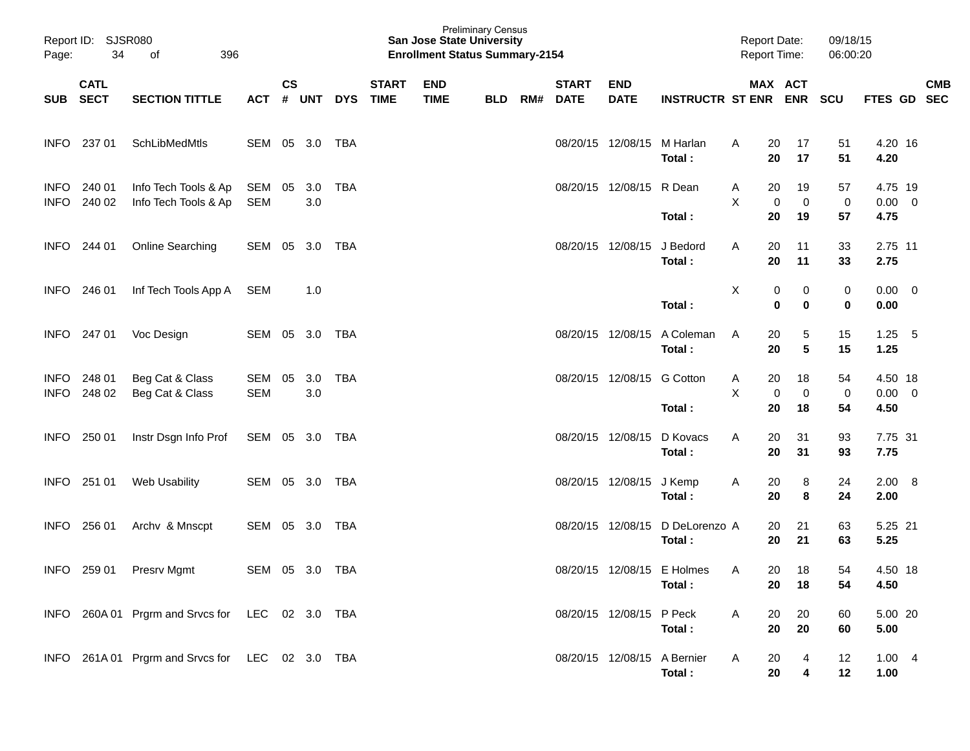| Page:                      | Report ID: SJSR080<br>34 | 396<br>of                                       |                   |               |            |            |                             | <b>San Jose State University</b><br><b>Enrollment Status Summary-2154</b> | <b>Preliminary Census</b> |     |                             |                             |                                      | <b>Report Date:</b><br><b>Report Time:</b> |                         | 09/18/15<br>06:00:20 |                                |            |
|----------------------------|--------------------------|-------------------------------------------------|-------------------|---------------|------------|------------|-----------------------------|---------------------------------------------------------------------------|---------------------------|-----|-----------------------------|-----------------------------|--------------------------------------|--------------------------------------------|-------------------------|----------------------|--------------------------------|------------|
|                            | <b>CATL</b><br>SUB SECT  | <b>SECTION TITTLE</b>                           | ACT # UNT         | $\mathsf{cs}$ |            | <b>DYS</b> | <b>START</b><br><b>TIME</b> | <b>END</b><br><b>TIME</b>                                                 | <b>BLD</b>                | RM# | <b>START</b><br><b>DATE</b> | <b>END</b><br><b>DATE</b>   | <b>INSTRUCTR ST ENR ENR</b>          | MAX ACT                                    |                         | <b>SCU</b>           | FTES GD SEC                    | <b>CMB</b> |
| <b>INFO</b>                | 237 01                   | SchLibMedMtls                                   | SEM 05 3.0        |               |            | TBA        |                             |                                                                           |                           |     |                             | 08/20/15 12/08/15           | M Harlan<br>Total:                   | 20<br>A<br>20                              | 17<br>17                | 51<br>51             | 4.20 16<br>4.20                |            |
| <b>INFO</b><br><b>INFO</b> | 240 01<br>240 02         | Info Tech Tools & Ap<br>Info Tech Tools & Ap    | SEM<br>SEM        | 05            | 3.0<br>3.0 | TBA        |                             |                                                                           |                           |     |                             | 08/20/15 12/08/15           | R Dean<br>Total:                     | A<br>20<br>X<br>0<br>20                    | 19<br>$\mathbf 0$<br>19 | 57<br>0<br>57        | 4.75 19<br>$0.00 \t 0$<br>4.75 |            |
| <b>INFO</b>                | 244 01                   | Online Searching                                | SEM 05 3.0        |               |            | TBA        |                             |                                                                           |                           |     | 08/20/15 12/08/15           |                             | J Bedord<br>Total:                   | Α<br>20<br>20                              | 11<br>11                | 33<br>33             | 2.75 11<br>2.75                |            |
| <b>INFO</b>                | 246 01                   | Inf Tech Tools App A                            | SEM               |               | 1.0        |            |                             |                                                                           |                           |     |                             |                             | Total:                               | X<br>0<br>$\mathbf 0$                      | 0<br>$\bf{0}$           | 0<br>$\mathbf 0$     | $0.00 \t 0$<br>0.00            |            |
| <b>INFO</b>                | 247 01                   | Voc Design                                      | SEM 05 3.0        |               |            | TBA        |                             |                                                                           |                           |     | 08/20/15 12/08/15           |                             | A Coleman<br>Total:                  | 20<br>A<br>20                              | 5<br>$5\phantom{.0}$    | 15<br>15             | $1.25$ 5<br>1.25               |            |
| INFO<br><b>INFO</b>        | 248 01<br>248 02         | Beg Cat & Class<br>Beg Cat & Class              | SEM<br><b>SEM</b> | 05            | 3.0<br>3.0 | <b>TBA</b> |                             |                                                                           |                           |     |                             | 08/20/15 12/08/15           | <b>G</b> Cotton<br>Total:            | 20<br>A<br>X<br>0<br>20                    | 18<br>$\mathbf 0$<br>18 | 54<br>0<br>54        | 4.50 18<br>$0.00 \t 0$<br>4.50 |            |
| <b>INFO</b>                | 250 01                   | Instr Dsgn Info Prof                            | SEM 05 3.0 TBA    |               |            |            |                             |                                                                           |                           |     |                             | 08/20/15 12/08/15           | D Kovacs<br>Total:                   | Α<br>20<br>20                              | 31<br>31                | 93<br>93             | 7.75 31<br>7.75                |            |
| <b>INFO</b>                | 251 01                   | Web Usability                                   | SEM 05 3.0        |               |            | TBA        |                             |                                                                           |                           |     |                             | 08/20/15 12/08/15           | J Kemp<br>Total:                     | 20<br>A<br>20                              | 8<br>8                  | 24<br>24             | $2.00\quad 8$<br>2.00          |            |
| <b>INFO</b>                | 256 01                   | Archv & Mnscpt                                  | SEM 05 3.0        |               |            | TBA        |                             |                                                                           |                           |     |                             | 08/20/15 12/08/15           | D DeLorenzo A<br>Total:              | 20<br>20                                   | 21<br>21                | 63<br>63             | 5.25 21<br>5.25                |            |
|                            | INFO 259 01              | Presrv Mgmt                                     | SEM 05 3.0 TBA    |               |            |            |                             |                                                                           |                           |     |                             |                             | 08/20/15 12/08/15 E Holmes<br>Total: | 20<br>A<br>20                              | 18<br>18                | 54<br>54             | 4.50 18<br>4.50                |            |
|                            |                          | INFO 260A 01 Prgrm and Srvcs for LEC 02 3.0 TBA |                   |               |            |            |                             |                                                                           |                           |     |                             | 08/20/15 12/08/15 P Peck    | Total:                               | A<br>20<br>20                              | 20<br>20                | 60<br>60             | 5.00 20<br>5.00                |            |
|                            |                          | INFO 261A 01 Prgrm and Srvcs for LEC 02 3.0 TBA |                   |               |            |            |                             |                                                                           |                           |     |                             | 08/20/15 12/08/15 A Bernier | Total:                               | Α<br>20<br>20                              | 4<br>4                  | 12<br>12             | 1.004<br>1.00                  |            |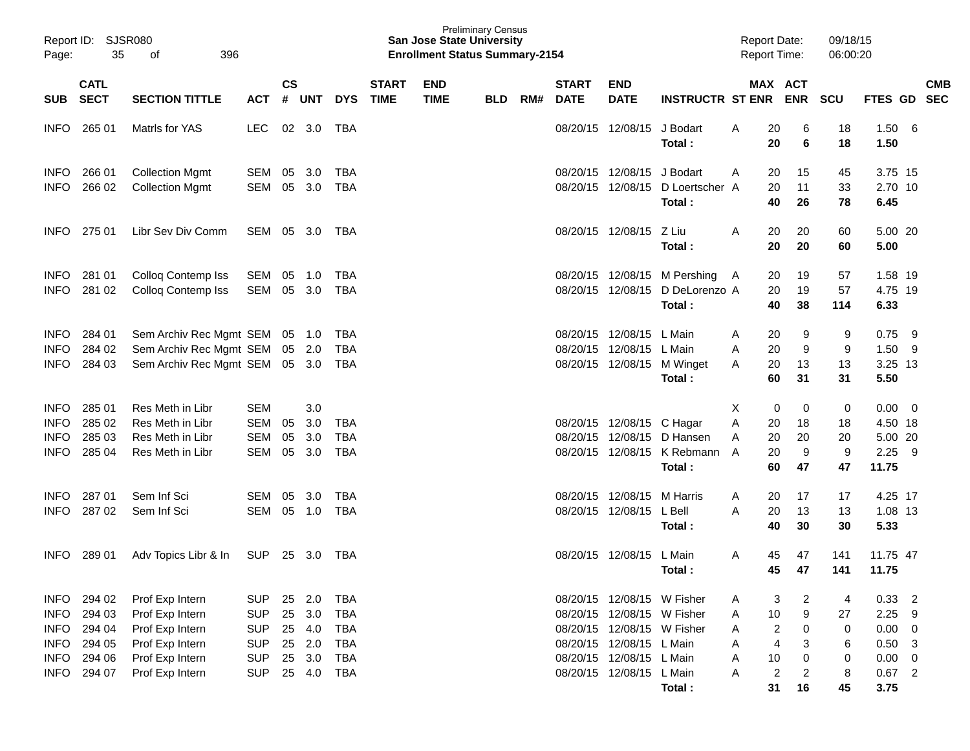| Page:                                                            | Report ID: SJSR080<br>35<br>396<br>of<br><b>CATL</b> |                                                                                             |                                                                    |                |                                       |                                                                    |                             | <b>San Jose State University</b><br><b>Enrollment Status Summary-2154</b> | <b>Preliminary Census</b> |     |                             |                                                                                                                                                |                                                                       | <b>Report Date:</b><br><b>Report Time:</b>                             |                          | 09/18/15<br>06:00:20     |                                             |                                                                             |                          |
|------------------------------------------------------------------|------------------------------------------------------|---------------------------------------------------------------------------------------------|--------------------------------------------------------------------|----------------|---------------------------------------|--------------------------------------------------------------------|-----------------------------|---------------------------------------------------------------------------|---------------------------|-----|-----------------------------|------------------------------------------------------------------------------------------------------------------------------------------------|-----------------------------------------------------------------------|------------------------------------------------------------------------|--------------------------|--------------------------|---------------------------------------------|-----------------------------------------------------------------------------|--------------------------|
| SUB                                                              | <b>SECT</b>                                          | <b>SECTION TITTLE</b>                                                                       | ACT                                                                | $\mathsf{cs}$  | # UNT                                 | <b>DYS</b>                                                         | <b>START</b><br><b>TIME</b> | <b>END</b><br><b>TIME</b>                                                 | <b>BLD</b>                | RM# | <b>START</b><br><b>DATE</b> | <b>END</b><br><b>DATE</b>                                                                                                                      | <b>INSTRUCTR ST ENR</b>                                               |                                                                        | MAX ACT<br><b>ENR</b>    | SCU                      | <b>FTES GD</b>                              |                                                                             | <b>CMB</b><br><b>SEC</b> |
| <b>INFO</b>                                                      | 265 01                                               | Matrls for YAS                                                                              | <b>LEC</b>                                                         |                | 02 3.0                                | TBA                                                                |                             |                                                                           |                           |     |                             | 08/20/15 12/08/15                                                                                                                              | J Bodart<br>Total:                                                    | Α<br>20<br>20                                                          | 6<br>6                   | 18<br>18                 | 1.50<br>1.50                                | - 6                                                                         |                          |
| <b>INFO</b><br><b>INFO</b>                                       | 266 01<br>266 02                                     | <b>Collection Mgmt</b><br><b>Collection Mgmt</b>                                            | SEM<br>SEM                                                         | 05<br>05       | 3.0<br>3.0                            | <b>TBA</b><br><b>TBA</b>                                           |                             |                                                                           |                           |     |                             | 08/20/15 12/08/15 J Bodart<br>08/20/15 12/08/15                                                                                                | D Loertscher A<br>Total:                                              | 20<br>A<br>20<br>40                                                    | 15<br>11<br>26           | 45<br>33<br>78           | 3.75 15<br>2.70 10<br>6.45                  |                                                                             |                          |
| <b>INFO</b>                                                      | 275 01                                               | Libr Sev Div Comm                                                                           | SEM 05 3.0                                                         |                |                                       | TBA                                                                |                             |                                                                           |                           |     |                             | 08/20/15 12/08/15                                                                                                                              | Z Liu<br>Total:                                                       | A<br>20<br>20                                                          | 20<br>20                 | 60<br>60                 | 5.00 20<br>5.00                             |                                                                             |                          |
| <b>INFO</b><br><b>INFO</b>                                       | 281 01<br>281 02                                     | Colloq Contemp Iss<br>Colloq Contemp Iss                                                    | SEM<br>SEM                                                         | 05             | 1.0<br>05 3.0                         | <b>TBA</b><br><b>TBA</b>                                           |                             |                                                                           |                           |     |                             | 08/20/15 12/08/15                                                                                                                              | 08/20/15 12/08/15 M Pershing<br>D DeLorenzo A<br>Total:               | 20<br>A<br>20<br>40                                                    | 19<br>19<br>38           | 57<br>57<br>114          | 1.58 19<br>4.75 19<br>6.33                  |                                                                             |                          |
| <b>INFO</b><br><b>INFO</b><br><b>INFO</b>                        | 284 01<br>284 02<br>284 03                           | Sem Archiv Rec Mgmt SEM 05 1.0<br>Sem Archiv Rec Mgmt SEM<br>Sem Archiv Rec Mgmt SEM 05 3.0 |                                                                    |                | 05 2.0                                | TBA<br><b>TBA</b><br>TBA                                           |                             |                                                                           |                           |     |                             | 08/20/15 12/08/15 L Main<br>08/20/15 12/08/15 L Main                                                                                           | 08/20/15 12/08/15 M Winget<br>Total:                                  | 20<br>A<br>A<br>20<br>20<br>A<br>60                                    | 9<br>9<br>13<br>31       | 9<br>9<br>13<br>31       | 0.75<br>1.50<br>3.25 13<br>5.50             | - 9<br>- 9                                                                  |                          |
| <b>INFO</b><br><b>INFO</b><br><b>INFO</b><br><b>INFO</b>         | 285 01<br>285 02<br>285 03<br>285 04                 | Res Meth in Libr<br>Res Meth in Libr<br>Res Meth in Libr<br>Res Meth in Libr                | <b>SEM</b><br><b>SEM</b><br><b>SEM</b><br>SEM                      | 05<br>05<br>05 | 3.0<br>3.0<br>3.0<br>3.0              | <b>TBA</b><br><b>TBA</b><br><b>TBA</b>                             |                             |                                                                           |                           |     |                             | 08/20/15 12/08/15 C Hagar                                                                                                                      | 08/20/15 12/08/15 D Hansen<br>08/20/15 12/08/15 K Rebmann A<br>Total: | Χ<br>0<br>A<br>20<br>20<br>A<br>20<br>60                               | 0<br>18<br>20<br>9<br>47 | 0<br>18<br>20<br>9<br>47 | 0.00<br>4.50 18<br>5.00 20<br>2.25<br>11.75 | $\overline{\phantom{0}}$<br>- 9                                             |                          |
| <b>INFO</b><br><b>INFO</b>                                       | 287 01<br>287 02                                     | Sem Inf Sci<br>Sem Inf Sci                                                                  | SEM<br><b>SEM</b>                                                  | 05             | 3.0<br>05 1.0                         | <b>TBA</b><br><b>TBA</b>                                           |                             |                                                                           |                           |     |                             | 08/20/15 12/08/15<br>08/20/15 12/08/15                                                                                                         | M Harris<br>L Bell<br>Total:                                          | Α<br>20<br>A<br>20<br>40                                               | 17<br>13<br>30           | 17<br>13<br>30           | 4.25 17<br>1.08 13<br>5.33                  |                                                                             |                          |
| <b>INFO</b>                                                      | 289 01                                               | Adv Topics Libr & In                                                                        | <b>SUP</b>                                                         | 25             | 3.0                                   | TBA                                                                |                             |                                                                           |                           |     |                             | 08/20/15 12/08/15                                                                                                                              | L Main<br>Total:                                                      | Α<br>45<br>45                                                          | 47<br>47                 | 141<br>141               | 11.75 47<br>11.75                           |                                                                             |                          |
| INFO<br><b>INFO</b><br><b>INFO</b><br><b>INFO</b><br><b>INFO</b> | 294 02<br>294 03<br>294 04<br>294 05<br>294 06       | Prof Exp Intern<br>Prof Exp Intern<br>Prof Exp Intern<br>Prof Exp Intern<br>Prof Exp Intern | <b>SUP</b><br><b>SUP</b><br><b>SUP</b><br><b>SUP</b><br><b>SUP</b> | 25<br>25<br>25 | 2.0<br>3.0<br>25 4.0<br>25 2.0<br>3.0 | <b>TBA</b><br><b>TBA</b><br><b>TBA</b><br><b>TBA</b><br><b>TBA</b> |                             |                                                                           |                           |     |                             | 08/20/15 12/08/15 W Fisher<br>08/20/15 12/08/15 W Fisher<br>08/20/15 12/08/15 W Fisher<br>08/20/15 12/08/15 L Main<br>08/20/15 12/08/15 L Main |                                                                       | 3<br>A<br>10<br>A<br>$\overline{\mathbf{c}}$<br>Α<br>4<br>A<br>10<br>A | 2<br>9<br>0<br>3<br>0    | 4<br>27<br>0<br>6<br>0   | 0.33<br>2.25<br>0.00<br>0.50<br>0.00        | $\overline{\phantom{0}}^2$<br>-9<br>$\overline{0}$<br>- 3<br>$\overline{0}$ |                          |
| <b>INFO</b>                                                      | 294 07                                               | Prof Exp Intern                                                                             | <b>SUP</b>                                                         |                | 25 4.0                                | <b>TBA</b>                                                         |                             |                                                                           |                           |     |                             | 08/20/15 12/08/15 L Main                                                                                                                       | Total:                                                                | 2<br>A<br>31                                                           | $\overline{2}$<br>16     | 8<br>45                  | $0.67$ 2<br>3.75                            |                                                                             |                          |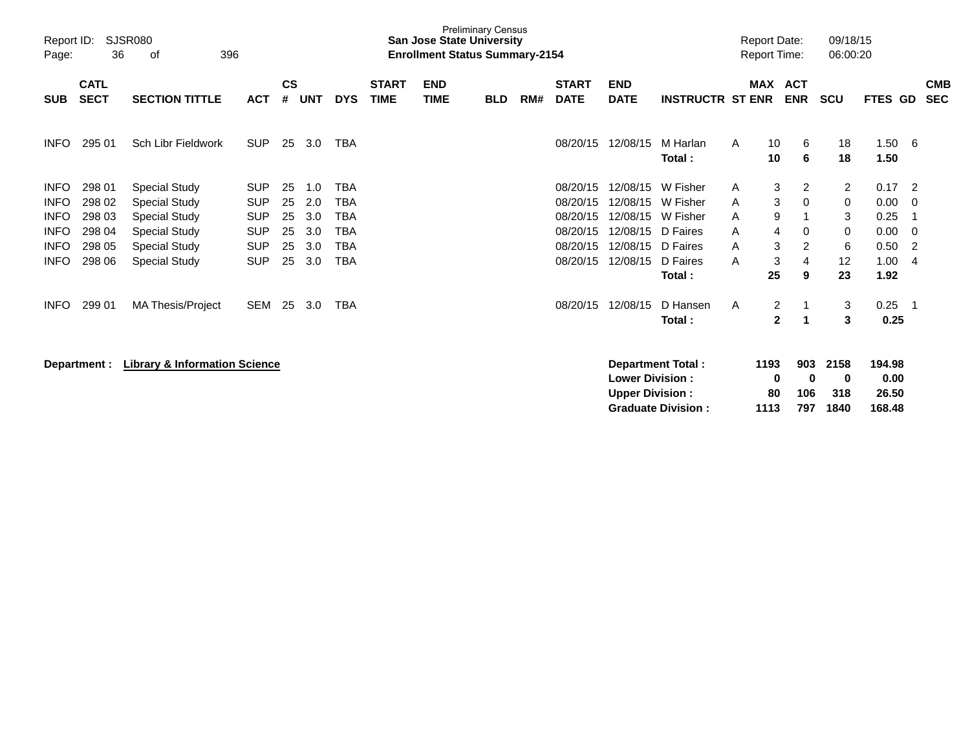| Report ID:<br>Page:        | 36                         | <b>SJSR080</b><br>396<br>of              |                          |                    |            |                          |                             | <b>San Jose State University</b><br><b>Enrollment Status Summary-2154</b> | <b>Preliminary Census</b> |     |                             |                                                  |                                                       |        | <b>Report Date:</b><br><b>Report Time:</b> |                          | 09/18/15<br>06:00:20     |                                   |                     |                          |
|----------------------------|----------------------------|------------------------------------------|--------------------------|--------------------|------------|--------------------------|-----------------------------|---------------------------------------------------------------------------|---------------------------|-----|-----------------------------|--------------------------------------------------|-------------------------------------------------------|--------|--------------------------------------------|--------------------------|--------------------------|-----------------------------------|---------------------|--------------------------|
| <b>SUB</b>                 | <b>CATL</b><br><b>SECT</b> | <b>SECTION TITTLE</b>                    | <b>ACT</b>               | $\mathsf{cs}$<br># | <b>UNT</b> | <b>DYS</b>               | <b>START</b><br><b>TIME</b> | <b>END</b><br><b>TIME</b>                                                 | <b>BLD</b>                | RM# | <b>START</b><br><b>DATE</b> | <b>END</b><br><b>DATE</b>                        | <b>INSTRUCTR ST ENR</b>                               |        | MAX                                        | <b>ACT</b><br><b>ENR</b> | <b>SCU</b>               | FTES GD                           |                     | <b>CMB</b><br><b>SEC</b> |
| <b>INFO</b>                | 295 01                     | Sch Libr Fieldwork                       | <b>SUP</b>               | 25                 | 3.0        | <b>TBA</b>               |                             |                                                                           |                           |     | 08/20/15                    | 12/08/15                                         | M Harlan<br>Total:                                    | A      | 10<br>10                                   | 6<br>6                   | 18<br>18                 | 1.50<br>1.50                      | $-6$                |                          |
| <b>INFO</b><br><b>INFO</b> | 298 01<br>298 02           | <b>Special Study</b><br>Special Study    | <b>SUP</b><br><b>SUP</b> | 25<br>25           | 1.0<br>2.0 | <b>TBA</b><br><b>TBA</b> |                             |                                                                           |                           |     | 08/20/15<br>08/20/15        | 12/08/15<br>12/08/15                             | W Fisher<br>W Fisher                                  | A<br>A | 3<br>3                                     | 2<br>$\Omega$            | 2<br>0                   | 0.17<br>0.00                      | $\overline{2}$<br>0 |                          |
| <b>INFO</b><br><b>INFO</b> | 298 03<br>298 04           | Special Study<br><b>Special Study</b>    | <b>SUP</b><br><b>SUP</b> | 25<br>25           | 3.0<br>3.0 | <b>TBA</b><br><b>TBA</b> |                             |                                                                           |                           |     | 08/20/15<br>08/20/15        | 12/08/15<br>12/08/15                             | W Fisher<br>D Faires                                  | A<br>A | 9<br>4                                     | 0                        | 3<br>0                   | 0.25<br>0.00                      | -1<br>- 0           |                          |
| <b>INFO</b>                | 298 05                     | Special Study                            | <b>SUP</b>               | 25                 | 3.0        | <b>TBA</b>               |                             |                                                                           |                           |     | 08/20/15                    | 12/08/15                                         | D Faires                                              | A      | 3                                          | 2                        | 6                        | 0.50                              | $\overline{2}$      |                          |
| <b>INFO</b>                | 298 06                     | <b>Special Study</b>                     | <b>SUP</b>               | 25                 | 3.0        | <b>TBA</b>               |                             |                                                                           |                           |     | 08/20/15                    | 12/08/15                                         | D Faires<br>Total:                                    | A      | 3<br>25                                    | 4<br>9                   | 12<br>23                 | 1.00<br>1.92                      | -4                  |                          |
| <b>INFO</b>                | 299 01                     | <b>MA Thesis/Project</b>                 | SEM                      | 25                 | 3.0        | <b>TBA</b>               |                             |                                                                           |                           |     | 08/20/15                    | 12/08/15                                         | D Hansen<br>Total:                                    | A      | $\overline{c}$<br>$\mathbf{2}$             |                          | 3<br>3                   | 0.25<br>0.25                      | - 1                 |                          |
|                            | Department :               | <b>Library &amp; Information Science</b> |                          |                    |            |                          |                             |                                                                           |                           |     |                             | <b>Lower Division:</b><br><b>Upper Division:</b> | <b>Department Total:</b><br><b>Graduate Division:</b> |        | 1193<br>0<br>80<br>1113                    | 903<br>0<br>106<br>797   | 2158<br>0<br>318<br>1840 | 194.98<br>0.00<br>26.50<br>168.48 |                     |                          |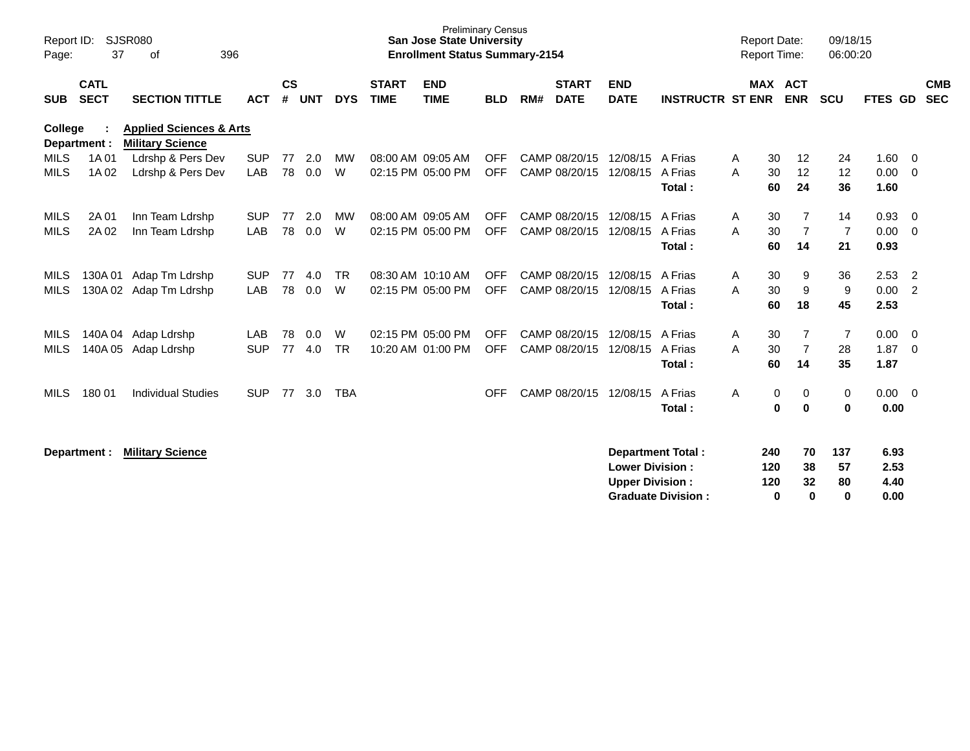| Report ID:<br>Page:        | 37                         | <b>SJSR080</b><br>396<br>of                                   |                          |                    |            |                |                             | <b>Preliminary Census</b><br><b>San Jose State University</b><br><b>Enrollment Status Summary-2154</b> |                          |     |                                |                                                  |                                                       | <b>Report Date:</b><br><b>Report Time:</b> |                        |                            | 09/18/15<br>06:00:20       |                              |                          |  |
|----------------------------|----------------------------|---------------------------------------------------------------|--------------------------|--------------------|------------|----------------|-----------------------------|--------------------------------------------------------------------------------------------------------|--------------------------|-----|--------------------------------|--------------------------------------------------|-------------------------------------------------------|--------------------------------------------|------------------------|----------------------------|----------------------------|------------------------------|--------------------------|--|
| <b>SUB</b>                 | <b>CATL</b><br><b>SECT</b> | <b>SECTION TITTLE</b>                                         | <b>ACT</b>               | $\mathsf{cs}$<br># | <b>UNT</b> | <b>DYS</b>     | <b>START</b><br><b>TIME</b> | <b>END</b><br><b>TIME</b>                                                                              | <b>BLD</b>               | RM# | <b>START</b><br><b>DATE</b>    | <b>END</b><br><b>DATE</b>                        | <b>INSTRUCTR ST ENR</b>                               |                                            | <b>MAX ACT</b>         | <b>ENR</b>                 | <b>SCU</b>                 | FTES GD                      | <b>CMB</b><br><b>SEC</b> |  |
| <b>College</b>             | Department :               | <b>Applied Sciences &amp; Arts</b><br><b>Military Science</b> |                          |                    |            |                |                             |                                                                                                        |                          |     |                                |                                                  |                                                       |                                            |                        |                            |                            |                              |                          |  |
| <b>MILS</b><br><b>MILS</b> | 1A 01<br>1A 02             | Ldrshp & Pers Dev<br>Ldrshp & Pers Dev                        | <b>SUP</b><br><b>LAB</b> | 77<br>78           | 2.0<br>0.0 | <b>MW</b><br>W |                             | 08:00 AM 09:05 AM<br>02:15 PM 05:00 PM                                                                 | <b>OFF</b><br><b>OFF</b> |     | CAMP 08/20/15<br>CAMP 08/20/15 | 12/08/15<br>12/08/15                             | A Frias<br>A Frias<br>Total:                          | A<br>A                                     | 30<br>30<br>60         | 12<br>12<br>24             | 24<br>12<br>36             | 1.60<br>0.00<br>1.60         | - 0<br>- 0               |  |
| MILS<br><b>MILS</b>        | 2A 01<br>2A 02             | Inn Team Ldrshp<br>Inn Team Ldrshp                            | <b>SUP</b><br>LAB        | 77<br>78           | 2.0<br>0.0 | <b>MW</b><br>W |                             | 08:00 AM 09:05 AM<br>02:15 PM 05:00 PM                                                                 | <b>OFF</b><br><b>OFF</b> |     | CAMP 08/20/15<br>CAMP 08/20/15 | 12/08/15<br>12/08/15                             | A Frias<br>A Frias<br>Total:                          | A<br>A                                     | 30<br>30<br>60         | 7<br>$\overline{7}$<br>14  | 14<br>$\overline{7}$<br>21 | 0.93<br>0.00<br>0.93         | - 0<br>$\overline{0}$    |  |
| MILS<br><b>MILS</b>        | 130A 01                    | Adap Tm Ldrshp<br>130A 02 Adap Tm Ldrshp                      | <b>SUP</b><br>LAB        | 77<br>78           | 4.0<br>0.0 | <b>TR</b><br>W |                             | 08:30 AM 10:10 AM<br>02:15 PM 05:00 PM                                                                 | <b>OFF</b><br><b>OFF</b> |     | CAMP 08/20/15<br>CAMP 08/20/15 | 12/08/15<br>12/08/15                             | A Frias<br>A Frias<br>Total:                          | A<br>A                                     | 30<br>30<br>60         | 9<br>9<br>18               | 36<br>9<br>45              | 2.53<br>0.00<br>2.53         | -2<br>$\overline{2}$     |  |
| MILS<br>MILS               | 140A 05                    | 140A 04 Adap Ldrshp<br>Adap Ldrshp                            | <b>LAB</b><br><b>SUP</b> | 78<br>77           | 0.0<br>4.0 | W<br>TR        |                             | 02:15 PM 05:00 PM<br>10:20 AM 01:00 PM                                                                 | <b>OFF</b><br><b>OFF</b> |     | CAMP 08/20/15<br>CAMP 08/20/15 | 12/08/15<br>12/08/15                             | A Frias<br>A Frias<br>Total:                          | A<br>A                                     | 30<br>30<br>60         | 7<br>$\overline{7}$<br>14  | $\overline{7}$<br>28<br>35 | 0.00<br>1.87<br>1.87         | - 0<br>$\overline{0}$    |  |
| <b>MILS</b>                | 180 01                     | <b>Individual Studies</b>                                     | <b>SUP</b>               | 77                 | 3.0        | <b>TBA</b>     |                             |                                                                                                        | <b>OFF</b>               |     | CAMP 08/20/15                  | 12/08/15                                         | A Frias<br>Total:                                     | A                                          | 0<br>$\bf{0}$          | 0<br>$\mathbf 0$           | 0<br>0                     | 0.00<br>0.00                 | $\overline{0}$           |  |
|                            | Department :               | <b>Military Science</b>                                       |                          |                    |            |                |                             |                                                                                                        |                          |     |                                | <b>Lower Division:</b><br><b>Upper Division:</b> | <b>Department Total:</b><br><b>Graduate Division:</b> |                                            | 240<br>120<br>120<br>0 | 70<br>38<br>32<br>$\bf{0}$ | 137<br>57<br>80<br>0       | 6.93<br>2.53<br>4.40<br>0.00 |                          |  |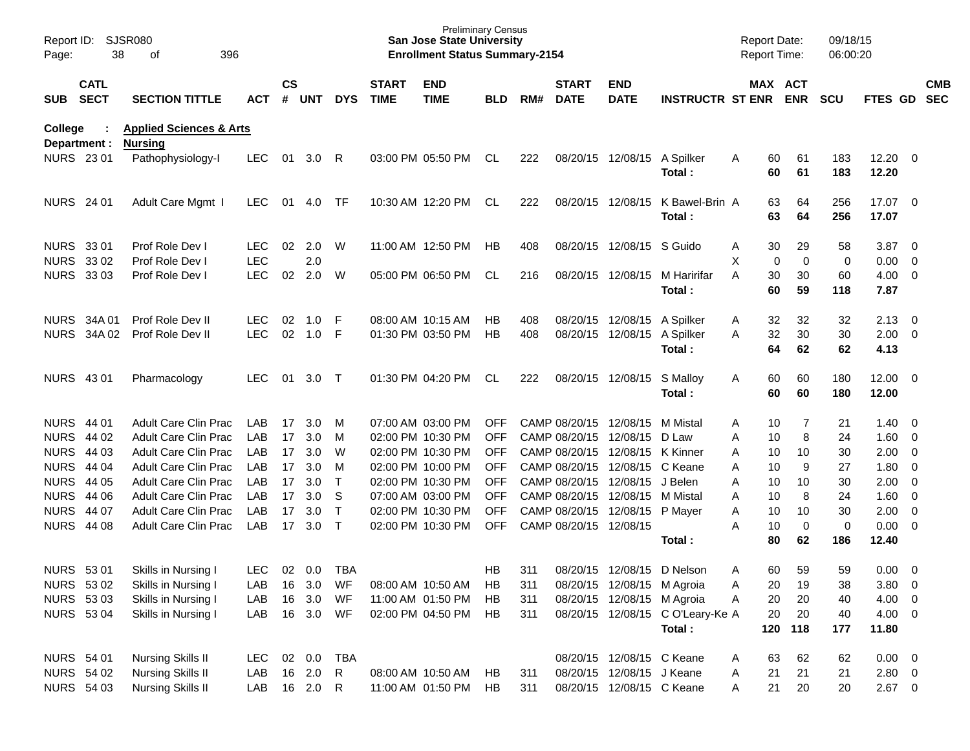| Report ID:<br>Page:     | 38                         | <b>SJSR080</b><br>396<br>оf                          |                          |                |            |              |                             | <b>Preliminary Census</b><br><b>San Jose State University</b><br><b>Enrollment Status Summary-2154</b> |            |            |                             |                                        |                                  | <b>Report Date:</b><br><b>Report Time:</b> |               |                       | 09/18/15<br>06:00:20 |                      |                                                    |                          |
|-------------------------|----------------------------|------------------------------------------------------|--------------------------|----------------|------------|--------------|-----------------------------|--------------------------------------------------------------------------------------------------------|------------|------------|-----------------------------|----------------------------------------|----------------------------------|--------------------------------------------|---------------|-----------------------|----------------------|----------------------|----------------------------------------------------|--------------------------|
| <b>SUB</b>              | <b>CATL</b><br><b>SECT</b> | <b>SECTION TITTLE</b>                                | ACT                      | <b>CS</b><br># | <b>UNT</b> | <b>DYS</b>   | <b>START</b><br><b>TIME</b> | <b>END</b><br><b>TIME</b>                                                                              | <b>BLD</b> | RM#        | <b>START</b><br><b>DATE</b> | <b>END</b><br><b>DATE</b>              | <b>INSTRUCTR ST ENR</b>          |                                            |               | MAX ACT<br><b>ENR</b> | <b>SCU</b>           | FTES GD              |                                                    | <b>CMB</b><br><b>SEC</b> |
| College<br>Department : |                            | <b>Applied Sciences &amp; Arts</b><br><b>Nursing</b> |                          |                |            |              |                             |                                                                                                        |            |            |                             |                                        |                                  |                                            |               |                       |                      |                      |                                                    |                          |
| <b>NURS 2301</b>        |                            | Pathophysiology-I                                    | <b>LEC</b>               | 01             | 3.0        | R            |                             | 03:00 PM 05:50 PM                                                                                      | CL         | 222        |                             | 08/20/15 12/08/15                      | A Spilker<br>Total:              | A                                          | 60<br>60      | 61<br>61              | 183<br>183           | 12.20<br>12.20       | $\overline{\phantom{0}}$                           |                          |
| <b>NURS 24 01</b>       |                            | Adult Care Mgmt I                                    | <b>LEC</b>               | 01             | 4.0        | TF           |                             | 10:30 AM 12:20 PM                                                                                      | CL         | 222        |                             | 08/20/15 12/08/15                      | K Bawel-Brin A<br>Total:         |                                            | 63<br>63      | 64<br>64              | 256<br>256           | 17.07 0<br>17.07     |                                                    |                          |
| NURS 33 01              |                            | Prof Role Dev I                                      | <b>LEC</b>               | 02             | 2.0        | W            |                             | 11:00 AM 12:50 PM                                                                                      | HB.        | 408        |                             | 08/20/15 12/08/15                      | S Guido                          | A                                          | 30            | 29                    | 58                   | 3.87                 | $\overline{\mathbf{0}}$                            |                          |
| <b>NURS 3302</b>        | <b>NURS 3303</b>           | Prof Role Dev I<br>Prof Role Dev I                   | <b>LEC</b><br><b>LEC</b> | 02             | 2.0<br>2.0 | W            |                             | 05:00 PM 06:50 PM                                                                                      | CL         | 216        |                             | 08/20/15 12/08/15                      | M Haririfar<br>Total:            | X<br>A                                     | 0<br>30<br>60 | 0<br>30<br>59         | 0<br>60<br>118       | 0.00<br>4.00<br>7.87 | 0<br>$\overline{\phantom{0}}$                      |                          |
|                         | NURS 34A 01<br>NURS 34A 02 | Prof Role Dev II<br>Prof Role Dev II                 | <b>LEC</b><br><b>LEC</b> | 02<br>02       | 1.0<br>1.0 | F<br>F       |                             | 08:00 AM 10:15 AM<br>01:30 PM 03:50 PM                                                                 | НB<br>НB   | 408<br>408 |                             | 08/20/15 12/08/15<br>08/20/15 12/08/15 | A Spilker<br>A Spilker           | A<br>A                                     | 32<br>32      | 32<br>30              | 32<br>30             | 2.13<br>2.00         | $\overline{\mathbf{0}}$<br>$\overline{\mathbf{0}}$ |                          |
| NURS 43 01              |                            | Pharmacology                                         | <b>LEC</b>               | 01             | 3.0        | $\top$       |                             | 01:30 PM 04:20 PM                                                                                      | CL         | 222        |                             | 08/20/15 12/08/15                      | Total:<br>S Malloy               |                                            | 64<br>60      | 62<br>60              | 62<br>180            | 4.13<br>12.00        | $\overline{\phantom{0}}$                           |                          |
|                         |                            |                                                      |                          |                |            |              |                             |                                                                                                        |            |            |                             |                                        | Total:                           | A                                          | 60            | 60                    | 180                  | 12.00                |                                                    |                          |
| NURS 44 01              |                            | Adult Care Clin Prac                                 | LAB                      | 17             | 3.0        | M            |                             | 07:00 AM 03:00 PM                                                                                      | <b>OFF</b> |            | CAMP 08/20/15 12/08/15      |                                        | M Mistal                         | A                                          | 10            | 7                     | 21                   | 1.40                 | $\overline{\mathbf{0}}$                            |                          |
| NURS 44 02              |                            | <b>Adult Care Clin Prac</b>                          | LAB                      | 17             | 3.0        | м            |                             | 02:00 PM 10:30 PM                                                                                      | <b>OFF</b> |            | CAMP 08/20/15               | 12/08/15                               | D Law                            | Α                                          | 10            | 8                     | 24                   | 1.60                 | 0                                                  |                          |
| <b>NURS 44 03</b>       |                            | Adult Care Clin Prac                                 | LAB                      | 17             | 3.0        | W            |                             | 02:00 PM 10:30 PM                                                                                      | <b>OFF</b> |            |                             | CAMP 08/20/15 12/08/15                 | K Kinner                         | Α                                          | 10            | 10                    | 30                   | 2.00                 | 0                                                  |                          |
| <b>NURS 44 04</b>       |                            | <b>Adult Care Clin Prac</b>                          | LAB                      | 17             | 3.0        | м            |                             | 02:00 PM 10:00 PM                                                                                      | <b>OFF</b> |            |                             | CAMP 08/20/15 12/08/15                 | C Keane                          | A                                          | 10            | 9                     | 27                   | 1.80                 | 0                                                  |                          |
| <b>NURS 44 05</b>       |                            | <b>Adult Care Clin Prac</b>                          | LAB                      | 17             | 3.0        | $\top$       |                             | 02:00 PM 10:30 PM                                                                                      | <b>OFF</b> |            |                             | CAMP 08/20/15 12/08/15                 | J Belen                          | Α                                          | 10            | 10                    | 30                   | 2.00                 | 0                                                  |                          |
| <b>NURS 44 06</b>       |                            | <b>Adult Care Clin Prac</b>                          | LAB                      | 17             | 3.0        | S            |                             | 07:00 AM 03:00 PM                                                                                      | <b>OFF</b> |            |                             | CAMP 08/20/15 12/08/15                 | M Mistal                         | A                                          | 10            | 8                     | 24                   | 1.60                 | $\overline{0}$                                     |                          |
| <b>NURS 44 07</b>       |                            | <b>Adult Care Clin Prac</b>                          | LAB                      | 17             | 3.0        | $\top$       |                             | 02:00 PM 10:30 PM                                                                                      | <b>OFF</b> |            |                             | CAMP 08/20/15 12/08/15                 | P Mayer                          | A                                          | 10            | 10                    | 30                   | 2.00                 | $\overline{\mathbf{0}}$                            |                          |
|                         | <b>NURS 44 08</b>          | Adult Care Clin Prac                                 | LAB                      | 17             | 3.0        | $\top$       |                             | 02:00 PM 10:30 PM                                                                                      | <b>OFF</b> |            | CAMP 08/20/15 12/08/15      |                                        | Total:                           | A                                          | 10<br>80      | $\mathbf 0$<br>62     | 0<br>186             | 0.00<br>12.40        | $\overline{\mathbf{0}}$                            |                          |
| <b>NURS 5301</b>        |                            | Skills in Nursing I                                  | LEC.                     | 02             | 0.0        | TBA          |                             |                                                                                                        | HB         | 311        |                             | 08/20/15 12/08/15                      | D Nelson                         | A                                          | 60            | 59                    | 59                   | 0.00                 | - 0                                                |                          |
| NURS 53 02              |                            | Skills in Nursing I                                  | LAB                      | 16             | 3.0        | WF           |                             | 08:00 AM 10:50 AM                                                                                      | HB         | 311        |                             | 08/20/15 12/08/15 M Agroia             |                                  | Α                                          | 20            | 19                    | 38                   | $3.80\ 0$            |                                                    |                          |
| NURS 53 03              |                            | Skills in Nursing I                                  | LAB                      | 16             | 3.0        | WF           |                             | 11:00 AM 01:50 PM                                                                                      | HB         | 311        |                             | 08/20/15 12/08/15 M Agroia             |                                  | Α                                          | 20            | 20                    | 40                   | $4.00 \ 0$           |                                                    |                          |
| <b>NURS 5304</b>        |                            | Skills in Nursing I                                  | LAB                      |                | 16 3.0     | WF           |                             | 02:00 PM 04:50 PM                                                                                      | HB.        | 311        |                             |                                        | 08/20/15 12/08/15 C O'Leary-Ke A |                                            | 20            | 20                    | 40                   | $4.00 \ 0$           |                                                    |                          |
|                         |                            |                                                      |                          |                |            |              |                             |                                                                                                        |            |            |                             |                                        | Total:                           |                                            | 120           | 118                   | 177                  | 11.80                |                                                    |                          |
| NURS 54 01              |                            | <b>Nursing Skills II</b>                             | <b>LEC</b>               | 02             | 0.0        | <b>TBA</b>   |                             |                                                                                                        |            |            |                             | 08/20/15 12/08/15 C Keane              |                                  | A                                          | 63            | 62                    | 62                   | $0.00 \t 0$          |                                                    |                          |
|                         | NURS 54 02                 | <b>Nursing Skills II</b>                             | LAB                      |                | 16 2.0     | $\mathsf{R}$ |                             | 08:00 AM 10:50 AM                                                                                      | HB         | 311        |                             | 08/20/15 12/08/15 J Keane              |                                  | A                                          | 21            | 21                    | 21                   | 2.80 0               |                                                    |                          |
| NURS 54 03              |                            | <b>Nursing Skills II</b>                             | LAB                      |                | 16  2.0  R |              |                             | 11:00 AM 01:50 PM                                                                                      | HB         | 311        |                             | 08/20/15 12/08/15 C Keane              |                                  | A                                          | 21            | 20                    | 20                   | $2.67$ 0             |                                                    |                          |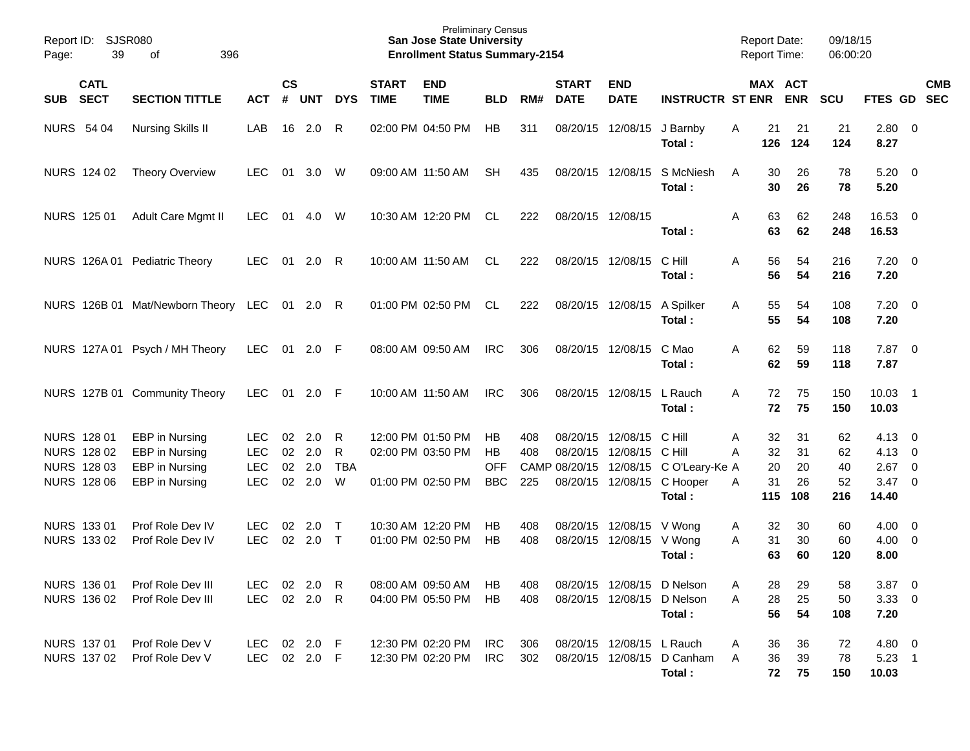| Report ID:<br>Page: | SJSR080<br>39              |                                     |              |                    |            |            | <b>Preliminary Census</b><br><b>San Jose State University</b><br><b>Enrollment Status Summary-2154</b> |                           |            |     |                             |                           | <b>Report Date:</b><br>Report Time: |                | 09/18/15<br>06:00:20  |            |                     |                         |  |
|---------------------|----------------------------|-------------------------------------|--------------|--------------------|------------|------------|--------------------------------------------------------------------------------------------------------|---------------------------|------------|-----|-----------------------------|---------------------------|-------------------------------------|----------------|-----------------------|------------|---------------------|-------------------------|--|
| <b>SUB</b>          | <b>CATL</b><br><b>SECT</b> | <b>SECTION TITTLE</b>               | <b>ACT</b>   | $\mathsf{cs}$<br># | <b>UNT</b> | <b>DYS</b> | <b>START</b><br><b>TIME</b>                                                                            | <b>END</b><br><b>TIME</b> | <b>BLD</b> | RM# | <b>START</b><br><b>DATE</b> | <b>END</b><br><b>DATE</b> | <b>INSTRUCTR ST ENR</b>             |                | MAX ACT<br><b>ENR</b> | <b>SCU</b> | FTES GD SEC         | <b>CMB</b>              |  |
| <b>NURS 54 04</b>   |                            | <b>Nursing Skills II</b>            | LAB          | 16                 | 2.0        | R          |                                                                                                        | 02:00 PM 04:50 PM         | <b>HB</b>  | 311 |                             | 08/20/15 12/08/15         | J Barnby<br>Total:                  | 21<br>Α<br>126 | 21<br>124             | 21<br>124  | 2.80<br>8.27        | $\overline{0}$          |  |
|                     | NURS 124 02                | <b>Theory Overview</b>              | <b>LEC</b>   | 01                 | 3.0        | W          |                                                                                                        | 09:00 AM 11:50 AM         | SН         | 435 |                             | 08/20/15 12/08/15         | S McNiesh<br>Total:                 | 30<br>A<br>30  | 26<br>26              | 78<br>78   | 5.20<br>5.20        | $\overline{\mathbf{0}}$ |  |
|                     | NURS 125 01                | Adult Care Mgmt II                  | <b>LEC</b>   | 01                 | 4.0        | W          |                                                                                                        | 10:30 AM 12:20 PM         | CL         | 222 | 08/20/15 12/08/15           |                           | Total:                              | 63<br>A<br>63  | 62<br>62              | 248<br>248 | 16.53 0<br>16.53    |                         |  |
|                     |                            | NURS 126A 01 Pediatric Theory       | <b>LEC</b>   | 01                 | 2.0        | R          |                                                                                                        | 10:00 AM 11:50 AM         | CL         | 222 |                             | 08/20/15 12/08/15         | C Hill<br>Total:                    | 56<br>A<br>56  | 54<br>54              | 216<br>216 | $7.20 \t 0$<br>7.20 |                         |  |
|                     |                            | NURS 126B 01 Mat/Newborn Theory LEC |              |                    | $01$ 2.0 R |            |                                                                                                        | 01:00 PM 02:50 PM         | CL         | 222 |                             | 08/20/15 12/08/15         | A Spilker<br>Total:                 | 55<br>A<br>55  | 54<br>54              | 108<br>108 | $7.20 \t 0$<br>7.20 |                         |  |
|                     |                            | NURS 127A 01 Psych / MH Theory      | <b>LEC</b>   | 01                 | 2.0        | - F        |                                                                                                        | 08:00 AM 09:50 AM         | <b>IRC</b> | 306 |                             | 08/20/15 12/08/15         | C Mao<br>Total:                     | A<br>62<br>62  | 59<br>59              | 118<br>118 | 7.87<br>7.87        | $\overline{\mathbf{0}}$ |  |
|                     |                            | NURS 127B 01 Community Theory       | <b>LEC</b>   | 01                 | 2.0        | - F        |                                                                                                        | 10:00 AM 11:50 AM         | <b>IRC</b> | 306 |                             | 08/20/15 12/08/15         | L Rauch<br>Total:                   | A<br>72<br>72  | 75<br>75              | 150<br>150 | 10.03 1<br>10.03    |                         |  |
| NURS 128 01         |                            | EBP in Nursing                      | <b>LEC</b>   | 02                 | 2.0        | R          |                                                                                                        | 12:00 PM 01:50 PM         | НB         | 408 | 08/20/15                    | 12/08/15                  | C Hill                              | 32<br>Α        | 31                    | 62         | 4.13                | $\overline{0}$          |  |
|                     | NURS 128 02                | EBP in Nursing                      | <b>LEC</b>   | 02                 | 2.0        | R          |                                                                                                        | 02:00 PM 03:50 PM         | <b>HB</b>  | 408 | 08/20/15                    | 12/08/15                  | C Hill                              | 32<br>A        | 31                    | 62         | 4.13                | $\overline{0}$          |  |
|                     | NURS 128 03                | EBP in Nursing                      | <b>LEC</b>   | 02                 | 2.0        | <b>TBA</b> |                                                                                                        |                           | <b>OFF</b> |     | CAMP 08/20/15 12/08/15      |                           | C O'Leary-Ke A                      | 20             | 20                    | 40         | 2.67                | $\overline{0}$          |  |
|                     | <b>NURS 128 06</b>         | EBP in Nursing                      | <b>LEC</b>   | 02                 | 2.0        | W          |                                                                                                        | 01:00 PM 02:50 PM         | <b>BBC</b> | 225 |                             | 08/20/15 12/08/15         | C Hooper                            | 31<br>A        | 26                    | 52         | 3.47                | $\overline{0}$          |  |
|                     |                            |                                     |              |                    |            |            |                                                                                                        |                           |            |     |                             |                           | Total:                              | 115            | 108                   | 216        | 14.40               |                         |  |
|                     | NURS 133 01                | Prof Role Dev IV                    | <b>LEC</b>   | 02                 | 2.0        | $\top$     |                                                                                                        | 10:30 AM 12:20 PM         | HB         | 408 |                             | 08/20/15 12/08/15 V Wong  |                                     | 32<br>A        | 30                    | 60         | 4.00                | $\overline{\mathbf{0}}$ |  |
|                     | NURS 133 02                | Prof Role Dev IV                    | <b>LEC</b>   | 02                 | 2.0        | $\top$     |                                                                                                        | 01:00 PM 02:50 PM         | <b>HB</b>  | 408 | 08/20/15                    | 12/08/15                  | V Wong                              | A<br>31        | 30                    | 60         | $4.00 \ 0$          |                         |  |
|                     |                            |                                     |              |                    |            |            |                                                                                                        |                           |            |     |                             |                           | Total:                              | 63             | 60                    | 120        | 8.00                |                         |  |
|                     | NURS 136 01                | Prof Role Dev III                   | LEC 02 2.0 R |                    |            |            |                                                                                                        | 08:00 AM 09:50 AM         | HB         | 408 |                             |                           | 08/20/15 12/08/15 D Nelson          | 28<br>Α        | 29                    | 58         | $3.87$ 0            |                         |  |
|                     | NURS 136 02                | Prof Role Dev III                   | LEC          |                    | 02 2.0 R   |            |                                                                                                        | 04:00 PM 05:50 PM         | HB         | 408 |                             |                           | 08/20/15 12/08/15 D Nelson          | 28<br>Α        | 25                    | 50         | $3.33 \ 0$          |                         |  |
|                     |                            |                                     |              |                    |            |            |                                                                                                        |                           |            |     |                             |                           | Total:                              | 56             | 54                    | 108        | 7.20                |                         |  |
|                     | NURS 137 01                | Prof Role Dev V                     | LEC 02 2.0 F |                    |            |            |                                                                                                        | 12:30 PM 02:20 PM         | IRC        | 306 |                             | 08/20/15 12/08/15 L Rauch |                                     | 36<br>A        | 36                    | 72         | 4.80 0              |                         |  |
|                     | NURS 137 02                | Prof Role Dev V                     | LEC 02 2.0 F |                    |            |            |                                                                                                        | 12:30 PM 02:20 PM         | IRC        | 302 |                             |                           | 08/20/15 12/08/15 D Canham          | 36<br>A        | 39                    | 78         | $5.23$ 1            |                         |  |
|                     |                            |                                     |              |                    |            |            |                                                                                                        |                           |            |     |                             |                           | Total:                              | 72             | 75                    | 150        | 10.03               |                         |  |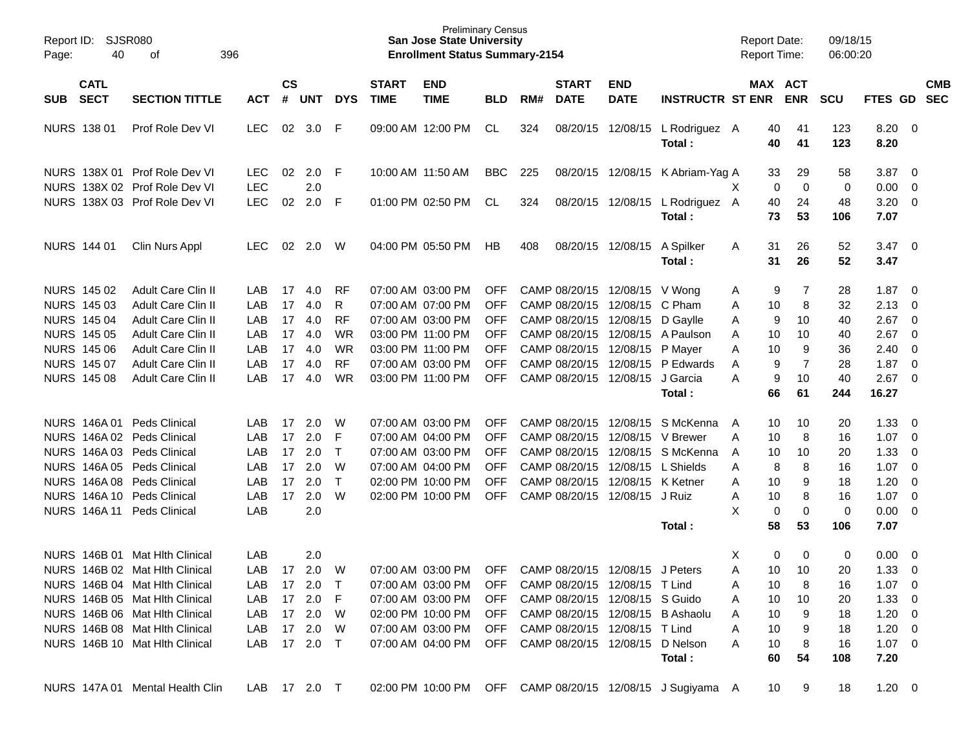| Report ID:<br>Page: | 40                         | <b>SJSR080</b><br>396<br>of     |              |                |            |              |                             | <b>Preliminary Census</b><br><b>San Jose State University</b><br><b>Enrollment Status Summary-2154</b> |            |     |                             |                                     |                                                           | <b>Report Date:</b><br>Report Time: |                       | 09/18/15<br>06:00:20 |                |                         |                          |
|---------------------|----------------------------|---------------------------------|--------------|----------------|------------|--------------|-----------------------------|--------------------------------------------------------------------------------------------------------|------------|-----|-----------------------------|-------------------------------------|-----------------------------------------------------------|-------------------------------------|-----------------------|----------------------|----------------|-------------------------|--------------------------|
| <b>SUB</b>          | <b>CATL</b><br><b>SECT</b> | <b>SECTION TITTLE</b>           | <b>ACT</b>   | <b>CS</b><br># | <b>UNT</b> | <b>DYS</b>   | <b>START</b><br><b>TIME</b> | <b>END</b><br><b>TIME</b>                                                                              | <b>BLD</b> | RM# | <b>START</b><br><b>DATE</b> | <b>END</b><br><b>DATE</b>           | <b>INSTRUCTR ST ENR</b>                                   |                                     | MAX ACT<br><b>ENR</b> | <b>SCU</b>           | <b>FTES GD</b> |                         | <b>CMB</b><br><b>SEC</b> |
|                     | <b>NURS 138 01</b>         | Prof Role Dev VI                | LEC          | 02             | 3.0        | F            |                             | 09:00 AM 12:00 PM                                                                                      | CL         | 324 | 08/20/15                    | 12/08/15                            | L Rodriguez A<br>Total:                                   | 40<br>40                            | 41<br>41              | 123<br>123           | 8.20<br>8.20   | $\overline{\mathbf{0}}$ |                          |
|                     |                            | NURS 138X 01 Prof Role Dev VI   | <b>LEC</b>   | 02             | 2.0        | -F           |                             | 10:00 AM 11:50 AM                                                                                      | <b>BBC</b> | 225 |                             | 08/20/15 12/08/15                   | K Abriam-Yag A                                            | 33                                  | 29                    | 58                   | 3.87           | $\overline{\mathbf{0}}$ |                          |
|                     |                            | NURS 138X 02 Prof Role Dev VI   | <b>LEC</b>   |                | 2.0        |              |                             |                                                                                                        |            |     |                             |                                     |                                                           | X<br>0                              | 0                     | 0                    | 0.00           | $\overline{0}$          |                          |
|                     |                            | NURS 138X 03 Prof Role Dev VI   | <b>LEC</b>   | 02             | 2.0        | F            |                             | 01:00 PM 02:50 PM                                                                                      | CL         | 324 |                             |                                     | 08/20/15 12/08/15 L Rodriguez A                           | 40                                  | 24                    | 48                   | 3.20           | $\overline{0}$          |                          |
|                     |                            |                                 |              |                |            |              |                             |                                                                                                        |            |     |                             |                                     | Total:                                                    | 73                                  | 53                    | 106                  | 7.07           |                         |                          |
|                     | NURS 144 01                | Clin Nurs Appl                  | <b>LEC</b>   | 02             | 2.0        | W            |                             | 04:00 PM 05:50 PM                                                                                      | HB         | 408 |                             | 08/20/15 12/08/15                   | A Spilker                                                 | 31<br>A                             | 26                    | 52                   | $3.47 \quad 0$ |                         |                          |
|                     |                            |                                 |              |                |            |              |                             |                                                                                                        |            |     |                             |                                     | Total:                                                    | 31                                  | 26                    | 52                   | 3.47           |                         |                          |
|                     | NURS 145 02                | <b>Adult Care Clin II</b>       | LAB          | 17             | 4.0        | <b>RF</b>    |                             | 07:00 AM 03:00 PM                                                                                      | <b>OFF</b> |     |                             | CAMP 08/20/15 12/08/15 V Wong       |                                                           | A                                   | 9<br>7                | 28                   | 1.87           | $\overline{\mathbf{0}}$ |                          |
|                     | NURS 145 03                | Adult Care Clin II              | LAB          | 17             | 4.0        | R            |                             | 07:00 AM 07:00 PM                                                                                      | <b>OFF</b> |     | CAMP 08/20/15               | 12/08/15                            | C Pham                                                    | 10<br>Α                             | 8                     | 32                   | 2.13           | $\overline{0}$          |                          |
|                     | NURS 145 04                | Adult Care Clin II              | LAB          | 17             | 4.0        | <b>RF</b>    |                             | 07:00 AM 03:00 PM                                                                                      | <b>OFF</b> |     | CAMP 08/20/15 12/08/15      |                                     | D Gaylle                                                  | Α<br>9                              | 10                    | 40                   | 2.67           | $\overline{\mathbf{0}}$ |                          |
|                     | <b>NURS 145 05</b>         | Adult Care Clin II              | LAB          | 17             | 4.0        | WR           |                             | 03:00 PM 11:00 PM                                                                                      | <b>OFF</b> |     | CAMP 08/20/15               | 12/08/15                            | A Paulson                                                 | A<br>10                             | 10                    | 40                   | 2.67           | $\overline{0}$          |                          |
|                     | <b>NURS 145 06</b>         | Adult Care Clin II              | LAB          | 17             | 4.0        | WR           |                             | 03:00 PM 11:00 PM                                                                                      | <b>OFF</b> |     | CAMP 08/20/15 12/08/15      |                                     | P Mayer                                                   | Α<br>10                             | 9                     | 36                   | 2.40           | $\overline{0}$          |                          |
|                     | NURS 145 07                | Adult Care Clin II              | LAB          | 17             | 4.0        | <b>RF</b>    |                             | 07:00 AM 03:00 PM                                                                                      | <b>OFF</b> |     | CAMP 08/20/15               | 12/08/15                            | P Edwards                                                 | Α                                   | 9<br>7                | 28                   | 1.87           | $\overline{0}$          |                          |
|                     | <b>NURS 145 08</b>         | Adult Care Clin II              | LAB          | 17             | 4.0        | <b>WR</b>    |                             | 03:00 PM 11:00 PM                                                                                      | <b>OFF</b> |     | CAMP 08/20/15 12/08/15      |                                     | J Garcia                                                  | A<br>9                              | 10                    | 40                   | 2.67           | $\overline{0}$          |                          |
|                     |                            |                                 |              |                |            |              |                             |                                                                                                        |            |     |                             |                                     | Total:                                                    | 66                                  | 61                    | 244                  | 16.27          |                         |                          |
|                     | NURS 146A01                | <b>Peds Clinical</b>            | LAB          | 17             | 2.0        | W            |                             | 07:00 AM 03:00 PM                                                                                      | <b>OFF</b> |     | CAMP 08/20/15               | 12/08/15                            | S McKenna                                                 | A<br>10                             | 10                    | 20                   | 1.33           | $\overline{\mathbf{0}}$ |                          |
|                     |                            | NURS 146A 02 Peds Clinical      | LAB          | 17             | 2.0        | F            |                             | 07:00 AM 04:00 PM                                                                                      | <b>OFF</b> |     | CAMP 08/20/15               | 12/08/15                            | V Brewer                                                  | Α<br>10                             | 8                     | 16                   | 1.07           | $\overline{\mathbf{0}}$ |                          |
|                     |                            | NURS 146A 03 Peds Clinical      | LAB          | 17             | 2.0        | $\mathsf{T}$ |                             | 07:00 AM 03:00 PM                                                                                      | <b>OFF</b> |     | CAMP 08/20/15               | 12/08/15                            | S McKenna                                                 | 10<br>A                             | 10                    | 20                   | 1.33           | $\overline{0}$          |                          |
|                     |                            | NURS 146A 05 Peds Clinical      | LAB          | 17             | 2.0        | W            |                             | 07:00 AM 04:00 PM                                                                                      | <b>OFF</b> |     | CAMP 08/20/15               | 12/08/15                            | L Shields                                                 | Α                                   | 8<br>8                | 16                   | 1.07           | $\overline{\mathbf{0}}$ |                          |
|                     |                            | NURS 146A 08 Peds Clinical      | LAB          | 17             | 2.0        | $\top$       |                             | 02:00 PM 10:00 PM                                                                                      | <b>OFF</b> |     | CAMP 08/20/15               | 12/08/15                            | K Ketner                                                  | 10<br>Α                             | 9                     | 18                   | 1.20           | $\overline{0}$          |                          |
|                     |                            | NURS 146A 10 Peds Clinical      | LAB          | 17             | 2.0        | W            |                             | 02:00 PM 10:00 PM                                                                                      | <b>OFF</b> |     | CAMP 08/20/15               | 12/08/15                            | J Ruiz                                                    | 10<br>Α                             | 8                     | 16                   | 1.07           | $\overline{0}$          |                          |
|                     | <b>NURS 146A11</b>         | Peds Clinical                   | LAB          |                | 2.0        |              |                             |                                                                                                        |            |     |                             |                                     |                                                           | X<br>0                              | 0                     | 0                    | 0.00           | $\overline{0}$          |                          |
|                     |                            |                                 |              |                |            |              |                             |                                                                                                        |            |     |                             |                                     | Total:                                                    | 58                                  | 53                    | 106                  | 7.07           |                         |                          |
|                     | NURS 146B 01               | <b>Mat Hith Clinical</b>        | LAB          |                | 2.0        |              |                             |                                                                                                        |            |     |                             |                                     |                                                           | Χ                                   | 0<br>0                | 0                    | 0.00           | $\overline{\mathbf{0}}$ |                          |
|                     |                            | NURS 146B 02 Mat Hlth Clinical  | LAB          | 17             | 2.0        | W            |                             | 07:00 AM 03:00 PM                                                                                      | OFF        |     |                             | CAMP 08/20/15 12/08/15 J Peters     |                                                           | A<br>10                             | 10                    | 20                   | 1.33           | $\overline{0}$          |                          |
|                     |                            | NURS 146B 04 Mat Hith Clinical  | LAB.         |                | 17 2.0     | $\top$       |                             | 07:00 AM 03:00 PM                                                                                      |            |     |                             | OFF CAMP 08/20/15 12/08/15 T Lind   |                                                           | 10<br>А                             | 8                     | 16                   | $1.07 \t 0$    |                         |                          |
|                     |                            | NURS 146B 05 Mat Hith Clinical  | LAB          | 17             | 2.0        | - F          |                             | 07:00 AM 03:00 PM                                                                                      |            |     |                             | OFF CAMP 08/20/15 12/08/15 S Guido  |                                                           | 10<br>Α                             | 10                    | 20                   | $1.33 \ 0$     |                         |                          |
|                     |                            | NURS 146B 06 Mat Hith Clinical  | LAB          |                | 17 2.0 W   |              |                             | 02:00 PM 10:00 PM                                                                                      |            |     |                             |                                     | OFF CAMP 08/20/15 12/08/15 B Ashaolu                      | 10<br>A                             | 9                     | 18                   | $1.20 \t 0$    |                         |                          |
|                     |                            | NURS 146B 08 Mat Hlth Clinical  | LAB          |                | 17 2.0     | - W          |                             | 07:00 AM 03:00 PM                                                                                      |            |     |                             | OFF CAMP 08/20/15 12/08/15 T Lind   |                                                           | 10<br>Α                             | 9                     | 18                   | $1.20 \t 0$    |                         |                          |
|                     |                            | NURS 146B 10 Mat Hlth Clinical  | LAB          |                | 17 2.0 T   |              |                             | 07:00 AM 04:00 PM                                                                                      |            |     |                             | OFF CAMP 08/20/15 12/08/15 D Nelson |                                                           | 10<br>A                             | 8                     | 16                   | $1.07 \t 0$    |                         |                          |
|                     |                            |                                 |              |                |            |              |                             |                                                                                                        |            |     |                             |                                     | Total:                                                    | 60                                  | 54                    | 108                  | 7.20           |                         |                          |
|                     |                            | NURS 147A 01 Mental Health Clin | LAB 17 2.0 T |                |            |              |                             |                                                                                                        |            |     |                             |                                     | 02:00 PM 10:00 PM OFF CAMP 08/20/15 12/08/15 J Sugiyama A | 10                                  | 9                     | 18                   | $1.20 \t 0$    |                         |                          |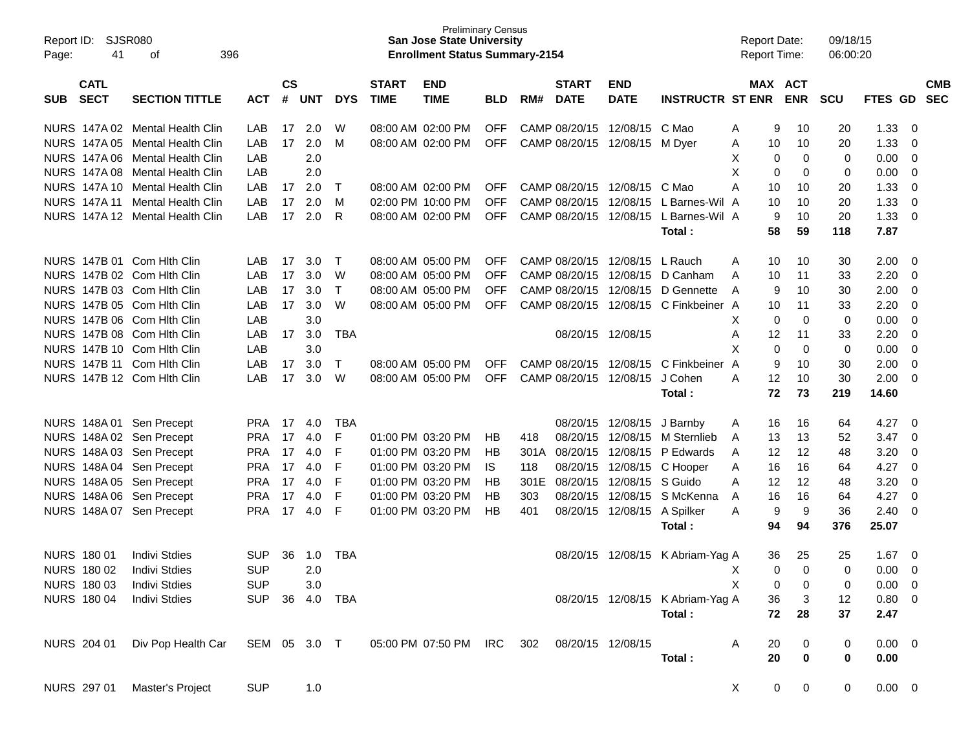| Report ID:<br>Page: | 41                 | <b>SJSR080</b><br>396<br>οf     |                |               |            |            |              | <b>Preliminary Census</b><br><b>San Jose State University</b><br><b>Enrollment Status Summary-2154</b> |            |      |                        |                            |                                  | <b>Report Date:</b><br><b>Report Time:</b> |                |                         | 09/18/15<br>06:00:20 |             |             |            |
|---------------------|--------------------|---------------------------------|----------------|---------------|------------|------------|--------------|--------------------------------------------------------------------------------------------------------|------------|------|------------------------|----------------------------|----------------------------------|--------------------------------------------|----------------|-------------------------|----------------------|-------------|-------------|------------|
|                     | <b>CATL</b>        |                                 |                | $\mathsf{cs}$ |            |            | <b>START</b> | <b>END</b>                                                                                             |            |      | <b>START</b>           | <b>END</b>                 |                                  |                                            | <b>MAX ACT</b> |                         |                      |             |             | <b>CMB</b> |
| <b>SUB</b>          | <b>SECT</b>        | <b>SECTION TITTLE</b>           | <b>ACT</b>     | #             | <b>UNT</b> | <b>DYS</b> | <b>TIME</b>  | <b>TIME</b>                                                                                            | <b>BLD</b> | RM#  | <b>DATE</b>            | <b>DATE</b>                | <b>INSTRUCTR ST ENR</b>          |                                            | <b>ENR</b>     |                         | <b>SCU</b>           | <b>FTES</b> | GD          | <b>SEC</b> |
|                     |                    | NURS 147A 02 Mental Health Clin | LAB            | 17            | 2.0        | W          |              | 08:00 AM 02:00 PM                                                                                      | <b>OFF</b> |      | CAMP 08/20/15          | 12/08/15                   | C Mao                            | Α                                          | 9              | 10                      | 20                   | 1.33        | 0           |            |
|                     |                    | NURS 147A 05 Mental Health Clin | LAB            | 17            | 2.0        | M          |              | 08:00 AM 02:00 PM                                                                                      | <b>OFF</b> |      | CAMP 08/20/15          | 12/08/15                   | M Dver                           | A                                          | 10             | 10                      | 20                   | 1.33        | 0           |            |
|                     |                    | NURS 147A 06 Mental Health Clin | LAB            |               | 2.0        |            |              |                                                                                                        |            |      |                        |                            |                                  | Х                                          | 0              | $\mathbf 0$             | 0                    | 0.00        | 0           |            |
|                     |                    | NURS 147A 08 Mental Health Clin | LAB            |               | 2.0        |            |              |                                                                                                        |            |      |                        |                            |                                  | X                                          | 0              | 0                       | 0                    | 0.00        | 0           |            |
|                     |                    | NURS 147A 10 Mental Health Clin | LAB            | 17            | 2.0        | Т          |              | 08:00 AM 02:00 PM                                                                                      | <b>OFF</b> |      | CAMP 08/20/15          | 12/08/15                   | C Mao                            | Α                                          | 10             | 10                      | 20                   | 1.33        | 0           |            |
|                     |                    | NURS 147A 11 Mental Health Clin | LAB            | 17            | 2.0        | M          |              | 02:00 PM 10:00 PM                                                                                      | OFF        |      | CAMP 08/20/15 12/08/15 |                            | L Barnes-Wil A                   |                                            | 10             | 10                      | 20                   | 1.33        | 0           |            |
|                     |                    | NURS 147A 12 Mental Health Clin | LAB            | 17            | 2.0        | R          |              | 08:00 AM 02:00 PM                                                                                      | <b>OFF</b> |      |                        | CAMP 08/20/15 12/08/15     | L Barnes-Wil A                   |                                            | 9              | 10                      | 20                   | 1.33        | 0           |            |
|                     |                    |                                 |                |               |            |            |              |                                                                                                        |            |      |                        |                            | Total:                           |                                            | 58             | 59                      | 118                  | 7.87        |             |            |
|                     |                    | NURS 147B 01 Com Hith Clin      | LAB            | 17            | 3.0        | Т          |              | 08:00 AM 05:00 PM                                                                                      | <b>OFF</b> |      | CAMP 08/20/15 12/08/15 |                            | L Rauch                          | A                                          | 10             | 10                      | 30                   | 2.00        | 0           |            |
|                     |                    | NURS 147B 02 Com Hith Clin      | LAB            | 17            | 3.0        | W          |              | 08:00 AM 05:00 PM                                                                                      | OFF        |      | CAMP 08/20/15 12/08/15 |                            | D Canham                         | A                                          | 10             | 11                      | 33                   | 2.20        | 0           |            |
|                     |                    | NURS 147B 03 Com Hith Clin      | LAB            | 17            | 3.0        | Τ          |              | 08:00 AM 05:00 PM                                                                                      | <b>OFF</b> |      | CAMP 08/20/15          | 12/08/15                   | D Gennette                       | A                                          | 9              | 10                      | 30                   | 2.00        | 0           |            |
|                     |                    | NURS 147B 05 Com Hith Clin      | LAB            | 17            | 3.0        | W          |              | 08:00 AM 05:00 PM                                                                                      | <b>OFF</b> |      |                        | CAMP 08/20/15 12/08/15     | C Finkbeiner A                   |                                            | 10             | 11                      | 33                   | 2.20        | 0           |            |
|                     |                    | NURS 147B 06 Com Hith Clin      | LAB            |               | 3.0        |            |              |                                                                                                        |            |      |                        |                            |                                  | Χ                                          | 0              | $\mathbf 0$             | 0                    | 0.00        | 0           |            |
|                     |                    | NURS 147B 08 Com Hith Clin      | LAB            | 17            | 3.0        | <b>TBA</b> |              |                                                                                                        |            |      | 08/20/15 12/08/15      |                            |                                  | A                                          | 12             | 11                      | 33                   | 2.20        | 0           |            |
|                     |                    | NURS 147B 10 Com Hith Clin      | LAB            |               | 3.0        |            |              |                                                                                                        |            |      |                        |                            |                                  | X                                          | 0              | $\mathbf 0$             | 0                    | 0.00        | $\mathbf 0$ |            |
|                     |                    | NURS 147B 11 Com Hith Clin      | LAB            | 17            | 3.0        | Т          |              | 08:00 AM 05:00 PM                                                                                      | <b>OFF</b> |      | CAMP 08/20/15          | 12/08/15                   | C Finkbeiner A                   |                                            | 9              | 10                      | 30                   | 2.00        | $\mathbf 0$ |            |
|                     |                    | NURS 147B 12 Com Hith Clin      | LAB            | 17            | 3.0        | W          |              | 08:00 AM 05:00 PM                                                                                      | <b>OFF</b> |      | CAMP 08/20/15 12/08/15 |                            | J Cohen                          | A                                          | 12             | 10                      | 30                   | 2.00        | 0           |            |
|                     |                    |                                 |                |               |            |            |              |                                                                                                        |            |      |                        |                            | Total:                           |                                            | 72             | 73                      | 219                  | 14.60       |             |            |
|                     |                    |                                 |                |               |            |            |              |                                                                                                        |            |      |                        |                            |                                  |                                            |                |                         |                      |             |             |            |
|                     |                    | NURS 148A 01 Sen Precept        | <b>PRA</b>     | 17            | 4.0        | <b>TBA</b> |              |                                                                                                        |            |      |                        | 08/20/15 12/08/15 J Barnby |                                  | A                                          | 16             | 16                      | 64                   | 4.27        | 0           |            |
|                     |                    | NURS 148A 02 Sen Precept        | <b>PRA</b>     | 17            | 4.0        | F          |              | 01:00 PM 03:20 PM                                                                                      | HB         | 418  |                        | 08/20/15 12/08/15          | M Sternlieb                      | A                                          | 13             | 13                      | 52                   | 3.47        | 0           |            |
|                     |                    | NURS 148A 03 Sen Precept        | <b>PRA</b>     | 17            | 4.0        | F          |              | 01:00 PM 03:20 PM                                                                                      | HB         | 301A | 08/20/15 12/08/15      |                            | P Edwards                        | A                                          | 12             | 12                      | 48                   | 3.20        | 0           |            |
|                     |                    | NURS 148A 04 Sen Precept        | <b>PRA</b>     | 17            | 4.0        | F          |              | 01:00 PM 03:20 PM                                                                                      | <b>IS</b>  | 118  |                        | 08/20/15 12/08/15          | C Hooper                         | A                                          | 16             | 16                      | 64                   | 4.27        | 0           |            |
|                     |                    | NURS 148A 05 Sen Precept        | <b>PRA</b>     | 17            | 4.0        | F          |              | 01:00 PM 03:20 PM                                                                                      | HB         | 301E | 08/20/15 12/08/15      |                            | S Guido                          | A                                          | 12             | 12                      | 48                   | 3.20        | 0           |            |
| <b>NURS</b>         |                    | 148A 06 Sen Precept             | PRA            | 17            | 4.0        | F          |              | 01:00 PM 03:20 PM                                                                                      | HB         | 303  |                        | 08/20/15 12/08/15          | S McKenna                        | A                                          | 16             | 16                      | 64                   | 4.27        | 0           |            |
|                     |                    | NURS 148A 07 Sen Precept        | <b>PRA</b>     | 17            | 4.0        | F          |              | 01:00 PM 03:20 PM                                                                                      | HB         | 401  |                        | 08/20/15 12/08/15          | A Spilker                        | A                                          | 9              | 9                       | 36                   | 2.40        | 0           |            |
|                     |                    |                                 |                |               |            |            |              |                                                                                                        |            |      |                        |                            | Total:                           |                                            | 94             | 94                      | 376                  | 25.07       |             |            |
|                     | <b>NURS 180 01</b> | <b>Indivi Stdies</b>            | <b>SUP</b>     | 36            | 1.0        | <b>TBA</b> |              |                                                                                                        |            |      |                        |                            | 08/20/15 12/08/15 K Abriam-Yag A |                                            | 36             | 25                      | 25                   | 1.67        | 0           |            |
|                     |                    | NURS 180 02 Indivi Stdies       | <b>SUP</b>     |               | 2.0        |            |              |                                                                                                        |            |      |                        |                            |                                  | X —                                        | $\overline{0}$ | $\overline{\mathbf{0}}$ | 0                    | $0.00 \t 0$ |             |            |
|                     | NURS 180 03        | <b>Indivi Stdies</b>            | <b>SUP</b>     |               | 3.0        |            |              |                                                                                                        |            |      |                        |                            |                                  | X                                          | 0              | 0                       | 0                    | $0.00 \t 0$ |             |            |
|                     | <b>NURS 180 04</b> | <b>Indivi Stdies</b>            | SUP 36 4.0 TBA |               |            |            |              |                                                                                                        |            |      |                        |                            | 08/20/15 12/08/15 K Abriam-Yag A |                                            | 36             | $\mathbf{3}$            | 12                   | $0.80 \t 0$ |             |            |
|                     |                    |                                 |                |               |            |            |              |                                                                                                        |            |      |                        |                            | Total:                           |                                            | 72             | 28                      | 37                   | 2.47        |             |            |
|                     | NURS 204 01        | Div Pop Health Car SEM 05 3.0 T |                |               |            |            |              | 05:00 PM 07:50 PM IRC 302 08/20/15 12/08/15                                                            |            |      |                        |                            |                                  | A                                          | 20             | 0                       | 0                    | $0.00 \t 0$ |             |            |
|                     |                    |                                 |                |               |            |            |              |                                                                                                        |            |      |                        |                            | Total:                           |                                            | 20             | $\mathbf 0$             | 0                    | 0.00        |             |            |
|                     |                    | NURS 297 01 Master's Project    | <b>SUP</b>     |               | 1.0        |            |              |                                                                                                        |            |      |                        |                            |                                  | $\mathsf{X}$                               | $\overline{0}$ | $\bf{0}$                | 0                    | $0.00 \t 0$ |             |            |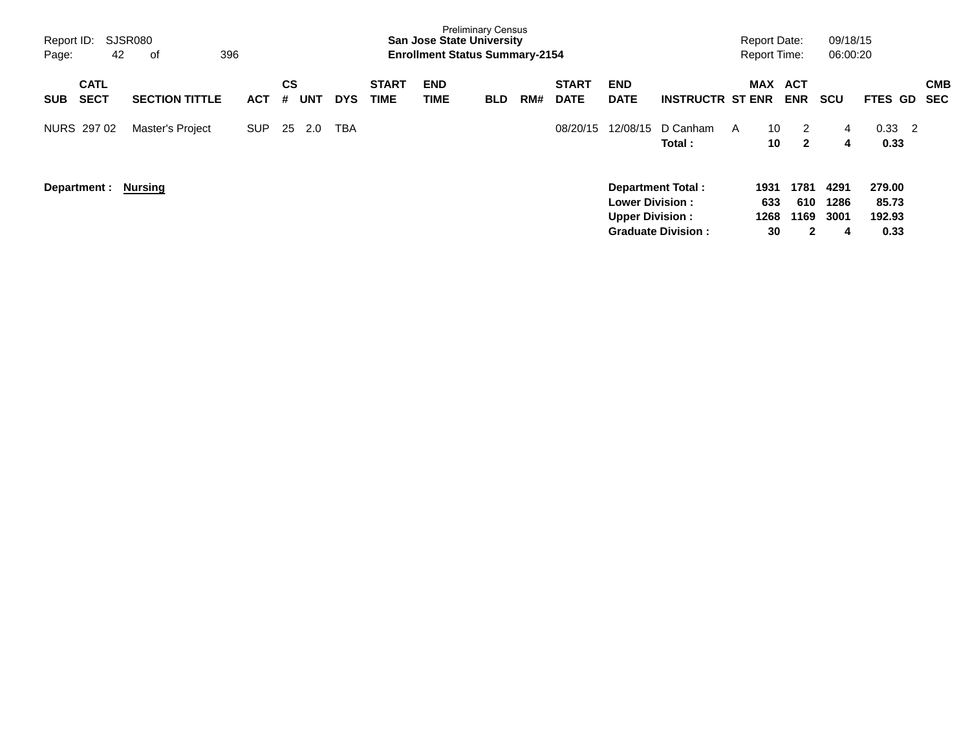| Report ID:<br>Page: | 42           | SJSR080<br>396<br>оf    |            |    |            |            |              | <b>San Jose State University</b><br><b>Enrollment Status Summary-2154</b> | <b>Preliminary Census</b> |     |              |                        |                           |   | <b>Report Date:</b><br><b>Report Time:</b> |              | 09/18/15<br>06:00:20 |                                    |            |
|---------------------|--------------|-------------------------|------------|----|------------|------------|--------------|---------------------------------------------------------------------------|---------------------------|-----|--------------|------------------------|---------------------------|---|--------------------------------------------|--------------|----------------------|------------------------------------|------------|
|                     | <b>CATL</b>  |                         |            | CS |            |            | <b>START</b> | <b>END</b>                                                                |                           |     | <b>START</b> | <b>END</b>             |                           |   | <b>MAX</b>                                 | <b>ACT</b>   |                      |                                    | <b>CMB</b> |
| <b>SUB</b>          | <b>SECT</b>  | <b>SECTION TITTLE</b>   | <b>ACT</b> | #  | <b>UNT</b> | <b>DYS</b> | <b>TIME</b>  | TIME                                                                      | <b>BLD</b>                | RM# | <b>DATE</b>  | <b>DATE</b>            | <b>INSTRUCTR ST ENR</b>   |   |                                            | <b>ENR</b>   | scu                  | <b>FTES</b><br>GD.                 | SEC        |
|                     | NURS 297 02  | <b>Master's Project</b> | <b>SUP</b> | 25 | 2.0        | TBA        |              |                                                                           |                           |     | 08/20/15     | 12/08/15               | D Canham                  | A | 10                                         | 2            | 4                    | 0.33<br>$\overline{\phantom{0}}^2$ |            |
|                     |              |                         |            |    |            |            |              |                                                                           |                           |     |              |                        | Total:                    |   | 10                                         | $\mathbf{2}$ | 4                    | 0.33                               |            |
|                     |              |                         |            |    |            |            |              |                                                                           |                           |     |              |                        |                           |   |                                            |              |                      |                                    |            |
|                     | Department : | Nursing                 |            |    |            |            |              |                                                                           |                           |     |              |                        | Department Total:         |   | 1931                                       | 1781         | 4291                 | 279.00                             |            |
|                     |              |                         |            |    |            |            |              |                                                                           |                           |     |              | <b>Lower Division:</b> |                           |   | 633                                        | 610          | 1286                 | 85.73                              |            |
|                     |              |                         |            |    |            |            |              |                                                                           |                           |     |              | <b>Upper Division:</b> |                           |   | 1268                                       | 1169         | 3001                 | 192.93                             |            |
|                     |              |                         |            |    |            |            |              |                                                                           |                           |     |              |                        | <b>Graduate Division:</b> |   | 30                                         | 2            | 4                    | 0.33                               |            |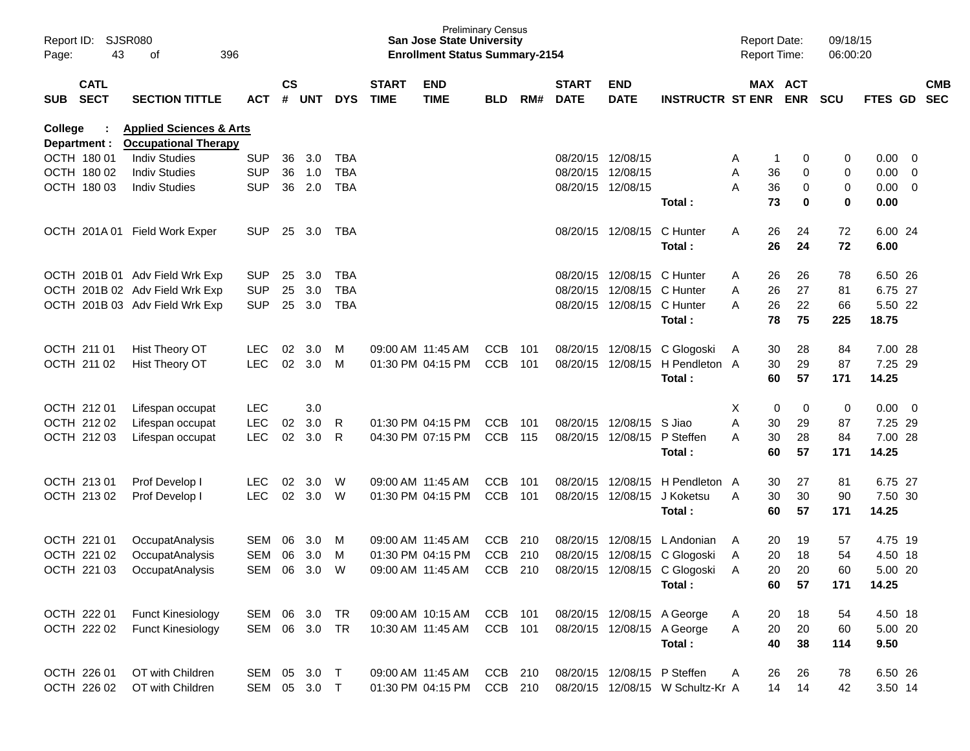| Report ID:<br>Page: | 43                         | SJSR080<br>396<br>οf                                              |              |               |       |            |                             | <b>Preliminary Census</b><br><b>San Jose State University</b><br><b>Enrollment Status Summary-2154</b> |            |     |                             |                             |                                  | <b>Report Date:</b><br>Report Time: |    |                       | 09/18/15<br>06:00:20 |             |                          |            |
|---------------------|----------------------------|-------------------------------------------------------------------|--------------|---------------|-------|------------|-----------------------------|--------------------------------------------------------------------------------------------------------|------------|-----|-----------------------------|-----------------------------|----------------------------------|-------------------------------------|----|-----------------------|----------------------|-------------|--------------------------|------------|
| <b>SUB</b>          | <b>CATL</b><br><b>SECT</b> | <b>SECTION TITTLE</b>                                             | <b>ACT</b>   | $\mathsf{cs}$ | # UNT | <b>DYS</b> | <b>START</b><br><b>TIME</b> | <b>END</b><br><b>TIME</b>                                                                              | <b>BLD</b> | RM# | <b>START</b><br><b>DATE</b> | <b>END</b><br><b>DATE</b>   | <b>INSTRUCTR ST ENR</b>          |                                     |    | MAX ACT<br><b>ENR</b> | <b>SCU</b>           | FTES GD SEC |                          | <b>CMB</b> |
| College             | Department :               | <b>Applied Sciences &amp; Arts</b><br><b>Occupational Therapy</b> |              |               |       |            |                             |                                                                                                        |            |     |                             |                             |                                  |                                     |    |                       |                      |             |                          |            |
|                     | OCTH 180 01                | <b>Indiv Studies</b>                                              | <b>SUP</b>   | 36            | 3.0   | <b>TBA</b> |                             |                                                                                                        |            |     |                             | 08/20/15 12/08/15           |                                  | A                                   | -1 | 0                     | 0                    | 0.00        | $\overline{\mathbf{0}}$  |            |
|                     | OCTH 180 02                | <b>Indiv Studies</b>                                              | <b>SUP</b>   | 36            | 1.0   | <b>TBA</b> |                             |                                                                                                        |            |     | 08/20/15                    | 12/08/15                    |                                  | A                                   | 36 | 0                     | 0                    | 0.00        | $\overline{0}$           |            |
|                     | OCTH 180 03                | <b>Indiv Studies</b>                                              | <b>SUP</b>   | 36            | 2.0   | <b>TBA</b> |                             |                                                                                                        |            |     |                             | 08/20/15 12/08/15           |                                  | A                                   | 36 | 0                     | 0                    | 0.00        | $\overline{\mathbf{0}}$  |            |
|                     |                            |                                                                   |              |               |       |            |                             |                                                                                                        |            |     |                             |                             | Total:                           |                                     | 73 | 0                     | $\mathbf 0$          | 0.00        |                          |            |
|                     |                            | OCTH 201A 01 Field Work Exper                                     | <b>SUP</b>   | 25            | 3.0   | TBA        |                             |                                                                                                        |            |     |                             | 08/20/15 12/08/15           | C Hunter                         | A                                   | 26 | 24                    | 72                   | 6.00 24     |                          |            |
|                     |                            |                                                                   |              |               |       |            |                             |                                                                                                        |            |     |                             |                             | Total:                           |                                     | 26 | 24                    | 72                   | 6.00        |                          |            |
|                     |                            | OCTH 201B 01 Adv Field Wrk Exp                                    | <b>SUP</b>   | 25            | 3.0   | <b>TBA</b> |                             |                                                                                                        |            |     | 08/20/15                    | 12/08/15                    | C Hunter                         | A                                   | 26 | 26                    | 78                   | 6.50 26     |                          |            |
|                     |                            | OCTH 201B 02 Adv Field Wrk Exp                                    | <b>SUP</b>   | 25            | 3.0   | <b>TBA</b> |                             |                                                                                                        |            |     | 08/20/15                    | 12/08/15                    | C Hunter                         | A                                   | 26 | 27                    | 81                   | 6.75 27     |                          |            |
|                     |                            | OCTH 201B 03 Adv Field Wrk Exp                                    | <b>SUP</b>   | 25            | 3.0   | <b>TBA</b> |                             |                                                                                                        |            |     |                             | 08/20/15 12/08/15 C Hunter  |                                  | A                                   | 26 | 22                    | 66                   | 5.50 22     |                          |            |
|                     |                            |                                                                   |              |               |       |            |                             |                                                                                                        |            |     |                             |                             | Total:                           |                                     | 78 | 75                    | 225                  | 18.75       |                          |            |
|                     | OCTH 211 01                | Hist Theory OT                                                    | <b>LEC</b>   | 02            | 3.0   | M          |                             | 09:00 AM 11:45 AM                                                                                      | <b>CCB</b> | 101 | 08/20/15                    | 12/08/15                    | C Glogoski                       | A                                   | 30 | 28                    | 84                   | 7.00 28     |                          |            |
|                     | OCTH 211 02                | Hist Theory OT                                                    | <b>LEC</b>   | 02            | 3.0   | M          |                             | 01:30 PM 04:15 PM                                                                                      | <b>CCB</b> | 101 | 08/20/15                    | 12/08/15                    | H Pendleton A                    |                                     | 30 | 29                    | 87                   | 7.25 29     |                          |            |
|                     |                            |                                                                   |              |               |       |            |                             |                                                                                                        |            |     |                             |                             | Total:                           |                                     | 60 | 57                    | 171                  | 14.25       |                          |            |
|                     | OCTH 212 01                | Lifespan occupat                                                  | <b>LEC</b>   |               | 3.0   |            |                             |                                                                                                        |            |     |                             |                             |                                  | х                                   | 0  | 0                     | 0                    | 0.00        | $\overline{\phantom{0}}$ |            |
|                     | OCTH 212 02                | Lifespan occupat                                                  | <b>LEC</b>   | 02            | 3.0   | R          |                             | 01:30 PM 04:15 PM                                                                                      | <b>CCB</b> | 101 | 08/20/15                    | 12/08/15                    | S Jiao                           | A                                   | 30 | 29                    | 87                   | 7.25 29     |                          |            |
|                     | OCTH 212 03                | Lifespan occupat                                                  | <b>LEC</b>   | 02            | 3.0   | R          |                             | 04:30 PM 07:15 PM                                                                                      | <b>CCB</b> | 115 |                             | 08/20/15 12/08/15           | P Steffen                        | A                                   | 30 | 28                    | 84                   | 7.00 28     |                          |            |
|                     |                            |                                                                   |              |               |       |            |                             |                                                                                                        |            |     |                             |                             | Total:                           |                                     | 60 | 57                    | 171                  | 14.25       |                          |            |
|                     | OCTH 213 01                | Prof Develop I                                                    | <b>LEC</b>   | 02            | 3.0   | W          |                             | 09:00 AM 11:45 AM                                                                                      | <b>CCB</b> | 101 | 08/20/15                    | 12/08/15                    | H Pendleton A                    |                                     | 30 | 27                    | 81                   | 6.75 27     |                          |            |
|                     | OCTH 213 02                | Prof Develop I                                                    | <b>LEC</b>   | 02            | 3.0   | W          |                             | 01:30 PM 04:15 PM                                                                                      | <b>CCB</b> | 101 | 08/20/15                    | 12/08/15                    | J Koketsu                        | A                                   | 30 | 30                    | 90                   | 7.50 30     |                          |            |
|                     |                            |                                                                   |              |               |       |            |                             |                                                                                                        |            |     |                             |                             | Total:                           |                                     | 60 | 57                    | 171                  | 14.25       |                          |            |
|                     | OCTH 221 01                | OccupatAnalysis                                                   | SEM          | 06            | 3.0   | M          |                             | 09:00 AM 11:45 AM                                                                                      | <b>CCB</b> | 210 | 08/20/15                    | 12/08/15                    | L Andonian                       | A                                   | 20 | 19                    | 57                   | 4.75 19     |                          |            |
|                     | OCTH 221 02                | OccupatAnalysis                                                   | SEM          | 06            | 3.0   | M          |                             | 01:30 PM 04:15 PM                                                                                      | <b>CCB</b> | 210 | 08/20/15                    | 12/08/15                    | C Glogoski                       | A                                   | 20 | 18                    | 54                   | 4.50 18     |                          |            |
|                     | OCTH 221 03                | OccupatAnalysis                                                   | <b>SEM</b>   | 06            | 3.0   | W          |                             | 09:00 AM 11:45 AM                                                                                      | <b>CCB</b> | 210 |                             | 08/20/15 12/08/15           | C Glogoski                       | A                                   | 20 | 20                    | 60                   | 5.00 20     |                          |            |
|                     |                            |                                                                   |              |               |       |            |                             |                                                                                                        |            |     |                             |                             | Total:                           |                                     | 60 | 57                    | 171                  | 14.25       |                          |            |
|                     | OCTH 222 01                | <b>Funct Kinesiology</b>                                          | SEM 06       |               | 3.0   | <b>TR</b>  |                             | 09:00 AM 10:15 AM                                                                                      | CCB 101    |     |                             |                             | 08/20/15 12/08/15 A George       | A                                   | 20 | 18                    | 54                   | 4.50 18     |                          |            |
|                     | OCTH 222 02                | <b>Funct Kinesiology</b>                                          | SEM 06 3.0   |               |       | <b>TR</b>  |                             | 10:30 AM 11:45 AM                                                                                      | CCB 101    |     |                             |                             | 08/20/15 12/08/15 A George       | Α                                   | 20 | 20                    | 60                   | 5.00 20     |                          |            |
|                     |                            |                                                                   |              |               |       |            |                             |                                                                                                        |            |     |                             |                             | Total:                           |                                     | 40 | 38                    | 114                  | 9.50        |                          |            |
|                     | OCTH 226 01                | OT with Children                                                  | SEM 05 3.0   |               |       | $\top$     |                             | 09:00 AM 11:45 AM                                                                                      | CCB 210    |     |                             | 08/20/15 12/08/15 P Steffen |                                  | A                                   | 26 | 26                    | 78                   | 6.50 26     |                          |            |
|                     | OCTH 226 02                | OT with Children                                                  | SEM 05 3.0 T |               |       |            |                             | 01:30 PM 04:15 PM                                                                                      | CCB 210    |     |                             |                             | 08/20/15 12/08/15 W Schultz-Kr A |                                     | 14 | 14                    | 42                   | 3.50 14     |                          |            |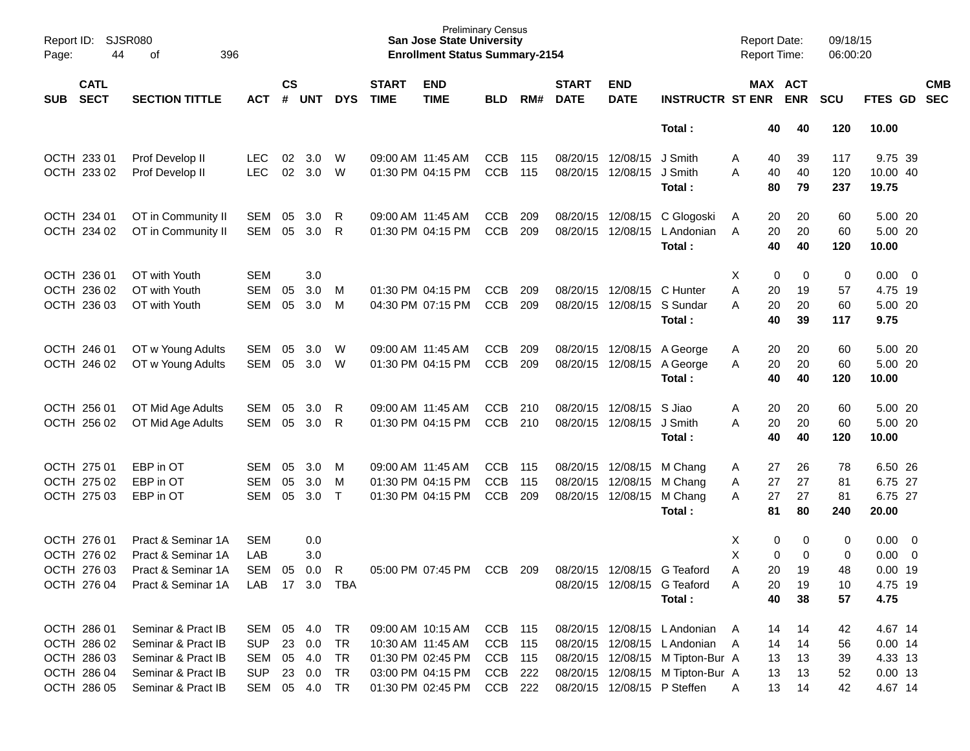| Page:      | <b>SJSR080</b><br>Report ID:<br>44<br>396<br>οf<br><b>CATL</b> |                       |            |                    |            |              |                             | <b>Preliminary Census</b><br><b>San Jose State University</b><br><b>Enrollment Status Summary-2154</b> |            |     |                             |                           |                                  | <b>Report Date:</b><br>Report Time: |          |                       | 09/18/15<br>06:00:20 |                   |                          |
|------------|----------------------------------------------------------------|-----------------------|------------|--------------------|------------|--------------|-----------------------------|--------------------------------------------------------------------------------------------------------|------------|-----|-----------------------------|---------------------------|----------------------------------|-------------------------------------|----------|-----------------------|----------------------|-------------------|--------------------------|
| <b>SUB</b> | <b>SECT</b>                                                    | <b>SECTION TITTLE</b> | <b>ACT</b> | $\mathsf{cs}$<br># | <b>UNT</b> | <b>DYS</b>   | <b>START</b><br><b>TIME</b> | <b>END</b><br><b>TIME</b>                                                                              | <b>BLD</b> | RM# | <b>START</b><br><b>DATE</b> | <b>END</b><br><b>DATE</b> | <b>INSTRUCTR ST ENR</b>          |                                     |          | MAX ACT<br><b>ENR</b> | <b>SCU</b>           | FTES GD           | <b>CMB</b><br><b>SEC</b> |
|            |                                                                |                       |            |                    |            |              |                             |                                                                                                        |            |     |                             |                           | Total:                           |                                     | 40       | 40                    | 120                  | 10.00             |                          |
|            | OCTH 233 01                                                    | Prof Develop II       | <b>LEC</b> | 02                 | 3.0        | W            |                             | 09:00 AM 11:45 AM                                                                                      | <b>CCB</b> | 115 |                             | 08/20/15 12/08/15         | J Smith                          | Α                                   | 40       | 39                    | 117                  | 9.75 39           |                          |
|            | OCTH 233 02                                                    | Prof Develop II       | <b>LEC</b> | 02                 | 3.0        | W            |                             | 01:30 PM 04:15 PM                                                                                      | <b>CCB</b> | 115 |                             | 08/20/15 12/08/15         | J Smith<br>Total:                | A                                   | 40<br>80 | 40<br>79              | 120<br>237           | 10.00 40<br>19.75 |                          |
|            | OCTH 234 01                                                    | OT in Community II    | SEM        | 05                 | 3.0        | R            |                             | 09:00 AM 11:45 AM                                                                                      | <b>CCB</b> | 209 |                             | 08/20/15 12/08/15         | C Glogoski                       | A                                   | 20       | 20                    | 60                   | 5.00 20           |                          |
|            | OCTH 234 02                                                    | OT in Community II    | <b>SEM</b> | 05                 | 3.0        | R            |                             | 01:30 PM 04:15 PM                                                                                      | <b>CCB</b> | 209 | 08/20/15                    | 12/08/15                  | L Andonian                       | A                                   | 20       | 20                    | 60                   | 5.00 20           |                          |
|            |                                                                |                       |            |                    |            |              |                             |                                                                                                        |            |     |                             |                           | Total:                           |                                     | 40       | 40                    | 120                  | 10.00             |                          |
|            | OCTH 236 01                                                    | OT with Youth         | <b>SEM</b> |                    | 3.0        |              |                             |                                                                                                        |            |     |                             |                           |                                  | х                                   | 0        | 0                     | 0                    | $0.00 \t 0$       |                          |
|            | OCTH 236 02                                                    | OT with Youth         | <b>SEM</b> | 05                 | 3.0        | M            |                             | 01:30 PM 04:15 PM                                                                                      | <b>CCB</b> | 209 |                             | 08/20/15 12/08/15         | C Hunter                         | A                                   | 20       | 19                    | 57                   | 4.75 19           |                          |
|            | OCTH 236 03                                                    | OT with Youth         | <b>SEM</b> | 05                 | 3.0        | M            |                             | 04:30 PM 07:15 PM                                                                                      | <b>CCB</b> | 209 |                             |                           | 08/20/15 12/08/15 S Sundar       | Α                                   | 20       | 20                    | 60                   | 5.00 20           |                          |
|            |                                                                |                       |            |                    |            |              |                             |                                                                                                        |            |     |                             |                           | Total:                           |                                     | 40       | 39                    | 117                  | 9.75              |                          |
|            | OCTH 246 01                                                    | OT w Young Adults     | <b>SEM</b> | 05                 | 3.0        | W            |                             | 09:00 AM 11:45 AM                                                                                      | <b>CCB</b> | 209 |                             | 08/20/15 12/08/15         | A George                         | Α                                   | 20       | 20                    | 60                   | 5.00 20           |                          |
|            | OCTH 246 02                                                    | OT w Young Adults     | <b>SEM</b> | 05                 | 3.0        | W            |                             | 01:30 PM 04:15 PM                                                                                      | <b>CCB</b> | 209 |                             | 08/20/15 12/08/15         | A George                         | A                                   | 20       | 20                    | 60                   | 5.00 20           |                          |
|            |                                                                |                       |            |                    |            |              |                             |                                                                                                        |            |     |                             |                           | Total:                           |                                     | 40       | 40                    | 120                  | 10.00             |                          |
|            | OCTH 256 01                                                    | OT Mid Age Adults     | SEM        | 05                 | 3.0        | R            |                             | 09:00 AM 11:45 AM                                                                                      | <b>CCB</b> | 210 | 08/20/15                    | 12/08/15                  | S Jiao                           | Α                                   | 20       | 20                    | 60                   | 5.00 20           |                          |
|            | OCTH 256 02                                                    | OT Mid Age Adults     | <b>SEM</b> | 05                 | 3.0        | R            |                             | 01:30 PM 04:15 PM                                                                                      | <b>CCB</b> | 210 |                             | 08/20/15 12/08/15 J Smith |                                  | A                                   | 20       | 20                    | 60                   | 5.00 20           |                          |
|            |                                                                |                       |            |                    |            |              |                             |                                                                                                        |            |     |                             |                           | Total:                           |                                     | 40       | 40                    | 120                  | 10.00             |                          |
|            | OCTH 275 01                                                    | EBP in OT             | SEM        | 05                 | 3.0        | M            |                             | 09:00 AM 11:45 AM                                                                                      | <b>CCB</b> | 115 |                             | 08/20/15 12/08/15         | M Chang                          | A                                   | 27       | 26                    | 78                   | 6.50 26           |                          |
|            | OCTH 275 02                                                    | EBP in OT             | <b>SEM</b> | 05                 | 3.0        | M            |                             | 01:30 PM 04:15 PM                                                                                      | <b>CCB</b> | 115 | 08/20/15                    |                           | 12/08/15 M Chang                 | Α                                   | 27       | 27                    | 81                   | 6.75 27           |                          |
|            | OCTH 275 03                                                    | EBP in OT             | <b>SEM</b> | 05                 | 3.0        | $\mathsf{T}$ |                             | 01:30 PM 04:15 PM                                                                                      | <b>CCB</b> | 209 | 08/20/15                    | 12/08/15                  | M Chang                          | Α                                   | 27       | 27                    | 81                   | 6.75 27           |                          |
|            |                                                                |                       |            |                    |            |              |                             |                                                                                                        |            |     |                             |                           | Total:                           |                                     | 81       | 80                    | 240                  | 20.00             |                          |
|            | OCTH 276 01                                                    | Pract & Seminar 1A    | <b>SEM</b> |                    | 0.0        |              |                             |                                                                                                        |            |     |                             |                           |                                  | Χ                                   | 0        | 0                     | 0                    | $0.00 \t 0$       |                          |
|            | OCTH 276 02                                                    | Pract & Seminar 1A    | LAB        |                    | 3.0        |              |                             |                                                                                                        |            |     |                             |                           |                                  | Χ                                   | 0        | $\mathbf 0$           | 0                    | 0.00              | $\overline{\phantom{0}}$ |
|            | OCTH 276 03                                                    | Pract & Seminar 1A    | SEM        | 05                 | 0.0        | R            |                             | 05:00 PM 07:45 PM                                                                                      | <b>CCB</b> | 209 |                             |                           | 08/20/15 12/08/15 G Teaford      | A                                   | 20       | 19                    | 48                   | $0.00$ 19         |                          |
|            | OCTH 276 04                                                    | Pract & Seminar 1A    | LAB        |                    | 17 3.0 TBA |              |                             |                                                                                                        |            |     |                             |                           | 08/20/15 12/08/15 G Teaford      | Α                                   | 20       | 19                    | 10                   | 4.75 19           |                          |
|            |                                                                |                       |            |                    |            |              |                             |                                                                                                        |            |     |                             |                           | Total:                           |                                     | 40       | 38                    | 57                   | 4.75              |                          |
|            | OCTH 286 01                                                    | Seminar & Pract IB    | SEM        |                    | 05 4.0     | TR           |                             | 09:00 AM 10:15 AM                                                                                      | CCB 115    |     |                             |                           | 08/20/15 12/08/15 L Andonian A   |                                     | 14       | 14                    | 42                   | 4.67 14           |                          |
|            | OCTH 286 02                                                    | Seminar & Pract IB    | <b>SUP</b> |                    | 23 0.0     | TR           |                             | 10:30 AM 11:45 AM                                                                                      | CCB 115    |     |                             |                           | 08/20/15 12/08/15 L Andonian A   |                                     | 14       | 14                    | 56                   | $0.00$ 14         |                          |
|            | OCTH 286 03                                                    | Seminar & Pract IB    | SEM        |                    | 05 4.0     | TR           |                             | 01:30 PM 02:45 PM                                                                                      | CCB 115    |     |                             |                           | 08/20/15 12/08/15 M Tipton-Bur A |                                     | 13       | 13                    | 39                   | 4.33 13           |                          |
|            | OCTH 286 04                                                    | Seminar & Pract IB    | <b>SUP</b> |                    | 23 0.0     | <b>TR</b>    |                             | 03:00 PM 04:15 PM                                                                                      | CCB        | 222 |                             |                           | 08/20/15 12/08/15 M Tipton-Bur A |                                     | 13       | 13                    | 52                   | $0.00$ 13         |                          |
|            | OCTH 286 05                                                    | Seminar & Pract IB    | SEM 05 4.0 |                    |            | <b>TR</b>    |                             | 01:30 PM 02:45 PM                                                                                      | CCB 222    |     |                             |                           | 08/20/15 12/08/15 P Steffen      | A                                   | 13       | 14                    | 42                   | 4.67 14           |                          |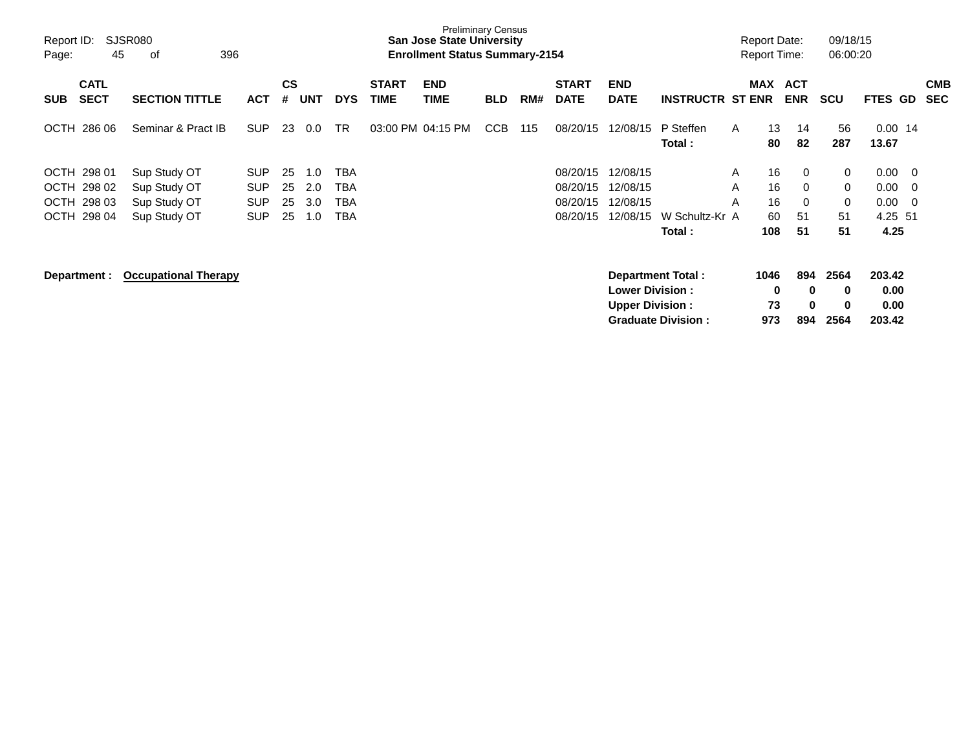| Report ID:<br>Page:                                                          | <b>SJSR080</b><br>45<br>396<br>οf                            |                                                      |                      |                          |                          |                             | <b>Preliminary Census</b><br><b>San Jose State University</b><br><b>Enrollment Status Summary-2154</b> |            |     |                                              |                                              |                           | <b>Report Date:</b><br><b>Report Time:</b> |                                                                         | 09/18/15<br>06:00:20    |                                                                                                        |                          |
|------------------------------------------------------------------------------|--------------------------------------------------------------|------------------------------------------------------|----------------------|--------------------------|--------------------------|-----------------------------|--------------------------------------------------------------------------------------------------------|------------|-----|----------------------------------------------|----------------------------------------------|---------------------------|--------------------------------------------|-------------------------------------------------------------------------|-------------------------|--------------------------------------------------------------------------------------------------------|--------------------------|
| <b>CATL</b><br><b>SECT</b><br><b>SUB</b>                                     | <b>SECTION TITTLE</b>                                        | <b>ACT</b>                                           | <b>CS</b><br>#       | <b>UNT</b>               | <b>DYS</b>               | <b>START</b><br><b>TIME</b> | <b>END</b><br>TIME                                                                                     | <b>BLD</b> | RM# | <b>START</b><br><b>DATE</b>                  | <b>END</b><br><b>DATE</b>                    | <b>INSTRUCTR ST ENR</b>   |                                            | MAX ACT<br><b>ENR</b>                                                   | <b>SCU</b>              | <b>FTES</b><br>GD                                                                                      | <b>CMB</b><br><b>SEC</b> |
| <b>OCTH</b><br>286 06                                                        | Seminar & Pract IB                                           | <b>SUP</b>                                           | 23                   | 0.0                      | <b>TR</b>                | 03:00 PM 04:15 PM           |                                                                                                        | <b>CCB</b> | 115 | 08/20/15                                     | 12/08/15                                     | P Steffen<br>Total :      | A                                          | 13<br>14<br>82<br>80                                                    | 56<br>287               | $0.00$ 14<br>13.67                                                                                     |                          |
| OCTH 298 01<br>OCTH 298 02<br>298 03<br><b>OCTH</b><br><b>OCTH</b><br>298 04 | Sup Study OT<br>Sup Study OT<br>Sup Study OT<br>Sup Study OT | <b>SUP</b><br><b>SUP</b><br><b>SUP</b><br><b>SUP</b> | 25<br>25<br>25<br>25 | 1.0<br>2.0<br>3.0<br>1.0 | TBA<br>TBA<br>TBA<br>TBA |                             |                                                                                                        |            |     | 08/20/15<br>08/20/15<br>08/20/15<br>08/20/15 | 12/08/15<br>12/08/15<br>12/08/15<br>12/08/15 | W Schultz-Kr A<br>Total : | A<br>A<br>A<br>108                         | 16<br>$\mathbf 0$<br>16<br>$\Omega$<br>16<br>$\Omega$<br>60<br>51<br>51 | 0<br>0<br>0<br>51<br>51 | 0.00<br>$\overline{\phantom{0}}$<br>0.00<br>- 0<br>0.00<br>$\overline{\phantom{0}}$<br>4.25 51<br>4.25 |                          |
| Department :                                                                 | <b>Occupational Therapy</b>                                  |                                                      |                      |                          |                          |                             |                                                                                                        |            |     |                                              | <b>Lower Division:</b>                       | Department Total:         | 1046                                       | 894<br>0<br>$\bf{0}$                                                    | 2564<br>0               | 203.42<br>0.00                                                                                         |                          |

**Upper Division : 73 0 0 0.00 Graduate Division : 973 894 2564 203.42**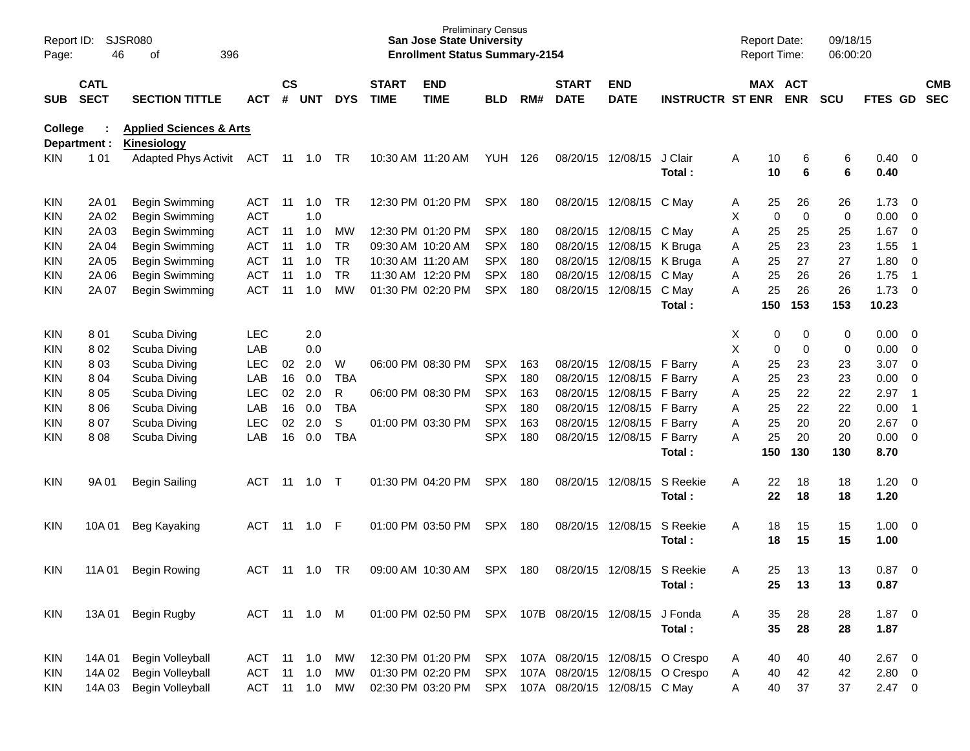| Report ID:<br>Page: | 46                         | SJSR080<br>396<br>οf                                     |              |                    |                |            |                             | <b>San Jose State University</b><br><b>Enrollment Status Summary-2154</b> | <b>Preliminary Census</b> |      |                             |                                    |                                     | <b>Report Date:</b><br>Report Time: |            | 09/18/15<br>06:00:20 |              |                          |                          |
|---------------------|----------------------------|----------------------------------------------------------|--------------|--------------------|----------------|------------|-----------------------------|---------------------------------------------------------------------------|---------------------------|------|-----------------------------|------------------------------------|-------------------------------------|-------------------------------------|------------|----------------------|--------------|--------------------------|--------------------------|
| <b>SUB</b>          | <b>CATL</b><br><b>SECT</b> | <b>SECTION TITTLE</b>                                    | <b>ACT</b>   | $\mathsf{cs}$<br># | UNT            | <b>DYS</b> | <b>START</b><br><b>TIME</b> | <b>END</b><br><b>TIME</b>                                                 | <b>BLD</b>                | RM#  | <b>START</b><br><b>DATE</b> | <b>END</b><br><b>DATE</b>          | <b>INSTRUCTR ST ENR</b>             | MAX ACT                             | <b>ENR</b> | <b>SCU</b>           | FTES GD      |                          | <b>CMB</b><br><b>SEC</b> |
| College             | Department :               | <b>Applied Sciences &amp; Arts</b><br><b>Kinesiology</b> |              |                    |                |            |                             |                                                                           |                           |      |                             |                                    |                                     |                                     |            |                      |              |                          |                          |
| KIN.                | 1 0 1                      | <b>Adapted Phys Activit</b>                              | ACT          |                    | 11  1.0        | TR         |                             | 10:30 AM 11:20 AM                                                         | YUH                       | -126 |                             | 08/20/15 12/08/15                  | J Clair<br>Total:                   | Α<br>10<br>10                       | 6<br>6     | 6<br>6               | 0.40<br>0.40 | $\overline{\phantom{0}}$ |                          |
| <b>KIN</b>          | 2A 01                      | Begin Swimming                                           | <b>ACT</b>   | 11                 | 1.0            | TR.        |                             | 12:30 PM 01:20 PM                                                         | SPX                       | 180  |                             | 08/20/15 12/08/15 C May            |                                     | 25<br>A                             | 26         | 26                   | 1.73         | $\overline{\mathbf{0}}$  |                          |
| KIN                 | 2A 02                      | Begin Swimming                                           | <b>ACT</b>   |                    | 1.0            |            |                             |                                                                           |                           |      |                             |                                    |                                     | Χ<br>$\mathbf 0$                    | 0          | 0                    | 0.00         | 0                        |                          |
| KIN                 | 2A 03                      | Begin Swimming                                           | <b>ACT</b>   | 11                 | 1.0            | MW         |                             | 12:30 PM 01:20 PM                                                         | <b>SPX</b>                | 180  |                             | 08/20/15 12/08/15 C May            |                                     | Α<br>25                             | 25         | 25                   | 1.67         | 0                        |                          |
| KIN                 | 2A 04                      | Begin Swimming                                           | <b>ACT</b>   | 11                 | 1.0            | <b>TR</b>  |                             | 09:30 AM 10:20 AM                                                         | <b>SPX</b>                | 180  | 08/20/15                    | 12/08/15 K Bruga                   |                                     | 25<br>Α                             | 23         | 23                   | 1.55         | -1                       |                          |
| KIN                 | 2A 05                      | Begin Swimming                                           | <b>ACT</b>   | 11                 | 1.0            | <b>TR</b>  |                             | 10:30 AM 11:20 AM                                                         | <b>SPX</b>                | 180  |                             | 08/20/15 12/08/15 K Bruga          |                                     | 25<br>Α                             | 27         | 27                   | 1.80         | $\overline{\mathbf{0}}$  |                          |
| KIN                 | 2A 06                      | Begin Swimming                                           | <b>ACT</b>   | 11                 | 1.0            | <b>TR</b>  |                             | 11:30 AM 12:20 PM                                                         | <b>SPX</b>                | 180  | 08/20/15                    | 12/08/15 C May                     |                                     | 25<br>Α                             | 26         | 26                   | 1.75         | -1                       |                          |
| KIN                 | 2A 07                      | Begin Swimming                                           | <b>ACT</b>   | 11                 | 1.0            | <b>MW</b>  |                             | 01:30 PM 02:20 PM                                                         | <b>SPX</b>                | 180  |                             | 08/20/15 12/08/15                  | C May                               | 25<br>Α                             | 26         | 26                   | 1.73         | $\overline{\phantom{0}}$ |                          |
|                     |                            |                                                          |              |                    |                |            |                             |                                                                           |                           |      |                             |                                    | Total:                              | 150                                 | 153        | 153                  | 10.23        |                          |                          |
| <b>KIN</b>          | 801                        | Scuba Diving                                             | <b>LEC</b>   |                    | 2.0            |            |                             |                                                                           |                           |      |                             |                                    |                                     | Х<br>0                              | 0          | 0                    | 0.00         | $\overline{\mathbf{0}}$  |                          |
| KIN                 | 802                        | Scuba Diving                                             | LAB          |                    | 0.0            |            |                             |                                                                           |                           |      |                             |                                    |                                     | X<br>0                              | 0          | 0                    | 0.00         | 0                        |                          |
| KIN                 | 803                        | Scuba Diving                                             | <b>LEC</b>   | 02                 | 2.0            | W          |                             | 06:00 PM 08:30 PM                                                         | <b>SPX</b>                | 163  |                             | 08/20/15 12/08/15 F Barry          |                                     | Α<br>25                             | 23         | 23                   | 3.07         | $\overline{0}$           |                          |
| KIN                 | 804                        | Scuba Diving                                             | LAB          | 16                 | 0.0            | <b>TBA</b> |                             |                                                                           | <b>SPX</b>                | 180  |                             | 08/20/15 12/08/15                  | F Barry                             | 25<br>Α                             | 23         | 23                   | 0.00         | 0                        |                          |
| KIN                 | 8 0 5                      | Scuba Diving                                             | <b>LEC</b>   | 02                 | 2.0            | R          |                             | 06:00 PM 08:30 PM                                                         | <b>SPX</b>                | 163  |                             | 08/20/15 12/08/15                  | F Barry                             | 25<br>Α                             | 22         | 22                   | 2.97         | $\overline{\mathbf{1}}$  |                          |
| KIN                 | 8 0 6                      | Scuba Diving                                             | LAB          | 16                 | 0.0            | <b>TBA</b> |                             |                                                                           | <b>SPX</b>                | 180  |                             | 08/20/15 12/08/15                  | F Barry                             | 25<br>Α                             | 22         | 22                   | 0.00         | $\overline{\mathbf{1}}$  |                          |
| KIN                 | 807                        | Scuba Diving                                             | LEC          | 02                 | 2.0            | S          |                             | 01:00 PM 03:30 PM                                                         | <b>SPX</b>                | 163  |                             | 08/20/15 12/08/15                  | F Barry                             | 25<br>Α                             | 20         | 20                   | 2.67         | $\overline{0}$           |                          |
| KIN                 | 808                        | Scuba Diving                                             | LAB          | 16                 | 0.0            | <b>TBA</b> |                             |                                                                           | <b>SPX</b>                | 180  |                             | 08/20/15 12/08/15                  | F Barry                             | 25<br>Α                             | 20         | 20                   | 0.00         | $\overline{\mathbf{0}}$  |                          |
|                     |                            |                                                          |              |                    |                |            |                             |                                                                           |                           |      |                             |                                    | Total:                              | 150                                 | 130        | 130                  | 8.70         |                          |                          |
| KIN                 | 9A 01                      | Begin Sailing                                            | <b>ACT</b>   | -11                | 1.0            | $\top$     |                             | 01:30 PM 04:20 PM                                                         | <b>SPX</b>                | 180  |                             | 08/20/15 12/08/15                  | S Reekie<br>Total:                  | Α<br>22<br>22                       | 18<br>18   | 18<br>18             | 1.20<br>1.20 | - 0                      |                          |
| KIN                 | 10A 01                     | Beg Kayaking                                             | <b>ACT</b>   | -11                | 1.0            | F          |                             | 01:00 PM 03:50 PM                                                         | <b>SPX</b>                | 180  |                             | 08/20/15 12/08/15                  | S Reekie<br>Total:                  | 18<br>Α<br>18                       | 15<br>15   | 15<br>15             | 1.00<br>1.00 | $\overline{\mathbf{0}}$  |                          |
| <b>KIN</b>          | 11A 01                     | <b>Begin Rowing</b>                                      | <b>ACT</b>   | -11                | 1.0            | TR.        |                             | 09:00 AM 10:30 AM                                                         | SPX                       | 180  |                             | 08/20/15 12/08/15 S Reekie         |                                     | 25<br>Α                             | 13         | 13                   | 0.87         | $\overline{\mathbf{0}}$  |                          |
|                     |                            |                                                          |              |                    |                |            |                             |                                                                           |                           |      |                             |                                    | Total:                              | 25                                  | 13         | 13                   | 0.87         |                          |                          |
| <b>KIN</b>          | 13A 01                     | Begin Rugby                                              | ACT 11 1.0 M |                    |                |            |                             | 01:00 PM 02:50 PM                                                         |                           |      |                             | SPX 107B 08/20/15 12/08/15 J Fonda |                                     | 35<br>A                             | 28         | 28                   | $1.87 \ 0$   |                          |                          |
|                     |                            |                                                          |              |                    |                |            |                             |                                                                           |                           |      |                             |                                    | Total:                              | 35                                  | 28         | 28                   | 1.87         |                          |                          |
| KIN                 | 14A 01                     | Begin Volleyball                                         | ACT          |                    | 11 1.0         | MW         |                             | 12:30 PM 01:20 PM SPX 107A 08/20/15 12/08/15 O Crespo                     |                           |      |                             |                                    |                                     | 40<br>A                             | 40         | 40                   | $2.67$ 0     |                          |                          |
| <b>KIN</b>          | 14A 02                     | Begin Volleyball                                         | <b>ACT</b>   |                    | $11 \quad 1.0$ | MW         |                             | 01:30 PM 02:20 PM                                                         |                           |      |                             |                                    | SPX 107A 08/20/15 12/08/15 O Crespo | 40<br>A                             | 42         | 42                   | $2.80 \t 0$  |                          |                          |
| KIN.                | 14A 03                     | Begin Volleyball                                         | ACT          |                    | $11 \t 1.0$    | MW         |                             | 02:30 PM 03:20 PM                                                         |                           |      |                             | SPX 107A 08/20/15 12/08/15 C May   |                                     | 40<br>Α                             | 37         | 37                   | $2.47 \t 0$  |                          |                          |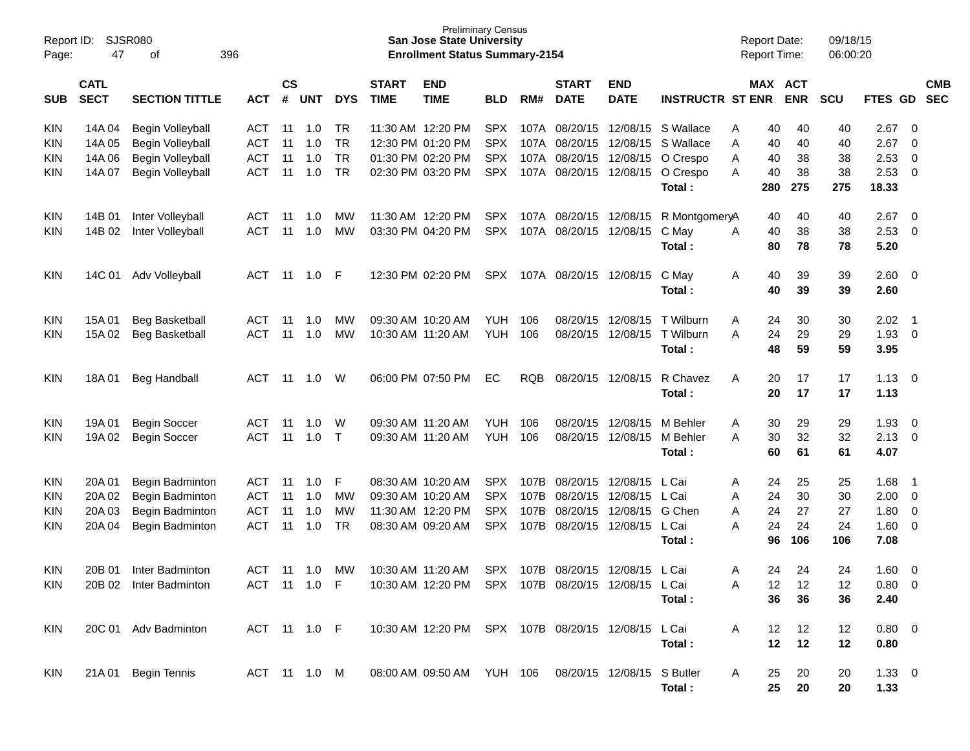| Report ID:<br>Page: | SJSR080<br>47 | 396                            |               |     |            |              | <b>Preliminary Census</b><br><b>San Jose State University</b><br><b>Enrollment Status Summary-2154</b> |                                                      |            |              |                        |             | <b>Report Date:</b><br><b>Report Time:</b> |   |     | 09/18/15<br>06:00:20 |            |            |            |            |
|---------------------|---------------|--------------------------------|---------------|-----|------------|--------------|--------------------------------------------------------------------------------------------------------|------------------------------------------------------|------------|--------------|------------------------|-------------|--------------------------------------------|---|-----|----------------------|------------|------------|------------|------------|
|                     | <b>CATL</b>   |                                | $\mathsf{cs}$ |     |            | <b>START</b> | <b>END</b>                                                                                             |                                                      |            | <b>START</b> | <b>END</b>             |             | MAX ACT                                    |   |     |                      |            |            | <b>CMB</b> |            |
| <b>SUB</b>          | <b>SECT</b>   | <b>SECTION TITTLE</b>          | <b>ACT</b>    | #   | <b>UNT</b> | <b>DYS</b>   | <b>TIME</b>                                                                                            | <b>TIME</b>                                          | <b>BLD</b> | RM#          | <b>DATE</b>            | <b>DATE</b> | <b>INSTRUCTR ST ENR</b>                    |   |     | <b>ENR</b>           | <b>SCU</b> | FTES GD    |            | <b>SEC</b> |
| <b>KIN</b>          | 14A 04        | Begin Volleyball               | <b>ACT</b>    | -11 | 1.0        | TR           |                                                                                                        | 11:30 AM 12:20 PM                                    | <b>SPX</b> |              | 107A 08/20/15          | 12/08/15    | S Wallace                                  | Α | 40  | 40                   | 40         | 2.67       | 0          |            |
| <b>KIN</b>          | 14A 05        | <b>ACT</b><br>Begin Volleyball |               | 11  | 1.0        | <b>TR</b>    |                                                                                                        | 12:30 PM 01:20 PM                                    | <b>SPX</b> |              | 107A 08/20/15          | 12/08/15    | S Wallace                                  | A | 40  | 40                   | 40         | 2.67       | 0          |            |
| <b>KIN</b>          | 14A 06        | Begin Volleyball               | <b>ACT</b>    | 11  | 1.0        | <b>TR</b>    |                                                                                                        | 01:30 PM 02:20 PM                                    | <b>SPX</b> |              | 107A 08/20/15          | 12/08/15    | O Crespo                                   | A | 40  | 38                   | 38         | 2.53       | 0          |            |
| KIN.                | 14A 07        | Begin Volleyball               | <b>ACT</b>    | 11  | 1.0        | <b>TR</b>    |                                                                                                        | 02:30 PM 03:20 PM                                    | <b>SPX</b> |              | 107A 08/20/15          | 12/08/15    | O Crespo                                   | A | 40  | 38                   | 38         | 2.53       | 0          |            |
|                     |               |                                |               |     |            |              |                                                                                                        |                                                      |            |              |                        |             | Total :                                    |   | 280 | 275                  | 275        | 18.33      |            |            |
| <b>KIN</b>          | 14B 01        | Inter Volleyball               | <b>ACT</b>    | 11  | 1.0        | МW           |                                                                                                        | 11:30 AM 12:20 PM                                    | <b>SPX</b> |              | 107A 08/20/15 12/08/15 |             | R MontgomeryA                              |   | 40  | 40                   | 40         | 2.67       | 0          |            |
| KIN.                | 14B 02        | Inter Volleyball               | <b>ACT</b>    | 11  | 1.0        | <b>MW</b>    |                                                                                                        | 03:30 PM 04:20 PM                                    | <b>SPX</b> |              | 107A 08/20/15          | 12/08/15    | C May                                      | A | 40  | 38                   | 38         | 2.53       | 0          |            |
|                     |               |                                |               |     |            |              |                                                                                                        |                                                      |            |              |                        |             | Total :                                    |   | 80  | 78                   | 78         | 5.20       |            |            |
| <b>KIN</b>          | 14C 01        | Adv Volleyball                 | <b>ACT</b>    | 11  | 1.0        | -F           |                                                                                                        | 12:30 PM 02:20 PM                                    | SPX        |              | 107A 08/20/15 12/08/15 |             | C May                                      | A | 40  | 39                   | 39         | 2.60       | - 0        |            |
|                     |               |                                |               |     |            |              |                                                                                                        |                                                      |            |              |                        |             | Total:                                     |   | 40  | 39                   | 39         | 2.60       |            |            |
| <b>KIN</b>          | 15A 01        | Beg Basketball                 | <b>ACT</b>    | 11  | 1.0        | МW           |                                                                                                        | 09:30 AM 10:20 AM                                    | YUH        | 106          | 08/20/15               | 12/08/15    | T Wilburn                                  | A | 24  | 30                   | 30         | 2.02       | - 1        |            |
| KIN.                | 15A 02        | <b>Beg Basketball</b>          | <b>ACT</b>    | 11  | 1.0        | <b>MW</b>    |                                                                                                        | 10:30 AM 11:20 AM                                    | <b>YUH</b> | 106          | 08/20/15               | 12/08/15    | T Wilburn                                  | A | 24  | 29                   | 29         | 1.93       | - 0        |            |
|                     |               |                                |               |     |            |              |                                                                                                        |                                                      |            |              |                        |             | Total :                                    |   | 48  | 59                   | 59         | 3.95       |            |            |
| <b>KIN</b>          | 18A 01        | <b>Beg Handball</b>            | <b>ACT</b>    | 11  | 1.0        | W            |                                                                                                        | 06:00 PM 07:50 PM                                    | EC         | <b>RQB</b>   | 08/20/15               | 12/08/15    | R Chavez                                   | Α | 20  | 17                   | 17         | 1.13       | - 0        |            |
|                     |               |                                |               |     |            |              |                                                                                                        |                                                      |            |              |                        |             | Total :                                    |   | 20  | 17                   | 17         | 1.13       |            |            |
| <b>KIN</b>          | 19A 01        | <b>Begin Soccer</b>            | <b>ACT</b>    | -11 | 1.0        | W            |                                                                                                        | 09:30 AM 11:20 AM                                    | YUH        | 106          | 08/20/15               | 12/08/15    | M Behler                                   | A | 30  | 29                   | 29         | 1.93       | 0          |            |
| KIN.                | 19A 02        | <b>Begin Soccer</b>            | <b>ACT</b>    | 11  | 1.0        | $\top$       |                                                                                                        | 09:30 AM 11:20 AM                                    | <b>YUH</b> | 106          | 08/20/15               | 12/08/15    | M Behler                                   | A | 30  | 32                   | 32         | 2.13       | 0          |            |
|                     |               |                                |               |     |            |              |                                                                                                        |                                                      |            |              |                        |             | Total :                                    |   | 60  | 61                   | 61         | 4.07       |            |            |
| <b>KIN</b>          | 20A 01        | Begin Badminton                | <b>ACT</b>    | -11 | 1.0        | F            |                                                                                                        | 08:30 AM 10:20 AM                                    | <b>SPX</b> | 107B         | 08/20/15               | 12/08/15    | L Cai                                      | A | 24  | 25                   | 25         | 1.68       | - 1        |            |
| KIN                 | 20A 02        | Begin Badminton                | <b>ACT</b>    | 11  | 1.0        | <b>MW</b>    |                                                                                                        | 09:30 AM 10:20 AM                                    | <b>SPX</b> | 107B         | 08/20/15               | 12/08/15    | L Cai                                      | A | 24  | 30                   | 30         | 2.00       | 0          |            |
| KIN                 | 20A 03        | Begin Badminton                | <b>ACT</b>    | 11  | 1.0        | <b>MW</b>    |                                                                                                        | 11:30 AM 12:20 PM                                    | <b>SPX</b> | 107B         | 08/20/15               | 12/08/15    | G Chen                                     | A | 24  | 27                   | 27         | 1.80       | 0          |            |
| KIN.                | 20A 04        | Begin Badminton                | <b>ACT</b>    | 11  | 1.0        | <b>TR</b>    |                                                                                                        | 08:30 AM 09:20 AM                                    | <b>SPX</b> | 107B         | 08/20/15               | 12/08/15    | L Cai                                      | A | 24  | 24                   | 24         | 1.60       | 0          |            |
|                     |               |                                |               |     |            |              |                                                                                                        |                                                      |            |              |                        |             | Total :                                    |   | 96  | 106                  | 106        | 7.08       |            |            |
| <b>KIN</b>          | 20B 01        | Inter Badminton                | ACT           | 11  | 1.0        | <b>MW</b>    |                                                                                                        | 10:30 AM 11:20 AM                                    | <b>SPX</b> |              | 107B 08/20/15          | 12/08/15    | L Cai                                      | A | 24  | 24                   | 24         | 1.60       | 0          |            |
| <b>KIN</b>          |               | 20B 02 Inter Badminton         | ACT 11 1.0 F  |     |            |              |                                                                                                        | 10:30 AM 12:20 PM SPX 107B 08/20/15 12/08/15 L Cai   |            |              |                        |             |                                            | A | 12  | 12                   | 12         | 0.80 0     |            |            |
|                     |               |                                |               |     |            |              |                                                                                                        |                                                      |            |              |                        |             | Total:                                     |   | 36  | 36                   | 36         | 2.40       |            |            |
| KIN                 |               | 20C 01 Adv Badminton           | ACT 11 1.0 F  |     |            |              |                                                                                                        | 10:30 AM 12:20 PM SPX 107B 08/20/15 12/08/15 L Cai   |            |              |                        |             |                                            | A | 12  | 12                   | 12         | $0.80 \ 0$ |            |            |
|                     |               |                                |               |     |            |              |                                                                                                        |                                                      |            |              |                        |             | Total:                                     |   | 12  | 12                   | 12         | 0.80       |            |            |
| KIN                 |               | 21A 01 Begin Tennis            | ACT 11 1.0 M  |     |            |              |                                                                                                        | 08:00 AM 09:50 AM YUH 106 08/20/15 12/08/15 S Butler |            |              |                        |             |                                            | A | 25  | 20                   | 20         | $1.33 \ 0$ |            |            |
|                     |               |                                |               |     |            |              |                                                                                                        |                                                      |            |              |                        |             | Total:                                     |   | 25  | 20                   | 20         | 1.33       |            |            |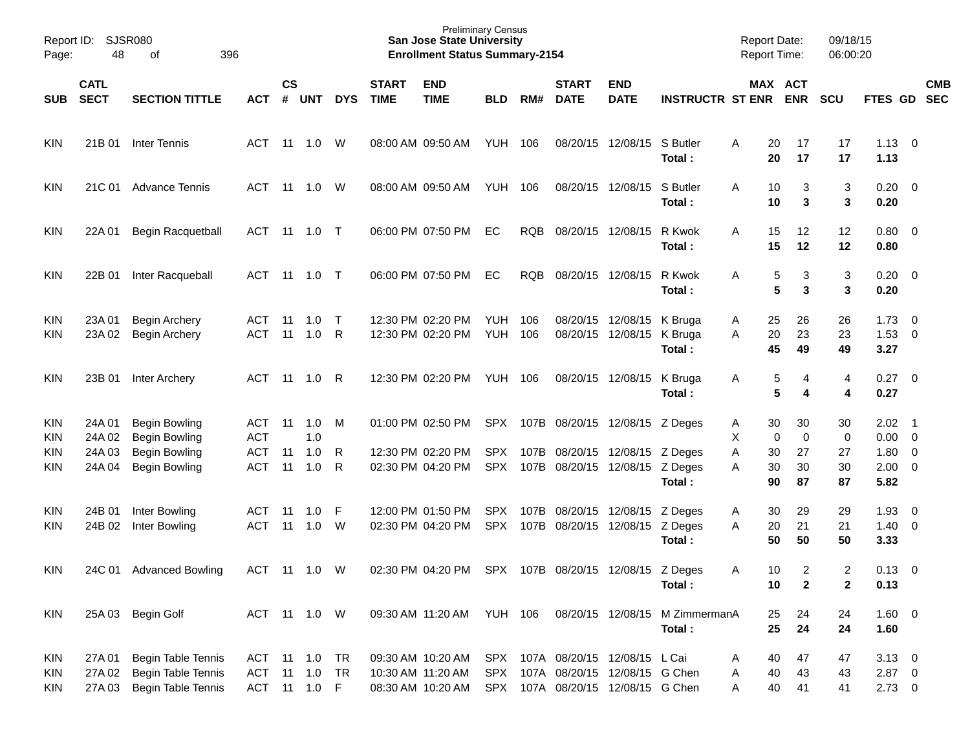| Page:                                         | Report ID:<br>SJSR080<br>48<br>396<br>οf                          |                                                                                              |                                               |                |                          |             |                             | <b>Preliminary Census</b><br><b>San Jose State University</b><br><b>Enrollment Status Summary-2154</b> |                          |            |                                                                                                        |                                        |                                          | <b>Report Date:</b><br><b>Report Time:</b>    |                           | 09/18/15<br>06:00:20           |                                                                    |            |
|-----------------------------------------------|-------------------------------------------------------------------|----------------------------------------------------------------------------------------------|-----------------------------------------------|----------------|--------------------------|-------------|-----------------------------|--------------------------------------------------------------------------------------------------------|--------------------------|------------|--------------------------------------------------------------------------------------------------------|----------------------------------------|------------------------------------------|-----------------------------------------------|---------------------------|--------------------------------|--------------------------------------------------------------------|------------|
| <b>SUB</b>                                    | <b>CATL</b><br><b>SECT</b><br><b>SECTION TITTLE</b><br><b>ACT</b> |                                                                                              |                                               | <b>CS</b>      | # UNT                    | <b>DYS</b>  | <b>START</b><br><b>TIME</b> | <b>END</b><br><b>TIME</b>                                                                              | <b>BLD</b>               | RM#        | <b>START</b><br><b>DATE</b>                                                                            | <b>END</b><br><b>DATE</b>              | <b>INSTRUCTR ST ENR</b>                  |                                               | MAX ACT<br><b>ENR</b>     | <b>SCU</b>                     | FTES GD SEC                                                        | <b>CMB</b> |
| KIN                                           | 21B 01                                                            | Inter Tennis                                                                                 | ACT                                           | 11             | 1.0                      | W           |                             | 08:00 AM 09:50 AM                                                                                      | YUH 106                  |            |                                                                                                        | 08/20/15 12/08/15 S Butler             | Total:                                   | 20<br>A<br>20                                 | 17<br>17                  | 17<br>17                       | $1.13 \ 0$<br>1.13                                                 |            |
| <b>KIN</b>                                    |                                                                   | 21C 01 Advance Tennis                                                                        | ACT                                           | 11             | 1.0                      | W           |                             | 08:00 AM 09:50 AM                                                                                      | YUH 106                  |            |                                                                                                        | 08/20/15 12/08/15                      | S Butler<br>Total:                       | 10<br>A<br>10                                 | 3<br>3                    | 3<br>3                         | $0.20 \ 0$<br>0.20                                                 |            |
| <b>KIN</b>                                    | 22A 01                                                            | Begin Racquetball                                                                            | ACT                                           | 11             | $1.0$ T                  |             |                             | 06:00 PM 07:50 PM                                                                                      | EC                       | RQB        | 08/20/15 12/08/15                                                                                      |                                        | R Kwok<br>Total:                         | A<br>15<br>15                                 | 12<br>12                  | 12<br>12                       | $0.80 \ 0$<br>0.80                                                 |            |
| <b>KIN</b>                                    | 22B 01                                                            | Inter Racqueball                                                                             | ACT                                           | 11             | 1.0                      | $\top$      |                             | 06:00 PM 07:50 PM                                                                                      | EC                       | <b>RQB</b> |                                                                                                        | 08/20/15 12/08/15                      | R Kwok<br>Total:                         | Α                                             | 3<br>5<br>5<br>3          | 3<br>3                         | $0.20 \ 0$<br>0.20                                                 |            |
| <b>KIN</b><br><b>KIN</b>                      | 23A 01<br>23A 02                                                  | Begin Archery<br><b>Begin Archery</b>                                                        | ACT<br><b>ACT</b>                             | 11<br>11       | 1.0<br>1.0               | $\top$<br>R |                             | 12:30 PM 02:20 PM<br>12:30 PM 02:20 PM                                                                 | YUH<br>YUH               | 106<br>106 |                                                                                                        | 08/20/15 12/08/15<br>08/20/15 12/08/15 | K Bruga<br>K Bruga<br>Total:             | 25<br>A<br>20<br>A<br>45                      | 26<br>23<br>49            | 26<br>23<br>49                 | $1.73 \t 0$<br>$1.53 \t 0$<br>3.27                                 |            |
| <b>KIN</b>                                    | 23B 01                                                            | Inter Archery                                                                                | ACT                                           | 11             | 1.0                      | R           |                             | 12:30 PM 02:20 PM                                                                                      | YUH 106                  |            |                                                                                                        | 08/20/15 12/08/15                      | K Bruga<br>Total:                        | A                                             | 5<br>4<br>5<br>4          | 4<br>4                         | $0.27 \t 0$<br>0.27                                                |            |
| <b>KIN</b><br><b>KIN</b><br><b>KIN</b><br>KIN | 24A 01<br>24A 02<br>24A03<br>24A 04                               | <b>Begin Bowling</b><br><b>Begin Bowling</b><br><b>Begin Bowling</b><br><b>Begin Bowling</b> | ACT<br><b>ACT</b><br><b>ACT</b><br><b>ACT</b> | 11<br>11<br>11 | 1.0<br>1.0<br>1.0<br>1.0 | M<br>R<br>R |                             | 01:00 PM 02:50 PM<br>12:30 PM 02:20 PM<br>02:30 PM 04:20 PM                                            | <b>SPX</b><br><b>SPX</b> |            | SPX 107B 08/20/15 12/08/15 Z Deges<br>107B 08/20/15 12/08/15 Z Deges<br>107B 08/20/15 12/08/15 Z Deges |                                        | Total:                                   | 30<br>A<br>X<br>0<br>30<br>Α<br>30<br>A<br>90 | 30<br>0<br>27<br>30<br>87 | 30<br>0<br>27<br>30<br>87      | $2.02 \quad 1$<br>$0.00 \t 0$<br>$1.80 \ 0$<br>$2.00 \t 0$<br>5.82 |            |
| KIN<br>KIN                                    | 24B 01<br>24B 02                                                  | Inter Bowling<br>Inter Bowling                                                               | ACT<br><b>ACT</b>                             | 11<br>11       | 1.0<br>1.0               | -F<br>W     |                             | 12:00 PM 01:50 PM<br>02:30 PM 04:20 PM                                                                 | SPX<br><b>SPX</b>        |            | 107B 08/20/15 12/08/15 Z Deges<br>107B 08/20/15 12/08/15 Z Deges                                       |                                        | Total:                                   | 30<br>A<br>20<br>A<br>50                      | 29<br>21<br>50            | 29<br>21<br>50                 | $1.93 \ 0$<br>$1.40 \ 0$<br>3.33                                   |            |
| <b>KIN</b>                                    |                                                                   | 24C 01 Advanced Bowling                                                                      | ACT                                           | 11             | 1.0                      | W           |                             | 02:30 PM 04:20 PM                                                                                      | SPX                      |            | 107B 08/20/15 12/08/15 Z Deges                                                                         |                                        | Total:                                   | 10<br>A<br>10                                 | 2<br>$\mathbf{2}$         | $\overline{2}$<br>$\mathbf{2}$ | $0.13 \quad 0$<br>0.13                                             |            |
| KIN                                           |                                                                   | 25A 03 Begin Golf                                                                            | ACT 11 1.0 W                                  |                |                          |             |                             | 09:30 AM 11:20 AM                                                                                      | <b>YUH 106</b>           |            |                                                                                                        |                                        | 08/20/15 12/08/15 M ZimmermanA<br>Total: | 25<br>25                                      | 24<br>24                  | 24<br>24                       | $1.60 \t 0$<br>1.60                                                |            |
| KIN<br><b>KIN</b><br>KIN                      | 27A 01<br>27A 02<br>27A 03                                        | <b>Begin Table Tennis</b><br>Begin Table Tennis<br><b>Begin Table Tennis</b>                 | ACT<br><b>ACT</b><br>ACT 11 1.0 F             | 11<br>11       | 1.0<br>1.0               | TR<br>TR    |                             | 09:30 AM 10:20 AM<br>10:30 AM 11:20 AM<br>08:30 AM 10:20 AM                                            | <b>SPX</b>               |            | SPX 107A 08/20/15 12/08/15<br>107A 08/20/15 12/08/15 G Chen<br>SPX 107A 08/20/15 12/08/15 G Chen       |                                        | L Cai                                    | 40<br>A<br>40<br>Α<br>40<br>A                 | 47<br>43<br>41            | 47<br>43<br>41                 | $3.13 \quad 0$<br>$2.87$ 0<br>$2.73 \t 0$                          |            |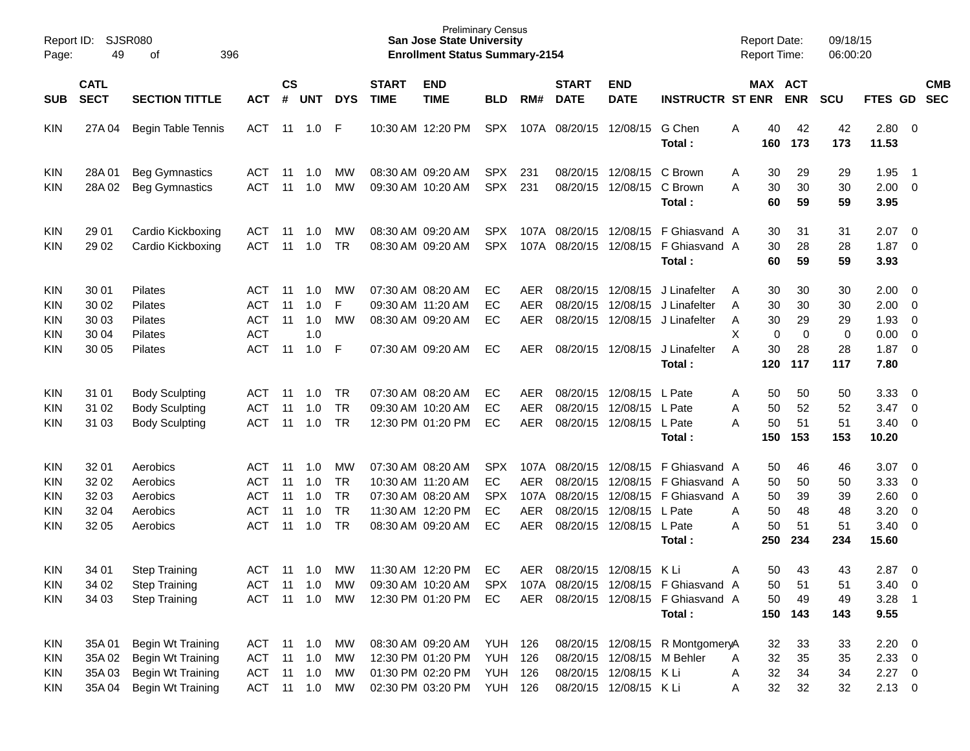| Page:                                  | <b>SJSR080</b><br>Report ID:<br>49<br>396<br>οf |                                                                                                |                                                             |                            |                                 |                                                               |                             | <b>Preliminary Census</b><br><b>San Jose State University</b><br><b>Enrollment Status Summary-2154</b>   |                                            |                                                 |                                              |                                                                                |                                                                                                             | <b>Report Date:</b><br><b>Report Time:</b>         |                                   | 09/18/15<br>06:00:20              |                                                       |                                                          |                          |
|----------------------------------------|-------------------------------------------------|------------------------------------------------------------------------------------------------|-------------------------------------------------------------|----------------------------|---------------------------------|---------------------------------------------------------------|-----------------------------|----------------------------------------------------------------------------------------------------------|--------------------------------------------|-------------------------------------------------|----------------------------------------------|--------------------------------------------------------------------------------|-------------------------------------------------------------------------------------------------------------|----------------------------------------------------|-----------------------------------|-----------------------------------|-------------------------------------------------------|----------------------------------------------------------|--------------------------|
| <b>SUB</b>                             | <b>CATL</b><br><b>SECT</b>                      | <b>SECTION TITTLE</b>                                                                          | <b>ACT</b>                                                  | $\mathsf{cs}$<br>#         | <b>UNT</b>                      | <b>DYS</b>                                                    | <b>START</b><br><b>TIME</b> | <b>END</b><br><b>TIME</b>                                                                                | <b>BLD</b>                                 | RM#                                             | <b>START</b><br><b>DATE</b>                  | <b>END</b><br><b>DATE</b>                                                      | <b>INSTRUCTR ST ENR</b>                                                                                     |                                                    | MAX ACT<br><b>ENR</b>             | <b>SCU</b>                        | FTES GD                                               |                                                          | <b>CMB</b><br><b>SEC</b> |
| KIN                                    | 27A 04                                          | <b>Begin Table Tennis</b>                                                                      | <b>ACT</b>                                                  |                            | 11 1.0                          | F                                                             |                             | 10:30 AM 12:20 PM                                                                                        | <b>SPX</b>                                 | 107A                                            | 08/20/15                                     | 12/08/15                                                                       | G Chen<br>Total:                                                                                            | Α<br>40<br>160                                     | 42<br>173                         | 42<br>173                         | 2.80<br>11.53                                         | $\overline{\phantom{0}}$                                 |                          |
| KIN<br>KIN                             | 28A 01<br>28A 02                                | <b>Beg Gymnastics</b><br><b>Beg Gymnastics</b>                                                 | <b>ACT</b><br>ACT                                           | -11<br>11                  | 1.0<br>1.0                      | <b>MW</b><br>MW                                               |                             | 08:30 AM 09:20 AM<br>09:30 AM 10:20 AM                                                                   | SPX.<br><b>SPX</b>                         | 231<br>231                                      |                                              | 08/20/15 12/08/15<br>08/20/15 12/08/15                                         | C Brown<br>C Brown<br>Total:                                                                                | 30<br>A<br>30<br>А<br>60                           | 29<br>30<br>59                    | 29<br>30<br>59                    | 1.95<br>2.00<br>3.95                                  | -1<br>$\overline{0}$                                     |                          |
| KIN<br>KIN                             | 29 01<br>29 02                                  | Cardio Kickboxing<br>Cardio Kickboxing                                                         | ACT<br><b>ACT</b>                                           | 11<br>11                   | 1.0<br>1.0                      | <b>MW</b><br><b>TR</b>                                        |                             | 08:30 AM 09:20 AM<br>08:30 AM 09:20 AM                                                                   | <b>SPX</b><br><b>SPX</b>                   | 107A                                            | 107A 08/20/15 12/08/15<br>08/20/15           | 12/08/15                                                                       | F Ghiasvand A<br>F Ghiasvand A<br>Total:                                                                    | 30<br>30<br>60                                     | 31<br>28<br>59                    | 31<br>28<br>59                    | 2.07<br>1.87<br>3.93                                  | $\overline{\mathbf{0}}$<br>0                             |                          |
| <b>KIN</b><br>KIN<br>KIN<br>KIN<br>KIN | 30 01<br>30 02<br>30 03<br>30 04<br>30 05       | Pilates<br>Pilates<br>Pilates<br>Pilates<br><b>Pilates</b>                                     | ACT<br><b>ACT</b><br><b>ACT</b><br><b>ACT</b><br><b>ACT</b> | 11<br>11<br>11<br>11       | 1.0<br>1.0<br>1.0<br>1.0<br>1.0 | <b>MW</b><br>F<br>MW<br>F                                     |                             | 07:30 AM 08:20 AM<br>09:30 AM 11:20 AM<br>08:30 AM 09:20 AM<br>07:30 AM 09:20 AM                         | EC<br>EС<br>EC<br>EC                       | <b>AER</b><br><b>AER</b><br><b>AER</b><br>AER   | 08/20/15<br>08/20/15                         | 12/08/15<br>12/08/15<br>08/20/15 12/08/15<br>08/20/15 12/08/15                 | J Linafelter<br>J Linafelter<br>J Linafelter<br>J Linafelter                                                | 30<br>A<br>30<br>A<br>30<br>A<br>X<br>0<br>30<br>A | 30<br>30<br>29<br>0<br>28         | 30<br>30<br>29<br>0<br>28         | 2.00<br>2.00<br>1.93<br>0.00<br>1.87                  | 0<br>0<br>0<br>$\mathbf 0$<br>$\overline{0}$             |                          |
|                                        |                                                 |                                                                                                |                                                             |                            |                                 |                                                               |                             |                                                                                                          |                                            |                                                 |                                              |                                                                                | Total:<br>L Pate                                                                                            | 120                                                | 117                               | 117                               | 7.80                                                  |                                                          |                          |
| KIN<br>KIN<br>KIN                      | 31 01<br>31 02<br>31 03                         | <b>Body Sculpting</b><br><b>Body Sculpting</b><br><b>Body Sculpting</b>                        | ACT<br><b>ACT</b><br><b>ACT</b>                             | 11<br>11<br>11             | 1.0<br>1.0<br>1.0               | TR<br><b>TR</b><br><b>TR</b>                                  |                             | 07:30 AM 08:20 AM<br>09:30 AM 10:20 AM<br>12:30 PM 01:20 PM                                              | EC<br>EС<br>EC                             | <b>AER</b><br><b>AER</b><br><b>AER</b>          | 08/20/15<br>08/20/15                         | 12/08/15<br>12/08/15<br>08/20/15 12/08/15 L Pate                               | L Pate<br>Total:                                                                                            | 50<br>Α<br>50<br>Α<br>50<br>А<br>150               | 50<br>52<br>51<br>153             | 50<br>52<br>51<br>153             | 3.33<br>3.47<br>3.40<br>10.20                         | 0<br>0<br>0                                              |                          |
| <b>KIN</b><br>KIN<br>KIN<br>KIN<br>KIN | 32 01<br>32 02<br>32 03<br>32 04<br>32 05       | Aerobics<br>Aerobics<br>Aerobics<br>Aerobics<br>Aerobics                                       | ACT<br><b>ACT</b><br><b>ACT</b><br><b>ACT</b><br><b>ACT</b> | 11<br>11<br>11<br>11<br>11 | 1.0<br>1.0<br>1.0<br>1.0<br>1.0 | <b>MW</b><br><b>TR</b><br><b>TR</b><br><b>TR</b><br><b>TR</b> |                             | 07:30 AM 08:20 AM<br>10:30 AM 11:20 AM<br>07:30 AM 08:20 AM<br>11:30 AM 12:20 PM<br>08:30 AM 09:20 AM    | <b>SPX</b><br>EC<br><b>SPX</b><br>EC<br>EC | 107A<br><b>AER</b><br>107A<br>AER<br><b>AER</b> | 08/20/15<br>08/20/15<br>08/20/15<br>08/20/15 | 12/08/15<br>12/08/15<br>12/08/15<br>12/08/15<br>08/20/15 12/08/15 L Pate       | F Ghiasvand A<br>F Ghiasvand A<br>F Ghiasvand A<br>L Pate<br>Total:                                         | 50<br>50<br>50<br>50<br>Α<br>50<br>Α<br>250        | 46<br>50<br>39<br>48<br>51<br>234 | 46<br>50<br>39<br>48<br>51<br>234 | 3.07<br>3.33<br>2.60<br>3.20<br>3.40<br>15.60         | $\overline{\mathbf{0}}$<br>0<br>$\overline{0}$<br>0<br>0 |                          |
| KIN<br>KIN<br>KIN                      | 34 01<br>34 02<br>34 03                         | <b>Step Training</b><br><b>Step Training</b><br><b>Step Training</b>                           | <b>ACT</b><br>ACT 11 1.0<br>ACT                             | 11                         | 1.0<br>11 1.0                   | МW<br>MW<br>MW                                                |                             | 11:30 AM 12:20 PM<br>12:30 PM 01:20 PM                                                                   | EC<br>EC.                                  | AER                                             |                                              | 08/20/15 12/08/15 K Li                                                         | 09:30 AM 10:20 AM SPX 107A 08/20/15 12/08/15 F Ghiasvand A<br>AER 08/20/15 12/08/15 F Ghiasvand A<br>Total: | 50<br>Α<br>50<br>50                                | 43<br>51<br>49<br>150 143         | 43<br>51<br>49<br>143             | 2.87<br>$3.40 \ 0$<br>$3.28$ 1<br>9.55                | - 0                                                      |                          |
| <b>KIN</b><br>KIN<br>KIN<br>KIN        | 35A 01<br>35A 03                                | Begin Wt Training<br>35A 02 Begin Wt Training<br>Begin Wt Training<br>35A 04 Begin Wt Training | ACT 11 1.0<br>ACT 11 1.0                                    |                            | ACT 11 1.0 MW<br>ACT 11 1.0 MW  | MW<br>MW                                                      |                             | 08:30 AM 09:20 AM YUH 126<br>12:30 PM 01:20 PM YUH 126<br>01:30 PM 02:20 PM<br>02:30 PM 03:20 PM YUH 126 | <b>YUH 126</b>                             |                                                 |                                              | 08/20/15 12/08/15 M Behler<br>08/20/15 12/08/15 K Li<br>08/20/15 12/08/15 K Li | 08/20/15 12/08/15 R MontgomeryA                                                                             | 32<br>32<br>Α<br>32<br>Α<br>32<br>A                | 33<br>35<br>34<br>32              | 33<br>35<br>34<br>32              | $2.20 \t 0$<br>$2.33 \t 0$<br>$2.27$ 0<br>$2.13 \t 0$ |                                                          |                          |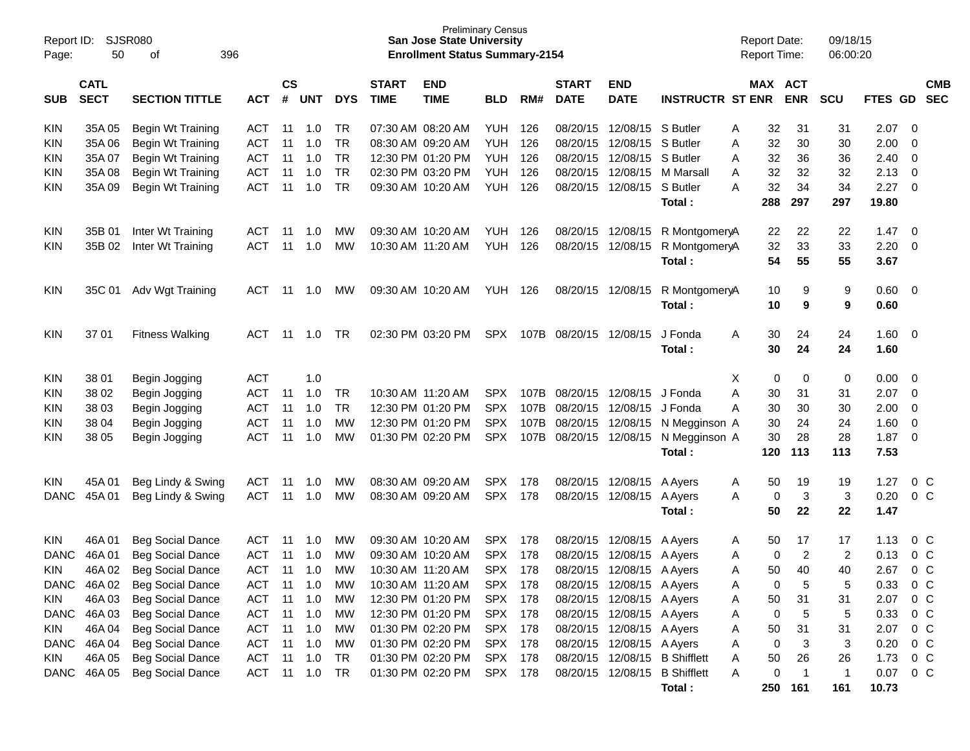| Report ID:<br>Page: | <b>SJSR080</b><br>50       | 396                            |                          |          |            |                             | <b>Preliminary Census</b><br><b>San Jose State University</b><br><b>Enrollment Status Summary-2154</b> |                   |                          |                             |                                |                           |                                | <b>Report Date:</b><br><b>Report Time:</b> |            | 09/18/15<br>06:00:20 |             |                                |                |  |
|---------------------|----------------------------|--------------------------------|--------------------------|----------|------------|-----------------------------|--------------------------------------------------------------------------------------------------------|-------------------|--------------------------|-----------------------------|--------------------------------|---------------------------|--------------------------------|--------------------------------------------|------------|----------------------|-------------|--------------------------------|----------------|--|
| SUB                 | <b>CATL</b><br><b>SECT</b> | <b>ACT</b>                     | $\mathsf{cs}$            | # UNT    | <b>DYS</b> | <b>START</b><br><b>TIME</b> | <b>END</b><br><b>TIME</b>                                                                              | <b>BLD</b>        | RM#                      | <b>START</b><br><b>DATE</b> | <b>END</b><br><b>DATE</b>      | <b>INSTRUCTR ST ENR</b>   |                                | MAX ACT                                    | <b>ENR</b> | <b>SCU</b>           | <b>FTES</b> | <b>CMB</b><br><b>SEC</b><br>GD |                |  |
|                     |                            |                                |                          |          |            |                             |                                                                                                        |                   |                          |                             |                                |                           |                                |                                            |            |                      |             |                                |                |  |
| <b>KIN</b>          | 35A 05                     | Begin Wt Training              | ACT                      | 11       | 1.0        | TR                          | 07:30 AM 08:20 AM                                                                                      |                   | YUH                      | 126                         | 08/20/15                       | 12/08/15 S Butler         |                                | Α                                          | 32         | 31                   | 31          | 2.07                           | 0              |  |
| <b>KIN</b>          | 35A 06                     | Begin Wt Training              | <b>ACT</b>               | 11       | 1.0        | TR                          | 08:30 AM 09:20 AM                                                                                      |                   | <b>YUH</b>               | 126                         | 08/20/15                       | 12/08/15 S Butler         |                                | Α                                          | 32         | 30                   | 30          | 2.00                           | 0              |  |
| <b>KIN</b>          | 35A 07                     | Begin Wt Training              | <b>ACT</b>               | 11       | 1.0        | <b>TR</b>                   | 12:30 PM 01:20 PM                                                                                      |                   | <b>YUH</b>               | 126                         | 08/20/15                       | 12/08/15                  | S Butler                       | Α                                          | 32         | 36                   | 36          | 2.40                           | 0              |  |
| <b>KIN</b>          | 35A 08                     | Begin Wt Training              | <b>ACT</b>               | 11       | 1.0        | <b>TR</b>                   | 02:30 PM 03:20 PM                                                                                      |                   | <b>YUH</b>               | 126                         | 08/20/15                       | 12/08/15                  | M Marsall                      | A                                          | 32         | 32                   | 32          | 2.13                           | 0              |  |
| KIN                 | 35A09                      | Begin Wt Training              | <b>ACT</b>               | 11       | 1.0        | TR                          | 09:30 AM 10:20 AM                                                                                      |                   | <b>YUH</b>               | 126                         | 08/20/15                       | 12/08/15 S Butler         |                                | Α                                          | 32<br>288  | 34                   | 34          | 2.27                           | $\mathbf 0$    |  |
|                     |                            |                                |                          |          |            |                             |                                                                                                        |                   |                          |                             |                                |                           | Total:                         |                                            |            | 297                  | 297         | 19.80                          |                |  |
| <b>KIN</b>          | 35B 01                     | Inter Wt Training              | <b>ACT</b>               | -11      | 1.0        | МW                          |                                                                                                        | 09:30 AM 10:20 AM | YUH                      | 126                         |                                | 08/20/15 12/08/15         | R MontgomeryA                  |                                            | 22         | 22                   | 22          | 1.47                           | 0              |  |
| KIN                 | 35B 02                     | Inter Wt Training              | <b>ACT</b>               | 11       | 1.0        | MW                          | 10:30 AM 11:20 AM                                                                                      |                   | <b>YUH</b>               | 126                         | 08/20/15                       | 12/08/15                  | R MontgomeryA                  |                                            | 32         | 33                   | 33          | 2.20                           | 0              |  |
|                     |                            |                                |                          |          |            |                             |                                                                                                        |                   |                          |                             |                                |                           | Total:                         |                                            | 54         | 55                   | 55          | 3.67                           |                |  |
| <b>KIN</b>          | 35C 01                     | Adv Wgt Training               | <b>ACT</b>               | -11      | 1.0        | MW                          |                                                                                                        | 09:30 AM 10:20 AM | YUH                      | 126                         | 08/20/15 12/08/15              |                           | R MontgomeryA                  |                                            | 10         | 9                    | 9           | 0.60                           | 0              |  |
|                     |                            |                                |                          |          |            |                             |                                                                                                        |                   |                          |                             |                                |                           | Total:                         |                                            | 10         | 9                    | 9           | 0.60                           |                |  |
| <b>KIN</b>          | 37 01                      | <b>Fitness Walking</b>         | <b>ACT</b>               | -11      | 1.0        | TR                          |                                                                                                        | 02:30 PM 03:20 PM | SPX                      |                             | 107B 08/20/15                  | 12/08/15                  | J Fonda                        | A                                          | 30         | 24                   | 24          | 1.60                           | 0              |  |
|                     |                            |                                |                          |          |            |                             |                                                                                                        |                   |                          |                             |                                |                           | Total:                         |                                            | 30         | 24                   | 24          | 1.60                           |                |  |
|                     |                            |                                |                          |          |            |                             |                                                                                                        |                   |                          |                             |                                |                           |                                |                                            |            |                      |             |                                |                |  |
| <b>KIN</b>          | 38 01                      | Begin Jogging                  | <b>ACT</b>               |          | 1.0        |                             |                                                                                                        |                   |                          |                             |                                |                           |                                | Χ                                          | 0          | 0                    | 0           | 0.00                           | 0              |  |
| <b>KIN</b>          | 38 02                      | Begin Jogging                  | <b>ACT</b>               | 11       | 1.0        | <b>TR</b><br><b>TR</b>      | 10:30 AM 11:20 AM                                                                                      |                   | SPX.                     | 107B                        | 08/20/15                       | 12/08/15                  | J Fonda<br>J Fonda             | Α                                          | 30         | 31                   | 31          | 2.07                           | 0              |  |
| <b>KIN</b>          | 38 03<br>38 04             | Begin Jogging                  | <b>ACT</b><br><b>ACT</b> | 11<br>11 | 1.0<br>1.0 | MW                          | 12:30 PM 01:20 PM                                                                                      | 12:30 PM 01:20 PM | <b>SPX</b><br><b>SPX</b> |                             | 107B 08/20/15<br>107B 08/20/15 | 12/08/15<br>12/08/15      |                                | A                                          | 30<br>30   | 30<br>24             | 30<br>24    | 2.00<br>1.60                   | 0<br>0         |  |
| <b>KIN</b><br>KIN   | 38 05                      | Begin Jogging<br>Begin Jogging | <b>ACT</b>               | 11       | 1.0        | MW                          | 01:30 PM 02:20 PM                                                                                      |                   | <b>SPX</b>               |                             | 107B 08/20/15                  | 12/08/15                  | N Megginson A<br>N Megginson A |                                            | 30         | 28                   | 28          | 1.87                           | 0              |  |
|                     |                            |                                |                          |          |            |                             |                                                                                                        |                   |                          |                             |                                |                           | Total:                         |                                            | 120        | 113                  | 113         | 7.53                           |                |  |
|                     |                            |                                |                          |          |            |                             |                                                                                                        |                   |                          |                             |                                |                           |                                |                                            |            |                      |             |                                |                |  |
| <b>KIN</b>          | 45A01                      | Beg Lindy & Swing              | <b>ACT</b>               | 11       | 1.0        | MW                          | 08:30 AM 09:20 AM                                                                                      |                   | <b>SPX</b>               | 178                         | 08/20/15                       | 12/08/15                  | A Ayers                        | A                                          | 50         | 19                   | 19          | 1.27                           | $0\,C$         |  |
| <b>DANC</b>         | 45A01                      | Beg Lindy & Swing              | <b>ACT</b>               | 11       | 1.0        | MW                          | 08:30 AM 09:20 AM                                                                                      |                   | <b>SPX</b>               | 178                         | 08/20/15                       | 12/08/15                  | A Ayers                        | A                                          | 0<br>50    | 3<br>22              | 3<br>22     | 0.20<br>1.47                   | 0 <sup>C</sup> |  |
|                     |                            |                                |                          |          |            |                             |                                                                                                        |                   |                          |                             |                                |                           | Total :                        |                                            |            |                      |             |                                |                |  |
| <b>KIN</b>          | 46A 01                     | <b>Beg Social Dance</b>        | <b>ACT</b>               | -11      | 1.0        | MW                          | 09:30 AM 10:20 AM                                                                                      |                   | <b>SPX</b>               | 178                         | 08/20/15                       | 12/08/15                  | A Ayers                        | A                                          | 50         | 17                   | 17          | 1.13                           | $0\,C$         |  |
| <b>DANC</b>         | 46A01                      | <b>Beg Social Dance</b>        | <b>ACT</b>               | 11       | 1.0        | MW                          | 09:30 AM 10:20 AM                                                                                      |                   | <b>SPX</b>               | 178                         | 08/20/15                       | 12/08/15 A Ayers          |                                | A                                          | 0          | $\overline{2}$       | 2           | 0.13                           | 0 <sup>C</sup> |  |
| <b>KIN</b>          | 46A 02                     | <b>Beg Social Dance</b>        | <b>ACT</b>               | 11       | 1.0        | <b>MW</b>                   |                                                                                                        | 10:30 AM 11:20 AM | <b>SPX</b>               | 178                         |                                | 08/20/15 12/08/15 A Ayers |                                | А                                          | 50         | 40                   | 40          | 2.67                           | 0 <sup>C</sup> |  |
|                     | DANC 46A 02                | <b>Beg Social Dance</b>        | ACT                      | 11       | 1.0        | МW                          | 10:30 AM 11:20 AM                                                                                      |                   | SPX 178                  |                             |                                | 08/20/15 12/08/15 A Ayers |                                | A                                          | 0          | 5                    | 5           | 0.33                           | $0\,C$         |  |
| <b>KIN</b>          | 46A 03                     | <b>Beg Social Dance</b>        | ACT                      | 11       | 1.0        | MW                          | 12:30 PM 01:20 PM                                                                                      |                   | <b>SPX</b>               | 178                         |                                | 08/20/15 12/08/15 A Ayers |                                | A                                          | 50         | 31                   | 31          | 2.07                           | 0 <sup>C</sup> |  |
| DANC                | 46A 03                     | <b>Beg Social Dance</b>        | <b>ACT</b>               | 11       | 1.0        | МW                          | 12:30 PM 01:20 PM                                                                                      |                   | SPX 178                  |                             |                                | 08/20/15 12/08/15 A Ayers |                                | A                                          | 0          | 5                    | 5           | 0.33                           | 0 C            |  |
| <b>KIN</b>          | 46A 04                     | <b>Beg Social Dance</b>        | <b>ACT</b>               | 11       | 1.0        | MW                          | 01:30 PM 02:20 PM                                                                                      |                   | SPX 178                  |                             |                                | 08/20/15 12/08/15 A Ayers |                                | Α                                          | 50         | 31                   | 31          | 2.07                           | $0\,C$         |  |
| DANC                | 46A 04                     | <b>Beg Social Dance</b>        | <b>ACT</b>               | 11       | 1.0        | MW                          | 01:30 PM 02:20 PM                                                                                      |                   | SPX 178                  |                             |                                | 08/20/15 12/08/15 A Ayers |                                | Α                                          | 0          | 3                    | 3           | 0.20                           | $0\,C$         |  |
| <b>KIN</b>          | 46A 05                     | <b>Beg Social Dance</b>        | <b>ACT</b>               | 11       | 1.0        | TR                          | 01:30 PM 02:20 PM                                                                                      |                   | <b>SPX</b>               | 178                         | 08/20/15                       | 12/08/15                  | <b>B</b> Shifflett             |                                            | 50         | 26                   | 26          | 1.73                           | $0\,C$         |  |
| DANC                | 46A 05                     | <b>Beg Social Dance</b>        | <b>ACT</b>               | 11       | 1.0        | TR                          |                                                                                                        | 01:30 PM 02:20 PM | SPX 178                  |                             |                                |                           | 08/20/15 12/08/15 B Shifflett  | Α                                          | 0          | $\overline{1}$       | $\mathbf 1$ | 0.07                           | $0\,C$         |  |
|                     |                            |                                |                          |          |            |                             |                                                                                                        |                   |                          |                             |                                |                           | Total:                         |                                            |            | 250 161              | 161         | 10.73                          |                |  |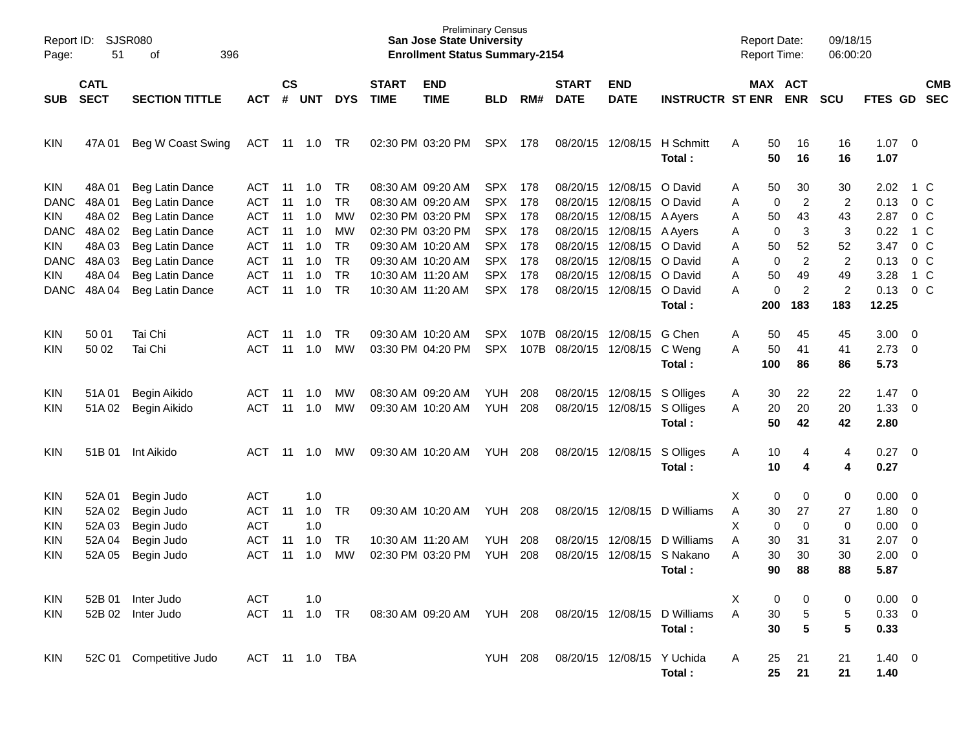| Page:                                                                                              | SJSR080<br>Report ID:<br>51<br>396<br>οf                                                 |                                                                                                                                                                            |                                                                                                                     |                                                           |                                                                    |                                                                                       |                             | <b>Preliminary Census</b><br><b>San Jose State University</b><br><b>Enrollment Status Summary-2154</b>                                                                                                         |                                                                                                                                          |                                                                      |                                                                                                                      |                                                                                                                                                                      |                                                                       | <b>Report Date:</b><br><b>Report Time:</b>                                                                           |                                                                                                          | 09/18/15<br>06:00:20                                                                                       |                                                                                                   |                                                                                                                    |                          |
|----------------------------------------------------------------------------------------------------|------------------------------------------------------------------------------------------|----------------------------------------------------------------------------------------------------------------------------------------------------------------------------|---------------------------------------------------------------------------------------------------------------------|-----------------------------------------------------------|--------------------------------------------------------------------|---------------------------------------------------------------------------------------|-----------------------------|----------------------------------------------------------------------------------------------------------------------------------------------------------------------------------------------------------------|------------------------------------------------------------------------------------------------------------------------------------------|----------------------------------------------------------------------|----------------------------------------------------------------------------------------------------------------------|----------------------------------------------------------------------------------------------------------------------------------------------------------------------|-----------------------------------------------------------------------|----------------------------------------------------------------------------------------------------------------------|----------------------------------------------------------------------------------------------------------|------------------------------------------------------------------------------------------------------------|---------------------------------------------------------------------------------------------------|--------------------------------------------------------------------------------------------------------------------|--------------------------|
| <b>SUB</b>                                                                                         | <b>CATL</b><br><b>SECT</b><br><b>SECTION TITTLE</b><br>ACT                               |                                                                                                                                                                            |                                                                                                                     | $\mathsf{cs}$<br>#                                        | <b>UNT</b>                                                         | <b>DYS</b>                                                                            | <b>START</b><br><b>TIME</b> | <b>END</b><br><b>TIME</b>                                                                                                                                                                                      | <b>BLD</b>                                                                                                                               | RM#                                                                  | <b>START</b><br><b>DATE</b>                                                                                          | <b>END</b><br><b>DATE</b>                                                                                                                                            | <b>INSTRUCTR ST ENR</b>                                               |                                                                                                                      | MAX ACT<br><b>ENR</b>                                                                                    | <b>SCU</b>                                                                                                 | FTES GD                                                                                           |                                                                                                                    | <b>CMB</b><br><b>SEC</b> |
| KIN                                                                                                | 47A 01                                                                                   | Beg W Coast Swing                                                                                                                                                          | ACT                                                                                                                 |                                                           | 11 1.0                                                             | TR                                                                                    |                             | 02:30 PM 03:20 PM                                                                                                                                                                                              | <b>SPX</b>                                                                                                                               | 178                                                                  | 08/20/15                                                                                                             | 12/08/15                                                                                                                                                             | H Schmitt<br>Total:                                                   | 50<br>A<br>50                                                                                                        | 16<br>16                                                                                                 | 16<br>16                                                                                                   | $1.07 \t 0$<br>1.07                                                                               |                                                                                                                    |                          |
| KIN<br><b>DANC</b><br>KIN<br><b>DANC</b><br>KIN<br><b>DANC</b><br>KIN<br><b>DANC</b><br>KIN<br>KIN | 48A 01<br>48A01<br>48A02<br>48A 02<br>48A03<br>48A03<br>48A04<br>48A04<br>50 01<br>50 02 | Beg Latin Dance<br>Beg Latin Dance<br>Beg Latin Dance<br>Beg Latin Dance<br>Beg Latin Dance<br>Beg Latin Dance<br>Beg Latin Dance<br>Beg Latin Dance<br>Tai Chi<br>Tai Chi | ACT<br><b>ACT</b><br><b>ACT</b><br><b>ACT</b><br><b>ACT</b><br><b>ACT</b><br><b>ACT</b><br><b>ACT</b><br>ACT<br>ACT | -11<br>11<br>11<br>11<br>11<br>11<br>11<br>11<br>11<br>11 | 1.0<br>1.0<br>1.0<br>1.0<br>1.0<br>1.0<br>1.0<br>1.0<br>1.0<br>1.0 | TR<br><b>TR</b><br>МW<br>МW<br><b>TR</b><br><b>TR</b><br><b>TR</b><br>TR<br>TR.<br>МW |                             | 08:30 AM 09:20 AM<br>08:30 AM 09:20 AM<br>02:30 PM 03:20 PM<br>02:30 PM 03:20 PM<br>09:30 AM 10:20 AM<br>09:30 AM 10:20 AM<br>10:30 AM 11:20 AM<br>10:30 AM 11:20 AM<br>09:30 AM 10:20 AM<br>03:30 PM 04:20 PM | <b>SPX</b><br><b>SPX</b><br><b>SPX</b><br><b>SPX</b><br><b>SPX</b><br><b>SPX</b><br><b>SPX</b><br><b>SPX</b><br><b>SPX</b><br><b>SPX</b> | 178<br>178<br>178<br>178<br>178<br>178<br>178<br>178<br>107B<br>107B | 08/20/15<br>08/20/15<br>08/20/15<br>08/20/15<br>08/20/15<br>08/20/15<br>08/20/15<br>08/20/15<br>08/20/15<br>08/20/15 | 12/08/15 O David<br>12/08/15<br>12/08/15 A Ayers<br>12/08/15 A Ayers<br>12/08/15 O David<br>12/08/15 O David<br>12/08/15<br>12/08/15 O David<br>12/08/15<br>12/08/15 | O David<br>O David<br>Total:<br>G Chen<br>C Weng<br>Total:            | 50<br>Α<br>0<br>Α<br>50<br>Α<br>0<br>Α<br>50<br>Α<br>0<br>Α<br>50<br>Α<br>0<br>А<br>200<br>50<br>Α<br>50<br>A<br>100 | 30<br>$\overline{c}$<br>43<br>3<br>52<br>$\overline{c}$<br>49<br>$\overline{c}$<br>183<br>45<br>41<br>86 | 30<br>$\overline{c}$<br>43<br>3<br>52<br>$\boldsymbol{2}$<br>49<br>$\overline{2}$<br>183<br>45<br>41<br>86 | 2.02<br>0.13<br>2.87<br>0.22<br>3.47<br>0.13<br>3.28<br>0.13<br>12.25<br>3.00<br>$2.73$ 0<br>5.73 | 1 C<br>0 <sup>o</sup><br>0 <sup>o</sup><br>1 C<br>0 <sup>o</sup><br>0 <sup>o</sup><br>1 C<br>0 <sup>o</sup><br>- 0 |                          |
| KIN<br>KIN                                                                                         | 51A01<br>51A02                                                                           | Begin Aikido<br>Begin Aikido                                                                                                                                               | <b>ACT</b><br><b>ACT</b>                                                                                            | 11<br>11                                                  | 1.0<br>1.0                                                         | МW<br>МW                                                                              |                             | 08:30 AM 09:20 AM<br>09:30 AM 10:20 AM                                                                                                                                                                         | <b>YUH</b><br><b>YUH</b>                                                                                                                 | 208<br>208                                                           | 08/20/15<br>08/20/15                                                                                                 | 12/08/15<br>12/08/15                                                                                                                                                 | S Olliges<br>S Olliges<br>Total:                                      | 30<br>A<br>20<br>Α<br>50                                                                                             | 22<br>20<br>42                                                                                           | 22<br>20<br>42                                                                                             | 1.47<br>1.33<br>2.80                                                                              | $\overline{\mathbf{0}}$<br>$\overline{\phantom{0}}$                                                                |                          |
| KIN<br>KIN<br>KIN<br>KIN<br>KIN<br>KIN                                                             | 51B 01<br>52A 01<br>52A 02<br>52A 03<br>52A 04<br>52A 05                                 | Int Aikido<br>Begin Judo<br>Begin Judo<br>Begin Judo<br>Begin Judo<br>Begin Judo                                                                                           | ACT<br><b>ACT</b><br><b>ACT</b><br><b>ACT</b><br><b>ACT</b><br><b>ACT</b>                                           | 11<br>11<br>11<br>11                                      | 1.0<br>1.0<br>1.0<br>1.0<br>1.0<br>1.0                             | MW<br><b>TR</b><br>TR<br>МW                                                           |                             | 09:30 AM 10:20 AM<br>09:30 AM 10:20 AM<br>10:30 AM 11:20 AM<br>02:30 PM 03:20 PM                                                                                                                               | YUH<br><b>YUH</b><br><b>YUH</b><br><b>YUH</b>                                                                                            | 208<br>208<br>208<br>208                                             | 08/20/15<br>08/20/15<br>08/20/15                                                                                     | 12/08/15<br>08/20/15 12/08/15<br>12/08/15<br>12/08/15                                                                                                                | S Olliges<br>Total:<br>D Williams<br>D Williams<br>S Nakano<br>Total: | Α<br>10<br>10<br>Χ<br>0<br>Α<br>30<br>Χ<br>0<br>30<br>Α<br>30<br>Α<br>90                                             | 4<br>4<br>0<br>27<br>0<br>31<br>30<br>88                                                                 | 4<br>4<br>0<br>27<br>0<br>31<br>30<br>88                                                                   | 0.27<br>0.27<br>0.00<br>1.80<br>0.00<br>2.07<br>2.00<br>5.87                                      | $\overline{\phantom{0}}$<br>- 0<br>$\overline{\mathbf{0}}$<br>$\overline{0}$<br>$\overline{0}$<br>$\overline{0}$   |                          |
| KIN<br>KIN<br><b>KIN</b>                                                                           | 52B 01                                                                                   | Inter Judo<br>52B 02 Inter Judo<br>52C 01 Competitive Judo                                                                                                                 | <b>ACT</b><br>ACT<br>ACT 11 1.0 TBA                                                                                 |                                                           | 1.0<br>11 1.0                                                      | TR                                                                                    |                             | 08:30 AM 09:20 AM                                                                                                                                                                                              | <b>YUH 208</b><br><b>YUH 208</b>                                                                                                         |                                                                      |                                                                                                                      | 08/20/15 12/08/15<br>08/20/15 12/08/15                                                                                                                               | D Williams<br>Total:<br>Y Uchida<br>Total:                            | X<br>0<br>A<br>30<br>30<br>25<br>A<br>25                                                                             | 0<br>$\mathbf 5$<br>5<br>21<br>21                                                                        | 0<br>5<br>5<br>21<br>21                                                                                    | $0.00 \t 0$<br>0.33 0<br>0.33<br>$1.40 \ 0$<br>1.40                                               |                                                                                                                    |                          |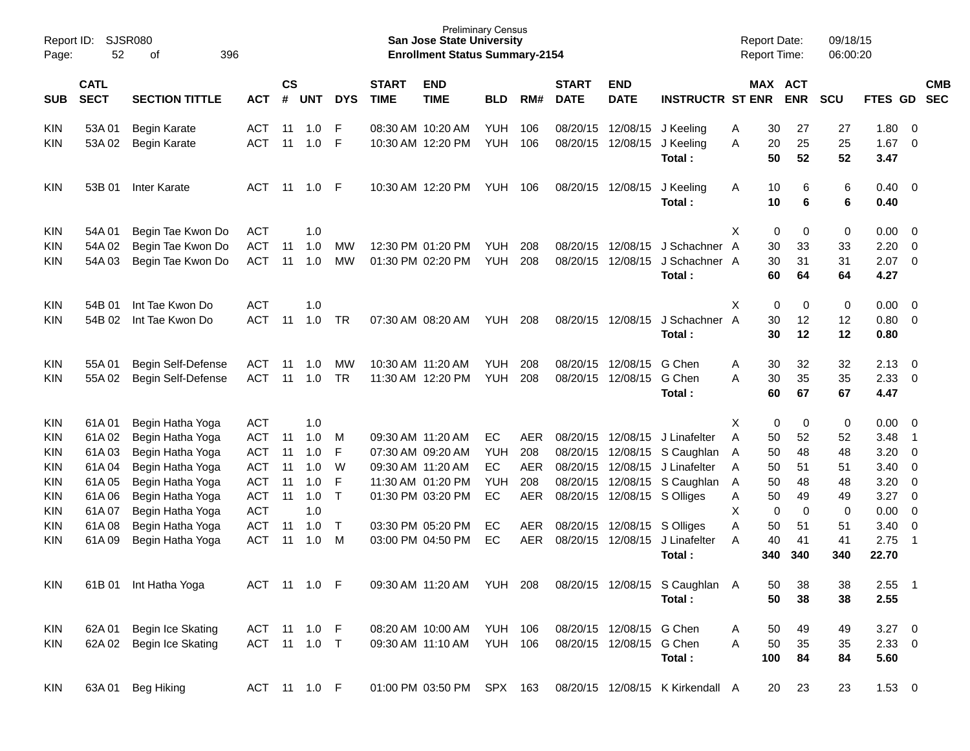| Page:                    | Report ID:<br>SJSR080<br>52<br>396<br>of                          |                                            |                          |          |                             |            |                             | <b>Preliminary Census</b><br><b>San Jose State University</b><br><b>Enrollment Status Summary-2154</b> |                          |            |                             |                           |                                          | <b>Report Date:</b><br>Report Time: |                |                | 09/18/15<br>06:00:20 |                      |                            |                          |
|--------------------------|-------------------------------------------------------------------|--------------------------------------------|--------------------------|----------|-----------------------------|------------|-----------------------------|--------------------------------------------------------------------------------------------------------|--------------------------|------------|-----------------------------|---------------------------|------------------------------------------|-------------------------------------|----------------|----------------|----------------------|----------------------|----------------------------|--------------------------|
| SUB                      | <b>CATL</b><br><b>SECT</b><br><b>SECTION TITTLE</b><br><b>ACT</b> |                                            |                          |          | $\mathsf{cs}$<br><b>UNT</b> | <b>DYS</b> | <b>START</b><br><b>TIME</b> | <b>END</b><br><b>TIME</b>                                                                              | <b>BLD</b>               | RM#        | <b>START</b><br><b>DATE</b> | <b>END</b><br><b>DATE</b> | <b>INSTRUCTR ST ENR</b>                  |                                     | MAX ACT        | <b>ENR</b>     | <b>SCU</b>           | FTES GD              |                            | <b>CMB</b><br><b>SEC</b> |
| <b>KIN</b><br><b>KIN</b> | 53A01<br>53A 02                                                   | <b>Begin Karate</b><br><b>Begin Karate</b> | <b>ACT</b><br><b>ACT</b> | 11<br>11 | 1.0<br>1.0                  | F<br>F     |                             | 08:30 AM 10:20 AM<br>10:30 AM 12:20 PM                                                                 | <b>YUH</b><br><b>YUH</b> | 106<br>106 | 08/20/15<br>08/20/15        | 12/08/15<br>12/08/15      | J Keeling<br>J Keeling<br>Total:         | A<br>A                              | 30<br>20<br>50 | 27<br>25<br>52 | 27<br>25<br>52       | 1.80<br>1.67<br>3.47 | - 0<br>$\overline{0}$      |                          |
| <b>KIN</b>               | 53B 01                                                            | Inter Karate                               | ACT                      | 11       | 1.0                         | -F         |                             | 10:30 AM 12:20 PM                                                                                      | YUH                      | 106        | 08/20/15                    | 12/08/15                  | J Keeling<br>Total:                      | A                                   | 10<br>10       | 6<br>6         | 6<br>6               | $0.40 \ 0$<br>0.40   |                            |                          |
| <b>KIN</b>               | 54A 01                                                            | Begin Tae Kwon Do                          | ACT                      |          | 1.0                         |            |                             |                                                                                                        |                          |            |                             |                           |                                          | X                                   | 0              | 0              | 0                    | 0.00                 | $\overline{\phantom{0}}$   |                          |
| <b>KIN</b>               | 54A 02                                                            | Begin Tae Kwon Do                          | <b>ACT</b>               | 11       | 1.0                         | MW         |                             | 12:30 PM 01:20 PM                                                                                      | <b>YUH</b>               | 208        | 08/20/15                    | 12/08/15                  | J Schachner A                            |                                     | 30             | 33             | 33                   | 2.20                 | $\overline{0}$             |                          |
| KIN                      | 54A 03                                                            | Begin Tae Kwon Do                          | <b>ACT</b>               | 11       | 1.0                         | <b>MW</b>  |                             | 01:30 PM 02:20 PM                                                                                      | <b>YUH</b>               | 208        | 08/20/15                    | 12/08/15                  | J Schachner A<br>Total:                  |                                     | 30<br>60       | 31<br>64       | 31<br>64             | 2.07<br>4.27         | $\overline{0}$             |                          |
| <b>KIN</b>               | 54B 01                                                            | Int Tae Kwon Do                            | <b>ACT</b>               |          | 1.0                         |            |                             |                                                                                                        |                          |            |                             |                           |                                          | X                                   | 0              | 0              | 0                    | $0.00 \t 0$          |                            |                          |
| <b>KIN</b>               | 54B 02                                                            | Int Tae Kwon Do                            | <b>ACT</b>               | 11       | 1.0                         | <b>TR</b>  |                             | 07:30 AM 08:20 AM                                                                                      | <b>YUH</b>               | 208        | 08/20/15                    | 12/08/15                  | J Schachner A                            |                                     | 30             | 12             | 12                   | 0.80                 | $\overline{0}$             |                          |
|                          |                                                                   |                                            |                          |          |                             |            |                             |                                                                                                        |                          |            |                             |                           | Total:                                   |                                     | 30             | 12             | 12                   | 0.80                 |                            |                          |
| <b>KIN</b>               | 55A01                                                             | Begin Self-Defense                         | <b>ACT</b>               | 11       | 1.0                         | МW         |                             | 10:30 AM 11:20 AM                                                                                      | <b>YUH</b>               | 208        | 08/20/15                    | 12/08/15                  | G Chen                                   | A                                   | 30             | 32             | 32                   | 2.13                 | $\overline{\mathbf{0}}$    |                          |
| <b>KIN</b>               | 55A 02                                                            | Begin Self-Defense                         | <b>ACT</b>               | 11       | 1.0                         | <b>TR</b>  |                             | 11:30 AM 12:20 PM                                                                                      | <b>YUH</b>               | 208        | 08/20/15                    | 12/08/15                  | G Chen                                   | A                                   | 30             | 35             | 35                   | 2.33                 | $\overline{\phantom{0}}$   |                          |
|                          |                                                                   |                                            |                          |          |                             |            |                             |                                                                                                        |                          |            |                             |                           | Total:                                   |                                     | 60             | 67             | 67                   | 4.47                 |                            |                          |
| <b>KIN</b>               | 61A01                                                             | Begin Hatha Yoga                           | <b>ACT</b>               |          | 1.0                         |            |                             |                                                                                                        |                          |            |                             |                           |                                          | X                                   | 0              | 0              | 0                    | $0.00 \t 0$          |                            |                          |
| <b>KIN</b>               | 61A02                                                             | Begin Hatha Yoga                           | <b>ACT</b>               | 11       | 1.0                         | M          |                             | 09:30 AM 11:20 AM                                                                                      | EC                       | AER        | 08/20/15                    | 12/08/15                  | J Linafelter                             | A                                   | 50             | 52             | 52                   | 3.48                 | $\overline{\phantom{1}}$   |                          |
| <b>KIN</b>               | 61A03                                                             | Begin Hatha Yoga                           | <b>ACT</b>               | 11       | 1.0                         | F          |                             | 07:30 AM 09:20 AM                                                                                      | YUH                      | 208        | 08/20/15                    | 12/08/15                  | S Caughlan                               | A                                   | 50             | 48             | 48                   | 3.20                 | $\overline{0}$             |                          |
| <b>KIN</b>               | 61A04                                                             | Begin Hatha Yoga                           | <b>ACT</b>               | 11       | 1.0                         | W          |                             | 09:30 AM 11:20 AM                                                                                      | EC                       | <b>AER</b> | 08/20/15                    | 12/08/15                  | J Linafelter                             | A                                   | 50             | 51             | 51                   | 3.40                 | $\overline{0}$             |                          |
| <b>KIN</b>               | 61A05                                                             | Begin Hatha Yoga                           | <b>ACT</b>               | 11       | 1.0                         | F          |                             | 11:30 AM 01:20 PM                                                                                      | YUH                      | 208        | 08/20/15                    | 12/08/15                  | S Caughlan                               | A                                   | 50             | 48             | 48                   | 3.20                 | $\overline{0}$             |                          |
| <b>KIN</b>               | 61A06                                                             | Begin Hatha Yoga                           | <b>ACT</b>               | 11       | 1.0                         | $\top$     |                             | 01:30 PM 03:20 PM                                                                                      | EC                       | <b>AER</b> | 08/20/15                    | 12/08/15                  | S Olliges                                | Α                                   | 50             | 49             | 49                   | 3.27                 | $\overline{0}$             |                          |
| <b>KIN</b>               | 61A07                                                             | Begin Hatha Yoga                           | <b>ACT</b>               |          | 1.0                         |            |                             |                                                                                                        |                          |            |                             |                           |                                          | X                                   | 0              | $\mathbf 0$    | 0                    | 0.00                 | $\overline{0}$             |                          |
| <b>KIN</b>               | 61A08                                                             | Begin Hatha Yoga                           | <b>ACT</b>               | 11       | 1.0                         | $\top$     |                             | 03:30 PM 05:20 PM                                                                                      | EC                       | AER        | 08/20/15                    | 12/08/15                  | S Olliges                                | Α                                   | 50             | 51             | 51                   | 3.40                 | $\overline{0}$             |                          |
| KIN                      | 61A09                                                             | Begin Hatha Yoga                           | <b>ACT</b>               | 11       | 1.0                         | M          |                             | 03:00 PM 04:50 PM                                                                                      | EC                       | <b>AER</b> | 08/20/15                    | 12/08/15                  | J Linafelter<br>Total:                   | A                                   | 40<br>340      | 41<br>340      | 41<br>340            | 2.75<br>22.70        | $\overline{1}$             |                          |
| <b>KIN</b>               |                                                                   | 61B 01 Int Hatha Yoga                      | ACT 11 1.0 F             |          |                             |            |                             | 09:30 AM 11:20 AM YUH 208                                                                              |                          |            |                             |                           | 08/20/15 12/08/15 S Caughlan A<br>Total: |                                     | 50<br>50       | 38<br>38       | 38<br>38             | 2.55<br>2.55         | $\overline{\phantom{0}}$ 1 |                          |
| <b>KIN</b>               | 62A 01                                                            | Begin Ice Skating                          | ACT 11 1.0 F             |          |                             |            |                             | 08:20 AM 10:00 AM                                                                                      | <b>YUH 106</b>           |            |                             | 08/20/15 12/08/15 G Chen  |                                          | A                                   | 50             | 49             | 49                   | $3.27$ 0             |                            |                          |
| <b>KIN</b>               |                                                                   | 62A 02 Begin Ice Skating                   | ACT 11 1.0 T             |          |                             |            |                             | 09:30 AM 11:10 AM                                                                                      | <b>YUH 106</b>           |            |                             | 08/20/15 12/08/15 G Chen  |                                          | A                                   | 50             | 35             | 35                   | $2.33 \t 0$          |                            |                          |
|                          |                                                                   |                                            |                          |          |                             |            |                             |                                                                                                        |                          |            |                             |                           | Total:                                   |                                     | 100            | 84             | 84                   | 5.60                 |                            |                          |
| <b>KIN</b>               | 63A 01                                                            | Beg Hiking                                 | ACT 11 1.0 F             |          |                             |            |                             | 01:00 PM 03:50 PM                                                                                      | SPX 163                  |            |                             |                           | 08/20/15 12/08/15 K Kirkendall A         |                                     | 20             | 23             | 23                   | $1.53 \t 0$          |                            |                          |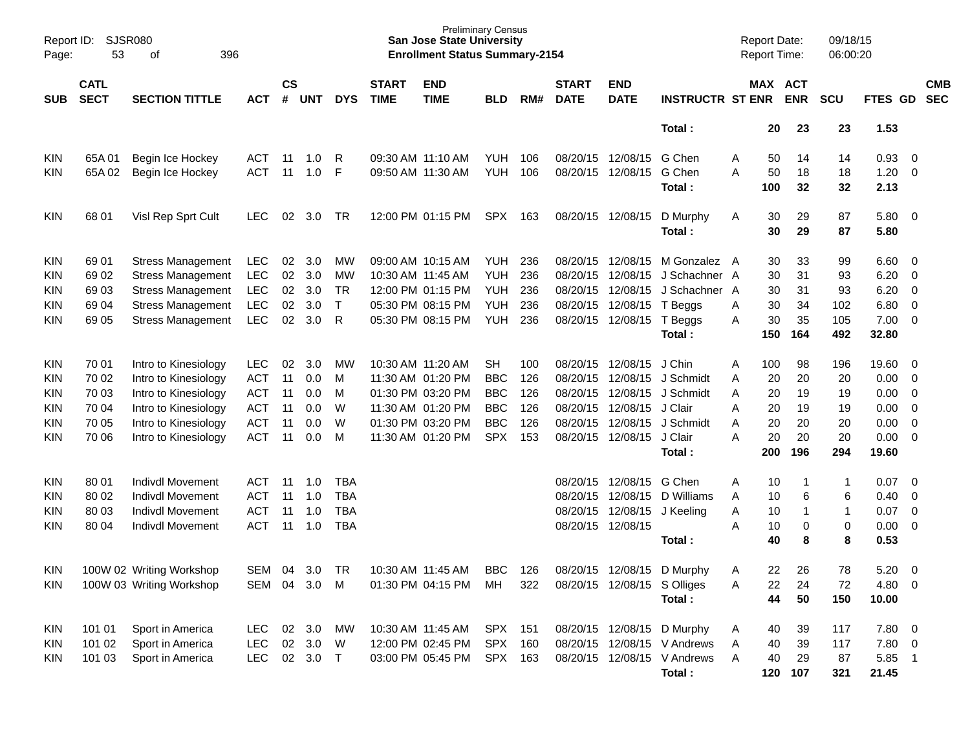| Page:      | SJSR080<br>Report ID:<br>53<br>396<br>of                          |                          |            |    |                             |              |                             | <b>San Jose State University</b><br><b>Enrollment Status Summary-2154</b> | <b>Preliminary Census</b> |     |                             |                             |                             |   | <b>Report Date:</b><br><b>Report Time:</b> |                       | 09/18/15<br>06:00:20 |         |                          |                          |
|------------|-------------------------------------------------------------------|--------------------------|------------|----|-----------------------------|--------------|-----------------------------|---------------------------------------------------------------------------|---------------------------|-----|-----------------------------|-----------------------------|-----------------------------|---|--------------------------------------------|-----------------------|----------------------|---------|--------------------------|--------------------------|
| <b>SUB</b> | <b>CATL</b><br><b>SECT</b><br><b>SECTION TITTLE</b><br><b>ACT</b> |                          |            |    | $\mathsf{cs}$<br><b>UNT</b> | <b>DYS</b>   | <b>START</b><br><b>TIME</b> | <b>END</b><br><b>TIME</b>                                                 | <b>BLD</b>                | RM# | <b>START</b><br><b>DATE</b> | <b>END</b><br><b>DATE</b>   | <b>INSTRUCTR ST ENR</b>     |   |                                            | MAX ACT<br><b>ENR</b> | <b>SCU</b>           | FTES GD |                          | <b>CMB</b><br><b>SEC</b> |
|            |                                                                   |                          |            |    |                             |              |                             |                                                                           |                           |     |                             |                             | Total:                      |   | 20                                         | 23                    | 23                   | 1.53    |                          |                          |
| <b>KIN</b> | 65A01                                                             | Begin Ice Hockey         | ACT        | 11 | 1.0                         | R            |                             | 09:30 AM 11:10 AM                                                         | <b>YUH</b>                | 106 | 08/20/15                    | 12/08/15                    | G Chen                      | Α | 50                                         | 14                    | 14                   | 0.93    | $\overline{\phantom{0}}$ |                          |
| <b>KIN</b> | 65A 02                                                            | Begin Ice Hockey         | <b>ACT</b> | 11 | 1.0                         | F            | 09:50 AM 11:30 AM           |                                                                           | <b>YUH</b>                | 106 | 08/20/15                    | 12/08/15                    | G Chen                      | Α | 50                                         | 18                    | 18                   | 1.20    | $\overline{\mathbf{0}}$  |                          |
|            |                                                                   |                          |            |    |                             |              |                             |                                                                           |                           |     |                             |                             | Total:                      |   | 100                                        | 32                    | 32                   | 2.13    |                          |                          |
| <b>KIN</b> | 68 01                                                             | Visl Rep Sprt Cult       | LEC.       | 02 | 3.0                         | TR           |                             | 12:00 PM 01:15 PM                                                         | SPX                       | 163 | 08/20/15 12/08/15           |                             | D Murphy                    | A | 30                                         | 29                    | 87                   | 5.80 0  |                          |                          |
|            |                                                                   |                          |            |    |                             |              |                             |                                                                           |                           |     |                             |                             | Total:                      |   | 30                                         | 29                    | 87                   | 5.80    |                          |                          |
| <b>KIN</b> | 69 01                                                             | <b>Stress Management</b> | <b>LEC</b> | 02 | 3.0                         | <b>MW</b>    |                             | 09:00 AM 10:15 AM                                                         | <b>YUH</b>                | 236 | 08/20/15                    | 12/08/15                    | M Gonzalez A                |   | 30                                         | 33                    | 99                   | 6.60    | $\overline{\mathbf{0}}$  |                          |
| <b>KIN</b> | 69 02                                                             | <b>Stress Management</b> | <b>LEC</b> | 02 | 3.0                         | MW           | 10:30 AM 11:45 AM           |                                                                           | <b>YUH</b>                | 236 | 08/20/15                    | 12/08/15                    | J Schachner A               |   | 30                                         | 31                    | 93                   | 6.20    | $\overline{0}$           |                          |
| <b>KIN</b> | 69 03                                                             | <b>Stress Management</b> | <b>LEC</b> | 02 | 3.0                         | TR           |                             | 12:00 PM 01:15 PM                                                         | <b>YUH</b>                | 236 | 08/20/15                    | 12/08/15                    | J Schachner A               |   | 30                                         | 31                    | 93                   | 6.20    | $\overline{0}$           |                          |
| <b>KIN</b> | 69 04                                                             | <b>Stress Management</b> | <b>LEC</b> | 02 | 3.0                         | $\mathsf{T}$ |                             | 05:30 PM 08:15 PM                                                         | <b>YUH</b>                | 236 | 08/20/15                    | 12/08/15                    | T Beggs                     | Α | 30                                         | 34                    | 102                  | 6.80    | $\overline{0}$           |                          |
| KIN        | 69 05                                                             | <b>Stress Management</b> | <b>LEC</b> | 02 | 3.0                         | R            |                             | 05:30 PM 08:15 PM                                                         | <b>YUH</b>                | 236 | 08/20/15                    | 12/08/15                    | T Beggs                     | Α | 30                                         | 35                    | 105                  | 7.00    | $\overline{\phantom{0}}$ |                          |
|            |                                                                   |                          |            |    |                             |              |                             |                                                                           |                           |     |                             |                             | Total:                      |   | 150                                        | 164                   | 492                  | 32.80   |                          |                          |
| <b>KIN</b> | 70 01                                                             | Intro to Kinesiology     | LEC.       | 02 | 3.0                         | MW           |                             | 10:30 AM 11:20 AM                                                         | <b>SH</b>                 | 100 | 08/20/15                    | 12/08/15                    | J Chin                      | A | 100                                        | 98                    | 196                  | 19.60 0 |                          |                          |
| <b>KIN</b> | 70 02                                                             | Intro to Kinesiology     | <b>ACT</b> | 11 | 0.0                         | м            |                             | 11:30 AM 01:20 PM                                                         | <b>BBC</b>                | 126 | 08/20/15                    | 12/08/15                    | J Schmidt                   | Α | 20                                         | 20                    | 20                   | 0.00    | $\overline{\phantom{0}}$ |                          |
| <b>KIN</b> | 70 03                                                             | Intro to Kinesiology     | <b>ACT</b> | 11 | 0.0                         | M            |                             | 01:30 PM 03:20 PM                                                         | <b>BBC</b>                | 126 | 08/20/15                    | 12/08/15                    | J Schmidt                   | Α | 20                                         | 19                    | 19                   | 0.00    | $\overline{\mathbf{0}}$  |                          |
| <b>KIN</b> | 70 04                                                             | Intro to Kinesiology     | <b>ACT</b> | 11 | 0.0                         | W            |                             | 11:30 AM 01:20 PM                                                         | <b>BBC</b>                | 126 | 08/20/15                    | 12/08/15                    | J Clair                     | Α | 20                                         | 19                    | 19                   | 0.00    | $\overline{0}$           |                          |
| <b>KIN</b> | 70 05                                                             | Intro to Kinesiology     | <b>ACT</b> | 11 | 0.0                         | W            |                             | 01:30 PM 03:20 PM                                                         | <b>BBC</b>                | 126 | 08/20/15                    | 12/08/15                    | J Schmidt                   | Α | 20                                         | 20                    | 20                   | 0.00    | $\overline{0}$           |                          |
| KIN        | 70 06                                                             | Intro to Kinesiology     | <b>ACT</b> | 11 | 0.0                         | М            |                             | 11:30 AM 01:20 PM                                                         | <b>SPX</b>                | 153 | 08/20/15                    | 12/08/15                    | J Clair                     | Α | 20                                         | 20                    | 20                   | 0.00    | $\overline{\phantom{0}}$ |                          |
|            |                                                                   |                          |            |    |                             |              |                             |                                                                           |                           |     |                             |                             | Total:                      |   | 200                                        | 196                   | 294                  | 19.60   |                          |                          |
| <b>KIN</b> | 80 01                                                             | <b>Indivdl Movement</b>  | ACT        | 11 | 1.0                         | TBA          |                             |                                                                           |                           |     | 08/20/15                    | 12/08/15                    | G Chen                      | A | 10                                         | 1                     | 1                    | 0.07    | $\overline{\mathbf{0}}$  |                          |
| <b>KIN</b> | 80 02                                                             | <b>Indivdl Movement</b>  | ACT        | 11 | 1.0                         | <b>TBA</b>   |                             |                                                                           |                           |     | 08/20/15                    | 12/08/15                    | D Williams                  | A | 10                                         | 6                     | 6                    | 0.40    | $\overline{0}$           |                          |
| <b>KIN</b> | 80 03                                                             | <b>Indivdl Movement</b>  | <b>ACT</b> | 11 | 1.0                         | <b>TBA</b>   |                             |                                                                           |                           |     | 08/20/15                    | 12/08/15                    | J Keeling                   | Α | 10                                         | 1                     | 1                    | 0.07    | $\overline{0}$           |                          |
| KIN        | 80 04                                                             | <b>Indivdl Movement</b>  | <b>ACT</b> | 11 | 1.0                         | <b>TBA</b>   |                             |                                                                           |                           |     | 08/20/15                    | 12/08/15                    |                             | Α | 10                                         | 0                     | 0                    | 0.00    | $\overline{\mathbf{0}}$  |                          |
|            |                                                                   |                          |            |    |                             |              |                             |                                                                           |                           |     |                             |                             | Total:                      |   | 40                                         | 8                     | 8                    | 0.53    |                          |                          |
| <b>KIN</b> |                                                                   | 100W 02 Writing Workshop | SEM        | 04 | 3.0                         | TR           |                             | 10:30 AM 11:45 AM                                                         | <b>BBC</b>                | 126 | 08/20/15                    | 12/08/15                    | D Murphy                    | A | 22                                         | 26                    | 78                   | 5.20    | $\overline{\mathbf{0}}$  |                          |
| <b>KIN</b> |                                                                   | 100W 03 Writing Workshop |            |    | SEM 04 3.0 M                |              |                             | 01:30 PM 04:15 PM                                                         | MН                        | 322 |                             | 08/20/15 12/08/15 S Olliges |                             | Α | 22                                         | 24                    | 72                   | 4.80 0  |                          |                          |
|            |                                                                   |                          |            |    |                             |              |                             |                                                                           |                           |     |                             |                             | Total:                      |   | 44                                         | 50                    | 150                  | 10.00   |                          |                          |
| <b>KIN</b> | 101 01                                                            | Sport in America         | <b>LEC</b> | 02 | 3.0                         | МW           |                             | 10:30 AM 11:45 AM                                                         | SPX 151                   |     |                             |                             | 08/20/15 12/08/15 D Murphy  | A | 40                                         | 39                    | 117                  | 7.80 0  |                          |                          |
| <b>KIN</b> | 101 02                                                            | Sport in America         | LEC        |    | 02 3.0                      | W            |                             | 12:00 PM 02:45 PM                                                         | SPX 160                   |     |                             |                             | 08/20/15 12/08/15 V Andrews | A | 40                                         | 39                    | 117                  | 7.80 0  |                          |                          |
| <b>KIN</b> | 101 03                                                            | Sport in America         | <b>LEC</b> |    | 02 3.0 T                    |              |                             | 03:00 PM 05:45 PM                                                         | SPX 163                   |     |                             |                             | 08/20/15 12/08/15 V Andrews | A | 40                                         | 29                    | 87                   | 5.85 1  |                          |                          |
|            |                                                                   |                          |            |    |                             |              |                             |                                                                           |                           |     |                             |                             | Total:                      |   |                                            | 120 107               | 321                  | 21.45   |                          |                          |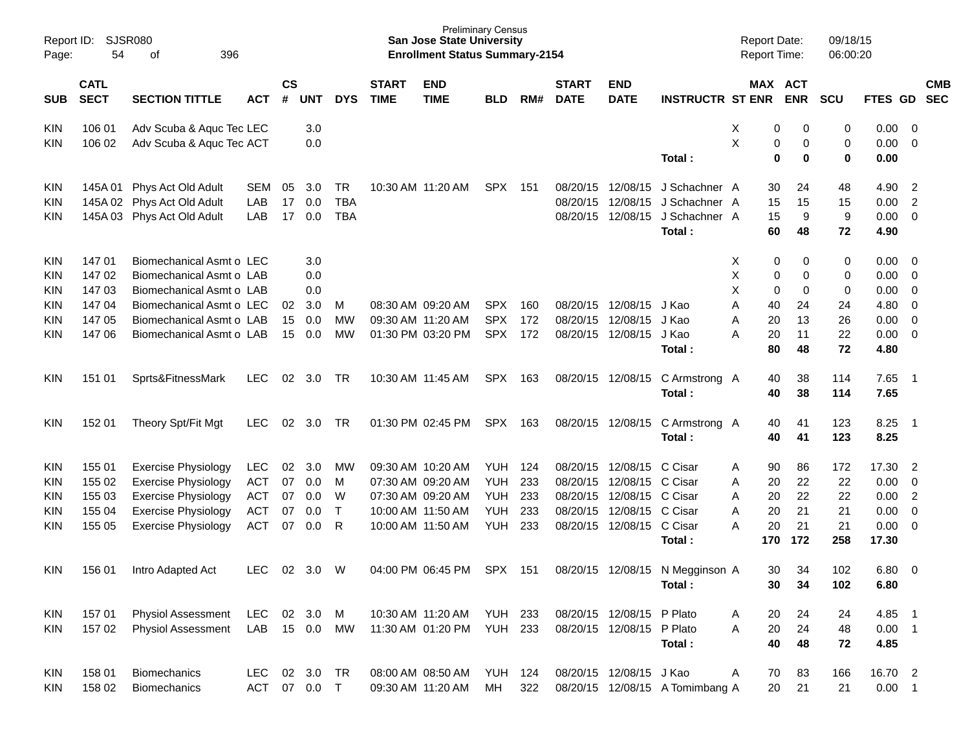| Page:             | SJSR080<br>Report ID:<br>54<br>396<br>οf                          |                                                      |            |          |                             |                          |                             | <b>San Jose State University</b><br><b>Enrollment Status Summary-2154</b> | <b>Preliminary Census</b> |       |                             |                           |                                 | <b>Report Date:</b><br><b>Report Time:</b> |                       |         | 09/18/15<br>06:00:20 |              |                          |                          |
|-------------------|-------------------------------------------------------------------|------------------------------------------------------|------------|----------|-----------------------------|--------------------------|-----------------------------|---------------------------------------------------------------------------|---------------------------|-------|-----------------------------|---------------------------|---------------------------------|--------------------------------------------|-----------------------|---------|----------------------|--------------|--------------------------|--------------------------|
| <b>SUB</b>        | <b>CATL</b><br><b>SECT</b><br><b>SECTION TITTLE</b><br><b>ACT</b> |                                                      |            |          | $\mathsf{cs}$<br><b>UNT</b> | <b>DYS</b>               | <b>START</b><br><b>TIME</b> | <b>END</b><br><b>TIME</b>                                                 | <b>BLD</b>                | RM#   | <b>START</b><br><b>DATE</b> | <b>END</b><br><b>DATE</b> | <b>INSTRUCTR ST ENR</b>         |                                            | MAX ACT<br><b>ENR</b> |         | <b>SCU</b>           | FTES GD      |                          | <b>CMB</b><br><b>SEC</b> |
| KIN               | 106 01                                                            | Adv Scuba & Aquc Tec LEC                             |            |          | 3.0                         |                          |                             |                                                                           |                           |       |                             |                           |                                 | X                                          | 0                     | 0       | 0                    | 0.00         | - 0                      |                          |
| KIN               | 106 02                                                            | Adv Scuba & Aquc Tec ACT                             |            |          | 0.0                         |                          |                             |                                                                           |                           |       |                             |                           | Total:                          | Χ                                          | 0<br>$\mathbf 0$      | 0<br>0  | 0<br>0               | 0.00<br>0.00 | 0                        |                          |
|                   |                                                                   |                                                      |            |          |                             |                          |                             |                                                                           |                           |       |                             |                           |                                 |                                            |                       |         |                      |              |                          |                          |
| KIN               | 145A 01                                                           | Phys Act Old Adult                                   | SEM        | 05       | 3.0                         | TR                       |                             | 10:30 AM 11:20 AM                                                         | SPX                       | - 151 | 08/20/15                    | 12/08/15                  | J Schachner A                   |                                            | 30                    | 24      | 48                   | 4.90         | $\overline{c}$           |                          |
| <b>KIN</b>        | 145A 02                                                           | Phys Act Old Adult                                   | LAB<br>LAB | 17<br>17 | 0.0                         | <b>TBA</b><br><b>TBA</b> |                             |                                                                           |                           |       | 08/20/15<br>08/20/15        | 12/08/15<br>12/08/15      | J Schachner A<br>J Schachner A  |                                            | 15                    | 15<br>9 | 15                   | 0.00<br>0.00 | $\overline{2}$<br>0      |                          |
| KIN               | 145A 03                                                           | Phys Act Old Adult                                   |            |          | 0.0                         |                          |                             |                                                                           |                           |       |                             |                           | Total:                          |                                            | 15<br>60              | 48      | 9<br>72              | 4.90         |                          |                          |
|                   |                                                                   |                                                      |            |          |                             |                          |                             |                                                                           |                           |       |                             |                           |                                 |                                            |                       |         |                      |              |                          |                          |
| KIN               | 14701                                                             | Biomechanical Asmt o LEC                             |            |          | 3.0                         |                          |                             |                                                                           |                           |       |                             |                           |                                 | X                                          | 0                     | 0       | 0                    | 0.00         | $\overline{\phantom{0}}$ |                          |
| <b>KIN</b>        | 14702<br>14703                                                    | Biomechanical Asmt o LAB<br>Biomechanical Asmt o LAB |            |          | 0.0<br>0.0                  |                          |                             |                                                                           |                           |       |                             |                           |                                 | х<br>Χ                                     | 0<br>0                | 0<br>0  | 0<br>0               | 0.00<br>0.00 | 0<br>0                   |                          |
| <b>KIN</b><br>KIN | 14704                                                             | Biomechanical Asmt o LEC                             |            | 02       | 3.0                         | M                        |                             | 08:30 AM 09:20 AM                                                         | <b>SPX</b>                | 160   | 08/20/15                    | 12/08/15                  | J Kao                           | Α                                          | 40                    | 24      | 24                   | 4.80         | 0                        |                          |
| KIN               | 147 05                                                            | Biomechanical Asmt o LAB                             |            | 15       | 0.0                         | MW                       |                             | 09:30 AM 11:20 AM                                                         | <b>SPX</b>                | 172   | 08/20/15                    | 12/08/15                  | J Kao                           | Α                                          | 20                    | 13      | 26                   | 0.00         | 0                        |                          |
| KIN               | 147 06                                                            | Biomechanical Asmt o LAB                             |            | 15       | 0.0                         | MW                       |                             | 01:30 PM 03:20 PM                                                         | <b>SPX</b>                | 172   | 08/20/15                    | 12/08/15                  | J Kao                           | Α                                          | 20                    | 11      | 22                   | 0.00         | 0                        |                          |
|                   |                                                                   |                                                      |            |          |                             |                          |                             |                                                                           |                           |       |                             |                           | Total:                          |                                            | 80                    | 48      | 72                   | 4.80         |                          |                          |
| KIN               | 151 01                                                            | Sprts&FitnessMark                                    | <b>LEC</b> | 02       | 3.0                         | TR                       |                             | 10:30 AM 11:45 AM                                                         | <b>SPX</b>                | 163   |                             | 08/20/15 12/08/15         | C Armstrong A                   |                                            | 40                    | 38      | 114                  | 7.65         | - 1                      |                          |
|                   |                                                                   |                                                      |            |          |                             |                          |                             |                                                                           |                           |       |                             |                           | Total:                          |                                            | 40                    | 38      | 114                  | 7.65         |                          |                          |
| KIN               | 152 01                                                            | Theory Spt/Fit Mgt                                   | LEC.       | 02       | 3.0                         | TR                       |                             | 01:30 PM 02:45 PM                                                         | <b>SPX</b>                | 163   |                             | 08/20/15 12/08/15         | C Armstrong A                   |                                            | 40                    | 41      | 123                  | 8.25         | - 1                      |                          |
|                   |                                                                   |                                                      |            |          |                             |                          |                             |                                                                           |                           |       |                             |                           | Total:                          |                                            | 40                    | 41      | 123                  | 8.25         |                          |                          |
| KIN               | 155 01                                                            | <b>Exercise Physiology</b>                           | <b>LEC</b> | 02       | 3.0                         | МW                       |                             | 09:30 AM 10:20 AM                                                         | YUH                       | 124   | 08/20/15                    | 12/08/15                  | C Cisar                         | Α                                          | 90                    | 86      | 172                  | 17.30        | $\overline{2}$           |                          |
| <b>KIN</b>        | 155 02                                                            | <b>Exercise Physiology</b>                           | <b>ACT</b> | 07       | 0.0                         | M                        |                             | 07:30 AM 09:20 AM                                                         | YUH                       | 233   | 08/20/15                    | 12/08/15                  | C Cisar                         | Α                                          | 20                    | 22      | 22                   | 0.00         | 0                        |                          |
| <b>KIN</b>        | 155 03                                                            | <b>Exercise Physiology</b>                           | <b>ACT</b> | 07       | 0.0                         | W                        |                             | 07:30 AM 09:20 AM                                                         | YUH                       | 233   | 08/20/15                    | 12/08/15                  | C Cisar                         | Α                                          | 20                    | 22      | 22                   | 0.00         | $\overline{c}$           |                          |
| <b>KIN</b>        | 155 04                                                            | <b>Exercise Physiology</b>                           | <b>ACT</b> | 07       | 0.0                         | $\mathsf{T}$             |                             | 10:00 AM 11:50 AM                                                         | <b>YUH</b>                | 233   | 08/20/15                    | 12/08/15                  | C Cisar                         | Α                                          | 20                    | 21      | 21                   | 0.00         | 0                        |                          |
| KIN               | 155 05                                                            | <b>Exercise Physiology</b>                           | ACT        | 07       | 0.0                         | -R                       |                             | 10:00 AM 11:50 AM                                                         | YUH                       | 233   | 08/20/15                    | 12/08/15                  | C Cisar                         | A                                          | 20                    | 21      | 21                   | 0.00         | 0                        |                          |
|                   |                                                                   |                                                      |            |          |                             |                          |                             |                                                                           |                           |       |                             |                           | Total:                          | 170                                        |                       | 172     | 258                  | 17.30        |                          |                          |
| <b>KIN</b>        | 156 01                                                            | Intro Adapted Act                                    | LEC.       | 02       | 3.0                         | W                        |                             | 04:00 PM 06:45 PM                                                         | <b>SPX</b>                | 151   | 08/20/15                    | 12/08/15                  | N Megginson A                   |                                            | 30                    | 34      | 102                  | 6.80         | - 0                      |                          |
|                   |                                                                   |                                                      |            |          |                             |                          |                             |                                                                           |                           |       |                             |                           | Total:                          |                                            | 30                    | 34      | 102                  | 6.80         |                          |                          |
| KIN               | 15701                                                             | Physiol Assessment                                   | <b>LEC</b> |          | 02 3.0                      | M                        |                             | 10:30 AM 11:20 AM                                                         | <b>YUH 233</b>            |       |                             | 08/20/15 12/08/15         | P Plato                         | A                                          | 20                    | 24      | 24                   | 4.85 1       |                          |                          |
| <b>KIN</b>        | 157 02                                                            | <b>Physiol Assessment</b>                            | LAB        |          | 15 0.0                      | MW                       |                             | 11:30 AM 01:20 PM                                                         | <b>YUH 233</b>            |       |                             | 08/20/15 12/08/15 P Plato |                                 | A                                          | 20                    | 24      | 48                   | $0.00$ 1     |                          |                          |
|                   |                                                                   |                                                      |            |          |                             |                          |                             |                                                                           |                           |       |                             |                           | Total:                          |                                            | 40                    | 48      | 72                   | 4.85         |                          |                          |
| KIN               | 158 01                                                            | Biomechanics                                         | <b>LEC</b> |          | 02 3.0                      | TR                       |                             | 08:00 AM 08:50 AM                                                         | <b>YUH 124</b>            |       |                             | 08/20/15 12/08/15         | J Kao                           | A                                          | 70                    | 83      | 166                  | 16.70 2      |                          |                          |
| <b>KIN</b>        | 158 02                                                            | <b>Biomechanics</b>                                  | ACT        |          | 07 0.0 T                    |                          |                             | 09:30 AM 11:20 AM                                                         | MH                        | 322   |                             |                           | 08/20/15 12/08/15 A Tomimbang A |                                            | 20                    | 21      | 21                   | $0.00$ 1     |                          |                          |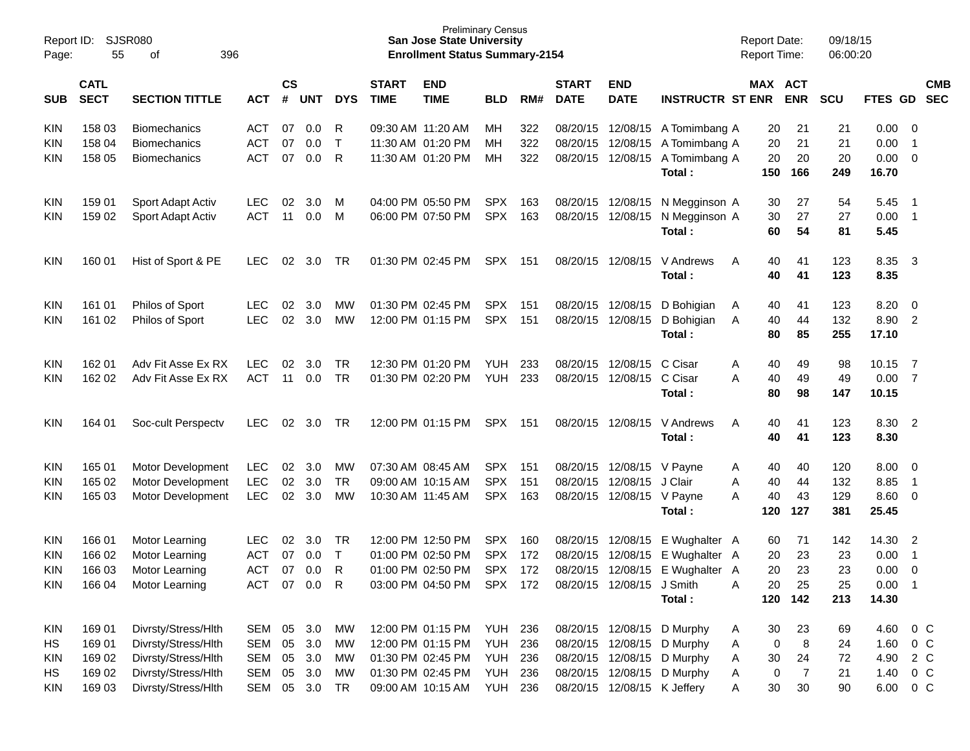| Report ID:<br>Page: | SJSR080<br>55              |                       |            |                |            |              | <b>Preliminary Census</b><br><b>San Jose State University</b><br><b>Enrollment Status Summary-2154</b> |                           |                |     |                             |                             | <b>Report Date:</b><br><b>Report Time:</b> |         | 09/18/15<br>06:00:20  |            |         |                            |                          |
|---------------------|----------------------------|-----------------------|------------|----------------|------------|--------------|--------------------------------------------------------------------------------------------------------|---------------------------|----------------|-----|-----------------------------|-----------------------------|--------------------------------------------|---------|-----------------------|------------|---------|----------------------------|--------------------------|
| <b>SUB</b>          | <b>CATL</b><br><b>SECT</b> | <b>SECTION TITTLE</b> | <b>ACT</b> | <b>CS</b><br># | <b>UNT</b> | <b>DYS</b>   | <b>START</b><br><b>TIME</b>                                                                            | <b>END</b><br><b>TIME</b> | <b>BLD</b>     | RM# | <b>START</b><br><b>DATE</b> | <b>END</b><br><b>DATE</b>   | <b>INSTRUCTR ST ENR</b>                    |         | MAX ACT<br><b>ENR</b> | <b>SCU</b> | FTES GD |                            | <b>CMB</b><br><b>SEC</b> |
| KIN                 | 158 03                     | <b>Biomechanics</b>   | ACT        | 07             | 0.0        | R            | 09:30 AM 11:20 AM                                                                                      |                           | MН             | 322 | 08/20/15                    | 12/08/15                    | A Tomimbang A                              | 20      | 21                    | 21         | 0.00    | - 0                        |                          |
| KIN                 | 158 04                     | <b>Biomechanics</b>   | <b>ACT</b> | 07             | 0.0        | $\mathsf{T}$ |                                                                                                        | 11:30 AM 01:20 PM         | MН             | 322 | 08/20/15                    | 12/08/15                    | A Tomimbang A                              | 20      | 21                    | 21         | 0.00    | $\overline{1}$             |                          |
| KIN                 | 158 05                     | <b>Biomechanics</b>   | <b>ACT</b> | 07             | 0.0        | R            |                                                                                                        | 11:30 AM 01:20 PM         | MН             | 322 | 08/20/15                    | 12/08/15                    | A Tomimbang A                              | 20      | 20                    | 20         | 0.00    | - 0                        |                          |
|                     |                            |                       |            |                |            |              |                                                                                                        |                           |                |     |                             |                             | Total:                                     | 150     | 166                   | 249        | 16.70   |                            |                          |
| KIN                 | 159 01                     | Sport Adapt Activ     | <b>LEC</b> | 02             | 3.0        | M            |                                                                                                        | 04:00 PM 05:50 PM         | <b>SPX</b>     | 163 | 08/20/15                    | 12/08/15                    | N Megginson A                              | 30      | 27                    | 54         | 5.45    | - 1                        |                          |
| KIN                 | 159 02                     | Sport Adapt Activ     | <b>ACT</b> | 11             | 0.0        | M            |                                                                                                        | 06:00 PM 07:50 PM         | <b>SPX</b>     | 163 | 08/20/15                    | 12/08/15                    | N Megginson A                              | 30      | 27                    | 27         | 0.00    | $\overline{\phantom{0}}$   |                          |
|                     |                            |                       |            |                |            |              |                                                                                                        |                           |                |     |                             |                             | Total:                                     | 60      | 54                    | 81         | 5.45    |                            |                          |
| KIN                 | 160 01                     | Hist of Sport & PE    | <b>LEC</b> | 02             | 3.0        | TR           |                                                                                                        | 01:30 PM 02:45 PM         | <b>SPX</b>     | 151 | 08/20/15                    | 12/08/15                    | V Andrews                                  | A       | 41<br>40              | 123        | 8.35    | $\overline{\phantom{a}}$ 3 |                          |
|                     |                            |                       |            |                |            |              |                                                                                                        |                           |                |     |                             |                             | Total:                                     | 40      | 41                    | 123        | 8.35    |                            |                          |
|                     |                            |                       |            |                |            |              |                                                                                                        |                           |                |     |                             |                             |                                            |         |                       |            |         |                            |                          |
| KIN                 | 161 01                     | Philos of Sport       | <b>LEC</b> | 02             | 3.0        | MW           |                                                                                                        | 01:30 PM 02:45 PM         | <b>SPX</b>     | 151 | 08/20/15                    | 12/08/15                    | D Bohigian                                 | 40<br>A | 41                    | 123        | 8.20    | 0                          |                          |
| KIN                 | 161 02                     | Philos of Sport       | <b>LEC</b> | 02             | 3.0        | <b>MW</b>    |                                                                                                        | 12:00 PM 01:15 PM         | <b>SPX</b>     | 151 | 08/20/15                    | 12/08/15                    | D Bohigian                                 | 40<br>A | 44                    | 132        | 8.90    | $\overline{2}$             |                          |
|                     |                            |                       |            |                |            |              |                                                                                                        |                           |                |     |                             |                             | Total:                                     | 80      | 85                    | 255        | 17.10   |                            |                          |
| KIN                 | 162 01                     | Adv Fit Asse Ex RX    | LEC.       | 02             | 3.0        | <b>TR</b>    |                                                                                                        | 12:30 PM 01:20 PM         | <b>YUH</b>     | 233 | 08/20/15                    | 12/08/15                    | C Cisar                                    | 40<br>A | 49                    | 98         | 10.15   | - 7                        |                          |
| KIN                 | 162 02                     | Adv Fit Asse Ex RX    | <b>ACT</b> | 11             | 0.0        | <b>TR</b>    |                                                                                                        | 01:30 PM 02:20 PM         | <b>YUH</b>     | 233 | 08/20/15                    | 12/08/15                    | C Cisar                                    | A<br>40 | 49                    | 49         | 0.00    | - 7                        |                          |
|                     |                            |                       |            |                |            |              |                                                                                                        |                           |                |     |                             |                             | Total:                                     | 80      | 98                    | 147        | 10.15   |                            |                          |
| KIN                 | 164 01                     | Soc-cult Perspectv    | <b>LEC</b> | 02             | 3.0        | TR           |                                                                                                        | 12:00 PM 01:15 PM         | SPX            | 151 | 08/20/15                    | 12/08/15                    | V Andrews                                  | 40<br>A | 41                    | 123        | 8.30 2  |                            |                          |
|                     |                            |                       |            |                |            |              |                                                                                                        |                           |                |     |                             |                             | Total:                                     | 40      | 41                    | 123        | 8.30    |                            |                          |
| KIN                 | 165 01                     | Motor Development     | <b>LEC</b> | 02             | 3.0        | MW           |                                                                                                        | 07:30 AM 08:45 AM         | <b>SPX</b>     | 151 | 08/20/15                    | 12/08/15 V Payne            |                                            | 40<br>A | 40                    | 120        | 8.00    | - 0                        |                          |
| KIN                 | 165 02                     | Motor Development     | <b>LEC</b> | 02             | 3.0        | <b>TR</b>    |                                                                                                        | 09:00 AM 10:15 AM         | <b>SPX</b>     | 151 | 08/20/15                    | 12/08/15                    | J Clair                                    | 40<br>A | 44                    | 132        | 8.85    | $\overline{1}$             |                          |
| KIN                 | 165 03                     | Motor Development     | <b>LEC</b> | 02             | 3.0        | MW           |                                                                                                        | 10:30 AM 11:45 AM         | <b>SPX</b>     | 163 | 08/20/15                    | 12/08/15 V Payne            |                                            | 40<br>A | 43                    | 129        | 8.60    | - 0                        |                          |
|                     |                            |                       |            |                |            |              |                                                                                                        |                           |                |     |                             |                             | Total:                                     | 120     | 127                   | 381        | 25.45   |                            |                          |
| KIN                 | 166 01                     | Motor Learning        | LEC.       | 02             | 3.0        | TR           |                                                                                                        | 12:00 PM 12:50 PM         | <b>SPX</b>     | 160 | 08/20/15                    | 12/08/15                    | E Wughalter A                              |         | 71<br>60              | 142        | 14.30   | $\overline{2}$             |                          |
| KIN                 | 166 02                     | Motor Learning        | <b>ACT</b> | 07             | 0.0        | $\mathsf{T}$ |                                                                                                        | 01:00 PM 02:50 PM         | <b>SPX</b>     | 172 | 08/20/15                    | 12/08/15                    | E Wughalter A                              | 20      | 23                    | 23         | 0.00    | $\overline{1}$             |                          |
| KIN                 | 166 03                     | Motor Learning        | <b>ACT</b> | 07             | 0.0        | R            |                                                                                                        | 01:00 PM 02:50 PM         | <b>SPX</b>     | 172 |                             | 08/20/15 12/08/15           | E Wughalter A                              |         | 20<br>23              | 23         | 0.00    | $\Omega$                   |                          |
| <b>KIN</b>          | 166 04                     | Motor Learning        | ACT 07 0.0 |                |            | $\mathsf{R}$ |                                                                                                        | 03:00 PM 04:50 PM SPX 172 |                |     |                             | 08/20/15 12/08/15           | J Smith                                    | 20<br>Α | 25                    | 25         | 0.00    | $\overline{\phantom{0}}$ 1 |                          |
|                     |                            |                       |            |                |            |              |                                                                                                        |                           |                |     |                             |                             | Total:                                     | 120     | 142                   | 213        | 14.30   |                            |                          |
| KIN                 | 169 01                     | Divrsty/Stress/Hlth   | SEM        |                | 05 3.0     | МW           |                                                                                                        | 12:00 PM 01:15 PM         | <b>YUH 236</b> |     |                             |                             | 08/20/15 12/08/15 D Murphy                 | 30<br>A | 23                    | 69         | 4.60    | $0\,C$                     |                          |
| HS                  | 169 01                     | Divrsty/Stress/Hlth   | <b>SEM</b> | 05             | 3.0        | MW           |                                                                                                        | 12:00 PM 01:15 PM         | YUH            | 236 |                             |                             | 08/20/15 12/08/15 D Murphy                 | A       | $\,8\,$<br>0          | 24         | 1.60    | $0\,C$                     |                          |
| <b>KIN</b>          | 169 02                     | Divrsty/Stress/Hlth   | <b>SEM</b> | 05             | 3.0        | MW           |                                                                                                        | 01:30 PM 02:45 PM         | YUH            | 236 |                             | 08/20/15 12/08/15           | D Murphy                                   | 30<br>A | 24                    | 72         | 4.90    | 2 C                        |                          |
| HS                  | 169 02                     | Divrsty/Stress/Hlth   | <b>SEM</b> | 05             | 3.0        | МW           |                                                                                                        | 01:30 PM 02:45 PM         | YUH            | 236 |                             |                             | 08/20/15 12/08/15 D Murphy                 | A       | 7<br>0                | 21         | 1.40    | $0\,C$                     |                          |
| <b>KIN</b>          | 169 03                     | Divrsty/Stress/Hlth   | SEM        |                | 05 3.0     | <b>TR</b>    |                                                                                                        | 09:00 AM 10:15 AM         | <b>YUH 236</b> |     |                             | 08/20/15 12/08/15 K Jeffery |                                            | A       | 30<br>30              | 90         | 6.00    | $0\quad C$                 |                          |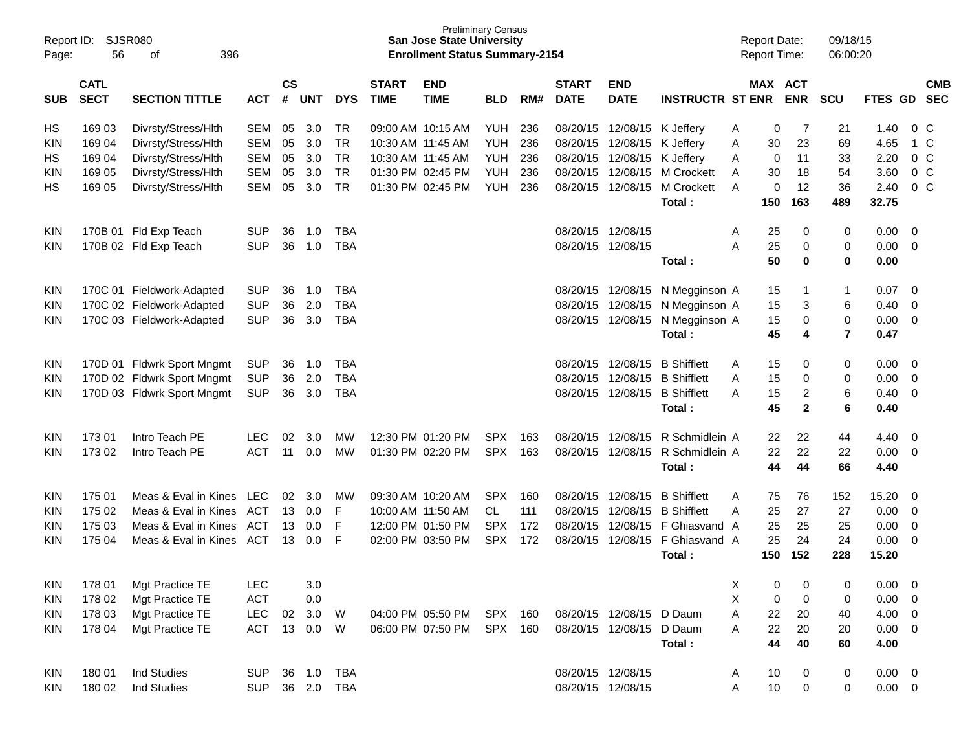| Report ID:<br>Page: | 56                                                                | <b>SJSR080</b><br>396<br>οf |            |    |                             |            |                             | <b>Preliminary Census</b><br><b>San Jose State University</b><br><b>Enrollment Status Summary-2154</b> |            |     |                             |                           |                         |   | <b>Report Date:</b><br><b>Report Time:</b> |              | 09/18/15<br>06:00:20 |             |                          |                |
|---------------------|-------------------------------------------------------------------|-----------------------------|------------|----|-----------------------------|------------|-----------------------------|--------------------------------------------------------------------------------------------------------|------------|-----|-----------------------------|---------------------------|-------------------------|---|--------------------------------------------|--------------|----------------------|-------------|--------------------------|----------------|
| <b>SUB</b>          | <b>CATL</b><br><b>SECT</b><br><b>SECTION TITTLE</b><br><b>ACT</b> |                             |            |    | $\mathsf{cs}$<br><b>UNT</b> | <b>DYS</b> | <b>START</b><br><b>TIME</b> | <b>END</b><br><b>TIME</b>                                                                              | <b>BLD</b> | RM# | <b>START</b><br><b>DATE</b> | <b>END</b><br><b>DATE</b> | <b>INSTRUCTR ST ENR</b> |   | <b>MAX ACT</b>                             | <b>ENR</b>   | <b>SCU</b>           | FTES GD SEC |                          | <b>CMB</b>     |
| НS                  | 169 03                                                            | Divrsty/Stress/Hlth         | <b>SEM</b> | 05 | 3.0                         | <b>TR</b>  |                             | 09:00 AM 10:15 AM                                                                                      | <b>YUH</b> | 236 |                             | 08/20/15 12/08/15         | K Jeffery               | A | 0                                          | 7            | 21                   | 1.40        |                          | 0 <sup>C</sup> |
| KIN                 | 169 04<br>Divrsty/Stress/Hlth<br><b>SEM</b><br><b>SEM</b>         |                             |            | 05 | 3.0                         | <b>TR</b>  | 10:30 AM 11:45 AM           |                                                                                                        | <b>YUH</b> | 236 | 08/20/15                    | 12/08/15                  | K Jeffery               | Α | 30                                         | 23           | 69                   | 4.65        |                          | 1 C            |
| НS                  | 169 04                                                            | Divrsty/Stress/Hlth         |            | 05 | 3.0                         | <b>TR</b>  | 10:30 AM 11:45 AM           |                                                                                                        | <b>YUH</b> | 236 | 08/20/15                    | 12/08/15                  | K Jeffery               | A | 0                                          | 11           | 33                   | 2.20        |                          | $0\,C$         |
| KIN                 | 169 05                                                            | Divrsty/Stress/Hlth         |            | 05 | 3.0                         | <b>TR</b>  |                             | 01:30 PM 02:45 PM                                                                                      | <b>YUH</b> | 236 | 08/20/15                    | 12/08/15                  | <b>M Crockett</b>       | A | 30                                         | 18           | 54                   | 3.60        |                          | $0\,C$         |
| НS                  | 169 05                                                            | Divrsty/Stress/Hlth         | <b>SEM</b> | 05 | 3.0                         | <b>TR</b>  |                             | 01:30 PM 02:45 PM                                                                                      | YUH        | 236 | 08/20/15                    | 12/08/15                  | <b>M</b> Crockett       | A | 0                                          | 12           | 36                   | 2.40        |                          | $0\,C$         |
|                     |                                                                   |                             |            |    |                             |            |                             |                                                                                                        |            |     |                             |                           | Total:                  |   | 150                                        | 163          | 489                  | 32.75       |                          |                |
| <b>KIN</b>          | 170B 01                                                           | Fld Exp Teach               | <b>SUP</b> | 36 | 1.0                         | <b>TBA</b> |                             |                                                                                                        |            |     |                             | 08/20/15 12/08/15         |                         | A | 25                                         | 0            | 0                    | 0.00        | - 0                      |                |
| KIN.                |                                                                   | 170B 02 Fld Exp Teach       | <b>SUP</b> | 36 | 1.0                         | <b>TBA</b> |                             |                                                                                                        |            |     |                             | 08/20/15 12/08/15         |                         | Α | 25                                         | 0            | 0                    | 0.00        | - 0                      |                |
|                     |                                                                   |                             |            |    |                             |            |                             |                                                                                                        |            |     |                             |                           | Total:                  |   | 50                                         | 0            | $\bf{0}$             | 0.00        |                          |                |
| <b>KIN</b>          |                                                                   | 170C 01 Fieldwork-Adapted   | <b>SUP</b> | 36 | 1.0                         | <b>TBA</b> |                             |                                                                                                        |            |     | 08/20/15                    | 12/08/15                  | N Megginson A           |   | 15                                         | -1           | $\mathbf{1}$         | 0.07        | $\overline{0}$           |                |
| <b>KIN</b>          |                                                                   | 170C 02 Fieldwork-Adapted   | <b>SUP</b> | 36 | 2.0                         | <b>TBA</b> |                             |                                                                                                        |            |     | 08/20/15                    | 12/08/15                  | N Megginson A           |   | 15                                         | 3            | 6                    | 0.40        | $\mathbf{0}$             |                |
| KIN.                |                                                                   | 170C 03 Fieldwork-Adapted   | <b>SUP</b> | 36 | 3.0                         | <b>TBA</b> |                             |                                                                                                        |            |     |                             | 08/20/15 12/08/15         | N Megginson A           |   | 15                                         | 0            | $\mathbf 0$          | 0.00        | - 0                      |                |
|                     |                                                                   |                             |            |    |                             |            |                             |                                                                                                        |            |     |                             |                           | Total:                  |   | 45                                         | 4            | $\overline{7}$       | 0.47        |                          |                |
| <b>KIN</b>          |                                                                   | 170D 01 Fldwrk Sport Mngmt  | <b>SUP</b> | 36 | 1.0                         | <b>TBA</b> |                             |                                                                                                        |            |     | 08/20/15                    | 12/08/15                  | <b>B</b> Shifflett      | Α | 15                                         | 0            | 0                    | 0.00        | - 0                      |                |
| <b>KIN</b>          |                                                                   | 170D 02 Fldwrk Sport Mngmt  | <b>SUP</b> | 36 | 2.0                         | <b>TBA</b> |                             |                                                                                                        |            |     | 08/20/15                    | 12/08/15                  | <b>B</b> Shifflett      | A | 15                                         | 0            | 0                    | 0.00        | $\overline{0}$           |                |
| KIN.                |                                                                   | 170D 03 Fldwrk Sport Mngmt  | <b>SUP</b> | 36 | 3.0                         | <b>TBA</b> |                             |                                                                                                        |            |     |                             | 08/20/15 12/08/15         | <b>B</b> Shifflett      | A | 15                                         | 2            | 6                    | 0.40        | $\mathbf 0$              |                |
|                     |                                                                   |                             |            |    |                             |            |                             |                                                                                                        |            |     |                             |                           | Total:                  |   | 45                                         | $\mathbf{2}$ | 6                    | 0.40        |                          |                |
| KIN                 | 17301                                                             | Intro Teach PE              | <b>LEC</b> | 02 | 3.0                         | <b>MW</b>  |                             | 12:30 PM 01:20 PM                                                                                      | <b>SPX</b> | 163 | 08/20/15                    | 12/08/15                  | R Schmidlein A          |   | 22                                         | 22           | 44                   | 4.40        | - 0                      |                |
| KIN.                | 173 02                                                            | Intro Teach PE              | <b>ACT</b> | 11 | 0.0                         | MW         |                             | 01:30 PM 02:20 PM                                                                                      | <b>SPX</b> | 163 | 08/20/15                    | 12/08/15                  | R Schmidlein A          |   | 22                                         | 22           | 22                   | 0.00        | $\overline{0}$           |                |
|                     |                                                                   |                             |            |    |                             |            |                             |                                                                                                        |            |     |                             |                           | Total:                  |   | 44                                         | 44           | 66                   | 4.40        |                          |                |
| KIN                 | 175 01                                                            | Meas & Eval in Kines        | <b>LEC</b> | 02 | 3.0                         | МW         |                             | 09:30 AM 10:20 AM                                                                                      | <b>SPX</b> | 160 | 08/20/15                    | 12/08/15                  | <b>B</b> Shifflett      | A | 75                                         | 76           | 152                  | 15.20       | 0                        |                |
| KIN                 | 175 02                                                            | Meas & Eval in Kines        | ACT        | 13 | 0.0                         | F          | 10:00 AM 11:50 AM           |                                                                                                        | <b>CL</b>  | 111 | 08/20/15                    | 12/08/15                  | <b>B</b> Shifflett      | A | 25                                         | 27           | 27                   | 0.00        | $\mathbf{0}$             |                |
| KIN                 | 175 03                                                            | Meas & Eval in Kines        | <b>ACT</b> | 13 | 0.0                         | F          |                             | 12:00 PM 01:50 PM                                                                                      | <b>SPX</b> | 172 | 08/20/15                    | 12/08/15                  | F Ghiasvand A           |   | 25                                         | 25           | 25                   | 0.00        | $\overline{0}$           |                |
| KIN.                | 175 04                                                            | Meas & Eval in Kines        | ACT        |    | $13 \quad 0.0$              | F          |                             | 02:00 PM 03:50 PM                                                                                      | <b>SPX</b> | 172 | 08/20/15                    | 12/08/15                  | F Ghiasvand A           |   | 25                                         | 24           | 24                   | 0.00        | 0                        |                |
|                     |                                                                   |                             |            |    |                             |            |                             |                                                                                                        |            |     |                             |                           | Total:                  |   | 150                                        | 152          | 228                  | 15.20       |                          |                |
| KIN                 | 178 01                                                            | Mgt Practice TE             | <b>LEC</b> |    | 3.0                         |            |                             |                                                                                                        |            |     |                             |                           |                         | х | 0                                          | 0            | 0                    | 0.00        | $\overline{\mathbf{0}}$  |                |
| <b>KIN</b>          | 178 02                                                            | Mgt Practice TE             | <b>ACT</b> |    | 0.0                         |            |                             |                                                                                                        |            |     |                             |                           |                         | Χ | 0                                          | 0            | 0                    | 0.00        | $\overline{\mathbf{0}}$  |                |
| <b>KIN</b>          | 178 03                                                            | Mgt Practice TE             | <b>LEC</b> | 02 | 3.0                         | W          |                             | 04:00 PM 05:50 PM SPX 160                                                                              |            |     |                             | 08/20/15 12/08/15 D Daum  |                         | Α | 22                                         | 20           | 40                   | 4.00        | $\overline{\phantom{0}}$ |                |
| KIN                 | 178 04                                                            | Mgt Practice TE             | <b>ACT</b> |    | 13 0.0                      | W          |                             | 06:00 PM 07:50 PM                                                                                      | SPX 160    |     |                             | 08/20/15 12/08/15 D Daum  |                         | A | 22                                         | 20           | 20                   | $0.00 \t 0$ |                          |                |
|                     |                                                                   |                             |            |    |                             |            |                             |                                                                                                        |            |     |                             |                           | Total:                  |   | 44                                         | 40           | 60                   | 4.00        |                          |                |
| <b>KIN</b>          | 180 01                                                            | Ind Studies                 | <b>SUP</b> |    | 36 1.0                      | <b>TBA</b> |                             |                                                                                                        |            |     |                             | 08/20/15 12/08/15         |                         | A | 10                                         | 0            | 0                    | $0.00 \t 0$ |                          |                |
| KIN                 | 180 02                                                            | Ind Studies                 | <b>SUP</b> |    | 36 2.0 TBA                  |            |                             |                                                                                                        |            |     |                             | 08/20/15 12/08/15         |                         | Α | 10                                         | 0            | 0                    | $0.00 \t 0$ |                          |                |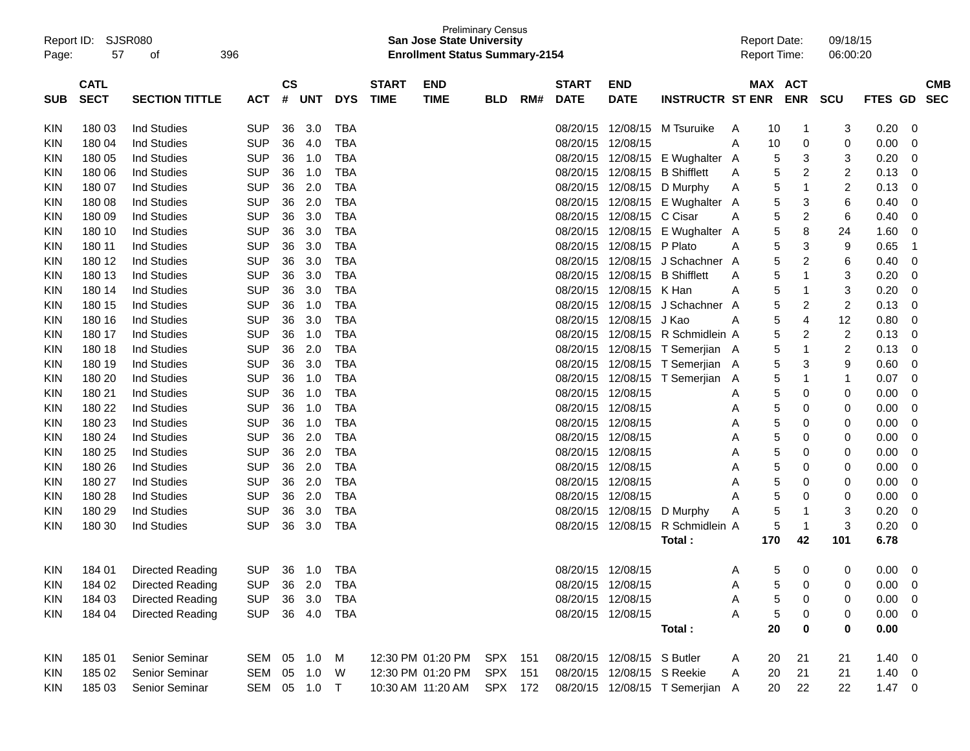| Report ID:<br>Page: | 57                                   | <b>SJSR080</b><br>οf    | 396            |           |        |            |              | <b>San Jose State University</b><br><b>Enrollment Status Summary-2154</b> | <b>Preliminary Census</b> |     |              |                            |                                 | <b>Report Date:</b><br><b>Report Time:</b> |     |                | 09/18/15<br>06:00:20    |                |                          |
|---------------------|--------------------------------------|-------------------------|----------------|-----------|--------|------------|--------------|---------------------------------------------------------------------------|---------------------------|-----|--------------|----------------------------|---------------------------------|--------------------------------------------|-----|----------------|-------------------------|----------------|--------------------------|
|                     | <b>CATL</b>                          |                         | <b>ACT</b>     | <b>CS</b> |        |            | <b>START</b> | <b>END</b>                                                                |                           |     | <b>START</b> | <b>END</b>                 |                                 |                                            |     | MAX ACT        |                         |                | <b>CMB</b>               |
| <b>SUB</b>          | <b>SECT</b><br><b>SECTION TITTLE</b> |                         |                | #         | UNT    | <b>DYS</b> | <b>TIME</b>  | <b>TIME</b>                                                               | <b>BLD</b>                | RM# | <b>DATE</b>  | <b>DATE</b>                | <b>INSTRUCTR ST ENR</b>         |                                            |     | <b>ENR</b>     | <b>SCU</b>              | <b>FTES GD</b> | <b>SEC</b>               |
| KIN                 | 180 03                               | <b>Ind Studies</b>      | <b>SUP</b>     | 36        | 3.0    | TBA        |              |                                                                           |                           |     | 08/20/15     | 12/08/15                   | M Tsuruike                      | A                                          | 10  | $\mathbf{1}$   | 3                       | 0.20           | 0                        |
| KIN                 | 180 04                               | <b>Ind Studies</b>      | <b>SUP</b>     | 36        | 4.0    | TBA        |              |                                                                           |                           |     | 08/20/15     | 12/08/15                   |                                 | A                                          | 10  | 0              | 0                       | 0.00           | 0                        |
| KIN                 | 180 05                               | <b>Ind Studies</b>      |                | 36        | 1.0    | <b>TBA</b> |              |                                                                           |                           |     | 08/20/15     |                            | 12/08/15 E Wughalter            | A                                          | 5   | 3              | 3                       | 0.20           | 0                        |
| KIN                 | 180 06                               | <b>Ind Studies</b>      | <b>SUP</b>     | 36        | 1.0    | <b>TBA</b> |              |                                                                           |                           |     | 08/20/15     | 12/08/15                   | <b>B</b> Shifflett              | A                                          | 5   | 2              | $\overline{\mathbf{c}}$ | 0.13           | 0                        |
| KIN                 | 180 07                               | <b>Ind Studies</b>      | <b>SUP</b>     | 36        | 2.0    | <b>TBA</b> |              |                                                                           |                           |     | 08/20/15     | 12/08/15                   | D Murphy                        | A                                          | 5   | 1              | 2                       | 0.13           | $\mathbf 0$              |
| KIN                 | 180 08                               | <b>Ind Studies</b>      | <b>SUP</b>     | 36        | 2.0    | <b>TBA</b> |              |                                                                           |                           |     | 08/20/15     |                            | 12/08/15 E Wughalter            | A                                          | 5   | 3              | 6                       | 0.40           | 0                        |
| KIN                 | 180 09                               | <b>Ind Studies</b>      | <b>SUP</b>     | 36        | 3.0    | <b>TBA</b> |              |                                                                           |                           |     | 08/20/15     | 12/08/15 C Cisar           |                                 | A                                          | 5   | $\overline{c}$ | $\,6$                   | 0.40           | 0                        |
| KIN                 | 180 10                               | <b>Ind Studies</b>      | <b>SUP</b>     | 36        | 3.0    | <b>TBA</b> |              |                                                                           |                           |     | 08/20/15     |                            | 12/08/15 E Wughalter            | A                                          | 5   | 8              | 24                      | 1.60           | 0                        |
| KIN                 | 180 11                               | <b>Ind Studies</b>      | <b>SUP</b>     | 36        | 3.0    | <b>TBA</b> |              |                                                                           |                           |     | 08/20/15     | 12/08/15 P Plato           |                                 | A                                          | 5   | 3              | 9                       | 0.65           | -1                       |
| KIN                 | 180 12                               | <b>Ind Studies</b>      | <b>SUP</b>     | 36        | 3.0    | <b>TBA</b> |              |                                                                           |                           |     | 08/20/15     |                            | 12/08/15 J Schachner A          |                                            | 5   | $\overline{c}$ | $\,6$                   | 0.40           | $\mathbf 0$              |
| KIN                 | 180 13                               | <b>Ind Studies</b>      | <b>SUP</b>     | 36        | 3.0    | <b>TBA</b> |              |                                                                           |                           |     | 08/20/15     | 12/08/15                   | <b>B</b> Shifflett              | A                                          | 5   | 1              | 3                       | 0.20           | $\mathbf 0$              |
| KIN                 | 180 14                               | <b>Ind Studies</b>      | <b>SUP</b>     | 36        | 3.0    | <b>TBA</b> |              |                                                                           |                           |     | 08/20/15     | 12/08/15                   | K Han                           | A                                          | 5   | 1              | 3                       | 0.20           | 0                        |
| KIN                 | 180 15                               | <b>Ind Studies</b>      | <b>SUP</b>     | 36        | 1.0    | <b>TBA</b> |              |                                                                           |                           |     | 08/20/15     |                            | 12/08/15 J Schachner A          |                                            | 5   | 2              | $\overline{c}$          | 0.13           | 0                        |
| KIN                 | 180 16                               | <b>Ind Studies</b>      | <b>SUP</b>     | 36        | 3.0    | <b>TBA</b> |              |                                                                           |                           |     | 08/20/15     | 12/08/15 J Kao             |                                 | Α                                          | 5   | 4              | 12                      | 0.80           | $\mathbf 0$              |
| KIN                 | 180 17                               | <b>Ind Studies</b>      | <b>SUP</b>     | 36        | 1.0    | <b>TBA</b> |              |                                                                           |                           |     | 08/20/15     |                            | 12/08/15 R Schmidlein A         |                                            | 5   | 2              | $\overline{c}$          | 0.13           | 0                        |
| KIN                 | 180 18                               | <b>Ind Studies</b>      | <b>SUP</b>     | 36        | 2.0    | <b>TBA</b> |              |                                                                           |                           |     | 08/20/15     |                            | 12/08/15 T Semerjian A          |                                            | 5   | 1              | 2                       | 0.13           | $\mathbf 0$              |
| KIN                 | 180 19                               | <b>Ind Studies</b>      | <b>SUP</b>     | 36        | 3.0    | <b>TBA</b> |              |                                                                           |                           |     | 08/20/15     |                            | 12/08/15 T Semerjian A          |                                            | 5   | 3              | 9                       | 0.60           | $\mathbf 0$              |
| KIN                 | 180 20                               | <b>Ind Studies</b>      | <b>SUP</b>     | 36        | 1.0    | <b>TBA</b> |              |                                                                           |                           |     | 08/20/15     |                            | 12/08/15 T Semerjian            | A                                          | 5   | 1              | $\mathbf{1}$            | 0.07           | $\mathbf 0$              |
| KIN                 | 180 21                               | <b>Ind Studies</b>      | <b>SUP</b>     | 36        | 1.0    | <b>TBA</b> |              |                                                                           |                           |     | 08/20/15     | 12/08/15                   |                                 | A                                          | 5   | 0              | 0                       | 0.00           | $\mathbf 0$              |
| KIN                 | 180 22                               | <b>Ind Studies</b>      | <b>SUP</b>     | 36        | 1.0    | <b>TBA</b> |              |                                                                           |                           |     | 08/20/15     | 12/08/15                   |                                 | A                                          | 5   | 0              | 0                       | 0.00           | 0                        |
| KIN                 | 180 23                               | <b>Ind Studies</b>      | <b>SUP</b>     | 36        | 1.0    | <b>TBA</b> |              |                                                                           |                           |     | 08/20/15     | 12/08/15                   |                                 | A                                          | 5   | 0              | 0                       | 0.00           | $\mathbf 0$              |
| KIN                 | 180 24                               | <b>Ind Studies</b>      | <b>SUP</b>     | 36        | 2.0    | <b>TBA</b> |              |                                                                           |                           |     | 08/20/15     | 12/08/15                   |                                 | A                                          | 5   | 0              | 0                       | 0.00           | 0                        |
| KIN                 | 180 25                               | <b>Ind Studies</b>      | <b>SUP</b>     | 36        | 2.0    | <b>TBA</b> |              |                                                                           |                           |     | 08/20/15     | 12/08/15                   |                                 | A                                          | 5   | 0              | 0                       | 0.00           | 0                        |
| KIN                 | 180 26                               | <b>Ind Studies</b>      | <b>SUP</b>     | 36        | 2.0    | <b>TBA</b> |              |                                                                           |                           |     | 08/20/15     | 12/08/15                   |                                 | A                                          | 5   | 0              | 0                       | 0.00           | 0                        |
| KIN                 | 180 27                               | <b>Ind Studies</b>      | <b>SUP</b>     | 36        | 2.0    | <b>TBA</b> |              |                                                                           |                           |     | 08/20/15     | 12/08/15                   |                                 | A                                          | 5   | 0              | 0                       | 0.00           | 0                        |
| KIN                 | 180 28                               | <b>Ind Studies</b>      | <b>SUP</b>     | 36        | 2.0    | <b>TBA</b> |              |                                                                           |                           |     | 08/20/15     | 12/08/15                   |                                 | A                                          | 5   | 0              | 0                       | 0.00           | 0                        |
| KIN                 | 180 29                               | Ind Studies             | <b>SUP</b>     | 36        | 3.0    | <b>TBA</b> |              |                                                                           |                           |     | 08/20/15     | 12/08/15                   | D Murphy                        | Α                                          | 5   | 1              | 3                       | 0.20           | 0                        |
| KIN                 | 180 30                               | <b>Ind Studies</b>      | <b>SUP</b>     | 36        | 3.0    | <b>TBA</b> |              |                                                                           |                           |     |              | 08/20/15 12/08/15          | R Schmidlein A                  |                                            | 5   | $\mathbf 1$    | 3                       | 0.20           | $\mathbf 0$              |
|                     |                                      |                         |                |           |        |            |              |                                                                           |                           |     |              |                            | Total:                          |                                            | 170 | 42             | 101                     | 6.78           |                          |
|                     |                                      |                         |                |           |        |            |              |                                                                           |                           |     |              |                            |                                 |                                            |     |                |                         |                |                          |
| <b>KIN</b>          |                                      | 184 01 Directed Reading | SUP 36 1.0 TBA |           |        |            |              |                                                                           |                           |     |              | 08/20/15 12/08/15          |                                 | $\mathsf{A}$                               |     | $5\qquad 0$    | $\mathbf 0$             | $0.00 \t 0$    |                          |
| <b>KIN</b>          | 184 02                               | <b>Directed Reading</b> | <b>SUP</b>     |           | 36 2.0 | TBA        |              |                                                                           |                           |     |              | 08/20/15 12/08/15          |                                 | A                                          | 5   | 0              | 0                       | 0.00           | $\overline{0}$           |
| KIN                 | 184 03                               | <b>Directed Reading</b> | <b>SUP</b>     |           | 36 3.0 | <b>TBA</b> |              |                                                                           |                           |     |              | 08/20/15 12/08/15          |                                 | A                                          | 5   | 0              | 0                       | 0.00           | - 0                      |
| KIN                 | 184 04                               | <b>Directed Reading</b> | <b>SUP</b>     |           | 36 4.0 | TBA        |              |                                                                           |                           |     |              | 08/20/15 12/08/15          |                                 | Α                                          | 5   | 0              | 0                       | 0.00           | $\overline{\phantom{0}}$ |
|                     |                                      |                         |                |           |        |            |              |                                                                           |                           |     |              |                            | Total:                          |                                            | 20  | $\mathbf 0$    | 0                       | 0.00           |                          |
|                     |                                      |                         |                |           |        |            |              |                                                                           |                           |     |              |                            |                                 |                                            |     |                |                         |                |                          |
| KIN                 | 185 01                               | Senior Seminar          | SEM 05 1.0     |           |        | M          |              | 12:30 PM 01:20 PM                                                         | SPX 151                   |     |              | 08/20/15 12/08/15 S Butler |                                 | A                                          | 20  | 21             | 21                      | $1.40 \ 0$     |                          |
| <b>KIN</b>          | 185 02                               | Senior Seminar          | SEM 05 1.0     |           |        | W          |              | 12:30 PM 01:20 PM                                                         | SPX 151                   |     |              | 08/20/15 12/08/15 S Reekie |                                 | A                                          | 20  | 21             | 21                      | $1.40 \ 0$     |                          |
| KIN                 | 185 03                               | Senior Seminar          | SEM 05 1.0 T   |           |        |            |              | 10:30 AM 11:20 AM                                                         | SPX 172                   |     |              |                            | 08/20/15 12/08/15 T Semerjian A |                                            | 20  | 22             | 22                      | $1.47 \t0$     |                          |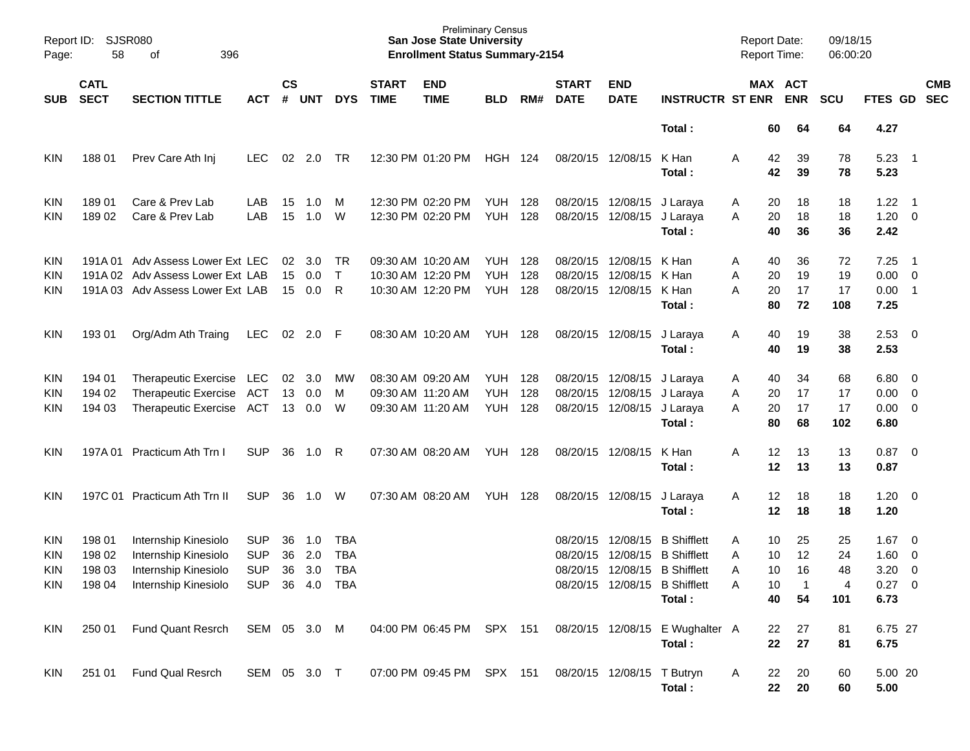| Page:      | Report ID: SJSR080<br>58<br>396<br>оf               |                                  |                |                    |            |            |                             | <b>Preliminary Census</b><br><b>San Jose State University</b><br><b>Enrollment Status Summary-2154</b> |                |     |                             |                            |                                 | <b>Report Date:</b><br><b>Report Time:</b> |          |                       | 09/18/15<br>06:00:20 |                |                            |                          |
|------------|-----------------------------------------------------|----------------------------------|----------------|--------------------|------------|------------|-----------------------------|--------------------------------------------------------------------------------------------------------|----------------|-----|-----------------------------|----------------------------|---------------------------------|--------------------------------------------|----------|-----------------------|----------------------|----------------|----------------------------|--------------------------|
| SUB        | <b>CATL</b><br><b>SECT</b><br><b>SECTION TITTLE</b> |                                  | <b>ACT</b>     | $\mathsf{cs}$<br># | <b>UNT</b> | <b>DYS</b> | <b>START</b><br><b>TIME</b> | <b>END</b><br><b>TIME</b>                                                                              | <b>BLD</b>     | RM# | <b>START</b><br><b>DATE</b> | <b>END</b><br><b>DATE</b>  | <b>INSTRUCTR ST ENR</b>         |                                            |          | MAX ACT<br><b>ENR</b> | <b>SCU</b>           | <b>FTES GD</b> |                            | <b>CMB</b><br><b>SEC</b> |
|            |                                                     |                                  |                |                    |            |            |                             |                                                                                                        |                |     |                             |                            | Total:                          |                                            | 60       | 64                    | 64                   | 4.27           |                            |                          |
| <b>KIN</b> | 18801                                               | Prev Care Ath Inj                | LEC.           | 02                 | 2.0        | TR         |                             | 12:30 PM 01:20 PM                                                                                      | <b>HGH 124</b> |     | 08/20/15 12/08/15           |                            | K Han<br>Total:                 | Α                                          | 42<br>42 | 39<br>39              | 78<br>78             | 5.23<br>5.23   | $\overline{\phantom{0}}$   |                          |
| <b>KIN</b> | 189 01                                              | Care & Prev Lab                  | LAB            | 15                 | 1.0        | M          |                             | 12:30 PM 02:20 PM                                                                                      | YUH            | 128 | 08/20/15                    | 12/08/15                   | J Laraya                        | A                                          | 20       | 18                    | 18                   | $1.22 \quad 1$ |                            |                          |
| KIN        | 18902                                               | Care & Prev Lab                  | LAB            | 15                 | 1.0        | W          |                             | 12:30 PM 02:20 PM                                                                                      | <b>YUH</b>     | 128 | 08/20/15                    | 12/08/15                   | J Laraya                        | A                                          | 20       | 18                    | 18                   | $1.20 \t 0$    |                            |                          |
|            |                                                     |                                  |                |                    |            |            |                             |                                                                                                        |                |     |                             |                            | Total:                          |                                            | 40       | 36                    | 36                   | 2.42           |                            |                          |
| <b>KIN</b> |                                                     | 191A 01 Adv Assess Lower Ext LEC |                | 02                 | 3.0        | TR         |                             | 09:30 AM 10:20 AM                                                                                      | YUH            | 128 | 08/20/15                    | 12/08/15                   | K Han                           | A                                          | 40       | 36                    | 72                   | 7.25           | $\overline{\phantom{1}}$   |                          |
| <b>KIN</b> |                                                     | 191A 02 Adv Assess Lower Ext LAB |                | 15                 | 0.0        | $\top$     |                             | 10:30 AM 12:20 PM                                                                                      | <b>YUH</b>     | 128 | 08/20/15                    | 12/08/15                   | K Han                           | Α                                          | 20       | 19                    | 19                   | $0.00 \t 0$    |                            |                          |
| KIN        |                                                     | 191A 03 Adv Assess Lower Ext LAB |                | 15                 | 0.0        | R          |                             | 10:30 AM 12:20 PM                                                                                      | YUH            | 128 | 08/20/15                    | 12/08/15                   | K Han                           | Α                                          | 20       | 17                    | 17                   | 0.00           | $\overline{\phantom{0}}$ 1 |                          |
|            |                                                     |                                  |                |                    |            |            |                             |                                                                                                        |                |     |                             |                            | Total:                          |                                            | 80       | 72                    | 108                  | 7.25           |                            |                          |
| <b>KIN</b> | 193 01                                              | Org/Adm Ath Traing               | LEC            | 02                 | 2.0        | -F         |                             | 08:30 AM 10:20 AM                                                                                      | YUH            | 128 |                             | 08/20/15 12/08/15          | J Laraya                        | A                                          | 40       | 19                    | 38                   | $2.53$ 0       |                            |                          |
|            |                                                     |                                  |                |                    |            |            |                             |                                                                                                        |                |     |                             |                            | Total:                          |                                            | 40       | 19                    | 38                   | 2.53           |                            |                          |
| <b>KIN</b> | 194 01                                              | Therapeutic Exercise LEC         |                | 02                 | 3.0        | МW         | 08:30 AM 09:20 AM           |                                                                                                        | YUH            | 128 | 08/20/15 12/08/15           |                            | J Laraya                        | A                                          | 40       | 34                    | 68                   | $6.80$ 0       |                            |                          |
| <b>KIN</b> | 194 02                                              | Therapeutic Exercise ACT         |                | 13                 | 0.0        | M          |                             | 09:30 AM 11:20 AM                                                                                      | <b>YUH</b>     | 128 | 08/20/15                    | 12/08/15                   | J Laraya                        | A                                          | 20       | 17                    | 17                   | $0.00 \t 0$    |                            |                          |
| KIN        | 194 03                                              | Therapeutic Exercise ACT         |                | 13                 | 0.0        | W          | 09:30 AM 11:20 AM           |                                                                                                        | <b>YUH</b>     | 128 | 08/20/15                    | 12/08/15                   | J Laraya                        | A                                          | 20       | 17                    | 17                   | $0.00 \t 0$    |                            |                          |
|            |                                                     |                                  |                |                    |            |            |                             |                                                                                                        |                |     |                             |                            | Total:                          |                                            | 80       | 68                    | 102                  | 6.80           |                            |                          |
| <b>KIN</b> | 197A 01                                             | Practicum Ath Trn I              | <b>SUP</b>     | 36                 | 1.0        | R          | 07:30 AM 08:20 AM           |                                                                                                        | YUH            | 128 | 08/20/15 12/08/15           |                            | K Han                           | Α                                          | 12       | 13                    | 13                   | 0.87           | $\overline{\phantom{0}}$   |                          |
|            |                                                     |                                  |                |                    |            |            |                             |                                                                                                        |                |     |                             |                            | Total:                          |                                            | 12       | 13                    | 13                   | 0.87           |                            |                          |
| <b>KIN</b> |                                                     | 197C 01 Practicum Ath Trn II     | <b>SUP</b>     | 36                 | 1.0        | W          | 07:30 AM 08:20 AM           |                                                                                                        | YUH            | 128 | 08/20/15 12/08/15           |                            | J Laraya                        | A                                          | 12       | 18                    | 18                   | 1.20           | $\overline{\phantom{0}}$   |                          |
|            |                                                     |                                  |                |                    |            |            |                             |                                                                                                        |                |     |                             |                            | Total:                          |                                            | 12       | 18                    | 18                   | 1.20           |                            |                          |
| <b>KIN</b> | 198 01                                              | Internship Kinesiolo             | <b>SUP</b>     | 36                 | 1.0        | TBA        |                             |                                                                                                        |                |     | 08/20/15                    | 12/08/15                   | <b>B</b> Shifflett              | Α                                          | 10       | 25                    | 25                   | 1.67           | $\overline{\phantom{0}}$   |                          |
| <b>KIN</b> | 198 02                                              | Internship Kinesiolo             | <b>SUP</b>     | 36                 | 2.0        | <b>TBA</b> |                             |                                                                                                        |                |     | 08/20/15                    | 12/08/15                   | <b>B</b> Shifflett              | Α                                          | 10       | 12                    | 24                   | 1.60           | $\overline{\mathbf{0}}$    |                          |
| <b>KIN</b> | 198 03                                              | Internship Kinesiolo             | <b>SUP</b>     | 36                 | 3.0        | <b>TBA</b> |                             |                                                                                                        |                |     | 08/20/15                    |                            | 12/08/15 B Shifflett            | A                                          | 10       | 16                    | 48                   | 3.20           | $\overline{0}$             |                          |
| KIN        | 198 04                                              | Internship Kinesiolo             | SUP 36 4.0 TBA |                    |            |            |                             |                                                                                                        |                |     |                             |                            | 08/20/15 12/08/15 B Shifflett   | Α                                          | 10       | $\mathbf 1$           | 4                    | $0.27$ 0       |                            |                          |
|            |                                                     |                                  |                |                    |            |            |                             |                                                                                                        |                |     |                             |                            | Total:                          |                                            | 40       | 54                    | 101                  | 6.73           |                            |                          |
| KIN        | 250 01                                              | Fund Quant Resrch                | SEM 05 3.0 M   |                    |            |            |                             | 04:00 PM 06:45 PM SPX 151                                                                              |                |     |                             |                            | 08/20/15 12/08/15 E Wughalter A |                                            | 22       | 27                    | 81                   | 6.75 27        |                            |                          |
|            |                                                     |                                  |                |                    |            |            |                             |                                                                                                        |                |     |                             |                            | Total:                          |                                            | 22       | 27                    | 81                   | 6.75           |                            |                          |
| <b>KIN</b> |                                                     | Fund Qual Resrch                 | SEM 05 3.0 T   |                    |            |            |                             | 07:00 PM 09:45 PM SPX 151                                                                              |                |     |                             |                            |                                 |                                            |          |                       | 60                   | 5.00 20        |                            |                          |
|            | 251 01                                              |                                  |                |                    |            |            |                             |                                                                                                        |                |     |                             | 08/20/15 12/08/15 T Butryn | Total:                          | A                                          | 22<br>22 | 20<br>20              | 60                   | 5.00           |                            |                          |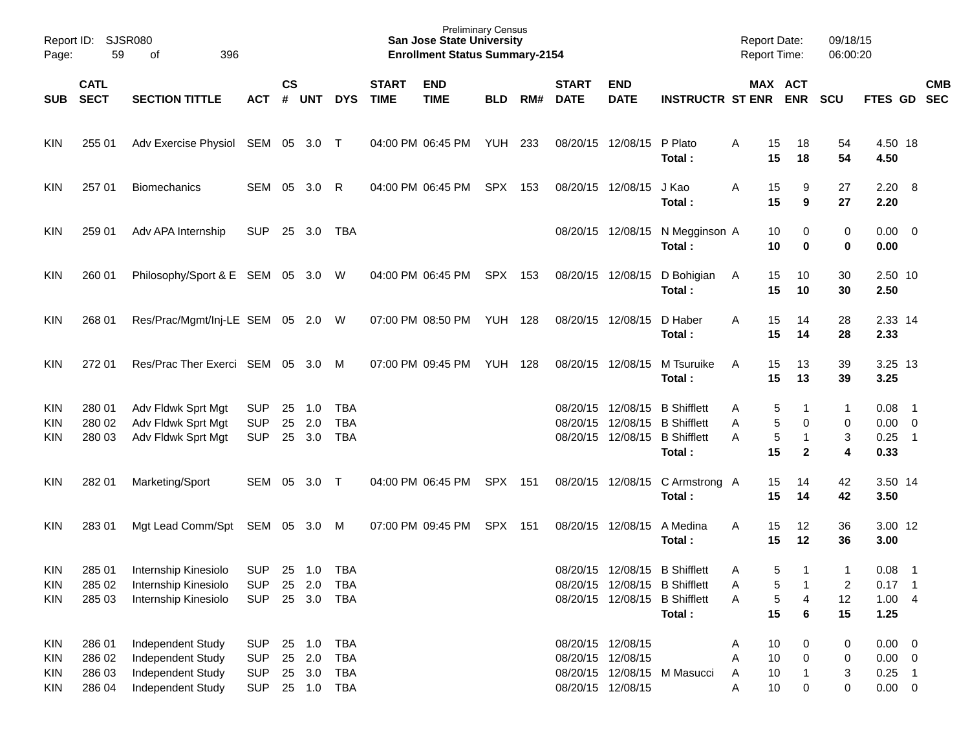| Page:      | Report ID: SJSR080<br>59   | 396<br>οf                         |            |           |            |            |                             | <b>San Jose State University</b><br><b>Enrollment Status Summary-2154</b> | <b>Preliminary Census</b> |     |                             |                           |                                         |   | <b>Report Date:</b><br><b>Report Time:</b> |                    | 09/18/15<br>06:00:20    |                        |                            |            |
|------------|----------------------------|-----------------------------------|------------|-----------|------------|------------|-----------------------------|---------------------------------------------------------------------------|---------------------------|-----|-----------------------------|---------------------------|-----------------------------------------|---|--------------------------------------------|--------------------|-------------------------|------------------------|----------------------------|------------|
| <b>SUB</b> | <b>CATL</b><br><b>SECT</b> | <b>SECTION TITTLE</b>             | ACT        | <b>CS</b> | # UNT      | <b>DYS</b> | <b>START</b><br><b>TIME</b> | <b>END</b><br><b>TIME</b>                                                 | <b>BLD</b>                | RM# | <b>START</b><br><b>DATE</b> | <b>END</b><br><b>DATE</b> | <b>INSTRUCTR ST ENR ENR</b>             |   |                                            | MAX ACT            | <b>SCU</b>              | FTES GD SEC            |                            | <b>CMB</b> |
| KIN        | 255 01                     | Adv Exercise Physiol SEM 05 3.0 T |            |           |            |            |                             | 04:00 PM 06:45 PM                                                         | YUH                       | 233 |                             | 08/20/15 12/08/15         | P Plato<br>Total:                       | Α | 15<br>15                                   | 18<br>18           | 54<br>54                | 4.50 18<br>4.50        |                            |            |
| KIN        | 257 01                     | <b>Biomechanics</b>               | SEM 05     |           | 3.0        | R          |                             | 04:00 PM 06:45 PM                                                         | SPX 153                   |     |                             | 08/20/15 12/08/15         | J Kao<br>Total:                         | A | 15<br>15                                   | 9<br>9             | 27<br>27                | $2.20 \ 8$<br>2.20     |                            |            |
| KIN        | 259 01                     | Adv APA Internship                | <b>SUP</b> |           | 25 3.0     | TBA        |                             |                                                                           |                           |     |                             | 08/20/15 12/08/15         | N Megginson A<br>Total:                 |   | 10<br>10                                   | 0<br>0             | 0<br>0                  | $0.00 \quad 0$<br>0.00 |                            |            |
| KIN        | 260 01                     | Philosophy/Sport & E SEM 05 3.0 W |            |           |            |            |                             | 04:00 PM 06:45 PM                                                         | SPX 153                   |     |                             | 08/20/15 12/08/15         | D Bohigian<br>Total:                    | A | 15<br>15                                   | 10<br>10           | 30<br>30                | 2.50 10<br>2.50        |                            |            |
| KIN        | 268 01                     | Res/Prac/Mgmt/Inj-LE SEM 05 2.0 W |            |           |            |            |                             | 07:00 PM 08:50 PM                                                         | <b>YUH 128</b>            |     |                             | 08/20/15 12/08/15         | D Haber<br>Total:                       | A | 15<br>15                                   | 14<br>14           | 28<br>28                | 2.33 14<br>2.33        |                            |            |
| KIN        | 272 01                     | Res/Prac Ther Exerci SEM 05 3.0   |            |           |            | M          |                             | 07:00 PM 09:45 PM                                                         | <b>YUH 128</b>            |     | 08/20/15 12/08/15           |                           | M Tsuruike<br>Total:                    | A | 15<br>15                                   | 13<br>13           | 39<br>39                | 3.25 13<br>3.25        |                            |            |
| <b>KIN</b> | 280 01                     | Adv Fldwk Sprt Mgt                | <b>SUP</b> | 25        | 1.0        | TBA        |                             |                                                                           |                           |     |                             | 08/20/15 12/08/15         | <b>B</b> Shifflett                      | Α | 5                                          | 1                  | 1                       | 0.08                   | $\overline{\phantom{1}}$   |            |
| KIN        | 280 02                     | Adv Fldwk Sprt Mgt                | <b>SUP</b> | 25        | 2.0        | <b>TBA</b> |                             |                                                                           |                           |     | 08/20/15                    |                           | 12/08/15 B Shifflett                    | Α | 5                                          | 0                  | 0                       | $0.00 \t 0$            |                            |            |
| KIN        | 280 03                     | Adv Fldwk Sprt Mgt                | <b>SUP</b> | 25        | 3.0        | <b>TBA</b> |                             |                                                                           |                           |     |                             |                           | 08/20/15 12/08/15 B Shifflett<br>Total: | A | 5<br>15                                    | -1<br>$\mathbf{2}$ | 3<br>4                  | 0.25<br>0.33           | $\overline{\phantom{0}}$ 1 |            |
| KIN        | 282 01                     | Marketing/Sport                   | SEM 05     |           | $3.0$ T    |            |                             | 04:00 PM 06:45 PM                                                         | SPX 151                   |     |                             | 08/20/15 12/08/15         | C Armstrong A<br>Total:                 |   | 15<br>15                                   | 14<br>14           | 42<br>42                | 3.50 14<br>3.50        |                            |            |
| KIN        | 283 01                     | Mgt Lead Comm/Spt SEM 05 3.0 M    |            |           |            |            |                             | 07:00 PM 09:45 PM                                                         | SPX 151                   |     |                             | 08/20/15 12/08/15         | A Medina<br>Total:                      | A | 15<br>15                                   | 12<br>12           | 36<br>36                | 3.00 12<br>3.00        |                            |            |
| <b>KIN</b> | 285 01                     | Internship Kinesiolo              | <b>SUP</b> |           | 25 1.0     | TBA        |                             |                                                                           |                           |     |                             |                           | 08/20/15 12/08/15 B Shifflett           | A | 5                                          | $\mathbf{1}$       | $\mathbf{1}$            | 0.08                   | $\overline{\phantom{1}}$   |            |
| <b>KIN</b> | 285 02                     | Internship Kinesiolo              | <b>SUP</b> | 25        | 2.0        | TBA        |                             |                                                                           |                           |     |                             |                           | 08/20/15 12/08/15 B Shifflett           | Α | 5                                          |                    | $\overline{\mathbf{c}}$ | 0.17                   | $\overline{\phantom{0}}$ 1 |            |
| KIN        | 285 03                     | Internship Kinesiolo              | <b>SUP</b> |           | 25 3.0     | TBA        |                             |                                                                           |                           |     | 08/20/15                    |                           | 12/08/15 B Shifflett                    | Α | 5                                          | 4                  | 12                      | 1.004                  |                            |            |
|            |                            |                                   |            |           |            |            |                             |                                                                           |                           |     |                             |                           | Total:                                  |   | 15                                         | 6                  | 15                      | 1.25                   |                            |            |
| KIN        | 286 01                     | Independent Study                 | <b>SUP</b> | 25        | 1.0        | <b>TBA</b> |                             |                                                                           |                           |     |                             | 08/20/15 12/08/15         |                                         | A | 10                                         | 0                  | 0                       | $0.00 \t 0$            |                            |            |
| KIN        | 286 02                     | Independent Study                 | <b>SUP</b> |           | 25 2.0     | <b>TBA</b> |                             |                                                                           |                           |     | 08/20/15 12/08/15           |                           |                                         | Α | $10$                                       | 0                  | 0                       | $0.00 \t 0$            |                            |            |
| <b>KIN</b> | 286 03                     | Independent Study                 | <b>SUP</b> |           | 25 3.0     | <b>TBA</b> |                             |                                                                           |                           |     |                             |                           | 08/20/15 12/08/15 M Masucci             | A | 10                                         |                    | 3                       | $0.25$ 1               |                            |            |
| KIN        | 286 04                     | Independent Study                 | <b>SUP</b> |           | 25 1.0 TBA |            |                             |                                                                           |                           |     |                             | 08/20/15 12/08/15         |                                         | Α | 10                                         | 0                  | 0                       | $0.00 \t 0$            |                            |            |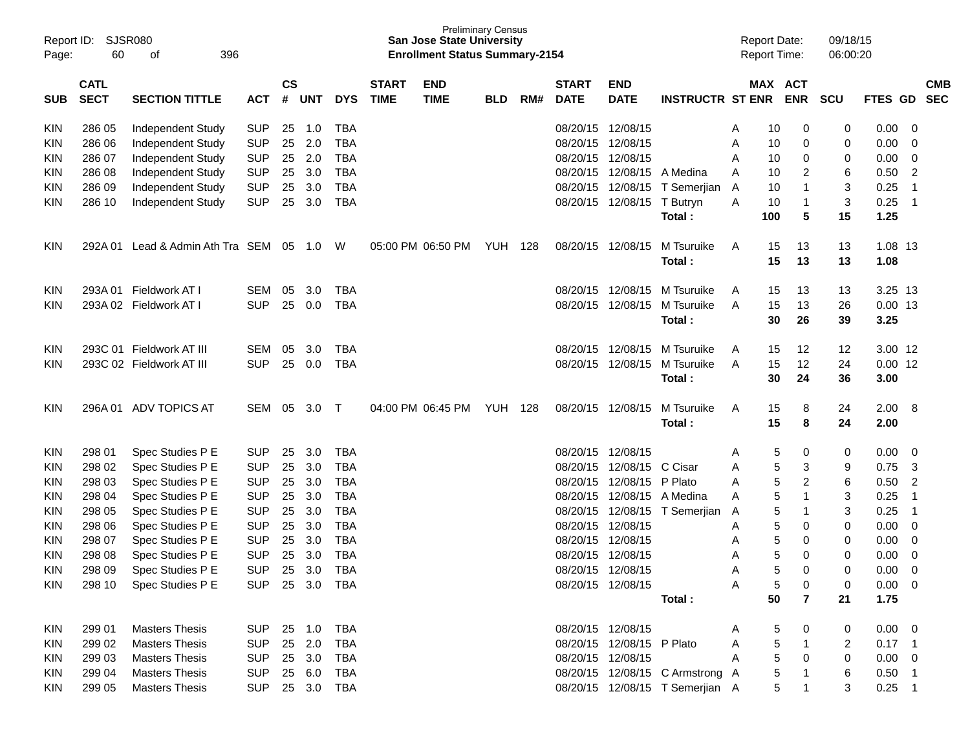| Page:      | Report ID:<br><b>SJSR080</b><br>60<br>396<br>οf |                                 |            |               |            |            |                             | <b>San Jose State University</b><br><b>Enrollment Status Summary-2154</b> | <b>Preliminary Census</b> |     |                             |                           |                                 |   | <b>Report Date:</b><br><b>Report Time:</b> |                | 09/18/15<br>06:00:20 |             |                |                          |
|------------|-------------------------------------------------|---------------------------------|------------|---------------|------------|------------|-----------------------------|---------------------------------------------------------------------------|---------------------------|-----|-----------------------------|---------------------------|---------------------------------|---|--------------------------------------------|----------------|----------------------|-------------|----------------|--------------------------|
| <b>SUB</b> | <b>CATL</b><br><b>SECT</b>                      | <b>SECTION TITTLE</b>           | <b>ACT</b> | $\mathsf{cs}$ | # UNT      | <b>DYS</b> | <b>START</b><br><b>TIME</b> | <b>END</b><br><b>TIME</b>                                                 | <b>BLD</b>                | RM# | <b>START</b><br><b>DATE</b> | <b>END</b><br><b>DATE</b> | <b>INSTRUCTR ST ENR</b>         |   | MAX ACT                                    | <b>ENR</b>     | <b>SCU</b>           | FTES GD     |                | <b>CMB</b><br><b>SEC</b> |
| KIN        | 286 05                                          | Independent Study               | <b>SUP</b> | 25            | 1.0        | TBA        |                             |                                                                           |                           |     | 08/20/15                    | 12/08/15                  |                                 | A | 10                                         | 0              | 0                    | 0.00        | - 0            |                          |
| KIN        | 286 06                                          | Independent Study               | <b>SUP</b> | 25            | 2.0        | <b>TBA</b> |                             |                                                                           |                           |     | 08/20/15                    | 12/08/15                  |                                 | Α | 10                                         | 0              | 0                    | 0.00        | 0              |                          |
| KIN        | 286 07                                          | Independent Study               | <b>SUP</b> | 25            | 2.0        | <b>TBA</b> |                             |                                                                           |                           |     | 08/20/15                    | 12/08/15                  |                                 | A | 10                                         | 0              | 0                    | 0.00        | 0              |                          |
| KIN        | 286 08                                          | Independent Study               | <b>SUP</b> | 25            | 3.0        | <b>TBA</b> |                             |                                                                           |                           |     | 08/20/15                    | 12/08/15                  | A Medina                        | A | 10                                         | 2              | 6                    | 0.50        | 2              |                          |
| KIN        | 286 09                                          | Independent Study               | <b>SUP</b> | 25            | 3.0        | <b>TBA</b> |                             |                                                                           |                           |     | 08/20/15                    | 12/08/15                  | T Semerjian                     | A | 10                                         | 1              | 3                    | 0.25        | $\overline{1}$ |                          |
| KIN        | 286 10                                          | Independent Study               | <b>SUP</b> | 25            | 3.0        | <b>TBA</b> |                             |                                                                           |                           |     |                             | 08/20/15 12/08/15         | T Butryn                        | A | 10                                         | $\mathbf 1$    | 3                    | 0.25        | $\overline{1}$ |                          |
|            |                                                 |                                 |            |               |            |            |                             |                                                                           |                           |     |                             |                           | Total:                          |   | 100                                        | 5              | 15                   | 1.25        |                |                          |
| KIN        | 292A 01                                         | Lead & Admin Ath Tra SEM 05 1.0 |            |               |            | W          |                             | 05:00 PM 06:50 PM                                                         | <b>YUH 128</b>            |     |                             | 08/20/15 12/08/15         | M Tsuruike                      | A | 15                                         | 13             | 13                   | 1.08 13     |                |                          |
|            |                                                 |                                 |            |               |            |            |                             |                                                                           |                           |     |                             |                           | Total:                          |   | 15                                         | 13             | 13                   | 1.08        |                |                          |
| <b>KIN</b> |                                                 | 293A 01 Fieldwork AT I          | SEM        | 05            | 3.0        | <b>TBA</b> |                             |                                                                           |                           |     | 08/20/15                    | 12/08/15                  | M Tsuruike                      | A | 15                                         | 13             | 13                   | 3.25 13     |                |                          |
| KIN        |                                                 | 293A 02 Fieldwork AT I          | <b>SUP</b> | 25            | 0.0        | <b>TBA</b> |                             |                                                                           |                           |     |                             | 08/20/15 12/08/15         | M Tsuruike                      | A | 15                                         | 13             | 26                   | $0.00$ 13   |                |                          |
|            |                                                 |                                 |            |               |            |            |                             |                                                                           |                           |     |                             |                           | Total:                          |   | 30                                         | 26             | 39                   | 3.25        |                |                          |
| KIN        |                                                 | 293C 01 Fieldwork AT III        | <b>SEM</b> | 05            | 3.0        | <b>TBA</b> |                             |                                                                           |                           |     | 08/20/15                    | 12/08/15                  | M Tsuruike                      | A | 15                                         | 12             | 12                   | 3.00 12     |                |                          |
| KIN        |                                                 | 293C 02 Fieldwork AT III        | <b>SUP</b> | 25            | 0.0        | <b>TBA</b> |                             |                                                                           |                           |     | 08/20/15                    | 12/08/15                  | M Tsuruike                      | A | 15                                         | 12             | 24                   | $0.00$ 12   |                |                          |
|            |                                                 |                                 |            |               |            |            |                             |                                                                           |                           |     |                             |                           | Total:                          |   | 30                                         | 24             | 36                   | 3.00        |                |                          |
| KIN        |                                                 | 296A 01 ADV TOPICS AT           | SEM        | 05            | 3.0        | $\top$     |                             | 04:00 PM 06:45 PM                                                         | <b>YUH 128</b>            |     |                             | 08/20/15 12/08/15         | M Tsuruike                      | A | 15                                         | 8              | 24                   | 2.00        | - 8            |                          |
|            |                                                 |                                 |            |               |            |            |                             |                                                                           |                           |     |                             |                           | Total:                          |   | 15                                         | 8              | 24                   | 2.00        |                |                          |
| KIN        | 298 01                                          | Spec Studies P E                | <b>SUP</b> | 25            | 3.0        | <b>TBA</b> |                             |                                                                           |                           |     |                             | 08/20/15 12/08/15         |                                 | A | 5                                          | 0              | 0                    | 0.00        | - 0            |                          |
| KIN        | 298 02                                          | Spec Studies P E                | <b>SUP</b> | 25            | 3.0        | <b>TBA</b> |                             |                                                                           |                           |     | 08/20/15                    | 12/08/15                  | C Cisar                         | A | 5                                          | 3              | 9                    | 0.75        | -3             |                          |
| KIN        | 298 03                                          | Spec Studies P E                | <b>SUP</b> | 25            | 3.0        | <b>TBA</b> |                             |                                                                           |                           |     | 08/20/15                    | 12/08/15                  | P Plato                         | A | 5                                          | 2              | 6                    | 0.50        | $\overline{2}$ |                          |
| KIN        | 298 04                                          | Spec Studies P E                | <b>SUP</b> | 25            | 3.0        | <b>TBA</b> |                             |                                                                           |                           |     | 08/20/15                    | 12/08/15                  | A Medina                        | A | 5                                          | $\mathbf{1}$   | 3                    | 0.25        | $\overline{1}$ |                          |
| KIN        | 298 05                                          | Spec Studies P E                | <b>SUP</b> | 25            | 3.0        | <b>TBA</b> |                             |                                                                           |                           |     | 08/20/15                    | 12/08/15                  | T Semerjian                     | A | 5                                          | $\mathbf 1$    | 3                    | 0.25        | $\overline{1}$ |                          |
| KIN        | 298 06                                          | Spec Studies P E                | <b>SUP</b> | 25            | 3.0        | <b>TBA</b> |                             |                                                                           |                           |     | 08/20/15                    | 12/08/15                  |                                 | A | 5                                          | 0              | 0                    | 0.00        | 0              |                          |
| KIN        | 298 07                                          | Spec Studies P E                | <b>SUP</b> | 25            | 3.0        | <b>TBA</b> |                             |                                                                           |                           |     | 08/20/15                    | 12/08/15                  |                                 | Α | 5                                          | 0              | 0                    | 0.00        | 0              |                          |
| KIN        | 298 08                                          | Spec Studies P E                | <b>SUP</b> | 25            | 3.0        | <b>TBA</b> |                             |                                                                           |                           |     | 08/20/15                    | 12/08/15                  |                                 | Α | 5                                          | 0              | 0                    | 0.00        | 0              |                          |
| <b>KIN</b> | 298 09                                          | Spec Studies P E                | <b>SUP</b> | 25            | 3.0        | <b>TBA</b> |                             |                                                                           |                           |     |                             | 08/20/15 12/08/15         |                                 | A | 5                                          | $\Omega$       | 0                    | 0.00        | $\Omega$       |                          |
| <b>KIN</b> | 298 10                                          | Spec Studies P E                | <b>SUP</b> |               | 25 3.0 TBA |            |                             |                                                                           |                           |     |                             | 08/20/15 12/08/15         |                                 | A | 5                                          | 0              | 0                    | $0.00 \t 0$ |                |                          |
|            |                                                 |                                 |            |               |            |            |                             |                                                                           |                           |     |                             |                           | Total:                          |   | 50                                         | $\overline{7}$ | 21                   | 1.75        |                |                          |
| KIN        | 299 01                                          | <b>Masters Thesis</b>           | <b>SUP</b> |               | 25 1.0     | TBA        |                             |                                                                           |                           |     |                             | 08/20/15 12/08/15         |                                 | A | 5                                          | 0              | 0                    | $0.00 \t 0$ |                |                          |
| <b>KIN</b> | 299 02                                          | <b>Masters Thesis</b>           | <b>SUP</b> |               | 25 2.0     | <b>TBA</b> |                             |                                                                           |                           |     |                             | 08/20/15 12/08/15 P Plato |                                 | Α | 5                                          | $\mathbf{1}$   | 2                    | $0.17$ 1    |                |                          |
| <b>KIN</b> | 299 03                                          | <b>Masters Thesis</b>           | <b>SUP</b> |               | 25 3.0     | <b>TBA</b> |                             |                                                                           |                           |     |                             | 08/20/15 12/08/15         |                                 | A | 5                                          | 0              | 0                    | $0.00 \t 0$ |                |                          |
| <b>KIN</b> | 299 04                                          | <b>Masters Thesis</b>           | <b>SUP</b> |               | 25 6.0     | <b>TBA</b> |                             |                                                                           |                           |     |                             |                           | 08/20/15 12/08/15 C Armstrong A |   | 5                                          | $\mathbf 1$    | 6                    | $0.50$ 1    |                |                          |
| <b>KIN</b> | 299 05                                          | <b>Masters Thesis</b>           | <b>SUP</b> |               | 25 3.0     | TBA        |                             |                                                                           |                           |     |                             |                           | 08/20/15 12/08/15 T Semerjian A |   | 5                                          | $\mathbf 1$    | 3                    | $0.25$ 1    |                |                          |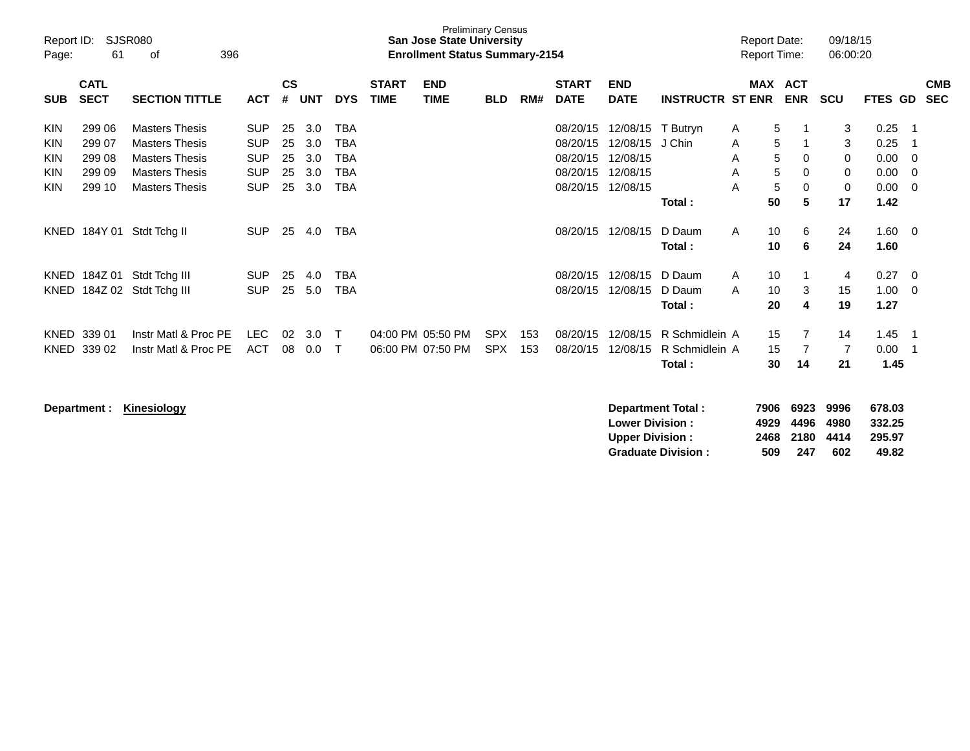| Report ID:<br>Page:                    | 61                                             | <b>SJSR080</b><br>396<br>оf                                                                                               |                                                                    |                            |                                 |                                 |                             | <b>Preliminary Census</b><br><b>San Jose State University</b><br><b>Enrollment Status Summary-2154</b> |                          |            |                                                          |                                                          |                                            | <b>Report Date:</b><br><b>Report Time:</b> |                                                     | 09/18/15<br>06:00:20        |                                              |                         |                          |
|----------------------------------------|------------------------------------------------|---------------------------------------------------------------------------------------------------------------------------|--------------------------------------------------------------------|----------------------------|---------------------------------|---------------------------------|-----------------------------|--------------------------------------------------------------------------------------------------------|--------------------------|------------|----------------------------------------------------------|----------------------------------------------------------|--------------------------------------------|--------------------------------------------|-----------------------------------------------------|-----------------------------|----------------------------------------------|-------------------------|--------------------------|
| <b>SUB</b>                             | <b>CATL</b><br><b>SECT</b>                     | <b>SECTION TITTLE</b>                                                                                                     | <b>ACT</b>                                                         | <b>CS</b><br>#             | <b>UNT</b>                      | <b>DYS</b>                      | <b>START</b><br><b>TIME</b> | <b>END</b><br><b>TIME</b>                                                                              | <b>BLD</b>               | RM#        | <b>START</b><br><b>DATE</b>                              | <b>END</b><br><b>DATE</b>                                | <b>INSTRUCTR ST ENR</b>                    | <b>MAX</b>                                 | <b>ACT</b><br><b>ENR</b>                            | <b>SCU</b>                  | <b>FTES GD</b>                               |                         | <b>CMB</b><br><b>SEC</b> |
| <b>KIN</b><br>KIN<br>KIN<br>KIN<br>KIN | 299 06<br>299 07<br>299 08<br>299 09<br>299 10 | <b>Masters Thesis</b><br><b>Masters Thesis</b><br><b>Masters Thesis</b><br><b>Masters Thesis</b><br><b>Masters Thesis</b> | <b>SUP</b><br><b>SUP</b><br><b>SUP</b><br><b>SUP</b><br><b>SUP</b> | 25<br>25<br>25<br>25<br>25 | 3.0<br>3.0<br>3.0<br>3.0<br>3.0 | TBA<br>TBA<br>TBA<br>TBA<br>TBA |                             |                                                                                                        |                          |            | 08/20/15<br>08/20/15<br>08/20/15<br>08/20/15<br>08/20/15 | 12/08/15<br>12/08/15<br>12/08/15<br>12/08/15<br>12/08/15 | T Butryn<br>J Chin<br>Total:               | A<br>A<br>A<br>A<br>A<br>50                | 5<br>5<br>5<br>0<br>5<br>0<br>5<br>$\mathbf 0$<br>5 | 3<br>3<br>0<br>0<br>0<br>17 | 0.25<br>0.25<br>0.00<br>0.00<br>0.00<br>1.42 | -1<br>-1<br>0<br>0<br>0 |                          |
| KNED                                   | 184Y 01                                        | Stdt Tchg II                                                                                                              | <b>SUP</b>                                                         | 25                         | 4.0                             | <b>TBA</b>                      |                             |                                                                                                        |                          |            | 08/20/15                                                 | 12/08/15                                                 | D Daum<br>Total:                           | 10<br>A<br>10                              | 6<br>6                                              | 24<br>24                    | 1.60<br>1.60                                 | - 0                     |                          |
| KNED<br>KNED                           | 184Z 01<br>184Z 02                             | Stdt Tchg III<br>Stdt Tchg III                                                                                            | <b>SUP</b><br><b>SUP</b>                                           | 25<br>25                   | 4.0<br>5.0                      | TBA<br>TBA                      |                             |                                                                                                        |                          |            | 08/20/15<br>08/20/15                                     | 12/08/15<br>12/08/15                                     | D Daum<br>D Daum<br>Total:                 | 10<br>$\mathsf{A}$<br>10<br>A<br>20        | 3<br>4                                              | 4<br>15<br>19               | 0.27<br>1.00<br>1.27                         | 0<br>0                  |                          |
| <b>KNED</b><br><b>KNED</b>             | 339 01<br>339 02                               | Instr Matl & Proc PE<br>Instr Matl & Proc PE                                                                              | <b>LEC</b><br><b>ACT</b>                                           | 02<br>08                   | 3.0<br>0.0                      | т<br>Т                          |                             | 04:00 PM 05:50 PM<br>06:00 PM 07:50 PM                                                                 | <b>SPX</b><br><b>SPX</b> | 153<br>153 | 08/20/15<br>08/20/15                                     | 12/08/15<br>12/08/15                                     | R Schmidlein A<br>R Schmidlein A<br>Total: | 15<br>15<br>30                             | 7<br>7<br>14                                        | 14<br>7<br>21               | 1.45<br>0.00<br>1.45                         | -1<br>-1                |                          |

| Department : | Kinesiology | 7906<br>Department Total:        | 6923 | 9996 | 678.03 |
|--------------|-------------|----------------------------------|------|------|--------|
|              |             | 4929<br><b>Lower Division:</b>   | 4496 | 4980 | 332.25 |
|              |             | 2468<br><b>Upper Division:</b>   | 2180 | 4414 | 295.97 |
|              |             | 509<br><b>Graduate Division:</b> | 247  | 602  | 49.82  |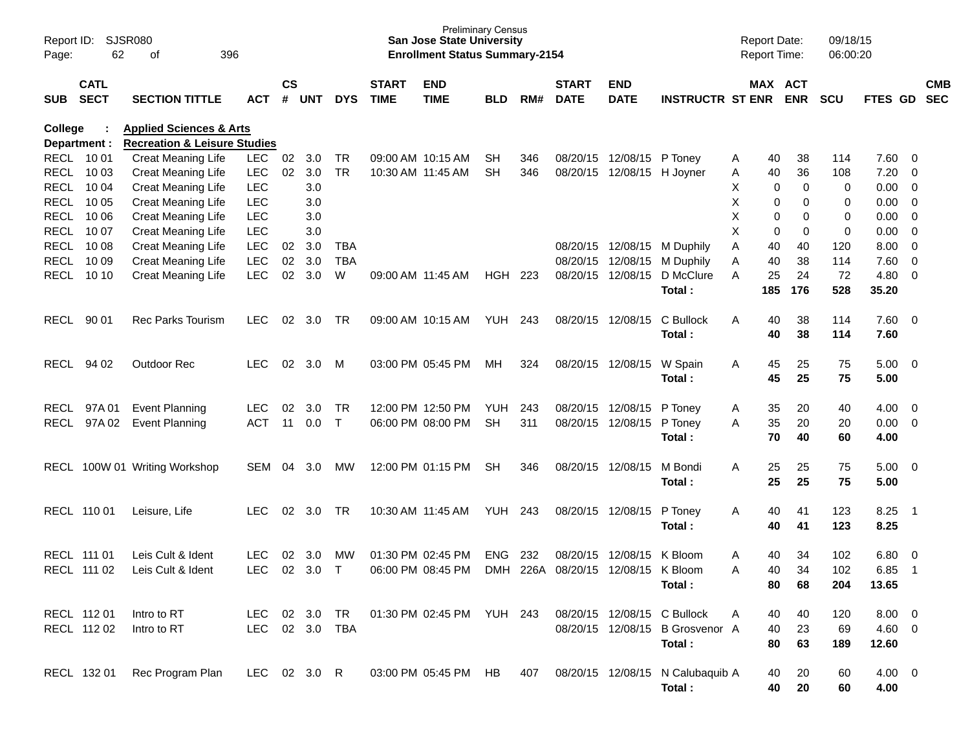| Report ID:<br>Page:        | 62                         | <b>SJSR080</b><br>396<br>οf                            |                          |                    |            |              |                             | <b>Preliminary Census</b><br><b>San Jose State University</b><br><b>Enrollment Status Summary-2154</b> |            |     |                                    |                           |                                  |        | <b>Report Date:</b><br><b>Report Time:</b> |                       | 09/18/15<br>06:00:20 |                |                         |                          |
|----------------------------|----------------------------|--------------------------------------------------------|--------------------------|--------------------|------------|--------------|-----------------------------|--------------------------------------------------------------------------------------------------------|------------|-----|------------------------------------|---------------------------|----------------------------------|--------|--------------------------------------------|-----------------------|----------------------|----------------|-------------------------|--------------------------|
| <b>SUB</b>                 | <b>CATL</b><br><b>SECT</b> | <b>SECTION TITTLE</b>                                  | ACT                      | $\mathsf{cs}$<br># | <b>UNT</b> | <b>DYS</b>   | <b>START</b><br><b>TIME</b> | <b>END</b><br><b>TIME</b>                                                                              | <b>BLD</b> | RM# | <b>START</b><br><b>DATE</b>        | <b>END</b><br><b>DATE</b> | <b>INSTRUCTR ST ENR</b>          |        |                                            | MAX ACT<br><b>ENR</b> | <b>SCU</b>           | <b>FTES GD</b> |                         | <b>CMB</b><br><b>SEC</b> |
| College                    |                            | <b>Applied Sciences &amp; Arts</b>                     |                          |                    |            |              |                             |                                                                                                        |            |     |                                    |                           |                                  |        |                                            |                       |                      |                |                         |                          |
| Department :               |                            | <b>Recreation &amp; Leisure Studies</b>                |                          |                    |            |              |                             |                                                                                                        |            |     |                                    |                           |                                  |        |                                            |                       |                      |                |                         |                          |
| <b>RECL</b>                | 10 01                      | Creat Meaning Life                                     | <b>LEC</b>               | 02                 | 3.0        | TR           |                             | 09:00 AM 10:15 AM                                                                                      | SН         | 346 | 08/20/15                           | 12/08/15                  | P Toney                          | Α      | 40                                         | 38                    | 114                  | 7.60           | $\overline{0}$          |                          |
| <b>RECL</b>                | 10 03                      | <b>Creat Meaning Life</b>                              | <b>LEC</b>               | 02                 | 3.0        | <b>TR</b>    |                             | 10:30 AM 11:45 AM                                                                                      | <b>SH</b>  | 346 | 08/20/15                           | 12/08/15                  | H Joyner                         | Α      | 40                                         | 36                    | 108                  | 7.20           | 0                       |                          |
| <b>RECL</b>                | 10 04                      | <b>Creat Meaning Life</b>                              | <b>LEC</b>               |                    | 3.0        |              |                             |                                                                                                        |            |     |                                    |                           |                                  | х      | 0                                          | 0                     | 0                    | 0.00           | 0                       |                          |
| <b>RECL</b>                | 10 05                      | <b>Creat Meaning Life</b>                              | <b>LEC</b>               |                    | 3.0        |              |                             |                                                                                                        |            |     |                                    |                           |                                  | X      | 0                                          | 0                     | 0                    | 0.00           | 0                       |                          |
| <b>RECL</b>                | 10 06                      | <b>Creat Meaning Life</b>                              | <b>LEC</b>               |                    | 3.0        |              |                             |                                                                                                        |            |     |                                    |                           |                                  | X<br>X | 0                                          | 0                     | 0<br>$\mathbf 0$     | 0.00           | 0                       |                          |
| <b>RECL</b><br><b>RECL</b> | 10 07<br>10 08             | <b>Creat Meaning Life</b>                              | <b>LEC</b><br><b>LEC</b> |                    | 3.0<br>3.0 | <b>TBA</b>   |                             |                                                                                                        |            |     | 08/20/15                           |                           | M Duphily                        | Α      | 0<br>40                                    | 0<br>40               | 120                  | 0.00<br>8.00   | 0<br>$\mathbf 0$        |                          |
| <b>RECL</b>                | 10 09                      | <b>Creat Meaning Life</b><br><b>Creat Meaning Life</b> | <b>LEC</b>               | 02<br>02           | 3.0        | <b>TBA</b>   |                             |                                                                                                        |            |     | 08/20/15                           | 12/08/15<br>12/08/15      | M Duphily                        | Α      | 40                                         | 38                    | 114                  | 7.60           | $\mathbf 0$             |                          |
| <b>RECL</b>                | 10 10                      | <b>Creat Meaning Life</b>                              | <b>LEC</b>               | 02                 | 3.0        | W            |                             | 09:00 AM 11:45 AM                                                                                      | <b>HGH</b> | 223 | 08/20/15                           | 12/08/15                  | D McClure                        | Α      | 25                                         | 24                    | 72                   | 4.80           | 0                       |                          |
|                            |                            |                                                        |                          |                    |            |              |                             |                                                                                                        |            |     |                                    |                           | Total :                          |        | 185                                        | 176                   | 528                  | 35.20          |                         |                          |
|                            |                            |                                                        |                          |                    |            |              |                             |                                                                                                        |            |     |                                    |                           |                                  |        |                                            |                       |                      |                |                         |                          |
| <b>RECL</b>                | 90 01                      | <b>Rec Parks Tourism</b>                               | <b>LEC</b>               | 02                 | 3.0        | TR           |                             | 09:00 AM 10:15 AM                                                                                      | <b>YUH</b> | 243 | 08/20/15                           | 12/08/15                  | C Bullock                        | A      | 40                                         | 38                    | 114                  | 7.60           | $\overline{0}$          |                          |
|                            |                            |                                                        |                          |                    |            |              |                             |                                                                                                        |            |     |                                    |                           | Total:                           |        | 40                                         | 38                    | 114                  | 7.60           |                         |                          |
|                            |                            |                                                        |                          |                    |            |              |                             |                                                                                                        |            |     |                                    |                           |                                  |        |                                            |                       |                      |                |                         |                          |
| <b>RECL</b>                | 94 02                      | <b>Outdoor Rec</b>                                     | <b>LEC</b>               | 02                 | 3.0        | M            |                             | 03:00 PM 05:45 PM                                                                                      | MH         | 324 | 08/20/15                           | 12/08/15                  | W Spain                          | A      | 45                                         | 25                    | 75                   | 5.00           | $\overline{\mathbf{0}}$ |                          |
|                            |                            |                                                        |                          |                    |            |              |                             |                                                                                                        |            |     |                                    |                           | Total:                           |        | 45                                         | 25                    | 75                   | 5.00           |                         |                          |
|                            |                            |                                                        |                          |                    |            |              |                             |                                                                                                        |            |     |                                    |                           |                                  |        |                                            |                       |                      |                |                         |                          |
| <b>RECL</b>                | 97A 01                     | <b>Event Planning</b>                                  | <b>LEC</b>               | 02                 | 3.0        | <b>TR</b>    |                             | 12:00 PM 12:50 PM                                                                                      | <b>YUH</b> | 243 | 08/20/15                           | 12/08/15                  | P Toney                          | Α      | 35                                         | 20                    | 40                   | 4.00           | 0                       |                          |
| <b>RECL</b>                | 97A 02                     | <b>Event Planning</b>                                  | <b>ACT</b>               | 11                 | 0.0        | $\mathsf{T}$ |                             | 06:00 PM 08:00 PM                                                                                      | <b>SH</b>  | 311 | 08/20/15                           | 12/08/15                  | P Toney                          | A      | 35                                         | 20                    | 20                   | 0.00           | $\overline{\mathbf{0}}$ |                          |
|                            |                            |                                                        |                          |                    |            |              |                             |                                                                                                        |            |     |                                    |                           | Total :                          |        | 70                                         | 40                    | 60                   | 4.00           |                         |                          |
|                            |                            |                                                        |                          |                    |            |              |                             |                                                                                                        |            |     |                                    |                           |                                  |        |                                            |                       |                      |                |                         |                          |
| RECL                       |                            | 100W 01 Writing Workshop                               | SEM                      | 04                 | 3.0        | MW           |                             | 12:00 PM 01:15 PM                                                                                      | <b>SH</b>  | 346 | 08/20/15                           | 12/08/15                  | M Bondi                          | Α      | 25                                         | 25                    | 75                   | 5.00           | $\overline{\mathbf{0}}$ |                          |
|                            |                            |                                                        |                          |                    |            |              |                             |                                                                                                        |            |     |                                    |                           | Total :                          |        | 25                                         | 25                    | 75                   | 5.00           |                         |                          |
|                            |                            |                                                        |                          |                    |            |              |                             |                                                                                                        |            |     |                                    |                           |                                  |        |                                            |                       |                      |                |                         |                          |
| RECL 110 01                |                            | Leisure, Life                                          | <b>LEC</b>               | 02                 | 3.0        | TR           |                             | 10:30 AM 11:45 AM                                                                                      | <b>YUH</b> | 243 | 08/20/15                           | 12/08/15                  | P Toney                          | A      | 40                                         | 41                    | 123                  | 8.25           | - 1                     |                          |
|                            |                            |                                                        |                          |                    |            |              |                             |                                                                                                        |            |     |                                    |                           | Total:                           |        | 40                                         | 41                    | 123                  | 8.25           |                         |                          |
|                            |                            |                                                        |                          |                    |            |              |                             |                                                                                                        |            |     |                                    |                           |                                  |        |                                            |                       |                      |                |                         |                          |
| RECL 111 01                |                            | Leis Cult & Ident                                      | <b>LEC</b>               | 02                 | 3.0        | МW           |                             | 01:30 PM 02:45 PM                                                                                      | <b>ENG</b> | 232 | 08/20/15                           | 12/08/15                  | K Bloom                          | Α      | 40                                         | 34                    | 102                  | 6.80           | 0                       |                          |
|                            | RECL 111 02                | Leis Cult & Ident                                      | LEC                      |                    | 02 3.0 T   |              |                             | 06:00 PM 08:45 PM                                                                                      |            |     | DMH 226A 08/20/15 12/08/15 K Bloom |                           |                                  | A      | 4∩                                         | 34                    | 102                  | $6.85$ 1       |                         |                          |
|                            |                            |                                                        |                          |                    |            |              |                             |                                                                                                        |            |     |                                    |                           | Total:                           |        | 80                                         | 68                    | 204                  | 13.65          |                         |                          |
|                            |                            |                                                        |                          |                    |            |              |                             |                                                                                                        |            |     |                                    |                           |                                  |        |                                            |                       |                      |                |                         |                          |
|                            | RECL 112 01                | Intro to RT                                            | LEC 02 3.0 TR            |                    |            |              |                             | 01:30 PM 02:45 PM YUH 243                                                                              |            |     |                                    |                           | 08/20/15 12/08/15 C Bullock      | A      | 40                                         | 40                    | 120                  | $8.00 \quad 0$ |                         |                          |
|                            | RECL 112 02                | Intro to RT                                            | LEC                      |                    |            | 02 3.0 TBA   |                             |                                                                                                        |            |     |                                    |                           | 08/20/15 12/08/15 B Grosvenor A  |        | 40                                         | 23                    | 69                   | 4.60 0         |                         |                          |
|                            |                            |                                                        |                          |                    |            |              |                             |                                                                                                        |            |     |                                    |                           | Total:                           |        | 80                                         | 63                    | 189                  | 12.60          |                         |                          |
|                            |                            |                                                        |                          |                    |            |              |                             | 03:00 PM 05:45 PM HB                                                                                   |            |     |                                    |                           |                                  |        |                                            |                       |                      |                |                         |                          |
|                            | RECL 132 01                | Rec Program Plan                                       | LEC 02 3.0 R             |                    |            |              |                             |                                                                                                        |            | 407 |                                    |                           | 08/20/15 12/08/15 N Calubaquib A |        | 40                                         | 20                    | 60                   | $4.00 \ 0$     |                         |                          |
|                            |                            |                                                        |                          |                    |            |              |                             |                                                                                                        |            |     |                                    |                           | Total:                           |        | 40                                         | 20                    | 60                   | 4.00           |                         |                          |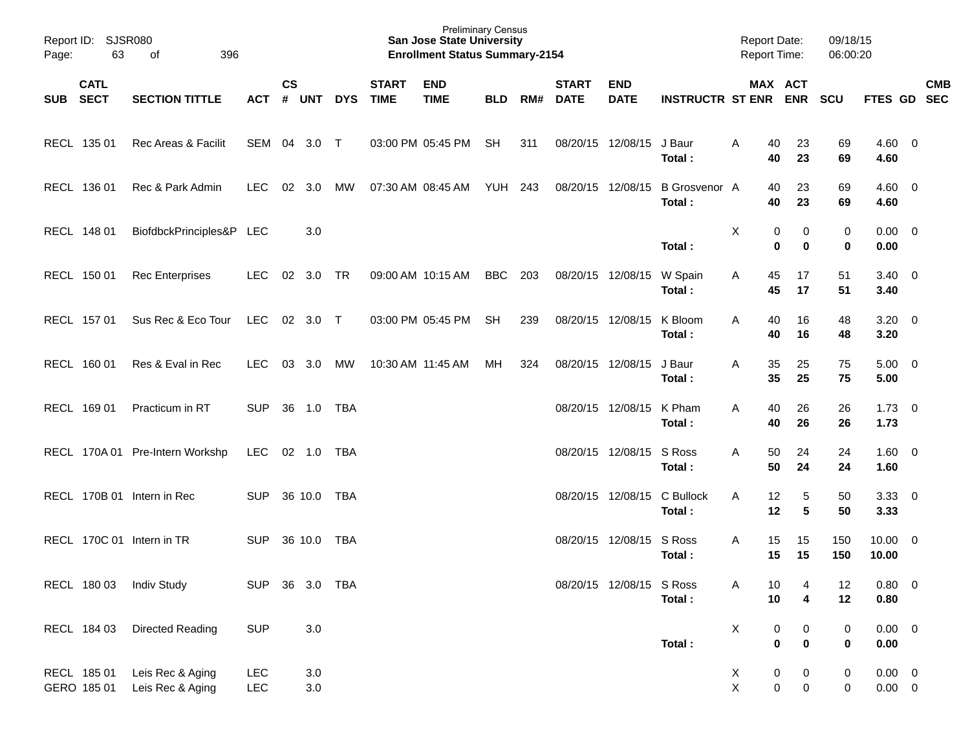| Report ID:<br>Page: | <b>SJSR080</b><br>63       | 396<br>οf                            |                   |                    |                |            |                             | <b>Preliminary Census</b><br><b>San Jose State University</b><br><b>Enrollment Status Summary-2154</b> |            |     |                             |                           |                                 | <b>Report Date:</b><br>Report Time: |                        |                       | 09/18/15<br>06:00:20 |                            |                          |
|---------------------|----------------------------|--------------------------------------|-------------------|--------------------|----------------|------------|-----------------------------|--------------------------------------------------------------------------------------------------------|------------|-----|-----------------------------|---------------------------|---------------------------------|-------------------------------------|------------------------|-----------------------|----------------------|----------------------------|--------------------------|
| <b>SUB</b>          | <b>CATL</b><br><b>SECT</b> | <b>SECTION TITTLE</b>                | <b>ACT</b>        | $\mathsf{cs}$<br># | <b>UNT</b>     | <b>DYS</b> | <b>START</b><br><b>TIME</b> | <b>END</b><br><b>TIME</b>                                                                              | <b>BLD</b> | RM# | <b>START</b><br><b>DATE</b> | <b>END</b><br><b>DATE</b> | <b>INSTRUCTR ST ENR</b>         |                                     | MAX ACT<br><b>ENR</b>  |                       | SCU                  | FTES GD                    | <b>CMB</b><br><b>SEC</b> |
|                     | RECL 135 01                | Rec Areas & Facilit                  | SEM               | 04                 | 3.0            | $\top$     | 03:00 PM 05:45 PM           |                                                                                                        | <b>SH</b>  | 311 | 08/20/15                    | 12/08/15                  | J Baur<br>Total :               | A                                   | 40<br>40               | 23<br>23              | 69<br>69             | $4.60 \ 0$<br>4.60         |                          |
|                     | RECL 136 01                | Rec & Park Admin                     | <b>LEC</b>        | 02                 | 3.0            | <b>MW</b>  | 07:30 AM 08:45 AM           |                                                                                                        | <b>YUH</b> | 243 | 08/20/15                    | 12/08/15                  | <b>B</b> Grosvenor A<br>Total : |                                     | 40<br>40               | 23<br>23              | 69<br>69             | $4.60 \quad 0$<br>4.60     |                          |
|                     | RECL 148 01                | BiofdbckPrinciples&P LEC             |                   |                    | 3.0            |            |                             |                                                                                                        |            |     |                             |                           | Total:                          | X                                   | 0<br>0                 | 0<br>0                | 0<br>0               | $0.00 \quad 0$<br>0.00     |                          |
|                     | RECL 150 01                | <b>Rec Enterprises</b>               | <b>LEC</b>        | 02                 | 3.0            | <b>TR</b>  | 09:00 AM 10:15 AM           |                                                                                                        | <b>BBC</b> | 203 | 08/20/15                    | 12/08/15                  | W Spain<br>Total:               | Α                                   | 45<br>45               | 17<br>17              | 51<br>51             | $3.40 \quad 0$<br>3.40     |                          |
|                     | RECL 157 01                | Sus Rec & Eco Tour                   | <b>LEC</b>        | 02                 | 3.0            | $\top$     | 03:00 PM 05:45 PM           |                                                                                                        | <b>SH</b>  | 239 | 08/20/15                    | 12/08/15                  | K Bloom<br>Total :              | A                                   | 40<br>40               | 16<br>16              | 48<br>48             | $3.20 \ 0$<br>3.20         |                          |
|                     | RECL 160 01                | Res & Eval in Rec                    | <b>LEC</b>        | 03                 | 3.0            | <b>MW</b>  | 10:30 AM 11:45 AM           |                                                                                                        | <b>MH</b>  | 324 | 08/20/15                    | 12/08/15                  | J Baur<br>Total :               | A                                   | 35<br>35               | 25<br>25              | 75<br>75             | $5.00 \t 0$<br>5.00        |                          |
|                     | RECL 169 01                | Practicum in RT                      | <b>SUP</b>        | 36                 | 1.0            | <b>TBA</b> |                             |                                                                                                        |            |     | 08/20/15                    | 12/08/15                  | K Pham<br>Total :               | A                                   | 40<br>40               | 26<br>26              | 26<br>26             | $1.73 \t 0$<br>1.73        |                          |
|                     |                            | RECL 170A 01 Pre-Intern Workshp      | <b>LEC</b>        | 02 1.0             |                | <b>TBA</b> |                             |                                                                                                        |            |     | 08/20/15                    | 12/08/15                  | S Ross<br>Total :               | A                                   | 50<br>50               | 24<br>24              | 24<br>24             | $1.60 \t 0$<br>1.60        |                          |
|                     |                            | RECL 170B 01 Intern in Rec           | <b>SUP</b>        | 36 10.0            |                | <b>TBA</b> |                             |                                                                                                        |            |     | 08/20/15                    | 12/08/15                  | C Bullock<br>Total :            | A                                   | 12<br>12               | 5<br>5                | 50<br>50             | $3.33 \ 0$<br>3.33         |                          |
|                     |                            | RECL 170C 01 Intern in TR            | <b>SUP</b>        | 36 10.0            |                | <b>TBA</b> |                             |                                                                                                        |            |     | 08/20/15                    | 12/08/15                  | S Ross<br>Total :               | A                                   | 15<br>15               | 15<br>15              | 150<br>150           | $10.00 \t 0$<br>10.00      |                          |
|                     |                            | RECL 180 03 Indiv Study              | SUP 36 3.0 TBA    |                    |                |            |                             |                                                                                                        |            |     |                             | 08/20/15 12/08/15 S Ross  | Total:                          | Α                                   | 10<br>10               | 4<br>$\boldsymbol{4}$ | 12<br>12             | 0.80 0<br>0.80             |                          |
|                     | RECL 184 03                | <b>Directed Reading</b>              | <b>SUP</b>        |                    | $3.0\,$        |            |                             |                                                                                                        |            |     |                             |                           | Total:                          | X                                   | 0<br>$\pmb{0}$         | 0<br>$\pmb{0}$        | 0<br>$\pmb{0}$       | $0.00 \t 0$<br>0.00        |                          |
|                     | RECL 185 01<br>GERO 185 01 | Leis Rec & Aging<br>Leis Rec & Aging | <b>LEC</b><br>LEC |                    | 3.0<br>$3.0\,$ |            |                             |                                                                                                        |            |     |                             |                           |                                 | X<br>Χ                              | $\pmb{0}$<br>$\pmb{0}$ | 0<br>$\pmb{0}$        | 0<br>$\mathbf 0$     | $0.00 \t 0$<br>$0.00 \t 0$ |                          |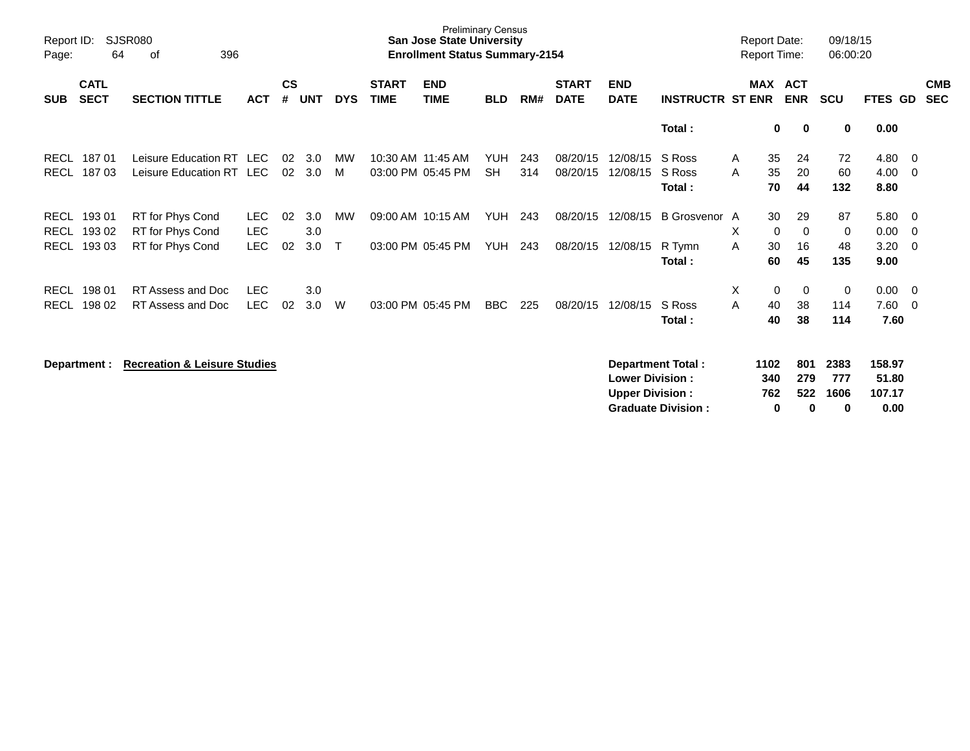| Report ID:<br>Page:                       | 64                         | <b>SJSR080</b><br>396<br>οf                              |                                  |                    |                   |                   |                             | <b>Preliminary Census</b><br><b>San Jose State University</b><br><b>Enrollment Status Summary-2154</b> |                          |            |                             |                           |                                   | <b>Report Date:</b><br><b>Report Time:</b> |                                                   | 09/18/15<br>06:00:20 |                              |                   |                          |
|-------------------------------------------|----------------------------|----------------------------------------------------------|----------------------------------|--------------------|-------------------|-------------------|-----------------------------|--------------------------------------------------------------------------------------------------------|--------------------------|------------|-----------------------------|---------------------------|-----------------------------------|--------------------------------------------|---------------------------------------------------|----------------------|------------------------------|-------------------|--------------------------|
| <b>SUB</b>                                | <b>CATL</b><br><b>SECT</b> | <b>SECTION TITTLE</b>                                    | <b>ACT</b>                       | $\mathsf{cs}$<br># | <b>UNT</b>        | <b>DYS</b>        | <b>START</b><br><b>TIME</b> | <b>END</b><br><b>TIME</b>                                                                              | <b>BLD</b>               | RM#        | <b>START</b><br><b>DATE</b> | <b>END</b><br><b>DATE</b> | <b>INSTRUCTR ST ENR</b>           | <b>MAX</b>                                 | <b>ACT</b><br><b>ENR</b>                          | <b>SCU</b>           | FTES GD                      |                   | <b>CMB</b><br><b>SEC</b> |
|                                           |                            |                                                          |                                  |                    |                   |                   |                             |                                                                                                        |                          |            |                             |                           | Total:                            |                                            | 0<br>0                                            | 0                    | 0.00                         |                   |                          |
| RECL<br><b>RECL</b>                       | 18701<br>18703             | Leisure Education RT<br>Leisure Education RT             | <b>LEC</b><br><b>LEC</b>         | 02<br>02           | 3.0<br>3.0        | MW<br>м           |                             | 10:30 AM 11:45 AM<br>03:00 PM 05:45 PM                                                                 | <b>YUH</b><br><b>SH</b>  | 243<br>314 | 08/20/15<br>08/20/15        | 12/08/15<br>12/08/15      | S Ross<br>S Ross<br>Total:        | A<br>A                                     | 35<br>24<br>35<br>20<br>70<br>44                  | 72<br>60<br>132      | 4.80<br>4.00<br>8.80         | - 0<br>- 0        |                          |
| <b>RECL</b><br><b>RECL</b><br><b>RECL</b> | 19301<br>193 02<br>19303   | RT for Phys Cond<br>RT for Phys Cond<br>RT for Phys Cond | LEC.<br><b>LEC</b><br><b>LEC</b> | 02<br>02           | 3.0<br>3.0<br>3.0 | MW<br>$\mathsf T$ |                             | 09:00 AM 10:15 AM<br>03:00 PM 05:45 PM                                                                 | <b>YUH</b><br><b>YUH</b> | 243<br>243 | 08/20/15<br>08/20/15        | 12/08/15<br>12/08/15      | B Grosvenor A<br>R Tymn<br>Total: | X<br>A                                     | 29<br>30<br>0<br>$\Omega$<br>30<br>16<br>45<br>60 | 87<br>0<br>48<br>135 | 5.80<br>0.00<br>3.20<br>9.00 | - 0<br>- 0<br>- 0 |                          |
| <b>RECL</b><br><b>RECL</b>                | 198 01<br>198 02           | RT Assess and Doc<br>RT Assess and Doc                   | <b>LEC</b><br><b>LEC</b>         | 02                 | 3.0<br>3.0        | W                 |                             | 03:00 PM 05:45 PM                                                                                      | <b>BBC</b>               | 225        | 08/20/15                    | 12/08/15                  | S Ross<br>Total:                  | X<br>A                                     | 0<br>0<br>40<br>38<br>38<br>40                    | 0<br>114<br>114      | 0.00<br>7.60<br>7.60         | - 0<br>- 0        |                          |
|                                           | Department :               | <b>Recreation &amp; Leisure Studies</b>                  |                                  |                    |                   |                   |                             |                                                                                                        |                          |            |                             | <b>Lower Division:</b>    | Department Total:                 | 1102<br>340                                | 801<br>279                                        | 2383<br>777          | 158.97<br>51.80              |                   |                          |

**Upper Division : 762 522 1606 107.17<br>
Graduate Division : 0 0 0 0 0.00** 

Graduate Division : 0 0 0 0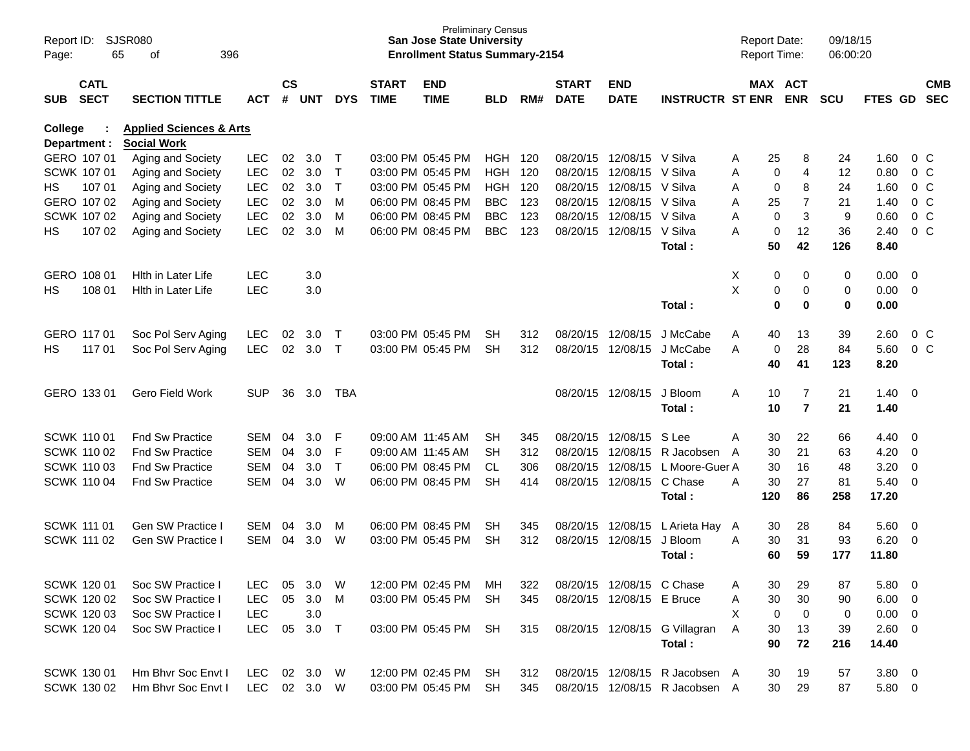| Report ID:<br>Page: | 65                         | <b>SJSR080</b><br>396<br>οf        |              |                    |            |              |                             | <b>San Jose State University</b><br><b>Enrollment Status Summary-2154</b> | <b>Preliminary Census</b> |     |                             |                           |                                | <b>Report Date:</b><br>Report Time: |                       | 09/18/15<br>06:00:20 |                |                          |                          |
|---------------------|----------------------------|------------------------------------|--------------|--------------------|------------|--------------|-----------------------------|---------------------------------------------------------------------------|---------------------------|-----|-----------------------------|---------------------------|--------------------------------|-------------------------------------|-----------------------|----------------------|----------------|--------------------------|--------------------------|
| <b>SUB</b>          | <b>CATL</b><br><b>SECT</b> | <b>SECTION TITTLE</b>              | <b>ACT</b>   | $\mathsf{cs}$<br># | <b>UNT</b> | <b>DYS</b>   | <b>START</b><br><b>TIME</b> | <b>END</b><br><b>TIME</b>                                                 | <b>BLD</b>                | RM# | <b>START</b><br><b>DATE</b> | <b>END</b><br><b>DATE</b> | <b>INSTRUCTR ST ENR</b>        |                                     | MAX ACT<br><b>ENR</b> | <b>SCU</b>           | <b>FTES GD</b> |                          | <b>CMB</b><br><b>SEC</b> |
| <b>College</b>      |                            | <b>Applied Sciences &amp; Arts</b> |              |                    |            |              |                             |                                                                           |                           |     |                             |                           |                                |                                     |                       |                      |                |                          |                          |
|                     | Department :               | <b>Social Work</b>                 |              |                    |            |              |                             |                                                                           |                           |     |                             |                           |                                |                                     |                       |                      |                |                          |                          |
|                     | GERO 107 01                | Aging and Society                  | <b>LEC</b>   | 02                 | 3.0        | $\top$       |                             | 03:00 PM 05:45 PM                                                         | <b>HGH 120</b>            |     |                             | 08/20/15 12/08/15 V Silva |                                | Α                                   | 25<br>8               | 24                   | 1.60           |                          | 0 C                      |
|                     | SCWK 107 01                | Aging and Society                  | <b>LEC</b>   | 02                 | 3.0        | Τ            |                             | 03:00 PM 05:45 PM                                                         | <b>HGH</b>                | 120 | 08/20/15                    | 12/08/15                  | V Silva                        | Α                                   | 4<br>0                | 12                   | 0.80           |                          | 0 <sup>o</sup>           |
| HS.                 | 107 01                     | Aging and Society                  | <b>LEC</b>   | 02                 | 3.0        | $\mathsf{T}$ |                             | 03:00 PM 05:45 PM                                                         | <b>HGH</b>                | 120 |                             | 08/20/15 12/08/15         | V Silva                        | Α                                   | 8<br>$\mathbf 0$      | 24                   | 1.60           |                          | 0 <sup>o</sup>           |
|                     | GERO 107 02                | Aging and Society                  | <b>LEC</b>   | 02                 | 3.0        | м            |                             | 06:00 PM 08:45 PM                                                         | <b>BBC</b>                | 123 |                             | 08/20/15 12/08/15 V Silva |                                | Α                                   | $\overline{7}$<br>25  | 21                   | 1.40           |                          | $0\,C$                   |
|                     | SCWK 107 02                | Aging and Society                  | <b>LEC</b>   | 02                 | 3.0        | м            |                             | 06:00 PM 08:45 PM                                                         | <b>BBC</b>                | 123 |                             | 08/20/15 12/08/15         | V Silva                        | Α                                   | 3<br>$\mathbf 0$      | 9                    | 0.60           |                          | $0\,C$                   |
| HS                  | 107 02                     | Aging and Society                  | <b>LEC</b>   | 02                 | 3.0        | м            |                             | 06:00 PM 08:45 PM                                                         | <b>BBC</b>                | 123 |                             | 08/20/15 12/08/15 V Silva |                                | A                                   | 12<br>$\mathbf 0$     | 36                   | 2.40           |                          | $0\,C$                   |
|                     |                            |                                    |              |                    |            |              |                             |                                                                           |                           |     |                             |                           | Total:                         |                                     | 50<br>42              | 126                  | 8.40           |                          |                          |
|                     | GERO 108 01                | Hith in Later Life                 | <b>LEC</b>   |                    | 3.0        |              |                             |                                                                           |                           |     |                             |                           |                                | Χ                                   | 0<br>0                | 0                    | $0.00 \t 0$    |                          |                          |
| HS                  | 108 01                     | Hith in Later Life                 | <b>LEC</b>   |                    | 3.0        |              |                             |                                                                           |                           |     |                             |                           |                                | X                                   | 0<br>0                | 0                    | $0.00 \t 0$    |                          |                          |
|                     |                            |                                    |              |                    |            |              |                             |                                                                           |                           |     |                             |                           | Total:                         |                                     | 0<br>0                | 0                    | 0.00           |                          |                          |
|                     |                            |                                    |              |                    |            |              |                             |                                                                           |                           |     |                             |                           |                                |                                     |                       |                      |                |                          |                          |
|                     | GERO 117 01                | Soc Pol Serv Aging                 | <b>LEC</b>   | 02                 | 3.0        | $\top$       |                             | 03:00 PM 05:45 PM                                                         | <b>SH</b>                 | 312 |                             | 08/20/15 12/08/15         | J McCabe                       | Α                                   | 13<br>40              | 39                   | 2.60           |                          | 0 <sup>o</sup>           |
| HS                  | 117 01                     | Soc Pol Serv Aging                 | <b>LEC</b>   | 02                 | 3.0        | $\mathsf{T}$ |                             | 03:00 PM 05:45 PM                                                         | <b>SH</b>                 | 312 |                             | 08/20/15 12/08/15         | J McCabe                       | A                                   | 28<br>0               | 84                   | 5.60           |                          | 0 <sup>o</sup>           |
|                     |                            |                                    |              |                    |            |              |                             |                                                                           |                           |     |                             |                           | Total:                         |                                     | 40<br>41              | 123                  | 8.20           |                          |                          |
|                     |                            |                                    |              |                    |            |              |                             |                                                                           |                           |     |                             |                           |                                |                                     |                       |                      |                |                          |                          |
|                     | GERO 133 01                | Gero Field Work                    | <b>SUP</b>   | 36                 | 3.0        | <b>TBA</b>   |                             |                                                                           |                           |     |                             | 08/20/15 12/08/15         | J Bloom                        | A                                   | $\overline{7}$<br>10  | 21                   | $1.40 \ 0$     |                          |                          |
|                     |                            |                                    |              |                    |            |              |                             |                                                                           |                           |     |                             |                           | Total:                         |                                     | $\overline{7}$<br>10  | 21                   | 1.40           |                          |                          |
|                     |                            |                                    |              |                    |            |              |                             |                                                                           |                           |     |                             |                           |                                |                                     |                       |                      |                |                          |                          |
|                     | SCWK 110 01                | <b>Fnd Sw Practice</b>             | <b>SEM</b>   | 04                 | 3.0        | F            |                             | 09:00 AM 11:45 AM                                                         | <b>SH</b>                 | 345 |                             | 08/20/15 12/08/15         | S Lee                          | Α                                   | 22<br>30              | 66                   | 4.40           | $\overline{\phantom{0}}$ |                          |
|                     | <b>SCWK 110 02</b>         | <b>Fnd Sw Practice</b>             | <b>SEM</b>   | 04                 | 3.0        | F            |                             | 09:00 AM 11:45 AM                                                         | <b>SH</b>                 | 312 |                             |                           | 08/20/15 12/08/15 R Jacobsen   | $\overline{A}$                      | 21<br>30              | 63                   | 4.20           | $\overline{\phantom{0}}$ |                          |
|                     | <b>SCWK 11003</b>          | <b>Fnd Sw Practice</b>             | <b>SEM</b>   | 04                 | 3.0        | $\mathsf{T}$ |                             | 06:00 PM 08:45 PM                                                         | <b>CL</b>                 | 306 |                             | 08/20/15 12/08/15         | L Moore-Guer A                 |                                     | 30<br>16              | 48                   | 3.20           | $\overline{\mathbf{0}}$  |                          |
|                     | <b>SCWK 110 04</b>         | <b>Fnd Sw Practice</b>             | <b>SEM</b>   | 04                 | 3.0        | W            |                             | 06:00 PM 08:45 PM                                                         | <b>SH</b>                 | 414 |                             | 08/20/15 12/08/15         | C Chase                        | Α                                   | 30<br>27              | 81                   | $5.40 \ 0$     |                          |                          |
|                     |                            |                                    |              |                    |            |              |                             |                                                                           |                           |     |                             |                           | Total:                         | 120                                 | 86                    | 258                  | 17.20          |                          |                          |
| <b>SCWK 111 01</b>  |                            | Gen SW Practice I                  | <b>SEM</b>   | 04                 | 3.0        | M            |                             | 06:00 PM 08:45 PM                                                         | <b>SH</b>                 | 345 |                             | 08/20/15 12/08/15         | L Arieta Hay                   | A                                   | 28<br>30              | 84                   | 5.60           | $\overline{\phantom{0}}$ |                          |
|                     | <b>SCWK 111 02</b>         | Gen SW Practice I                  | <b>SEM</b>   | 04                 | 3.0        | W            |                             | 03:00 PM 05:45 PM                                                         | <b>SH</b>                 | 312 |                             | 08/20/15 12/08/15         | J Bloom                        | Α                                   | 31<br>30              | 93                   | 6.20           | $\overline{\phantom{0}}$ |                          |
|                     |                            |                                    |              |                    |            |              |                             |                                                                           |                           |     |                             |                           | Total:                         |                                     | 60<br>59              | 177                  | 11.80          |                          |                          |
|                     |                            |                                    |              |                    |            |              |                             |                                                                           |                           |     |                             |                           |                                |                                     |                       |                      |                |                          |                          |
|                     | SCWK 120 01                | Soc SW Practice I                  | LEC.         | 05                 | 3.0        | W            |                             | 12:00 PM 02:45 PM                                                         | MН                        | 322 |                             | 08/20/15 12/08/15 C Chase |                                | Α                                   | 30<br>29              | 87                   | 5.80 0         |                          |                          |
|                     | SCWK 120 02                | Soc SW Practice I                  | <b>LEC</b>   | 05                 | 3.0        | M            |                             | 03:00 PM 05:45 PM                                                         | SH                        | 345 |                             | 08/20/15 12/08/15 E Bruce |                                | Α                                   | 30<br>30              | 90                   | $6.00 \quad 0$ |                          |                          |
|                     | SCWK 120 03                | Soc SW Practice I                  | LEC          |                    | 3.0        |              |                             |                                                                           |                           |     |                             |                           |                                | Χ                                   | 0<br>0                | 0                    | $0.00 \t 0$    |                          |                          |
|                     | SCWK 120 04                | Soc SW Practice I                  | LEC          | 05                 | 3.0        | $\top$       |                             | 03:00 PM 05:45 PM                                                         | SH                        | 315 |                             |                           | 08/20/15 12/08/15 G Villagran  | A                                   | 30<br>13              | 39                   | $2.60 \t 0$    |                          |                          |
|                     |                            |                                    |              |                    |            |              |                             |                                                                           |                           |     |                             |                           | Total:                         |                                     | 90<br>72              | 216                  | 14.40          |                          |                          |
|                     |                            |                                    |              |                    |            |              |                             |                                                                           |                           |     |                             |                           |                                |                                     |                       |                      |                |                          |                          |
|                     | SCWK 130 01                | Hm Bhvr Soc Envt I                 | LEC 02 3.0 W |                    |            |              |                             | 12:00 PM 02:45 PM                                                         | SH                        | 312 |                             |                           | 08/20/15 12/08/15 R Jacobsen A |                                     | 19<br>30              | 57                   | $3.80\ 0$      |                          |                          |
|                     | SCWK 130 02                | Hm Bhvr Soc Envt I                 | LEC 02 3.0 W |                    |            |              |                             | 03:00 PM 05:45 PM SH                                                      |                           | 345 |                             |                           | 08/20/15 12/08/15 R Jacobsen A |                                     | 30<br>29              | 87                   | 5.80 0         |                          |                          |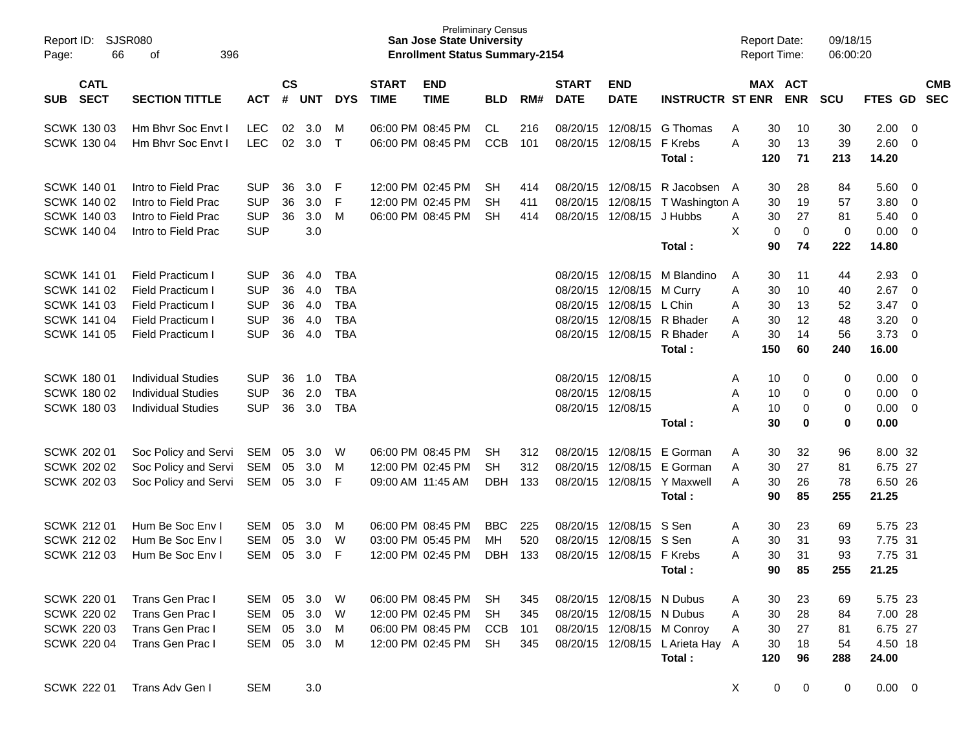| Report ID:<br>66<br>Page:                                                                                  | SJSR080<br>396<br>οf                                                                                                |                                                                    |                            |                                 |                                                                    |                             | <b>Preliminary Census</b><br><b>San Jose State University</b><br><b>Enrollment Status Summary-2154</b> |                                     |                          |                                  |                                                                             |                                                                   | <b>Report Date:</b><br>Report Time: |                                   |                                     | 09/18/15<br>06:00:20               |                                                   |                                                              |                          |
|------------------------------------------------------------------------------------------------------------|---------------------------------------------------------------------------------------------------------------------|--------------------------------------------------------------------|----------------------------|---------------------------------|--------------------------------------------------------------------|-----------------------------|--------------------------------------------------------------------------------------------------------|-------------------------------------|--------------------------|----------------------------------|-----------------------------------------------------------------------------|-------------------------------------------------------------------|-------------------------------------|-----------------------------------|-------------------------------------|------------------------------------|---------------------------------------------------|--------------------------------------------------------------|--------------------------|
| <b>CATL</b><br><b>SECT</b><br><b>SUB</b>                                                                   | <b>SECTION TITTLE</b>                                                                                               | <b>ACT</b>                                                         | <b>CS</b><br>#             | <b>UNT</b>                      | <b>DYS</b>                                                         | <b>START</b><br><b>TIME</b> | <b>END</b><br><b>TIME</b>                                                                              | <b>BLD</b>                          | RM#                      | <b>START</b><br><b>DATE</b>      | <b>END</b><br><b>DATE</b>                                                   | <b>INSTRUCTR ST ENR</b>                                           | MAX ACT                             |                                   | <b>ENR</b>                          | <b>SCU</b>                         | FTES GD                                           |                                                              | <b>CMB</b><br><b>SEC</b> |
| <b>SCWK 13003</b><br>SCWK 130 04                                                                           | Hm Bhyr Soc Envt I<br>Hm Bhyr Soc Enyt I                                                                            | <b>LEC</b><br><b>LEC</b>                                           | 02<br>02                   | 3.0<br>3.0                      | M<br>$\top$                                                        |                             | 06:00 PM 08:45 PM<br>06:00 PM 08:45 PM                                                                 | CL<br><b>CCB</b>                    | 216<br>101               |                                  | 08/20/15 12/08/15<br>08/20/15 12/08/15                                      | G Thomas<br>F Krebs<br>Total:                                     | Α<br>A                              | 30<br>30<br>120                   | 10<br>13<br>71                      | 30<br>39<br>213                    | 2.00<br>2.60<br>14.20                             | - 0<br>$\overline{0}$                                        |                          |
| <b>SCWK 140 01</b><br>SCWK 140 02<br><b>SCWK 140 03</b><br>SCWK 140 04                                     | Intro to Field Prac<br>Intro to Field Prac<br>Intro to Field Prac<br>Intro to Field Prac                            | <b>SUP</b><br><b>SUP</b><br><b>SUP</b><br><b>SUP</b>               | 36<br>36<br>36             | 3.0<br>3.0<br>3.0<br>3.0        | F<br>F<br>M                                                        |                             | 12:00 PM 02:45 PM<br>12:00 PM 02:45 PM<br>06:00 PM 08:45 PM                                            | SH<br>SH<br><b>SH</b>               | 414<br>411<br>414        | 08/20/15<br>08/20/15             | 08/20/15 12/08/15<br>12/08/15<br>12/08/15                                   | R Jacobsen A<br>T Washington A<br>J Hubbs<br>Total:               | A<br>X                              | 30<br>30<br>30<br>0<br>90         | 28<br>19<br>27<br>$\mathbf 0$<br>74 | 84<br>57<br>81<br>$\pmb{0}$<br>222 | 5.60<br>3.80<br>5.40<br>0.00<br>14.80             | - 0<br>0<br>0<br>$\overline{0}$                              |                          |
| <b>SCWK 141 01</b><br><b>SCWK 141 02</b><br><b>SCWK 141 03</b><br><b>SCWK 141 04</b><br><b>SCWK 141 05</b> | <b>Field Practicum I</b><br>Field Practicum I<br>Field Practicum I<br><b>Field Practicum I</b><br>Field Practicum I | <b>SUP</b><br><b>SUP</b><br><b>SUP</b><br><b>SUP</b><br><b>SUP</b> | 36<br>36<br>36<br>36<br>36 | 4.0<br>4.0<br>4.0<br>4.0<br>4.0 | <b>TBA</b><br><b>TBA</b><br><b>TBA</b><br><b>TBA</b><br><b>TBA</b> |                             |                                                                                                        |                                     |                          | 08/20/15<br>08/20/15<br>08/20/15 | 08/20/15 12/08/15<br>12/08/15<br>12/08/15<br>12/08/15<br>08/20/15 12/08/15  | M Blandino<br>M Curry<br>L Chin<br>R Bhader<br>R Bhader<br>Total: | A<br>Α<br>A<br>Α<br>A               | 30<br>30<br>30<br>30<br>30<br>150 | 11<br>10<br>13<br>12<br>14<br>60    | 44<br>40<br>52<br>48<br>56<br>240  | 2.93<br>2.67<br>3.47<br>3.20<br>3.73<br>16.00     | 0<br>$\overline{0}$<br>$\overline{0}$<br>0<br>$\overline{0}$ |                          |
| <b>SCWK 180 01</b><br><b>SCWK 180 02</b><br><b>SCWK 18003</b>                                              | <b>Individual Studies</b><br><b>Individual Studies</b><br><b>Individual Studies</b>                                 | <b>SUP</b><br><b>SUP</b><br><b>SUP</b>                             | 36<br>36<br>36             | 1.0<br>2.0<br>3.0               | <b>TBA</b><br><b>TBA</b><br><b>TBA</b>                             |                             |                                                                                                        |                                     |                          |                                  | 08/20/15 12/08/15<br>08/20/15 12/08/15<br>08/20/15 12/08/15                 | Total:                                                            | A<br>Α<br>A                         | 10<br>10<br>10<br>30              | 0<br>0<br>0<br>$\bf{0}$             | 0<br>0<br>0<br>0                   | 0.00<br>0.00<br>0.00<br>0.00                      | - 0<br>$\overline{0}$<br>$\overline{0}$                      |                          |
| <b>SCWK 202 01</b><br><b>SCWK 202 02</b><br>SCWK 202 03                                                    | Soc Policy and Servi<br>Soc Policy and Servi<br>Soc Policy and Servi                                                | SEM<br><b>SEM</b><br><b>SEM</b>                                    | 05<br>05<br>05             | 3.0<br>3.0<br>3.0               | W<br>м<br>F                                                        |                             | 06:00 PM 08:45 PM<br>12:00 PM 02:45 PM<br>09:00 AM 11:45 AM                                            | SН<br><b>SH</b><br><b>DBH</b>       | 312<br>312<br>133        | 08/20/15<br>08/20/15             | 12/08/15<br>12/08/15<br>08/20/15 12/08/15                                   | E Gorman<br>E Gorman<br>Y Maxwell<br>Total:                       | Α<br>A<br>A                         | 30<br>30<br>30<br>90              | 32<br>27<br>26<br>85                | 96<br>81<br>78<br>255              | 8.00 32<br>6.75 27<br>6.50 26<br>21.25            |                                                              |                          |
| <b>SCWK 21201</b><br>SCWK 212 02<br><b>SCWK 212 03</b>                                                     | Hum Be Soc Env I<br>Hum Be Soc Env I<br>Hum Be Soc Env I                                                            | <b>SEM</b><br><b>SEM</b><br><b>SEM</b>                             | 05<br>05<br>05             | 3.0<br>3.0<br>3.0               | M<br>W<br>F                                                        |                             | 06:00 PM 08:45 PM<br>03:00 PM 05:45 PM<br>12:00 PM 02:45 PM                                            | <b>BBC</b><br>МH<br>DBH             | 225<br>520<br>133        | 08/20/15<br>08/20/15<br>08/20/15 | 12/08/15<br>12/08/15<br>12/08/15                                            | S Sen<br>S Sen<br>F Krebs<br>Total:                               | A<br>Α<br>A                         | 30<br>30<br>30<br>90              | 23<br>31<br>31<br>85                | 69<br>93<br>93<br>255              | 5.75 23<br>7.75 31<br>7.75 31<br>21.25            |                                                              |                          |
| SCWK 220 01<br><b>SCWK 220 02</b><br><b>SCWK 220 03</b><br><b>SCWK 220 04</b>                              | <b>Trans Gen Prac I</b><br>Trans Gen Prac I<br>Trans Gen Prac I<br>Trans Gen Prac I                                 | SEM<br><b>SEM</b><br><b>SEM</b><br>SEM                             | 05<br>05<br>05<br>05       | 3.0<br>3.0<br>3.0<br>3.0        | W<br>W<br>M<br>M                                                   |                             | 06:00 PM 08:45 PM<br>12:00 PM 02:45 PM<br>06:00 PM 08:45 PM<br>12:00 PM 02:45 PM                       | <b>SH</b><br>SH<br><b>CCB</b><br>SH | 345<br>345<br>101<br>345 |                                  | 08/20/15 12/08/15 N Dubus<br>08/20/15 12/08/15 N Dubus<br>08/20/15 12/08/15 | 08/20/15 12/08/15 M Conroy<br>L Arieta Hay A<br>Total:            | A<br>Α<br>A                         | 30<br>30<br>30<br>30<br>120       | 23<br>28<br>27<br>18<br>96          | 69<br>84<br>81<br>54<br>288        | 5.75 23<br>7.00 28<br>6.75 27<br>4.50 18<br>24.00 |                                                              |                          |
| SCWK 222 01                                                                                                | Trans Adv Gen I                                                                                                     | <b>SEM</b>                                                         |                            | 3.0                             |                                                                    |                             |                                                                                                        |                                     |                          |                                  |                                                                             |                                                                   | X                                   | 0                                 | 0                                   | 0                                  | $0.00 \t 0$                                       |                                                              |                          |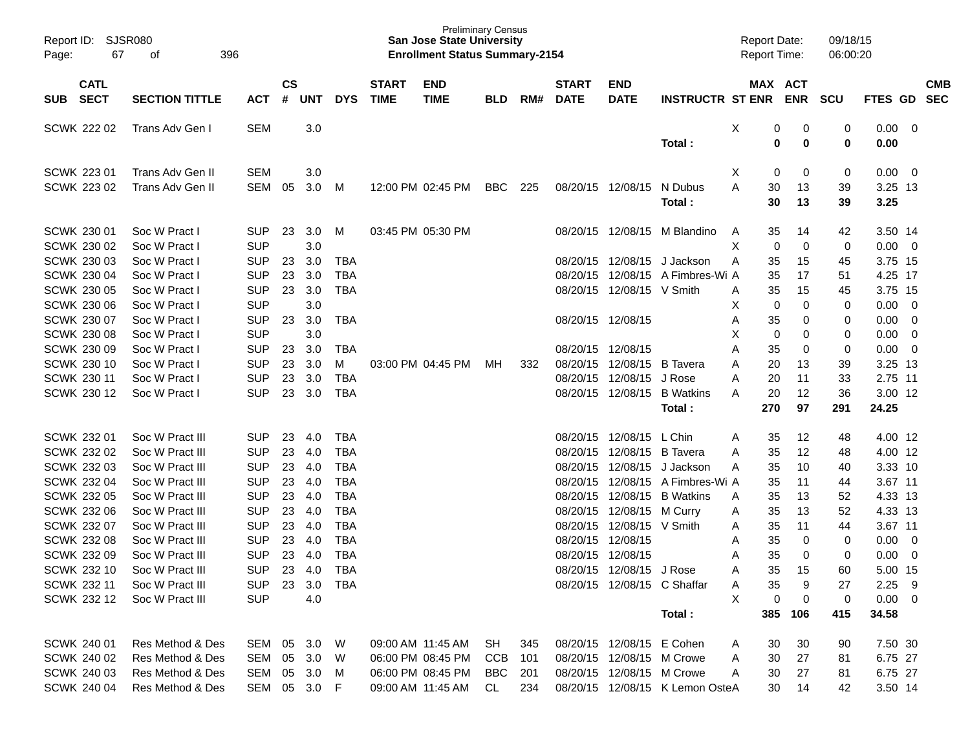| Report ID:<br>67<br>Page:                | SJSR080<br>396<br>οf                 |                              |                    |            |            |                             | <b>Preliminary Census</b><br><b>San Jose State University</b><br><b>Enrollment Status Summary-2154</b> |            |     |                             |                                                        |                                 | <b>Report Date:</b><br><b>Report Time:</b> |             |               | 09/18/15<br>06:00:20 |                         |                         |                          |
|------------------------------------------|--------------------------------------|------------------------------|--------------------|------------|------------|-----------------------------|--------------------------------------------------------------------------------------------------------|------------|-----|-----------------------------|--------------------------------------------------------|---------------------------------|--------------------------------------------|-------------|---------------|----------------------|-------------------------|-------------------------|--------------------------|
| <b>CATL</b><br><b>SECT</b><br><b>SUB</b> | <b>SECTION TITTLE</b>                | <b>ACT</b>                   | $\mathsf{cs}$<br># | <b>UNT</b> | <b>DYS</b> | <b>START</b><br><b>TIME</b> | <b>END</b><br><b>TIME</b>                                                                              | <b>BLD</b> | RM# | <b>START</b><br><b>DATE</b> | <b>END</b><br><b>DATE</b>                              | <b>INSTRUCTR ST ENR</b>         | MAX ACT                                    |             | <b>ENR</b>    | <b>SCU</b>           | FTES GD                 |                         | <b>CMB</b><br><b>SEC</b> |
|                                          |                                      |                              |                    |            |            |                             |                                                                                                        |            |     |                             |                                                        |                                 |                                            |             |               |                      |                         |                         |                          |
| <b>SCWK 222 02</b>                       | Trans Adv Gen I                      | <b>SEM</b>                   |                    | 3.0        |            |                             |                                                                                                        |            |     |                             |                                                        | Total:                          | Χ                                          | 0<br>0      | 0<br>$\bf{0}$ | 0<br>0               | 0.00<br>0.00            | - 0                     |                          |
|                                          |                                      |                              |                    |            |            |                             |                                                                                                        |            |     |                             |                                                        |                                 |                                            |             |               |                      |                         |                         |                          |
| <b>SCWK 22301</b>                        | Trans Adv Gen II                     | <b>SEM</b>                   |                    | 3.0        |            |                             |                                                                                                        |            |     |                             |                                                        |                                 | Χ                                          | 0           | 0             | 0                    | 0.00                    | $\overline{\mathbf{0}}$ |                          |
| <b>SCWK 223 02</b>                       | Trans Adv Gen II                     | <b>SEM</b>                   | 05                 | 3.0        | M          |                             | 12:00 PM 02:45 PM                                                                                      | <b>BBC</b> | 225 |                             | 08/20/15 12/08/15                                      | N Dubus                         | А                                          | 30          | 13            | 39                   | 3.25 13                 |                         |                          |
|                                          |                                      |                              |                    |            |            |                             |                                                                                                        |            |     |                             |                                                        | Total:                          |                                            | 30          | 13            | 39                   | 3.25                    |                         |                          |
| SCWK 230 01                              | Soc W Pract I                        | <b>SUP</b>                   | 23                 | 3.0        | М          |                             | 03:45 PM 05:30 PM                                                                                      |            |     | 08/20/15                    | 12/08/15                                               | M Blandino                      | A                                          | 35          | 14            | 42                   | 3.50 14                 |                         |                          |
| <b>SCWK 230 02</b>                       | Soc W Pract I                        | <b>SUP</b>                   |                    | 3.0        |            |                             |                                                                                                        |            |     |                             |                                                        |                                 | X                                          | 0           | $\mathbf 0$   | 0                    | 0.00                    | $\overline{\mathbf{0}}$ |                          |
| <b>SCWK 230 03</b>                       | Soc W Pract I                        | <b>SUP</b>                   | 23                 | 3.0        | <b>TBA</b> |                             |                                                                                                        |            |     | 08/20/15                    | 12/08/15                                               | J Jackson                       | A                                          | 35          | 15            | 45                   | 3.75 15                 |                         |                          |
| <b>SCWK 230 04</b>                       | Soc W Pract I                        | <b>SUP</b>                   | 23                 | 3.0        | <b>TBA</b> |                             |                                                                                                        |            |     | 08/20/15                    | 12/08/15                                               | A Fimbres-Wi A                  |                                            | 35          | 17            | 51                   | 4.25 17                 |                         |                          |
| <b>SCWK 230 05</b>                       | Soc W Pract I                        | <b>SUP</b>                   | 23                 | 3.0        | <b>TBA</b> |                             |                                                                                                        |            |     |                             | 08/20/15 12/08/15 V Smith                              |                                 | A                                          | 35          | 15            | 45                   | 3.75 15                 |                         |                          |
| <b>SCWK 230 06</b>                       | Soc W Pract I                        | <b>SUP</b>                   |                    | 3.0        |            |                             |                                                                                                        |            |     |                             |                                                        |                                 | X                                          | 0           | 0             | 0                    | 0.00                    | $\overline{0}$          |                          |
| SCWK 230 07                              | Soc W Pract I                        | <b>SUP</b>                   | 23                 | 3.0        | <b>TBA</b> |                             |                                                                                                        |            |     |                             | 08/20/15 12/08/15                                      |                                 | A                                          | 35          | 0             | 0                    | 0.00                    | $\overline{0}$          |                          |
| <b>SCWK 230 08</b>                       | Soc W Pract I                        | <b>SUP</b>                   |                    | 3.0        |            |                             |                                                                                                        |            |     |                             |                                                        |                                 | X                                          | $\mathbf 0$ | 0             | 0                    | 0.00                    | $\overline{0}$          |                          |
| <b>SCWK 230 09</b>                       | Soc W Pract I                        | <b>SUP</b>                   | 23                 | 3.0        | <b>TBA</b> |                             |                                                                                                        |            |     |                             | 08/20/15 12/08/15                                      |                                 | A                                          | 35          | 0             | 0                    | 0.00                    | $\overline{0}$          |                          |
| SCWK 230 10                              | Soc W Pract I                        | <b>SUP</b>                   | 23                 | 3.0        | М          |                             | 03:00 PM 04:45 PM                                                                                      | MН         | 332 | 08/20/15                    | 12/08/15                                               | <b>B</b> Tavera                 | A                                          | 20          | 13            | 39                   | 3.25 13                 |                         |                          |
| <b>SCWK 230 11</b>                       | Soc W Pract I                        | <b>SUP</b>                   | 23                 | 3.0        | <b>TBA</b> |                             |                                                                                                        |            |     | 08/20/15                    | 12/08/15                                               | J Rose                          | A                                          | 20          | 11            | 33                   | 2.75 11                 |                         |                          |
| SCWK 230 12                              | Soc W Pract I                        | <b>SUP</b>                   | 23                 | 3.0        | <b>TBA</b> |                             |                                                                                                        |            |     |                             | 08/20/15 12/08/15                                      | <b>B</b> Watkins                | A                                          | 20          | 12            | 36                   | 3.00 12                 |                         |                          |
|                                          |                                      |                              |                    |            |            |                             |                                                                                                        |            |     |                             |                                                        | Total:                          | 270                                        |             | 97            | 291                  | 24.25                   |                         |                          |
| SCWK 232 01                              | Soc W Pract III                      | <b>SUP</b>                   | 23                 | 4.0        | <b>TBA</b> |                             |                                                                                                        |            |     |                             | 08/20/15 12/08/15                                      | L Chin                          | A                                          | 35          | 12            | 48                   | 4.00 12                 |                         |                          |
| <b>SCWK 232 02</b>                       | Soc W Pract III                      | <b>SUP</b>                   | 23                 | 4.0        | <b>TBA</b> |                             |                                                                                                        |            |     | 08/20/15                    | 12/08/15                                               | <b>B</b> Tavera                 | A                                          | 35          | 12            | 48                   | 4.00 12                 |                         |                          |
| <b>SCWK 232 03</b>                       | Soc W Pract III                      | <b>SUP</b>                   | 23                 | 4.0        | <b>TBA</b> |                             |                                                                                                        |            |     | 08/20/15                    | 12/08/15                                               | J Jackson                       | A                                          | 35          | 10            | 40                   | 3.33 10                 |                         |                          |
| <b>SCWK 232 04</b>                       | Soc W Pract III                      | <b>SUP</b>                   | 23                 | 4.0        | <b>TBA</b> |                             |                                                                                                        |            |     | 08/20/15                    | 12/08/15                                               | A Fimbres-Wi A                  |                                            | 35          | 11            | 44                   | 3.67 11                 |                         |                          |
| <b>SCWK 232 05</b>                       | Soc W Pract III                      | <b>SUP</b>                   | 23                 | 4.0        | <b>TBA</b> |                             |                                                                                                        |            |     | 08/20/15                    | 12/08/15                                               | <b>B</b> Watkins                | A                                          | 35          | 13            | 52                   | 4.33 13                 |                         |                          |
| <b>SCWK 232 06</b>                       | Soc W Pract III                      | <b>SUP</b>                   | 23                 | 4.0        | <b>TBA</b> |                             |                                                                                                        |            |     | 08/20/15                    | 12/08/15                                               | M Curry                         | A                                          | 35          | 13            | 52                   | 4.33 13                 |                         |                          |
| SCWK 232 07                              | Soc W Pract III                      | <b>SUP</b>                   | 23                 | 4.0        | <b>TBA</b> |                             |                                                                                                        |            |     | 08/20/15                    | 12/08/15                                               | V Smith                         | A                                          | 35          | 11            | 44                   | 3.67 11                 |                         |                          |
| <b>SCWK 232 08</b>                       | Soc W Pract III                      | <b>SUP</b>                   | 23                 | 4.0        | <b>TBA</b> |                             |                                                                                                        |            |     | 08/20/15                    | 12/08/15                                               |                                 | A                                          | 35          | 0             | 0                    | 0.00                    | $\overline{\mathbf{0}}$ |                          |
| <b>SCWK 232 09</b>                       | Soc W Pract III                      | <b>SUP</b>                   | 23                 | 4.0        | <b>TBA</b> |                             |                                                                                                        |            |     |                             | 08/20/15 12/08/15                                      |                                 | A                                          | 35          | 0             | 0                    | 0.00                    | $\overline{0}$          |                          |
| <b>SCWK 232 10</b>                       | Soc W Pract III                      | <b>SUP</b>                   |                    | 23 4.0     | <b>TBA</b> |                             |                                                                                                        |            |     |                             | 08/20/15 12/08/15 J Rose                               |                                 | A                                          | 35          | 15            | 60                   | 5.00 15                 |                         |                          |
| SCWK 232 11<br><b>SCWK 232 12</b>        | Soc W Pract III                      | SUP 23 3.0 TBA<br><b>SUP</b> |                    | 4.0        |            |                             |                                                                                                        |            |     |                             |                                                        | 08/20/15 12/08/15 C Shaffar     | A<br>X                                     | 35<br>0     | 9             | 27<br>0              | $2.25$ 9<br>$0.00 \t 0$ |                         |                          |
|                                          | Soc W Pract III                      |                              |                    |            |            |                             |                                                                                                        |            |     |                             |                                                        | Total:                          |                                            | 385 106     | 0             | 415                  | 34.58                   |                         |                          |
|                                          |                                      |                              |                    |            |            |                             |                                                                                                        |            |     |                             |                                                        |                                 |                                            |             |               |                      |                         |                         |                          |
| SCWK 240 01                              | Res Method & Des                     | SEM 05 3.0 W                 |                    |            |            |                             | 09:00 AM 11:45 AM                                                                                      | SH         | 345 |                             | 08/20/15 12/08/15 E Cohen                              |                                 | A                                          | 30          | 30            | 90                   | 7.50 30                 |                         |                          |
| SCWK 240 02                              | Res Method & Des<br>Res Method & Des | SEM                          |                    | 05 3.0     | W          |                             | 06:00 PM 08:45 PM                                                                                      | CCB 101    |     |                             | 08/20/15 12/08/15 M Crowe<br>08/20/15 12/08/15 M Crowe |                                 | A                                          | 30          | 27            | 81                   | 6.75 27                 |                         |                          |
| SCWK 240 03<br><b>SCWK 240 04</b>        |                                      | SEM 05 3.0<br>SEM 05 3.0 F   |                    |            | M          |                             | 06:00 PM 08:45 PM<br>09:00 AM 11:45 AM                                                                 | BBC 201    | 234 |                             |                                                        | 08/20/15 12/08/15 K Lemon OsteA | A                                          | 30<br>30    | 27            | 81<br>42             | 6.75 27<br>3.50 14      |                         |                          |
|                                          | Res Method & Des                     |                              |                    |            |            |                             |                                                                                                        | CL         |     |                             |                                                        |                                 |                                            |             | 14            |                      |                         |                         |                          |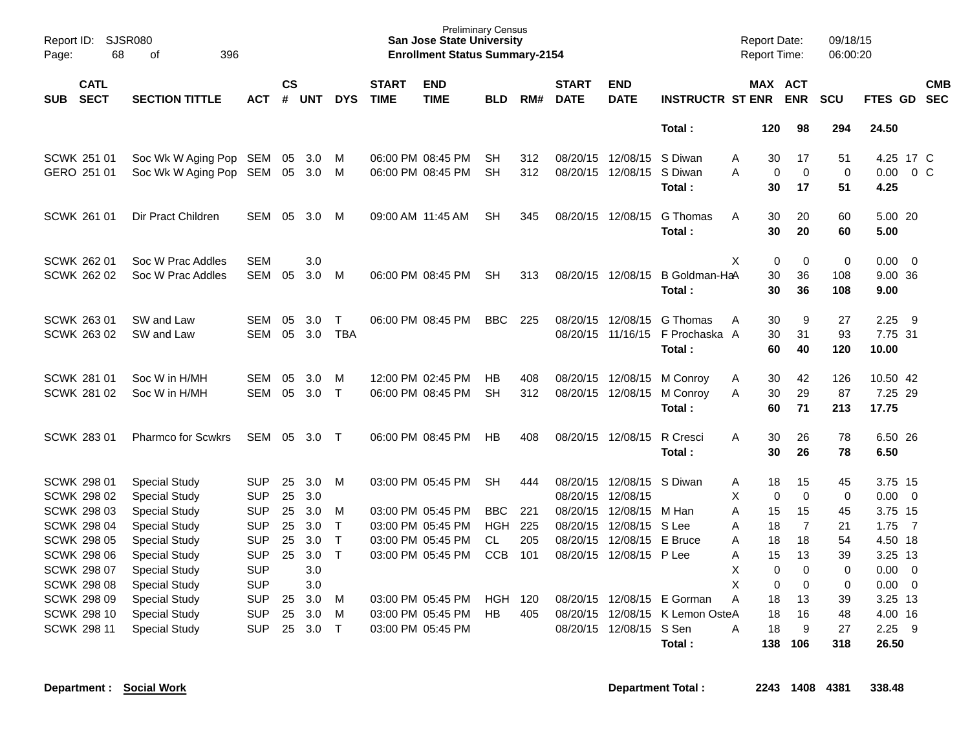| Report ID:<br>Page: | SJSR080<br>68                            | 396<br>of                                    |                          |                |            |                            |                             | <b>Preliminary Census</b><br><b>San Jose State University</b><br><b>Enrollment Status Summary-2154</b> |                        |            |                             |                                        |                         | <b>Report Date:</b><br><b>Report Time:</b> |                                  | 09/18/15<br>06:00:20 |                 |                          |
|---------------------|------------------------------------------|----------------------------------------------|--------------------------|----------------|------------|----------------------------|-----------------------------|--------------------------------------------------------------------------------------------------------|------------------------|------------|-----------------------------|----------------------------------------|-------------------------|--------------------------------------------|----------------------------------|----------------------|-----------------|--------------------------|
| <b>SUB</b>          | <b>CATL</b><br><b>SECT</b>               | <b>SECTION TITTLE</b>                        | <b>ACT</b>               | <b>CS</b><br># | <b>UNT</b> | <b>DYS</b>                 | <b>START</b><br><b>TIME</b> | <b>END</b><br><b>TIME</b>                                                                              | BLD                    | RM#        | <b>START</b><br><b>DATE</b> | <b>END</b><br><b>DATE</b>              | <b>INSTRUCTR ST ENR</b> |                                            | MAX ACT<br><b>ENR</b>            | <b>SCU</b>           | <b>FTES GD</b>  | <b>CMB</b><br><b>SEC</b> |
|                     |                                          |                                              |                          |                |            |                            |                             |                                                                                                        |                        |            |                             |                                        | Total:                  | 120                                        | 98                               | 294                  | 24.50           |                          |
|                     | SCWK 251 01<br>GERO 251 01               | Soc Wk W Aging Pop SEM                       |                          | 05<br>05       | 3.0<br>3.0 | M<br>M                     |                             | 06:00 PM 08:45 PM<br>06:00 PM 08:45 PM                                                                 | <b>SH</b><br><b>SH</b> | 312<br>312 |                             | 08/20/15 12/08/15<br>08/20/15 12/08/15 | S Diwan<br>S Diwan      | Α<br>30<br>A                               | 17<br>$\mathbf 0$<br>$\mathbf 0$ | 51<br>0              | 0.00            | 4.25 17 C<br>$0\,$ C     |
|                     |                                          | Soc Wk W Aging Pop SEM                       |                          |                |            |                            |                             |                                                                                                        |                        |            |                             |                                        | Total :                 | 30                                         | 17                               | 51                   | 4.25            |                          |
|                     | SCWK 261 01                              | Dir Pract Children                           | SEM                      | 05             | 3.0        | M                          |                             | 09:00 AM 11:45 AM                                                                                      | <b>SH</b>              | 345        |                             | 08/20/15 12/08/15                      | G Thomas<br>Total :     | A<br>30<br>30                              | 20<br>20                         | 60<br>60             | 5.00 20<br>5.00 |                          |
|                     | SCWK 262 01                              | Soc W Prac Addles                            | <b>SEM</b>               |                | 3.0        |                            |                             |                                                                                                        |                        |            |                             |                                        |                         | X                                          | $\mathbf 0$<br>$\mathbf 0$       | $\mathbf 0$          | $0.00 \quad 0$  |                          |
|                     | SCWK 262 02                              | Soc W Prac Addles                            | <b>SEM</b>               | 05             | 3.0        | M                          |                             | 06:00 PM 08:45 PM                                                                                      | <b>SH</b>              | 313        |                             | 08/20/15 12/08/15                      | B Goldman-HaA           | 30                                         | 36                               | 108                  | 9.00 36         |                          |
|                     |                                          |                                              |                          |                |            |                            |                             |                                                                                                        |                        |            |                             |                                        | Total:                  | 30                                         | 36                               | 108                  | 9.00            |                          |
|                     | SCWK 263 01                              | SW and Law                                   | <b>SEM</b>               | 05             | 3.0        | $\mathsf{T}$               |                             | 06:00 PM 08:45 PM                                                                                      | BBC.                   | 225        |                             | 08/20/15 12/08/15                      | G Thomas                | 30<br>A                                    | 9                                | 27                   | 2.25            | - 9                      |
|                     | SCWK 263 02                              | SW and Law                                   | SEM                      | 05             | 3.0        | <b>TBA</b>                 |                             |                                                                                                        |                        |            |                             | 08/20/15 11/16/15                      | F Prochaska A           | 30                                         | 31                               | 93                   | 7.75 31         |                          |
|                     |                                          |                                              |                          |                |            |                            |                             |                                                                                                        |                        |            |                             |                                        | Total:                  | 60                                         | 40                               | 120                  | 10.00           |                          |
|                     | <b>SCWK 281 01</b>                       | Soc W in H/MH                                | <b>SEM</b>               | 05             | 3.0        | M                          |                             | 12:00 PM 02:45 PM                                                                                      | <b>HB</b>              | 408        |                             | 08/20/15 12/08/15                      | M Conroy                | 30<br>Α                                    | 42                               | 126                  | 10.50 42        |                          |
|                     | <b>SCWK 281 02</b>                       | Soc W in H/MH                                | <b>SEM</b>               | 05             | 3.0        | $\mathsf{T}$               |                             | 06:00 PM 08:45 PM                                                                                      | <b>SH</b>              | 312        |                             | 08/20/15 12/08/15                      | M Conroy                | 30<br>A                                    | 29                               | 87                   | 7.25 29         |                          |
|                     |                                          |                                              |                          |                |            |                            |                             |                                                                                                        |                        |            |                             |                                        | Total :                 | 60                                         | 71                               | 213                  | 17.75           |                          |
|                     | <b>SCWK 28301</b>                        | <b>Pharmco for Scwkrs</b>                    | SEM                      | 05             | 3.0        | $\top$                     |                             | 06:00 PM 08:45 PM                                                                                      | <b>HB</b>              | 408        |                             | 08/20/15 12/08/15                      | R Cresci                | A<br>30                                    | 26                               | 78                   | 6.50 26         |                          |
|                     |                                          |                                              |                          |                |            |                            |                             |                                                                                                        |                        |            |                             |                                        | Total :                 | 30                                         | 26                               | 78                   | 6.50            |                          |
|                     | <b>SCWK 298 01</b>                       | <b>Special Study</b>                         | <b>SUP</b>               | 25             | 3.0        | M                          |                             | 03:00 PM 05:45 PM                                                                                      | <b>SH</b>              | 444        |                             | 08/20/15 12/08/15 S Diwan              |                         | 18<br>Α                                    | 15                               | 45                   | 3.75 15         |                          |
|                     | SCWK 298 02                              | <b>Special Study</b>                         | <b>SUP</b>               | 25             | 3.0        |                            |                             |                                                                                                        |                        |            | 08/20/15 12/08/15           |                                        |                         | X                                          | $\Omega$<br>$\mathbf 0$          | $\mathbf 0$          | $0.00 \quad 0$  |                          |
|                     | SCWK 298 03                              | Special Study                                | <b>SUP</b>               | 25             | 3.0        | M                          |                             | 03:00 PM 05:45 PM                                                                                      | <b>BBC</b>             | 221        |                             | 08/20/15 12/08/15                      | M Han                   | 15<br>A                                    | 15                               | 45                   | 3.75 15         |                          |
|                     | <b>SCWK 298 04</b>                       | <b>Special Study</b>                         | <b>SUP</b><br><b>SUP</b> | 25             | 3.0        | $\mathsf T$                |                             | 03:00 PM 05:45 PM                                                                                      | <b>HGH</b>             | 225        |                             | 08/20/15 12/08/15 S Lee                | E Bruce                 | 18<br>Α                                    | $\overline{7}$                   | 21                   | $1.75$ 7        |                          |
|                     | <b>SCWK 298 05</b>                       | <b>Special Study</b>                         |                          | 25<br>25       | 3.0<br>3.0 | $\mathsf T$<br>$\mathsf T$ |                             | 03:00 PM 05:45 PM                                                                                      | CL                     | 205<br>101 | 08/20/15                    | 12/08/15                               |                         | 18<br>Α<br>15                              | 18                               | 54                   | 4.50 18         |                          |
|                     | <b>SCWK 298 06</b><br><b>SCWK 298 07</b> | <b>Special Study</b><br><b>Special Study</b> | <b>SUP</b><br><b>SUP</b> |                | 3.0        |                            |                             | 03:00 PM 05:45 PM                                                                                      | <b>CCB</b>             |            |                             | 08/20/15 12/08/15 P Lee                |                         | Α<br>X                                     | 13<br>$\mathbf 0$<br>$\mathbf 0$ | 39<br>$\mathbf 0$    | 3.25 13<br>0.00 | $\overline{\phantom{0}}$ |
|                     | <b>SCWK 298 08</b>                       | <b>Special Study</b>                         | <b>SUP</b>               |                | 3.0        |                            |                             |                                                                                                        |                        |            |                             |                                        |                         | X                                          | $\mathbf 0$<br>$\mathbf 0$       | 0                    | $0.00 \t 0$     |                          |
|                     | <b>SCWK 298 09</b>                       | <b>Special Study</b>                         | <b>SUP</b>               | 25             | 3.0        | M                          |                             | 03:00 PM 05:45 PM                                                                                      | <b>HGH</b>             | 120        |                             | 08/20/15 12/08/15                      | E Gorman                | A<br>18                                    | 13                               | 39                   | 3.25 13         |                          |
|                     | <b>SCWK 298 10</b>                       | <b>Special Study</b>                         | <b>SUP</b>               | 25             | 3.0        | м                          |                             | 03:00 PM 05:45 PM                                                                                      | HB                     | 405        | 08/20/15                    | 12/08/15                               | K Lemon OsteA           | 18                                         | 16                               | 48                   | 4.00 16         |                          |
|                     | <b>SCWK 298 11</b>                       | <b>Special Study</b>                         | <b>SUP</b>               | 25             | 3.0        | $\top$                     |                             | 03:00 PM 05:45 PM                                                                                      |                        |            |                             | 08/20/15 12/08/15                      | S Sen                   | A<br>18                                    | 9                                | 27                   | 2.25            | 9                        |
|                     |                                          |                                              |                          |                |            |                            |                             |                                                                                                        |                        |            |                             |                                        | Total:                  | 138                                        | 106                              | 318                  | 26.50           |                          |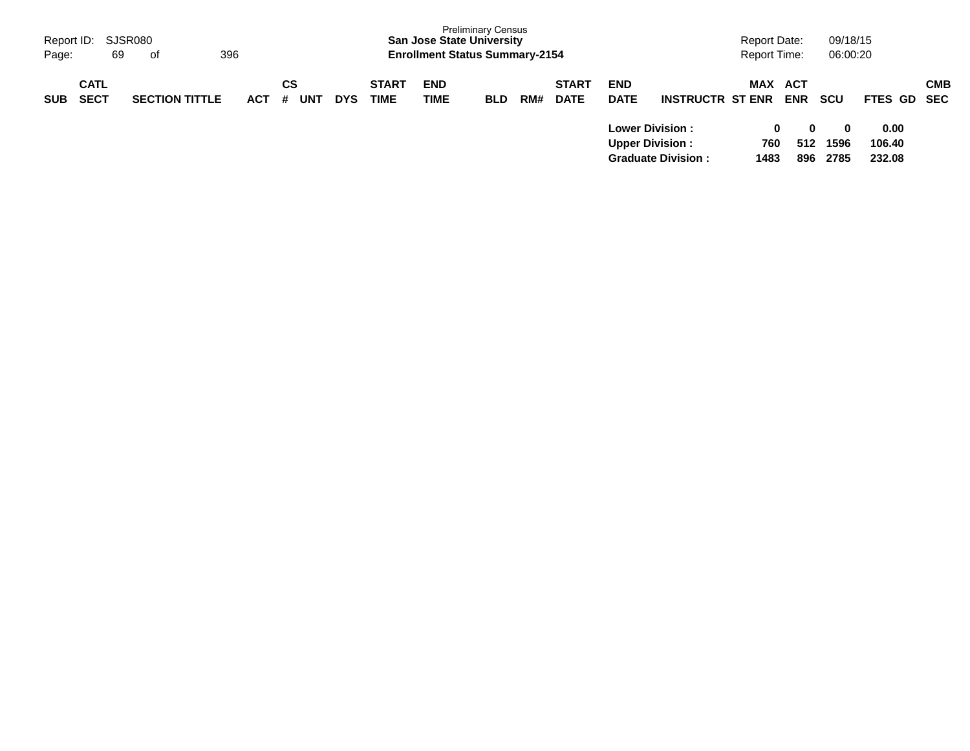| Report ID: SJSR080<br>69<br>Page:        | 396<br>of             |            |         |     |            |                             | <b>San Jose State University</b><br><b>Enrollment Status Summary-2154</b> | <b>Preliminary Census</b> |     |                             |                           |                                                                                                           | Report Date:<br><b>Report Time:</b> |                                             | 09/18/15<br>06:00:20                   |                                         |            |
|------------------------------------------|-----------------------|------------|---------|-----|------------|-----------------------------|---------------------------------------------------------------------------|---------------------------|-----|-----------------------------|---------------------------|-----------------------------------------------------------------------------------------------------------|-------------------------------------|---------------------------------------------|----------------------------------------|-----------------------------------------|------------|
| <b>CATL</b><br><b>SECT</b><br><b>SUB</b> | <b>SECTION TITTLE</b> | <b>ACT</b> | CS<br># | UNT | <b>DYS</b> | <b>START</b><br><b>TIME</b> | <b>END</b><br><b>TIME</b>                                                 | <b>BLD</b>                | RM# | <b>START</b><br><b>DATE</b> | <b>END</b><br><b>DATE</b> | <b>INSTRUCTR ST ENR</b><br><b>Lower Division :</b><br><b>Upper Division:</b><br><b>Graduate Division:</b> | MAX<br>760<br>1483                  | ACT<br><b>ENR</b><br>$\bf{0}$<br>512<br>896 | <b>SCU</b><br>$\bf{0}$<br>1596<br>2785 | FTES GD SEC<br>0.00<br>106.40<br>232.08 | <b>CMB</b> |